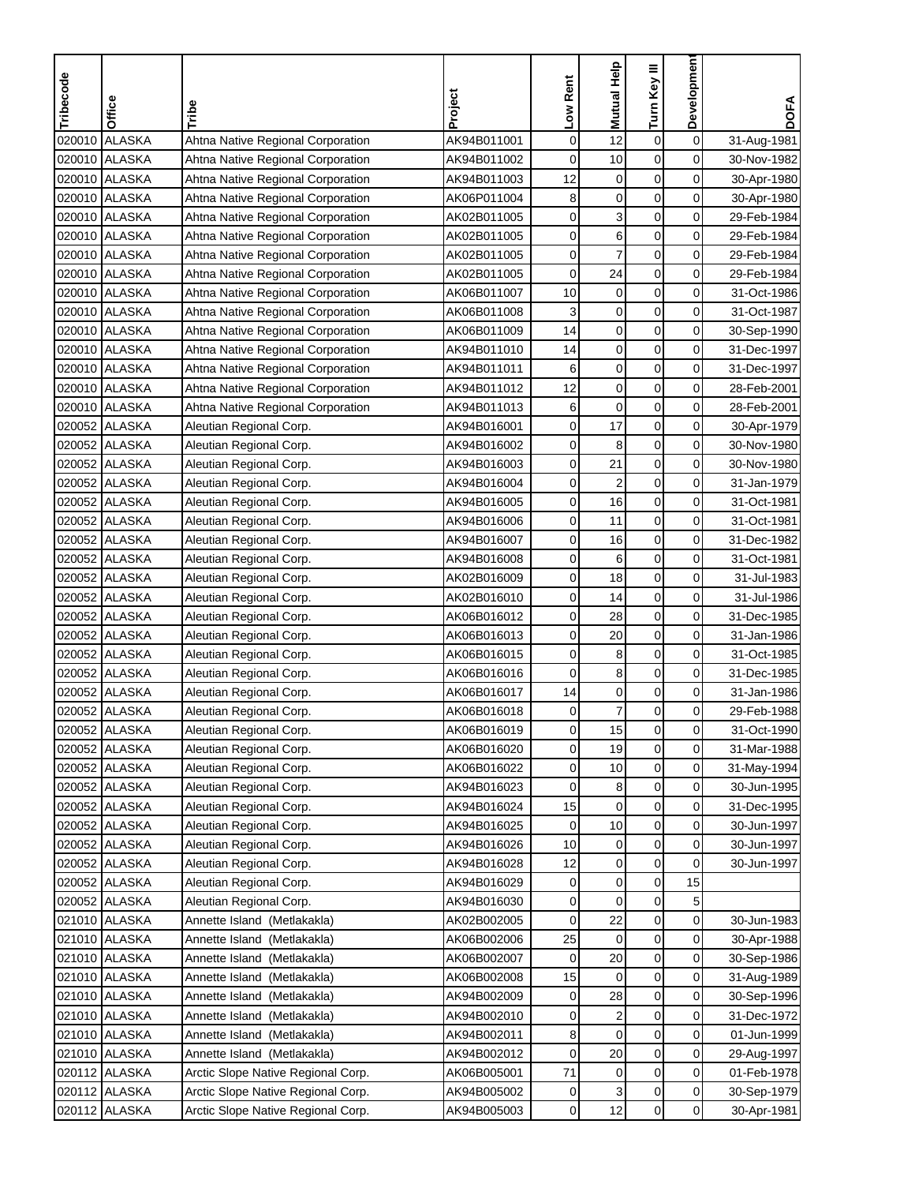| <b>ALASKA</b><br>$\mathbf 0$<br>Ahtna Native Regional Corporation<br>0<br>12<br>$\boldsymbol{0}$<br>020010<br>AK94B011001<br>31-Aug-1981<br>0<br><b>ALASKA</b><br>AK94B011002<br>0<br>10<br>$\mathbf 0$<br>020010<br>Ahtna Native Regional Corporation<br>30-Nov-1982<br>020010 ALASKA<br>$\mathbf 0$<br>$\mathbf 0$<br>0<br>Ahtna Native Regional Corporation<br>AK94B011003<br>12<br>30-Apr-1980<br>8<br>$\mathbf 0$<br>020010 ALASKA<br>$\mathbf 0$<br>0<br>Ahtna Native Regional Corporation<br>AK06P011004<br>30-Apr-1980<br>3<br>0<br>$\boldsymbol{0}$<br>020010 ALASKA<br>0<br>Ahtna Native Regional Corporation<br>AK02B011005<br>29-Feb-1984<br>6<br>$\mathbf 0$<br><b>ALASKA</b><br>0<br>0<br>020010<br>Ahtna Native Regional Corporation<br>AK02B011005<br>29-Feb-1984<br>$\overline{7}$<br>$\pmb{0}$<br>0<br>020010 ALASKA<br>0<br>Ahtna Native Regional Corporation<br>AK02B011005<br>29-Feb-1984<br>0<br>020010 ALASKA<br>0<br>24<br>0<br>Ahtna Native Regional Corporation<br>AK02B011005<br>29-Feb-1984<br>0<br>0<br>020010 ALASKA<br>10<br>$\mathbf 0$<br>Ahtna Native Regional Corporation<br>AK06B011007<br>31-Oct-1986<br>$\pmb{0}$<br>$\mathbf 0$<br>0<br>020010 ALASKA<br>Ahtna Native Regional Corporation<br>AK06B011008<br>3<br>31-Oct-1987<br>020010 ALASKA<br>$\mathbf 0$<br>$\mathbf 0$<br>0<br>Ahtna Native Regional Corporation<br>AK06B011009<br>14<br>30-Sep-1990<br>$\mathbf 0$<br>020010 ALASKA<br>$\mathbf 0$<br>0<br>Ahtna Native Regional Corporation<br>AK94B011010<br>14<br>31-Dec-1997<br>$\mathbf 0$<br>$\mathbf 0$<br>0<br>020010 ALASKA<br>6<br>Ahtna Native Regional Corporation<br>AK94B011011<br>31-Dec-1997<br>$\pmb{0}$<br>12<br>$\mathbf 0$<br>020010 ALASKA<br>0<br>Ahtna Native Regional Corporation<br>AK94B011012<br>28-Feb-2001<br>$\pmb{0}$<br>$\mathbf 0$<br>0<br>020010 ALASKA<br>6<br>Ahtna Native Regional Corporation<br>AK94B011013<br>28-Feb-2001<br>$\mathbf 0$<br>020052 ALASKA<br>0<br>17<br>0<br>Aleutian Regional Corp.<br>AK94B016001<br>30-Apr-1979<br>0<br>0<br>020052 ALASKA<br>0<br>8<br>Aleutian Regional Corp.<br>AK94B016002<br>30-Nov-1980<br>020052 ALASKA<br>0<br>$\mathbf 0$<br>0<br>Aleutian Regional Corp.<br>AK94B016003<br>21<br>30-Nov-1980<br>020052 ALASKA<br>AK94B016004<br>0<br>$\overline{c}$<br>$\mathbf 0$<br>0<br>Aleutian Regional Corp.<br>31-Jan-1979<br>16<br>$\mathbf 0$<br>020052 ALASKA<br>0<br>0<br>Aleutian Regional Corp.<br>AK94B016005<br>31-Oct-1981<br>020052 ALASKA<br>0<br>11<br>$\mathbf 0$<br>0<br>Aleutian Regional Corp.<br>AK94B016006<br>31-Oct-1981<br>0<br>$\pmb{0}$<br>0<br>020052 ALASKA<br>16<br>Aleutian Regional Corp.<br>AK94B016007<br>31-Dec-1982<br>$\mathbf 0$<br>020052<br><b>ALASKA</b><br>0<br>6<br>0<br>Aleutian Regional Corp.<br>AK94B016008<br>31-Oct-1981<br>$\mathsf 0$<br>18<br>0<br>020052 ALASKA<br>AK02B016009<br>0<br>31-Jul-1983<br>Aleutian Regional Corp.<br>0<br>020052 ALASKA<br>0<br>14<br>0<br>Aleutian Regional Corp.<br>AK02B016010<br>31-Jul-1986<br>$\mathsf 0$<br>0<br>020052 ALASKA<br>AK06B016012<br>0<br>28<br>31-Dec-1985<br>Aleutian Regional Corp.<br>0<br>0<br>020052 ALASKA<br>AK06B016013<br>0<br>20<br>Aleutian Regional Corp.<br>31-Jan-1986<br>020052 ALASKA<br>0<br>8<br>0<br>0<br>Aleutian Regional Corp.<br>AK06B016015<br>31-Oct-1985<br>8<br>020052 ALASKA<br>0<br>0<br>0<br>Aleutian Regional Corp.<br>AK06B016016<br>31-Dec-1985<br>$\pmb{0}$<br>$\pmb{0}$<br>0<br>020052 ALASKA<br>AK06B016017<br>14<br>Aleutian Regional Corp.<br>31-Jan-1986<br>$\overline{7}$<br>020052 ALASKA<br>$\mathbf 0$<br>0<br>29-Feb-1988<br>Aleutian Regional Corp.<br>AK06B016018<br>0<br>020052 ALASKA<br>Aleutian Regional Corp.<br>AK06B016019<br>$\mathbf{0}$<br>15<br>0<br>0<br>31-Oct-1990<br>$\mathbf 0$<br>19<br>0<br>020052 ALASKA<br>0<br>Aleutian Regional Corp.<br>AK06B016020<br>31-Mar-1988<br>0<br>0<br>020052 ALASKA<br>Aleutian Regional Corp.<br>AK06B016022<br>0<br>10<br>31-May-1994<br>$\pmb{0}$<br>0<br>020052 ALASKA<br>AK94B016023<br>0<br>8<br>Aleutian Regional Corp.<br>30-Jun-1995<br>020052 ALASKA<br>Aleutian Regional Corp.<br>AK94B016024<br>15<br>0<br>0<br>$\overline{0}$<br>31-Dec-1995<br>020052 ALASKA<br>10<br>0<br>0<br>Aleutian Regional Corp.<br>AK94B016025<br>0<br>30-Jun-1997<br>020052 ALASKA<br>0<br>Aleutian Regional Corp.<br>AK94B016026<br>10<br>0<br>0<br>30-Jun-1997<br>$\mathbf 0$<br>020052 ALASKA<br>$\pmb{0}$<br>0<br>Aleutian Regional Corp.<br>AK94B016028<br>12<br>30-Jun-1997<br>$\pmb{0}$<br>020052 ALASKA<br>Aleutian Regional Corp.<br>AK94B016029<br>0<br>15<br>0<br>$\mathbf 0$<br>$\pmb{0}$<br>5<br>020052 ALASKA<br>Aleutian Regional Corp.<br>AK94B016030<br>0<br>$\pmb{0}$<br>0<br>021010 ALASKA<br>22<br>Annette Island (Metlakakla)<br>AK02B002005<br>0<br>30-Jun-1983<br>$\pmb{0}$<br>021010 ALASKA<br>25<br>$\pmb{0}$<br>0<br>Annette Island (Metlakakla)<br>AK06B002006<br>30-Apr-1988<br>$\mathbf 0$<br>$\overline{0}$<br>021010 ALASKA<br>AK06B002007<br>0<br>20<br>Annette Island (Metlakakla)<br>30-Sep-1986<br>$\mathbf 0$<br>021010 ALASKA<br>Annette Island (Metlakakla)<br>AK06B002008<br>15<br>0<br>0<br>31-Aug-1989<br>28<br>0<br>021010 ALASKA<br>Annette Island (Metlakakla)<br>AK94B002009<br>0<br>0<br>30-Sep-1996<br>$\pmb{0}$<br>021010 ALASKA<br>2<br>0<br>Annette Island (Metlakakla)<br>AK94B002010<br>0<br>31-Dec-1972<br>$\mathbf 0$<br>0<br>021010 ALASKA<br>0<br>Annette Island (Metlakakla)<br>AK94B002011<br>8<br>01-Jun-1999<br>$\pmb{0}$<br>021010 ALASKA<br>AK94B002012<br>0<br>20<br>0<br>Annette Island (Metlakakla)<br>29-Aug-1997<br>0<br>020112 ALASKA<br>71<br>$\pmb{0}$<br>0<br>Arctic Slope Native Regional Corp.<br>AK06B005001<br>01-Feb-1978<br>$\pmb{0}$<br>$\overline{0}$<br>020112 ALASKA<br>AK94B005002<br>3<br>Arctic Slope Native Regional Corp.<br>0<br>30-Sep-1979<br>12<br>$\pmb{0}$<br>$\overline{0}$<br>020112 ALASKA<br>Arctic Slope Native Regional Corp.<br>AK94B005003<br>0<br>30-Apr-1981 | Tribecode | Office | Tribe | Project | Low Rent | Mutual Help | Turn Key III | Developmen | <b>DOFA</b> |
|-------------------------------------------------------------------------------------------------------------------------------------------------------------------------------------------------------------------------------------------------------------------------------------------------------------------------------------------------------------------------------------------------------------------------------------------------------------------------------------------------------------------------------------------------------------------------------------------------------------------------------------------------------------------------------------------------------------------------------------------------------------------------------------------------------------------------------------------------------------------------------------------------------------------------------------------------------------------------------------------------------------------------------------------------------------------------------------------------------------------------------------------------------------------------------------------------------------------------------------------------------------------------------------------------------------------------------------------------------------------------------------------------------------------------------------------------------------------------------------------------------------------------------------------------------------------------------------------------------------------------------------------------------------------------------------------------------------------------------------------------------------------------------------------------------------------------------------------------------------------------------------------------------------------------------------------------------------------------------------------------------------------------------------------------------------------------------------------------------------------------------------------------------------------------------------------------------------------------------------------------------------------------------------------------------------------------------------------------------------------------------------------------------------------------------------------------------------------------------------------------------------------------------------------------------------------------------------------------------------------------------------------------------------------------------------------------------------------------------------------------------------------------------------------------------------------------------------------------------------------------------------------------------------------------------------------------------------------------------------------------------------------------------------------------------------------------------------------------------------------------------------------------------------------------------------------------------------------------------------------------------------------------------------------------------------------------------------------------------------------------------------------------------------------------------------------------------------------------------------------------------------------------------------------------------------------------------------------------------------------------------------------------------------------------------------------------------------------------------------------------------------------------------------------------------------------------------------------------------------------------------------------------------------------------------------------------------------------------------------------------------------------------------------------------------------------------------------------------------------------------------------------------------------------------------------------------------------------------------------------------------------------------------------------------------------------------------------------------------------------------------------------------------------------------------------------------------------------------------------------------------------------------------------------------------------------------------------------------------------------------------------------------------------------------------------------------------------------------------------------------------------------------------------------------------------------------------------------------------------------------------------------------------------------------------------------------------------------------------------------------------------------------------------------------------------------------------------------------------------------------------------------------------------------------------------------------------------------------------------------------------------------------------------------------------------------------------------------------------------------------------------------------------------------------------------------------------------------------------------------------------------------------------------------------------------------------------------------------------------------------------------------------------------------------------------------------------------------------------------------------------------------------------------------------------------------------------------------------------------------------------------------------------------------------------------------------------------------------------------|-----------|--------|-------|---------|----------|-------------|--------------|------------|-------------|
|                                                                                                                                                                                                                                                                                                                                                                                                                                                                                                                                                                                                                                                                                                                                                                                                                                                                                                                                                                                                                                                                                                                                                                                                                                                                                                                                                                                                                                                                                                                                                                                                                                                                                                                                                                                                                                                                                                                                                                                                                                                                                                                                                                                                                                                                                                                                                                                                                                                                                                                                                                                                                                                                                                                                                                                                                                                                                                                                                                                                                                                                                                                                                                                                                                                                                                                                                                                                                                                                                                                                                                                                                                                                                                                                                                                                                                                                                                                                                                                                                                                                                                                                                                                                                                                                                                                                                                                                                                                                                                                                                                                                                                                                                                                                                                                                                                                                                                                                                                                                                                                                                                                                                                                                                                                                                                                                                                                                                                                                                                                                                                                                                                                                                                                                                                                                                                                                                                                                                                                     |           |        |       |         |          |             |              |            |             |
|                                                                                                                                                                                                                                                                                                                                                                                                                                                                                                                                                                                                                                                                                                                                                                                                                                                                                                                                                                                                                                                                                                                                                                                                                                                                                                                                                                                                                                                                                                                                                                                                                                                                                                                                                                                                                                                                                                                                                                                                                                                                                                                                                                                                                                                                                                                                                                                                                                                                                                                                                                                                                                                                                                                                                                                                                                                                                                                                                                                                                                                                                                                                                                                                                                                                                                                                                                                                                                                                                                                                                                                                                                                                                                                                                                                                                                                                                                                                                                                                                                                                                                                                                                                                                                                                                                                                                                                                                                                                                                                                                                                                                                                                                                                                                                                                                                                                                                                                                                                                                                                                                                                                                                                                                                                                                                                                                                                                                                                                                                                                                                                                                                                                                                                                                                                                                                                                                                                                                                                     |           |        |       |         |          |             |              |            |             |
|                                                                                                                                                                                                                                                                                                                                                                                                                                                                                                                                                                                                                                                                                                                                                                                                                                                                                                                                                                                                                                                                                                                                                                                                                                                                                                                                                                                                                                                                                                                                                                                                                                                                                                                                                                                                                                                                                                                                                                                                                                                                                                                                                                                                                                                                                                                                                                                                                                                                                                                                                                                                                                                                                                                                                                                                                                                                                                                                                                                                                                                                                                                                                                                                                                                                                                                                                                                                                                                                                                                                                                                                                                                                                                                                                                                                                                                                                                                                                                                                                                                                                                                                                                                                                                                                                                                                                                                                                                                                                                                                                                                                                                                                                                                                                                                                                                                                                                                                                                                                                                                                                                                                                                                                                                                                                                                                                                                                                                                                                                                                                                                                                                                                                                                                                                                                                                                                                                                                                                                     |           |        |       |         |          |             |              |            |             |
|                                                                                                                                                                                                                                                                                                                                                                                                                                                                                                                                                                                                                                                                                                                                                                                                                                                                                                                                                                                                                                                                                                                                                                                                                                                                                                                                                                                                                                                                                                                                                                                                                                                                                                                                                                                                                                                                                                                                                                                                                                                                                                                                                                                                                                                                                                                                                                                                                                                                                                                                                                                                                                                                                                                                                                                                                                                                                                                                                                                                                                                                                                                                                                                                                                                                                                                                                                                                                                                                                                                                                                                                                                                                                                                                                                                                                                                                                                                                                                                                                                                                                                                                                                                                                                                                                                                                                                                                                                                                                                                                                                                                                                                                                                                                                                                                                                                                                                                                                                                                                                                                                                                                                                                                                                                                                                                                                                                                                                                                                                                                                                                                                                                                                                                                                                                                                                                                                                                                                                                     |           |        |       |         |          |             |              |            |             |
|                                                                                                                                                                                                                                                                                                                                                                                                                                                                                                                                                                                                                                                                                                                                                                                                                                                                                                                                                                                                                                                                                                                                                                                                                                                                                                                                                                                                                                                                                                                                                                                                                                                                                                                                                                                                                                                                                                                                                                                                                                                                                                                                                                                                                                                                                                                                                                                                                                                                                                                                                                                                                                                                                                                                                                                                                                                                                                                                                                                                                                                                                                                                                                                                                                                                                                                                                                                                                                                                                                                                                                                                                                                                                                                                                                                                                                                                                                                                                                                                                                                                                                                                                                                                                                                                                                                                                                                                                                                                                                                                                                                                                                                                                                                                                                                                                                                                                                                                                                                                                                                                                                                                                                                                                                                                                                                                                                                                                                                                                                                                                                                                                                                                                                                                                                                                                                                                                                                                                                                     |           |        |       |         |          |             |              |            |             |
|                                                                                                                                                                                                                                                                                                                                                                                                                                                                                                                                                                                                                                                                                                                                                                                                                                                                                                                                                                                                                                                                                                                                                                                                                                                                                                                                                                                                                                                                                                                                                                                                                                                                                                                                                                                                                                                                                                                                                                                                                                                                                                                                                                                                                                                                                                                                                                                                                                                                                                                                                                                                                                                                                                                                                                                                                                                                                                                                                                                                                                                                                                                                                                                                                                                                                                                                                                                                                                                                                                                                                                                                                                                                                                                                                                                                                                                                                                                                                                                                                                                                                                                                                                                                                                                                                                                                                                                                                                                                                                                                                                                                                                                                                                                                                                                                                                                                                                                                                                                                                                                                                                                                                                                                                                                                                                                                                                                                                                                                                                                                                                                                                                                                                                                                                                                                                                                                                                                                                                                     |           |        |       |         |          |             |              |            |             |
|                                                                                                                                                                                                                                                                                                                                                                                                                                                                                                                                                                                                                                                                                                                                                                                                                                                                                                                                                                                                                                                                                                                                                                                                                                                                                                                                                                                                                                                                                                                                                                                                                                                                                                                                                                                                                                                                                                                                                                                                                                                                                                                                                                                                                                                                                                                                                                                                                                                                                                                                                                                                                                                                                                                                                                                                                                                                                                                                                                                                                                                                                                                                                                                                                                                                                                                                                                                                                                                                                                                                                                                                                                                                                                                                                                                                                                                                                                                                                                                                                                                                                                                                                                                                                                                                                                                                                                                                                                                                                                                                                                                                                                                                                                                                                                                                                                                                                                                                                                                                                                                                                                                                                                                                                                                                                                                                                                                                                                                                                                                                                                                                                                                                                                                                                                                                                                                                                                                                                                                     |           |        |       |         |          |             |              |            |             |
|                                                                                                                                                                                                                                                                                                                                                                                                                                                                                                                                                                                                                                                                                                                                                                                                                                                                                                                                                                                                                                                                                                                                                                                                                                                                                                                                                                                                                                                                                                                                                                                                                                                                                                                                                                                                                                                                                                                                                                                                                                                                                                                                                                                                                                                                                                                                                                                                                                                                                                                                                                                                                                                                                                                                                                                                                                                                                                                                                                                                                                                                                                                                                                                                                                                                                                                                                                                                                                                                                                                                                                                                                                                                                                                                                                                                                                                                                                                                                                                                                                                                                                                                                                                                                                                                                                                                                                                                                                                                                                                                                                                                                                                                                                                                                                                                                                                                                                                                                                                                                                                                                                                                                                                                                                                                                                                                                                                                                                                                                                                                                                                                                                                                                                                                                                                                                                                                                                                                                                                     |           |        |       |         |          |             |              |            |             |
|                                                                                                                                                                                                                                                                                                                                                                                                                                                                                                                                                                                                                                                                                                                                                                                                                                                                                                                                                                                                                                                                                                                                                                                                                                                                                                                                                                                                                                                                                                                                                                                                                                                                                                                                                                                                                                                                                                                                                                                                                                                                                                                                                                                                                                                                                                                                                                                                                                                                                                                                                                                                                                                                                                                                                                                                                                                                                                                                                                                                                                                                                                                                                                                                                                                                                                                                                                                                                                                                                                                                                                                                                                                                                                                                                                                                                                                                                                                                                                                                                                                                                                                                                                                                                                                                                                                                                                                                                                                                                                                                                                                                                                                                                                                                                                                                                                                                                                                                                                                                                                                                                                                                                                                                                                                                                                                                                                                                                                                                                                                                                                                                                                                                                                                                                                                                                                                                                                                                                                                     |           |        |       |         |          |             |              |            |             |
|                                                                                                                                                                                                                                                                                                                                                                                                                                                                                                                                                                                                                                                                                                                                                                                                                                                                                                                                                                                                                                                                                                                                                                                                                                                                                                                                                                                                                                                                                                                                                                                                                                                                                                                                                                                                                                                                                                                                                                                                                                                                                                                                                                                                                                                                                                                                                                                                                                                                                                                                                                                                                                                                                                                                                                                                                                                                                                                                                                                                                                                                                                                                                                                                                                                                                                                                                                                                                                                                                                                                                                                                                                                                                                                                                                                                                                                                                                                                                                                                                                                                                                                                                                                                                                                                                                                                                                                                                                                                                                                                                                                                                                                                                                                                                                                                                                                                                                                                                                                                                                                                                                                                                                                                                                                                                                                                                                                                                                                                                                                                                                                                                                                                                                                                                                                                                                                                                                                                                                                     |           |        |       |         |          |             |              |            |             |
|                                                                                                                                                                                                                                                                                                                                                                                                                                                                                                                                                                                                                                                                                                                                                                                                                                                                                                                                                                                                                                                                                                                                                                                                                                                                                                                                                                                                                                                                                                                                                                                                                                                                                                                                                                                                                                                                                                                                                                                                                                                                                                                                                                                                                                                                                                                                                                                                                                                                                                                                                                                                                                                                                                                                                                                                                                                                                                                                                                                                                                                                                                                                                                                                                                                                                                                                                                                                                                                                                                                                                                                                                                                                                                                                                                                                                                                                                                                                                                                                                                                                                                                                                                                                                                                                                                                                                                                                                                                                                                                                                                                                                                                                                                                                                                                                                                                                                                                                                                                                                                                                                                                                                                                                                                                                                                                                                                                                                                                                                                                                                                                                                                                                                                                                                                                                                                                                                                                                                                                     |           |        |       |         |          |             |              |            |             |
|                                                                                                                                                                                                                                                                                                                                                                                                                                                                                                                                                                                                                                                                                                                                                                                                                                                                                                                                                                                                                                                                                                                                                                                                                                                                                                                                                                                                                                                                                                                                                                                                                                                                                                                                                                                                                                                                                                                                                                                                                                                                                                                                                                                                                                                                                                                                                                                                                                                                                                                                                                                                                                                                                                                                                                                                                                                                                                                                                                                                                                                                                                                                                                                                                                                                                                                                                                                                                                                                                                                                                                                                                                                                                                                                                                                                                                                                                                                                                                                                                                                                                                                                                                                                                                                                                                                                                                                                                                                                                                                                                                                                                                                                                                                                                                                                                                                                                                                                                                                                                                                                                                                                                                                                                                                                                                                                                                                                                                                                                                                                                                                                                                                                                                                                                                                                                                                                                                                                                                                     |           |        |       |         |          |             |              |            |             |
|                                                                                                                                                                                                                                                                                                                                                                                                                                                                                                                                                                                                                                                                                                                                                                                                                                                                                                                                                                                                                                                                                                                                                                                                                                                                                                                                                                                                                                                                                                                                                                                                                                                                                                                                                                                                                                                                                                                                                                                                                                                                                                                                                                                                                                                                                                                                                                                                                                                                                                                                                                                                                                                                                                                                                                                                                                                                                                                                                                                                                                                                                                                                                                                                                                                                                                                                                                                                                                                                                                                                                                                                                                                                                                                                                                                                                                                                                                                                                                                                                                                                                                                                                                                                                                                                                                                                                                                                                                                                                                                                                                                                                                                                                                                                                                                                                                                                                                                                                                                                                                                                                                                                                                                                                                                                                                                                                                                                                                                                                                                                                                                                                                                                                                                                                                                                                                                                                                                                                                                     |           |        |       |         |          |             |              |            |             |
|                                                                                                                                                                                                                                                                                                                                                                                                                                                                                                                                                                                                                                                                                                                                                                                                                                                                                                                                                                                                                                                                                                                                                                                                                                                                                                                                                                                                                                                                                                                                                                                                                                                                                                                                                                                                                                                                                                                                                                                                                                                                                                                                                                                                                                                                                                                                                                                                                                                                                                                                                                                                                                                                                                                                                                                                                                                                                                                                                                                                                                                                                                                                                                                                                                                                                                                                                                                                                                                                                                                                                                                                                                                                                                                                                                                                                                                                                                                                                                                                                                                                                                                                                                                                                                                                                                                                                                                                                                                                                                                                                                                                                                                                                                                                                                                                                                                                                                                                                                                                                                                                                                                                                                                                                                                                                                                                                                                                                                                                                                                                                                                                                                                                                                                                                                                                                                                                                                                                                                                     |           |        |       |         |          |             |              |            |             |
|                                                                                                                                                                                                                                                                                                                                                                                                                                                                                                                                                                                                                                                                                                                                                                                                                                                                                                                                                                                                                                                                                                                                                                                                                                                                                                                                                                                                                                                                                                                                                                                                                                                                                                                                                                                                                                                                                                                                                                                                                                                                                                                                                                                                                                                                                                                                                                                                                                                                                                                                                                                                                                                                                                                                                                                                                                                                                                                                                                                                                                                                                                                                                                                                                                                                                                                                                                                                                                                                                                                                                                                                                                                                                                                                                                                                                                                                                                                                                                                                                                                                                                                                                                                                                                                                                                                                                                                                                                                                                                                                                                                                                                                                                                                                                                                                                                                                                                                                                                                                                                                                                                                                                                                                                                                                                                                                                                                                                                                                                                                                                                                                                                                                                                                                                                                                                                                                                                                                                                                     |           |        |       |         |          |             |              |            |             |
|                                                                                                                                                                                                                                                                                                                                                                                                                                                                                                                                                                                                                                                                                                                                                                                                                                                                                                                                                                                                                                                                                                                                                                                                                                                                                                                                                                                                                                                                                                                                                                                                                                                                                                                                                                                                                                                                                                                                                                                                                                                                                                                                                                                                                                                                                                                                                                                                                                                                                                                                                                                                                                                                                                                                                                                                                                                                                                                                                                                                                                                                                                                                                                                                                                                                                                                                                                                                                                                                                                                                                                                                                                                                                                                                                                                                                                                                                                                                                                                                                                                                                                                                                                                                                                                                                                                                                                                                                                                                                                                                                                                                                                                                                                                                                                                                                                                                                                                                                                                                                                                                                                                                                                                                                                                                                                                                                                                                                                                                                                                                                                                                                                                                                                                                                                                                                                                                                                                                                                                     |           |        |       |         |          |             |              |            |             |
|                                                                                                                                                                                                                                                                                                                                                                                                                                                                                                                                                                                                                                                                                                                                                                                                                                                                                                                                                                                                                                                                                                                                                                                                                                                                                                                                                                                                                                                                                                                                                                                                                                                                                                                                                                                                                                                                                                                                                                                                                                                                                                                                                                                                                                                                                                                                                                                                                                                                                                                                                                                                                                                                                                                                                                                                                                                                                                                                                                                                                                                                                                                                                                                                                                                                                                                                                                                                                                                                                                                                                                                                                                                                                                                                                                                                                                                                                                                                                                                                                                                                                                                                                                                                                                                                                                                                                                                                                                                                                                                                                                                                                                                                                                                                                                                                                                                                                                                                                                                                                                                                                                                                                                                                                                                                                                                                                                                                                                                                                                                                                                                                                                                                                                                                                                                                                                                                                                                                                                                     |           |        |       |         |          |             |              |            |             |
|                                                                                                                                                                                                                                                                                                                                                                                                                                                                                                                                                                                                                                                                                                                                                                                                                                                                                                                                                                                                                                                                                                                                                                                                                                                                                                                                                                                                                                                                                                                                                                                                                                                                                                                                                                                                                                                                                                                                                                                                                                                                                                                                                                                                                                                                                                                                                                                                                                                                                                                                                                                                                                                                                                                                                                                                                                                                                                                                                                                                                                                                                                                                                                                                                                                                                                                                                                                                                                                                                                                                                                                                                                                                                                                                                                                                                                                                                                                                                                                                                                                                                                                                                                                                                                                                                                                                                                                                                                                                                                                                                                                                                                                                                                                                                                                                                                                                                                                                                                                                                                                                                                                                                                                                                                                                                                                                                                                                                                                                                                                                                                                                                                                                                                                                                                                                                                                                                                                                                                                     |           |        |       |         |          |             |              |            |             |
|                                                                                                                                                                                                                                                                                                                                                                                                                                                                                                                                                                                                                                                                                                                                                                                                                                                                                                                                                                                                                                                                                                                                                                                                                                                                                                                                                                                                                                                                                                                                                                                                                                                                                                                                                                                                                                                                                                                                                                                                                                                                                                                                                                                                                                                                                                                                                                                                                                                                                                                                                                                                                                                                                                                                                                                                                                                                                                                                                                                                                                                                                                                                                                                                                                                                                                                                                                                                                                                                                                                                                                                                                                                                                                                                                                                                                                                                                                                                                                                                                                                                                                                                                                                                                                                                                                                                                                                                                                                                                                                                                                                                                                                                                                                                                                                                                                                                                                                                                                                                                                                                                                                                                                                                                                                                                                                                                                                                                                                                                                                                                                                                                                                                                                                                                                                                                                                                                                                                                                                     |           |        |       |         |          |             |              |            |             |
|                                                                                                                                                                                                                                                                                                                                                                                                                                                                                                                                                                                                                                                                                                                                                                                                                                                                                                                                                                                                                                                                                                                                                                                                                                                                                                                                                                                                                                                                                                                                                                                                                                                                                                                                                                                                                                                                                                                                                                                                                                                                                                                                                                                                                                                                                                                                                                                                                                                                                                                                                                                                                                                                                                                                                                                                                                                                                                                                                                                                                                                                                                                                                                                                                                                                                                                                                                                                                                                                                                                                                                                                                                                                                                                                                                                                                                                                                                                                                                                                                                                                                                                                                                                                                                                                                                                                                                                                                                                                                                                                                                                                                                                                                                                                                                                                                                                                                                                                                                                                                                                                                                                                                                                                                                                                                                                                                                                                                                                                                                                                                                                                                                                                                                                                                                                                                                                                                                                                                                                     |           |        |       |         |          |             |              |            |             |
|                                                                                                                                                                                                                                                                                                                                                                                                                                                                                                                                                                                                                                                                                                                                                                                                                                                                                                                                                                                                                                                                                                                                                                                                                                                                                                                                                                                                                                                                                                                                                                                                                                                                                                                                                                                                                                                                                                                                                                                                                                                                                                                                                                                                                                                                                                                                                                                                                                                                                                                                                                                                                                                                                                                                                                                                                                                                                                                                                                                                                                                                                                                                                                                                                                                                                                                                                                                                                                                                                                                                                                                                                                                                                                                                                                                                                                                                                                                                                                                                                                                                                                                                                                                                                                                                                                                                                                                                                                                                                                                                                                                                                                                                                                                                                                                                                                                                                                                                                                                                                                                                                                                                                                                                                                                                                                                                                                                                                                                                                                                                                                                                                                                                                                                                                                                                                                                                                                                                                                                     |           |        |       |         |          |             |              |            |             |
|                                                                                                                                                                                                                                                                                                                                                                                                                                                                                                                                                                                                                                                                                                                                                                                                                                                                                                                                                                                                                                                                                                                                                                                                                                                                                                                                                                                                                                                                                                                                                                                                                                                                                                                                                                                                                                                                                                                                                                                                                                                                                                                                                                                                                                                                                                                                                                                                                                                                                                                                                                                                                                                                                                                                                                                                                                                                                                                                                                                                                                                                                                                                                                                                                                                                                                                                                                                                                                                                                                                                                                                                                                                                                                                                                                                                                                                                                                                                                                                                                                                                                                                                                                                                                                                                                                                                                                                                                                                                                                                                                                                                                                                                                                                                                                                                                                                                                                                                                                                                                                                                                                                                                                                                                                                                                                                                                                                                                                                                                                                                                                                                                                                                                                                                                                                                                                                                                                                                                                                     |           |        |       |         |          |             |              |            |             |
|                                                                                                                                                                                                                                                                                                                                                                                                                                                                                                                                                                                                                                                                                                                                                                                                                                                                                                                                                                                                                                                                                                                                                                                                                                                                                                                                                                                                                                                                                                                                                                                                                                                                                                                                                                                                                                                                                                                                                                                                                                                                                                                                                                                                                                                                                                                                                                                                                                                                                                                                                                                                                                                                                                                                                                                                                                                                                                                                                                                                                                                                                                                                                                                                                                                                                                                                                                                                                                                                                                                                                                                                                                                                                                                                                                                                                                                                                                                                                                                                                                                                                                                                                                                                                                                                                                                                                                                                                                                                                                                                                                                                                                                                                                                                                                                                                                                                                                                                                                                                                                                                                                                                                                                                                                                                                                                                                                                                                                                                                                                                                                                                                                                                                                                                                                                                                                                                                                                                                                                     |           |        |       |         |          |             |              |            |             |
|                                                                                                                                                                                                                                                                                                                                                                                                                                                                                                                                                                                                                                                                                                                                                                                                                                                                                                                                                                                                                                                                                                                                                                                                                                                                                                                                                                                                                                                                                                                                                                                                                                                                                                                                                                                                                                                                                                                                                                                                                                                                                                                                                                                                                                                                                                                                                                                                                                                                                                                                                                                                                                                                                                                                                                                                                                                                                                                                                                                                                                                                                                                                                                                                                                                                                                                                                                                                                                                                                                                                                                                                                                                                                                                                                                                                                                                                                                                                                                                                                                                                                                                                                                                                                                                                                                                                                                                                                                                                                                                                                                                                                                                                                                                                                                                                                                                                                                                                                                                                                                                                                                                                                                                                                                                                                                                                                                                                                                                                                                                                                                                                                                                                                                                                                                                                                                                                                                                                                                                     |           |        |       |         |          |             |              |            |             |
|                                                                                                                                                                                                                                                                                                                                                                                                                                                                                                                                                                                                                                                                                                                                                                                                                                                                                                                                                                                                                                                                                                                                                                                                                                                                                                                                                                                                                                                                                                                                                                                                                                                                                                                                                                                                                                                                                                                                                                                                                                                                                                                                                                                                                                                                                                                                                                                                                                                                                                                                                                                                                                                                                                                                                                                                                                                                                                                                                                                                                                                                                                                                                                                                                                                                                                                                                                                                                                                                                                                                                                                                                                                                                                                                                                                                                                                                                                                                                                                                                                                                                                                                                                                                                                                                                                                                                                                                                                                                                                                                                                                                                                                                                                                                                                                                                                                                                                                                                                                                                                                                                                                                                                                                                                                                                                                                                                                                                                                                                                                                                                                                                                                                                                                                                                                                                                                                                                                                                                                     |           |        |       |         |          |             |              |            |             |
|                                                                                                                                                                                                                                                                                                                                                                                                                                                                                                                                                                                                                                                                                                                                                                                                                                                                                                                                                                                                                                                                                                                                                                                                                                                                                                                                                                                                                                                                                                                                                                                                                                                                                                                                                                                                                                                                                                                                                                                                                                                                                                                                                                                                                                                                                                                                                                                                                                                                                                                                                                                                                                                                                                                                                                                                                                                                                                                                                                                                                                                                                                                                                                                                                                                                                                                                                                                                                                                                                                                                                                                                                                                                                                                                                                                                                                                                                                                                                                                                                                                                                                                                                                                                                                                                                                                                                                                                                                                                                                                                                                                                                                                                                                                                                                                                                                                                                                                                                                                                                                                                                                                                                                                                                                                                                                                                                                                                                                                                                                                                                                                                                                                                                                                                                                                                                                                                                                                                                                                     |           |        |       |         |          |             |              |            |             |
|                                                                                                                                                                                                                                                                                                                                                                                                                                                                                                                                                                                                                                                                                                                                                                                                                                                                                                                                                                                                                                                                                                                                                                                                                                                                                                                                                                                                                                                                                                                                                                                                                                                                                                                                                                                                                                                                                                                                                                                                                                                                                                                                                                                                                                                                                                                                                                                                                                                                                                                                                                                                                                                                                                                                                                                                                                                                                                                                                                                                                                                                                                                                                                                                                                                                                                                                                                                                                                                                                                                                                                                                                                                                                                                                                                                                                                                                                                                                                                                                                                                                                                                                                                                                                                                                                                                                                                                                                                                                                                                                                                                                                                                                                                                                                                                                                                                                                                                                                                                                                                                                                                                                                                                                                                                                                                                                                                                                                                                                                                                                                                                                                                                                                                                                                                                                                                                                                                                                                                                     |           |        |       |         |          |             |              |            |             |
|                                                                                                                                                                                                                                                                                                                                                                                                                                                                                                                                                                                                                                                                                                                                                                                                                                                                                                                                                                                                                                                                                                                                                                                                                                                                                                                                                                                                                                                                                                                                                                                                                                                                                                                                                                                                                                                                                                                                                                                                                                                                                                                                                                                                                                                                                                                                                                                                                                                                                                                                                                                                                                                                                                                                                                                                                                                                                                                                                                                                                                                                                                                                                                                                                                                                                                                                                                                                                                                                                                                                                                                                                                                                                                                                                                                                                                                                                                                                                                                                                                                                                                                                                                                                                                                                                                                                                                                                                                                                                                                                                                                                                                                                                                                                                                                                                                                                                                                                                                                                                                                                                                                                                                                                                                                                                                                                                                                                                                                                                                                                                                                                                                                                                                                                                                                                                                                                                                                                                                                     |           |        |       |         |          |             |              |            |             |
|                                                                                                                                                                                                                                                                                                                                                                                                                                                                                                                                                                                                                                                                                                                                                                                                                                                                                                                                                                                                                                                                                                                                                                                                                                                                                                                                                                                                                                                                                                                                                                                                                                                                                                                                                                                                                                                                                                                                                                                                                                                                                                                                                                                                                                                                                                                                                                                                                                                                                                                                                                                                                                                                                                                                                                                                                                                                                                                                                                                                                                                                                                                                                                                                                                                                                                                                                                                                                                                                                                                                                                                                                                                                                                                                                                                                                                                                                                                                                                                                                                                                                                                                                                                                                                                                                                                                                                                                                                                                                                                                                                                                                                                                                                                                                                                                                                                                                                                                                                                                                                                                                                                                                                                                                                                                                                                                                                                                                                                                                                                                                                                                                                                                                                                                                                                                                                                                                                                                                                                     |           |        |       |         |          |             |              |            |             |
|                                                                                                                                                                                                                                                                                                                                                                                                                                                                                                                                                                                                                                                                                                                                                                                                                                                                                                                                                                                                                                                                                                                                                                                                                                                                                                                                                                                                                                                                                                                                                                                                                                                                                                                                                                                                                                                                                                                                                                                                                                                                                                                                                                                                                                                                                                                                                                                                                                                                                                                                                                                                                                                                                                                                                                                                                                                                                                                                                                                                                                                                                                                                                                                                                                                                                                                                                                                                                                                                                                                                                                                                                                                                                                                                                                                                                                                                                                                                                                                                                                                                                                                                                                                                                                                                                                                                                                                                                                                                                                                                                                                                                                                                                                                                                                                                                                                                                                                                                                                                                                                                                                                                                                                                                                                                                                                                                                                                                                                                                                                                                                                                                                                                                                                                                                                                                                                                                                                                                                                     |           |        |       |         |          |             |              |            |             |
|                                                                                                                                                                                                                                                                                                                                                                                                                                                                                                                                                                                                                                                                                                                                                                                                                                                                                                                                                                                                                                                                                                                                                                                                                                                                                                                                                                                                                                                                                                                                                                                                                                                                                                                                                                                                                                                                                                                                                                                                                                                                                                                                                                                                                                                                                                                                                                                                                                                                                                                                                                                                                                                                                                                                                                                                                                                                                                                                                                                                                                                                                                                                                                                                                                                                                                                                                                                                                                                                                                                                                                                                                                                                                                                                                                                                                                                                                                                                                                                                                                                                                                                                                                                                                                                                                                                                                                                                                                                                                                                                                                                                                                                                                                                                                                                                                                                                                                                                                                                                                                                                                                                                                                                                                                                                                                                                                                                                                                                                                                                                                                                                                                                                                                                                                                                                                                                                                                                                                                                     |           |        |       |         |          |             |              |            |             |
|                                                                                                                                                                                                                                                                                                                                                                                                                                                                                                                                                                                                                                                                                                                                                                                                                                                                                                                                                                                                                                                                                                                                                                                                                                                                                                                                                                                                                                                                                                                                                                                                                                                                                                                                                                                                                                                                                                                                                                                                                                                                                                                                                                                                                                                                                                                                                                                                                                                                                                                                                                                                                                                                                                                                                                                                                                                                                                                                                                                                                                                                                                                                                                                                                                                                                                                                                                                                                                                                                                                                                                                                                                                                                                                                                                                                                                                                                                                                                                                                                                                                                                                                                                                                                                                                                                                                                                                                                                                                                                                                                                                                                                                                                                                                                                                                                                                                                                                                                                                                                                                                                                                                                                                                                                                                                                                                                                                                                                                                                                                                                                                                                                                                                                                                                                                                                                                                                                                                                                                     |           |        |       |         |          |             |              |            |             |
|                                                                                                                                                                                                                                                                                                                                                                                                                                                                                                                                                                                                                                                                                                                                                                                                                                                                                                                                                                                                                                                                                                                                                                                                                                                                                                                                                                                                                                                                                                                                                                                                                                                                                                                                                                                                                                                                                                                                                                                                                                                                                                                                                                                                                                                                                                                                                                                                                                                                                                                                                                                                                                                                                                                                                                                                                                                                                                                                                                                                                                                                                                                                                                                                                                                                                                                                                                                                                                                                                                                                                                                                                                                                                                                                                                                                                                                                                                                                                                                                                                                                                                                                                                                                                                                                                                                                                                                                                                                                                                                                                                                                                                                                                                                                                                                                                                                                                                                                                                                                                                                                                                                                                                                                                                                                                                                                                                                                                                                                                                                                                                                                                                                                                                                                                                                                                                                                                                                                                                                     |           |        |       |         |          |             |              |            |             |
|                                                                                                                                                                                                                                                                                                                                                                                                                                                                                                                                                                                                                                                                                                                                                                                                                                                                                                                                                                                                                                                                                                                                                                                                                                                                                                                                                                                                                                                                                                                                                                                                                                                                                                                                                                                                                                                                                                                                                                                                                                                                                                                                                                                                                                                                                                                                                                                                                                                                                                                                                                                                                                                                                                                                                                                                                                                                                                                                                                                                                                                                                                                                                                                                                                                                                                                                                                                                                                                                                                                                                                                                                                                                                                                                                                                                                                                                                                                                                                                                                                                                                                                                                                                                                                                                                                                                                                                                                                                                                                                                                                                                                                                                                                                                                                                                                                                                                                                                                                                                                                                                                                                                                                                                                                                                                                                                                                                                                                                                                                                                                                                                                                                                                                                                                                                                                                                                                                                                                                                     |           |        |       |         |          |             |              |            |             |
|                                                                                                                                                                                                                                                                                                                                                                                                                                                                                                                                                                                                                                                                                                                                                                                                                                                                                                                                                                                                                                                                                                                                                                                                                                                                                                                                                                                                                                                                                                                                                                                                                                                                                                                                                                                                                                                                                                                                                                                                                                                                                                                                                                                                                                                                                                                                                                                                                                                                                                                                                                                                                                                                                                                                                                                                                                                                                                                                                                                                                                                                                                                                                                                                                                                                                                                                                                                                                                                                                                                                                                                                                                                                                                                                                                                                                                                                                                                                                                                                                                                                                                                                                                                                                                                                                                                                                                                                                                                                                                                                                                                                                                                                                                                                                                                                                                                                                                                                                                                                                                                                                                                                                                                                                                                                                                                                                                                                                                                                                                                                                                                                                                                                                                                                                                                                                                                                                                                                                                                     |           |        |       |         |          |             |              |            |             |
|                                                                                                                                                                                                                                                                                                                                                                                                                                                                                                                                                                                                                                                                                                                                                                                                                                                                                                                                                                                                                                                                                                                                                                                                                                                                                                                                                                                                                                                                                                                                                                                                                                                                                                                                                                                                                                                                                                                                                                                                                                                                                                                                                                                                                                                                                                                                                                                                                                                                                                                                                                                                                                                                                                                                                                                                                                                                                                                                                                                                                                                                                                                                                                                                                                                                                                                                                                                                                                                                                                                                                                                                                                                                                                                                                                                                                                                                                                                                                                                                                                                                                                                                                                                                                                                                                                                                                                                                                                                                                                                                                                                                                                                                                                                                                                                                                                                                                                                                                                                                                                                                                                                                                                                                                                                                                                                                                                                                                                                                                                                                                                                                                                                                                                                                                                                                                                                                                                                                                                                     |           |        |       |         |          |             |              |            |             |
|                                                                                                                                                                                                                                                                                                                                                                                                                                                                                                                                                                                                                                                                                                                                                                                                                                                                                                                                                                                                                                                                                                                                                                                                                                                                                                                                                                                                                                                                                                                                                                                                                                                                                                                                                                                                                                                                                                                                                                                                                                                                                                                                                                                                                                                                                                                                                                                                                                                                                                                                                                                                                                                                                                                                                                                                                                                                                                                                                                                                                                                                                                                                                                                                                                                                                                                                                                                                                                                                                                                                                                                                                                                                                                                                                                                                                                                                                                                                                                                                                                                                                                                                                                                                                                                                                                                                                                                                                                                                                                                                                                                                                                                                                                                                                                                                                                                                                                                                                                                                                                                                                                                                                                                                                                                                                                                                                                                                                                                                                                                                                                                                                                                                                                                                                                                                                                                                                                                                                                                     |           |        |       |         |          |             |              |            |             |
|                                                                                                                                                                                                                                                                                                                                                                                                                                                                                                                                                                                                                                                                                                                                                                                                                                                                                                                                                                                                                                                                                                                                                                                                                                                                                                                                                                                                                                                                                                                                                                                                                                                                                                                                                                                                                                                                                                                                                                                                                                                                                                                                                                                                                                                                                                                                                                                                                                                                                                                                                                                                                                                                                                                                                                                                                                                                                                                                                                                                                                                                                                                                                                                                                                                                                                                                                                                                                                                                                                                                                                                                                                                                                                                                                                                                                                                                                                                                                                                                                                                                                                                                                                                                                                                                                                                                                                                                                                                                                                                                                                                                                                                                                                                                                                                                                                                                                                                                                                                                                                                                                                                                                                                                                                                                                                                                                                                                                                                                                                                                                                                                                                                                                                                                                                                                                                                                                                                                                                                     |           |        |       |         |          |             |              |            |             |
|                                                                                                                                                                                                                                                                                                                                                                                                                                                                                                                                                                                                                                                                                                                                                                                                                                                                                                                                                                                                                                                                                                                                                                                                                                                                                                                                                                                                                                                                                                                                                                                                                                                                                                                                                                                                                                                                                                                                                                                                                                                                                                                                                                                                                                                                                                                                                                                                                                                                                                                                                                                                                                                                                                                                                                                                                                                                                                                                                                                                                                                                                                                                                                                                                                                                                                                                                                                                                                                                                                                                                                                                                                                                                                                                                                                                                                                                                                                                                                                                                                                                                                                                                                                                                                                                                                                                                                                                                                                                                                                                                                                                                                                                                                                                                                                                                                                                                                                                                                                                                                                                                                                                                                                                                                                                                                                                                                                                                                                                                                                                                                                                                                                                                                                                                                                                                                                                                                                                                                                     |           |        |       |         |          |             |              |            |             |
|                                                                                                                                                                                                                                                                                                                                                                                                                                                                                                                                                                                                                                                                                                                                                                                                                                                                                                                                                                                                                                                                                                                                                                                                                                                                                                                                                                                                                                                                                                                                                                                                                                                                                                                                                                                                                                                                                                                                                                                                                                                                                                                                                                                                                                                                                                                                                                                                                                                                                                                                                                                                                                                                                                                                                                                                                                                                                                                                                                                                                                                                                                                                                                                                                                                                                                                                                                                                                                                                                                                                                                                                                                                                                                                                                                                                                                                                                                                                                                                                                                                                                                                                                                                                                                                                                                                                                                                                                                                                                                                                                                                                                                                                                                                                                                                                                                                                                                                                                                                                                                                                                                                                                                                                                                                                                                                                                                                                                                                                                                                                                                                                                                                                                                                                                                                                                                                                                                                                                                                     |           |        |       |         |          |             |              |            |             |
|                                                                                                                                                                                                                                                                                                                                                                                                                                                                                                                                                                                                                                                                                                                                                                                                                                                                                                                                                                                                                                                                                                                                                                                                                                                                                                                                                                                                                                                                                                                                                                                                                                                                                                                                                                                                                                                                                                                                                                                                                                                                                                                                                                                                                                                                                                                                                                                                                                                                                                                                                                                                                                                                                                                                                                                                                                                                                                                                                                                                                                                                                                                                                                                                                                                                                                                                                                                                                                                                                                                                                                                                                                                                                                                                                                                                                                                                                                                                                                                                                                                                                                                                                                                                                                                                                                                                                                                                                                                                                                                                                                                                                                                                                                                                                                                                                                                                                                                                                                                                                                                                                                                                                                                                                                                                                                                                                                                                                                                                                                                                                                                                                                                                                                                                                                                                                                                                                                                                                                                     |           |        |       |         |          |             |              |            |             |
|                                                                                                                                                                                                                                                                                                                                                                                                                                                                                                                                                                                                                                                                                                                                                                                                                                                                                                                                                                                                                                                                                                                                                                                                                                                                                                                                                                                                                                                                                                                                                                                                                                                                                                                                                                                                                                                                                                                                                                                                                                                                                                                                                                                                                                                                                                                                                                                                                                                                                                                                                                                                                                                                                                                                                                                                                                                                                                                                                                                                                                                                                                                                                                                                                                                                                                                                                                                                                                                                                                                                                                                                                                                                                                                                                                                                                                                                                                                                                                                                                                                                                                                                                                                                                                                                                                                                                                                                                                                                                                                                                                                                                                                                                                                                                                                                                                                                                                                                                                                                                                                                                                                                                                                                                                                                                                                                                                                                                                                                                                                                                                                                                                                                                                                                                                                                                                                                                                                                                                                     |           |        |       |         |          |             |              |            |             |
|                                                                                                                                                                                                                                                                                                                                                                                                                                                                                                                                                                                                                                                                                                                                                                                                                                                                                                                                                                                                                                                                                                                                                                                                                                                                                                                                                                                                                                                                                                                                                                                                                                                                                                                                                                                                                                                                                                                                                                                                                                                                                                                                                                                                                                                                                                                                                                                                                                                                                                                                                                                                                                                                                                                                                                                                                                                                                                                                                                                                                                                                                                                                                                                                                                                                                                                                                                                                                                                                                                                                                                                                                                                                                                                                                                                                                                                                                                                                                                                                                                                                                                                                                                                                                                                                                                                                                                                                                                                                                                                                                                                                                                                                                                                                                                                                                                                                                                                                                                                                                                                                                                                                                                                                                                                                                                                                                                                                                                                                                                                                                                                                                                                                                                                                                                                                                                                                                                                                                                                     |           |        |       |         |          |             |              |            |             |
|                                                                                                                                                                                                                                                                                                                                                                                                                                                                                                                                                                                                                                                                                                                                                                                                                                                                                                                                                                                                                                                                                                                                                                                                                                                                                                                                                                                                                                                                                                                                                                                                                                                                                                                                                                                                                                                                                                                                                                                                                                                                                                                                                                                                                                                                                                                                                                                                                                                                                                                                                                                                                                                                                                                                                                                                                                                                                                                                                                                                                                                                                                                                                                                                                                                                                                                                                                                                                                                                                                                                                                                                                                                                                                                                                                                                                                                                                                                                                                                                                                                                                                                                                                                                                                                                                                                                                                                                                                                                                                                                                                                                                                                                                                                                                                                                                                                                                                                                                                                                                                                                                                                                                                                                                                                                                                                                                                                                                                                                                                                                                                                                                                                                                                                                                                                                                                                                                                                                                                                     |           |        |       |         |          |             |              |            |             |
|                                                                                                                                                                                                                                                                                                                                                                                                                                                                                                                                                                                                                                                                                                                                                                                                                                                                                                                                                                                                                                                                                                                                                                                                                                                                                                                                                                                                                                                                                                                                                                                                                                                                                                                                                                                                                                                                                                                                                                                                                                                                                                                                                                                                                                                                                                                                                                                                                                                                                                                                                                                                                                                                                                                                                                                                                                                                                                                                                                                                                                                                                                                                                                                                                                                                                                                                                                                                                                                                                                                                                                                                                                                                                                                                                                                                                                                                                                                                                                                                                                                                                                                                                                                                                                                                                                                                                                                                                                                                                                                                                                                                                                                                                                                                                                                                                                                                                                                                                                                                                                                                                                                                                                                                                                                                                                                                                                                                                                                                                                                                                                                                                                                                                                                                                                                                                                                                                                                                                                                     |           |        |       |         |          |             |              |            |             |
|                                                                                                                                                                                                                                                                                                                                                                                                                                                                                                                                                                                                                                                                                                                                                                                                                                                                                                                                                                                                                                                                                                                                                                                                                                                                                                                                                                                                                                                                                                                                                                                                                                                                                                                                                                                                                                                                                                                                                                                                                                                                                                                                                                                                                                                                                                                                                                                                                                                                                                                                                                                                                                                                                                                                                                                                                                                                                                                                                                                                                                                                                                                                                                                                                                                                                                                                                                                                                                                                                                                                                                                                                                                                                                                                                                                                                                                                                                                                                                                                                                                                                                                                                                                                                                                                                                                                                                                                                                                                                                                                                                                                                                                                                                                                                                                                                                                                                                                                                                                                                                                                                                                                                                                                                                                                                                                                                                                                                                                                                                                                                                                                                                                                                                                                                                                                                                                                                                                                                                                     |           |        |       |         |          |             |              |            |             |
|                                                                                                                                                                                                                                                                                                                                                                                                                                                                                                                                                                                                                                                                                                                                                                                                                                                                                                                                                                                                                                                                                                                                                                                                                                                                                                                                                                                                                                                                                                                                                                                                                                                                                                                                                                                                                                                                                                                                                                                                                                                                                                                                                                                                                                                                                                                                                                                                                                                                                                                                                                                                                                                                                                                                                                                                                                                                                                                                                                                                                                                                                                                                                                                                                                                                                                                                                                                                                                                                                                                                                                                                                                                                                                                                                                                                                                                                                                                                                                                                                                                                                                                                                                                                                                                                                                                                                                                                                                                                                                                                                                                                                                                                                                                                                                                                                                                                                                                                                                                                                                                                                                                                                                                                                                                                                                                                                                                                                                                                                                                                                                                                                                                                                                                                                                                                                                                                                                                                                                                     |           |        |       |         |          |             |              |            |             |
|                                                                                                                                                                                                                                                                                                                                                                                                                                                                                                                                                                                                                                                                                                                                                                                                                                                                                                                                                                                                                                                                                                                                                                                                                                                                                                                                                                                                                                                                                                                                                                                                                                                                                                                                                                                                                                                                                                                                                                                                                                                                                                                                                                                                                                                                                                                                                                                                                                                                                                                                                                                                                                                                                                                                                                                                                                                                                                                                                                                                                                                                                                                                                                                                                                                                                                                                                                                                                                                                                                                                                                                                                                                                                                                                                                                                                                                                                                                                                                                                                                                                                                                                                                                                                                                                                                                                                                                                                                                                                                                                                                                                                                                                                                                                                                                                                                                                                                                                                                                                                                                                                                                                                                                                                                                                                                                                                                                                                                                                                                                                                                                                                                                                                                                                                                                                                                                                                                                                                                                     |           |        |       |         |          |             |              |            |             |
|                                                                                                                                                                                                                                                                                                                                                                                                                                                                                                                                                                                                                                                                                                                                                                                                                                                                                                                                                                                                                                                                                                                                                                                                                                                                                                                                                                                                                                                                                                                                                                                                                                                                                                                                                                                                                                                                                                                                                                                                                                                                                                                                                                                                                                                                                                                                                                                                                                                                                                                                                                                                                                                                                                                                                                                                                                                                                                                                                                                                                                                                                                                                                                                                                                                                                                                                                                                                                                                                                                                                                                                                                                                                                                                                                                                                                                                                                                                                                                                                                                                                                                                                                                                                                                                                                                                                                                                                                                                                                                                                                                                                                                                                                                                                                                                                                                                                                                                                                                                                                                                                                                                                                                                                                                                                                                                                                                                                                                                                                                                                                                                                                                                                                                                                                                                                                                                                                                                                                                                     |           |        |       |         |          |             |              |            |             |
|                                                                                                                                                                                                                                                                                                                                                                                                                                                                                                                                                                                                                                                                                                                                                                                                                                                                                                                                                                                                                                                                                                                                                                                                                                                                                                                                                                                                                                                                                                                                                                                                                                                                                                                                                                                                                                                                                                                                                                                                                                                                                                                                                                                                                                                                                                                                                                                                                                                                                                                                                                                                                                                                                                                                                                                                                                                                                                                                                                                                                                                                                                                                                                                                                                                                                                                                                                                                                                                                                                                                                                                                                                                                                                                                                                                                                                                                                                                                                                                                                                                                                                                                                                                                                                                                                                                                                                                                                                                                                                                                                                                                                                                                                                                                                                                                                                                                                                                                                                                                                                                                                                                                                                                                                                                                                                                                                                                                                                                                                                                                                                                                                                                                                                                                                                                                                                                                                                                                                                                     |           |        |       |         |          |             |              |            |             |
|                                                                                                                                                                                                                                                                                                                                                                                                                                                                                                                                                                                                                                                                                                                                                                                                                                                                                                                                                                                                                                                                                                                                                                                                                                                                                                                                                                                                                                                                                                                                                                                                                                                                                                                                                                                                                                                                                                                                                                                                                                                                                                                                                                                                                                                                                                                                                                                                                                                                                                                                                                                                                                                                                                                                                                                                                                                                                                                                                                                                                                                                                                                                                                                                                                                                                                                                                                                                                                                                                                                                                                                                                                                                                                                                                                                                                                                                                                                                                                                                                                                                                                                                                                                                                                                                                                                                                                                                                                                                                                                                                                                                                                                                                                                                                                                                                                                                                                                                                                                                                                                                                                                                                                                                                                                                                                                                                                                                                                                                                                                                                                                                                                                                                                                                                                                                                                                                                                                                                                                     |           |        |       |         |          |             |              |            |             |
|                                                                                                                                                                                                                                                                                                                                                                                                                                                                                                                                                                                                                                                                                                                                                                                                                                                                                                                                                                                                                                                                                                                                                                                                                                                                                                                                                                                                                                                                                                                                                                                                                                                                                                                                                                                                                                                                                                                                                                                                                                                                                                                                                                                                                                                                                                                                                                                                                                                                                                                                                                                                                                                                                                                                                                                                                                                                                                                                                                                                                                                                                                                                                                                                                                                                                                                                                                                                                                                                                                                                                                                                                                                                                                                                                                                                                                                                                                                                                                                                                                                                                                                                                                                                                                                                                                                                                                                                                                                                                                                                                                                                                                                                                                                                                                                                                                                                                                                                                                                                                                                                                                                                                                                                                                                                                                                                                                                                                                                                                                                                                                                                                                                                                                                                                                                                                                                                                                                                                                                     |           |        |       |         |          |             |              |            |             |
|                                                                                                                                                                                                                                                                                                                                                                                                                                                                                                                                                                                                                                                                                                                                                                                                                                                                                                                                                                                                                                                                                                                                                                                                                                                                                                                                                                                                                                                                                                                                                                                                                                                                                                                                                                                                                                                                                                                                                                                                                                                                                                                                                                                                                                                                                                                                                                                                                                                                                                                                                                                                                                                                                                                                                                                                                                                                                                                                                                                                                                                                                                                                                                                                                                                                                                                                                                                                                                                                                                                                                                                                                                                                                                                                                                                                                                                                                                                                                                                                                                                                                                                                                                                                                                                                                                                                                                                                                                                                                                                                                                                                                                                                                                                                                                                                                                                                                                                                                                                                                                                                                                                                                                                                                                                                                                                                                                                                                                                                                                                                                                                                                                                                                                                                                                                                                                                                                                                                                                                     |           |        |       |         |          |             |              |            |             |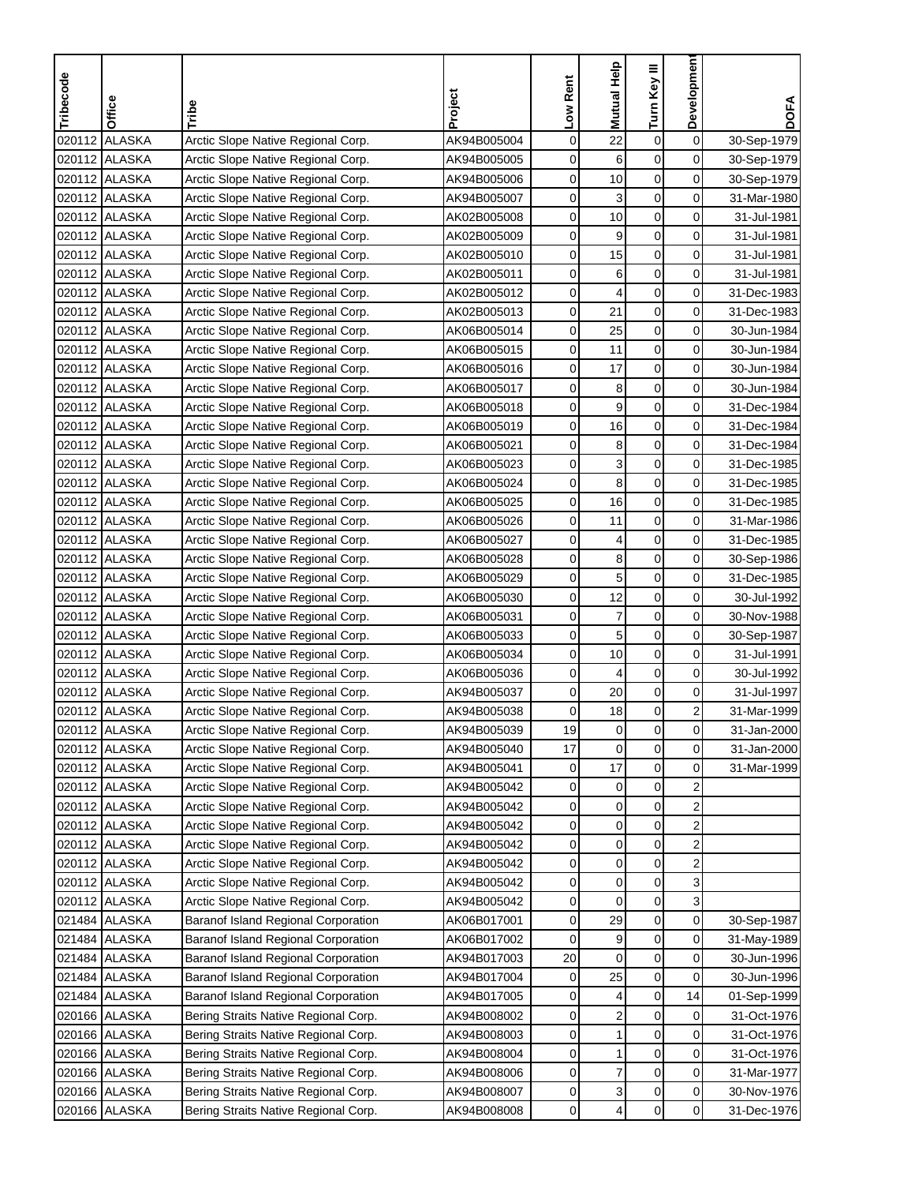| Tribecode | Office                | Tribe                                      | Project     | Low Rent    | Mutual Help             | Turn Key III | Developmen              | <b>DOFA</b> |
|-----------|-----------------------|--------------------------------------------|-------------|-------------|-------------------------|--------------|-------------------------|-------------|
|           |                       |                                            |             |             |                         |              |                         |             |
| 020112    | <b>ALASKA</b>         | Arctic Slope Native Regional Corp.         | AK94B005004 | 0           | 22                      | 0            | $\mathbf 0$             | 30-Sep-1979 |
|           | 020112 ALASKA         | Arctic Slope Native Regional Corp.         | AK94B005005 | 0           | 6                       | 0            | $\mathbf 0$             | 30-Sep-1979 |
|           | 020112 ALASKA         | Arctic Slope Native Regional Corp.         | AK94B005006 | 0           | 10                      | 0            | 0                       | 30-Sep-1979 |
|           | 020112 ALASKA         | Arctic Slope Native Regional Corp.         | AK94B005007 | 0           | 3                       | 0            | $\mathbf 0$             | 31-Mar-1980 |
| 020112    | <b>ALASKA</b>         | Arctic Slope Native Regional Corp.         | AK02B005008 | 0           | 10                      | 0            | 0                       | 31-Jul-1981 |
| 020112    | <b>ALASKA</b>         | Arctic Slope Native Regional Corp.         | AK02B005009 | 0           | 9                       | 0            | 0                       | 31-Jul-1981 |
| 020112    | ALASKA                | Arctic Slope Native Regional Corp.         | AK02B005010 | 0           | 15                      | 0            | 0                       | 31-Jul-1981 |
|           | 020112 ALASKA         | Arctic Slope Native Regional Corp.         | AK02B005011 | 0           | 6                       | 0            | 0                       | 31-Jul-1981 |
|           | 020112 ALASKA         | Arctic Slope Native Regional Corp.         | AK02B005012 | 0           | 4                       | 0            | $\mathbf 0$             | 31-Dec-1983 |
|           | 020112 ALASKA         | Arctic Slope Native Regional Corp.         | AK02B005013 | 0           | 21                      | 0            | 0                       | 31-Dec-1983 |
|           | 020112 ALASKA         | Arctic Slope Native Regional Corp.         | AK06B005014 | 0           | 25                      | 0            | 0                       | 30-Jun-1984 |
|           | 020112 ALASKA         | Arctic Slope Native Regional Corp.         | AK06B005015 | 0           | 11                      | 0            | 0                       | 30-Jun-1984 |
|           | 020112 ALASKA         | Arctic Slope Native Regional Corp.         | AK06B005016 | 0           | 17                      | 0            | $\mathbf 0$             | 30-Jun-1984 |
| 020112    | <b>ALASKA</b>         | Arctic Slope Native Regional Corp.         | AK06B005017 | 0           | 8                       | $\mathsf 0$  | $\mathbf 0$             | 30-Jun-1984 |
| 020112    | ALASKA                | Arctic Slope Native Regional Corp.         | AK06B005018 | 0           | 9                       | 0            | 0                       | 31-Dec-1984 |
|           | 020112 ALASKA         | Arctic Slope Native Regional Corp.         | AK06B005019 | 0           | 16                      | 0            | 0                       | 31-Dec-1984 |
|           | 020112 ALASKA         | Arctic Slope Native Regional Corp.         | AK06B005021 | 0           | 8                       | 0            | $\mathbf 0$             | 31-Dec-1984 |
|           | 020112 ALASKA         | Arctic Slope Native Regional Corp.         | AK06B005023 | 0           | 3                       | 0            | 0                       | 31-Dec-1985 |
|           | 020112 ALASKA         | Arctic Slope Native Regional Corp.         | AK06B005024 | 0           | 8                       | 0            | 0                       | 31-Dec-1985 |
|           | 020112 ALASKA         | Arctic Slope Native Regional Corp.         | AK06B005025 | 0           | 16                      | 0            | 0                       | 31-Dec-1985 |
|           | 020112 ALASKA         | Arctic Slope Native Regional Corp.         | AK06B005026 | 0           | 11                      | 0            | 0                       | 31-Mar-1986 |
| 020112    | <b>ALASKA</b>         | Arctic Slope Native Regional Corp.         | AK06B005027 | 0           | 4                       | 0            | 0                       | 31-Dec-1985 |
| 020112    | <b>ALASKA</b>         | Arctic Slope Native Regional Corp.         | AK06B005028 | 0           | 8                       | 0            | 0                       | 30-Sep-1986 |
|           | 020112 ALASKA         | Arctic Slope Native Regional Corp.         | AK06B005029 | 0           | 5                       | 0            | 0                       | 31-Dec-1985 |
|           | 020112 ALASKA         | Arctic Slope Native Regional Corp.         | AK06B005030 | 0           | 12                      | 0            | 0                       | 30-Jul-1992 |
|           | 020112 ALASKA         | Arctic Slope Native Regional Corp.         | AK06B005031 | 0           | 7                       | 0            | $\mathbf 0$             | 30-Nov-1988 |
|           | 020112 ALASKA         | Arctic Slope Native Regional Corp.         | AK06B005033 | 0           | 5                       | 0            | $\mathbf 0$             | 30-Sep-1987 |
|           | 020112 ALASKA         | Arctic Slope Native Regional Corp.         | AK06B005034 | 0           | 10                      | 0            | 0                       | 31-Jul-1991 |
|           | 020112 ALASKA         | Arctic Slope Native Regional Corp.         | AK06B005036 | 0           | 4                       | 0            | 0                       | 30-Jul-1992 |
| 020112    | <b>ALASKA</b>         | Arctic Slope Native Regional Corp.         | AK94B005037 | 0           | 20                      | $\mathbf 0$  | $\mathbf 0$             | 31-Jul-1997 |
| 020112    | <b>ALASKA</b>         | Arctic Slope Native Regional Corp.         | AK94B005038 | 0           | 18                      | 0            | $\boldsymbol{2}$        | 31-Mar-1999 |
|           | 020112 <b>JALASKA</b> | Arctic Slope Native Regional Corp.         | AK94B005039 | 19          | 0                       | $\mathbf 0$  | $\overline{0}$          | 31-Jan-2000 |
|           | 020112 ALASKA         | Arctic Slope Native Regional Corp.         | AK94B005040 | 17          | 0                       | $\mathbf 0$  | $\mathbf 0$             | 31-Jan-2000 |
|           | 020112 ALASKA         | Arctic Slope Native Regional Corp.         | AK94B005041 | 0           | 17                      | 0            | 0                       | 31-Mar-1999 |
|           | 020112 ALASKA         | Arctic Slope Native Regional Corp.         | AK94B005042 | 0           | $\pmb{0}$               | $\pmb{0}$    | $\overline{\mathbf{c}}$ |             |
|           | 020112 ALASKA         | Arctic Slope Native Regional Corp.         | AK94B005042 | 0           | 0                       | 0            | 2                       |             |
|           | 020112 ALASKA         | Arctic Slope Native Regional Corp.         | AK94B005042 | 0           | $\pmb{0}$               | 0            | $\overline{\mathbf{c}}$ |             |
|           | 020112 ALASKA         | Arctic Slope Native Regional Corp.         | AK94B005042 | 0           | 0                       | 0            | $\boldsymbol{2}$        |             |
|           | 020112 ALASKA         | Arctic Slope Native Regional Corp.         | AK94B005042 | 0           | 0                       | 0            | $\boldsymbol{2}$        |             |
|           | 020112 ALASKA         | Arctic Slope Native Regional Corp.         | AK94B005042 | 0           | 0                       | 0            | 3                       |             |
|           | 020112 ALASKA         | Arctic Slope Native Regional Corp.         | AK94B005042 | 0           | $\mathbf 0$             | $\pmb{0}$    | 3                       |             |
|           | 021484 ALASKA         | <b>Baranof Island Regional Corporation</b> | AK06B017001 | 0           | 29                      | 0            | $\pmb{0}$               | 30-Sep-1987 |
|           | 021484 ALASKA         | <b>Baranof Island Regional Corporation</b> | AK06B017002 | 0           | 9                       | $\pmb{0}$    | $\mathbf 0$             | 31-May-1989 |
|           | 021484 ALASKA         | Baranof Island Regional Corporation        | AK94B017003 | 20          | 0                       | 0            | $\overline{0}$          | 30-Jun-1996 |
|           | 021484 ALASKA         | Baranof Island Regional Corporation        | AK94B017004 | 0           | 25                      | 0            | 0                       | 30-Jun-1996 |
|           | 021484 ALASKA         | Baranof Island Regional Corporation        | AK94B017005 | 0           | 4                       | 0            | 14                      | 01-Sep-1999 |
|           | 020166 ALASKA         | Bering Straits Native Regional Corp.       | AK94B008002 | 0           | $\overline{\mathbf{c}}$ | 0            | 0                       | 31-Oct-1976 |
|           | 020166 ALASKA         | Bering Straits Native Regional Corp.       | AK94B008003 | 0           | 1                       | 0            | $\mathbf 0$             | 31-Oct-1976 |
|           | 020166 ALASKA         | Bering Straits Native Regional Corp.       | AK94B008004 | 0           | 1                       | $\pmb{0}$    | 0                       | 31-Oct-1976 |
|           | 020166 ALASKA         | Bering Straits Native Regional Corp.       | AK94B008006 | 0           | 7                       | 0            | 0                       | 31-Mar-1977 |
|           | 020166 ALASKA         | Bering Straits Native Regional Corp.       | AK94B008007 | 0           | 3                       | 0            | $\pmb{0}$               | 30-Nov-1976 |
|           | 020166 ALASKA         | Bering Straits Native Regional Corp.       | AK94B008008 | $\mathbf 0$ | 4                       | 0            | $\mathbf 0$             | 31-Dec-1976 |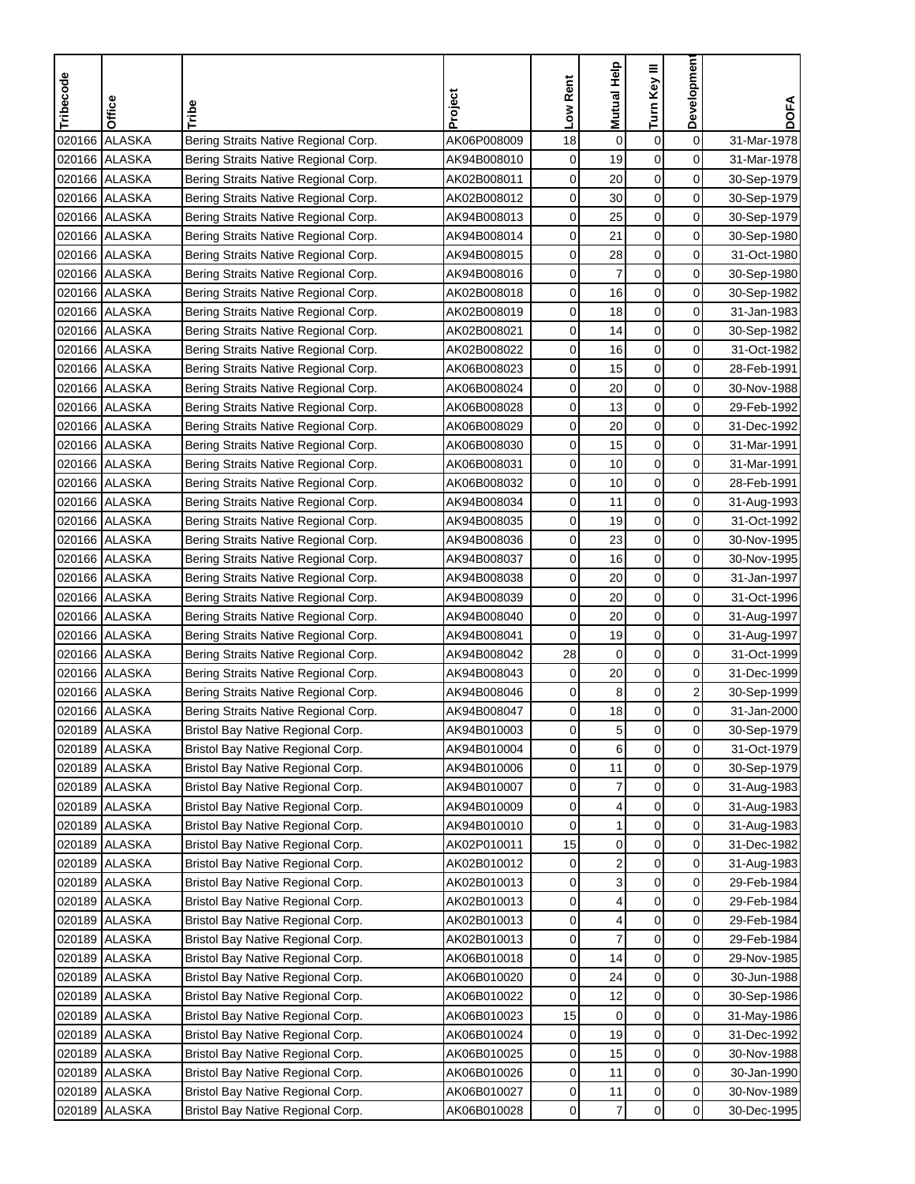| Mutual Help<br>Turn Key III<br>Tribecode<br>Low Rent<br>Project<br>Office<br>Tribe                                | Developmen<br><b>DOFA</b>              |
|-------------------------------------------------------------------------------------------------------------------|----------------------------------------|
|                                                                                                                   |                                        |
| <b>ALASKA</b><br>AK06P008009<br>18<br>0<br>0<br>020166<br>Bering Straits Native Regional Corp.                    | $\mathbf 0$<br>31-Mar-1978             |
| 0<br>0<br>020166 ALASKA<br>19<br>Bering Straits Native Regional Corp.<br>AK94B008010                              | 0<br>31-Mar-1978                       |
| 0<br>0<br>020166 ALASKA<br>20<br>Bering Straits Native Regional Corp.<br>AK02B008011                              | 0<br>30-Sep-1979                       |
| 0<br>0<br>30<br>020166 ALASKA<br>Bering Straits Native Regional Corp.<br>AK02B008012                              | 0<br>30-Sep-1979                       |
| 0<br>0<br>25<br>020166<br><b>ALASKA</b><br>Bering Straits Native Regional Corp.<br>AK94B008013                    | 0<br>30-Sep-1979                       |
| $\boldsymbol{0}$<br>0<br>ALASKA<br>21<br>020166<br>Bering Straits Native Regional Corp.<br>AK94B008014            | 0<br>30-Sep-1980                       |
| 0<br>020166 ALASKA<br>0<br>28<br>Bering Straits Native Regional Corp.<br>AK94B008015                              | 0<br>31-Oct-1980                       |
| 7<br>020166 ALASKA<br>0<br>0<br>AK94B008016<br>Bering Straits Native Regional Corp.                               | 0<br>30-Sep-1980                       |
| 0<br>0<br>020166 ALASKA<br>AK02B008018<br>16<br>Bering Straits Native Regional Corp.                              | $\mathbf 0$<br>30-Sep-1982             |
| 0<br>18<br>0<br>020166 ALASKA<br>Bering Straits Native Regional Corp.<br>AK02B008019                              | 0<br>31-Jan-1983                       |
| 0<br>020166 ALASKA<br>0<br>Bering Straits Native Regional Corp.<br>AK02B008021<br>14                              | $\mathbf 0$<br>30-Sep-1982             |
| 0<br>0<br>020166 ALASKA<br>16<br>Bering Straits Native Regional Corp.<br>AK02B008022                              | 0<br>31-Oct-1982                       |
| 0<br>0<br>020166 ALASKA<br>15<br>Bering Straits Native Regional Corp.<br>AK06B008023                              | 0<br>28-Feb-1991                       |
| $\boldsymbol{0}$<br>020166 ALASKA<br>0<br>20<br>Bering Straits Native Regional Corp.<br>AK06B008024               | $\mathbf 0$<br>30-Nov-1988             |
| 0<br>020166 ALASKA<br>0<br>13<br>Bering Straits Native Regional Corp.<br>AK06B008028                              | 0<br>29-Feb-1992                       |
| 0<br>20<br>0<br>020166 ALASKA<br>Bering Straits Native Regional Corp.<br>AK06B008029                              | 0<br>31-Dec-1992                       |
| 0<br>15<br>0<br>020166 ALASKA<br>Bering Straits Native Regional Corp.<br>AK06B008030                              | $\overline{0}$<br>31-Mar-1991          |
| 0<br>10<br>0<br>020166 ALASKA<br>Bering Straits Native Regional Corp.<br>AK06B008031                              | 0<br>31-Mar-1991                       |
| 0<br>0<br>020166 ALASKA<br>10<br>Bering Straits Native Regional Corp.<br>AK06B008032                              | 0<br>28-Feb-1991                       |
| 0<br>0<br>020166 ALASKA<br>11<br>Bering Straits Native Regional Corp.<br>AK94B008034                              | 0<br>31-Aug-1993                       |
| 0<br>0<br>020166 ALASKA<br>19<br>Bering Straits Native Regional Corp.<br>AK94B008035                              | 0<br>31-Oct-1992                       |
| 0<br>0<br>23<br>020166 ALASKA<br>Bering Straits Native Regional Corp.<br>AK94B008036                              | 0<br>30-Nov-1995                       |
| 0<br>0<br>020166 ALASKA<br>16<br>AK94B008037<br>Bering Straits Native Regional Corp.                              | 0<br>30-Nov-1995                       |
| 0<br>020166 ALASKA<br>0<br>20<br>AK94B008038<br>Bering Straits Native Regional Corp.                              | 0<br>31-Jan-1997                       |
| 0<br>20<br>0<br>020166 ALASKA<br>Bering Straits Native Regional Corp.<br>AK94B008039                              | 0<br>31-Oct-1996                       |
| 0<br>0<br>020166 ALASKA<br>AK94B008040<br>20<br>Bering Straits Native Regional Corp.                              | $\mathbf 0$<br>31-Aug-1997             |
| 0<br>19<br>0<br>020166 ALASKA<br>Bering Straits Native Regional Corp.<br>AK94B008041                              | $\mathbf 0$<br>31-Aug-1997             |
| 28<br>0<br>020166 ALASKA<br>0<br>Bering Straits Native Regional Corp.<br>AK94B008042                              | $\mathbf 0$<br>31-Oct-1999             |
| 0<br>20<br>0<br>020166 ALASKA<br>Bering Straits Native Regional Corp.<br>AK94B008043                              | 0<br>31-Dec-1999                       |
| 0<br>0<br>8<br>020166 ALASKA<br>Bering Straits Native Regional Corp.<br>AK94B008046                               | $\overline{\mathbf{c}}$<br>30-Sep-1999 |
| 18<br>0<br>0<br>020166<br><b>ALASKA</b><br>Bering Straits Native Regional Corp.<br>AK94B008047                    | $\mathbf 0$<br>31-Jan-2000             |
| 020189 ALASKA<br>Bristol Bay Native Regional Corp.<br>AK94B010003<br>$\mathbf{0}$<br>5<br>$\mathbf 0$             | $\overline{0}$<br>30-Sep-1979          |
| 6<br>0<br>$\mathbf 0$<br>020189 ALASKA<br>Bristol Bay Native Regional Corp.<br>AK94B010004                        | $\mathbf 0$<br>31-Oct-1979             |
| 0<br>020189 ALASKA<br>Bristol Bay Native Regional Corp.<br>AK94B010006<br>0<br>11                                 | 0<br>30-Sep-1979                       |
| 7<br>$\pmb{0}$<br>020189 ALASKA<br>AK94B010007<br>0<br>Bristol Bay Native Regional Corp.                          | $\mathbf 0$<br>31-Aug-1983             |
| 020189 ALASKA<br>Bristol Bay Native Regional Corp.<br>0<br>0<br>AK94B010009<br>4                                  | $\mathbf 0$<br>31-Aug-1983             |
| 0<br>1<br>0<br>020189 ALASKA<br>Bristol Bay Native Regional Corp.<br>AK94B010010                                  | 0<br>31-Aug-1983                       |
| 15<br>0<br>0<br>020189<br><b>ALASKA</b><br>Bristol Bay Native Regional Corp.<br>AK02P010011                       | $\mathbf 0$<br>31-Dec-1982             |
| $\pmb{0}$<br><b>ALASKA</b><br>2<br>020189<br>Bristol Bay Native Regional Corp.<br>AK02B010012<br>0                | $\pmb{0}$<br>31-Aug-1983               |
| 3<br>0<br><b>ALASKA</b><br>Bristol Bay Native Regional Corp.<br>AK02B010013<br>0<br>020189                        | 0<br>29-Feb-1984                       |
| 4<br>0<br>020189<br><b>ALASKA</b><br>Bristol Bay Native Regional Corp.<br>AK02B010013<br>0                        | 0<br>29-Feb-1984                       |
| 0<br>4<br>0<br>020189 ALASKA<br>Bristol Bay Native Regional Corp.<br>AK02B010013                                  | 0<br>29-Feb-1984                       |
| $\overline{7}$<br>$\pmb{0}$<br>020189 ALASKA<br>Bristol Bay Native Regional Corp.<br>AK02B010013<br>0             | $\mathbf 0$<br>29-Feb-1984             |
| 020189 ALASKA<br>Bristol Bay Native Regional Corp.<br>AK06B010018<br>0<br>0<br>14                                 | $\mathbf 0$<br>29-Nov-1985             |
| 0<br>020189 ALASKA<br>Bristol Bay Native Regional Corp.<br>0<br>AK06B010020<br>24                                 | 0<br>30-Jun-1988                       |
| 0<br>12<br>0<br>020189 ALASKA<br>Bristol Bay Native Regional Corp.<br>AK06B010022                                 | $\mathbf 0$<br>30-Sep-1986             |
| 0<br>020189<br><b>ALASKA</b><br>Bristol Bay Native Regional Corp.<br>AK06B010023<br>15<br>0                       | $\pmb{0}$<br>31-May-1986               |
| 19<br>0<br><b>ALASKA</b><br>0<br>020189<br>Bristol Bay Native Regional Corp.<br>AK06B010024                       | $\mathbf 0$<br>31-Dec-1992             |
| 0<br>020189<br><b>ALASKA</b><br>Bristol Bay Native Regional Corp.<br>AK06B010025<br>0<br>15                       | 0<br>30-Nov-1988                       |
| 0<br>020189<br><b>ALASKA</b><br>AK06B010026<br>0<br>11<br>Bristol Bay Native Regional Corp.                       | 0<br>30-Jan-1990                       |
| 020189<br>AK06B010027<br>0<br>0<br><b>ALASKA</b><br>Bristol Bay Native Regional Corp.<br>11                       | $\pmb{0}$<br>30-Nov-1989               |
| $\mathbf 0$<br>$\overline{7}$<br>0<br>020189<br><b>ALASKA</b><br>AK06B010028<br>Bristol Bay Native Regional Corp. | $\mathbf 0$<br>30-Dec-1995             |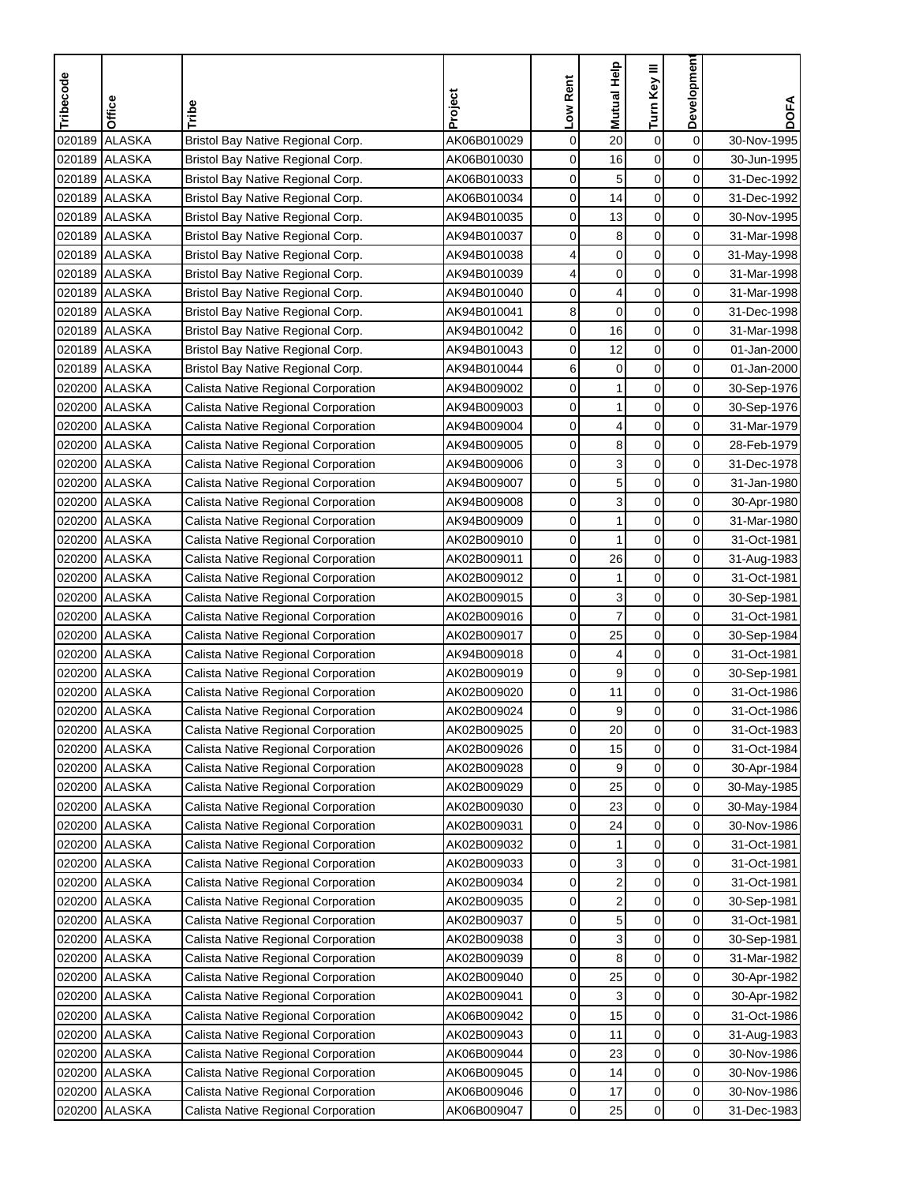| Tribecode | Office        | Tribe                               | Project     | Low Rent     | Mutual Help             | Turn Key III     | Developmen     | <b>DOFA</b> |
|-----------|---------------|-------------------------------------|-------------|--------------|-------------------------|------------------|----------------|-------------|
|           |               |                                     |             |              |                         |                  |                |             |
| 020189    | <b>ALASKA</b> | Bristol Bay Native Regional Corp.   | AK06B010029 | 0            | 20                      | 0                | $\mathbf 0$    | 30-Nov-1995 |
| 020189    | <b>ALASKA</b> | Bristol Bay Native Regional Corp.   | AK06B010030 | 0            | 16                      | 0                | 0              | 30-Jun-1995 |
| 020189    | <b>ALASKA</b> | Bristol Bay Native Regional Corp.   | AK06B010033 | 0            | 5                       | 0                | 0              | 31-Dec-1992 |
| 020189    | <b>ALASKA</b> | Bristol Bay Native Regional Corp.   | AK06B010034 | 0            | 14                      | 0                | $\mathbf 0$    | 31-Dec-1992 |
| 020189    | <b>ALASKA</b> | Bristol Bay Native Regional Corp.   | AK94B010035 | 0            | 13                      | $\mathsf 0$      | 0              | 30-Nov-1995 |
| 020189    | <b>ALASKA</b> | Bristol Bay Native Regional Corp.   | AK94B010037 | 0            | 8                       | $\boldsymbol{0}$ | 0              | 31-Mar-1998 |
| 020189    | <b>ALASKA</b> | Bristol Bay Native Regional Corp.   | AK94B010038 | 4            | $\mathbf 0$             | 0                | $\mathbf 0$    | 31-May-1998 |
| 020189    | <b>ALASKA</b> | Bristol Bay Native Regional Corp.   | AK94B010039 | 4            | 0                       | 0                | 0              | 31-Mar-1998 |
| 020189    | <b>ALASKA</b> | Bristol Bay Native Regional Corp.   | AK94B010040 | 0            | 4                       | 0                | $\mathbf 0$    | 31-Mar-1998 |
|           | 020189 ALASKA | Bristol Bay Native Regional Corp.   | AK94B010041 | 8            | $\mathbf 0$             | 0                | 0              | 31-Dec-1998 |
| 020189    | <b>ALASKA</b> | Bristol Bay Native Regional Corp.   | AK94B010042 | 0            | 16                      | $\mathbf 0$      | 0              | 31-Mar-1998 |
|           | 020189 ALASKA | Bristol Bay Native Regional Corp.   | AK94B010043 | 0            | 12                      | $\mathbf 0$      | 0              | 01-Jan-2000 |
| 020189    | <b>ALASKA</b> | Bristol Bay Native Regional Corp.   | AK94B010044 | 6            | 0                       | $\mathbf 0$      | $\mathbf 0$    | 01-Jan-2000 |
| 020200    | <b>ALASKA</b> | Calista Native Regional Corporation | AK94B009002 | 0            | 1                       | $\pmb{0}$        | $\mathbf 0$    | 30-Sep-1976 |
| 020200    | <b>ALASKA</b> | Calista Native Regional Corporation | AK94B009003 | 0            | 1                       | $\mathbf 0$      | 0              | 30-Sep-1976 |
|           | 020200 ALASKA | Calista Native Regional Corporation | AK94B009004 | 0            | 4                       | 0                | 0              | 31-Mar-1979 |
|           | 020200 ALASKA | Calista Native Regional Corporation | AK94B009005 | 0            | 8                       | 0                | $\mathbf 0$    | 28-Feb-1979 |
|           | 020200 ALASKA | Calista Native Regional Corporation | AK94B009006 | 0            | 3                       | $\mathbf 0$      | 0              | 31-Dec-1978 |
|           | 020200 ALASKA | Calista Native Regional Corporation | AK94B009007 | 0            | 5                       | $\mathbf 0$      | 0              | 31-Jan-1980 |
|           | 020200 ALASKA | Calista Native Regional Corporation | AK94B009008 | 0            | 3                       | $\mathbf 0$      | 0              | 30-Apr-1980 |
|           | 020200 ALASKA | Calista Native Regional Corporation | AK94B009009 | 0            | 1                       | $\mathbf 0$      | 0              | 31-Mar-1980 |
| 020200    | <b>ALASKA</b> | Calista Native Regional Corporation | AK02B009010 | 0            | 1                       | $\pmb{0}$        | 0              | 31-Oct-1981 |
| 020200    | <b>ALASKA</b> | Calista Native Regional Corporation | AK02B009011 | 0            | 26                      | $\mathbf 0$      | 0              | 31-Aug-1983 |
| 020200    | ALASKA        | Calista Native Regional Corporation | AK02B009012 | 0            | 1                       | 0                | 0              | 31-Oct-1981 |
|           | 020200 ALASKA | Calista Native Regional Corporation | AK02B009015 | 0            | 3                       | 0                | 0              | 30-Sep-1981 |
|           | 020200 ALASKA | Calista Native Regional Corporation | AK02B009016 | 0            | $\overline{7}$          | 0                | $\mathbf 0$    | 31-Oct-1981 |
|           | 020200 ALASKA | Calista Native Regional Corporation | AK02B009017 | 0            | 25                      | $\mathbf 0$      | $\mathbf 0$    | 30-Sep-1984 |
|           | 020200 ALASKA | Calista Native Regional Corporation | AK94B009018 | 0            | 4                       | 0                | $\mathbf 0$    | 31-Oct-1981 |
|           | 020200 ALASKA | Calista Native Regional Corporation | AK02B009019 | 0            | 9                       | $\mathbf 0$      | 0              | 30-Sep-1981 |
| 020200    | <b>ALASKA</b> | Calista Native Regional Corporation | AK02B009020 | 0            | 11                      | $\pmb{0}$        | $\pmb{0}$      | 31-Oct-1986 |
| 020200    | <b>ALASKA</b> | Calista Native Regional Corporation | AK02B009024 | 0            | 9                       | $\mathbf 0$      | 0              | 31-Oct-1986 |
|           | 020200 ALASKA | Calista Native Regional Corporation | AK02B009025 | $\mathbf{0}$ | 20                      | 0                | $\mathbf{0}$   | 31-Oct-1983 |
|           | 020200 ALASKA | Calista Native Regional Corporation | AK02B009026 | 0            | 15                      | $\boldsymbol{0}$ | $\mathbf 0$    | 31-Oct-1984 |
|           | 020200 ALASKA | Calista Native Regional Corporation | AK02B009028 | 0            | 9                       | 0                | 0              | 30-Apr-1984 |
|           | 020200 ALASKA | Calista Native Regional Corporation | AK02B009029 | 0            | 25                      | $\pmb{0}$        | $\mathbf 0$    | 30-May-1985 |
|           | 020200 ALASKA | Calista Native Regional Corporation | AK02B009030 | 0            | 23                      | 0                | $\overline{0}$ | 30-May-1984 |
|           | 020200 ALASKA | Calista Native Regional Corporation | AK02B009031 | 0            | 24                      | $\mathbf 0$      | 0              | 30-Nov-1986 |
|           | 020200 ALASKA | Calista Native Regional Corporation | AK02B009032 | 0            | 1                       | 0                | 0              | 31-Oct-1981 |
| 020200    | <b>ALASKA</b> | Calista Native Regional Corporation | AK02B009033 | 0            | 3                       | $\pmb{0}$        | $\pmb{0}$      | 31-Oct-1981 |
| 020200    | <b>ALASKA</b> | Calista Native Regional Corporation | AK02B009034 | 0            | $\boldsymbol{2}$        | $\pmb{0}$        | 0              | 31-Oct-1981 |
|           | 020200 ALASKA | Calista Native Regional Corporation | AK02B009035 | 0            | $\overline{\mathbf{c}}$ | $\mathbf 0$      | 0              | 30-Sep-1981 |
|           | 020200 ALASKA | Calista Native Regional Corporation | AK02B009037 | 0            | 5                       | 0                | $\mathbf 0$    | 31-Oct-1981 |
|           | 020200 ALASKA | Calista Native Regional Corporation | AK02B009038 | 0            | 3                       | 0                | $\mathbf 0$    | 30-Sep-1981 |
|           | 020200 ALASKA | Calista Native Regional Corporation | AK02B009039 | 0            | 8                       | 0                | $\mathbf 0$    | 31-Mar-1982 |
|           | 020200 ALASKA | Calista Native Regional Corporation | AK02B009040 | 0            | 25                      | 0                | 0              | 30-Apr-1982 |
|           | 020200 ALASKA | Calista Native Regional Corporation | AK02B009041 | 0            | $\mathbf{3}$            | 0                | 0              | 30-Apr-1982 |
| 020200    | <b>ALASKA</b> | Calista Native Regional Corporation | AK06B009042 | 0            | 15                      | $\pmb{0}$        | 0              | 31-Oct-1986 |
| 020200    | <b>ALASKA</b> | Calista Native Regional Corporation | AK02B009043 | 0            | 11                      | 0                | $\mathbf 0$    | 31-Aug-1983 |
| 020200    | <b>ALASKA</b> | Calista Native Regional Corporation | AK06B009044 | 0            | 23                      | $\pmb{0}$        | 0              | 30-Nov-1986 |
| 020200    | <b>ALASKA</b> | Calista Native Regional Corporation | AK06B009045 | 0            | 14                      | 0                | 0              | 30-Nov-1986 |
| 020200    | <b>ALASKA</b> | Calista Native Regional Corporation | AK06B009046 | 0            | 17                      | 0                | $\mathbf 0$    | 30-Nov-1986 |
|           | 020200 ALASKA | Calista Native Regional Corporation | AK06B009047 | $\mathbf 0$  | 25                      | 0                | $\mathbf 0$    | 31-Dec-1983 |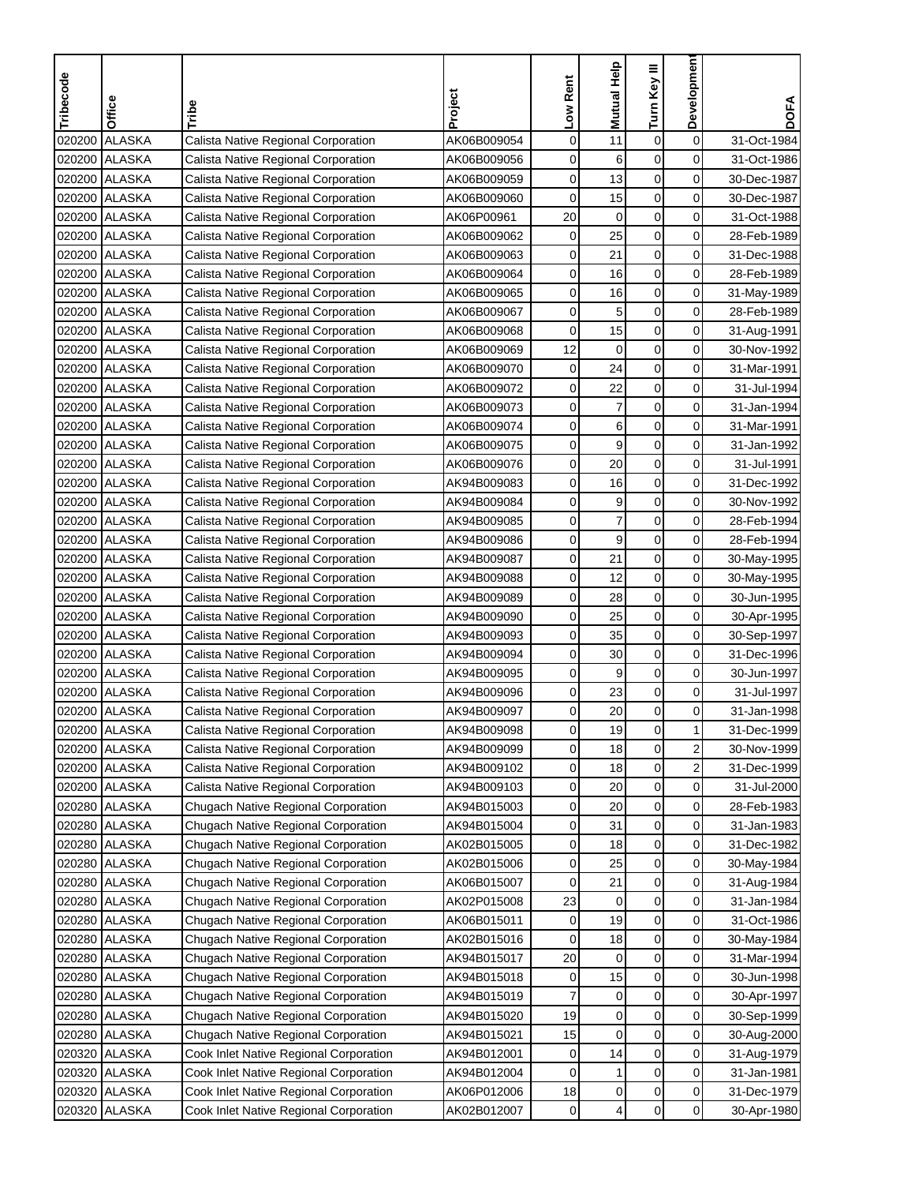| Tribecode | Office          | Tribe                                  | Project     | Low Rent | Mutual Help    | Turn Key III     | Development    | <b>DOFA</b> |
|-----------|-----------------|----------------------------------------|-------------|----------|----------------|------------------|----------------|-------------|
|           |                 |                                        |             |          |                |                  |                |             |
| 020200    | <b>ALASKA</b>   | Calista Native Regional Corporation    | AK06B009054 | 0        | 11             | 0                | $\pmb{0}$      | 31-Oct-1984 |
| 020200    | <b>ALASKA</b>   | Calista Native Regional Corporation    | AK06B009056 | 0        | 6              | 0                | 0              | 31-Oct-1986 |
| 020200    | <b>ALASKA</b>   | Calista Native Regional Corporation    | AK06B009059 | 0        | 13             | $\mathbf 0$      | 0              | 30-Dec-1987 |
| 020200    | <b>ALASKA</b>   | Calista Native Regional Corporation    | AK06B009060 | 0        | 15             | 0                | $\mathbf 0$    | 30-Dec-1987 |
| 020200    | <b>ALASKA</b>   | Calista Native Regional Corporation    | AK06P00961  | 20       | $\mathbf 0$    | $\boldsymbol{0}$ | 0              | 31-Oct-1988 |
| 020200    | <b>ALASKA</b>   | Calista Native Regional Corporation    | AK06B009062 | 0        | 25             | $\pmb{0}$        | 0              | 28-Feb-1989 |
| 020200    | <b>ALASKA</b>   | Calista Native Regional Corporation    | AK06B009063 | 0        | 21             | 0                | 0              | 31-Dec-1988 |
|           | 020200 ALASKA   | Calista Native Regional Corporation    | AK06B009064 | 0        | 16             | 0                | 0              | 28-Feb-1989 |
| 020200    | <b>ALASKA</b>   | Calista Native Regional Corporation    | AK06B009065 | 0        | 16             | 0                | $\mathbf 0$    | 31-May-1989 |
|           | 020200 ALASKA   | Calista Native Regional Corporation    | AK06B009067 | 0        | 5              | 0                | $\mathbf 0$    | 28-Feb-1989 |
|           | 020200 ALASKA   | Calista Native Regional Corporation    | AK06B009068 | 0        | 15             | 0                | 0              | 31-Aug-1991 |
|           | 020200 ALASKA   | Calista Native Regional Corporation    | AK06B009069 | 12       | 0              | 0                | $\mathbf 0$    | 30-Nov-1992 |
| 020200    | <b>ALASKA</b>   | Calista Native Regional Corporation    | AK06B009070 | 0        | 24             | $\mathsf 0$      | $\mathbf 0$    | 31-Mar-1991 |
| 020200    | <b>ALASKA</b>   | Calista Native Regional Corporation    | AK06B009072 | 0        | 22             | 0                | $\mathbf 0$    | 31-Jul-1994 |
| 020200    | <b>ALASKA</b>   | Calista Native Regional Corporation    | AK06B009073 | 0        | $\overline{7}$ | 0                | $\mathbf 0$    | 31-Jan-1994 |
|           | 020200 ALASKA   | Calista Native Regional Corporation    | AK06B009074 | 0        | 6              | 0                | 0              | 31-Mar-1991 |
| 020200    | <b>ALASKA</b>   | Calista Native Regional Corporation    | AK06B009075 | 0        | 9              | 0                | $\mathbf 0$    | 31-Jan-1992 |
|           | 020200 ALASKA   | Calista Native Regional Corporation    | AK06B009076 | 0        | 20             | 0                | 0              | 31-Jul-1991 |
|           | 020200 ALASKA   | Calista Native Regional Corporation    | AK94B009083 | 0        | 16             | 0                | $\mathbf 0$    | 31-Dec-1992 |
|           | 020200 ALASKA   | Calista Native Regional Corporation    | AK94B009084 | 0        | 9              | 0                | 0              | 30-Nov-1992 |
| 020200    | <b>ALASKA</b>   | Calista Native Regional Corporation    | AK94B009085 | 0        | $\overline{7}$ | 0                | 0              | 28-Feb-1994 |
| 020200    | <b>ALASKA</b>   | Calista Native Regional Corporation    | AK94B009086 | 0        | 9              | $\pmb{0}$        | 0              | 28-Feb-1994 |
| 020200    | ALASKA          | Calista Native Regional Corporation    | AK94B009087 | 0        | 21             | $\mathbf 0$      | 0              | 30-May-1995 |
| 020200    | <b>ALASKA</b>   | Calista Native Regional Corporation    | AK94B009088 | 0        | 12             | 0                | 0              | 30-May-1995 |
|           | 020200 ALASKA   | Calista Native Regional Corporation    | AK94B009089 | 0        | 28             | 0                | $\mathbf 0$    | 30-Jun-1995 |
|           | 020200 ALASKA   | Calista Native Regional Corporation    | AK94B009090 | 0        | 25             | 0                | 0              | 30-Apr-1995 |
|           | 020200 ALASKA   | Calista Native Regional Corporation    | AK94B009093 | 0        | 35             | 0                | 0              | 30-Sep-1997 |
|           | 020200 ALASKA   | Calista Native Regional Corporation    | AK94B009094 | 0        | 30             | 0                | 0              | 31-Dec-1996 |
|           | 020200 ALASKA   | Calista Native Regional Corporation    | AK94B009095 | 0        | 9              | 0                | 0              | 30-Jun-1997 |
| 020200    | <b>ALASKA</b>   | Calista Native Regional Corporation    | AK94B009096 | 0        | 23             | $\mathbf 0$      | $\mathbf 0$    | 31-Jul-1997 |
| 020200    | <b>ALASKA</b>   | Calista Native Regional Corporation    | AK94B009097 | 0        | 20             | $\boldsymbol{0}$ | $\mathbf 0$    | 31-Jan-1998 |
|           | 020200   ALASKA | Calista Native Regional Corporation    | AK94B009098 | 0        | 19             | 0                | 1 <sub>l</sub> | 31-Dec-1999 |
|           | 020200 ALASKA   | Calista Native Regional Corporation    | AK94B009099 | 0        | 18             | 0                | $\overline{c}$ | 30-Nov-1999 |
|           | 020200 ALASKA   | Calista Native Regional Corporation    | AK94B009102 | 0        | 18             | 0                | $\overline{a}$ | 31-Dec-1999 |
|           | 020200 ALASKA   | Calista Native Regional Corporation    | AK94B009103 | 0        | 20             | 0                | $\mathbf 0$    | 31-Jul-2000 |
|           | 020280 ALASKA   | Chugach Native Regional Corporation    | AK94B015003 | 0        | 20             | 0                | $\overline{0}$ | 28-Feb-1983 |
|           | 020280 ALASKA   | Chugach Native Regional Corporation    | AK94B015004 | 0        | 31             | 0                | $\overline{0}$ | 31-Jan-1983 |
| 020280    | <b>ALASKA</b>   | Chugach Native Regional Corporation    | AK02B015005 | 0        | 18             | $\pmb{0}$        | 0              | 31-Dec-1982 |
|           | 020280 ALASKA   | Chugach Native Regional Corporation    | AK02B015006 | 0        | 25             | 0                | $\mathbf 0$    | 30-May-1984 |
|           | 020280 ALASKA   | Chugach Native Regional Corporation    | AK06B015007 | 0        | 21             | 0                | 0              | 31-Aug-1984 |
|           | 020280 ALASKA   | Chugach Native Regional Corporation    | AK02P015008 | 23       | 0              | 0                | 0              | 31-Jan-1984 |
|           | 020280 ALASKA   | Chugach Native Regional Corporation    | AK06B015011 | 0        | 19             | 0                | $\mathbf 0$    | 31-Oct-1986 |
|           | 020280 ALASKA   | Chugach Native Regional Corporation    | AK02B015016 | 0        | 18             | 0                | $\mathbf 0$    | 30-May-1984 |
|           | 020280 ALASKA   | Chugach Native Regional Corporation    | AK94B015017 | 20       | 0              | 0                | $\mathbf 0$    | 31-Mar-1994 |
|           | 020280 ALASKA   | Chugach Native Regional Corporation    | AK94B015018 | 0        | 15             | 0                | 0              | 30-Jun-1998 |
| 020280    | <b>ALASKA</b>   | Chugach Native Regional Corporation    | AK94B015019 |          | 0              | 0                | 0              | 30-Apr-1997 |
| 020280    | ALASKA          | Chugach Native Regional Corporation    | AK94B015020 | 19       | $\pmb{0}$      | 0                | $\pmb{0}$      | 30-Sep-1999 |
| 020280    | <b>ALASKA</b>   | Chugach Native Regional Corporation    | AK94B015021 | 15       | 0              | 0                | $\mathbf 0$    | 30-Aug-2000 |
|           | 020320 ALASKA   | Cook Inlet Native Regional Corporation | AK94B012001 | 0        | 14             | 0                | 0              | 31-Aug-1979 |
| 020320    | <b>ALASKA</b>   | Cook Inlet Native Regional Corporation | AK94B012004 | 0        | 1              | 0                | $\pmb{0}$      | 31-Jan-1981 |
|           | 020320 ALASKA   | Cook Inlet Native Regional Corporation | AK06P012006 | 18       | $\pmb{0}$      | 0                | $\pmb{0}$      | 31-Dec-1979 |
| 020320    | <b>ALASKA</b>   | Cook Inlet Native Regional Corporation | AK02B012007 | 0        | 4              | 0                | $\mathbf 0$    | 30-Apr-1980 |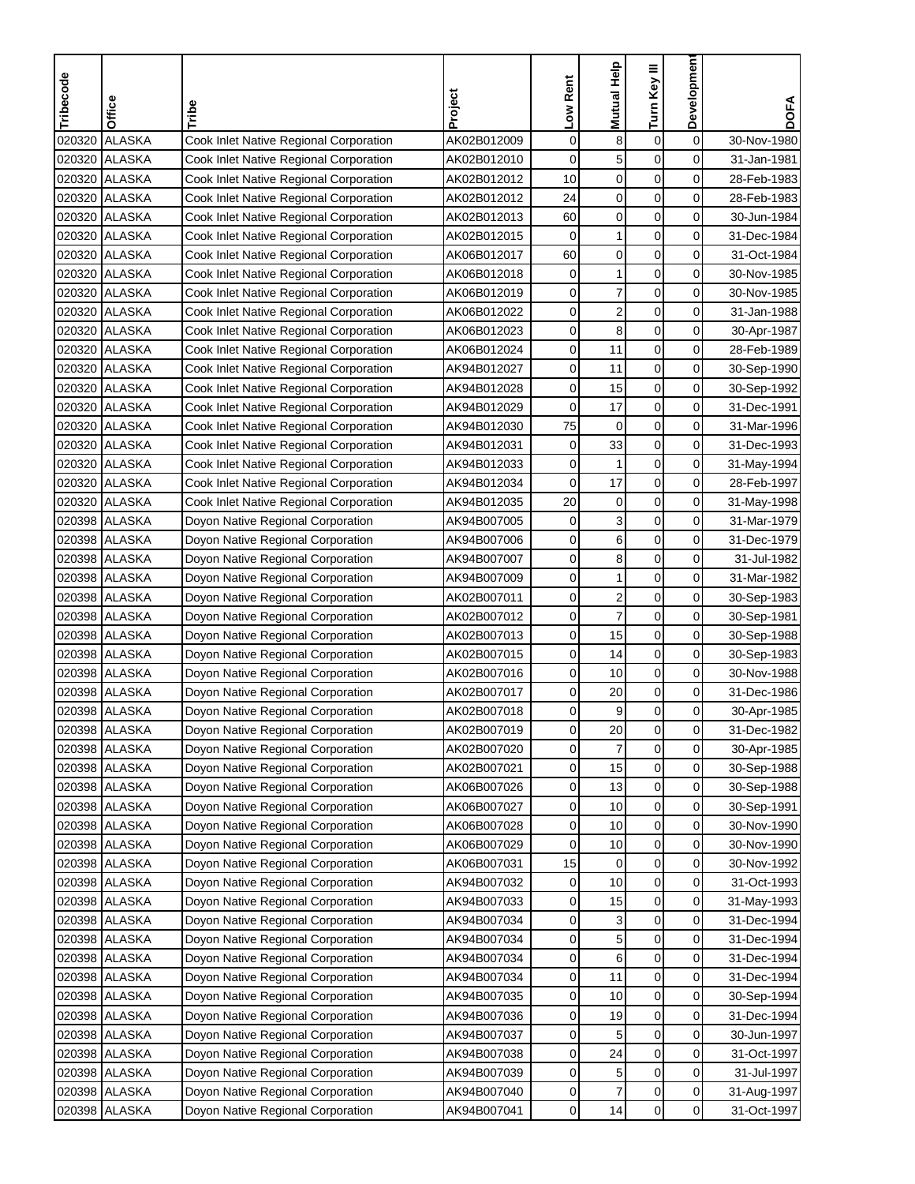| <b>ALASKA</b><br>Cook Inlet Native Regional Corporation<br>0<br>8<br>$\boldsymbol{0}$<br>0<br>020320<br>AK02B012009<br>30-Nov-1980<br><b>ALASKA</b><br>$\mathbf 0$<br>5<br>$\mathbf 0$<br>0<br>020320<br>AK02B012010<br>Cook Inlet Native Regional Corporation<br>31-Jan-1981<br>$\mathbf 0$<br>$\mathbf 0$<br>0<br>020320 ALASKA<br>Cook Inlet Native Regional Corporation<br>AK02B012012<br>10<br>28-Feb-1983<br>$\mathbf 0$<br>020320 ALASKA<br>24<br>$\mathbf 0$<br>0<br>Cook Inlet Native Regional Corporation<br>AK02B012012<br>28-Feb-1983<br>$\mathbf 0$<br>$\pmb{0}$<br>60<br>0<br>020320 ALASKA<br>Cook Inlet Native Regional Corporation<br>AK02B012013<br>30-Jun-1984<br>$\mathbf 0$<br><b>ALASKA</b><br>$\mathbf 0$<br>1<br>0<br>020320<br>Cook Inlet Native Regional Corporation<br>AK02B012015<br>31-Dec-1984<br>$\pmb{0}$<br>$\boldsymbol{0}$<br>0<br>60<br>020320 ALASKA<br>Cook Inlet Native Regional Corporation<br>AK06B012017<br>31-Oct-1984<br>$\mathbf 1$<br>$\mathbf 0$<br>0<br>0<br>020320 ALASKA<br>Cook Inlet Native Regional Corporation<br>AK06B012018<br>30-Nov-1985<br>$\overline{7}$<br>0<br>020320 ALASKA<br>0<br>0<br>Cook Inlet Native Regional Corporation<br>AK06B012019<br>30-Nov-1985<br>$\overline{\mathbf{c}}$<br>0<br>$\pmb{0}$<br>0<br>020320 ALASKA<br>AK06B012022<br>Cook Inlet Native Regional Corporation<br>31-Jan-1988<br>0<br>8<br>$\mathbf 0$<br>0<br>020320 ALASKA<br>Cook Inlet Native Regional Corporation<br>AK06B012023<br>30-Apr-1987<br>020320 ALASKA<br>0<br>11<br>$\mathbf 0$<br>0<br>Cook Inlet Native Regional Corporation<br>AK06B012024<br>28-Feb-1989<br>$\pmb{0}$<br>0<br>020320 ALASKA<br>0<br>11<br>Cook Inlet Native Regional Corporation<br>AK94B012027<br>30-Sep-1990<br>$\pmb{0}$<br>020320 ALASKA<br>0<br>15<br>0<br>Cook Inlet Native Regional Corporation<br>AK94B012028<br>30-Sep-1992<br>$\pmb{0}$<br>0<br>0<br>17<br>020320 ALASKA<br>Cook Inlet Native Regional Corporation<br>AK94B012029<br>31-Dec-1991<br>$\mathbf 0$<br>75<br>$\mathbf 0$<br>0<br>020320 ALASKA<br>Cook Inlet Native Regional Corporation<br>AK94B012030<br>31-Mar-1996<br>0<br>020320 ALASKA<br>0<br>33<br>0<br>Cook Inlet Native Regional Corporation<br>AK94B012031<br>31-Dec-1993<br>0<br>$\mathbf 0$<br>0<br>020320 ALASKA<br>Cook Inlet Native Regional Corporation<br>AK94B012033<br>1<br>31-May-1994<br>020320 ALASKA<br>0<br>17<br>$\mathbf 0$<br>0<br>Cook Inlet Native Regional Corporation<br>AK94B012034<br>28-Feb-1997<br>$\mathbf 0$<br>20<br>$\mathbf 0$<br>0<br>020320 ALASKA<br>Cook Inlet Native Regional Corporation<br>AK94B012035<br>31-May-1998<br>3<br>020398 ALASKA<br>0<br>$\mathbf 0$<br>0<br>Doyon Native Regional Corporation<br>AK94B007005<br>31-Mar-1979<br>6<br>0<br>$\pmb{0}$<br>0<br>020398 ALASKA<br>AK94B007006<br>31-Dec-1979<br>Doyon Native Regional Corporation<br>8<br>$\mathbf 0$<br>020398 ALASKA<br>0<br>0<br>AK94B007007<br>31-Jul-1982<br>Doyon Native Regional Corporation<br>1<br>0<br>0<br>0<br>020398 ALASKA<br>Doyon Native Regional Corporation<br>AK94B007009<br>31-Mar-1982<br>$\overline{\mathbf{c}}$<br>0<br>0<br>020398 ALASKA<br>0<br>Doyon Native Regional Corporation<br>AK02B007011<br>30-Sep-1983<br>$\overline{7}$<br>0<br>0<br>0<br>020398 ALASKA<br>Doyon Native Regional Corporation<br>AK02B007012<br>30-Sep-1981<br>$\mathbf 0$<br>0<br>020398 ALASKA<br>0<br>15<br>Doyon Native Regional Corporation<br>AK02B007013<br>30-Sep-1988<br>0<br>14<br>$\mathbf 0$<br>0<br>020398 ALASKA<br>Doyon Native Regional Corporation<br>AK02B007015<br>30-Sep-1983<br>020398 ALASKA<br>0<br>10<br>0<br>0<br>Doyon Native Regional Corporation<br>AK02B007016<br>30-Nov-1988<br>$\pmb{0}$<br>0<br>0<br>020398 ALASKA<br>20<br>Doyon Native Regional Corporation<br>AK02B007017<br>31-Dec-1986<br>$\mathbf 0$<br><b>ALASKA</b><br>9<br>0<br>020398<br>Doyon Native Regional Corporation<br>AK02B007018<br>0<br>30-Apr-1985<br>020398  ALASKA<br>Doyon Native Regional Corporation<br>AK02B007019<br>0<br>20<br>0<br>0<br>31-Dec-1982<br>$\mathbf 0$<br>$\overline{7}$<br>0<br>0<br>020398 ALASKA<br>Doyon Native Regional Corporation<br>AK02B007020<br>30-Apr-1985<br>0<br>0<br>020398 ALASKA<br>Doyon Native Regional Corporation<br>AK02B007021<br>0<br>15<br>30-Sep-1988<br>$\pmb{0}$<br>$\overline{0}$<br>020398 ALASKA<br>0<br>13<br>Doyon Native Regional Corporation<br>AK06B007026<br>30-Sep-1988<br>020398 ALASKA<br>Doyon Native Regional Corporation<br>0<br>0<br>$\overline{0}$<br>AK06B007027<br>10<br>30-Sep-1991<br>0<br>0<br>020398 ALASKA<br>Doyon Native Regional Corporation<br>AK06B007028<br>0<br>10<br>30-Nov-1990<br>0<br>0<br>020398 ALASKA<br>Doyon Native Regional Corporation<br>AK06B007029<br>0<br>10<br>30-Nov-1990<br>$\pmb{0}$<br>020398 ALASKA<br>0<br>$\overline{0}$<br>Doyon Native Regional Corporation<br>AK06B007031<br>15<br>30-Nov-1992<br>0<br>0<br>020398 ALASKA<br>Doyon Native Regional Corporation<br>10<br>AK94B007032<br>0<br>31-Oct-1993<br>$\pmb{0}$<br>0<br>020398 ALASKA<br>Doyon Native Regional Corporation<br>AK94B007033<br>0<br>15<br>31-May-1993<br>0<br>3<br>0<br>020398 ALASKA<br>Doyon Native Regional Corporation<br>AK94B007034<br>0<br>31-Dec-1994<br>$\pmb{0}$<br>020398 ALASKA<br>5<br>0<br>Doyon Native Regional Corporation<br>AK94B007034<br>0<br>31-Dec-1994<br>$\mathbf 0$<br>$\overline{0}$<br>020398 ALASKA<br>Doyon Native Regional Corporation<br>AK94B007034<br>0<br>6<br>31-Dec-1994<br>0<br>020398 ALASKA<br>Doyon Native Regional Corporation<br>AK94B007034<br>0<br>11<br>0<br>31-Dec-1994<br>0<br>020398 ALASKA<br>Doyon Native Regional Corporation<br>10<br>0<br>AK94B007035<br>0<br>30-Sep-1994<br>$\boldsymbol{0}$<br>0<br>020398 ALASKA<br>Doyon Native Regional Corporation<br>AK94B007036<br>0<br>19<br>31-Dec-1994<br>0<br>0<br>020398 ALASKA<br>5<br>Doyon Native Regional Corporation<br>AK94B007037<br>0<br>30-Jun-1997<br>0<br>020398 ALASKA<br>Doyon Native Regional Corporation<br>24<br>0<br>AK94B007038<br>0<br>31-Oct-1997<br>0<br>5<br>0<br>020398 ALASKA<br>Doyon Native Regional Corporation<br>AK94B007039<br>0<br>31-Jul-1997<br>$\overline{7}$<br>$\pmb{0}$<br>$\overline{0}$<br>020398 ALASKA<br>Doyon Native Regional Corporation<br>AK94B007040<br>0<br>31-Aug-1997 | Tribecode | Office | Tribe | Project | Low Rent | Mutual Help | Turn Key III | Developmen | <b>DOFA</b> |
|------------------------------------------------------------------------------------------------------------------------------------------------------------------------------------------------------------------------------------------------------------------------------------------------------------------------------------------------------------------------------------------------------------------------------------------------------------------------------------------------------------------------------------------------------------------------------------------------------------------------------------------------------------------------------------------------------------------------------------------------------------------------------------------------------------------------------------------------------------------------------------------------------------------------------------------------------------------------------------------------------------------------------------------------------------------------------------------------------------------------------------------------------------------------------------------------------------------------------------------------------------------------------------------------------------------------------------------------------------------------------------------------------------------------------------------------------------------------------------------------------------------------------------------------------------------------------------------------------------------------------------------------------------------------------------------------------------------------------------------------------------------------------------------------------------------------------------------------------------------------------------------------------------------------------------------------------------------------------------------------------------------------------------------------------------------------------------------------------------------------------------------------------------------------------------------------------------------------------------------------------------------------------------------------------------------------------------------------------------------------------------------------------------------------------------------------------------------------------------------------------------------------------------------------------------------------------------------------------------------------------------------------------------------------------------------------------------------------------------------------------------------------------------------------------------------------------------------------------------------------------------------------------------------------------------------------------------------------------------------------------------------------------------------------------------------------------------------------------------------------------------------------------------------------------------------------------------------------------------------------------------------------------------------------------------------------------------------------------------------------------------------------------------------------------------------------------------------------------------------------------------------------------------------------------------------------------------------------------------------------------------------------------------------------------------------------------------------------------------------------------------------------------------------------------------------------------------------------------------------------------------------------------------------------------------------------------------------------------------------------------------------------------------------------------------------------------------------------------------------------------------------------------------------------------------------------------------------------------------------------------------------------------------------------------------------------------------------------------------------------------------------------------------------------------------------------------------------------------------------------------------------------------------------------------------------------------------------------------------------------------------------------------------------------------------------------------------------------------------------------------------------------------------------------------------------------------------------------------------------------------------------------------------------------------------------------------------------------------------------------------------------------------------------------------------------------------------------------------------------------------------------------------------------------------------------------------------------------------------------------------------------------------------------------------------------------------------------------------------------------------------------------------------------------------------------------------------------------------------------------------------------------------------------------------------------------------------------------------------------------------------------------------------------------------------------------------------------------------------------------------------------------------------------------------------------------------------------------------------------------------------------------------------------------------------------------------------------------------------------------------------------------------------------------------------------------------------------------------------------------------------------------------------------------------------------------------------------------------------------------------------------------------------------|-----------|--------|-------|---------|----------|-------------|--------------|------------|-------------|
|                                                                                                                                                                                                                                                                                                                                                                                                                                                                                                                                                                                                                                                                                                                                                                                                                                                                                                                                                                                                                                                                                                                                                                                                                                                                                                                                                                                                                                                                                                                                                                                                                                                                                                                                                                                                                                                                                                                                                                                                                                                                                                                                                                                                                                                                                                                                                                                                                                                                                                                                                                                                                                                                                                                                                                                                                                                                                                                                                                                                                                                                                                                                                                                                                                                                                                                                                                                                                                                                                                                                                                                                                                                                                                                                                                                                                                                                                                                                                                                                                                                                                                                                                                                                                                                                                                                                                                                                                                                                                                                                                                                                                                                                                                                                                                                                                                                                                                                                                                                                                                                                                                                                                                                                                                                                                                                                                                                                                                                                                                                                                                                                                                                                                                                                                                                                                                                                                                                                                                                                                                                                                                                                                                                                                                                                                          |           |        |       |         |          |             |              |            |             |
|                                                                                                                                                                                                                                                                                                                                                                                                                                                                                                                                                                                                                                                                                                                                                                                                                                                                                                                                                                                                                                                                                                                                                                                                                                                                                                                                                                                                                                                                                                                                                                                                                                                                                                                                                                                                                                                                                                                                                                                                                                                                                                                                                                                                                                                                                                                                                                                                                                                                                                                                                                                                                                                                                                                                                                                                                                                                                                                                                                                                                                                                                                                                                                                                                                                                                                                                                                                                                                                                                                                                                                                                                                                                                                                                                                                                                                                                                                                                                                                                                                                                                                                                                                                                                                                                                                                                                                                                                                                                                                                                                                                                                                                                                                                                                                                                                                                                                                                                                                                                                                                                                                                                                                                                                                                                                                                                                                                                                                                                                                                                                                                                                                                                                                                                                                                                                                                                                                                                                                                                                                                                                                                                                                                                                                                                                          |           |        |       |         |          |             |              |            |             |
|                                                                                                                                                                                                                                                                                                                                                                                                                                                                                                                                                                                                                                                                                                                                                                                                                                                                                                                                                                                                                                                                                                                                                                                                                                                                                                                                                                                                                                                                                                                                                                                                                                                                                                                                                                                                                                                                                                                                                                                                                                                                                                                                                                                                                                                                                                                                                                                                                                                                                                                                                                                                                                                                                                                                                                                                                                                                                                                                                                                                                                                                                                                                                                                                                                                                                                                                                                                                                                                                                                                                                                                                                                                                                                                                                                                                                                                                                                                                                                                                                                                                                                                                                                                                                                                                                                                                                                                                                                                                                                                                                                                                                                                                                                                                                                                                                                                                                                                                                                                                                                                                                                                                                                                                                                                                                                                                                                                                                                                                                                                                                                                                                                                                                                                                                                                                                                                                                                                                                                                                                                                                                                                                                                                                                                                                                          |           |        |       |         |          |             |              |            |             |
|                                                                                                                                                                                                                                                                                                                                                                                                                                                                                                                                                                                                                                                                                                                                                                                                                                                                                                                                                                                                                                                                                                                                                                                                                                                                                                                                                                                                                                                                                                                                                                                                                                                                                                                                                                                                                                                                                                                                                                                                                                                                                                                                                                                                                                                                                                                                                                                                                                                                                                                                                                                                                                                                                                                                                                                                                                                                                                                                                                                                                                                                                                                                                                                                                                                                                                                                                                                                                                                                                                                                                                                                                                                                                                                                                                                                                                                                                                                                                                                                                                                                                                                                                                                                                                                                                                                                                                                                                                                                                                                                                                                                                                                                                                                                                                                                                                                                                                                                                                                                                                                                                                                                                                                                                                                                                                                                                                                                                                                                                                                                                                                                                                                                                                                                                                                                                                                                                                                                                                                                                                                                                                                                                                                                                                                                                          |           |        |       |         |          |             |              |            |             |
|                                                                                                                                                                                                                                                                                                                                                                                                                                                                                                                                                                                                                                                                                                                                                                                                                                                                                                                                                                                                                                                                                                                                                                                                                                                                                                                                                                                                                                                                                                                                                                                                                                                                                                                                                                                                                                                                                                                                                                                                                                                                                                                                                                                                                                                                                                                                                                                                                                                                                                                                                                                                                                                                                                                                                                                                                                                                                                                                                                                                                                                                                                                                                                                                                                                                                                                                                                                                                                                                                                                                                                                                                                                                                                                                                                                                                                                                                                                                                                                                                                                                                                                                                                                                                                                                                                                                                                                                                                                                                                                                                                                                                                                                                                                                                                                                                                                                                                                                                                                                                                                                                                                                                                                                                                                                                                                                                                                                                                                                                                                                                                                                                                                                                                                                                                                                                                                                                                                                                                                                                                                                                                                                                                                                                                                                                          |           |        |       |         |          |             |              |            |             |
|                                                                                                                                                                                                                                                                                                                                                                                                                                                                                                                                                                                                                                                                                                                                                                                                                                                                                                                                                                                                                                                                                                                                                                                                                                                                                                                                                                                                                                                                                                                                                                                                                                                                                                                                                                                                                                                                                                                                                                                                                                                                                                                                                                                                                                                                                                                                                                                                                                                                                                                                                                                                                                                                                                                                                                                                                                                                                                                                                                                                                                                                                                                                                                                                                                                                                                                                                                                                                                                                                                                                                                                                                                                                                                                                                                                                                                                                                                                                                                                                                                                                                                                                                                                                                                                                                                                                                                                                                                                                                                                                                                                                                                                                                                                                                                                                                                                                                                                                                                                                                                                                                                                                                                                                                                                                                                                                                                                                                                                                                                                                                                                                                                                                                                                                                                                                                                                                                                                                                                                                                                                                                                                                                                                                                                                                                          |           |        |       |         |          |             |              |            |             |
|                                                                                                                                                                                                                                                                                                                                                                                                                                                                                                                                                                                                                                                                                                                                                                                                                                                                                                                                                                                                                                                                                                                                                                                                                                                                                                                                                                                                                                                                                                                                                                                                                                                                                                                                                                                                                                                                                                                                                                                                                                                                                                                                                                                                                                                                                                                                                                                                                                                                                                                                                                                                                                                                                                                                                                                                                                                                                                                                                                                                                                                                                                                                                                                                                                                                                                                                                                                                                                                                                                                                                                                                                                                                                                                                                                                                                                                                                                                                                                                                                                                                                                                                                                                                                                                                                                                                                                                                                                                                                                                                                                                                                                                                                                                                                                                                                                                                                                                                                                                                                                                                                                                                                                                                                                                                                                                                                                                                                                                                                                                                                                                                                                                                                                                                                                                                                                                                                                                                                                                                                                                                                                                                                                                                                                                                                          |           |        |       |         |          |             |              |            |             |
|                                                                                                                                                                                                                                                                                                                                                                                                                                                                                                                                                                                                                                                                                                                                                                                                                                                                                                                                                                                                                                                                                                                                                                                                                                                                                                                                                                                                                                                                                                                                                                                                                                                                                                                                                                                                                                                                                                                                                                                                                                                                                                                                                                                                                                                                                                                                                                                                                                                                                                                                                                                                                                                                                                                                                                                                                                                                                                                                                                                                                                                                                                                                                                                                                                                                                                                                                                                                                                                                                                                                                                                                                                                                                                                                                                                                                                                                                                                                                                                                                                                                                                                                                                                                                                                                                                                                                                                                                                                                                                                                                                                                                                                                                                                                                                                                                                                                                                                                                                                                                                                                                                                                                                                                                                                                                                                                                                                                                                                                                                                                                                                                                                                                                                                                                                                                                                                                                                                                                                                                                                                                                                                                                                                                                                                                                          |           |        |       |         |          |             |              |            |             |
|                                                                                                                                                                                                                                                                                                                                                                                                                                                                                                                                                                                                                                                                                                                                                                                                                                                                                                                                                                                                                                                                                                                                                                                                                                                                                                                                                                                                                                                                                                                                                                                                                                                                                                                                                                                                                                                                                                                                                                                                                                                                                                                                                                                                                                                                                                                                                                                                                                                                                                                                                                                                                                                                                                                                                                                                                                                                                                                                                                                                                                                                                                                                                                                                                                                                                                                                                                                                                                                                                                                                                                                                                                                                                                                                                                                                                                                                                                                                                                                                                                                                                                                                                                                                                                                                                                                                                                                                                                                                                                                                                                                                                                                                                                                                                                                                                                                                                                                                                                                                                                                                                                                                                                                                                                                                                                                                                                                                                                                                                                                                                                                                                                                                                                                                                                                                                                                                                                                                                                                                                                                                                                                                                                                                                                                                                          |           |        |       |         |          |             |              |            |             |
|                                                                                                                                                                                                                                                                                                                                                                                                                                                                                                                                                                                                                                                                                                                                                                                                                                                                                                                                                                                                                                                                                                                                                                                                                                                                                                                                                                                                                                                                                                                                                                                                                                                                                                                                                                                                                                                                                                                                                                                                                                                                                                                                                                                                                                                                                                                                                                                                                                                                                                                                                                                                                                                                                                                                                                                                                                                                                                                                                                                                                                                                                                                                                                                                                                                                                                                                                                                                                                                                                                                                                                                                                                                                                                                                                                                                                                                                                                                                                                                                                                                                                                                                                                                                                                                                                                                                                                                                                                                                                                                                                                                                                                                                                                                                                                                                                                                                                                                                                                                                                                                                                                                                                                                                                                                                                                                                                                                                                                                                                                                                                                                                                                                                                                                                                                                                                                                                                                                                                                                                                                                                                                                                                                                                                                                                                          |           |        |       |         |          |             |              |            |             |
|                                                                                                                                                                                                                                                                                                                                                                                                                                                                                                                                                                                                                                                                                                                                                                                                                                                                                                                                                                                                                                                                                                                                                                                                                                                                                                                                                                                                                                                                                                                                                                                                                                                                                                                                                                                                                                                                                                                                                                                                                                                                                                                                                                                                                                                                                                                                                                                                                                                                                                                                                                                                                                                                                                                                                                                                                                                                                                                                                                                                                                                                                                                                                                                                                                                                                                                                                                                                                                                                                                                                                                                                                                                                                                                                                                                                                                                                                                                                                                                                                                                                                                                                                                                                                                                                                                                                                                                                                                                                                                                                                                                                                                                                                                                                                                                                                                                                                                                                                                                                                                                                                                                                                                                                                                                                                                                                                                                                                                                                                                                                                                                                                                                                                                                                                                                                                                                                                                                                                                                                                                                                                                                                                                                                                                                                                          |           |        |       |         |          |             |              |            |             |
|                                                                                                                                                                                                                                                                                                                                                                                                                                                                                                                                                                                                                                                                                                                                                                                                                                                                                                                                                                                                                                                                                                                                                                                                                                                                                                                                                                                                                                                                                                                                                                                                                                                                                                                                                                                                                                                                                                                                                                                                                                                                                                                                                                                                                                                                                                                                                                                                                                                                                                                                                                                                                                                                                                                                                                                                                                                                                                                                                                                                                                                                                                                                                                                                                                                                                                                                                                                                                                                                                                                                                                                                                                                                                                                                                                                                                                                                                                                                                                                                                                                                                                                                                                                                                                                                                                                                                                                                                                                                                                                                                                                                                                                                                                                                                                                                                                                                                                                                                                                                                                                                                                                                                                                                                                                                                                                                                                                                                                                                                                                                                                                                                                                                                                                                                                                                                                                                                                                                                                                                                                                                                                                                                                                                                                                                                          |           |        |       |         |          |             |              |            |             |
|                                                                                                                                                                                                                                                                                                                                                                                                                                                                                                                                                                                                                                                                                                                                                                                                                                                                                                                                                                                                                                                                                                                                                                                                                                                                                                                                                                                                                                                                                                                                                                                                                                                                                                                                                                                                                                                                                                                                                                                                                                                                                                                                                                                                                                                                                                                                                                                                                                                                                                                                                                                                                                                                                                                                                                                                                                                                                                                                                                                                                                                                                                                                                                                                                                                                                                                                                                                                                                                                                                                                                                                                                                                                                                                                                                                                                                                                                                                                                                                                                                                                                                                                                                                                                                                                                                                                                                                                                                                                                                                                                                                                                                                                                                                                                                                                                                                                                                                                                                                                                                                                                                                                                                                                                                                                                                                                                                                                                                                                                                                                                                                                                                                                                                                                                                                                                                                                                                                                                                                                                                                                                                                                                                                                                                                                                          |           |        |       |         |          |             |              |            |             |
|                                                                                                                                                                                                                                                                                                                                                                                                                                                                                                                                                                                                                                                                                                                                                                                                                                                                                                                                                                                                                                                                                                                                                                                                                                                                                                                                                                                                                                                                                                                                                                                                                                                                                                                                                                                                                                                                                                                                                                                                                                                                                                                                                                                                                                                                                                                                                                                                                                                                                                                                                                                                                                                                                                                                                                                                                                                                                                                                                                                                                                                                                                                                                                                                                                                                                                                                                                                                                                                                                                                                                                                                                                                                                                                                                                                                                                                                                                                                                                                                                                                                                                                                                                                                                                                                                                                                                                                                                                                                                                                                                                                                                                                                                                                                                                                                                                                                                                                                                                                                                                                                                                                                                                                                                                                                                                                                                                                                                                                                                                                                                                                                                                                                                                                                                                                                                                                                                                                                                                                                                                                                                                                                                                                                                                                                                          |           |        |       |         |          |             |              |            |             |
|                                                                                                                                                                                                                                                                                                                                                                                                                                                                                                                                                                                                                                                                                                                                                                                                                                                                                                                                                                                                                                                                                                                                                                                                                                                                                                                                                                                                                                                                                                                                                                                                                                                                                                                                                                                                                                                                                                                                                                                                                                                                                                                                                                                                                                                                                                                                                                                                                                                                                                                                                                                                                                                                                                                                                                                                                                                                                                                                                                                                                                                                                                                                                                                                                                                                                                                                                                                                                                                                                                                                                                                                                                                                                                                                                                                                                                                                                                                                                                                                                                                                                                                                                                                                                                                                                                                                                                                                                                                                                                                                                                                                                                                                                                                                                                                                                                                                                                                                                                                                                                                                                                                                                                                                                                                                                                                                                                                                                                                                                                                                                                                                                                                                                                                                                                                                                                                                                                                                                                                                                                                                                                                                                                                                                                                                                          |           |        |       |         |          |             |              |            |             |
|                                                                                                                                                                                                                                                                                                                                                                                                                                                                                                                                                                                                                                                                                                                                                                                                                                                                                                                                                                                                                                                                                                                                                                                                                                                                                                                                                                                                                                                                                                                                                                                                                                                                                                                                                                                                                                                                                                                                                                                                                                                                                                                                                                                                                                                                                                                                                                                                                                                                                                                                                                                                                                                                                                                                                                                                                                                                                                                                                                                                                                                                                                                                                                                                                                                                                                                                                                                                                                                                                                                                                                                                                                                                                                                                                                                                                                                                                                                                                                                                                                                                                                                                                                                                                                                                                                                                                                                                                                                                                                                                                                                                                                                                                                                                                                                                                                                                                                                                                                                                                                                                                                                                                                                                                                                                                                                                                                                                                                                                                                                                                                                                                                                                                                                                                                                                                                                                                                                                                                                                                                                                                                                                                                                                                                                                                          |           |        |       |         |          |             |              |            |             |
|                                                                                                                                                                                                                                                                                                                                                                                                                                                                                                                                                                                                                                                                                                                                                                                                                                                                                                                                                                                                                                                                                                                                                                                                                                                                                                                                                                                                                                                                                                                                                                                                                                                                                                                                                                                                                                                                                                                                                                                                                                                                                                                                                                                                                                                                                                                                                                                                                                                                                                                                                                                                                                                                                                                                                                                                                                                                                                                                                                                                                                                                                                                                                                                                                                                                                                                                                                                                                                                                                                                                                                                                                                                                                                                                                                                                                                                                                                                                                                                                                                                                                                                                                                                                                                                                                                                                                                                                                                                                                                                                                                                                                                                                                                                                                                                                                                                                                                                                                                                                                                                                                                                                                                                                                                                                                                                                                                                                                                                                                                                                                                                                                                                                                                                                                                                                                                                                                                                                                                                                                                                                                                                                                                                                                                                                                          |           |        |       |         |          |             |              |            |             |
|                                                                                                                                                                                                                                                                                                                                                                                                                                                                                                                                                                                                                                                                                                                                                                                                                                                                                                                                                                                                                                                                                                                                                                                                                                                                                                                                                                                                                                                                                                                                                                                                                                                                                                                                                                                                                                                                                                                                                                                                                                                                                                                                                                                                                                                                                                                                                                                                                                                                                                                                                                                                                                                                                                                                                                                                                                                                                                                                                                                                                                                                                                                                                                                                                                                                                                                                                                                                                                                                                                                                                                                                                                                                                                                                                                                                                                                                                                                                                                                                                                                                                                                                                                                                                                                                                                                                                                                                                                                                                                                                                                                                                                                                                                                                                                                                                                                                                                                                                                                                                                                                                                                                                                                                                                                                                                                                                                                                                                                                                                                                                                                                                                                                                                                                                                                                                                                                                                                                                                                                                                                                                                                                                                                                                                                                                          |           |        |       |         |          |             |              |            |             |
|                                                                                                                                                                                                                                                                                                                                                                                                                                                                                                                                                                                                                                                                                                                                                                                                                                                                                                                                                                                                                                                                                                                                                                                                                                                                                                                                                                                                                                                                                                                                                                                                                                                                                                                                                                                                                                                                                                                                                                                                                                                                                                                                                                                                                                                                                                                                                                                                                                                                                                                                                                                                                                                                                                                                                                                                                                                                                                                                                                                                                                                                                                                                                                                                                                                                                                                                                                                                                                                                                                                                                                                                                                                                                                                                                                                                                                                                                                                                                                                                                                                                                                                                                                                                                                                                                                                                                                                                                                                                                                                                                                                                                                                                                                                                                                                                                                                                                                                                                                                                                                                                                                                                                                                                                                                                                                                                                                                                                                                                                                                                                                                                                                                                                                                                                                                                                                                                                                                                                                                                                                                                                                                                                                                                                                                                                          |           |        |       |         |          |             |              |            |             |
|                                                                                                                                                                                                                                                                                                                                                                                                                                                                                                                                                                                                                                                                                                                                                                                                                                                                                                                                                                                                                                                                                                                                                                                                                                                                                                                                                                                                                                                                                                                                                                                                                                                                                                                                                                                                                                                                                                                                                                                                                                                                                                                                                                                                                                                                                                                                                                                                                                                                                                                                                                                                                                                                                                                                                                                                                                                                                                                                                                                                                                                                                                                                                                                                                                                                                                                                                                                                                                                                                                                                                                                                                                                                                                                                                                                                                                                                                                                                                                                                                                                                                                                                                                                                                                                                                                                                                                                                                                                                                                                                                                                                                                                                                                                                                                                                                                                                                                                                                                                                                                                                                                                                                                                                                                                                                                                                                                                                                                                                                                                                                                                                                                                                                                                                                                                                                                                                                                                                                                                                                                                                                                                                                                                                                                                                                          |           |        |       |         |          |             |              |            |             |
|                                                                                                                                                                                                                                                                                                                                                                                                                                                                                                                                                                                                                                                                                                                                                                                                                                                                                                                                                                                                                                                                                                                                                                                                                                                                                                                                                                                                                                                                                                                                                                                                                                                                                                                                                                                                                                                                                                                                                                                                                                                                                                                                                                                                                                                                                                                                                                                                                                                                                                                                                                                                                                                                                                                                                                                                                                                                                                                                                                                                                                                                                                                                                                                                                                                                                                                                                                                                                                                                                                                                                                                                                                                                                                                                                                                                                                                                                                                                                                                                                                                                                                                                                                                                                                                                                                                                                                                                                                                                                                                                                                                                                                                                                                                                                                                                                                                                                                                                                                                                                                                                                                                                                                                                                                                                                                                                                                                                                                                                                                                                                                                                                                                                                                                                                                                                                                                                                                                                                                                                                                                                                                                                                                                                                                                                                          |           |        |       |         |          |             |              |            |             |
|                                                                                                                                                                                                                                                                                                                                                                                                                                                                                                                                                                                                                                                                                                                                                                                                                                                                                                                                                                                                                                                                                                                                                                                                                                                                                                                                                                                                                                                                                                                                                                                                                                                                                                                                                                                                                                                                                                                                                                                                                                                                                                                                                                                                                                                                                                                                                                                                                                                                                                                                                                                                                                                                                                                                                                                                                                                                                                                                                                                                                                                                                                                                                                                                                                                                                                                                                                                                                                                                                                                                                                                                                                                                                                                                                                                                                                                                                                                                                                                                                                                                                                                                                                                                                                                                                                                                                                                                                                                                                                                                                                                                                                                                                                                                                                                                                                                                                                                                                                                                                                                                                                                                                                                                                                                                                                                                                                                                                                                                                                                                                                                                                                                                                                                                                                                                                                                                                                                                                                                                                                                                                                                                                                                                                                                                                          |           |        |       |         |          |             |              |            |             |
|                                                                                                                                                                                                                                                                                                                                                                                                                                                                                                                                                                                                                                                                                                                                                                                                                                                                                                                                                                                                                                                                                                                                                                                                                                                                                                                                                                                                                                                                                                                                                                                                                                                                                                                                                                                                                                                                                                                                                                                                                                                                                                                                                                                                                                                                                                                                                                                                                                                                                                                                                                                                                                                                                                                                                                                                                                                                                                                                                                                                                                                                                                                                                                                                                                                                                                                                                                                                                                                                                                                                                                                                                                                                                                                                                                                                                                                                                                                                                                                                                                                                                                                                                                                                                                                                                                                                                                                                                                                                                                                                                                                                                                                                                                                                                                                                                                                                                                                                                                                                                                                                                                                                                                                                                                                                                                                                                                                                                                                                                                                                                                                                                                                                                                                                                                                                                                                                                                                                                                                                                                                                                                                                                                                                                                                                                          |           |        |       |         |          |             |              |            |             |
|                                                                                                                                                                                                                                                                                                                                                                                                                                                                                                                                                                                                                                                                                                                                                                                                                                                                                                                                                                                                                                                                                                                                                                                                                                                                                                                                                                                                                                                                                                                                                                                                                                                                                                                                                                                                                                                                                                                                                                                                                                                                                                                                                                                                                                                                                                                                                                                                                                                                                                                                                                                                                                                                                                                                                                                                                                                                                                                                                                                                                                                                                                                                                                                                                                                                                                                                                                                                                                                                                                                                                                                                                                                                                                                                                                                                                                                                                                                                                                                                                                                                                                                                                                                                                                                                                                                                                                                                                                                                                                                                                                                                                                                                                                                                                                                                                                                                                                                                                                                                                                                                                                                                                                                                                                                                                                                                                                                                                                                                                                                                                                                                                                                                                                                                                                                                                                                                                                                                                                                                                                                                                                                                                                                                                                                                                          |           |        |       |         |          |             |              |            |             |
|                                                                                                                                                                                                                                                                                                                                                                                                                                                                                                                                                                                                                                                                                                                                                                                                                                                                                                                                                                                                                                                                                                                                                                                                                                                                                                                                                                                                                                                                                                                                                                                                                                                                                                                                                                                                                                                                                                                                                                                                                                                                                                                                                                                                                                                                                                                                                                                                                                                                                                                                                                                                                                                                                                                                                                                                                                                                                                                                                                                                                                                                                                                                                                                                                                                                                                                                                                                                                                                                                                                                                                                                                                                                                                                                                                                                                                                                                                                                                                                                                                                                                                                                                                                                                                                                                                                                                                                                                                                                                                                                                                                                                                                                                                                                                                                                                                                                                                                                                                                                                                                                                                                                                                                                                                                                                                                                                                                                                                                                                                                                                                                                                                                                                                                                                                                                                                                                                                                                                                                                                                                                                                                                                                                                                                                                                          |           |        |       |         |          |             |              |            |             |
|                                                                                                                                                                                                                                                                                                                                                                                                                                                                                                                                                                                                                                                                                                                                                                                                                                                                                                                                                                                                                                                                                                                                                                                                                                                                                                                                                                                                                                                                                                                                                                                                                                                                                                                                                                                                                                                                                                                                                                                                                                                                                                                                                                                                                                                                                                                                                                                                                                                                                                                                                                                                                                                                                                                                                                                                                                                                                                                                                                                                                                                                                                                                                                                                                                                                                                                                                                                                                                                                                                                                                                                                                                                                                                                                                                                                                                                                                                                                                                                                                                                                                                                                                                                                                                                                                                                                                                                                                                                                                                                                                                                                                                                                                                                                                                                                                                                                                                                                                                                                                                                                                                                                                                                                                                                                                                                                                                                                                                                                                                                                                                                                                                                                                                                                                                                                                                                                                                                                                                                                                                                                                                                                                                                                                                                                                          |           |        |       |         |          |             |              |            |             |
|                                                                                                                                                                                                                                                                                                                                                                                                                                                                                                                                                                                                                                                                                                                                                                                                                                                                                                                                                                                                                                                                                                                                                                                                                                                                                                                                                                                                                                                                                                                                                                                                                                                                                                                                                                                                                                                                                                                                                                                                                                                                                                                                                                                                                                                                                                                                                                                                                                                                                                                                                                                                                                                                                                                                                                                                                                                                                                                                                                                                                                                                                                                                                                                                                                                                                                                                                                                                                                                                                                                                                                                                                                                                                                                                                                                                                                                                                                                                                                                                                                                                                                                                                                                                                                                                                                                                                                                                                                                                                                                                                                                                                                                                                                                                                                                                                                                                                                                                                                                                                                                                                                                                                                                                                                                                                                                                                                                                                                                                                                                                                                                                                                                                                                                                                                                                                                                                                                                                                                                                                                                                                                                                                                                                                                                                                          |           |        |       |         |          |             |              |            |             |
|                                                                                                                                                                                                                                                                                                                                                                                                                                                                                                                                                                                                                                                                                                                                                                                                                                                                                                                                                                                                                                                                                                                                                                                                                                                                                                                                                                                                                                                                                                                                                                                                                                                                                                                                                                                                                                                                                                                                                                                                                                                                                                                                                                                                                                                                                                                                                                                                                                                                                                                                                                                                                                                                                                                                                                                                                                                                                                                                                                                                                                                                                                                                                                                                                                                                                                                                                                                                                                                                                                                                                                                                                                                                                                                                                                                                                                                                                                                                                                                                                                                                                                                                                                                                                                                                                                                                                                                                                                                                                                                                                                                                                                                                                                                                                                                                                                                                                                                                                                                                                                                                                                                                                                                                                                                                                                                                                                                                                                                                                                                                                                                                                                                                                                                                                                                                                                                                                                                                                                                                                                                                                                                                                                                                                                                                                          |           |        |       |         |          |             |              |            |             |
|                                                                                                                                                                                                                                                                                                                                                                                                                                                                                                                                                                                                                                                                                                                                                                                                                                                                                                                                                                                                                                                                                                                                                                                                                                                                                                                                                                                                                                                                                                                                                                                                                                                                                                                                                                                                                                                                                                                                                                                                                                                                                                                                                                                                                                                                                                                                                                                                                                                                                                                                                                                                                                                                                                                                                                                                                                                                                                                                                                                                                                                                                                                                                                                                                                                                                                                                                                                                                                                                                                                                                                                                                                                                                                                                                                                                                                                                                                                                                                                                                                                                                                                                                                                                                                                                                                                                                                                                                                                                                                                                                                                                                                                                                                                                                                                                                                                                                                                                                                                                                                                                                                                                                                                                                                                                                                                                                                                                                                                                                                                                                                                                                                                                                                                                                                                                                                                                                                                                                                                                                                                                                                                                                                                                                                                                                          |           |        |       |         |          |             |              |            |             |
|                                                                                                                                                                                                                                                                                                                                                                                                                                                                                                                                                                                                                                                                                                                                                                                                                                                                                                                                                                                                                                                                                                                                                                                                                                                                                                                                                                                                                                                                                                                                                                                                                                                                                                                                                                                                                                                                                                                                                                                                                                                                                                                                                                                                                                                                                                                                                                                                                                                                                                                                                                                                                                                                                                                                                                                                                                                                                                                                                                                                                                                                                                                                                                                                                                                                                                                                                                                                                                                                                                                                                                                                                                                                                                                                                                                                                                                                                                                                                                                                                                                                                                                                                                                                                                                                                                                                                                                                                                                                                                                                                                                                                                                                                                                                                                                                                                                                                                                                                                                                                                                                                                                                                                                                                                                                                                                                                                                                                                                                                                                                                                                                                                                                                                                                                                                                                                                                                                                                                                                                                                                                                                                                                                                                                                                                                          |           |        |       |         |          |             |              |            |             |
|                                                                                                                                                                                                                                                                                                                                                                                                                                                                                                                                                                                                                                                                                                                                                                                                                                                                                                                                                                                                                                                                                                                                                                                                                                                                                                                                                                                                                                                                                                                                                                                                                                                                                                                                                                                                                                                                                                                                                                                                                                                                                                                                                                                                                                                                                                                                                                                                                                                                                                                                                                                                                                                                                                                                                                                                                                                                                                                                                                                                                                                                                                                                                                                                                                                                                                                                                                                                                                                                                                                                                                                                                                                                                                                                                                                                                                                                                                                                                                                                                                                                                                                                                                                                                                                                                                                                                                                                                                                                                                                                                                                                                                                                                                                                                                                                                                                                                                                                                                                                                                                                                                                                                                                                                                                                                                                                                                                                                                                                                                                                                                                                                                                                                                                                                                                                                                                                                                                                                                                                                                                                                                                                                                                                                                                                                          |           |        |       |         |          |             |              |            |             |
|                                                                                                                                                                                                                                                                                                                                                                                                                                                                                                                                                                                                                                                                                                                                                                                                                                                                                                                                                                                                                                                                                                                                                                                                                                                                                                                                                                                                                                                                                                                                                                                                                                                                                                                                                                                                                                                                                                                                                                                                                                                                                                                                                                                                                                                                                                                                                                                                                                                                                                                                                                                                                                                                                                                                                                                                                                                                                                                                                                                                                                                                                                                                                                                                                                                                                                                                                                                                                                                                                                                                                                                                                                                                                                                                                                                                                                                                                                                                                                                                                                                                                                                                                                                                                                                                                                                                                                                                                                                                                                                                                                                                                                                                                                                                                                                                                                                                                                                                                                                                                                                                                                                                                                                                                                                                                                                                                                                                                                                                                                                                                                                                                                                                                                                                                                                                                                                                                                                                                                                                                                                                                                                                                                                                                                                                                          |           |        |       |         |          |             |              |            |             |
|                                                                                                                                                                                                                                                                                                                                                                                                                                                                                                                                                                                                                                                                                                                                                                                                                                                                                                                                                                                                                                                                                                                                                                                                                                                                                                                                                                                                                                                                                                                                                                                                                                                                                                                                                                                                                                                                                                                                                                                                                                                                                                                                                                                                                                                                                                                                                                                                                                                                                                                                                                                                                                                                                                                                                                                                                                                                                                                                                                                                                                                                                                                                                                                                                                                                                                                                                                                                                                                                                                                                                                                                                                                                                                                                                                                                                                                                                                                                                                                                                                                                                                                                                                                                                                                                                                                                                                                                                                                                                                                                                                                                                                                                                                                                                                                                                                                                                                                                                                                                                                                                                                                                                                                                                                                                                                                                                                                                                                                                                                                                                                                                                                                                                                                                                                                                                                                                                                                                                                                                                                                                                                                                                                                                                                                                                          |           |        |       |         |          |             |              |            |             |
|                                                                                                                                                                                                                                                                                                                                                                                                                                                                                                                                                                                                                                                                                                                                                                                                                                                                                                                                                                                                                                                                                                                                                                                                                                                                                                                                                                                                                                                                                                                                                                                                                                                                                                                                                                                                                                                                                                                                                                                                                                                                                                                                                                                                                                                                                                                                                                                                                                                                                                                                                                                                                                                                                                                                                                                                                                                                                                                                                                                                                                                                                                                                                                                                                                                                                                                                                                                                                                                                                                                                                                                                                                                                                                                                                                                                                                                                                                                                                                                                                                                                                                                                                                                                                                                                                                                                                                                                                                                                                                                                                                                                                                                                                                                                                                                                                                                                                                                                                                                                                                                                                                                                                                                                                                                                                                                                                                                                                                                                                                                                                                                                                                                                                                                                                                                                                                                                                                                                                                                                                                                                                                                                                                                                                                                                                          |           |        |       |         |          |             |              |            |             |
|                                                                                                                                                                                                                                                                                                                                                                                                                                                                                                                                                                                                                                                                                                                                                                                                                                                                                                                                                                                                                                                                                                                                                                                                                                                                                                                                                                                                                                                                                                                                                                                                                                                                                                                                                                                                                                                                                                                                                                                                                                                                                                                                                                                                                                                                                                                                                                                                                                                                                                                                                                                                                                                                                                                                                                                                                                                                                                                                                                                                                                                                                                                                                                                                                                                                                                                                                                                                                                                                                                                                                                                                                                                                                                                                                                                                                                                                                                                                                                                                                                                                                                                                                                                                                                                                                                                                                                                                                                                                                                                                                                                                                                                                                                                                                                                                                                                                                                                                                                                                                                                                                                                                                                                                                                                                                                                                                                                                                                                                                                                                                                                                                                                                                                                                                                                                                                                                                                                                                                                                                                                                                                                                                                                                                                                                                          |           |        |       |         |          |             |              |            |             |
|                                                                                                                                                                                                                                                                                                                                                                                                                                                                                                                                                                                                                                                                                                                                                                                                                                                                                                                                                                                                                                                                                                                                                                                                                                                                                                                                                                                                                                                                                                                                                                                                                                                                                                                                                                                                                                                                                                                                                                                                                                                                                                                                                                                                                                                                                                                                                                                                                                                                                                                                                                                                                                                                                                                                                                                                                                                                                                                                                                                                                                                                                                                                                                                                                                                                                                                                                                                                                                                                                                                                                                                                                                                                                                                                                                                                                                                                                                                                                                                                                                                                                                                                                                                                                                                                                                                                                                                                                                                                                                                                                                                                                                                                                                                                                                                                                                                                                                                                                                                                                                                                                                                                                                                                                                                                                                                                                                                                                                                                                                                                                                                                                                                                                                                                                                                                                                                                                                                                                                                                                                                                                                                                                                                                                                                                                          |           |        |       |         |          |             |              |            |             |
|                                                                                                                                                                                                                                                                                                                                                                                                                                                                                                                                                                                                                                                                                                                                                                                                                                                                                                                                                                                                                                                                                                                                                                                                                                                                                                                                                                                                                                                                                                                                                                                                                                                                                                                                                                                                                                                                                                                                                                                                                                                                                                                                                                                                                                                                                                                                                                                                                                                                                                                                                                                                                                                                                                                                                                                                                                                                                                                                                                                                                                                                                                                                                                                                                                                                                                                                                                                                                                                                                                                                                                                                                                                                                                                                                                                                                                                                                                                                                                                                                                                                                                                                                                                                                                                                                                                                                                                                                                                                                                                                                                                                                                                                                                                                                                                                                                                                                                                                                                                                                                                                                                                                                                                                                                                                                                                                                                                                                                                                                                                                                                                                                                                                                                                                                                                                                                                                                                                                                                                                                                                                                                                                                                                                                                                                                          |           |        |       |         |          |             |              |            |             |
|                                                                                                                                                                                                                                                                                                                                                                                                                                                                                                                                                                                                                                                                                                                                                                                                                                                                                                                                                                                                                                                                                                                                                                                                                                                                                                                                                                                                                                                                                                                                                                                                                                                                                                                                                                                                                                                                                                                                                                                                                                                                                                                                                                                                                                                                                                                                                                                                                                                                                                                                                                                                                                                                                                                                                                                                                                                                                                                                                                                                                                                                                                                                                                                                                                                                                                                                                                                                                                                                                                                                                                                                                                                                                                                                                                                                                                                                                                                                                                                                                                                                                                                                                                                                                                                                                                                                                                                                                                                                                                                                                                                                                                                                                                                                                                                                                                                                                                                                                                                                                                                                                                                                                                                                                                                                                                                                                                                                                                                                                                                                                                                                                                                                                                                                                                                                                                                                                                                                                                                                                                                                                                                                                                                                                                                                                          |           |        |       |         |          |             |              |            |             |
|                                                                                                                                                                                                                                                                                                                                                                                                                                                                                                                                                                                                                                                                                                                                                                                                                                                                                                                                                                                                                                                                                                                                                                                                                                                                                                                                                                                                                                                                                                                                                                                                                                                                                                                                                                                                                                                                                                                                                                                                                                                                                                                                                                                                                                                                                                                                                                                                                                                                                                                                                                                                                                                                                                                                                                                                                                                                                                                                                                                                                                                                                                                                                                                                                                                                                                                                                                                                                                                                                                                                                                                                                                                                                                                                                                                                                                                                                                                                                                                                                                                                                                                                                                                                                                                                                                                                                                                                                                                                                                                                                                                                                                                                                                                                                                                                                                                                                                                                                                                                                                                                                                                                                                                                                                                                                                                                                                                                                                                                                                                                                                                                                                                                                                                                                                                                                                                                                                                                                                                                                                                                                                                                                                                                                                                                                          |           |        |       |         |          |             |              |            |             |
|                                                                                                                                                                                                                                                                                                                                                                                                                                                                                                                                                                                                                                                                                                                                                                                                                                                                                                                                                                                                                                                                                                                                                                                                                                                                                                                                                                                                                                                                                                                                                                                                                                                                                                                                                                                                                                                                                                                                                                                                                                                                                                                                                                                                                                                                                                                                                                                                                                                                                                                                                                                                                                                                                                                                                                                                                                                                                                                                                                                                                                                                                                                                                                                                                                                                                                                                                                                                                                                                                                                                                                                                                                                                                                                                                                                                                                                                                                                                                                                                                                                                                                                                                                                                                                                                                                                                                                                                                                                                                                                                                                                                                                                                                                                                                                                                                                                                                                                                                                                                                                                                                                                                                                                                                                                                                                                                                                                                                                                                                                                                                                                                                                                                                                                                                                                                                                                                                                                                                                                                                                                                                                                                                                                                                                                                                          |           |        |       |         |          |             |              |            |             |
|                                                                                                                                                                                                                                                                                                                                                                                                                                                                                                                                                                                                                                                                                                                                                                                                                                                                                                                                                                                                                                                                                                                                                                                                                                                                                                                                                                                                                                                                                                                                                                                                                                                                                                                                                                                                                                                                                                                                                                                                                                                                                                                                                                                                                                                                                                                                                                                                                                                                                                                                                                                                                                                                                                                                                                                                                                                                                                                                                                                                                                                                                                                                                                                                                                                                                                                                                                                                                                                                                                                                                                                                                                                                                                                                                                                                                                                                                                                                                                                                                                                                                                                                                                                                                                                                                                                                                                                                                                                                                                                                                                                                                                                                                                                                                                                                                                                                                                                                                                                                                                                                                                                                                                                                                                                                                                                                                                                                                                                                                                                                                                                                                                                                                                                                                                                                                                                                                                                                                                                                                                                                                                                                                                                                                                                                                          |           |        |       |         |          |             |              |            |             |
|                                                                                                                                                                                                                                                                                                                                                                                                                                                                                                                                                                                                                                                                                                                                                                                                                                                                                                                                                                                                                                                                                                                                                                                                                                                                                                                                                                                                                                                                                                                                                                                                                                                                                                                                                                                                                                                                                                                                                                                                                                                                                                                                                                                                                                                                                                                                                                                                                                                                                                                                                                                                                                                                                                                                                                                                                                                                                                                                                                                                                                                                                                                                                                                                                                                                                                                                                                                                                                                                                                                                                                                                                                                                                                                                                                                                                                                                                                                                                                                                                                                                                                                                                                                                                                                                                                                                                                                                                                                                                                                                                                                                                                                                                                                                                                                                                                                                                                                                                                                                                                                                                                                                                                                                                                                                                                                                                                                                                                                                                                                                                                                                                                                                                                                                                                                                                                                                                                                                                                                                                                                                                                                                                                                                                                                                                          |           |        |       |         |          |             |              |            |             |
|                                                                                                                                                                                                                                                                                                                                                                                                                                                                                                                                                                                                                                                                                                                                                                                                                                                                                                                                                                                                                                                                                                                                                                                                                                                                                                                                                                                                                                                                                                                                                                                                                                                                                                                                                                                                                                                                                                                                                                                                                                                                                                                                                                                                                                                                                                                                                                                                                                                                                                                                                                                                                                                                                                                                                                                                                                                                                                                                                                                                                                                                                                                                                                                                                                                                                                                                                                                                                                                                                                                                                                                                                                                                                                                                                                                                                                                                                                                                                                                                                                                                                                                                                                                                                                                                                                                                                                                                                                                                                                                                                                                                                                                                                                                                                                                                                                                                                                                                                                                                                                                                                                                                                                                                                                                                                                                                                                                                                                                                                                                                                                                                                                                                                                                                                                                                                                                                                                                                                                                                                                                                                                                                                                                                                                                                                          |           |        |       |         |          |             |              |            |             |
|                                                                                                                                                                                                                                                                                                                                                                                                                                                                                                                                                                                                                                                                                                                                                                                                                                                                                                                                                                                                                                                                                                                                                                                                                                                                                                                                                                                                                                                                                                                                                                                                                                                                                                                                                                                                                                                                                                                                                                                                                                                                                                                                                                                                                                                                                                                                                                                                                                                                                                                                                                                                                                                                                                                                                                                                                                                                                                                                                                                                                                                                                                                                                                                                                                                                                                                                                                                                                                                                                                                                                                                                                                                                                                                                                                                                                                                                                                                                                                                                                                                                                                                                                                                                                                                                                                                                                                                                                                                                                                                                                                                                                                                                                                                                                                                                                                                                                                                                                                                                                                                                                                                                                                                                                                                                                                                                                                                                                                                                                                                                                                                                                                                                                                                                                                                                                                                                                                                                                                                                                                                                                                                                                                                                                                                                                          |           |        |       |         |          |             |              |            |             |
|                                                                                                                                                                                                                                                                                                                                                                                                                                                                                                                                                                                                                                                                                                                                                                                                                                                                                                                                                                                                                                                                                                                                                                                                                                                                                                                                                                                                                                                                                                                                                                                                                                                                                                                                                                                                                                                                                                                                                                                                                                                                                                                                                                                                                                                                                                                                                                                                                                                                                                                                                                                                                                                                                                                                                                                                                                                                                                                                                                                                                                                                                                                                                                                                                                                                                                                                                                                                                                                                                                                                                                                                                                                                                                                                                                                                                                                                                                                                                                                                                                                                                                                                                                                                                                                                                                                                                                                                                                                                                                                                                                                                                                                                                                                                                                                                                                                                                                                                                                                                                                                                                                                                                                                                                                                                                                                                                                                                                                                                                                                                                                                                                                                                                                                                                                                                                                                                                                                                                                                                                                                                                                                                                                                                                                                                                          |           |        |       |         |          |             |              |            |             |
|                                                                                                                                                                                                                                                                                                                                                                                                                                                                                                                                                                                                                                                                                                                                                                                                                                                                                                                                                                                                                                                                                                                                                                                                                                                                                                                                                                                                                                                                                                                                                                                                                                                                                                                                                                                                                                                                                                                                                                                                                                                                                                                                                                                                                                                                                                                                                                                                                                                                                                                                                                                                                                                                                                                                                                                                                                                                                                                                                                                                                                                                                                                                                                                                                                                                                                                                                                                                                                                                                                                                                                                                                                                                                                                                                                                                                                                                                                                                                                                                                                                                                                                                                                                                                                                                                                                                                                                                                                                                                                                                                                                                                                                                                                                                                                                                                                                                                                                                                                                                                                                                                                                                                                                                                                                                                                                                                                                                                                                                                                                                                                                                                                                                                                                                                                                                                                                                                                                                                                                                                                                                                                                                                                                                                                                                                          |           |        |       |         |          |             |              |            |             |
|                                                                                                                                                                                                                                                                                                                                                                                                                                                                                                                                                                                                                                                                                                                                                                                                                                                                                                                                                                                                                                                                                                                                                                                                                                                                                                                                                                                                                                                                                                                                                                                                                                                                                                                                                                                                                                                                                                                                                                                                                                                                                                                                                                                                                                                                                                                                                                                                                                                                                                                                                                                                                                                                                                                                                                                                                                                                                                                                                                                                                                                                                                                                                                                                                                                                                                                                                                                                                                                                                                                                                                                                                                                                                                                                                                                                                                                                                                                                                                                                                                                                                                                                                                                                                                                                                                                                                                                                                                                                                                                                                                                                                                                                                                                                                                                                                                                                                                                                                                                                                                                                                                                                                                                                                                                                                                                                                                                                                                                                                                                                                                                                                                                                                                                                                                                                                                                                                                                                                                                                                                                                                                                                                                                                                                                                                          |           |        |       |         |          |             |              |            |             |
|                                                                                                                                                                                                                                                                                                                                                                                                                                                                                                                                                                                                                                                                                                                                                                                                                                                                                                                                                                                                                                                                                                                                                                                                                                                                                                                                                                                                                                                                                                                                                                                                                                                                                                                                                                                                                                                                                                                                                                                                                                                                                                                                                                                                                                                                                                                                                                                                                                                                                                                                                                                                                                                                                                                                                                                                                                                                                                                                                                                                                                                                                                                                                                                                                                                                                                                                                                                                                                                                                                                                                                                                                                                                                                                                                                                                                                                                                                                                                                                                                                                                                                                                                                                                                                                                                                                                                                                                                                                                                                                                                                                                                                                                                                                                                                                                                                                                                                                                                                                                                                                                                                                                                                                                                                                                                                                                                                                                                                                                                                                                                                                                                                                                                                                                                                                                                                                                                                                                                                                                                                                                                                                                                                                                                                                                                          |           |        |       |         |          |             |              |            |             |
|                                                                                                                                                                                                                                                                                                                                                                                                                                                                                                                                                                                                                                                                                                                                                                                                                                                                                                                                                                                                                                                                                                                                                                                                                                                                                                                                                                                                                                                                                                                                                                                                                                                                                                                                                                                                                                                                                                                                                                                                                                                                                                                                                                                                                                                                                                                                                                                                                                                                                                                                                                                                                                                                                                                                                                                                                                                                                                                                                                                                                                                                                                                                                                                                                                                                                                                                                                                                                                                                                                                                                                                                                                                                                                                                                                                                                                                                                                                                                                                                                                                                                                                                                                                                                                                                                                                                                                                                                                                                                                                                                                                                                                                                                                                                                                                                                                                                                                                                                                                                                                                                                                                                                                                                                                                                                                                                                                                                                                                                                                                                                                                                                                                                                                                                                                                                                                                                                                                                                                                                                                                                                                                                                                                                                                                                                          |           |        |       |         |          |             |              |            |             |
|                                                                                                                                                                                                                                                                                                                                                                                                                                                                                                                                                                                                                                                                                                                                                                                                                                                                                                                                                                                                                                                                                                                                                                                                                                                                                                                                                                                                                                                                                                                                                                                                                                                                                                                                                                                                                                                                                                                                                                                                                                                                                                                                                                                                                                                                                                                                                                                                                                                                                                                                                                                                                                                                                                                                                                                                                                                                                                                                                                                                                                                                                                                                                                                                                                                                                                                                                                                                                                                                                                                                                                                                                                                                                                                                                                                                                                                                                                                                                                                                                                                                                                                                                                                                                                                                                                                                                                                                                                                                                                                                                                                                                                                                                                                                                                                                                                                                                                                                                                                                                                                                                                                                                                                                                                                                                                                                                                                                                                                                                                                                                                                                                                                                                                                                                                                                                                                                                                                                                                                                                                                                                                                                                                                                                                                                                          |           |        |       |         |          |             |              |            |             |
|                                                                                                                                                                                                                                                                                                                                                                                                                                                                                                                                                                                                                                                                                                                                                                                                                                                                                                                                                                                                                                                                                                                                                                                                                                                                                                                                                                                                                                                                                                                                                                                                                                                                                                                                                                                                                                                                                                                                                                                                                                                                                                                                                                                                                                                                                                                                                                                                                                                                                                                                                                                                                                                                                                                                                                                                                                                                                                                                                                                                                                                                                                                                                                                                                                                                                                                                                                                                                                                                                                                                                                                                                                                                                                                                                                                                                                                                                                                                                                                                                                                                                                                                                                                                                                                                                                                                                                                                                                                                                                                                                                                                                                                                                                                                                                                                                                                                                                                                                                                                                                                                                                                                                                                                                                                                                                                                                                                                                                                                                                                                                                                                                                                                                                                                                                                                                                                                                                                                                                                                                                                                                                                                                                                                                                                                                          |           |        |       |         |          |             |              |            |             |
|                                                                                                                                                                                                                                                                                                                                                                                                                                                                                                                                                                                                                                                                                                                                                                                                                                                                                                                                                                                                                                                                                                                                                                                                                                                                                                                                                                                                                                                                                                                                                                                                                                                                                                                                                                                                                                                                                                                                                                                                                                                                                                                                                                                                                                                                                                                                                                                                                                                                                                                                                                                                                                                                                                                                                                                                                                                                                                                                                                                                                                                                                                                                                                                                                                                                                                                                                                                                                                                                                                                                                                                                                                                                                                                                                                                                                                                                                                                                                                                                                                                                                                                                                                                                                                                                                                                                                                                                                                                                                                                                                                                                                                                                                                                                                                                                                                                                                                                                                                                                                                                                                                                                                                                                                                                                                                                                                                                                                                                                                                                                                                                                                                                                                                                                                                                                                                                                                                                                                                                                                                                                                                                                                                                                                                                                                          |           |        |       |         |          |             |              |            |             |
| $\boldsymbol{0}$<br>$\overline{0}$<br>020398 ALASKA<br>AK94B007041<br>0<br>14<br>Doyon Native Regional Corporation<br>31-Oct-1997                                                                                                                                                                                                                                                                                                                                                                                                                                                                                                                                                                                                                                                                                                                                                                                                                                                                                                                                                                                                                                                                                                                                                                                                                                                                                                                                                                                                                                                                                                                                                                                                                                                                                                                                                                                                                                                                                                                                                                                                                                                                                                                                                                                                                                                                                                                                                                                                                                                                                                                                                                                                                                                                                                                                                                                                                                                                                                                                                                                                                                                                                                                                                                                                                                                                                                                                                                                                                                                                                                                                                                                                                                                                                                                                                                                                                                                                                                                                                                                                                                                                                                                                                                                                                                                                                                                                                                                                                                                                                                                                                                                                                                                                                                                                                                                                                                                                                                                                                                                                                                                                                                                                                                                                                                                                                                                                                                                                                                                                                                                                                                                                                                                                                                                                                                                                                                                                                                                                                                                                                                                                                                                                                        |           |        |       |         |          |             |              |            |             |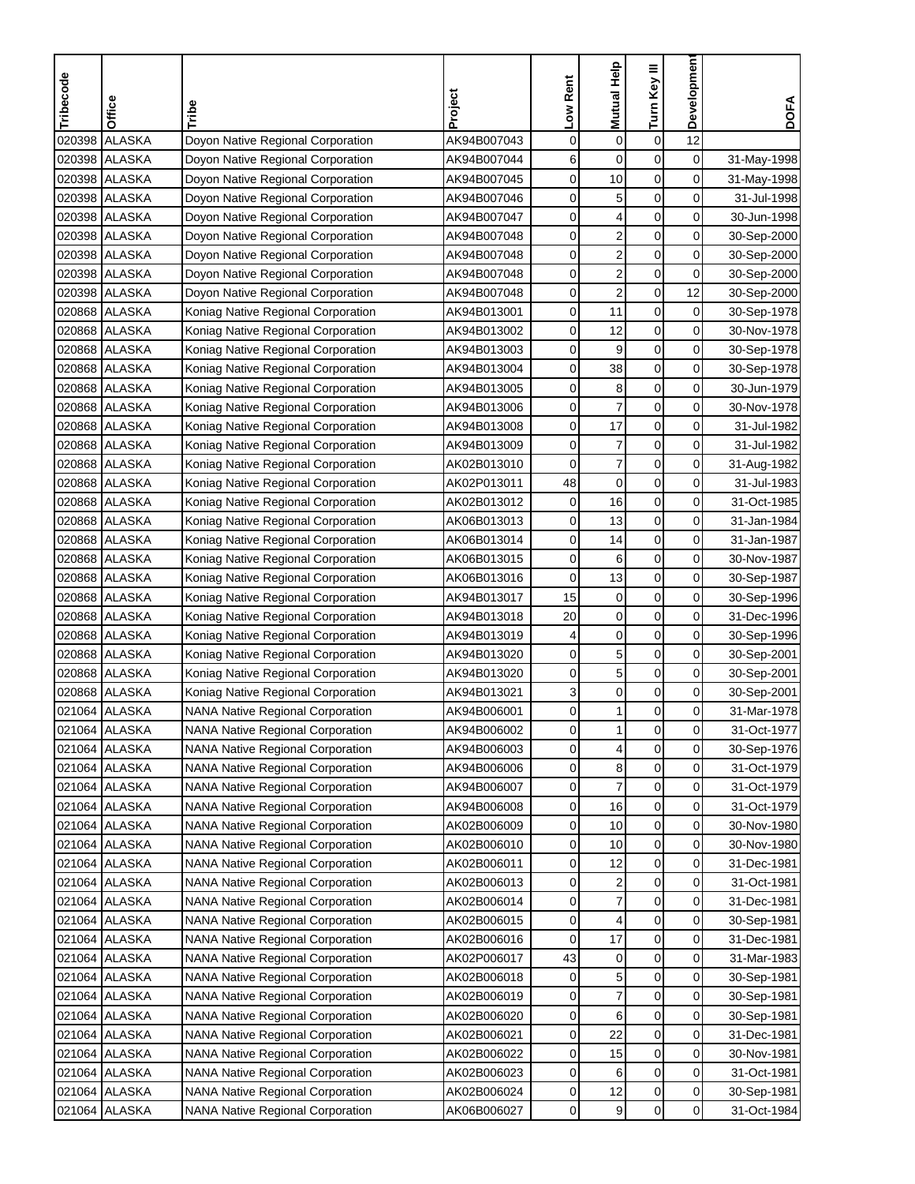| Tribecode | Office        | Tribe                                   | Project     | Low Rent | <b>Mutual Help</b>      | Turn Key III     | Development    | <b>DOFA</b> |
|-----------|---------------|-----------------------------------------|-------------|----------|-------------------------|------------------|----------------|-------------|
|           |               |                                         |             |          |                         |                  |                |             |
| 020398    | <b>ALASKA</b> | Doyon Native Regional Corporation       | AK94B007043 | 0        | $\mathbf 0$             | $\boldsymbol{0}$ | 12             |             |
|           | 020398 ALASKA | Doyon Native Regional Corporation       | AK94B007044 | 6        | 0                       | 0                | 0              | 31-May-1998 |
|           | 020398 ALASKA | Doyon Native Regional Corporation       | AK94B007045 | 0        | 10                      | $\mathbf 0$      | 0              | 31-May-1998 |
| 020398    | <b>ALASKA</b> | Doyon Native Regional Corporation       | AK94B007046 | 0        | 5                       | $\boldsymbol{0}$ | 0              | 31-Jul-1998 |
| 020398    | <b>ALASKA</b> | Doyon Native Regional Corporation       | AK94B007047 | 0        | 4                       | $\boldsymbol{0}$ | 0              | 30-Jun-1998 |
| 020398    | <b>ALASKA</b> | Doyon Native Regional Corporation       | AK94B007048 | 0        | $\boldsymbol{2}$        | $\boldsymbol{0}$ | 0              | 30-Sep-2000 |
|           | 020398 ALASKA | Doyon Native Regional Corporation       | AK94B007048 | 0        | $\overline{\mathbf{c}}$ | $\mathbf 0$      | 0              | 30-Sep-2000 |
|           | 020398 ALASKA | Doyon Native Regional Corporation       | AK94B007048 | 0        | $\overline{\mathbf{c}}$ | 0                | 0              | 30-Sep-2000 |
|           | 020398 ALASKA | Doyon Native Regional Corporation       | AK94B007048 | 0        | $\overline{\mathbf{c}}$ | $\mathsf 0$      | 12             | 30-Sep-2000 |
|           | 020868 ALASKA | Koniag Native Regional Corporation      | AK94B013001 | 0        | 11                      | 0                | 0              | 30-Sep-1978 |
|           | 020868 ALASKA | Koniag Native Regional Corporation      | AK94B013002 | 0        | 12                      | 0                | 0              | 30-Nov-1978 |
|           | 020868 ALASKA | Koniag Native Regional Corporation      | AK94B013003 | 0        | 9                       | 0                | 0              | 30-Sep-1978 |
|           | 020868 ALASKA | Koniag Native Regional Corporation      | AK94B013004 | 0        | 38                      | $\mathsf 0$      | 0              | 30-Sep-1978 |
|           | 020868 ALASKA | Koniag Native Regional Corporation      | AK94B013005 | 0        | 8                       | $\boldsymbol{0}$ | 0              | 30-Jun-1979 |
|           | 020868 ALASKA | Koniag Native Regional Corporation      | AK94B013006 | 0        | $\overline{7}$          | $\mathbf 0$      | 0              | 30-Nov-1978 |
|           | 020868 ALASKA | Koniag Native Regional Corporation      | AK94B013008 | 0        | 17                      | $\mathbf 0$      | 0              | 31-Jul-1982 |
|           | 020868 ALASKA | Koniag Native Regional Corporation      | AK94B013009 | 0        | $\overline{7}$          | 0                | 0              | 31-Jul-1982 |
|           | 020868 ALASKA | Koniag Native Regional Corporation      | AK02B013010 | 0        | $\overline{7}$          | $\mathbf 0$      | 0              | 31-Aug-1982 |
|           | 020868 ALASKA | Koniag Native Regional Corporation      | AK02P013011 | 48       | $\mathbf 0$             | $\mathbf 0$      | 0              | 31-Jul-1983 |
|           | 020868 ALASKA | Koniag Native Regional Corporation      | AK02B013012 | 0        | 16                      | $\mathbf 0$      | 0              | 31-Oct-1985 |
|           | 020868 ALASKA | Koniag Native Regional Corporation      | AK06B013013 | 0        | 13                      | 0                | 0              | 31-Jan-1984 |
| 020868    | <b>ALASKA</b> | Koniag Native Regional Corporation      | AK06B013014 | 0        | 14                      | $\mathbf 0$      | 0              | 31-Jan-1987 |
|           | 020868 ALASKA | Koniag Native Regional Corporation      | AK06B013015 | 0        | 6                       | $\mathbf 0$      | 0              | 30-Nov-1987 |
|           | 020868 ALASKA | Koniag Native Regional Corporation      | AK06B013016 | 0        | 13                      | $\pmb{0}$        | 0              | 30-Sep-1987 |
|           | 020868 ALASKA | Koniag Native Regional Corporation      | AK94B013017 | 15       | $\mathbf 0$             | 0                | 0              | 30-Sep-1996 |
|           | 020868 ALASKA | Koniag Native Regional Corporation      | AK94B013018 | 20       | $\pmb{0}$               | $\boldsymbol{0}$ | 0              | 31-Dec-1996 |
|           | 020868 ALASKA | Koniag Native Regional Corporation      | AK94B013019 | 4        | $\mathbf 0$             | $\mathbf 0$      | 0              | 30-Sep-1996 |
|           | 020868 ALASKA | Koniag Native Regional Corporation      | AK94B013020 | 0        | 5                       | $\mathbf 0$      | 0              | 30-Sep-2001 |
|           | 020868 ALASKA | Koniag Native Regional Corporation      | AK94B013020 | 0        | 5                       | 0                | 0              | 30-Sep-2001 |
|           | 020868 ALASKA | Koniag Native Regional Corporation      | AK94B013021 | 3        | $\mathbf 0$             | $\mathbf 0$      | 0              | 30-Sep-2001 |
| 021064    | <b>ALASKA</b> | <b>NANA Native Regional Corporation</b> | AK94B006001 | 0        | 1                       | $\mathbf 0$      | 0              | 31-Mar-1978 |
|           | 021064 ALASKA | <b>NANA Native Regional Corporation</b> | AK94B006002 | 0        | 1                       | $\mathbf 0$      | 0              | 31-Oct-1977 |
|           | 021064 ALASKA | <b>NANA Native Regional Corporation</b> | AK94B006003 | 0        | 4                       | 0                | 0              | 30-Sep-1976 |
|           | 021064 ALASKA | <b>NANA Native Regional Corporation</b> | AK94B006006 | 0        | 8                       | $\pmb{0}$        | 0              | 31-Oct-1979 |
|           | 021064 ALASKA | <b>NANA Native Regional Corporation</b> | AK94B006007 | 0        | 7                       | 0                | $\overline{0}$ | 31-Oct-1979 |
|           | 021064 ALASKA | <b>NANA Native Regional Corporation</b> | AK94B006008 | 0        | 16                      | 0                | 0              | 31-Oct-1979 |
|           | 021064 ALASKA | <b>NANA Native Regional Corporation</b> | AK02B006009 | 0        | 10                      | 0                | $\overline{0}$ | 30-Nov-1980 |
|           | 021064 ALASKA | <b>NANA Native Regional Corporation</b> | AK02B006010 | 0        | 10                      | $\pmb{0}$        | 0              | 30-Nov-1980 |
|           | 021064 ALASKA | <b>NANA Native Regional Corporation</b> | AK02B006011 | 0        | 12                      | $\pmb{0}$        | $\overline{0}$ | 31-Dec-1981 |
|           | 021064 ALASKA | <b>NANA Native Regional Corporation</b> | AK02B006013 | 0        | 2                       | 0                | 0              | 31-Oct-1981 |
|           | 021064 ALASKA | <b>NANA Native Regional Corporation</b> | AK02B006014 | 0        | $\overline{7}$          | 0                | 0              | 31-Dec-1981 |
|           | 021064 ALASKA | <b>NANA Native Regional Corporation</b> | AK02B006015 | 0        | 4                       | $\pmb{0}$        | 0              | 30-Sep-1981 |
|           | 021064 ALASKA | <b>NANA Native Regional Corporation</b> | AK02B006016 | 0        | 17                      | 0                | 0              | 31-Dec-1981 |
|           | 021064 ALASKA | <b>NANA Native Regional Corporation</b> | AK02P006017 | 43       | 0                       | $\mathbf 0$      | 0              | 31-Mar-1983 |
|           | 021064 ALASKA | <b>NANA Native Regional Corporation</b> | AK02B006018 | 0        | 5                       | $\mathbf 0$      | 0              | 30-Sep-1981 |
|           | 021064 ALASKA | <b>NANA Native Regional Corporation</b> | AK02B006019 | 0        | 7                       | 0                | 0              | 30-Sep-1981 |
|           | 021064 ALASKA | <b>NANA Native Regional Corporation</b> | AK02B006020 | 0        | 6                       | $\pmb{0}$        | 0              | 30-Sep-1981 |
|           | 021064 ALASKA | <b>NANA Native Regional Corporation</b> | AK02B006021 | 0        | 22                      | 0                | 0              | 31-Dec-1981 |
|           | 021064 ALASKA | <b>NANA Native Regional Corporation</b> | AK02B006022 | 0        | 15                      | $\pmb{0}$        | 0              | 30-Nov-1981 |
|           | 021064 ALASKA | <b>NANA Native Regional Corporation</b> | AK02B006023 | 0        | 6                       | 0                | 0              | 31-Oct-1981 |
|           | 021064 ALASKA | <b>NANA Native Regional Corporation</b> | AK02B006024 | 0        | 12                      | 0                | $\overline{0}$ | 30-Sep-1981 |
|           | 021064 ALASKA | <b>NANA Native Regional Corporation</b> | AK06B006027 | 0        | 9                       | $\pmb{0}$        | $\overline{0}$ | 31-Oct-1984 |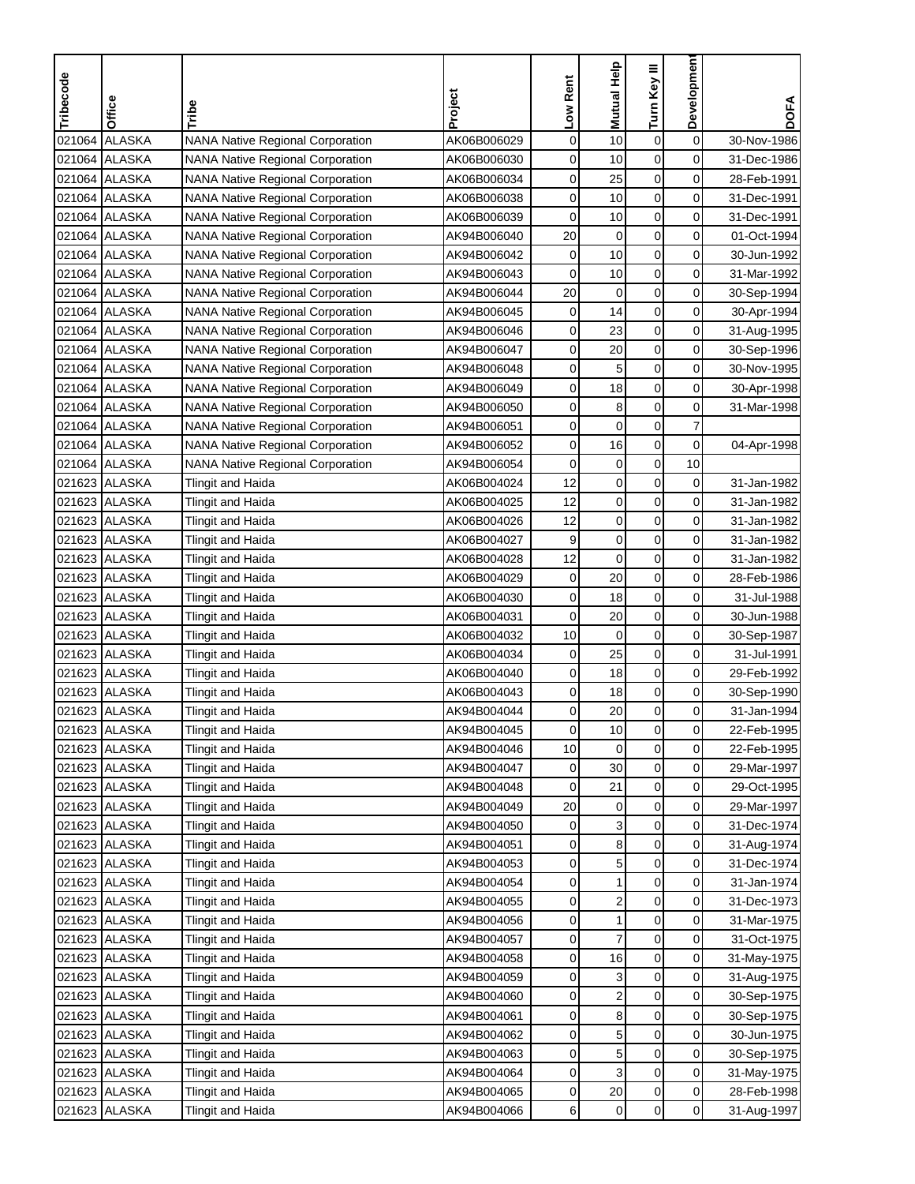| Tribecode | Office         | Tribe                                   | Project     | Low Rent | Mutual Help      | Turn Key III     | Developmen     | <b>DOFA</b> |
|-----------|----------------|-----------------------------------------|-------------|----------|------------------|------------------|----------------|-------------|
|           |                |                                         |             |          |                  |                  |                |             |
| 021064    | <b>ALASKA</b>  | <b>NANA Native Regional Corporation</b> | AK06B006029 | 0        | 10               | $\boldsymbol{0}$ | $\mathbf 0$    | 30-Nov-1986 |
| 021064    | <b>ALASKA</b>  | <b>NANA Native Regional Corporation</b> | AK06B006030 | 0        | 10               | $\mathbf 0$      | 0              | 31-Dec-1986 |
|           | 021064 ALASKA  | <b>NANA Native Regional Corporation</b> | AK06B006034 | 0        | 25               | $\mathbf 0$      | 0              | 28-Feb-1991 |
|           | 021064 ALASKA  | <b>NANA Native Regional Corporation</b> | AK06B006038 | 0        | 10               | $\mathbf 0$      | 0              | 31-Dec-1991 |
|           | 021064 ALASKA  | <b>NANA Native Regional Corporation</b> | AK06B006039 | 0        | 10               | $\mathbf 0$      | 0              | 31-Dec-1991 |
|           | 021064 ALASKA  | <b>NANA Native Regional Corporation</b> | AK94B006040 | 20       | $\mathbf 0$      | $\mathbf 0$      | 0              | 01-Oct-1994 |
|           | 021064 ALASKA  | <b>NANA Native Regional Corporation</b> | AK94B006042 | 0        | 10               | $\mathbf 0$      | 0              | 30-Jun-1992 |
|           | 021064 ALASKA  | <b>NANA Native Regional Corporation</b> | AK94B006043 | 0        | 10               | 0                | 0              | 31-Mar-1992 |
|           | 021064 ALASKA  | <b>NANA Native Regional Corporation</b> | AK94B006044 | 20       | $\mathbf 0$      | $\mathbf 0$      | 0              | 30-Sep-1994 |
|           | 021064 ALASKA  | <b>NANA Native Regional Corporation</b> | AK94B006045 | 0        | 14               | $\mathbf 0$      | 0              | 30-Apr-1994 |
|           | 021064 ALASKA  | <b>NANA Native Regional Corporation</b> | AK94B006046 | 0        | 23               | 0                | 0              | 31-Aug-1995 |
|           | 021064 ALASKA  | <b>NANA Native Regional Corporation</b> | AK94B006047 | 0        | 20               | $\mathbf 0$      | 0              | 30-Sep-1996 |
|           | 021064 ALASKA  | <b>NANA Native Regional Corporation</b> | AK94B006048 | 0        | 5                | $\boldsymbol{0}$ | 0              | 30-Nov-1995 |
|           | 021064 ALASKA  | <b>NANA Native Regional Corporation</b> | AK94B006049 | 0        | 18               | $\mathbf 0$      | 0              | 30-Apr-1998 |
|           | 021064 ALASKA  | <b>NANA Native Regional Corporation</b> | AK94B006050 | 0        | 8                | $\mathbf 0$      | 0              | 31-Mar-1998 |
|           | 021064 ALASKA  | <b>NANA Native Regional Corporation</b> | AK94B006051 | 0        | $\mathbf 0$      | $\mathbf 0$      | 7              |             |
|           | 021064 ALASKA  | <b>NANA Native Regional Corporation</b> | AK94B006052 | 0        | 16               | 0                | 0              | 04-Apr-1998 |
|           | 021064 ALASKA  | <b>NANA Native Regional Corporation</b> | AK94B006054 | 0        | $\mathbf 0$      | $\mathbf 0$      | 10             |             |
|           | 021623 ALASKA  | <b>Tlingit and Haida</b>                | AK06B004024 | 12       | $\mathbf 0$      | $\mathbf 0$      | 0              | 31-Jan-1982 |
|           | 021623 ALASKA  | <b>Tlingit and Haida</b>                | AK06B004025 | 12       | $\mathbf 0$      | $\mathbf 0$      | 0              | 31-Jan-1982 |
|           | 021623 ALASKA  | <b>Tlingit and Haida</b>                | AK06B004026 | 12       | $\mathbf 0$      | $\mathbf 0$      | 0              | 31-Jan-1982 |
|           | 021623 ALASKA  | <b>Tlingit and Haida</b>                | AK06B004027 | 9        | $\mathbf 0$      | $\mathbf 0$      | 0              | 31-Jan-1982 |
|           | 021623 ALASKA  | Tlingit and Haida                       | AK06B004028 | 12       | $\mathbf 0$      | $\boldsymbol{0}$ | 0              | 31-Jan-1982 |
|           | 021623 ALASKA  | Tlingit and Haida                       | AK06B004029 | 0        | 20               | $\mathsf 0$      | 0              | 28-Feb-1986 |
|           | 021623 ALASKA  | <b>Tlingit and Haida</b>                | AK06B004030 | 0        | 18               | 0                | 0              | 31-Jul-1988 |
|           | 021623 ALASKA  | <b>Tlingit and Haida</b>                | AK06B004031 | 0        | 20               | $\mathsf 0$      | 0              | 30-Jun-1988 |
|           | 021623 ALASKA  | <b>Tlingit and Haida</b>                | AK06B004032 | 10       | $\mathbf 0$      | $\mathbf 0$      | 0              | 30-Sep-1987 |
|           | 021623 ALASKA  | <b>Tlingit and Haida</b>                | AK06B004034 | 0        | 25               | $\mathbf 0$      | 0              | 31-Jul-1991 |
|           | 021623 ALASKA  | <b>Tlingit and Haida</b>                | AK06B004040 | 0        | 18               | $\boldsymbol{0}$ | 0              | 29-Feb-1992 |
|           | 021623 ALASKA  | <b>Tlingit and Haida</b>                | AK06B004043 | 0        | 18               | $\mathbf 0$      | 0              | 30-Sep-1990 |
| 021623    | <b>ALASKA</b>  | Tlingit and Haida                       | AK94B004044 | 0        | 20               | $\mathbf 0$      | 0              | 31-Jan-1994 |
|           | 021623  ALASKA | Tlingit and Haida                       | AK94B004045 | 0        | 10               | $\mathbf 0$      | 0              | 22-Feb-1995 |
|           | 021623 ALASKA  | <b>Tlingit and Haida</b>                | AK94B004046 | 10       | $\mathbf 0$      | $\mathbf 0$      | 0              | 22-Feb-1995 |
|           | 021623 ALASKA  | Tlingit and Haida                       | AK94B004047 | 0        | 30               | 0                | 0              | 29-Mar-1997 |
|           | 021623 ALASKA  | <b>Tlingit and Haida</b>                | AK94B004048 | 0        | 21               | $\pmb{0}$        | $\overline{0}$ | 29-Oct-1995 |
|           | 021623 ALASKA  | <b>Tlingit and Haida</b>                | AK94B004049 | 20       | 0                | 0                | 0              | 29-Mar-1997 |
|           | 021623 ALASKA  | <b>Tlingit and Haida</b>                | AK94B004050 | 0        | 3                | 0                | $\overline{0}$ | 31-Dec-1974 |
|           | 021623 ALASKA  | <b>Tlingit and Haida</b>                | AK94B004051 | 0        | 8                | 0                | $\overline{0}$ | 31-Aug-1974 |
|           | 021623 ALASKA  | Tlingit and Haida                       | AK94B004053 | 0        | 5                | $\pmb{0}$        | $\overline{0}$ | 31-Dec-1974 |
|           | 021623 ALASKA  | <b>Tlingit and Haida</b>                | AK94B004054 | 0        | 1                | 0                | 0              | 31-Jan-1974 |
|           | 021623 ALASKA  | Tlingit and Haida                       | AK94B004055 | 0        | $\boldsymbol{2}$ | $\pmb{0}$        | 0              | 31-Dec-1973 |
|           | 021623 ALASKA  | Tlingit and Haida                       | AK94B004056 | 0        | 1                | $\pmb{0}$        | 0              | 31-Mar-1975 |
|           | 021623 ALASKA  | Tlingit and Haida                       | AK94B004057 | 0        | $\boldsymbol{7}$ | $\pmb{0}$        | 0              | 31-Oct-1975 |
|           | 021623 ALASKA  | Tlingit and Haida                       | AK94B004058 | 0        | 16               | 0                | $\overline{0}$ | 31-May-1975 |
|           | 021623 ALASKA  | <b>Tlingit and Haida</b>                | AK94B004059 | 0        | 3                | 0                | 0              | 31-Aug-1975 |
|           | 021623 ALASKA  | Tlingit and Haida                       | AK94B004060 | 0        | $\boldsymbol{2}$ | 0                | 0              | 30-Sep-1975 |
|           | 021623 ALASKA  | Tlingit and Haida                       | AK94B004061 | 0        | 8                | $\pmb{0}$        | 0              | 30-Sep-1975 |
|           | 021623 ALASKA  | Tlingit and Haida                       | AK94B004062 | 0        | 5                | 0                | 0              | 30-Jun-1975 |
|           | 021623 ALASKA  | Tlingit and Haida                       | AK94B004063 | 0        | 5                | 0                | 0              | 30-Sep-1975 |
|           | 021623 ALASKA  | Tlingit and Haida                       | AK94B004064 | 0        | 3                | 0                | 0              | 31-May-1975 |
|           | 021623 ALASKA  | Tlingit and Haida                       | AK94B004065 | 0        | 20               | $\pmb{0}$        | $\overline{0}$ | 28-Feb-1998 |
|           | 021623 ALASKA  | Tlingit and Haida                       | AK94B004066 | 6        | $\pmb{0}$        | $\mathbf 0$      | $\overline{0}$ | 31-Aug-1997 |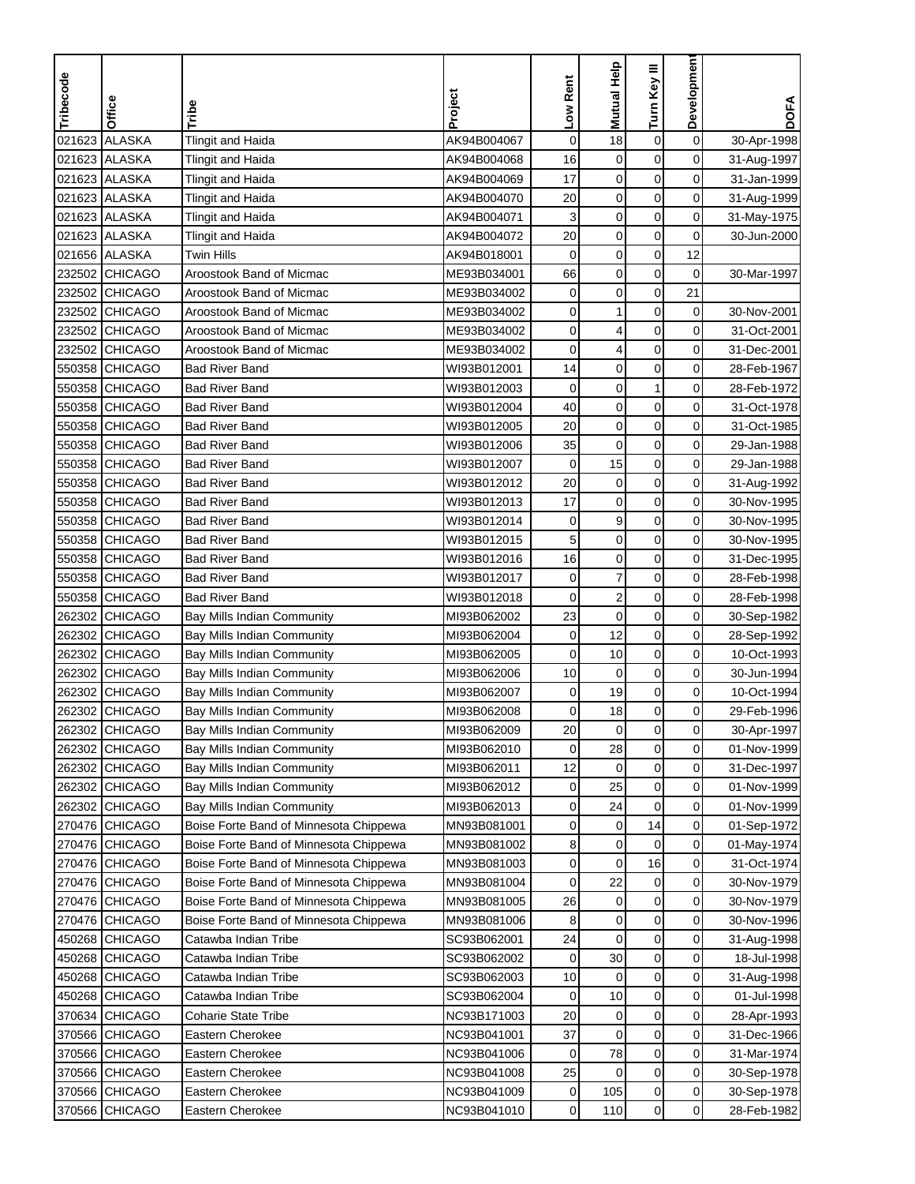| <b>ALASKA</b><br>$\mathbf 0$<br><b>Tlingit and Haida</b><br>$\mathbf 0$<br>18<br>$\boldsymbol{0}$<br>021623<br>AK94B004067<br>30-Apr-1998<br><b>ALASKA</b><br>$\mathbf 0$<br>021623<br>16<br>$\mathbf 0$<br>$\mathbf 0$<br><b>Tlingit and Haida</b><br>AK94B004068<br>31-Aug-1997<br>0<br>021623<br><b>ALASKA</b><br>17<br>$\mathbf 0$<br>$\mathbf 0$<br><b>Tlingit and Haida</b><br>AK94B004069<br>31-Jan-1999<br>021623 ALASKA<br>20<br>$\mathbf 0$<br>$\mathbf 0$<br>0<br><b>Tlingit and Haida</b><br>AK94B004070<br>31-Aug-1999<br>3<br>$\mathbf 0$<br>$\boldsymbol{0}$<br>021623 ALASKA<br><b>Tlingit and Haida</b><br>0<br>AK94B004071<br>31-May-1975<br>20<br>021623 ALASKA<br>$\pmb{0}$<br>$\pmb{0}$<br>0<br><b>Tlingit and Haida</b><br>AK94B004072<br>30-Jun-2000<br>$\mathbf 0$<br>$\pmb{0}$<br>12<br>021656 ALASKA<br>Twin Hills<br>0<br>AK94B018001<br>232502<br><b>CHICAGO</b><br>Aroostook Band of Micmac<br>66<br>$\mathbf 0$<br>$\mathbf 0$<br>0<br>ME93B034001<br>30-Mar-1997<br>232502<br><b>CHICAGO</b><br>0<br>0<br>0<br>21<br>Aroostook Band of Micmac<br>ME93B034002<br>232502 CHICAGO<br>0<br>Aroostook Band of Micmac<br>ME93B034002<br>0<br>1<br>$\mathbf 0$<br>30-Nov-2001<br><b>CHICAGO</b><br>0<br>$\mathbf 0$<br>0<br>232502<br>Aroostook Band of Micmac<br>ME93B034002<br>4<br>31-Oct-2001<br>$\mathbf 0$<br>$\mathbf 0$<br><b>CHICAGO</b><br>$\mathbf 0$<br>4<br>232502<br>Aroostook Band of Micmac<br>ME93B034002<br>31-Dec-2001<br>$\mathbf 0$<br>$\mathbf 0$<br>550358 CHICAGO<br>14<br>$\mathbf 0$<br><b>Bad River Band</b><br>WI93B012001<br>28-Feb-1967<br>$\mathbf 0$<br>1<br>$\mathbf 0$<br>550358 CHICAGO<br><b>Bad River Band</b><br>$\mathbf 0$<br>WI93B012003<br>28-Feb-1972<br>550358 CHICAGO<br>$\mathbf 0$<br>$\pmb{0}$<br>0<br>Bad River Band<br>WI93B012004<br>40<br>31-Oct-1978<br>$\pmb{0}$<br>$\boldsymbol{0}$<br>550358 CHICAGO<br>20<br>0<br>Bad River Band<br>WI93B012005<br>31-Oct-1985<br><b>CHICAGO</b><br>35<br>$\mathbf 0$<br>0<br>0<br>550358<br><b>Bad River Band</b><br>WI93B012006<br>29-Jan-1988<br>550358 CHICAGO<br>$\mathbf 0$<br>0<br><b>Bad River Band</b><br>WI93B012007<br>$\mathbf 0$<br>15<br>29-Jan-1988<br>$\mathbf 0$<br>550358 CHICAGO<br><b>Bad River Band</b><br>WI93B012012<br>20<br>$\mathbf 0$<br>$\mathbf 0$<br>31-Aug-1992<br>$\mathbf 0$<br>550358 CHICAGO<br>17<br>$\mathbf 0$<br>0<br><b>Bad River Band</b><br>WI93B012013<br>30-Nov-1995<br>9<br>$\mathbf 0$<br>0<br>550358 CHICAGO<br>Bad River Band<br>WI93B012014<br>0<br>30-Nov-1995<br>$\mathbf 0$<br>5<br>$\pmb{0}$<br><b>CHICAGO</b><br>0<br>550358<br><b>Bad River Band</b><br>WI93B012015<br>30-Nov-1995<br>$\mathbf 0$<br>$\mathbf 0$<br><b>CHICAGO</b><br>16<br>0<br>550358<br>Bad River Band<br>WI93B012016<br>31-Dec-1995<br>$\overline{7}$<br>0<br>0<br>550358<br><b>CHICAGO</b><br>Bad River Band<br>WI93B012017<br>0<br>28-Feb-1998<br>$\overline{\mathbf{c}}$<br>0<br>0<br>550358<br><b>CHICAGO</b><br>Bad River Band<br>WI93B012018<br>0<br>28-Feb-1998<br>23<br>0<br>0<br>0<br>262302<br><b>CHICAGO</b><br>MI93B062002<br>Bay Mills Indian Community<br>30-Sep-1982<br>0<br><b>CHICAGO</b><br>$\mathbf 0$<br>12<br>$\mathbf 0$<br>262302<br>Bay Mills Indian Community<br>MI93B062004<br>28-Sep-1992<br><b>CHICAGO</b><br>10<br>$\mathbf 0$<br>0<br>262302<br>Bay Mills Indian Community<br>MI93B062005<br>0<br>10-Oct-1993<br>10<br>$\mathbf 0$<br>$\mathbf 0$<br>0<br>262302<br><b>CHICAGO</b><br>Bay Mills Indian Community<br>MI93B062006<br>30-Jun-1994<br>19<br>$\pmb{0}$<br>0<br><b>CHICAGO</b><br>Bay Mills Indian Community<br>262302<br>MI93B062007<br>0<br>10-Oct-1994<br>$\mathbf 0$<br><b>CHICAGO</b><br>18<br>0<br>262302<br>Bay Mills Indian Community<br>MI93B062008<br>0<br>29-Feb-1996<br>262302 CHICAGO<br>Bay Mills Indian Community<br>MI93B062009<br>20<br>0<br>0<br>0<br>30-Apr-1997<br>$\mathbf 0$<br>$\mathbf 0$<br>28<br>262302 CHICAGO<br>Bay Mills Indian Community<br>MI93B062010<br>0<br>01-Nov-1999<br>$\mathbf 0$<br>0<br>262302 CHICAGO<br>Bay Mills Indian Community<br>MI93B062011<br>12<br>0<br>31-Dec-1997<br>$\pmb{0}$<br>262302 CHICAGO<br>MI93B062012<br>25<br>0<br>Bay Mills Indian Community<br>0<br>01-Nov-1999<br>$\mathbf 0$<br>262302 CHICAGO<br>Bay Mills Indian Community<br>MI93B062013<br>0<br>24<br>$\overline{0}$<br>01-Nov-1999<br>$\pmb{0}$<br>14<br>$\overline{0}$<br>270476 CHICAGO<br>Boise Forte Band of Minnesota Chippewa<br>MN93B081001<br>0<br>01-Sep-1972<br>270476 CHICAGO<br>$\pmb{0}$<br>$\overline{0}$<br>Boise Forte Band of Minnesota Chippewa<br>MN93B081002<br>8<br>0<br>01-May-1974<br>$\pmb{0}$<br>16<br>270476 CHICAGO<br>$\overline{0}$<br>Boise Forte Band of Minnesota Chippewa<br>MN93B081003<br>31-Oct-1974<br>0<br>22<br>270476 CHICAGO<br>Boise Forte Band of Minnesota Chippewa<br>MN93B081004<br>0<br>0<br>0<br>30-Nov-1979<br>$\boldsymbol{0}$<br>$\pmb{0}$<br>0<br>270476 CHICAGO<br>Boise Forte Band of Minnesota Chippewa<br>MN93B081005<br>26<br>30-Nov-1979<br>$\pmb{0}$<br>0<br>270476 CHICAGO<br>$\mathbf 0$<br>Boise Forte Band of Minnesota Chippewa<br>MN93B081006<br>8<br>30-Nov-1996<br>$\mathbf 0$<br>$\pmb{0}$<br>$\mathbf 0$<br>450268 CHICAGO<br>SC93B062001<br>24<br>Catawba Indian Tribe<br>31-Aug-1998<br>450268 CHICAGO<br>$\mathbf 0$<br>0<br>Catawba Indian Tribe<br>SC93B062002<br>30<br>18-Jul-1998<br>0<br>$\mathbf 0$<br>450268 CHICAGO<br>SC93B062003<br>10<br>0<br>0<br>Catawba Indian Tribe<br>31-Aug-1998<br>10<br>0<br>0<br>450268 CHICAGO<br>Catawba Indian Tribe<br>SC93B062004<br>01-Jul-1998<br>0<br>20<br>$\pmb{0}$<br>370634 CHICAGO<br><b>Coharie State Tribe</b><br>NC93B171003<br>0<br>0<br>28-Apr-1993<br>37<br>$\mathbf 0$<br>$\mathbf 0$<br>0<br>370566 CHICAGO<br>Eastern Cherokee<br>NC93B041001<br>31-Dec-1966<br>$\mathbf 0$<br>78<br>0<br>370566 CHICAGO<br>Eastern Cherokee<br>NC93B041006<br>0<br>31-Mar-1974<br>$\mathbf 0$<br>0<br>0<br>370566 CHICAGO<br>Eastern Cherokee<br>NC93B041008<br>25<br>30-Sep-1978<br>$\pmb{0}$<br>$\mathbf 0$<br>370566 CHICAGO<br>Eastern Cherokee<br>NC93B041009<br>105<br>0<br>30-Sep-1978<br>$\pmb{0}$<br>0<br>110<br>$\overline{0}$<br>370566 CHICAGO<br>Eastern Cherokee<br>NC93B041010<br>28-Feb-1982 | Tribecode | Office | Tribe | Project | Low Rent | <b>Mutual Help</b> | Turn Key III | Developmen | <b>DOFA</b> |
|-----------------------------------------------------------------------------------------------------------------------------------------------------------------------------------------------------------------------------------------------------------------------------------------------------------------------------------------------------------------------------------------------------------------------------------------------------------------------------------------------------------------------------------------------------------------------------------------------------------------------------------------------------------------------------------------------------------------------------------------------------------------------------------------------------------------------------------------------------------------------------------------------------------------------------------------------------------------------------------------------------------------------------------------------------------------------------------------------------------------------------------------------------------------------------------------------------------------------------------------------------------------------------------------------------------------------------------------------------------------------------------------------------------------------------------------------------------------------------------------------------------------------------------------------------------------------------------------------------------------------------------------------------------------------------------------------------------------------------------------------------------------------------------------------------------------------------------------------------------------------------------------------------------------------------------------------------------------------------------------------------------------------------------------------------------------------------------------------------------------------------------------------------------------------------------------------------------------------------------------------------------------------------------------------------------------------------------------------------------------------------------------------------------------------------------------------------------------------------------------------------------------------------------------------------------------------------------------------------------------------------------------------------------------------------------------------------------------------------------------------------------------------------------------------------------------------------------------------------------------------------------------------------------------------------------------------------------------------------------------------------------------------------------------------------------------------------------------------------------------------------------------------------------------------------------------------------------------------------------------------------------------------------------------------------------------------------------------------------------------------------------------------------------------------------------------------------------------------------------------------------------------------------------------------------------------------------------------------------------------------------------------------------------------------------------------------------------------------------------------------------------------------------------------------------------------------------------------------------------------------------------------------------------------------------------------------------------------------------------------------------------------------------------------------------------------------------------------------------------------------------------------------------------------------------------------------------------------------------------------------------------------------------------------------------------------------------------------------------------------------------------------------------------------------------------------------------------------------------------------------------------------------------------------------------------------------------------------------------------------------------------------------------------------------------------------------------------------------------------------------------------------------------------------------------------------------------------------------------------------------------------------------------------------------------------------------------------------------------------------------------------------------------------------------------------------------------------------------------------------------------------------------------------------------------------------------------------------------------------------------------------------------------------------------------------------------------------------------------------------------------------------------------------------------------------------------------------------------------------------------------------------------------------------------------------------------------------------------------------------------------------------------------------------------------------------------------------------------------------------------------------------------------------------------------------------------------------------------------------------------------------------------------------------------------------------------------------------------------------------------------------------------------------------------------------------------------------------------------------------------------------------------------------------------------------------------------------------------------------------------|-----------|--------|-------|---------|----------|--------------------|--------------|------------|-------------|
|                                                                                                                                                                                                                                                                                                                                                                                                                                                                                                                                                                                                                                                                                                                                                                                                                                                                                                                                                                                                                                                                                                                                                                                                                                                                                                                                                                                                                                                                                                                                                                                                                                                                                                                                                                                                                                                                                                                                                                                                                                                                                                                                                                                                                                                                                                                                                                                                                                                                                                                                                                                                                                                                                                                                                                                                                                                                                                                                                                                                                                                                                                                                                                                                                                                                                                                                                                                                                                                                                                                                                                                                                                                                                                                                                                                                                                                                                                                                                                                                                                                                                                                                                                                                                                                                                                                                                                                                                                                                                                                                                                                                                                                                                                                                                                                                                                                                                                                                                                                                                                                                                                                                                                                                                                                                                                                                                                                                                                                                                                                                                                                                                                                                                                                                                                                                                                                                                                                                                                                                                                                                                                                                                                                                                                               |           |        |       |         |          |                    |              |            |             |
|                                                                                                                                                                                                                                                                                                                                                                                                                                                                                                                                                                                                                                                                                                                                                                                                                                                                                                                                                                                                                                                                                                                                                                                                                                                                                                                                                                                                                                                                                                                                                                                                                                                                                                                                                                                                                                                                                                                                                                                                                                                                                                                                                                                                                                                                                                                                                                                                                                                                                                                                                                                                                                                                                                                                                                                                                                                                                                                                                                                                                                                                                                                                                                                                                                                                                                                                                                                                                                                                                                                                                                                                                                                                                                                                                                                                                                                                                                                                                                                                                                                                                                                                                                                                                                                                                                                                                                                                                                                                                                                                                                                                                                                                                                                                                                                                                                                                                                                                                                                                                                                                                                                                                                                                                                                                                                                                                                                                                                                                                                                                                                                                                                                                                                                                                                                                                                                                                                                                                                                                                                                                                                                                                                                                                                               |           |        |       |         |          |                    |              |            |             |
|                                                                                                                                                                                                                                                                                                                                                                                                                                                                                                                                                                                                                                                                                                                                                                                                                                                                                                                                                                                                                                                                                                                                                                                                                                                                                                                                                                                                                                                                                                                                                                                                                                                                                                                                                                                                                                                                                                                                                                                                                                                                                                                                                                                                                                                                                                                                                                                                                                                                                                                                                                                                                                                                                                                                                                                                                                                                                                                                                                                                                                                                                                                                                                                                                                                                                                                                                                                                                                                                                                                                                                                                                                                                                                                                                                                                                                                                                                                                                                                                                                                                                                                                                                                                                                                                                                                                                                                                                                                                                                                                                                                                                                                                                                                                                                                                                                                                                                                                                                                                                                                                                                                                                                                                                                                                                                                                                                                                                                                                                                                                                                                                                                                                                                                                                                                                                                                                                                                                                                                                                                                                                                                                                                                                                                               |           |        |       |         |          |                    |              |            |             |
|                                                                                                                                                                                                                                                                                                                                                                                                                                                                                                                                                                                                                                                                                                                                                                                                                                                                                                                                                                                                                                                                                                                                                                                                                                                                                                                                                                                                                                                                                                                                                                                                                                                                                                                                                                                                                                                                                                                                                                                                                                                                                                                                                                                                                                                                                                                                                                                                                                                                                                                                                                                                                                                                                                                                                                                                                                                                                                                                                                                                                                                                                                                                                                                                                                                                                                                                                                                                                                                                                                                                                                                                                                                                                                                                                                                                                                                                                                                                                                                                                                                                                                                                                                                                                                                                                                                                                                                                                                                                                                                                                                                                                                                                                                                                                                                                                                                                                                                                                                                                                                                                                                                                                                                                                                                                                                                                                                                                                                                                                                                                                                                                                                                                                                                                                                                                                                                                                                                                                                                                                                                                                                                                                                                                                                               |           |        |       |         |          |                    |              |            |             |
|                                                                                                                                                                                                                                                                                                                                                                                                                                                                                                                                                                                                                                                                                                                                                                                                                                                                                                                                                                                                                                                                                                                                                                                                                                                                                                                                                                                                                                                                                                                                                                                                                                                                                                                                                                                                                                                                                                                                                                                                                                                                                                                                                                                                                                                                                                                                                                                                                                                                                                                                                                                                                                                                                                                                                                                                                                                                                                                                                                                                                                                                                                                                                                                                                                                                                                                                                                                                                                                                                                                                                                                                                                                                                                                                                                                                                                                                                                                                                                                                                                                                                                                                                                                                                                                                                                                                                                                                                                                                                                                                                                                                                                                                                                                                                                                                                                                                                                                                                                                                                                                                                                                                                                                                                                                                                                                                                                                                                                                                                                                                                                                                                                                                                                                                                                                                                                                                                                                                                                                                                                                                                                                                                                                                                                               |           |        |       |         |          |                    |              |            |             |
|                                                                                                                                                                                                                                                                                                                                                                                                                                                                                                                                                                                                                                                                                                                                                                                                                                                                                                                                                                                                                                                                                                                                                                                                                                                                                                                                                                                                                                                                                                                                                                                                                                                                                                                                                                                                                                                                                                                                                                                                                                                                                                                                                                                                                                                                                                                                                                                                                                                                                                                                                                                                                                                                                                                                                                                                                                                                                                                                                                                                                                                                                                                                                                                                                                                                                                                                                                                                                                                                                                                                                                                                                                                                                                                                                                                                                                                                                                                                                                                                                                                                                                                                                                                                                                                                                                                                                                                                                                                                                                                                                                                                                                                                                                                                                                                                                                                                                                                                                                                                                                                                                                                                                                                                                                                                                                                                                                                                                                                                                                                                                                                                                                                                                                                                                                                                                                                                                                                                                                                                                                                                                                                                                                                                                                               |           |        |       |         |          |                    |              |            |             |
|                                                                                                                                                                                                                                                                                                                                                                                                                                                                                                                                                                                                                                                                                                                                                                                                                                                                                                                                                                                                                                                                                                                                                                                                                                                                                                                                                                                                                                                                                                                                                                                                                                                                                                                                                                                                                                                                                                                                                                                                                                                                                                                                                                                                                                                                                                                                                                                                                                                                                                                                                                                                                                                                                                                                                                                                                                                                                                                                                                                                                                                                                                                                                                                                                                                                                                                                                                                                                                                                                                                                                                                                                                                                                                                                                                                                                                                                                                                                                                                                                                                                                                                                                                                                                                                                                                                                                                                                                                                                                                                                                                                                                                                                                                                                                                                                                                                                                                                                                                                                                                                                                                                                                                                                                                                                                                                                                                                                                                                                                                                                                                                                                                                                                                                                                                                                                                                                                                                                                                                                                                                                                                                                                                                                                                               |           |        |       |         |          |                    |              |            |             |
|                                                                                                                                                                                                                                                                                                                                                                                                                                                                                                                                                                                                                                                                                                                                                                                                                                                                                                                                                                                                                                                                                                                                                                                                                                                                                                                                                                                                                                                                                                                                                                                                                                                                                                                                                                                                                                                                                                                                                                                                                                                                                                                                                                                                                                                                                                                                                                                                                                                                                                                                                                                                                                                                                                                                                                                                                                                                                                                                                                                                                                                                                                                                                                                                                                                                                                                                                                                                                                                                                                                                                                                                                                                                                                                                                                                                                                                                                                                                                                                                                                                                                                                                                                                                                                                                                                                                                                                                                                                                                                                                                                                                                                                                                                                                                                                                                                                                                                                                                                                                                                                                                                                                                                                                                                                                                                                                                                                                                                                                                                                                                                                                                                                                                                                                                                                                                                                                                                                                                                                                                                                                                                                                                                                                                                               |           |        |       |         |          |                    |              |            |             |
|                                                                                                                                                                                                                                                                                                                                                                                                                                                                                                                                                                                                                                                                                                                                                                                                                                                                                                                                                                                                                                                                                                                                                                                                                                                                                                                                                                                                                                                                                                                                                                                                                                                                                                                                                                                                                                                                                                                                                                                                                                                                                                                                                                                                                                                                                                                                                                                                                                                                                                                                                                                                                                                                                                                                                                                                                                                                                                                                                                                                                                                                                                                                                                                                                                                                                                                                                                                                                                                                                                                                                                                                                                                                                                                                                                                                                                                                                                                                                                                                                                                                                                                                                                                                                                                                                                                                                                                                                                                                                                                                                                                                                                                                                                                                                                                                                                                                                                                                                                                                                                                                                                                                                                                                                                                                                                                                                                                                                                                                                                                                                                                                                                                                                                                                                                                                                                                                                                                                                                                                                                                                                                                                                                                                                                               |           |        |       |         |          |                    |              |            |             |
|                                                                                                                                                                                                                                                                                                                                                                                                                                                                                                                                                                                                                                                                                                                                                                                                                                                                                                                                                                                                                                                                                                                                                                                                                                                                                                                                                                                                                                                                                                                                                                                                                                                                                                                                                                                                                                                                                                                                                                                                                                                                                                                                                                                                                                                                                                                                                                                                                                                                                                                                                                                                                                                                                                                                                                                                                                                                                                                                                                                                                                                                                                                                                                                                                                                                                                                                                                                                                                                                                                                                                                                                                                                                                                                                                                                                                                                                                                                                                                                                                                                                                                                                                                                                                                                                                                                                                                                                                                                                                                                                                                                                                                                                                                                                                                                                                                                                                                                                                                                                                                                                                                                                                                                                                                                                                                                                                                                                                                                                                                                                                                                                                                                                                                                                                                                                                                                                                                                                                                                                                                                                                                                                                                                                                                               |           |        |       |         |          |                    |              |            |             |
|                                                                                                                                                                                                                                                                                                                                                                                                                                                                                                                                                                                                                                                                                                                                                                                                                                                                                                                                                                                                                                                                                                                                                                                                                                                                                                                                                                                                                                                                                                                                                                                                                                                                                                                                                                                                                                                                                                                                                                                                                                                                                                                                                                                                                                                                                                                                                                                                                                                                                                                                                                                                                                                                                                                                                                                                                                                                                                                                                                                                                                                                                                                                                                                                                                                                                                                                                                                                                                                                                                                                                                                                                                                                                                                                                                                                                                                                                                                                                                                                                                                                                                                                                                                                                                                                                                                                                                                                                                                                                                                                                                                                                                                                                                                                                                                                                                                                                                                                                                                                                                                                                                                                                                                                                                                                                                                                                                                                                                                                                                                                                                                                                                                                                                                                                                                                                                                                                                                                                                                                                                                                                                                                                                                                                                               |           |        |       |         |          |                    |              |            |             |
|                                                                                                                                                                                                                                                                                                                                                                                                                                                                                                                                                                                                                                                                                                                                                                                                                                                                                                                                                                                                                                                                                                                                                                                                                                                                                                                                                                                                                                                                                                                                                                                                                                                                                                                                                                                                                                                                                                                                                                                                                                                                                                                                                                                                                                                                                                                                                                                                                                                                                                                                                                                                                                                                                                                                                                                                                                                                                                                                                                                                                                                                                                                                                                                                                                                                                                                                                                                                                                                                                                                                                                                                                                                                                                                                                                                                                                                                                                                                                                                                                                                                                                                                                                                                                                                                                                                                                                                                                                                                                                                                                                                                                                                                                                                                                                                                                                                                                                                                                                                                                                                                                                                                                                                                                                                                                                                                                                                                                                                                                                                                                                                                                                                                                                                                                                                                                                                                                                                                                                                                                                                                                                                                                                                                                                               |           |        |       |         |          |                    |              |            |             |
|                                                                                                                                                                                                                                                                                                                                                                                                                                                                                                                                                                                                                                                                                                                                                                                                                                                                                                                                                                                                                                                                                                                                                                                                                                                                                                                                                                                                                                                                                                                                                                                                                                                                                                                                                                                                                                                                                                                                                                                                                                                                                                                                                                                                                                                                                                                                                                                                                                                                                                                                                                                                                                                                                                                                                                                                                                                                                                                                                                                                                                                                                                                                                                                                                                                                                                                                                                                                                                                                                                                                                                                                                                                                                                                                                                                                                                                                                                                                                                                                                                                                                                                                                                                                                                                                                                                                                                                                                                                                                                                                                                                                                                                                                                                                                                                                                                                                                                                                                                                                                                                                                                                                                                                                                                                                                                                                                                                                                                                                                                                                                                                                                                                                                                                                                                                                                                                                                                                                                                                                                                                                                                                                                                                                                                               |           |        |       |         |          |                    |              |            |             |
|                                                                                                                                                                                                                                                                                                                                                                                                                                                                                                                                                                                                                                                                                                                                                                                                                                                                                                                                                                                                                                                                                                                                                                                                                                                                                                                                                                                                                                                                                                                                                                                                                                                                                                                                                                                                                                                                                                                                                                                                                                                                                                                                                                                                                                                                                                                                                                                                                                                                                                                                                                                                                                                                                                                                                                                                                                                                                                                                                                                                                                                                                                                                                                                                                                                                                                                                                                                                                                                                                                                                                                                                                                                                                                                                                                                                                                                                                                                                                                                                                                                                                                                                                                                                                                                                                                                                                                                                                                                                                                                                                                                                                                                                                                                                                                                                                                                                                                                                                                                                                                                                                                                                                                                                                                                                                                                                                                                                                                                                                                                                                                                                                                                                                                                                                                                                                                                                                                                                                                                                                                                                                                                                                                                                                                               |           |        |       |         |          |                    |              |            |             |
|                                                                                                                                                                                                                                                                                                                                                                                                                                                                                                                                                                                                                                                                                                                                                                                                                                                                                                                                                                                                                                                                                                                                                                                                                                                                                                                                                                                                                                                                                                                                                                                                                                                                                                                                                                                                                                                                                                                                                                                                                                                                                                                                                                                                                                                                                                                                                                                                                                                                                                                                                                                                                                                                                                                                                                                                                                                                                                                                                                                                                                                                                                                                                                                                                                                                                                                                                                                                                                                                                                                                                                                                                                                                                                                                                                                                                                                                                                                                                                                                                                                                                                                                                                                                                                                                                                                                                                                                                                                                                                                                                                                                                                                                                                                                                                                                                                                                                                                                                                                                                                                                                                                                                                                                                                                                                                                                                                                                                                                                                                                                                                                                                                                                                                                                                                                                                                                                                                                                                                                                                                                                                                                                                                                                                                               |           |        |       |         |          |                    |              |            |             |
|                                                                                                                                                                                                                                                                                                                                                                                                                                                                                                                                                                                                                                                                                                                                                                                                                                                                                                                                                                                                                                                                                                                                                                                                                                                                                                                                                                                                                                                                                                                                                                                                                                                                                                                                                                                                                                                                                                                                                                                                                                                                                                                                                                                                                                                                                                                                                                                                                                                                                                                                                                                                                                                                                                                                                                                                                                                                                                                                                                                                                                                                                                                                                                                                                                                                                                                                                                                                                                                                                                                                                                                                                                                                                                                                                                                                                                                                                                                                                                                                                                                                                                                                                                                                                                                                                                                                                                                                                                                                                                                                                                                                                                                                                                                                                                                                                                                                                                                                                                                                                                                                                                                                                                                                                                                                                                                                                                                                                                                                                                                                                                                                                                                                                                                                                                                                                                                                                                                                                                                                                                                                                                                                                                                                                                               |           |        |       |         |          |                    |              |            |             |
|                                                                                                                                                                                                                                                                                                                                                                                                                                                                                                                                                                                                                                                                                                                                                                                                                                                                                                                                                                                                                                                                                                                                                                                                                                                                                                                                                                                                                                                                                                                                                                                                                                                                                                                                                                                                                                                                                                                                                                                                                                                                                                                                                                                                                                                                                                                                                                                                                                                                                                                                                                                                                                                                                                                                                                                                                                                                                                                                                                                                                                                                                                                                                                                                                                                                                                                                                                                                                                                                                                                                                                                                                                                                                                                                                                                                                                                                                                                                                                                                                                                                                                                                                                                                                                                                                                                                                                                                                                                                                                                                                                                                                                                                                                                                                                                                                                                                                                                                                                                                                                                                                                                                                                                                                                                                                                                                                                                                                                                                                                                                                                                                                                                                                                                                                                                                                                                                                                                                                                                                                                                                                                                                                                                                                                               |           |        |       |         |          |                    |              |            |             |
|                                                                                                                                                                                                                                                                                                                                                                                                                                                                                                                                                                                                                                                                                                                                                                                                                                                                                                                                                                                                                                                                                                                                                                                                                                                                                                                                                                                                                                                                                                                                                                                                                                                                                                                                                                                                                                                                                                                                                                                                                                                                                                                                                                                                                                                                                                                                                                                                                                                                                                                                                                                                                                                                                                                                                                                                                                                                                                                                                                                                                                                                                                                                                                                                                                                                                                                                                                                                                                                                                                                                                                                                                                                                                                                                                                                                                                                                                                                                                                                                                                                                                                                                                                                                                                                                                                                                                                                                                                                                                                                                                                                                                                                                                                                                                                                                                                                                                                                                                                                                                                                                                                                                                                                                                                                                                                                                                                                                                                                                                                                                                                                                                                                                                                                                                                                                                                                                                                                                                                                                                                                                                                                                                                                                                                               |           |        |       |         |          |                    |              |            |             |
|                                                                                                                                                                                                                                                                                                                                                                                                                                                                                                                                                                                                                                                                                                                                                                                                                                                                                                                                                                                                                                                                                                                                                                                                                                                                                                                                                                                                                                                                                                                                                                                                                                                                                                                                                                                                                                                                                                                                                                                                                                                                                                                                                                                                                                                                                                                                                                                                                                                                                                                                                                                                                                                                                                                                                                                                                                                                                                                                                                                                                                                                                                                                                                                                                                                                                                                                                                                                                                                                                                                                                                                                                                                                                                                                                                                                                                                                                                                                                                                                                                                                                                                                                                                                                                                                                                                                                                                                                                                                                                                                                                                                                                                                                                                                                                                                                                                                                                                                                                                                                                                                                                                                                                                                                                                                                                                                                                                                                                                                                                                                                                                                                                                                                                                                                                                                                                                                                                                                                                                                                                                                                                                                                                                                                                               |           |        |       |         |          |                    |              |            |             |
|                                                                                                                                                                                                                                                                                                                                                                                                                                                                                                                                                                                                                                                                                                                                                                                                                                                                                                                                                                                                                                                                                                                                                                                                                                                                                                                                                                                                                                                                                                                                                                                                                                                                                                                                                                                                                                                                                                                                                                                                                                                                                                                                                                                                                                                                                                                                                                                                                                                                                                                                                                                                                                                                                                                                                                                                                                                                                                                                                                                                                                                                                                                                                                                                                                                                                                                                                                                                                                                                                                                                                                                                                                                                                                                                                                                                                                                                                                                                                                                                                                                                                                                                                                                                                                                                                                                                                                                                                                                                                                                                                                                                                                                                                                                                                                                                                                                                                                                                                                                                                                                                                                                                                                                                                                                                                                                                                                                                                                                                                                                                                                                                                                                                                                                                                                                                                                                                                                                                                                                                                                                                                                                                                                                                                                               |           |        |       |         |          |                    |              |            |             |
|                                                                                                                                                                                                                                                                                                                                                                                                                                                                                                                                                                                                                                                                                                                                                                                                                                                                                                                                                                                                                                                                                                                                                                                                                                                                                                                                                                                                                                                                                                                                                                                                                                                                                                                                                                                                                                                                                                                                                                                                                                                                                                                                                                                                                                                                                                                                                                                                                                                                                                                                                                                                                                                                                                                                                                                                                                                                                                                                                                                                                                                                                                                                                                                                                                                                                                                                                                                                                                                                                                                                                                                                                                                                                                                                                                                                                                                                                                                                                                                                                                                                                                                                                                                                                                                                                                                                                                                                                                                                                                                                                                                                                                                                                                                                                                                                                                                                                                                                                                                                                                                                                                                                                                                                                                                                                                                                                                                                                                                                                                                                                                                                                                                                                                                                                                                                                                                                                                                                                                                                                                                                                                                                                                                                                                               |           |        |       |         |          |                    |              |            |             |
|                                                                                                                                                                                                                                                                                                                                                                                                                                                                                                                                                                                                                                                                                                                                                                                                                                                                                                                                                                                                                                                                                                                                                                                                                                                                                                                                                                                                                                                                                                                                                                                                                                                                                                                                                                                                                                                                                                                                                                                                                                                                                                                                                                                                                                                                                                                                                                                                                                                                                                                                                                                                                                                                                                                                                                                                                                                                                                                                                                                                                                                                                                                                                                                                                                                                                                                                                                                                                                                                                                                                                                                                                                                                                                                                                                                                                                                                                                                                                                                                                                                                                                                                                                                                                                                                                                                                                                                                                                                                                                                                                                                                                                                                                                                                                                                                                                                                                                                                                                                                                                                                                                                                                                                                                                                                                                                                                                                                                                                                                                                                                                                                                                                                                                                                                                                                                                                                                                                                                                                                                                                                                                                                                                                                                                               |           |        |       |         |          |                    |              |            |             |
|                                                                                                                                                                                                                                                                                                                                                                                                                                                                                                                                                                                                                                                                                                                                                                                                                                                                                                                                                                                                                                                                                                                                                                                                                                                                                                                                                                                                                                                                                                                                                                                                                                                                                                                                                                                                                                                                                                                                                                                                                                                                                                                                                                                                                                                                                                                                                                                                                                                                                                                                                                                                                                                                                                                                                                                                                                                                                                                                                                                                                                                                                                                                                                                                                                                                                                                                                                                                                                                                                                                                                                                                                                                                                                                                                                                                                                                                                                                                                                                                                                                                                                                                                                                                                                                                                                                                                                                                                                                                                                                                                                                                                                                                                                                                                                                                                                                                                                                                                                                                                                                                                                                                                                                                                                                                                                                                                                                                                                                                                                                                                                                                                                                                                                                                                                                                                                                                                                                                                                                                                                                                                                                                                                                                                                               |           |        |       |         |          |                    |              |            |             |
|                                                                                                                                                                                                                                                                                                                                                                                                                                                                                                                                                                                                                                                                                                                                                                                                                                                                                                                                                                                                                                                                                                                                                                                                                                                                                                                                                                                                                                                                                                                                                                                                                                                                                                                                                                                                                                                                                                                                                                                                                                                                                                                                                                                                                                                                                                                                                                                                                                                                                                                                                                                                                                                                                                                                                                                                                                                                                                                                                                                                                                                                                                                                                                                                                                                                                                                                                                                                                                                                                                                                                                                                                                                                                                                                                                                                                                                                                                                                                                                                                                                                                                                                                                                                                                                                                                                                                                                                                                                                                                                                                                                                                                                                                                                                                                                                                                                                                                                                                                                                                                                                                                                                                                                                                                                                                                                                                                                                                                                                                                                                                                                                                                                                                                                                                                                                                                                                                                                                                                                                                                                                                                                                                                                                                                               |           |        |       |         |          |                    |              |            |             |
|                                                                                                                                                                                                                                                                                                                                                                                                                                                                                                                                                                                                                                                                                                                                                                                                                                                                                                                                                                                                                                                                                                                                                                                                                                                                                                                                                                                                                                                                                                                                                                                                                                                                                                                                                                                                                                                                                                                                                                                                                                                                                                                                                                                                                                                                                                                                                                                                                                                                                                                                                                                                                                                                                                                                                                                                                                                                                                                                                                                                                                                                                                                                                                                                                                                                                                                                                                                                                                                                                                                                                                                                                                                                                                                                                                                                                                                                                                                                                                                                                                                                                                                                                                                                                                                                                                                                                                                                                                                                                                                                                                                                                                                                                                                                                                                                                                                                                                                                                                                                                                                                                                                                                                                                                                                                                                                                                                                                                                                                                                                                                                                                                                                                                                                                                                                                                                                                                                                                                                                                                                                                                                                                                                                                                                               |           |        |       |         |          |                    |              |            |             |
|                                                                                                                                                                                                                                                                                                                                                                                                                                                                                                                                                                                                                                                                                                                                                                                                                                                                                                                                                                                                                                                                                                                                                                                                                                                                                                                                                                                                                                                                                                                                                                                                                                                                                                                                                                                                                                                                                                                                                                                                                                                                                                                                                                                                                                                                                                                                                                                                                                                                                                                                                                                                                                                                                                                                                                                                                                                                                                                                                                                                                                                                                                                                                                                                                                                                                                                                                                                                                                                                                                                                                                                                                                                                                                                                                                                                                                                                                                                                                                                                                                                                                                                                                                                                                                                                                                                                                                                                                                                                                                                                                                                                                                                                                                                                                                                                                                                                                                                                                                                                                                                                                                                                                                                                                                                                                                                                                                                                                                                                                                                                                                                                                                                                                                                                                                                                                                                                                                                                                                                                                                                                                                                                                                                                                                               |           |        |       |         |          |                    |              |            |             |
|                                                                                                                                                                                                                                                                                                                                                                                                                                                                                                                                                                                                                                                                                                                                                                                                                                                                                                                                                                                                                                                                                                                                                                                                                                                                                                                                                                                                                                                                                                                                                                                                                                                                                                                                                                                                                                                                                                                                                                                                                                                                                                                                                                                                                                                                                                                                                                                                                                                                                                                                                                                                                                                                                                                                                                                                                                                                                                                                                                                                                                                                                                                                                                                                                                                                                                                                                                                                                                                                                                                                                                                                                                                                                                                                                                                                                                                                                                                                                                                                                                                                                                                                                                                                                                                                                                                                                                                                                                                                                                                                                                                                                                                                                                                                                                                                                                                                                                                                                                                                                                                                                                                                                                                                                                                                                                                                                                                                                                                                                                                                                                                                                                                                                                                                                                                                                                                                                                                                                                                                                                                                                                                                                                                                                                               |           |        |       |         |          |                    |              |            |             |
|                                                                                                                                                                                                                                                                                                                                                                                                                                                                                                                                                                                                                                                                                                                                                                                                                                                                                                                                                                                                                                                                                                                                                                                                                                                                                                                                                                                                                                                                                                                                                                                                                                                                                                                                                                                                                                                                                                                                                                                                                                                                                                                                                                                                                                                                                                                                                                                                                                                                                                                                                                                                                                                                                                                                                                                                                                                                                                                                                                                                                                                                                                                                                                                                                                                                                                                                                                                                                                                                                                                                                                                                                                                                                                                                                                                                                                                                                                                                                                                                                                                                                                                                                                                                                                                                                                                                                                                                                                                                                                                                                                                                                                                                                                                                                                                                                                                                                                                                                                                                                                                                                                                                                                                                                                                                                                                                                                                                                                                                                                                                                                                                                                                                                                                                                                                                                                                                                                                                                                                                                                                                                                                                                                                                                                               |           |        |       |         |          |                    |              |            |             |
|                                                                                                                                                                                                                                                                                                                                                                                                                                                                                                                                                                                                                                                                                                                                                                                                                                                                                                                                                                                                                                                                                                                                                                                                                                                                                                                                                                                                                                                                                                                                                                                                                                                                                                                                                                                                                                                                                                                                                                                                                                                                                                                                                                                                                                                                                                                                                                                                                                                                                                                                                                                                                                                                                                                                                                                                                                                                                                                                                                                                                                                                                                                                                                                                                                                                                                                                                                                                                                                                                                                                                                                                                                                                                                                                                                                                                                                                                                                                                                                                                                                                                                                                                                                                                                                                                                                                                                                                                                                                                                                                                                                                                                                                                                                                                                                                                                                                                                                                                                                                                                                                                                                                                                                                                                                                                                                                                                                                                                                                                                                                                                                                                                                                                                                                                                                                                                                                                                                                                                                                                                                                                                                                                                                                                                               |           |        |       |         |          |                    |              |            |             |
|                                                                                                                                                                                                                                                                                                                                                                                                                                                                                                                                                                                                                                                                                                                                                                                                                                                                                                                                                                                                                                                                                                                                                                                                                                                                                                                                                                                                                                                                                                                                                                                                                                                                                                                                                                                                                                                                                                                                                                                                                                                                                                                                                                                                                                                                                                                                                                                                                                                                                                                                                                                                                                                                                                                                                                                                                                                                                                                                                                                                                                                                                                                                                                                                                                                                                                                                                                                                                                                                                                                                                                                                                                                                                                                                                                                                                                                                                                                                                                                                                                                                                                                                                                                                                                                                                                                                                                                                                                                                                                                                                                                                                                                                                                                                                                                                                                                                                                                                                                                                                                                                                                                                                                                                                                                                                                                                                                                                                                                                                                                                                                                                                                                                                                                                                                                                                                                                                                                                                                                                                                                                                                                                                                                                                                               |           |        |       |         |          |                    |              |            |             |
|                                                                                                                                                                                                                                                                                                                                                                                                                                                                                                                                                                                                                                                                                                                                                                                                                                                                                                                                                                                                                                                                                                                                                                                                                                                                                                                                                                                                                                                                                                                                                                                                                                                                                                                                                                                                                                                                                                                                                                                                                                                                                                                                                                                                                                                                                                                                                                                                                                                                                                                                                                                                                                                                                                                                                                                                                                                                                                                                                                                                                                                                                                                                                                                                                                                                                                                                                                                                                                                                                                                                                                                                                                                                                                                                                                                                                                                                                                                                                                                                                                                                                                                                                                                                                                                                                                                                                                                                                                                                                                                                                                                                                                                                                                                                                                                                                                                                                                                                                                                                                                                                                                                                                                                                                                                                                                                                                                                                                                                                                                                                                                                                                                                                                                                                                                                                                                                                                                                                                                                                                                                                                                                                                                                                                                               |           |        |       |         |          |                    |              |            |             |
|                                                                                                                                                                                                                                                                                                                                                                                                                                                                                                                                                                                                                                                                                                                                                                                                                                                                                                                                                                                                                                                                                                                                                                                                                                                                                                                                                                                                                                                                                                                                                                                                                                                                                                                                                                                                                                                                                                                                                                                                                                                                                                                                                                                                                                                                                                                                                                                                                                                                                                                                                                                                                                                                                                                                                                                                                                                                                                                                                                                                                                                                                                                                                                                                                                                                                                                                                                                                                                                                                                                                                                                                                                                                                                                                                                                                                                                                                                                                                                                                                                                                                                                                                                                                                                                                                                                                                                                                                                                                                                                                                                                                                                                                                                                                                                                                                                                                                                                                                                                                                                                                                                                                                                                                                                                                                                                                                                                                                                                                                                                                                                                                                                                                                                                                                                                                                                                                                                                                                                                                                                                                                                                                                                                                                                               |           |        |       |         |          |                    |              |            |             |
|                                                                                                                                                                                                                                                                                                                                                                                                                                                                                                                                                                                                                                                                                                                                                                                                                                                                                                                                                                                                                                                                                                                                                                                                                                                                                                                                                                                                                                                                                                                                                                                                                                                                                                                                                                                                                                                                                                                                                                                                                                                                                                                                                                                                                                                                                                                                                                                                                                                                                                                                                                                                                                                                                                                                                                                                                                                                                                                                                                                                                                                                                                                                                                                                                                                                                                                                                                                                                                                                                                                                                                                                                                                                                                                                                                                                                                                                                                                                                                                                                                                                                                                                                                                                                                                                                                                                                                                                                                                                                                                                                                                                                                                                                                                                                                                                                                                                                                                                                                                                                                                                                                                                                                                                                                                                                                                                                                                                                                                                                                                                                                                                                                                                                                                                                                                                                                                                                                                                                                                                                                                                                                                                                                                                                                               |           |        |       |         |          |                    |              |            |             |
|                                                                                                                                                                                                                                                                                                                                                                                                                                                                                                                                                                                                                                                                                                                                                                                                                                                                                                                                                                                                                                                                                                                                                                                                                                                                                                                                                                                                                                                                                                                                                                                                                                                                                                                                                                                                                                                                                                                                                                                                                                                                                                                                                                                                                                                                                                                                                                                                                                                                                                                                                                                                                                                                                                                                                                                                                                                                                                                                                                                                                                                                                                                                                                                                                                                                                                                                                                                                                                                                                                                                                                                                                                                                                                                                                                                                                                                                                                                                                                                                                                                                                                                                                                                                                                                                                                                                                                                                                                                                                                                                                                                                                                                                                                                                                                                                                                                                                                                                                                                                                                                                                                                                                                                                                                                                                                                                                                                                                                                                                                                                                                                                                                                                                                                                                                                                                                                                                                                                                                                                                                                                                                                                                                                                                                               |           |        |       |         |          |                    |              |            |             |
|                                                                                                                                                                                                                                                                                                                                                                                                                                                                                                                                                                                                                                                                                                                                                                                                                                                                                                                                                                                                                                                                                                                                                                                                                                                                                                                                                                                                                                                                                                                                                                                                                                                                                                                                                                                                                                                                                                                                                                                                                                                                                                                                                                                                                                                                                                                                                                                                                                                                                                                                                                                                                                                                                                                                                                                                                                                                                                                                                                                                                                                                                                                                                                                                                                                                                                                                                                                                                                                                                                                                                                                                                                                                                                                                                                                                                                                                                                                                                                                                                                                                                                                                                                                                                                                                                                                                                                                                                                                                                                                                                                                                                                                                                                                                                                                                                                                                                                                                                                                                                                                                                                                                                                                                                                                                                                                                                                                                                                                                                                                                                                                                                                                                                                                                                                                                                                                                                                                                                                                                                                                                                                                                                                                                                                               |           |        |       |         |          |                    |              |            |             |
|                                                                                                                                                                                                                                                                                                                                                                                                                                                                                                                                                                                                                                                                                                                                                                                                                                                                                                                                                                                                                                                                                                                                                                                                                                                                                                                                                                                                                                                                                                                                                                                                                                                                                                                                                                                                                                                                                                                                                                                                                                                                                                                                                                                                                                                                                                                                                                                                                                                                                                                                                                                                                                                                                                                                                                                                                                                                                                                                                                                                                                                                                                                                                                                                                                                                                                                                                                                                                                                                                                                                                                                                                                                                                                                                                                                                                                                                                                                                                                                                                                                                                                                                                                                                                                                                                                                                                                                                                                                                                                                                                                                                                                                                                                                                                                                                                                                                                                                                                                                                                                                                                                                                                                                                                                                                                                                                                                                                                                                                                                                                                                                                                                                                                                                                                                                                                                                                                                                                                                                                                                                                                                                                                                                                                                               |           |        |       |         |          |                    |              |            |             |
|                                                                                                                                                                                                                                                                                                                                                                                                                                                                                                                                                                                                                                                                                                                                                                                                                                                                                                                                                                                                                                                                                                                                                                                                                                                                                                                                                                                                                                                                                                                                                                                                                                                                                                                                                                                                                                                                                                                                                                                                                                                                                                                                                                                                                                                                                                                                                                                                                                                                                                                                                                                                                                                                                                                                                                                                                                                                                                                                                                                                                                                                                                                                                                                                                                                                                                                                                                                                                                                                                                                                                                                                                                                                                                                                                                                                                                                                                                                                                                                                                                                                                                                                                                                                                                                                                                                                                                                                                                                                                                                                                                                                                                                                                                                                                                                                                                                                                                                                                                                                                                                                                                                                                                                                                                                                                                                                                                                                                                                                                                                                                                                                                                                                                                                                                                                                                                                                                                                                                                                                                                                                                                                                                                                                                                               |           |        |       |         |          |                    |              |            |             |
|                                                                                                                                                                                                                                                                                                                                                                                                                                                                                                                                                                                                                                                                                                                                                                                                                                                                                                                                                                                                                                                                                                                                                                                                                                                                                                                                                                                                                                                                                                                                                                                                                                                                                                                                                                                                                                                                                                                                                                                                                                                                                                                                                                                                                                                                                                                                                                                                                                                                                                                                                                                                                                                                                                                                                                                                                                                                                                                                                                                                                                                                                                                                                                                                                                                                                                                                                                                                                                                                                                                                                                                                                                                                                                                                                                                                                                                                                                                                                                                                                                                                                                                                                                                                                                                                                                                                                                                                                                                                                                                                                                                                                                                                                                                                                                                                                                                                                                                                                                                                                                                                                                                                                                                                                                                                                                                                                                                                                                                                                                                                                                                                                                                                                                                                                                                                                                                                                                                                                                                                                                                                                                                                                                                                                                               |           |        |       |         |          |                    |              |            |             |
|                                                                                                                                                                                                                                                                                                                                                                                                                                                                                                                                                                                                                                                                                                                                                                                                                                                                                                                                                                                                                                                                                                                                                                                                                                                                                                                                                                                                                                                                                                                                                                                                                                                                                                                                                                                                                                                                                                                                                                                                                                                                                                                                                                                                                                                                                                                                                                                                                                                                                                                                                                                                                                                                                                                                                                                                                                                                                                                                                                                                                                                                                                                                                                                                                                                                                                                                                                                                                                                                                                                                                                                                                                                                                                                                                                                                                                                                                                                                                                                                                                                                                                                                                                                                                                                                                                                                                                                                                                                                                                                                                                                                                                                                                                                                                                                                                                                                                                                                                                                                                                                                                                                                                                                                                                                                                                                                                                                                                                                                                                                                                                                                                                                                                                                                                                                                                                                                                                                                                                                                                                                                                                                                                                                                                                               |           |        |       |         |          |                    |              |            |             |
|                                                                                                                                                                                                                                                                                                                                                                                                                                                                                                                                                                                                                                                                                                                                                                                                                                                                                                                                                                                                                                                                                                                                                                                                                                                                                                                                                                                                                                                                                                                                                                                                                                                                                                                                                                                                                                                                                                                                                                                                                                                                                                                                                                                                                                                                                                                                                                                                                                                                                                                                                                                                                                                                                                                                                                                                                                                                                                                                                                                                                                                                                                                                                                                                                                                                                                                                                                                                                                                                                                                                                                                                                                                                                                                                                                                                                                                                                                                                                                                                                                                                                                                                                                                                                                                                                                                                                                                                                                                                                                                                                                                                                                                                                                                                                                                                                                                                                                                                                                                                                                                                                                                                                                                                                                                                                                                                                                                                                                                                                                                                                                                                                                                                                                                                                                                                                                                                                                                                                                                                                                                                                                                                                                                                                                               |           |        |       |         |          |                    |              |            |             |
|                                                                                                                                                                                                                                                                                                                                                                                                                                                                                                                                                                                                                                                                                                                                                                                                                                                                                                                                                                                                                                                                                                                                                                                                                                                                                                                                                                                                                                                                                                                                                                                                                                                                                                                                                                                                                                                                                                                                                                                                                                                                                                                                                                                                                                                                                                                                                                                                                                                                                                                                                                                                                                                                                                                                                                                                                                                                                                                                                                                                                                                                                                                                                                                                                                                                                                                                                                                                                                                                                                                                                                                                                                                                                                                                                                                                                                                                                                                                                                                                                                                                                                                                                                                                                                                                                                                                                                                                                                                                                                                                                                                                                                                                                                                                                                                                                                                                                                                                                                                                                                                                                                                                                                                                                                                                                                                                                                                                                                                                                                                                                                                                                                                                                                                                                                                                                                                                                                                                                                                                                                                                                                                                                                                                                                               |           |        |       |         |          |                    |              |            |             |
|                                                                                                                                                                                                                                                                                                                                                                                                                                                                                                                                                                                                                                                                                                                                                                                                                                                                                                                                                                                                                                                                                                                                                                                                                                                                                                                                                                                                                                                                                                                                                                                                                                                                                                                                                                                                                                                                                                                                                                                                                                                                                                                                                                                                                                                                                                                                                                                                                                                                                                                                                                                                                                                                                                                                                                                                                                                                                                                                                                                                                                                                                                                                                                                                                                                                                                                                                                                                                                                                                                                                                                                                                                                                                                                                                                                                                                                                                                                                                                                                                                                                                                                                                                                                                                                                                                                                                                                                                                                                                                                                                                                                                                                                                                                                                                                                                                                                                                                                                                                                                                                                                                                                                                                                                                                                                                                                                                                                                                                                                                                                                                                                                                                                                                                                                                                                                                                                                                                                                                                                                                                                                                                                                                                                                                               |           |        |       |         |          |                    |              |            |             |
|                                                                                                                                                                                                                                                                                                                                                                                                                                                                                                                                                                                                                                                                                                                                                                                                                                                                                                                                                                                                                                                                                                                                                                                                                                                                                                                                                                                                                                                                                                                                                                                                                                                                                                                                                                                                                                                                                                                                                                                                                                                                                                                                                                                                                                                                                                                                                                                                                                                                                                                                                                                                                                                                                                                                                                                                                                                                                                                                                                                                                                                                                                                                                                                                                                                                                                                                                                                                                                                                                                                                                                                                                                                                                                                                                                                                                                                                                                                                                                                                                                                                                                                                                                                                                                                                                                                                                                                                                                                                                                                                                                                                                                                                                                                                                                                                                                                                                                                                                                                                                                                                                                                                                                                                                                                                                                                                                                                                                                                                                                                                                                                                                                                                                                                                                                                                                                                                                                                                                                                                                                                                                                                                                                                                                                               |           |        |       |         |          |                    |              |            |             |
|                                                                                                                                                                                                                                                                                                                                                                                                                                                                                                                                                                                                                                                                                                                                                                                                                                                                                                                                                                                                                                                                                                                                                                                                                                                                                                                                                                                                                                                                                                                                                                                                                                                                                                                                                                                                                                                                                                                                                                                                                                                                                                                                                                                                                                                                                                                                                                                                                                                                                                                                                                                                                                                                                                                                                                                                                                                                                                                                                                                                                                                                                                                                                                                                                                                                                                                                                                                                                                                                                                                                                                                                                                                                                                                                                                                                                                                                                                                                                                                                                                                                                                                                                                                                                                                                                                                                                                                                                                                                                                                                                                                                                                                                                                                                                                                                                                                                                                                                                                                                                                                                                                                                                                                                                                                                                                                                                                                                                                                                                                                                                                                                                                                                                                                                                                                                                                                                                                                                                                                                                                                                                                                                                                                                                                               |           |        |       |         |          |                    |              |            |             |
|                                                                                                                                                                                                                                                                                                                                                                                                                                                                                                                                                                                                                                                                                                                                                                                                                                                                                                                                                                                                                                                                                                                                                                                                                                                                                                                                                                                                                                                                                                                                                                                                                                                                                                                                                                                                                                                                                                                                                                                                                                                                                                                                                                                                                                                                                                                                                                                                                                                                                                                                                                                                                                                                                                                                                                                                                                                                                                                                                                                                                                                                                                                                                                                                                                                                                                                                                                                                                                                                                                                                                                                                                                                                                                                                                                                                                                                                                                                                                                                                                                                                                                                                                                                                                                                                                                                                                                                                                                                                                                                                                                                                                                                                                                                                                                                                                                                                                                                                                                                                                                                                                                                                                                                                                                                                                                                                                                                                                                                                                                                                                                                                                                                                                                                                                                                                                                                                                                                                                                                                                                                                                                                                                                                                                                               |           |        |       |         |          |                    |              |            |             |
|                                                                                                                                                                                                                                                                                                                                                                                                                                                                                                                                                                                                                                                                                                                                                                                                                                                                                                                                                                                                                                                                                                                                                                                                                                                                                                                                                                                                                                                                                                                                                                                                                                                                                                                                                                                                                                                                                                                                                                                                                                                                                                                                                                                                                                                                                                                                                                                                                                                                                                                                                                                                                                                                                                                                                                                                                                                                                                                                                                                                                                                                                                                                                                                                                                                                                                                                                                                                                                                                                                                                                                                                                                                                                                                                                                                                                                                                                                                                                                                                                                                                                                                                                                                                                                                                                                                                                                                                                                                                                                                                                                                                                                                                                                                                                                                                                                                                                                                                                                                                                                                                                                                                                                                                                                                                                                                                                                                                                                                                                                                                                                                                                                                                                                                                                                                                                                                                                                                                                                                                                                                                                                                                                                                                                                               |           |        |       |         |          |                    |              |            |             |
|                                                                                                                                                                                                                                                                                                                                                                                                                                                                                                                                                                                                                                                                                                                                                                                                                                                                                                                                                                                                                                                                                                                                                                                                                                                                                                                                                                                                                                                                                                                                                                                                                                                                                                                                                                                                                                                                                                                                                                                                                                                                                                                                                                                                                                                                                                                                                                                                                                                                                                                                                                                                                                                                                                                                                                                                                                                                                                                                                                                                                                                                                                                                                                                                                                                                                                                                                                                                                                                                                                                                                                                                                                                                                                                                                                                                                                                                                                                                                                                                                                                                                                                                                                                                                                                                                                                                                                                                                                                                                                                                                                                                                                                                                                                                                                                                                                                                                                                                                                                                                                                                                                                                                                                                                                                                                                                                                                                                                                                                                                                                                                                                                                                                                                                                                                                                                                                                                                                                                                                                                                                                                                                                                                                                                                               |           |        |       |         |          |                    |              |            |             |
|                                                                                                                                                                                                                                                                                                                                                                                                                                                                                                                                                                                                                                                                                                                                                                                                                                                                                                                                                                                                                                                                                                                                                                                                                                                                                                                                                                                                                                                                                                                                                                                                                                                                                                                                                                                                                                                                                                                                                                                                                                                                                                                                                                                                                                                                                                                                                                                                                                                                                                                                                                                                                                                                                                                                                                                                                                                                                                                                                                                                                                                                                                                                                                                                                                                                                                                                                                                                                                                                                                                                                                                                                                                                                                                                                                                                                                                                                                                                                                                                                                                                                                                                                                                                                                                                                                                                                                                                                                                                                                                                                                                                                                                                                                                                                                                                                                                                                                                                                                                                                                                                                                                                                                                                                                                                                                                                                                                                                                                                                                                                                                                                                                                                                                                                                                                                                                                                                                                                                                                                                                                                                                                                                                                                                                               |           |        |       |         |          |                    |              |            |             |
|                                                                                                                                                                                                                                                                                                                                                                                                                                                                                                                                                                                                                                                                                                                                                                                                                                                                                                                                                                                                                                                                                                                                                                                                                                                                                                                                                                                                                                                                                                                                                                                                                                                                                                                                                                                                                                                                                                                                                                                                                                                                                                                                                                                                                                                                                                                                                                                                                                                                                                                                                                                                                                                                                                                                                                                                                                                                                                                                                                                                                                                                                                                                                                                                                                                                                                                                                                                                                                                                                                                                                                                                                                                                                                                                                                                                                                                                                                                                                                                                                                                                                                                                                                                                                                                                                                                                                                                                                                                                                                                                                                                                                                                                                                                                                                                                                                                                                                                                                                                                                                                                                                                                                                                                                                                                                                                                                                                                                                                                                                                                                                                                                                                                                                                                                                                                                                                                                                                                                                                                                                                                                                                                                                                                                                               |           |        |       |         |          |                    |              |            |             |
|                                                                                                                                                                                                                                                                                                                                                                                                                                                                                                                                                                                                                                                                                                                                                                                                                                                                                                                                                                                                                                                                                                                                                                                                                                                                                                                                                                                                                                                                                                                                                                                                                                                                                                                                                                                                                                                                                                                                                                                                                                                                                                                                                                                                                                                                                                                                                                                                                                                                                                                                                                                                                                                                                                                                                                                                                                                                                                                                                                                                                                                                                                                                                                                                                                                                                                                                                                                                                                                                                                                                                                                                                                                                                                                                                                                                                                                                                                                                                                                                                                                                                                                                                                                                                                                                                                                                                                                                                                                                                                                                                                                                                                                                                                                                                                                                                                                                                                                                                                                                                                                                                                                                                                                                                                                                                                                                                                                                                                                                                                                                                                                                                                                                                                                                                                                                                                                                                                                                                                                                                                                                                                                                                                                                                                               |           |        |       |         |          |                    |              |            |             |
|                                                                                                                                                                                                                                                                                                                                                                                                                                                                                                                                                                                                                                                                                                                                                                                                                                                                                                                                                                                                                                                                                                                                                                                                                                                                                                                                                                                                                                                                                                                                                                                                                                                                                                                                                                                                                                                                                                                                                                                                                                                                                                                                                                                                                                                                                                                                                                                                                                                                                                                                                                                                                                                                                                                                                                                                                                                                                                                                                                                                                                                                                                                                                                                                                                                                                                                                                                                                                                                                                                                                                                                                                                                                                                                                                                                                                                                                                                                                                                                                                                                                                                                                                                                                                                                                                                                                                                                                                                                                                                                                                                                                                                                                                                                                                                                                                                                                                                                                                                                                                                                                                                                                                                                                                                                                                                                                                                                                                                                                                                                                                                                                                                                                                                                                                                                                                                                                                                                                                                                                                                                                                                                                                                                                                                               |           |        |       |         |          |                    |              |            |             |
|                                                                                                                                                                                                                                                                                                                                                                                                                                                                                                                                                                                                                                                                                                                                                                                                                                                                                                                                                                                                                                                                                                                                                                                                                                                                                                                                                                                                                                                                                                                                                                                                                                                                                                                                                                                                                                                                                                                                                                                                                                                                                                                                                                                                                                                                                                                                                                                                                                                                                                                                                                                                                                                                                                                                                                                                                                                                                                                                                                                                                                                                                                                                                                                                                                                                                                                                                                                                                                                                                                                                                                                                                                                                                                                                                                                                                                                                                                                                                                                                                                                                                                                                                                                                                                                                                                                                                                                                                                                                                                                                                                                                                                                                                                                                                                                                                                                                                                                                                                                                                                                                                                                                                                                                                                                                                                                                                                                                                                                                                                                                                                                                                                                                                                                                                                                                                                                                                                                                                                                                                                                                                                                                                                                                                                               |           |        |       |         |          |                    |              |            |             |
|                                                                                                                                                                                                                                                                                                                                                                                                                                                                                                                                                                                                                                                                                                                                                                                                                                                                                                                                                                                                                                                                                                                                                                                                                                                                                                                                                                                                                                                                                                                                                                                                                                                                                                                                                                                                                                                                                                                                                                                                                                                                                                                                                                                                                                                                                                                                                                                                                                                                                                                                                                                                                                                                                                                                                                                                                                                                                                                                                                                                                                                                                                                                                                                                                                                                                                                                                                                                                                                                                                                                                                                                                                                                                                                                                                                                                                                                                                                                                                                                                                                                                                                                                                                                                                                                                                                                                                                                                                                                                                                                                                                                                                                                                                                                                                                                                                                                                                                                                                                                                                                                                                                                                                                                                                                                                                                                                                                                                                                                                                                                                                                                                                                                                                                                                                                                                                                                                                                                                                                                                                                                                                                                                                                                                                               |           |        |       |         |          |                    |              |            |             |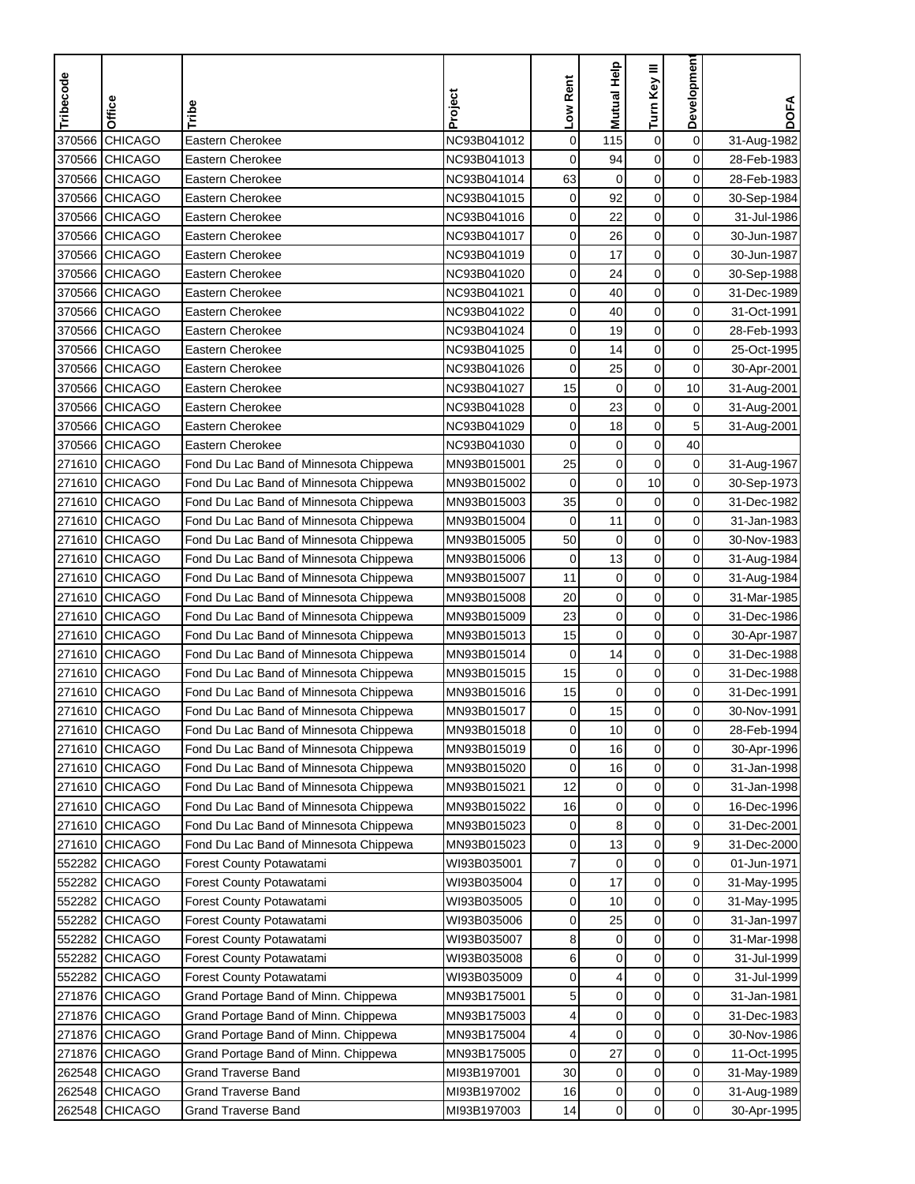| Tribecode | Office         | Tribe                                  | Project     | Low Rent    | Mutual Help      | Turn Key III        | Developmen     | <b>DOFA</b> |
|-----------|----------------|----------------------------------------|-------------|-------------|------------------|---------------------|----------------|-------------|
|           |                |                                        |             |             |                  |                     |                |             |
| 370566    | <b>CHICAGO</b> | Eastern Cherokee                       | NC93B041012 | $\mathbf 0$ | 115              | $\boldsymbol{0}$    | $\mathbf 0$    | 31-Aug-1982 |
| 370566    | <b>CHICAGO</b> | Eastern Cherokee                       | NC93B041013 | $\mathbf 0$ | 94               | $\mathbf 0$         | 0              | 28-Feb-1983 |
| 370566    | <b>CHICAGO</b> | Eastern Cherokee                       | NC93B041014 | 63          | $\mathbf 0$      | $\mathbf 0$         | $\mathbf 0$    | 28-Feb-1983 |
| 370566    | <b>CHICAGO</b> | Eastern Cherokee                       | NC93B041015 | 0           | 92               | $\mathbf 0$         | 0              | 30-Sep-1984 |
| 370566    | <b>CHICAGO</b> | Eastern Cherokee                       | NC93B041016 | 0           | 22               | $\boldsymbol{0}$    | 0              | 31-Jul-1986 |
| 370566    | <b>CHICAGO</b> | Eastern Cherokee                       | NC93B041017 | 0           | 26               | $\mathbf 0$         | 0              | 30-Jun-1987 |
|           | 370566 CHICAGO | Eastern Cherokee                       | NC93B041019 | 0           | 17               | $\mathbf 0$         | 0              | 30-Jun-1987 |
| 370566    | <b>CHICAGO</b> | Eastern Cherokee                       | NC93B041020 | 0           | 24               | 0                   | 0              | 30-Sep-1988 |
| 370566    | <b>CHICAGO</b> | Eastern Cherokee                       | NC93B041021 | 0           | 40               | 0                   | 0              | 31-Dec-1989 |
| 370566    | <b>CHICAGO</b> | Eastern Cherokee                       | NC93B041022 | 0           | 40               | $\mathbf 0$         | 0              | 31-Oct-1991 |
|           | 370566 CHICAGO | Eastern Cherokee                       | NC93B041024 | 0           | 19               | $\mathbf 0$         | 0              | 28-Feb-1993 |
|           | 370566 CHICAGO | Eastern Cherokee                       | NC93B041025 | 0           | 14               | $\mathbf 0$         | 0              | 25-Oct-1995 |
|           | 370566 CHICAGO | Eastern Cherokee                       | NC93B041026 | 0           | 25               | $\mathbf 0$         | 0              | 30-Apr-2001 |
|           | 370566 CHICAGO | Eastern Cherokee                       | NC93B041027 | 15          | $\boldsymbol{0}$ | $\mathsf{O}\xspace$ | 10             | 31-Aug-2001 |
|           | 370566 CHICAGO | Eastern Cherokee                       | NC93B041028 | 0           | 23               | $\mathbf 0$         | 0              | 31-Aug-2001 |
|           | 370566 CHICAGO | Eastern Cherokee                       | NC93B041029 | 0           | 18               | $\mathbf 0$         | 5              | 31-Aug-2001 |
|           | 370566 CHICAGO | Eastern Cherokee                       | NC93B041030 | 0           | $\mathbf 0$      | $\mathbf 0$         | 40             |             |
|           | 271610 CHICAGO | Fond Du Lac Band of Minnesota Chippewa | MN93B015001 | 25          | $\boldsymbol{0}$ | $\mathbf 0$         | $\mathbf 0$    | 31-Aug-1967 |
| 271610    | <b>CHICAGO</b> | Fond Du Lac Band of Minnesota Chippewa | MN93B015002 | $\mathbf 0$ | $\mathbf 0$      | 10                  | $\mathbf 0$    | 30-Sep-1973 |
| 271610    | <b>CHICAGO</b> | Fond Du Lac Band of Minnesota Chippewa | MN93B015003 | 35          | $\mathbf 0$      | $\mathbf 0$         | 0              | 31-Dec-1982 |
| 271610    | <b>CHICAGO</b> | Fond Du Lac Band of Minnesota Chippewa | MN93B015004 | $\mathbf 0$ | 11               | $\mathbf 0$         | 0              | 31-Jan-1983 |
| 271610    | <b>CHICAGO</b> | Fond Du Lac Band of Minnesota Chippewa | MN93B015005 | 50          | $\mathbf 0$      | $\boldsymbol{0}$    | 0              | 30-Nov-1983 |
| 271610    | <b>CHICAGO</b> | Fond Du Lac Band of Minnesota Chippewa | MN93B015006 | $\mathbf 0$ | 13               | $\mathbf 0$         | $\mathbf 0$    | 31-Aug-1984 |
| 271610    | <b>CHICAGO</b> | Fond Du Lac Band of Minnesota Chippewa | MN93B015007 | 11          | $\mathbf 0$      | $\mathbf 0$         | 0              | 31-Aug-1984 |
| 271610    | <b>CHICAGO</b> | Fond Du Lac Band of Minnesota Chippewa | MN93B015008 | 20          | 0                | 0                   | 0              | 31-Mar-1985 |
| 271610    | <b>CHICAGO</b> | Fond Du Lac Band of Minnesota Chippewa | MN93B015009 | 23          | 0                | $\mathbf 0$         | 0              | 31-Dec-1986 |
| 271610    | <b>CHICAGO</b> | Fond Du Lac Band of Minnesota Chippewa | MN93B015013 | 15          | $\mathbf 0$      | $\mathbf 0$         | 0              | 30-Apr-1987 |
| 271610    | <b>CHICAGO</b> | Fond Du Lac Band of Minnesota Chippewa | MN93B015014 | 0           | 14               | $\mathbf 0$         | 0              | 31-Dec-1988 |
| 271610    | <b>CHICAGO</b> | Fond Du Lac Band of Minnesota Chippewa | MN93B015015 | 15          | $\pmb{0}$        | $\mathbf 0$         | 0              | 31-Dec-1988 |
| 271610    | <b>CHICAGO</b> | Fond Du Lac Band of Minnesota Chippewa | MN93B015016 | 15          | $\mathbf 0$      | $\boldsymbol{0}$    | $\mathbf 0$    | 31-Dec-1991 |
| 271610    | <b>CHICAGO</b> | Fond Du Lac Band of Minnesota Chippewa | MN93B015017 | 0           | 15               | $\mathbf 0$         | 0              | 30-Nov-1991 |
|           | 271610 CHICAGO | Fond Du Lac Band of Minnesota Chippewa | MN93B015018 | 0           | 10               | $\mathbf 0$         | 0              | 28-Feb-1994 |
|           | 271610 CHICAGO | Fond Du Lac Band of Minnesota Chippewa | MN93B015019 | 0           | 16               | $\mathbf 0$         | $\mathbf 0$    | 30-Apr-1996 |
|           | 271610 CHICAGO | Fond Du Lac Band of Minnesota Chippewa | MN93B015020 | 0           | 16               | 0                   | 0              | 31-Jan-1998 |
|           | 271610 CHICAGO | Fond Du Lac Band of Minnesota Chippewa | MN93B015021 | 12          | $\pmb{0}$        | $\pmb{0}$           | 0              | 31-Jan-1998 |
|           | 271610 CHICAGO | Fond Du Lac Band of Minnesota Chippewa | MN93B015022 | 16          | 0                | 0                   | $\overline{0}$ | 16-Dec-1996 |
|           | 271610 CHICAGO | Fond Du Lac Band of Minnesota Chippewa | MN93B015023 | 0           | 8                | 0                   | 0              | 31-Dec-2001 |
|           | 271610 CHICAGO | Fond Du Lac Band of Minnesota Chippewa | MN93B015023 | 0           | 13               | 0                   | 9              | 31-Dec-2000 |
|           | 552282 CHICAGO | Forest County Potawatami               | WI93B035001 | 7           | 0                | $\mathbf 0$         | $\overline{0}$ | 01-Jun-1971 |
|           | 552282 CHICAGO | Forest County Potawatami               | WI93B035004 | 0           | 17               | 0                   | $\overline{0}$ | 31-May-1995 |
|           | 552282 CHICAGO | Forest County Potawatami               | WI93B035005 | 0           | 10               | $\pmb{0}$           | 0              | 31-May-1995 |
|           | 552282 CHICAGO | Forest County Potawatami               | WI93B035006 | 0           | 25               | $\boldsymbol{0}$    | $\mathbf 0$    | 31-Jan-1997 |
|           | 552282 CHICAGO | Forest County Potawatami               | WI93B035007 | 8           | $\mathbf 0$      | $\boldsymbol{0}$    | 0              | 31-Mar-1998 |
|           | 552282 CHICAGO | Forest County Potawatami               | WI93B035008 | 6           | $\mathbf 0$      | $\mathbf 0$         | 0              | 31-Jul-1999 |
|           | 552282 CHICAGO | <b>Forest County Potawatami</b>        | WI93B035009 | 0           | 4                | $\mathbf 0$         | 0              | 31-Jul-1999 |
|           | 271876 CHICAGO | Grand Portage Band of Minn. Chippewa   | MN93B175001 | 5           | $\mathbf 0$      | 0                   | 0              | 31-Jan-1981 |
|           | 271876 CHICAGO | Grand Portage Band of Minn. Chippewa   | MN93B175003 | 4           | $\mathbf 0$      | $\boldsymbol{0}$    | 0              | 31-Dec-1983 |
|           | 271876 CHICAGO | Grand Portage Band of Minn. Chippewa   | MN93B175004 | 4           | $\mathbf 0$      | $\mathbf 0$         | 0              | 30-Nov-1986 |
|           | 271876 CHICAGO | Grand Portage Band of Minn. Chippewa   | MN93B175005 | 0           | 27               | $\boldsymbol{0}$    | 0              | 11-Oct-1995 |
|           | 262548 CHICAGO | <b>Grand Traverse Band</b>             | MI93B197001 | 30          | $\mathbf 0$      | 0                   | 0              | 31-May-1989 |
|           | 262548 CHICAGO | <b>Grand Traverse Band</b>             | MI93B197002 | 16          | 0                | $\pmb{0}$           | $\mathbf 0$    | 31-Aug-1989 |
|           | 262548 CHICAGO | <b>Grand Traverse Band</b>             | MI93B197003 | 14          | $\pmb{0}$        | $\mathbf 0$         | $\overline{0}$ | 30-Apr-1995 |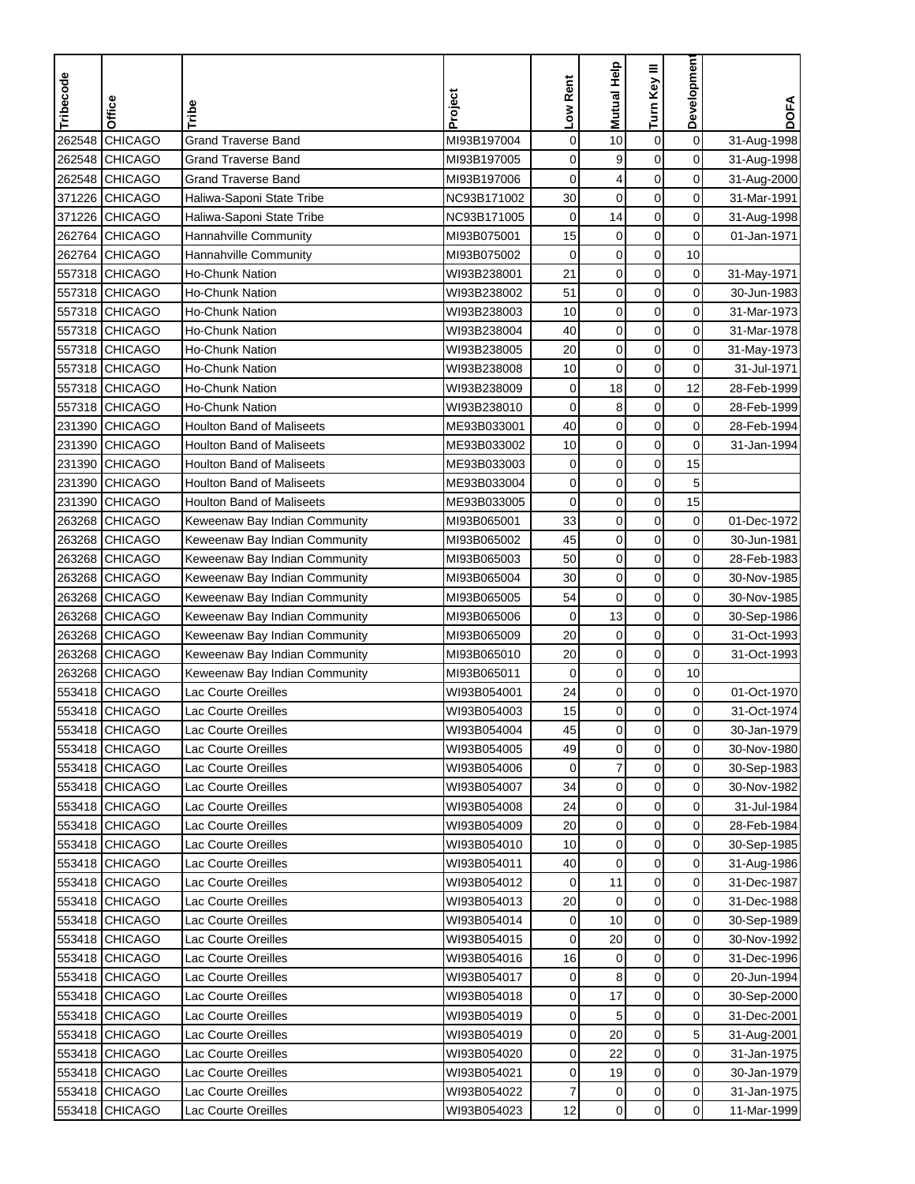| $\mathbf 0$<br><b>CHICAGO</b><br><b>Grand Traverse Band</b><br>$\mathbf 0$<br>10<br>$\boldsymbol{0}$<br>262548<br>MI93B197004<br>31-Aug-1998<br>$\mathbf 0$<br><b>CHICAGO</b><br><b>Grand Traverse Band</b><br>$\mathbf 0$<br>9<br>$\mathbf 0$<br>262548<br>MI93B197005<br>31-Aug-1998<br>262548 CHICAGO<br>$\mathbf 0$<br>0<br>Grand Traverse Band<br>MI93B197006<br>0<br>4<br>31-Aug-2000<br>Haliwa-Saponi State Tribe<br>30<br>$\mathbf 0$<br>$\mathbf 0$<br>0<br>371226 CHICAGO<br>NC93B171002<br>31-Mar-1991<br>14<br>$\boldsymbol{0}$<br>371226<br><b>CHICAGO</b><br>$\mathbf 0$<br>0<br>Haliwa-Saponi State Tribe<br>NC93B171005<br>31-Aug-1998<br><b>CHICAGO</b><br>15<br>$\mathbf 0$<br>$\mathbf 0$<br>0<br>262764<br>Hannahville Community<br>MI93B075001<br>01-Jan-1971<br>$\mathbf 0$<br>$\mathbf 0$<br>262764 CHICAGO<br>Hannahville Community<br>0<br>10<br>MI93B075002<br>557318 CHICAGO<br>21<br>$\mathbf 0$<br>0<br>0<br>Ho-Chunk Nation<br>WI93B238001<br>31-May-1971<br>0<br>557318 CHICAGO<br>51<br>$\mathbf 0$<br>0<br>Ho-Chunk Nation<br>WI93B238002<br>30-Jun-1983<br>$\mathbf 0$<br>0<br>557318 CHICAGO<br>Ho-Chunk Nation<br>WI93B238003<br>10<br>$\mathbf 0$<br>31-Mar-1973<br>557318 CHICAGO<br>$\mathbf 0$<br>$\mathbf 0$<br>0<br><b>Ho-Chunk Nation</b><br>WI93B238004<br>40<br>31-Mar-1978<br>557318 CHICAGO<br>20<br>$\mathbf 0$<br>$\mathbf 0$<br>0<br><b>Ho-Chunk Nation</b><br>WI93B238005<br>31-May-1973<br>$\mathbf 0$<br>557318 CHICAGO<br>0<br>0<br>Ho-Chunk Nation<br>WI93B238008<br>10<br>31-Jul-1971<br>$\mathbf 0$<br>18<br>557318 CHICAGO<br>$\mathbf 0$<br>12<br>Ho-Chunk Nation<br>WI93B238009<br>28-Feb-1999<br>8<br>$\mathbf 0$<br>0<br>557318 CHICAGO<br>Ho-Chunk Nation<br>0<br>28-Feb-1999<br>WI93B238010<br>$\boldsymbol{0}$<br>$\mathbf 0$<br>231390 CHICAGO<br>40<br>0<br>Houlton Band of Maliseets<br>ME93B033001<br>28-Feb-1994<br>$\mathbf 0$<br>$\mathbf 0$<br>0<br>231390<br><b>CHICAGO</b><br>ME93B033002<br>10<br><b>Houlton Band of Maliseets</b><br>31-Jan-1994<br>$\pmb{0}$<br>231390 CHICAGO<br>$\mathbf 0$<br><b>Houlton Band of Maliseets</b><br>ME93B033003<br>$\mathbf 0$<br>15<br>231390 CHICAGO<br><b>Houlton Band of Maliseets</b><br>ME93B033004<br>$\mathbf 0$<br>$\mathbf 0$<br>$\mathbf 0$<br>5<br>15<br>$\mathbf 0$<br>$\mathbf 0$<br>231390 CHICAGO<br><b>Houlton Band of Maliseets</b><br>ME93B033005<br>0<br>33<br>$\mathbf 0$<br>0<br>263268 CHICAGO<br>$\mathbf 0$<br>Keweenaw Bay Indian Community<br>MI93B065001<br>01-Dec-1972<br>45<br>$\mathbf 0$<br>$\pmb{0}$<br>0<br>263268<br><b>CHICAGO</b><br>Keweenaw Bay Indian Community<br>MI93B065002<br>30-Jun-1981<br>50<br>$\mathbf 0$<br>$\mathbf 0$<br>0<br>263268<br><b>CHICAGO</b><br>MI93B065003<br>28-Feb-1983<br>Keweenaw Bay Indian Community<br>$\mathbf 0$<br>30<br>$\mathbf 0$<br>0<br>263268 CHICAGO<br>Keweenaw Bay Indian Community<br>MI93B065004<br>30-Nov-1985<br>0<br>54<br>0<br>0<br>263268 CHICAGO<br>Keweenaw Bay Indian Community<br>MI93B065005<br>30-Nov-1985<br>0<br>0<br>263268<br><b>CHICAGO</b><br>MI93B065006<br>$\mathbf 0$<br>13<br>Keweenaw Bay Indian Community<br>30-Sep-1986<br>0<br>263268 CHICAGO<br>20<br>$\mathbf 0$<br>$\mathbf 0$<br>MI93B065009<br>31-Oct-1993<br>Keweenaw Bay Indian Community<br>263268 CHICAGO<br>$\mathbf 0$<br>$\mathbf 0$<br>0<br>Keweenaw Bay Indian Community<br>MI93B065010<br>20<br>31-Oct-1993<br>$\mathbf 0$<br>0<br>10<br>263268 CHICAGO<br>Keweenaw Bay Indian Community<br>MI93B065011<br>0<br>24<br>$\mathbf 0$<br>$\pmb{0}$<br>553418<br><b>CHICAGO</b><br>0<br>01-Oct-1970<br>Lac Courte Oreilles<br>WI93B054001<br>553418 CHICAGO<br>15<br>$\mathbf 0$<br>$\mathbf 0$<br>0<br>WI93B054003<br>31-Oct-1974<br>Lac Courte Oreilles<br>553418 CHICAGO<br>Lac Courte Oreilles<br>WI93B054004<br>45<br>0<br>0<br>0<br>30-Jan-1979<br>$\mathbf 0$<br>$\mathbf 0$<br>$\mathbf 0$<br>49<br>553418 CHICAGO<br>WI93B054005<br>30-Nov-1980<br>Lac Courte Oreilles<br>7<br>$\mathbf 0$<br>0<br>553418 CHICAGO<br>Lac Courte Oreilles<br>WI93B054006<br>0<br>30-Sep-1983<br>$\pmb{0}$<br>$\pmb{0}$<br>$\mathbf 0$<br>553418 CHICAGO<br>WI93B054007<br>34<br>Lac Courte Oreilles<br>30-Nov-1982<br>553418 CHICAGO<br>WI93B054008<br>0<br>0<br>$\overline{0}$<br>Lac Courte Oreilles<br>24<br>31-Jul-1984<br>0<br>0<br>$\overline{0}$<br>553418 CHICAGO<br>WI93B054009<br>20<br>Lac Courte Oreilles<br>28-Feb-1984<br>$\pmb{0}$<br>$\overline{0}$<br>553418 CHICAGO<br>Lac Courte Oreilles<br>WI93B054010<br>10<br>0<br>30-Sep-1985<br>$\pmb{0}$<br>$\pmb{0}$<br>$\overline{0}$<br>553418 CHICAGO<br>Lac Courte Oreilles<br>WI93B054011<br>40<br>31-Aug-1986<br>0<br>$\overline{0}$<br>553418 CHICAGO<br>Lac Courte Oreilles<br>11<br>31-Dec-1987<br>WI93B054012<br>0<br>$\mathbf 0$<br>0<br>0<br>553418 CHICAGO<br>Lac Courte Oreilles<br>WI93B054013<br>20<br>31-Dec-1988<br>$\pmb{0}$<br>$\mathbf 0$<br>553418 CHICAGO<br>WI93B054014<br>10<br>Lac Courte Oreilles<br>0<br>30-Sep-1989<br>$\pmb{0}$<br>$\mathbf 0$<br>553418 CHICAGO<br>WI93B054015<br>$\mathbf 0$<br>20<br>Lac Courte Oreilles<br>30-Nov-1992<br>$\mathbf 0$<br>$\overline{0}$<br>553418 CHICAGO<br>WI93B054016<br>16<br>0<br>Lac Courte Oreilles<br>31-Dec-1996<br>553418 CHICAGO<br>8<br>0<br>0<br>Lac Courte Oreilles<br>WI93B054017<br>0<br>20-Jun-1994<br>17<br>0<br>$\overline{0}$<br>553418 CHICAGO<br>Lac Courte Oreilles<br>WI93B054018<br>0<br>30-Sep-2000<br>$\pmb{0}$<br>0<br>553418 CHICAGO<br>Lac Courte Oreilles<br>WI93B054019<br>0<br>5<br>31-Dec-2001<br>0<br>5 <sup>1</sup><br>553418 CHICAGO<br>Lac Courte Oreilles<br>0<br>20<br>WI93B054019<br>31-Aug-2001<br>$\pmb{0}$<br>$\mathbf 0$<br>553418 CHICAGO<br>Lac Courte Oreilles<br>WI93B054020<br>0<br>22<br>31-Jan-1975<br>0<br>0<br>553418 CHICAGO<br>Lac Courte Oreilles<br>WI93B054021<br>0<br>19<br>30-Jan-1979<br>$\pmb{0}$<br>$\mathbf 0$<br>553418 CHICAGO<br>Lac Courte Oreilles<br>WI93B054022<br>31-Jan-1975<br>7<br>0<br>$\mathbf 0$<br>553418 CHICAGO | Tribecode | Office | Tribe               | Project     | Low Rent | <b>Mutual Help</b> | Turn Key III | <b>Developmen</b> | <b>DOFA</b> |
|--------------------------------------------------------------------------------------------------------------------------------------------------------------------------------------------------------------------------------------------------------------------------------------------------------------------------------------------------------------------------------------------------------------------------------------------------------------------------------------------------------------------------------------------------------------------------------------------------------------------------------------------------------------------------------------------------------------------------------------------------------------------------------------------------------------------------------------------------------------------------------------------------------------------------------------------------------------------------------------------------------------------------------------------------------------------------------------------------------------------------------------------------------------------------------------------------------------------------------------------------------------------------------------------------------------------------------------------------------------------------------------------------------------------------------------------------------------------------------------------------------------------------------------------------------------------------------------------------------------------------------------------------------------------------------------------------------------------------------------------------------------------------------------------------------------------------------------------------------------------------------------------------------------------------------------------------------------------------------------------------------------------------------------------------------------------------------------------------------------------------------------------------------------------------------------------------------------------------------------------------------------------------------------------------------------------------------------------------------------------------------------------------------------------------------------------------------------------------------------------------------------------------------------------------------------------------------------------------------------------------------------------------------------------------------------------------------------------------------------------------------------------------------------------------------------------------------------------------------------------------------------------------------------------------------------------------------------------------------------------------------------------------------------------------------------------------------------------------------------------------------------------------------------------------------------------------------------------------------------------------------------------------------------------------------------------------------------------------------------------------------------------------------------------------------------------------------------------------------------------------------------------------------------------------------------------------------------------------------------------------------------------------------------------------------------------------------------------------------------------------------------------------------------------------------------------------------------------------------------------------------------------------------------------------------------------------------------------------------------------------------------------------------------------------------------------------------------------------------------------------------------------------------------------------------------------------------------------------------------------------------------------------------------------------------------------------------------------------------------------------------------------------------------------------------------------------------------------------------------------------------------------------------------------------------------------------------------------------------------------------------------------------------------------------------------------------------------------------------------------------------------------------------------------------------------------------------------------------------------------------------------------------------------------------------------------------------------------------------------------------------------------------------------------------------------------------------------------------------------------------------------------------------------------------------------------------------------------------------------------------------------------------------------------------------------------------------------------------------------------------------------------------------------------------------------------------------------------------------------------------------------------------------------------------------------------------------------------------------------------------------------------------------------------------------------------------------------------------------------------------------------------------------------------------------------------------------------------------------------------------------------------------------------------------------------------------------------------------------------------------------------|-----------|--------|---------------------|-------------|----------|--------------------|--------------|-------------------|-------------|
|                                                                                                                                                                                                                                                                                                                                                                                                                                                                                                                                                                                                                                                                                                                                                                                                                                                                                                                                                                                                                                                                                                                                                                                                                                                                                                                                                                                                                                                                                                                                                                                                                                                                                                                                                                                                                                                                                                                                                                                                                                                                                                                                                                                                                                                                                                                                                                                                                                                                                                                                                                                                                                                                                                                                                                                                                                                                                                                                                                                                                                                                                                                                                                                                                                                                                                                                                                                                                                                                                                                                                                                                                                                                                                                                                                                                                                                                                                                                                                                                                                                                                                                                                                                                                                                                                                                                                                                                                                                                                                                                                                                                                                                                                                                                                                                                                                                                                                                                                                                                                                                                                                                                                                                                                                                                                                                                                                                                                                                                                                                                                                                                                                                                                                                                                                                                                                                                                                                                                                                                              |           |        |                     |             |          |                    |              |                   |             |
|                                                                                                                                                                                                                                                                                                                                                                                                                                                                                                                                                                                                                                                                                                                                                                                                                                                                                                                                                                                                                                                                                                                                                                                                                                                                                                                                                                                                                                                                                                                                                                                                                                                                                                                                                                                                                                                                                                                                                                                                                                                                                                                                                                                                                                                                                                                                                                                                                                                                                                                                                                                                                                                                                                                                                                                                                                                                                                                                                                                                                                                                                                                                                                                                                                                                                                                                                                                                                                                                                                                                                                                                                                                                                                                                                                                                                                                                                                                                                                                                                                                                                                                                                                                                                                                                                                                                                                                                                                                                                                                                                                                                                                                                                                                                                                                                                                                                                                                                                                                                                                                                                                                                                                                                                                                                                                                                                                                                                                                                                                                                                                                                                                                                                                                                                                                                                                                                                                                                                                                                              |           |        |                     |             |          |                    |              |                   |             |
|                                                                                                                                                                                                                                                                                                                                                                                                                                                                                                                                                                                                                                                                                                                                                                                                                                                                                                                                                                                                                                                                                                                                                                                                                                                                                                                                                                                                                                                                                                                                                                                                                                                                                                                                                                                                                                                                                                                                                                                                                                                                                                                                                                                                                                                                                                                                                                                                                                                                                                                                                                                                                                                                                                                                                                                                                                                                                                                                                                                                                                                                                                                                                                                                                                                                                                                                                                                                                                                                                                                                                                                                                                                                                                                                                                                                                                                                                                                                                                                                                                                                                                                                                                                                                                                                                                                                                                                                                                                                                                                                                                                                                                                                                                                                                                                                                                                                                                                                                                                                                                                                                                                                                                                                                                                                                                                                                                                                                                                                                                                                                                                                                                                                                                                                                                                                                                                                                                                                                                                                              |           |        |                     |             |          |                    |              |                   |             |
|                                                                                                                                                                                                                                                                                                                                                                                                                                                                                                                                                                                                                                                                                                                                                                                                                                                                                                                                                                                                                                                                                                                                                                                                                                                                                                                                                                                                                                                                                                                                                                                                                                                                                                                                                                                                                                                                                                                                                                                                                                                                                                                                                                                                                                                                                                                                                                                                                                                                                                                                                                                                                                                                                                                                                                                                                                                                                                                                                                                                                                                                                                                                                                                                                                                                                                                                                                                                                                                                                                                                                                                                                                                                                                                                                                                                                                                                                                                                                                                                                                                                                                                                                                                                                                                                                                                                                                                                                                                                                                                                                                                                                                                                                                                                                                                                                                                                                                                                                                                                                                                                                                                                                                                                                                                                                                                                                                                                                                                                                                                                                                                                                                                                                                                                                                                                                                                                                                                                                                                                              |           |        |                     |             |          |                    |              |                   |             |
|                                                                                                                                                                                                                                                                                                                                                                                                                                                                                                                                                                                                                                                                                                                                                                                                                                                                                                                                                                                                                                                                                                                                                                                                                                                                                                                                                                                                                                                                                                                                                                                                                                                                                                                                                                                                                                                                                                                                                                                                                                                                                                                                                                                                                                                                                                                                                                                                                                                                                                                                                                                                                                                                                                                                                                                                                                                                                                                                                                                                                                                                                                                                                                                                                                                                                                                                                                                                                                                                                                                                                                                                                                                                                                                                                                                                                                                                                                                                                                                                                                                                                                                                                                                                                                                                                                                                                                                                                                                                                                                                                                                                                                                                                                                                                                                                                                                                                                                                                                                                                                                                                                                                                                                                                                                                                                                                                                                                                                                                                                                                                                                                                                                                                                                                                                                                                                                                                                                                                                                                              |           |        |                     |             |          |                    |              |                   |             |
|                                                                                                                                                                                                                                                                                                                                                                                                                                                                                                                                                                                                                                                                                                                                                                                                                                                                                                                                                                                                                                                                                                                                                                                                                                                                                                                                                                                                                                                                                                                                                                                                                                                                                                                                                                                                                                                                                                                                                                                                                                                                                                                                                                                                                                                                                                                                                                                                                                                                                                                                                                                                                                                                                                                                                                                                                                                                                                                                                                                                                                                                                                                                                                                                                                                                                                                                                                                                                                                                                                                                                                                                                                                                                                                                                                                                                                                                                                                                                                                                                                                                                                                                                                                                                                                                                                                                                                                                                                                                                                                                                                                                                                                                                                                                                                                                                                                                                                                                                                                                                                                                                                                                                                                                                                                                                                                                                                                                                                                                                                                                                                                                                                                                                                                                                                                                                                                                                                                                                                                                              |           |        |                     |             |          |                    |              |                   |             |
|                                                                                                                                                                                                                                                                                                                                                                                                                                                                                                                                                                                                                                                                                                                                                                                                                                                                                                                                                                                                                                                                                                                                                                                                                                                                                                                                                                                                                                                                                                                                                                                                                                                                                                                                                                                                                                                                                                                                                                                                                                                                                                                                                                                                                                                                                                                                                                                                                                                                                                                                                                                                                                                                                                                                                                                                                                                                                                                                                                                                                                                                                                                                                                                                                                                                                                                                                                                                                                                                                                                                                                                                                                                                                                                                                                                                                                                                                                                                                                                                                                                                                                                                                                                                                                                                                                                                                                                                                                                                                                                                                                                                                                                                                                                                                                                                                                                                                                                                                                                                                                                                                                                                                                                                                                                                                                                                                                                                                                                                                                                                                                                                                                                                                                                                                                                                                                                                                                                                                                                                              |           |        |                     |             |          |                    |              |                   |             |
|                                                                                                                                                                                                                                                                                                                                                                                                                                                                                                                                                                                                                                                                                                                                                                                                                                                                                                                                                                                                                                                                                                                                                                                                                                                                                                                                                                                                                                                                                                                                                                                                                                                                                                                                                                                                                                                                                                                                                                                                                                                                                                                                                                                                                                                                                                                                                                                                                                                                                                                                                                                                                                                                                                                                                                                                                                                                                                                                                                                                                                                                                                                                                                                                                                                                                                                                                                                                                                                                                                                                                                                                                                                                                                                                                                                                                                                                                                                                                                                                                                                                                                                                                                                                                                                                                                                                                                                                                                                                                                                                                                                                                                                                                                                                                                                                                                                                                                                                                                                                                                                                                                                                                                                                                                                                                                                                                                                                                                                                                                                                                                                                                                                                                                                                                                                                                                                                                                                                                                                                              |           |        |                     |             |          |                    |              |                   |             |
|                                                                                                                                                                                                                                                                                                                                                                                                                                                                                                                                                                                                                                                                                                                                                                                                                                                                                                                                                                                                                                                                                                                                                                                                                                                                                                                                                                                                                                                                                                                                                                                                                                                                                                                                                                                                                                                                                                                                                                                                                                                                                                                                                                                                                                                                                                                                                                                                                                                                                                                                                                                                                                                                                                                                                                                                                                                                                                                                                                                                                                                                                                                                                                                                                                                                                                                                                                                                                                                                                                                                                                                                                                                                                                                                                                                                                                                                                                                                                                                                                                                                                                                                                                                                                                                                                                                                                                                                                                                                                                                                                                                                                                                                                                                                                                                                                                                                                                                                                                                                                                                                                                                                                                                                                                                                                                                                                                                                                                                                                                                                                                                                                                                                                                                                                                                                                                                                                                                                                                                                              |           |        |                     |             |          |                    |              |                   |             |
|                                                                                                                                                                                                                                                                                                                                                                                                                                                                                                                                                                                                                                                                                                                                                                                                                                                                                                                                                                                                                                                                                                                                                                                                                                                                                                                                                                                                                                                                                                                                                                                                                                                                                                                                                                                                                                                                                                                                                                                                                                                                                                                                                                                                                                                                                                                                                                                                                                                                                                                                                                                                                                                                                                                                                                                                                                                                                                                                                                                                                                                                                                                                                                                                                                                                                                                                                                                                                                                                                                                                                                                                                                                                                                                                                                                                                                                                                                                                                                                                                                                                                                                                                                                                                                                                                                                                                                                                                                                                                                                                                                                                                                                                                                                                                                                                                                                                                                                                                                                                                                                                                                                                                                                                                                                                                                                                                                                                                                                                                                                                                                                                                                                                                                                                                                                                                                                                                                                                                                                                              |           |        |                     |             |          |                    |              |                   |             |
|                                                                                                                                                                                                                                                                                                                                                                                                                                                                                                                                                                                                                                                                                                                                                                                                                                                                                                                                                                                                                                                                                                                                                                                                                                                                                                                                                                                                                                                                                                                                                                                                                                                                                                                                                                                                                                                                                                                                                                                                                                                                                                                                                                                                                                                                                                                                                                                                                                                                                                                                                                                                                                                                                                                                                                                                                                                                                                                                                                                                                                                                                                                                                                                                                                                                                                                                                                                                                                                                                                                                                                                                                                                                                                                                                                                                                                                                                                                                                                                                                                                                                                                                                                                                                                                                                                                                                                                                                                                                                                                                                                                                                                                                                                                                                                                                                                                                                                                                                                                                                                                                                                                                                                                                                                                                                                                                                                                                                                                                                                                                                                                                                                                                                                                                                                                                                                                                                                                                                                                                              |           |        |                     |             |          |                    |              |                   |             |
|                                                                                                                                                                                                                                                                                                                                                                                                                                                                                                                                                                                                                                                                                                                                                                                                                                                                                                                                                                                                                                                                                                                                                                                                                                                                                                                                                                                                                                                                                                                                                                                                                                                                                                                                                                                                                                                                                                                                                                                                                                                                                                                                                                                                                                                                                                                                                                                                                                                                                                                                                                                                                                                                                                                                                                                                                                                                                                                                                                                                                                                                                                                                                                                                                                                                                                                                                                                                                                                                                                                                                                                                                                                                                                                                                                                                                                                                                                                                                                                                                                                                                                                                                                                                                                                                                                                                                                                                                                                                                                                                                                                                                                                                                                                                                                                                                                                                                                                                                                                                                                                                                                                                                                                                                                                                                                                                                                                                                                                                                                                                                                                                                                                                                                                                                                                                                                                                                                                                                                                                              |           |        |                     |             |          |                    |              |                   |             |
|                                                                                                                                                                                                                                                                                                                                                                                                                                                                                                                                                                                                                                                                                                                                                                                                                                                                                                                                                                                                                                                                                                                                                                                                                                                                                                                                                                                                                                                                                                                                                                                                                                                                                                                                                                                                                                                                                                                                                                                                                                                                                                                                                                                                                                                                                                                                                                                                                                                                                                                                                                                                                                                                                                                                                                                                                                                                                                                                                                                                                                                                                                                                                                                                                                                                                                                                                                                                                                                                                                                                                                                                                                                                                                                                                                                                                                                                                                                                                                                                                                                                                                                                                                                                                                                                                                                                                                                                                                                                                                                                                                                                                                                                                                                                                                                                                                                                                                                                                                                                                                                                                                                                                                                                                                                                                                                                                                                                                                                                                                                                                                                                                                                                                                                                                                                                                                                                                                                                                                                                              |           |        |                     |             |          |                    |              |                   |             |
|                                                                                                                                                                                                                                                                                                                                                                                                                                                                                                                                                                                                                                                                                                                                                                                                                                                                                                                                                                                                                                                                                                                                                                                                                                                                                                                                                                                                                                                                                                                                                                                                                                                                                                                                                                                                                                                                                                                                                                                                                                                                                                                                                                                                                                                                                                                                                                                                                                                                                                                                                                                                                                                                                                                                                                                                                                                                                                                                                                                                                                                                                                                                                                                                                                                                                                                                                                                                                                                                                                                                                                                                                                                                                                                                                                                                                                                                                                                                                                                                                                                                                                                                                                                                                                                                                                                                                                                                                                                                                                                                                                                                                                                                                                                                                                                                                                                                                                                                                                                                                                                                                                                                                                                                                                                                                                                                                                                                                                                                                                                                                                                                                                                                                                                                                                                                                                                                                                                                                                                                              |           |        |                     |             |          |                    |              |                   |             |
|                                                                                                                                                                                                                                                                                                                                                                                                                                                                                                                                                                                                                                                                                                                                                                                                                                                                                                                                                                                                                                                                                                                                                                                                                                                                                                                                                                                                                                                                                                                                                                                                                                                                                                                                                                                                                                                                                                                                                                                                                                                                                                                                                                                                                                                                                                                                                                                                                                                                                                                                                                                                                                                                                                                                                                                                                                                                                                                                                                                                                                                                                                                                                                                                                                                                                                                                                                                                                                                                                                                                                                                                                                                                                                                                                                                                                                                                                                                                                                                                                                                                                                                                                                                                                                                                                                                                                                                                                                                                                                                                                                                                                                                                                                                                                                                                                                                                                                                                                                                                                                                                                                                                                                                                                                                                                                                                                                                                                                                                                                                                                                                                                                                                                                                                                                                                                                                                                                                                                                                                              |           |        |                     |             |          |                    |              |                   |             |
|                                                                                                                                                                                                                                                                                                                                                                                                                                                                                                                                                                                                                                                                                                                                                                                                                                                                                                                                                                                                                                                                                                                                                                                                                                                                                                                                                                                                                                                                                                                                                                                                                                                                                                                                                                                                                                                                                                                                                                                                                                                                                                                                                                                                                                                                                                                                                                                                                                                                                                                                                                                                                                                                                                                                                                                                                                                                                                                                                                                                                                                                                                                                                                                                                                                                                                                                                                                                                                                                                                                                                                                                                                                                                                                                                                                                                                                                                                                                                                                                                                                                                                                                                                                                                                                                                                                                                                                                                                                                                                                                                                                                                                                                                                                                                                                                                                                                                                                                                                                                                                                                                                                                                                                                                                                                                                                                                                                                                                                                                                                                                                                                                                                                                                                                                                                                                                                                                                                                                                                                              |           |        |                     |             |          |                    |              |                   |             |
|                                                                                                                                                                                                                                                                                                                                                                                                                                                                                                                                                                                                                                                                                                                                                                                                                                                                                                                                                                                                                                                                                                                                                                                                                                                                                                                                                                                                                                                                                                                                                                                                                                                                                                                                                                                                                                                                                                                                                                                                                                                                                                                                                                                                                                                                                                                                                                                                                                                                                                                                                                                                                                                                                                                                                                                                                                                                                                                                                                                                                                                                                                                                                                                                                                                                                                                                                                                                                                                                                                                                                                                                                                                                                                                                                                                                                                                                                                                                                                                                                                                                                                                                                                                                                                                                                                                                                                                                                                                                                                                                                                                                                                                                                                                                                                                                                                                                                                                                                                                                                                                                                                                                                                                                                                                                                                                                                                                                                                                                                                                                                                                                                                                                                                                                                                                                                                                                                                                                                                                                              |           |        |                     |             |          |                    |              |                   |             |
|                                                                                                                                                                                                                                                                                                                                                                                                                                                                                                                                                                                                                                                                                                                                                                                                                                                                                                                                                                                                                                                                                                                                                                                                                                                                                                                                                                                                                                                                                                                                                                                                                                                                                                                                                                                                                                                                                                                                                                                                                                                                                                                                                                                                                                                                                                                                                                                                                                                                                                                                                                                                                                                                                                                                                                                                                                                                                                                                                                                                                                                                                                                                                                                                                                                                                                                                                                                                                                                                                                                                                                                                                                                                                                                                                                                                                                                                                                                                                                                                                                                                                                                                                                                                                                                                                                                                                                                                                                                                                                                                                                                                                                                                                                                                                                                                                                                                                                                                                                                                                                                                                                                                                                                                                                                                                                                                                                                                                                                                                                                                                                                                                                                                                                                                                                                                                                                                                                                                                                                                              |           |        |                     |             |          |                    |              |                   |             |
|                                                                                                                                                                                                                                                                                                                                                                                                                                                                                                                                                                                                                                                                                                                                                                                                                                                                                                                                                                                                                                                                                                                                                                                                                                                                                                                                                                                                                                                                                                                                                                                                                                                                                                                                                                                                                                                                                                                                                                                                                                                                                                                                                                                                                                                                                                                                                                                                                                                                                                                                                                                                                                                                                                                                                                                                                                                                                                                                                                                                                                                                                                                                                                                                                                                                                                                                                                                                                                                                                                                                                                                                                                                                                                                                                                                                                                                                                                                                                                                                                                                                                                                                                                                                                                                                                                                                                                                                                                                                                                                                                                                                                                                                                                                                                                                                                                                                                                                                                                                                                                                                                                                                                                                                                                                                                                                                                                                                                                                                                                                                                                                                                                                                                                                                                                                                                                                                                                                                                                                                              |           |        |                     |             |          |                    |              |                   |             |
|                                                                                                                                                                                                                                                                                                                                                                                                                                                                                                                                                                                                                                                                                                                                                                                                                                                                                                                                                                                                                                                                                                                                                                                                                                                                                                                                                                                                                                                                                                                                                                                                                                                                                                                                                                                                                                                                                                                                                                                                                                                                                                                                                                                                                                                                                                                                                                                                                                                                                                                                                                                                                                                                                                                                                                                                                                                                                                                                                                                                                                                                                                                                                                                                                                                                                                                                                                                                                                                                                                                                                                                                                                                                                                                                                                                                                                                                                                                                                                                                                                                                                                                                                                                                                                                                                                                                                                                                                                                                                                                                                                                                                                                                                                                                                                                                                                                                                                                                                                                                                                                                                                                                                                                                                                                                                                                                                                                                                                                                                                                                                                                                                                                                                                                                                                                                                                                                                                                                                                                                              |           |        |                     |             |          |                    |              |                   |             |
|                                                                                                                                                                                                                                                                                                                                                                                                                                                                                                                                                                                                                                                                                                                                                                                                                                                                                                                                                                                                                                                                                                                                                                                                                                                                                                                                                                                                                                                                                                                                                                                                                                                                                                                                                                                                                                                                                                                                                                                                                                                                                                                                                                                                                                                                                                                                                                                                                                                                                                                                                                                                                                                                                                                                                                                                                                                                                                                                                                                                                                                                                                                                                                                                                                                                                                                                                                                                                                                                                                                                                                                                                                                                                                                                                                                                                                                                                                                                                                                                                                                                                                                                                                                                                                                                                                                                                                                                                                                                                                                                                                                                                                                                                                                                                                                                                                                                                                                                                                                                                                                                                                                                                                                                                                                                                                                                                                                                                                                                                                                                                                                                                                                                                                                                                                                                                                                                                                                                                                                                              |           |        |                     |             |          |                    |              |                   |             |
|                                                                                                                                                                                                                                                                                                                                                                                                                                                                                                                                                                                                                                                                                                                                                                                                                                                                                                                                                                                                                                                                                                                                                                                                                                                                                                                                                                                                                                                                                                                                                                                                                                                                                                                                                                                                                                                                                                                                                                                                                                                                                                                                                                                                                                                                                                                                                                                                                                                                                                                                                                                                                                                                                                                                                                                                                                                                                                                                                                                                                                                                                                                                                                                                                                                                                                                                                                                                                                                                                                                                                                                                                                                                                                                                                                                                                                                                                                                                                                                                                                                                                                                                                                                                                                                                                                                                                                                                                                                                                                                                                                                                                                                                                                                                                                                                                                                                                                                                                                                                                                                                                                                                                                                                                                                                                                                                                                                                                                                                                                                                                                                                                                                                                                                                                                                                                                                                                                                                                                                                              |           |        |                     |             |          |                    |              |                   |             |
|                                                                                                                                                                                                                                                                                                                                                                                                                                                                                                                                                                                                                                                                                                                                                                                                                                                                                                                                                                                                                                                                                                                                                                                                                                                                                                                                                                                                                                                                                                                                                                                                                                                                                                                                                                                                                                                                                                                                                                                                                                                                                                                                                                                                                                                                                                                                                                                                                                                                                                                                                                                                                                                                                                                                                                                                                                                                                                                                                                                                                                                                                                                                                                                                                                                                                                                                                                                                                                                                                                                                                                                                                                                                                                                                                                                                                                                                                                                                                                                                                                                                                                                                                                                                                                                                                                                                                                                                                                                                                                                                                                                                                                                                                                                                                                                                                                                                                                                                                                                                                                                                                                                                                                                                                                                                                                                                                                                                                                                                                                                                                                                                                                                                                                                                                                                                                                                                                                                                                                                                              |           |        |                     |             |          |                    |              |                   |             |
|                                                                                                                                                                                                                                                                                                                                                                                                                                                                                                                                                                                                                                                                                                                                                                                                                                                                                                                                                                                                                                                                                                                                                                                                                                                                                                                                                                                                                                                                                                                                                                                                                                                                                                                                                                                                                                                                                                                                                                                                                                                                                                                                                                                                                                                                                                                                                                                                                                                                                                                                                                                                                                                                                                                                                                                                                                                                                                                                                                                                                                                                                                                                                                                                                                                                                                                                                                                                                                                                                                                                                                                                                                                                                                                                                                                                                                                                                                                                                                                                                                                                                                                                                                                                                                                                                                                                                                                                                                                                                                                                                                                                                                                                                                                                                                                                                                                                                                                                                                                                                                                                                                                                                                                                                                                                                                                                                                                                                                                                                                                                                                                                                                                                                                                                                                                                                                                                                                                                                                                                              |           |        |                     |             |          |                    |              |                   |             |
|                                                                                                                                                                                                                                                                                                                                                                                                                                                                                                                                                                                                                                                                                                                                                                                                                                                                                                                                                                                                                                                                                                                                                                                                                                                                                                                                                                                                                                                                                                                                                                                                                                                                                                                                                                                                                                                                                                                                                                                                                                                                                                                                                                                                                                                                                                                                                                                                                                                                                                                                                                                                                                                                                                                                                                                                                                                                                                                                                                                                                                                                                                                                                                                                                                                                                                                                                                                                                                                                                                                                                                                                                                                                                                                                                                                                                                                                                                                                                                                                                                                                                                                                                                                                                                                                                                                                                                                                                                                                                                                                                                                                                                                                                                                                                                                                                                                                                                                                                                                                                                                                                                                                                                                                                                                                                                                                                                                                                                                                                                                                                                                                                                                                                                                                                                                                                                                                                                                                                                                                              |           |        |                     |             |          |                    |              |                   |             |
|                                                                                                                                                                                                                                                                                                                                                                                                                                                                                                                                                                                                                                                                                                                                                                                                                                                                                                                                                                                                                                                                                                                                                                                                                                                                                                                                                                                                                                                                                                                                                                                                                                                                                                                                                                                                                                                                                                                                                                                                                                                                                                                                                                                                                                                                                                                                                                                                                                                                                                                                                                                                                                                                                                                                                                                                                                                                                                                                                                                                                                                                                                                                                                                                                                                                                                                                                                                                                                                                                                                                                                                                                                                                                                                                                                                                                                                                                                                                                                                                                                                                                                                                                                                                                                                                                                                                                                                                                                                                                                                                                                                                                                                                                                                                                                                                                                                                                                                                                                                                                                                                                                                                                                                                                                                                                                                                                                                                                                                                                                                                                                                                                                                                                                                                                                                                                                                                                                                                                                                                              |           |        |                     |             |          |                    |              |                   |             |
|                                                                                                                                                                                                                                                                                                                                                                                                                                                                                                                                                                                                                                                                                                                                                                                                                                                                                                                                                                                                                                                                                                                                                                                                                                                                                                                                                                                                                                                                                                                                                                                                                                                                                                                                                                                                                                                                                                                                                                                                                                                                                                                                                                                                                                                                                                                                                                                                                                                                                                                                                                                                                                                                                                                                                                                                                                                                                                                                                                                                                                                                                                                                                                                                                                                                                                                                                                                                                                                                                                                                                                                                                                                                                                                                                                                                                                                                                                                                                                                                                                                                                                                                                                                                                                                                                                                                                                                                                                                                                                                                                                                                                                                                                                                                                                                                                                                                                                                                                                                                                                                                                                                                                                                                                                                                                                                                                                                                                                                                                                                                                                                                                                                                                                                                                                                                                                                                                                                                                                                                              |           |        |                     |             |          |                    |              |                   |             |
|                                                                                                                                                                                                                                                                                                                                                                                                                                                                                                                                                                                                                                                                                                                                                                                                                                                                                                                                                                                                                                                                                                                                                                                                                                                                                                                                                                                                                                                                                                                                                                                                                                                                                                                                                                                                                                                                                                                                                                                                                                                                                                                                                                                                                                                                                                                                                                                                                                                                                                                                                                                                                                                                                                                                                                                                                                                                                                                                                                                                                                                                                                                                                                                                                                                                                                                                                                                                                                                                                                                                                                                                                                                                                                                                                                                                                                                                                                                                                                                                                                                                                                                                                                                                                                                                                                                                                                                                                                                                                                                                                                                                                                                                                                                                                                                                                                                                                                                                                                                                                                                                                                                                                                                                                                                                                                                                                                                                                                                                                                                                                                                                                                                                                                                                                                                                                                                                                                                                                                                                              |           |        |                     |             |          |                    |              |                   |             |
|                                                                                                                                                                                                                                                                                                                                                                                                                                                                                                                                                                                                                                                                                                                                                                                                                                                                                                                                                                                                                                                                                                                                                                                                                                                                                                                                                                                                                                                                                                                                                                                                                                                                                                                                                                                                                                                                                                                                                                                                                                                                                                                                                                                                                                                                                                                                                                                                                                                                                                                                                                                                                                                                                                                                                                                                                                                                                                                                                                                                                                                                                                                                                                                                                                                                                                                                                                                                                                                                                                                                                                                                                                                                                                                                                                                                                                                                                                                                                                                                                                                                                                                                                                                                                                                                                                                                                                                                                                                                                                                                                                                                                                                                                                                                                                                                                                                                                                                                                                                                                                                                                                                                                                                                                                                                                                                                                                                                                                                                                                                                                                                                                                                                                                                                                                                                                                                                                                                                                                                                              |           |        |                     |             |          |                    |              |                   |             |
|                                                                                                                                                                                                                                                                                                                                                                                                                                                                                                                                                                                                                                                                                                                                                                                                                                                                                                                                                                                                                                                                                                                                                                                                                                                                                                                                                                                                                                                                                                                                                                                                                                                                                                                                                                                                                                                                                                                                                                                                                                                                                                                                                                                                                                                                                                                                                                                                                                                                                                                                                                                                                                                                                                                                                                                                                                                                                                                                                                                                                                                                                                                                                                                                                                                                                                                                                                                                                                                                                                                                                                                                                                                                                                                                                                                                                                                                                                                                                                                                                                                                                                                                                                                                                                                                                                                                                                                                                                                                                                                                                                                                                                                                                                                                                                                                                                                                                                                                                                                                                                                                                                                                                                                                                                                                                                                                                                                                                                                                                                                                                                                                                                                                                                                                                                                                                                                                                                                                                                                                              |           |        |                     |             |          |                    |              |                   |             |
|                                                                                                                                                                                                                                                                                                                                                                                                                                                                                                                                                                                                                                                                                                                                                                                                                                                                                                                                                                                                                                                                                                                                                                                                                                                                                                                                                                                                                                                                                                                                                                                                                                                                                                                                                                                                                                                                                                                                                                                                                                                                                                                                                                                                                                                                                                                                                                                                                                                                                                                                                                                                                                                                                                                                                                                                                                                                                                                                                                                                                                                                                                                                                                                                                                                                                                                                                                                                                                                                                                                                                                                                                                                                                                                                                                                                                                                                                                                                                                                                                                                                                                                                                                                                                                                                                                                                                                                                                                                                                                                                                                                                                                                                                                                                                                                                                                                                                                                                                                                                                                                                                                                                                                                                                                                                                                                                                                                                                                                                                                                                                                                                                                                                                                                                                                                                                                                                                                                                                                                                              |           |        |                     |             |          |                    |              |                   |             |
|                                                                                                                                                                                                                                                                                                                                                                                                                                                                                                                                                                                                                                                                                                                                                                                                                                                                                                                                                                                                                                                                                                                                                                                                                                                                                                                                                                                                                                                                                                                                                                                                                                                                                                                                                                                                                                                                                                                                                                                                                                                                                                                                                                                                                                                                                                                                                                                                                                                                                                                                                                                                                                                                                                                                                                                                                                                                                                                                                                                                                                                                                                                                                                                                                                                                                                                                                                                                                                                                                                                                                                                                                                                                                                                                                                                                                                                                                                                                                                                                                                                                                                                                                                                                                                                                                                                                                                                                                                                                                                                                                                                                                                                                                                                                                                                                                                                                                                                                                                                                                                                                                                                                                                                                                                                                                                                                                                                                                                                                                                                                                                                                                                                                                                                                                                                                                                                                                                                                                                                                              |           |        |                     |             |          |                    |              |                   |             |
|                                                                                                                                                                                                                                                                                                                                                                                                                                                                                                                                                                                                                                                                                                                                                                                                                                                                                                                                                                                                                                                                                                                                                                                                                                                                                                                                                                                                                                                                                                                                                                                                                                                                                                                                                                                                                                                                                                                                                                                                                                                                                                                                                                                                                                                                                                                                                                                                                                                                                                                                                                                                                                                                                                                                                                                                                                                                                                                                                                                                                                                                                                                                                                                                                                                                                                                                                                                                                                                                                                                                                                                                                                                                                                                                                                                                                                                                                                                                                                                                                                                                                                                                                                                                                                                                                                                                                                                                                                                                                                                                                                                                                                                                                                                                                                                                                                                                                                                                                                                                                                                                                                                                                                                                                                                                                                                                                                                                                                                                                                                                                                                                                                                                                                                                                                                                                                                                                                                                                                                                              |           |        |                     |             |          |                    |              |                   |             |
|                                                                                                                                                                                                                                                                                                                                                                                                                                                                                                                                                                                                                                                                                                                                                                                                                                                                                                                                                                                                                                                                                                                                                                                                                                                                                                                                                                                                                                                                                                                                                                                                                                                                                                                                                                                                                                                                                                                                                                                                                                                                                                                                                                                                                                                                                                                                                                                                                                                                                                                                                                                                                                                                                                                                                                                                                                                                                                                                                                                                                                                                                                                                                                                                                                                                                                                                                                                                                                                                                                                                                                                                                                                                                                                                                                                                                                                                                                                                                                                                                                                                                                                                                                                                                                                                                                                                                                                                                                                                                                                                                                                                                                                                                                                                                                                                                                                                                                                                                                                                                                                                                                                                                                                                                                                                                                                                                                                                                                                                                                                                                                                                                                                                                                                                                                                                                                                                                                                                                                                                              |           |        |                     |             |          |                    |              |                   |             |
|                                                                                                                                                                                                                                                                                                                                                                                                                                                                                                                                                                                                                                                                                                                                                                                                                                                                                                                                                                                                                                                                                                                                                                                                                                                                                                                                                                                                                                                                                                                                                                                                                                                                                                                                                                                                                                                                                                                                                                                                                                                                                                                                                                                                                                                                                                                                                                                                                                                                                                                                                                                                                                                                                                                                                                                                                                                                                                                                                                                                                                                                                                                                                                                                                                                                                                                                                                                                                                                                                                                                                                                                                                                                                                                                                                                                                                                                                                                                                                                                                                                                                                                                                                                                                                                                                                                                                                                                                                                                                                                                                                                                                                                                                                                                                                                                                                                                                                                                                                                                                                                                                                                                                                                                                                                                                                                                                                                                                                                                                                                                                                                                                                                                                                                                                                                                                                                                                                                                                                                                              |           |        |                     |             |          |                    |              |                   |             |
|                                                                                                                                                                                                                                                                                                                                                                                                                                                                                                                                                                                                                                                                                                                                                                                                                                                                                                                                                                                                                                                                                                                                                                                                                                                                                                                                                                                                                                                                                                                                                                                                                                                                                                                                                                                                                                                                                                                                                                                                                                                                                                                                                                                                                                                                                                                                                                                                                                                                                                                                                                                                                                                                                                                                                                                                                                                                                                                                                                                                                                                                                                                                                                                                                                                                                                                                                                                                                                                                                                                                                                                                                                                                                                                                                                                                                                                                                                                                                                                                                                                                                                                                                                                                                                                                                                                                                                                                                                                                                                                                                                                                                                                                                                                                                                                                                                                                                                                                                                                                                                                                                                                                                                                                                                                                                                                                                                                                                                                                                                                                                                                                                                                                                                                                                                                                                                                                                                                                                                                                              |           |        |                     |             |          |                    |              |                   |             |
|                                                                                                                                                                                                                                                                                                                                                                                                                                                                                                                                                                                                                                                                                                                                                                                                                                                                                                                                                                                                                                                                                                                                                                                                                                                                                                                                                                                                                                                                                                                                                                                                                                                                                                                                                                                                                                                                                                                                                                                                                                                                                                                                                                                                                                                                                                                                                                                                                                                                                                                                                                                                                                                                                                                                                                                                                                                                                                                                                                                                                                                                                                                                                                                                                                                                                                                                                                                                                                                                                                                                                                                                                                                                                                                                                                                                                                                                                                                                                                                                                                                                                                                                                                                                                                                                                                                                                                                                                                                                                                                                                                                                                                                                                                                                                                                                                                                                                                                                                                                                                                                                                                                                                                                                                                                                                                                                                                                                                                                                                                                                                                                                                                                                                                                                                                                                                                                                                                                                                                                                              |           |        |                     |             |          |                    |              |                   |             |
|                                                                                                                                                                                                                                                                                                                                                                                                                                                                                                                                                                                                                                                                                                                                                                                                                                                                                                                                                                                                                                                                                                                                                                                                                                                                                                                                                                                                                                                                                                                                                                                                                                                                                                                                                                                                                                                                                                                                                                                                                                                                                                                                                                                                                                                                                                                                                                                                                                                                                                                                                                                                                                                                                                                                                                                                                                                                                                                                                                                                                                                                                                                                                                                                                                                                                                                                                                                                                                                                                                                                                                                                                                                                                                                                                                                                                                                                                                                                                                                                                                                                                                                                                                                                                                                                                                                                                                                                                                                                                                                                                                                                                                                                                                                                                                                                                                                                                                                                                                                                                                                                                                                                                                                                                                                                                                                                                                                                                                                                                                                                                                                                                                                                                                                                                                                                                                                                                                                                                                                                              |           |        |                     |             |          |                    |              |                   |             |
|                                                                                                                                                                                                                                                                                                                                                                                                                                                                                                                                                                                                                                                                                                                                                                                                                                                                                                                                                                                                                                                                                                                                                                                                                                                                                                                                                                                                                                                                                                                                                                                                                                                                                                                                                                                                                                                                                                                                                                                                                                                                                                                                                                                                                                                                                                                                                                                                                                                                                                                                                                                                                                                                                                                                                                                                                                                                                                                                                                                                                                                                                                                                                                                                                                                                                                                                                                                                                                                                                                                                                                                                                                                                                                                                                                                                                                                                                                                                                                                                                                                                                                                                                                                                                                                                                                                                                                                                                                                                                                                                                                                                                                                                                                                                                                                                                                                                                                                                                                                                                                                                                                                                                                                                                                                                                                                                                                                                                                                                                                                                                                                                                                                                                                                                                                                                                                                                                                                                                                                                              |           |        |                     |             |          |                    |              |                   |             |
|                                                                                                                                                                                                                                                                                                                                                                                                                                                                                                                                                                                                                                                                                                                                                                                                                                                                                                                                                                                                                                                                                                                                                                                                                                                                                                                                                                                                                                                                                                                                                                                                                                                                                                                                                                                                                                                                                                                                                                                                                                                                                                                                                                                                                                                                                                                                                                                                                                                                                                                                                                                                                                                                                                                                                                                                                                                                                                                                                                                                                                                                                                                                                                                                                                                                                                                                                                                                                                                                                                                                                                                                                                                                                                                                                                                                                                                                                                                                                                                                                                                                                                                                                                                                                                                                                                                                                                                                                                                                                                                                                                                                                                                                                                                                                                                                                                                                                                                                                                                                                                                                                                                                                                                                                                                                                                                                                                                                                                                                                                                                                                                                                                                                                                                                                                                                                                                                                                                                                                                                              |           |        |                     |             |          |                    |              |                   |             |
|                                                                                                                                                                                                                                                                                                                                                                                                                                                                                                                                                                                                                                                                                                                                                                                                                                                                                                                                                                                                                                                                                                                                                                                                                                                                                                                                                                                                                                                                                                                                                                                                                                                                                                                                                                                                                                                                                                                                                                                                                                                                                                                                                                                                                                                                                                                                                                                                                                                                                                                                                                                                                                                                                                                                                                                                                                                                                                                                                                                                                                                                                                                                                                                                                                                                                                                                                                                                                                                                                                                                                                                                                                                                                                                                                                                                                                                                                                                                                                                                                                                                                                                                                                                                                                                                                                                                                                                                                                                                                                                                                                                                                                                                                                                                                                                                                                                                                                                                                                                                                                                                                                                                                                                                                                                                                                                                                                                                                                                                                                                                                                                                                                                                                                                                                                                                                                                                                                                                                                                                              |           |        |                     |             |          |                    |              |                   |             |
|                                                                                                                                                                                                                                                                                                                                                                                                                                                                                                                                                                                                                                                                                                                                                                                                                                                                                                                                                                                                                                                                                                                                                                                                                                                                                                                                                                                                                                                                                                                                                                                                                                                                                                                                                                                                                                                                                                                                                                                                                                                                                                                                                                                                                                                                                                                                                                                                                                                                                                                                                                                                                                                                                                                                                                                                                                                                                                                                                                                                                                                                                                                                                                                                                                                                                                                                                                                                                                                                                                                                                                                                                                                                                                                                                                                                                                                                                                                                                                                                                                                                                                                                                                                                                                                                                                                                                                                                                                                                                                                                                                                                                                                                                                                                                                                                                                                                                                                                                                                                                                                                                                                                                                                                                                                                                                                                                                                                                                                                                                                                                                                                                                                                                                                                                                                                                                                                                                                                                                                                              |           |        |                     |             |          |                    |              |                   |             |
|                                                                                                                                                                                                                                                                                                                                                                                                                                                                                                                                                                                                                                                                                                                                                                                                                                                                                                                                                                                                                                                                                                                                                                                                                                                                                                                                                                                                                                                                                                                                                                                                                                                                                                                                                                                                                                                                                                                                                                                                                                                                                                                                                                                                                                                                                                                                                                                                                                                                                                                                                                                                                                                                                                                                                                                                                                                                                                                                                                                                                                                                                                                                                                                                                                                                                                                                                                                                                                                                                                                                                                                                                                                                                                                                                                                                                                                                                                                                                                                                                                                                                                                                                                                                                                                                                                                                                                                                                                                                                                                                                                                                                                                                                                                                                                                                                                                                                                                                                                                                                                                                                                                                                                                                                                                                                                                                                                                                                                                                                                                                                                                                                                                                                                                                                                                                                                                                                                                                                                                                              |           |        |                     |             |          |                    |              |                   |             |
|                                                                                                                                                                                                                                                                                                                                                                                                                                                                                                                                                                                                                                                                                                                                                                                                                                                                                                                                                                                                                                                                                                                                                                                                                                                                                                                                                                                                                                                                                                                                                                                                                                                                                                                                                                                                                                                                                                                                                                                                                                                                                                                                                                                                                                                                                                                                                                                                                                                                                                                                                                                                                                                                                                                                                                                                                                                                                                                                                                                                                                                                                                                                                                                                                                                                                                                                                                                                                                                                                                                                                                                                                                                                                                                                                                                                                                                                                                                                                                                                                                                                                                                                                                                                                                                                                                                                                                                                                                                                                                                                                                                                                                                                                                                                                                                                                                                                                                                                                                                                                                                                                                                                                                                                                                                                                                                                                                                                                                                                                                                                                                                                                                                                                                                                                                                                                                                                                                                                                                                                              |           |        |                     |             |          |                    |              |                   |             |
|                                                                                                                                                                                                                                                                                                                                                                                                                                                                                                                                                                                                                                                                                                                                                                                                                                                                                                                                                                                                                                                                                                                                                                                                                                                                                                                                                                                                                                                                                                                                                                                                                                                                                                                                                                                                                                                                                                                                                                                                                                                                                                                                                                                                                                                                                                                                                                                                                                                                                                                                                                                                                                                                                                                                                                                                                                                                                                                                                                                                                                                                                                                                                                                                                                                                                                                                                                                                                                                                                                                                                                                                                                                                                                                                                                                                                                                                                                                                                                                                                                                                                                                                                                                                                                                                                                                                                                                                                                                                                                                                                                                                                                                                                                                                                                                                                                                                                                                                                                                                                                                                                                                                                                                                                                                                                                                                                                                                                                                                                                                                                                                                                                                                                                                                                                                                                                                                                                                                                                                                              |           |        |                     |             |          |                    |              |                   |             |
|                                                                                                                                                                                                                                                                                                                                                                                                                                                                                                                                                                                                                                                                                                                                                                                                                                                                                                                                                                                                                                                                                                                                                                                                                                                                                                                                                                                                                                                                                                                                                                                                                                                                                                                                                                                                                                                                                                                                                                                                                                                                                                                                                                                                                                                                                                                                                                                                                                                                                                                                                                                                                                                                                                                                                                                                                                                                                                                                                                                                                                                                                                                                                                                                                                                                                                                                                                                                                                                                                                                                                                                                                                                                                                                                                                                                                                                                                                                                                                                                                                                                                                                                                                                                                                                                                                                                                                                                                                                                                                                                                                                                                                                                                                                                                                                                                                                                                                                                                                                                                                                                                                                                                                                                                                                                                                                                                                                                                                                                                                                                                                                                                                                                                                                                                                                                                                                                                                                                                                                                              |           |        |                     |             |          |                    |              |                   |             |
|                                                                                                                                                                                                                                                                                                                                                                                                                                                                                                                                                                                                                                                                                                                                                                                                                                                                                                                                                                                                                                                                                                                                                                                                                                                                                                                                                                                                                                                                                                                                                                                                                                                                                                                                                                                                                                                                                                                                                                                                                                                                                                                                                                                                                                                                                                                                                                                                                                                                                                                                                                                                                                                                                                                                                                                                                                                                                                                                                                                                                                                                                                                                                                                                                                                                                                                                                                                                                                                                                                                                                                                                                                                                                                                                                                                                                                                                                                                                                                                                                                                                                                                                                                                                                                                                                                                                                                                                                                                                                                                                                                                                                                                                                                                                                                                                                                                                                                                                                                                                                                                                                                                                                                                                                                                                                                                                                                                                                                                                                                                                                                                                                                                                                                                                                                                                                                                                                                                                                                                                              |           |        |                     |             |          |                    |              |                   |             |
|                                                                                                                                                                                                                                                                                                                                                                                                                                                                                                                                                                                                                                                                                                                                                                                                                                                                                                                                                                                                                                                                                                                                                                                                                                                                                                                                                                                                                                                                                                                                                                                                                                                                                                                                                                                                                                                                                                                                                                                                                                                                                                                                                                                                                                                                                                                                                                                                                                                                                                                                                                                                                                                                                                                                                                                                                                                                                                                                                                                                                                                                                                                                                                                                                                                                                                                                                                                                                                                                                                                                                                                                                                                                                                                                                                                                                                                                                                                                                                                                                                                                                                                                                                                                                                                                                                                                                                                                                                                                                                                                                                                                                                                                                                                                                                                                                                                                                                                                                                                                                                                                                                                                                                                                                                                                                                                                                                                                                                                                                                                                                                                                                                                                                                                                                                                                                                                                                                                                                                                                              |           |        |                     |             |          |                    |              |                   |             |
|                                                                                                                                                                                                                                                                                                                                                                                                                                                                                                                                                                                                                                                                                                                                                                                                                                                                                                                                                                                                                                                                                                                                                                                                                                                                                                                                                                                                                                                                                                                                                                                                                                                                                                                                                                                                                                                                                                                                                                                                                                                                                                                                                                                                                                                                                                                                                                                                                                                                                                                                                                                                                                                                                                                                                                                                                                                                                                                                                                                                                                                                                                                                                                                                                                                                                                                                                                                                                                                                                                                                                                                                                                                                                                                                                                                                                                                                                                                                                                                                                                                                                                                                                                                                                                                                                                                                                                                                                                                                                                                                                                                                                                                                                                                                                                                                                                                                                                                                                                                                                                                                                                                                                                                                                                                                                                                                                                                                                                                                                                                                                                                                                                                                                                                                                                                                                                                                                                                                                                                                              |           |        |                     |             |          |                    |              |                   |             |
|                                                                                                                                                                                                                                                                                                                                                                                                                                                                                                                                                                                                                                                                                                                                                                                                                                                                                                                                                                                                                                                                                                                                                                                                                                                                                                                                                                                                                                                                                                                                                                                                                                                                                                                                                                                                                                                                                                                                                                                                                                                                                                                                                                                                                                                                                                                                                                                                                                                                                                                                                                                                                                                                                                                                                                                                                                                                                                                                                                                                                                                                                                                                                                                                                                                                                                                                                                                                                                                                                                                                                                                                                                                                                                                                                                                                                                                                                                                                                                                                                                                                                                                                                                                                                                                                                                                                                                                                                                                                                                                                                                                                                                                                                                                                                                                                                                                                                                                                                                                                                                                                                                                                                                                                                                                                                                                                                                                                                                                                                                                                                                                                                                                                                                                                                                                                                                                                                                                                                                                                              |           |        |                     |             |          |                    |              |                   |             |
|                                                                                                                                                                                                                                                                                                                                                                                                                                                                                                                                                                                                                                                                                                                                                                                                                                                                                                                                                                                                                                                                                                                                                                                                                                                                                                                                                                                                                                                                                                                                                                                                                                                                                                                                                                                                                                                                                                                                                                                                                                                                                                                                                                                                                                                                                                                                                                                                                                                                                                                                                                                                                                                                                                                                                                                                                                                                                                                                                                                                                                                                                                                                                                                                                                                                                                                                                                                                                                                                                                                                                                                                                                                                                                                                                                                                                                                                                                                                                                                                                                                                                                                                                                                                                                                                                                                                                                                                                                                                                                                                                                                                                                                                                                                                                                                                                                                                                                                                                                                                                                                                                                                                                                                                                                                                                                                                                                                                                                                                                                                                                                                                                                                                                                                                                                                                                                                                                                                                                                                                              |           |        |                     |             |          |                    |              |                   |             |
|                                                                                                                                                                                                                                                                                                                                                                                                                                                                                                                                                                                                                                                                                                                                                                                                                                                                                                                                                                                                                                                                                                                                                                                                                                                                                                                                                                                                                                                                                                                                                                                                                                                                                                                                                                                                                                                                                                                                                                                                                                                                                                                                                                                                                                                                                                                                                                                                                                                                                                                                                                                                                                                                                                                                                                                                                                                                                                                                                                                                                                                                                                                                                                                                                                                                                                                                                                                                                                                                                                                                                                                                                                                                                                                                                                                                                                                                                                                                                                                                                                                                                                                                                                                                                                                                                                                                                                                                                                                                                                                                                                                                                                                                                                                                                                                                                                                                                                                                                                                                                                                                                                                                                                                                                                                                                                                                                                                                                                                                                                                                                                                                                                                                                                                                                                                                                                                                                                                                                                                                              |           |        |                     |             |          |                    |              |                   |             |
|                                                                                                                                                                                                                                                                                                                                                                                                                                                                                                                                                                                                                                                                                                                                                                                                                                                                                                                                                                                                                                                                                                                                                                                                                                                                                                                                                                                                                                                                                                                                                                                                                                                                                                                                                                                                                                                                                                                                                                                                                                                                                                                                                                                                                                                                                                                                                                                                                                                                                                                                                                                                                                                                                                                                                                                                                                                                                                                                                                                                                                                                                                                                                                                                                                                                                                                                                                                                                                                                                                                                                                                                                                                                                                                                                                                                                                                                                                                                                                                                                                                                                                                                                                                                                                                                                                                                                                                                                                                                                                                                                                                                                                                                                                                                                                                                                                                                                                                                                                                                                                                                                                                                                                                                                                                                                                                                                                                                                                                                                                                                                                                                                                                                                                                                                                                                                                                                                                                                                                                                              |           |        | Lac Courte Oreilles | WI93B054023 | 12       | 0                  |              | $\overline{0}$    | 11-Mar-1999 |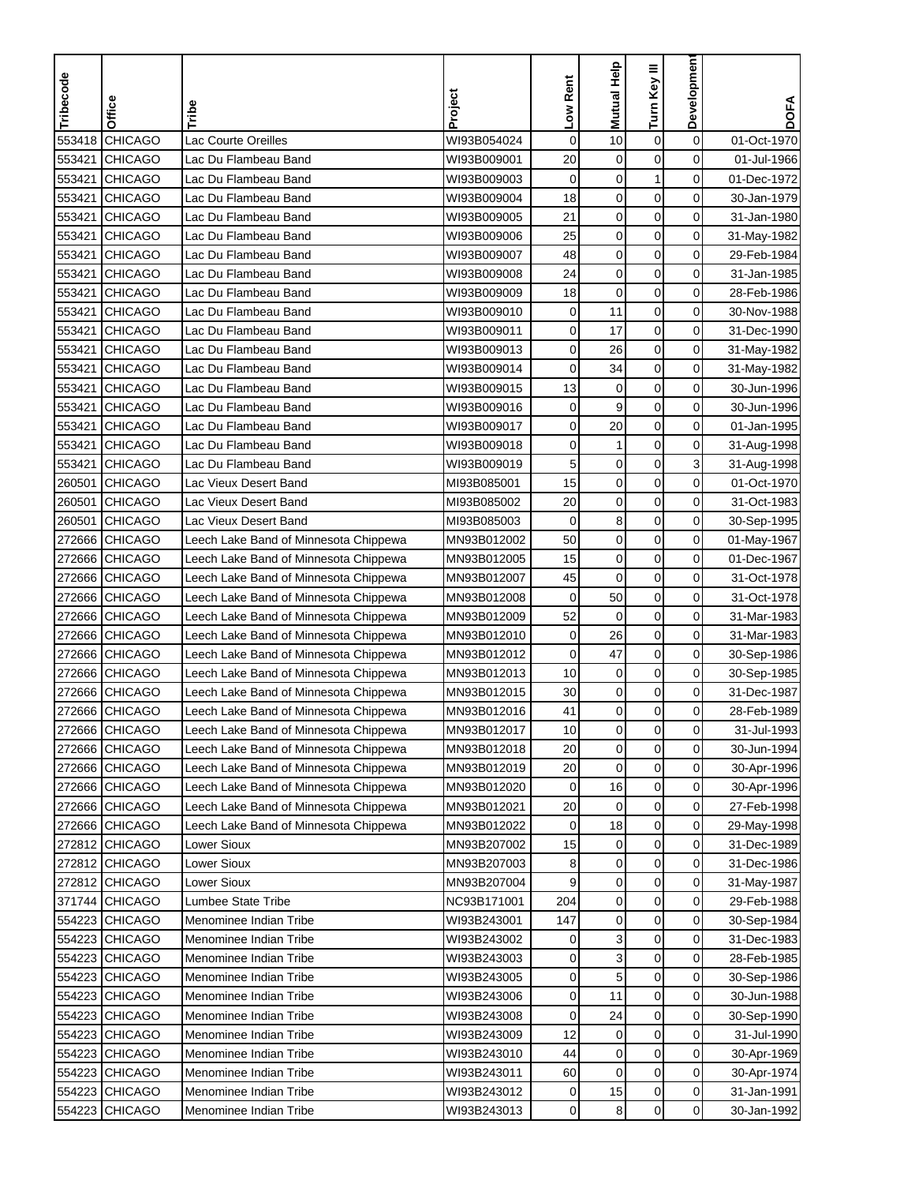| Tribecode | Office         | Tribe                                 | Project     | Low Rent    | Mutual Help | Turn Key III | Development    | <b>DOFA</b> |
|-----------|----------------|---------------------------------------|-------------|-------------|-------------|--------------|----------------|-------------|
|           |                |                                       |             |             |             |              |                |             |
| 553418    | <b>CHICAGO</b> | Lac Courte Oreilles                   | WI93B054024 | $\mathbf 0$ | 10          | 0            | $\mathbf 0$    | 01-Oct-1970 |
| 553421    | <b>CHICAGO</b> | Lac Du Flambeau Band                  | WI93B009001 | 20          | $\mathbf 0$ | 0            | 0              | 01-Jul-1966 |
| 553421    | <b>CHICAGO</b> | Lac Du Flambeau Band                  | WI93B009003 | $\mathbf 0$ | 0           | $\mathbf{1}$ | 0              | 01-Dec-1972 |
| 553421    | <b>CHICAGO</b> | Lac Du Flambeau Band                  | WI93B009004 | 18          | $\mathbf 0$ | $\mathbf 0$  | 0              | 30-Jan-1979 |
| 553421    | <b>CHICAGO</b> | Lac Du Flambeau Band                  | WI93B009005 | 21          | $\mathbf 0$ | $\pmb{0}$    | 0              | 31-Jan-1980 |
| 553421    | <b>CHICAGO</b> | Lac Du Flambeau Band                  | WI93B009006 | 25          | $\mathbf 0$ | $\mathbf 0$  | 0              | 31-May-1982 |
| 553421    | <b>CHICAGO</b> | Lac Du Flambeau Band                  | WI93B009007 | 48          | $\mathbf 0$ | 0            | 0              | 29-Feb-1984 |
| 553421    | <b>CHICAGO</b> | Lac Du Flambeau Band                  | WI93B009008 | 24          | $\mathbf 0$ | 0            | 0              | 31-Jan-1985 |
| 553421    | <b>CHICAGO</b> | Lac Du Flambeau Band                  | WI93B009009 | 18          | 0           | 0            | 0              | 28-Feb-1986 |
| 553421    | <b>CHICAGO</b> | Lac Du Flambeau Band                  | WI93B009010 | $\mathbf 0$ | 11          | $\pmb{0}$    | 0              | 30-Nov-1988 |
| 553421    | <b>CHICAGO</b> | Lac Du Flambeau Band                  | WI93B009011 | 0           | 17          | $\mathbf 0$  | 0              | 31-Dec-1990 |
| 553421    | <b>CHICAGO</b> | Lac Du Flambeau Band                  | WI93B009013 | 0           | 26          | $\mathbf 0$  | 0              | 31-May-1982 |
| 553421    | <b>CHICAGO</b> | Lac Du Flambeau Band                  | WI93B009014 | 0           | 34          | $\mathbf 0$  | 0              | 31-May-1982 |
| 553421    | <b>CHICAGO</b> | Lac Du Flambeau Band                  | WI93B009015 | 13          | $\pmb{0}$   | $\mathbf 0$  | 0              | 30-Jun-1996 |
| 553421    | <b>CHICAGO</b> | Lac Du Flambeau Band                  | WI93B009016 | 0           | 9           | $\mathbf 0$  | 0              | 30-Jun-1996 |
| 553421    | <b>CHICAGO</b> | Lac Du Flambeau Band                  | WI93B009017 | 0           | 20          | $\mathbf 0$  | 0              | 01-Jan-1995 |
| 553421    | <b>CHICAGO</b> | Lac Du Flambeau Band                  | WI93B009018 | 0           | 1           | 0            | 0              | 31-Aug-1998 |
| 553421    | <b>CHICAGO</b> | Lac Du Flambeau Band                  | WI93B009019 | 5           | $\mathbf 0$ | $\mathbf 0$  | 3              | 31-Aug-1998 |
| 260501    | <b>CHICAGO</b> | Lac Vieux Desert Band                 | MI93B085001 | 15          | $\mathbf 0$ | $\mathbf 0$  | 0              | 01-Oct-1970 |
| 260501    | <b>CHICAGO</b> | Lac Vieux Desert Band                 | MI93B085002 | 20          | $\mathbf 0$ | $\mathbf 0$  | 0              | 31-Oct-1983 |
| 260501    | <b>CHICAGO</b> | Lac Vieux Desert Band                 | MI93B085003 | $\mathbf 0$ | 8           | $\mathbf 0$  | 0              | 30-Sep-1995 |
| 272666    | <b>CHICAGO</b> | Leech Lake Band of Minnesota Chippewa | MN93B012002 | 50          | $\mathbf 0$ | $\pmb{0}$    | 0              | 01-May-1967 |
| 272666    | <b>CHICAGO</b> | Leech Lake Band of Minnesota Chippewa | MN93B012005 | 15          | $\mathbf 0$ | $\mathbf 0$  | 0              | 01-Dec-1967 |
| 272666    | <b>CHICAGO</b> | Leech Lake Band of Minnesota Chippewa | MN93B012007 | 45          | $\mathbf 0$ | 0            | 0              | 31-Oct-1978 |
| 272666    | <b>CHICAGO</b> | Leech Lake Band of Minnesota Chippewa | MN93B012008 | 0           | 50          | 0            | 0              | 31-Oct-1978 |
| 272666    | <b>CHICAGO</b> | Leech Lake Band of Minnesota Chippewa | MN93B012009 | 52          | $\mathbf 0$ | 0            | 0              | 31-Mar-1983 |
| 272666    | <b>CHICAGO</b> | Leech Lake Band of Minnesota Chippewa | MN93B012010 | 0           | 26          | 0            | 0              | 31-Mar-1983 |
| 272666    | <b>CHICAGO</b> | Leech Lake Band of Minnesota Chippewa | MN93B012012 | 0           | 47          | 0            | 0              | 30-Sep-1986 |
| 272666    | <b>CHICAGO</b> | Leech Lake Band of Minnesota Chippewa | MN93B012013 | 10          | $\mathbf 0$ | 0            | 0              | 30-Sep-1985 |
| 272666    | <b>CHICAGO</b> | Leech Lake Band of Minnesota Chippewa | MN93B012015 | 30          | $\pmb{0}$   | $\pmb{0}$    | 0              | 31-Dec-1987 |
| 272666    | <b>CHICAGO</b> | Leech Lake Band of Minnesota Chippewa | MN93B012016 | 41          | $\mathbf 0$ | $\mathbf 0$  | 0              | 28-Feb-1989 |
|           | 272666 CHICAGO | Leech Lake Band of Minnesota Chippewa | MN93B012017 | 10          | 0           | 0            | 0              | 31-Jul-1993 |
|           | 272666 CHICAGO | Leech Lake Band of Minnesota Chippewa | MN93B012018 | 20          | $\pmb{0}$   | $\mathbf 0$  | $\mathbf 0$    | 30-Jun-1994 |
|           | 272666 CHICAGO | Leech Lake Band of Minnesota Chippewa | MN93B012019 | 20          | $\mathbf 0$ | 0            | 0              | 30-Apr-1996 |
|           | 272666 CHICAGO | Leech Lake Band of Minnesota Chippewa | MN93B012020 | $\mathbf 0$ | 16          | $\pmb{0}$    | 0              | 30-Apr-1996 |
|           | 272666 CHICAGO | Leech Lake Band of Minnesota Chippewa | MN93B012021 | 20          | 0           | 0            | $\overline{0}$ | 27-Feb-1998 |
|           | 272666 CHICAGO | Leech Lake Band of Minnesota Chippewa | MN93B012022 | 0           | 18          | $\pmb{0}$    | $\overline{0}$ | 29-May-1998 |
|           | 272812 CHICAGO | Lower Sioux                           | MN93B207002 | 15          | 0           | 0            | $\overline{0}$ | 31-Dec-1989 |
|           | 272812 CHICAGO | Lower Sioux                           | MN93B207003 | 8           | 0           | $\pmb{0}$    | $\overline{0}$ | 31-Dec-1986 |
|           | 272812 CHICAGO | Lower Sioux                           | MN93B207004 | 9           | $\pmb{0}$   | $\pmb{0}$    | $\overline{0}$ | 31-May-1987 |
|           | 371744 CHICAGO | Lumbee State Tribe                    | NC93B171001 | 204         | $\pmb{0}$   | $\pmb{0}$    | 0              | 29-Feb-1988 |
|           | 554223 CHICAGO | Menominee Indian Tribe                | WI93B243001 | 147         | $\mathbf 0$ | $\pmb{0}$    | 0              | 30-Sep-1984 |
|           | 554223 CHICAGO | Menominee Indian Tribe                | WI93B243002 | 0           | 3           | $\pmb{0}$    | 0              | 31-Dec-1983 |
|           | 554223 CHICAGO | Menominee Indian Tribe                | WI93B243003 | 0           | 3           | $\mathbf 0$  | 0              | 28-Feb-1985 |
|           | 554223 CHICAGO | Menominee Indian Tribe                | WI93B243005 | 0           | 5           | 0            | 0              | 30-Sep-1986 |
|           | 554223 CHICAGO | Menominee Indian Tribe                | WI93B243006 | 0           | 11          | 0            | 0              | 30-Jun-1988 |
| 554223    | <b>CHICAGO</b> | Menominee Indian Tribe                | WI93B243008 | 0           | 24          | $\pmb{0}$    | 0              | 30-Sep-1990 |
| 554223    | <b>CHICAGO</b> | Menominee Indian Tribe                | WI93B243009 | 12          | 0           | 0            | 0              | 31-Jul-1990 |
|           | 554223 CHICAGO | Menominee Indian Tribe                | WI93B243010 | 44          | 0           | $\pmb{0}$    | 0              | 30-Apr-1969 |
|           | 554223 CHICAGO | Menominee Indian Tribe                | WI93B243011 | 60          | 0           | 0            | 0              | 30-Apr-1974 |
|           | 554223 CHICAGO | Menominee Indian Tribe                | WI93B243012 | 0           | 15          | $\pmb{0}$    | 0              | 31-Jan-1991 |
| 554223    | <b>CHICAGO</b> | Menominee Indian Tribe                | WI93B243013 | 0           | 8           | $\mathbf 0$  | $\overline{0}$ | 30-Jan-1992 |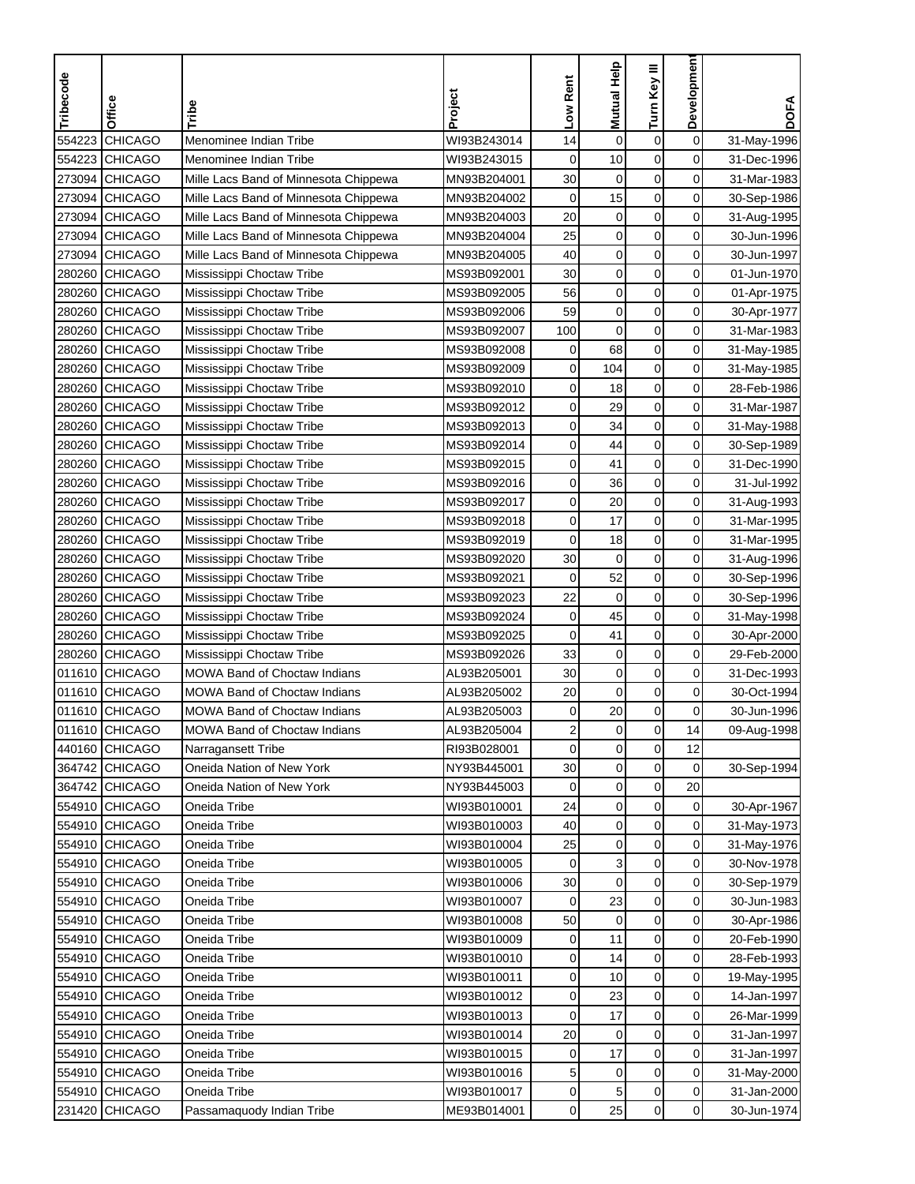| Menominee Indian Tribe<br>$\mathbf 0$<br><b>CHICAGO</b><br>$\mathbf 0$<br>$\boldsymbol{0}$<br>554223<br>WI93B243014<br>14<br>31-May-1996<br>0<br><b>CHICAGO</b><br>$\mathbf 0$<br>10<br>$\mathbf 0$<br>554223<br>Menominee Indian Tribe<br>WI93B243015<br>31-Dec-1996<br>273094 CHICAGO<br>30<br>$\mathbf 0$<br>0<br>Mille Lacs Band of Minnesota Chippewa<br>MN93B204001<br>0<br>31-Mar-1983<br>15<br>$\mathbf 0$<br>0<br>273094<br><b>CHICAGO</b><br>Mille Lacs Band of Minnesota Chippewa<br>MN93B204002<br>0<br>30-Sep-1986<br>20<br>$\mathbf 0$<br>$\mathbf 0$<br><b>CHICAGO</b><br>0<br>273094<br>Mille Lacs Band of Minnesota Chippewa<br>MN93B204003<br>31-Aug-1995<br>25<br><b>CHICAGO</b><br>$\mathbf 0$<br>$\mathbf 0$<br>0<br>273094<br>Mille Lacs Band of Minnesota Chippewa<br>MN93B204004<br>30-Jun-1996<br>$\mathbf 0$<br>$\mathbf 0$<br>0<br>40<br>273094<br><b>CHICAGO</b><br>Mille Lacs Band of Minnesota Chippewa<br>30-Jun-1997<br>MN93B204005<br><b>CHICAGO</b><br>30<br>$\mathbf 0$<br>$\mathbf 0$<br>0<br>280260<br>Mississippi Choctaw Tribe<br>MS93B092001<br>01-Jun-1970<br>0<br><b>CHICAGO</b><br>MS93B092005<br>56<br>$\mathbf 0$<br>0<br>280260<br>Mississippi Choctaw Tribe<br>01-Apr-1975<br>59<br>0<br>280260<br><b>CHICAGO</b><br>MS93B092006<br>$\mathbf 0$<br>$\mathbf 0$<br>Mississippi Choctaw Tribe<br>30-Apr-1977<br><b>CHICAGO</b><br>$\mathbf 0$<br>$\mathbf 0$<br>0<br>280260<br>Mississippi Choctaw Tribe<br>MS93B092007<br>100<br>31-Mar-1983<br><b>CHICAGO</b><br>68<br>$\mathbf 0$<br>0<br>280260<br>Mississippi Choctaw Tribe<br>MS93B092008<br>0<br>31-May-1985<br>$\mathbf 0$<br><b>CHICAGO</b><br>0<br>104<br>0<br>280260<br>Mississippi Choctaw Tribe<br>MS93B092009<br>31-May-1985<br>$\pmb{0}$<br>$\mathbf 0$<br>280260<br><b>CHICAGO</b><br>0<br>18<br>28-Feb-1986<br>Mississippi Choctaw Tribe<br>MS93B092010<br>29<br>$\mathbf 0$<br>0<br>280260<br><b>CHICAGO</b><br>MS93B092012<br>0<br>31-Mar-1987<br>Mississippi Choctaw Tribe<br>$\mathbf 0$<br><b>CHICAGO</b><br>34<br>0<br>280260<br>Mississippi Choctaw Tribe<br>MS93B092013<br>0<br>31-May-1988<br>$\mathbf 0$<br>0<br>280260<br><b>CHICAGO</b><br>MS93B092014<br>0<br>44<br>Mississippi Choctaw Tribe<br>30-Sep-1989<br>$\mathbf 0$<br>0<br>280260 CHICAGO<br>MS93B092015<br>0<br>41<br>Mississippi Choctaw Tribe<br>31-Dec-1990<br><b>CHICAGO</b><br>MS93B092016<br>$\mathbf 0$<br>0<br>31-Jul-1992<br>280260<br>Mississippi Choctaw Tribe<br>0<br>36<br>$\mathbf 0$<br>0<br>280260<br><b>CHICAGO</b><br>Mississippi Choctaw Tribe<br>MS93B092017<br>0<br>20<br>31-Aug-1993<br>$\mathbf 0$<br>0<br><b>CHICAGO</b><br>0<br>17<br>280260<br>Mississippi Choctaw Tribe<br>MS93B092018<br>31-Mar-1995<br>$\boldsymbol{0}$<br>$\mathbf 0$<br>18<br>0<br>280260<br><b>CHICAGO</b><br>MS93B092019<br>31-Mar-1995<br>Mississippi Choctaw Tribe<br>30<br>$\mathbf 0$<br><b>CHICAGO</b><br>$\mathbf 0$<br>0<br>280260<br>MS93B092020<br>Mississippi Choctaw Tribe<br>31-Aug-1996<br>52<br>$\mathbf 0$<br>0<br>280260<br><b>CHICAGO</b><br>MS93B092021<br>0<br>30-Sep-1996<br>Mississippi Choctaw Tribe<br>0<br>MS93B092023<br>22<br>$\mathbf 0$<br>0<br>280260<br><b>CHICAGO</b><br>30-Sep-1996<br>Mississippi Choctaw Tribe<br>$\mathbf 0$<br>0<br>280260<br><b>CHICAGO</b><br>MS93B092024<br>$\mathbf 0$<br>45<br>Mississippi Choctaw Tribe<br>31-May-1998<br><b>CHICAGO</b><br>MS93B092025<br>$\mathbf 0$<br>$\mathbf 0$<br>0<br>280260<br>Mississippi Choctaw Tribe<br>41<br>30-Apr-2000<br><b>CHICAGO</b><br>MS93B092026<br>33<br>$\mathbf 0$<br>0<br>280260<br>0<br>29-Feb-2000<br>Mississippi Choctaw Tribe<br><b>CHICAGO</b><br>30<br>$\mathbf 0$<br>$\mathbf 0$<br>0<br>011610<br>MOWA Band of Choctaw Indians<br>AL93B205001<br>31-Dec-1993<br>20<br>$\mathbf 0$<br>$\boldsymbol{0}$<br>$\mathbf 0$<br><b>CHICAGO</b><br>011610<br><b>MOWA Band of Choctaw Indians</b><br>AL93B205002<br>30-Oct-1994<br>$\mathbf 0$<br><b>CHICAGO</b><br>20<br>0<br>011610<br>MOWA Band of Choctaw Indians<br>AL93B205003<br>0<br>30-Jun-1996<br>011610 CHICAGO<br>MOWA Band of Choctaw Indians<br>AL93B205004<br>2<br>0<br>$\mathbf 0$<br>14<br>09-Aug-1998<br>$\mathbf 0$<br>$\mathbf 0$<br>12<br>440160 CHICAGO<br>0<br>Narragansett Tribe<br>RI93B028001<br>0<br>364742 CHICAGO<br>$\mathbf 0$<br>0<br>Oneida Nation of New York<br>NY93B445001<br>30<br>30-Sep-1994<br>$\pmb{0}$<br>$\boldsymbol{0}$<br>364742 CHICAGO<br>Oneida Nation of New York<br>NY93B445003<br>20<br>0<br>554910 CHICAGO<br>$\mathbf 0$<br>Oneida Tribe<br>WI93B010001<br>24<br>0<br>$\overline{0}$<br>30-Apr-1967<br>554910 CHICAGO<br>$\mathbf 0$<br>$\mathbf 0$<br>0<br>Oneida Tribe<br>WI93B010003<br>40<br>31-May-1973<br>554910 CHICAGO<br>25<br>$\pmb{0}$<br>0<br>$\overline{0}$<br>Oneida Tribe<br>WI93B010004<br>31-May-1976<br>3<br>$\pmb{0}$<br>$\overline{0}$<br>554910 CHICAGO<br>Oneida Tribe<br>WI93B010005<br>30-Nov-1978<br>0<br>$\mathbf 0$<br>$\mathbf 0$<br>0<br>554910 CHICAGO<br>Oneida Tribe<br>WI93B010006<br>30<br>30-Sep-1979<br>$\mathbf 0$<br>554910 CHICAGO<br>WI93B010007<br>23<br>0<br>Oneida Tribe<br>0<br>30-Jun-1983<br>$\boldsymbol{0}$<br>0<br>554910 CHICAGO<br>WI93B010008<br>50<br>$\mathbf 0$<br>Oneida Tribe<br>30-Apr-1986<br>554910 CHICAGO<br>$\boldsymbol{0}$<br>$\mathbf 0$<br>Oneida Tribe<br>WI93B010009<br>11<br>20-Feb-1990<br>0<br>554910 CHICAGO<br>WI93B010010<br>$\mathbf 0$<br>0<br>Oneida Tribe<br>0<br>14<br>28-Feb-1993<br>0<br>554910 CHICAGO<br>Oneida Tribe<br>WI93B010011<br>0<br>10<br>0<br>19-May-1995<br>554910 CHICAGO<br>23<br>0<br>0<br>Oneida Tribe<br>WI93B010012<br>0<br>14-Jan-1997<br>$\boldsymbol{0}$<br>554910 CHICAGO<br>17<br>0<br>Oneida Tribe<br>WI93B010013<br>0<br>26-Mar-1999<br>554910 CHICAGO<br>20<br>0<br>0<br>Oneida Tribe<br>WI93B010014<br>0<br>31-Jan-1997<br>$\boldsymbol{0}$<br>17<br>0<br>554910 CHICAGO<br>Oneida Tribe<br>WI93B010015<br>31-Jan-1997<br>0<br>Oneida Tribe<br>WI93B010016<br>$\mathbf 0$<br>$\mathbf 0$<br>0<br>554910 CHICAGO<br>5<br>31-May-2000<br>$\pmb{0}$<br>$\mathbf 0$<br>554910 CHICAGO<br>Oneida Tribe<br>WI93B010017<br>0<br>5<br>31-Jan-2000<br>$\mathbf 0$<br>$\overline{0}$<br>231420 CHICAGO<br>ME93B014001<br>$\overline{0}$<br>25<br>Passamaquody Indian Tribe<br>30-Jun-1974 | Tribecode | Office | Tribe | Project | Low Rent | Mutual Help | Turn Key III | Developmen | <b>DOFA</b> |
|----------------------------------------------------------------------------------------------------------------------------------------------------------------------------------------------------------------------------------------------------------------------------------------------------------------------------------------------------------------------------------------------------------------------------------------------------------------------------------------------------------------------------------------------------------------------------------------------------------------------------------------------------------------------------------------------------------------------------------------------------------------------------------------------------------------------------------------------------------------------------------------------------------------------------------------------------------------------------------------------------------------------------------------------------------------------------------------------------------------------------------------------------------------------------------------------------------------------------------------------------------------------------------------------------------------------------------------------------------------------------------------------------------------------------------------------------------------------------------------------------------------------------------------------------------------------------------------------------------------------------------------------------------------------------------------------------------------------------------------------------------------------------------------------------------------------------------------------------------------------------------------------------------------------------------------------------------------------------------------------------------------------------------------------------------------------------------------------------------------------------------------------------------------------------------------------------------------------------------------------------------------------------------------------------------------------------------------------------------------------------------------------------------------------------------------------------------------------------------------------------------------------------------------------------------------------------------------------------------------------------------------------------------------------------------------------------------------------------------------------------------------------------------------------------------------------------------------------------------------------------------------------------------------------------------------------------------------------------------------------------------------------------------------------------------------------------------------------------------------------------------------------------------------------------------------------------------------------------------------------------------------------------------------------------------------------------------------------------------------------------------------------------------------------------------------------------------------------------------------------------------------------------------------------------------------------------------------------------------------------------------------------------------------------------------------------------------------------------------------------------------------------------------------------------------------------------------------------------------------------------------------------------------------------------------------------------------------------------------------------------------------------------------------------------------------------------------------------------------------------------------------------------------------------------------------------------------------------------------------------------------------------------------------------------------------------------------------------------------------------------------------------------------------------------------------------------------------------------------------------------------------------------------------------------------------------------------------------------------------------------------------------------------------------------------------------------------------------------------------------------------------------------------------------------------------------------------------------------------------------------------------------------------------------------------------------------------------------------------------------------------------------------------------------------------------------------------------------------------------------------------------------------------------------------------------------------------------------------------------------------------------------------------------------------------------------------------------------------------------------------------------------------------------------------------------------------------------------------------------------------------------------------------------------------------------------------------------------------------------------------------------------------------------------------------------------------------------------------------------------------------------------------------------------------------------------------------------------------------------------------------------------------------------------------------------------------------------------------------------------------------------------------------------------------------------------------------------------------------------------------------------------------------------------------------------------------------------------------------------------------------------------------------------------|-----------|--------|-------|---------|----------|-------------|--------------|------------|-------------|
|                                                                                                                                                                                                                                                                                                                                                                                                                                                                                                                                                                                                                                                                                                                                                                                                                                                                                                                                                                                                                                                                                                                                                                                                                                                                                                                                                                                                                                                                                                                                                                                                                                                                                                                                                                                                                                                                                                                                                                                                                                                                                                                                                                                                                                                                                                                                                                                                                                                                                                                                                                                                                                                                                                                                                                                                                                                                                                                                                                                                                                                                                                                                                                                                                                                                                                                                                                                                                                                                                                                                                                                                                                                                                                                                                                                                                                                                                                                                                                                                                                                                                                                                                                                                                                                                                                                                                                                                                                                                                                                                                                                                                                                                                                                                                                                                                                                                                                                                                                                                                                                                                                                                                                                                                                                                                                                                                                                                                                                                                                                                                                                                                                                                                                                                                                                                                                                                                                                                                                                                                                                                                                                                                                                                                                                                                              |           |        |       |         |          |             |              |            |             |
|                                                                                                                                                                                                                                                                                                                                                                                                                                                                                                                                                                                                                                                                                                                                                                                                                                                                                                                                                                                                                                                                                                                                                                                                                                                                                                                                                                                                                                                                                                                                                                                                                                                                                                                                                                                                                                                                                                                                                                                                                                                                                                                                                                                                                                                                                                                                                                                                                                                                                                                                                                                                                                                                                                                                                                                                                                                                                                                                                                                                                                                                                                                                                                                                                                                                                                                                                                                                                                                                                                                                                                                                                                                                                                                                                                                                                                                                                                                                                                                                                                                                                                                                                                                                                                                                                                                                                                                                                                                                                                                                                                                                                                                                                                                                                                                                                                                                                                                                                                                                                                                                                                                                                                                                                                                                                                                                                                                                                                                                                                                                                                                                                                                                                                                                                                                                                                                                                                                                                                                                                                                                                                                                                                                                                                                                                              |           |        |       |         |          |             |              |            |             |
|                                                                                                                                                                                                                                                                                                                                                                                                                                                                                                                                                                                                                                                                                                                                                                                                                                                                                                                                                                                                                                                                                                                                                                                                                                                                                                                                                                                                                                                                                                                                                                                                                                                                                                                                                                                                                                                                                                                                                                                                                                                                                                                                                                                                                                                                                                                                                                                                                                                                                                                                                                                                                                                                                                                                                                                                                                                                                                                                                                                                                                                                                                                                                                                                                                                                                                                                                                                                                                                                                                                                                                                                                                                                                                                                                                                                                                                                                                                                                                                                                                                                                                                                                                                                                                                                                                                                                                                                                                                                                                                                                                                                                                                                                                                                                                                                                                                                                                                                                                                                                                                                                                                                                                                                                                                                                                                                                                                                                                                                                                                                                                                                                                                                                                                                                                                                                                                                                                                                                                                                                                                                                                                                                                                                                                                                                              |           |        |       |         |          |             |              |            |             |
|                                                                                                                                                                                                                                                                                                                                                                                                                                                                                                                                                                                                                                                                                                                                                                                                                                                                                                                                                                                                                                                                                                                                                                                                                                                                                                                                                                                                                                                                                                                                                                                                                                                                                                                                                                                                                                                                                                                                                                                                                                                                                                                                                                                                                                                                                                                                                                                                                                                                                                                                                                                                                                                                                                                                                                                                                                                                                                                                                                                                                                                                                                                                                                                                                                                                                                                                                                                                                                                                                                                                                                                                                                                                                                                                                                                                                                                                                                                                                                                                                                                                                                                                                                                                                                                                                                                                                                                                                                                                                                                                                                                                                                                                                                                                                                                                                                                                                                                                                                                                                                                                                                                                                                                                                                                                                                                                                                                                                                                                                                                                                                                                                                                                                                                                                                                                                                                                                                                                                                                                                                                                                                                                                                                                                                                                                              |           |        |       |         |          |             |              |            |             |
|                                                                                                                                                                                                                                                                                                                                                                                                                                                                                                                                                                                                                                                                                                                                                                                                                                                                                                                                                                                                                                                                                                                                                                                                                                                                                                                                                                                                                                                                                                                                                                                                                                                                                                                                                                                                                                                                                                                                                                                                                                                                                                                                                                                                                                                                                                                                                                                                                                                                                                                                                                                                                                                                                                                                                                                                                                                                                                                                                                                                                                                                                                                                                                                                                                                                                                                                                                                                                                                                                                                                                                                                                                                                                                                                                                                                                                                                                                                                                                                                                                                                                                                                                                                                                                                                                                                                                                                                                                                                                                                                                                                                                                                                                                                                                                                                                                                                                                                                                                                                                                                                                                                                                                                                                                                                                                                                                                                                                                                                                                                                                                                                                                                                                                                                                                                                                                                                                                                                                                                                                                                                                                                                                                                                                                                                                              |           |        |       |         |          |             |              |            |             |
|                                                                                                                                                                                                                                                                                                                                                                                                                                                                                                                                                                                                                                                                                                                                                                                                                                                                                                                                                                                                                                                                                                                                                                                                                                                                                                                                                                                                                                                                                                                                                                                                                                                                                                                                                                                                                                                                                                                                                                                                                                                                                                                                                                                                                                                                                                                                                                                                                                                                                                                                                                                                                                                                                                                                                                                                                                                                                                                                                                                                                                                                                                                                                                                                                                                                                                                                                                                                                                                                                                                                                                                                                                                                                                                                                                                                                                                                                                                                                                                                                                                                                                                                                                                                                                                                                                                                                                                                                                                                                                                                                                                                                                                                                                                                                                                                                                                                                                                                                                                                                                                                                                                                                                                                                                                                                                                                                                                                                                                                                                                                                                                                                                                                                                                                                                                                                                                                                                                                                                                                                                                                                                                                                                                                                                                                                              |           |        |       |         |          |             |              |            |             |
|                                                                                                                                                                                                                                                                                                                                                                                                                                                                                                                                                                                                                                                                                                                                                                                                                                                                                                                                                                                                                                                                                                                                                                                                                                                                                                                                                                                                                                                                                                                                                                                                                                                                                                                                                                                                                                                                                                                                                                                                                                                                                                                                                                                                                                                                                                                                                                                                                                                                                                                                                                                                                                                                                                                                                                                                                                                                                                                                                                                                                                                                                                                                                                                                                                                                                                                                                                                                                                                                                                                                                                                                                                                                                                                                                                                                                                                                                                                                                                                                                                                                                                                                                                                                                                                                                                                                                                                                                                                                                                                                                                                                                                                                                                                                                                                                                                                                                                                                                                                                                                                                                                                                                                                                                                                                                                                                                                                                                                                                                                                                                                                                                                                                                                                                                                                                                                                                                                                                                                                                                                                                                                                                                                                                                                                                                              |           |        |       |         |          |             |              |            |             |
|                                                                                                                                                                                                                                                                                                                                                                                                                                                                                                                                                                                                                                                                                                                                                                                                                                                                                                                                                                                                                                                                                                                                                                                                                                                                                                                                                                                                                                                                                                                                                                                                                                                                                                                                                                                                                                                                                                                                                                                                                                                                                                                                                                                                                                                                                                                                                                                                                                                                                                                                                                                                                                                                                                                                                                                                                                                                                                                                                                                                                                                                                                                                                                                                                                                                                                                                                                                                                                                                                                                                                                                                                                                                                                                                                                                                                                                                                                                                                                                                                                                                                                                                                                                                                                                                                                                                                                                                                                                                                                                                                                                                                                                                                                                                                                                                                                                                                                                                                                                                                                                                                                                                                                                                                                                                                                                                                                                                                                                                                                                                                                                                                                                                                                                                                                                                                                                                                                                                                                                                                                                                                                                                                                                                                                                                                              |           |        |       |         |          |             |              |            |             |
|                                                                                                                                                                                                                                                                                                                                                                                                                                                                                                                                                                                                                                                                                                                                                                                                                                                                                                                                                                                                                                                                                                                                                                                                                                                                                                                                                                                                                                                                                                                                                                                                                                                                                                                                                                                                                                                                                                                                                                                                                                                                                                                                                                                                                                                                                                                                                                                                                                                                                                                                                                                                                                                                                                                                                                                                                                                                                                                                                                                                                                                                                                                                                                                                                                                                                                                                                                                                                                                                                                                                                                                                                                                                                                                                                                                                                                                                                                                                                                                                                                                                                                                                                                                                                                                                                                                                                                                                                                                                                                                                                                                                                                                                                                                                                                                                                                                                                                                                                                                                                                                                                                                                                                                                                                                                                                                                                                                                                                                                                                                                                                                                                                                                                                                                                                                                                                                                                                                                                                                                                                                                                                                                                                                                                                                                                              |           |        |       |         |          |             |              |            |             |
|                                                                                                                                                                                                                                                                                                                                                                                                                                                                                                                                                                                                                                                                                                                                                                                                                                                                                                                                                                                                                                                                                                                                                                                                                                                                                                                                                                                                                                                                                                                                                                                                                                                                                                                                                                                                                                                                                                                                                                                                                                                                                                                                                                                                                                                                                                                                                                                                                                                                                                                                                                                                                                                                                                                                                                                                                                                                                                                                                                                                                                                                                                                                                                                                                                                                                                                                                                                                                                                                                                                                                                                                                                                                                                                                                                                                                                                                                                                                                                                                                                                                                                                                                                                                                                                                                                                                                                                                                                                                                                                                                                                                                                                                                                                                                                                                                                                                                                                                                                                                                                                                                                                                                                                                                                                                                                                                                                                                                                                                                                                                                                                                                                                                                                                                                                                                                                                                                                                                                                                                                                                                                                                                                                                                                                                                                              |           |        |       |         |          |             |              |            |             |
|                                                                                                                                                                                                                                                                                                                                                                                                                                                                                                                                                                                                                                                                                                                                                                                                                                                                                                                                                                                                                                                                                                                                                                                                                                                                                                                                                                                                                                                                                                                                                                                                                                                                                                                                                                                                                                                                                                                                                                                                                                                                                                                                                                                                                                                                                                                                                                                                                                                                                                                                                                                                                                                                                                                                                                                                                                                                                                                                                                                                                                                                                                                                                                                                                                                                                                                                                                                                                                                                                                                                                                                                                                                                                                                                                                                                                                                                                                                                                                                                                                                                                                                                                                                                                                                                                                                                                                                                                                                                                                                                                                                                                                                                                                                                                                                                                                                                                                                                                                                                                                                                                                                                                                                                                                                                                                                                                                                                                                                                                                                                                                                                                                                                                                                                                                                                                                                                                                                                                                                                                                                                                                                                                                                                                                                                                              |           |        |       |         |          |             |              |            |             |
|                                                                                                                                                                                                                                                                                                                                                                                                                                                                                                                                                                                                                                                                                                                                                                                                                                                                                                                                                                                                                                                                                                                                                                                                                                                                                                                                                                                                                                                                                                                                                                                                                                                                                                                                                                                                                                                                                                                                                                                                                                                                                                                                                                                                                                                                                                                                                                                                                                                                                                                                                                                                                                                                                                                                                                                                                                                                                                                                                                                                                                                                                                                                                                                                                                                                                                                                                                                                                                                                                                                                                                                                                                                                                                                                                                                                                                                                                                                                                                                                                                                                                                                                                                                                                                                                                                                                                                                                                                                                                                                                                                                                                                                                                                                                                                                                                                                                                                                                                                                                                                                                                                                                                                                                                                                                                                                                                                                                                                                                                                                                                                                                                                                                                                                                                                                                                                                                                                                                                                                                                                                                                                                                                                                                                                                                                              |           |        |       |         |          |             |              |            |             |
|                                                                                                                                                                                                                                                                                                                                                                                                                                                                                                                                                                                                                                                                                                                                                                                                                                                                                                                                                                                                                                                                                                                                                                                                                                                                                                                                                                                                                                                                                                                                                                                                                                                                                                                                                                                                                                                                                                                                                                                                                                                                                                                                                                                                                                                                                                                                                                                                                                                                                                                                                                                                                                                                                                                                                                                                                                                                                                                                                                                                                                                                                                                                                                                                                                                                                                                                                                                                                                                                                                                                                                                                                                                                                                                                                                                                                                                                                                                                                                                                                                                                                                                                                                                                                                                                                                                                                                                                                                                                                                                                                                                                                                                                                                                                                                                                                                                                                                                                                                                                                                                                                                                                                                                                                                                                                                                                                                                                                                                                                                                                                                                                                                                                                                                                                                                                                                                                                                                                                                                                                                                                                                                                                                                                                                                                                              |           |        |       |         |          |             |              |            |             |
|                                                                                                                                                                                                                                                                                                                                                                                                                                                                                                                                                                                                                                                                                                                                                                                                                                                                                                                                                                                                                                                                                                                                                                                                                                                                                                                                                                                                                                                                                                                                                                                                                                                                                                                                                                                                                                                                                                                                                                                                                                                                                                                                                                                                                                                                                                                                                                                                                                                                                                                                                                                                                                                                                                                                                                                                                                                                                                                                                                                                                                                                                                                                                                                                                                                                                                                                                                                                                                                                                                                                                                                                                                                                                                                                                                                                                                                                                                                                                                                                                                                                                                                                                                                                                                                                                                                                                                                                                                                                                                                                                                                                                                                                                                                                                                                                                                                                                                                                                                                                                                                                                                                                                                                                                                                                                                                                                                                                                                                                                                                                                                                                                                                                                                                                                                                                                                                                                                                                                                                                                                                                                                                                                                                                                                                                                              |           |        |       |         |          |             |              |            |             |
|                                                                                                                                                                                                                                                                                                                                                                                                                                                                                                                                                                                                                                                                                                                                                                                                                                                                                                                                                                                                                                                                                                                                                                                                                                                                                                                                                                                                                                                                                                                                                                                                                                                                                                                                                                                                                                                                                                                                                                                                                                                                                                                                                                                                                                                                                                                                                                                                                                                                                                                                                                                                                                                                                                                                                                                                                                                                                                                                                                                                                                                                                                                                                                                                                                                                                                                                                                                                                                                                                                                                                                                                                                                                                                                                                                                                                                                                                                                                                                                                                                                                                                                                                                                                                                                                                                                                                                                                                                                                                                                                                                                                                                                                                                                                                                                                                                                                                                                                                                                                                                                                                                                                                                                                                                                                                                                                                                                                                                                                                                                                                                                                                                                                                                                                                                                                                                                                                                                                                                                                                                                                                                                                                                                                                                                                                              |           |        |       |         |          |             |              |            |             |
|                                                                                                                                                                                                                                                                                                                                                                                                                                                                                                                                                                                                                                                                                                                                                                                                                                                                                                                                                                                                                                                                                                                                                                                                                                                                                                                                                                                                                                                                                                                                                                                                                                                                                                                                                                                                                                                                                                                                                                                                                                                                                                                                                                                                                                                                                                                                                                                                                                                                                                                                                                                                                                                                                                                                                                                                                                                                                                                                                                                                                                                                                                                                                                                                                                                                                                                                                                                                                                                                                                                                                                                                                                                                                                                                                                                                                                                                                                                                                                                                                                                                                                                                                                                                                                                                                                                                                                                                                                                                                                                                                                                                                                                                                                                                                                                                                                                                                                                                                                                                                                                                                                                                                                                                                                                                                                                                                                                                                                                                                                                                                                                                                                                                                                                                                                                                                                                                                                                                                                                                                                                                                                                                                                                                                                                                                              |           |        |       |         |          |             |              |            |             |
|                                                                                                                                                                                                                                                                                                                                                                                                                                                                                                                                                                                                                                                                                                                                                                                                                                                                                                                                                                                                                                                                                                                                                                                                                                                                                                                                                                                                                                                                                                                                                                                                                                                                                                                                                                                                                                                                                                                                                                                                                                                                                                                                                                                                                                                                                                                                                                                                                                                                                                                                                                                                                                                                                                                                                                                                                                                                                                                                                                                                                                                                                                                                                                                                                                                                                                                                                                                                                                                                                                                                                                                                                                                                                                                                                                                                                                                                                                                                                                                                                                                                                                                                                                                                                                                                                                                                                                                                                                                                                                                                                                                                                                                                                                                                                                                                                                                                                                                                                                                                                                                                                                                                                                                                                                                                                                                                                                                                                                                                                                                                                                                                                                                                                                                                                                                                                                                                                                                                                                                                                                                                                                                                                                                                                                                                                              |           |        |       |         |          |             |              |            |             |
|                                                                                                                                                                                                                                                                                                                                                                                                                                                                                                                                                                                                                                                                                                                                                                                                                                                                                                                                                                                                                                                                                                                                                                                                                                                                                                                                                                                                                                                                                                                                                                                                                                                                                                                                                                                                                                                                                                                                                                                                                                                                                                                                                                                                                                                                                                                                                                                                                                                                                                                                                                                                                                                                                                                                                                                                                                                                                                                                                                                                                                                                                                                                                                                                                                                                                                                                                                                                                                                                                                                                                                                                                                                                                                                                                                                                                                                                                                                                                                                                                                                                                                                                                                                                                                                                                                                                                                                                                                                                                                                                                                                                                                                                                                                                                                                                                                                                                                                                                                                                                                                                                                                                                                                                                                                                                                                                                                                                                                                                                                                                                                                                                                                                                                                                                                                                                                                                                                                                                                                                                                                                                                                                                                                                                                                                                              |           |        |       |         |          |             |              |            |             |
|                                                                                                                                                                                                                                                                                                                                                                                                                                                                                                                                                                                                                                                                                                                                                                                                                                                                                                                                                                                                                                                                                                                                                                                                                                                                                                                                                                                                                                                                                                                                                                                                                                                                                                                                                                                                                                                                                                                                                                                                                                                                                                                                                                                                                                                                                                                                                                                                                                                                                                                                                                                                                                                                                                                                                                                                                                                                                                                                                                                                                                                                                                                                                                                                                                                                                                                                                                                                                                                                                                                                                                                                                                                                                                                                                                                                                                                                                                                                                                                                                                                                                                                                                                                                                                                                                                                                                                                                                                                                                                                                                                                                                                                                                                                                                                                                                                                                                                                                                                                                                                                                                                                                                                                                                                                                                                                                                                                                                                                                                                                                                                                                                                                                                                                                                                                                                                                                                                                                                                                                                                                                                                                                                                                                                                                                                              |           |        |       |         |          |             |              |            |             |
|                                                                                                                                                                                                                                                                                                                                                                                                                                                                                                                                                                                                                                                                                                                                                                                                                                                                                                                                                                                                                                                                                                                                                                                                                                                                                                                                                                                                                                                                                                                                                                                                                                                                                                                                                                                                                                                                                                                                                                                                                                                                                                                                                                                                                                                                                                                                                                                                                                                                                                                                                                                                                                                                                                                                                                                                                                                                                                                                                                                                                                                                                                                                                                                                                                                                                                                                                                                                                                                                                                                                                                                                                                                                                                                                                                                                                                                                                                                                                                                                                                                                                                                                                                                                                                                                                                                                                                                                                                                                                                                                                                                                                                                                                                                                                                                                                                                                                                                                                                                                                                                                                                                                                                                                                                                                                                                                                                                                                                                                                                                                                                                                                                                                                                                                                                                                                                                                                                                                                                                                                                                                                                                                                                                                                                                                                              |           |        |       |         |          |             |              |            |             |
|                                                                                                                                                                                                                                                                                                                                                                                                                                                                                                                                                                                                                                                                                                                                                                                                                                                                                                                                                                                                                                                                                                                                                                                                                                                                                                                                                                                                                                                                                                                                                                                                                                                                                                                                                                                                                                                                                                                                                                                                                                                                                                                                                                                                                                                                                                                                                                                                                                                                                                                                                                                                                                                                                                                                                                                                                                                                                                                                                                                                                                                                                                                                                                                                                                                                                                                                                                                                                                                                                                                                                                                                                                                                                                                                                                                                                                                                                                                                                                                                                                                                                                                                                                                                                                                                                                                                                                                                                                                                                                                                                                                                                                                                                                                                                                                                                                                                                                                                                                                                                                                                                                                                                                                                                                                                                                                                                                                                                                                                                                                                                                                                                                                                                                                                                                                                                                                                                                                                                                                                                                                                                                                                                                                                                                                                                              |           |        |       |         |          |             |              |            |             |
|                                                                                                                                                                                                                                                                                                                                                                                                                                                                                                                                                                                                                                                                                                                                                                                                                                                                                                                                                                                                                                                                                                                                                                                                                                                                                                                                                                                                                                                                                                                                                                                                                                                                                                                                                                                                                                                                                                                                                                                                                                                                                                                                                                                                                                                                                                                                                                                                                                                                                                                                                                                                                                                                                                                                                                                                                                                                                                                                                                                                                                                                                                                                                                                                                                                                                                                                                                                                                                                                                                                                                                                                                                                                                                                                                                                                                                                                                                                                                                                                                                                                                                                                                                                                                                                                                                                                                                                                                                                                                                                                                                                                                                                                                                                                                                                                                                                                                                                                                                                                                                                                                                                                                                                                                                                                                                                                                                                                                                                                                                                                                                                                                                                                                                                                                                                                                                                                                                                                                                                                                                                                                                                                                                                                                                                                                              |           |        |       |         |          |             |              |            |             |
|                                                                                                                                                                                                                                                                                                                                                                                                                                                                                                                                                                                                                                                                                                                                                                                                                                                                                                                                                                                                                                                                                                                                                                                                                                                                                                                                                                                                                                                                                                                                                                                                                                                                                                                                                                                                                                                                                                                                                                                                                                                                                                                                                                                                                                                                                                                                                                                                                                                                                                                                                                                                                                                                                                                                                                                                                                                                                                                                                                                                                                                                                                                                                                                                                                                                                                                                                                                                                                                                                                                                                                                                                                                                                                                                                                                                                                                                                                                                                                                                                                                                                                                                                                                                                                                                                                                                                                                                                                                                                                                                                                                                                                                                                                                                                                                                                                                                                                                                                                                                                                                                                                                                                                                                                                                                                                                                                                                                                                                                                                                                                                                                                                                                                                                                                                                                                                                                                                                                                                                                                                                                                                                                                                                                                                                                                              |           |        |       |         |          |             |              |            |             |
|                                                                                                                                                                                                                                                                                                                                                                                                                                                                                                                                                                                                                                                                                                                                                                                                                                                                                                                                                                                                                                                                                                                                                                                                                                                                                                                                                                                                                                                                                                                                                                                                                                                                                                                                                                                                                                                                                                                                                                                                                                                                                                                                                                                                                                                                                                                                                                                                                                                                                                                                                                                                                                                                                                                                                                                                                                                                                                                                                                                                                                                                                                                                                                                                                                                                                                                                                                                                                                                                                                                                                                                                                                                                                                                                                                                                                                                                                                                                                                                                                                                                                                                                                                                                                                                                                                                                                                                                                                                                                                                                                                                                                                                                                                                                                                                                                                                                                                                                                                                                                                                                                                                                                                                                                                                                                                                                                                                                                                                                                                                                                                                                                                                                                                                                                                                                                                                                                                                                                                                                                                                                                                                                                                                                                                                                                              |           |        |       |         |          |             |              |            |             |
|                                                                                                                                                                                                                                                                                                                                                                                                                                                                                                                                                                                                                                                                                                                                                                                                                                                                                                                                                                                                                                                                                                                                                                                                                                                                                                                                                                                                                                                                                                                                                                                                                                                                                                                                                                                                                                                                                                                                                                                                                                                                                                                                                                                                                                                                                                                                                                                                                                                                                                                                                                                                                                                                                                                                                                                                                                                                                                                                                                                                                                                                                                                                                                                                                                                                                                                                                                                                                                                                                                                                                                                                                                                                                                                                                                                                                                                                                                                                                                                                                                                                                                                                                                                                                                                                                                                                                                                                                                                                                                                                                                                                                                                                                                                                                                                                                                                                                                                                                                                                                                                                                                                                                                                                                                                                                                                                                                                                                                                                                                                                                                                                                                                                                                                                                                                                                                                                                                                                                                                                                                                                                                                                                                                                                                                                                              |           |        |       |         |          |             |              |            |             |
|                                                                                                                                                                                                                                                                                                                                                                                                                                                                                                                                                                                                                                                                                                                                                                                                                                                                                                                                                                                                                                                                                                                                                                                                                                                                                                                                                                                                                                                                                                                                                                                                                                                                                                                                                                                                                                                                                                                                                                                                                                                                                                                                                                                                                                                                                                                                                                                                                                                                                                                                                                                                                                                                                                                                                                                                                                                                                                                                                                                                                                                                                                                                                                                                                                                                                                                                                                                                                                                                                                                                                                                                                                                                                                                                                                                                                                                                                                                                                                                                                                                                                                                                                                                                                                                                                                                                                                                                                                                                                                                                                                                                                                                                                                                                                                                                                                                                                                                                                                                                                                                                                                                                                                                                                                                                                                                                                                                                                                                                                                                                                                                                                                                                                                                                                                                                                                                                                                                                                                                                                                                                                                                                                                                                                                                                                              |           |        |       |         |          |             |              |            |             |
|                                                                                                                                                                                                                                                                                                                                                                                                                                                                                                                                                                                                                                                                                                                                                                                                                                                                                                                                                                                                                                                                                                                                                                                                                                                                                                                                                                                                                                                                                                                                                                                                                                                                                                                                                                                                                                                                                                                                                                                                                                                                                                                                                                                                                                                                                                                                                                                                                                                                                                                                                                                                                                                                                                                                                                                                                                                                                                                                                                                                                                                                                                                                                                                                                                                                                                                                                                                                                                                                                                                                                                                                                                                                                                                                                                                                                                                                                                                                                                                                                                                                                                                                                                                                                                                                                                                                                                                                                                                                                                                                                                                                                                                                                                                                                                                                                                                                                                                                                                                                                                                                                                                                                                                                                                                                                                                                                                                                                                                                                                                                                                                                                                                                                                                                                                                                                                                                                                                                                                                                                                                                                                                                                                                                                                                                                              |           |        |       |         |          |             |              |            |             |
|                                                                                                                                                                                                                                                                                                                                                                                                                                                                                                                                                                                                                                                                                                                                                                                                                                                                                                                                                                                                                                                                                                                                                                                                                                                                                                                                                                                                                                                                                                                                                                                                                                                                                                                                                                                                                                                                                                                                                                                                                                                                                                                                                                                                                                                                                                                                                                                                                                                                                                                                                                                                                                                                                                                                                                                                                                                                                                                                                                                                                                                                                                                                                                                                                                                                                                                                                                                                                                                                                                                                                                                                                                                                                                                                                                                                                                                                                                                                                                                                                                                                                                                                                                                                                                                                                                                                                                                                                                                                                                                                                                                                                                                                                                                                                                                                                                                                                                                                                                                                                                                                                                                                                                                                                                                                                                                                                                                                                                                                                                                                                                                                                                                                                                                                                                                                                                                                                                                                                                                                                                                                                                                                                                                                                                                                                              |           |        |       |         |          |             |              |            |             |
|                                                                                                                                                                                                                                                                                                                                                                                                                                                                                                                                                                                                                                                                                                                                                                                                                                                                                                                                                                                                                                                                                                                                                                                                                                                                                                                                                                                                                                                                                                                                                                                                                                                                                                                                                                                                                                                                                                                                                                                                                                                                                                                                                                                                                                                                                                                                                                                                                                                                                                                                                                                                                                                                                                                                                                                                                                                                                                                                                                                                                                                                                                                                                                                                                                                                                                                                                                                                                                                                                                                                                                                                                                                                                                                                                                                                                                                                                                                                                                                                                                                                                                                                                                                                                                                                                                                                                                                                                                                                                                                                                                                                                                                                                                                                                                                                                                                                                                                                                                                                                                                                                                                                                                                                                                                                                                                                                                                                                                                                                                                                                                                                                                                                                                                                                                                                                                                                                                                                                                                                                                                                                                                                                                                                                                                                                              |           |        |       |         |          |             |              |            |             |
|                                                                                                                                                                                                                                                                                                                                                                                                                                                                                                                                                                                                                                                                                                                                                                                                                                                                                                                                                                                                                                                                                                                                                                                                                                                                                                                                                                                                                                                                                                                                                                                                                                                                                                                                                                                                                                                                                                                                                                                                                                                                                                                                                                                                                                                                                                                                                                                                                                                                                                                                                                                                                                                                                                                                                                                                                                                                                                                                                                                                                                                                                                                                                                                                                                                                                                                                                                                                                                                                                                                                                                                                                                                                                                                                                                                                                                                                                                                                                                                                                                                                                                                                                                                                                                                                                                                                                                                                                                                                                                                                                                                                                                                                                                                                                                                                                                                                                                                                                                                                                                                                                                                                                                                                                                                                                                                                                                                                                                                                                                                                                                                                                                                                                                                                                                                                                                                                                                                                                                                                                                                                                                                                                                                                                                                                                              |           |        |       |         |          |             |              |            |             |
|                                                                                                                                                                                                                                                                                                                                                                                                                                                                                                                                                                                                                                                                                                                                                                                                                                                                                                                                                                                                                                                                                                                                                                                                                                                                                                                                                                                                                                                                                                                                                                                                                                                                                                                                                                                                                                                                                                                                                                                                                                                                                                                                                                                                                                                                                                                                                                                                                                                                                                                                                                                                                                                                                                                                                                                                                                                                                                                                                                                                                                                                                                                                                                                                                                                                                                                                                                                                                                                                                                                                                                                                                                                                                                                                                                                                                                                                                                                                                                                                                                                                                                                                                                                                                                                                                                                                                                                                                                                                                                                                                                                                                                                                                                                                                                                                                                                                                                                                                                                                                                                                                                                                                                                                                                                                                                                                                                                                                                                                                                                                                                                                                                                                                                                                                                                                                                                                                                                                                                                                                                                                                                                                                                                                                                                                                              |           |        |       |         |          |             |              |            |             |
|                                                                                                                                                                                                                                                                                                                                                                                                                                                                                                                                                                                                                                                                                                                                                                                                                                                                                                                                                                                                                                                                                                                                                                                                                                                                                                                                                                                                                                                                                                                                                                                                                                                                                                                                                                                                                                                                                                                                                                                                                                                                                                                                                                                                                                                                                                                                                                                                                                                                                                                                                                                                                                                                                                                                                                                                                                                                                                                                                                                                                                                                                                                                                                                                                                                                                                                                                                                                                                                                                                                                                                                                                                                                                                                                                                                                                                                                                                                                                                                                                                                                                                                                                                                                                                                                                                                                                                                                                                                                                                                                                                                                                                                                                                                                                                                                                                                                                                                                                                                                                                                                                                                                                                                                                                                                                                                                                                                                                                                                                                                                                                                                                                                                                                                                                                                                                                                                                                                                                                                                                                                                                                                                                                                                                                                                                              |           |        |       |         |          |             |              |            |             |
|                                                                                                                                                                                                                                                                                                                                                                                                                                                                                                                                                                                                                                                                                                                                                                                                                                                                                                                                                                                                                                                                                                                                                                                                                                                                                                                                                                                                                                                                                                                                                                                                                                                                                                                                                                                                                                                                                                                                                                                                                                                                                                                                                                                                                                                                                                                                                                                                                                                                                                                                                                                                                                                                                                                                                                                                                                                                                                                                                                                                                                                                                                                                                                                                                                                                                                                                                                                                                                                                                                                                                                                                                                                                                                                                                                                                                                                                                                                                                                                                                                                                                                                                                                                                                                                                                                                                                                                                                                                                                                                                                                                                                                                                                                                                                                                                                                                                                                                                                                                                                                                                                                                                                                                                                                                                                                                                                                                                                                                                                                                                                                                                                                                                                                                                                                                                                                                                                                                                                                                                                                                                                                                                                                                                                                                                                              |           |        |       |         |          |             |              |            |             |
|                                                                                                                                                                                                                                                                                                                                                                                                                                                                                                                                                                                                                                                                                                                                                                                                                                                                                                                                                                                                                                                                                                                                                                                                                                                                                                                                                                                                                                                                                                                                                                                                                                                                                                                                                                                                                                                                                                                                                                                                                                                                                                                                                                                                                                                                                                                                                                                                                                                                                                                                                                                                                                                                                                                                                                                                                                                                                                                                                                                                                                                                                                                                                                                                                                                                                                                                                                                                                                                                                                                                                                                                                                                                                                                                                                                                                                                                                                                                                                                                                                                                                                                                                                                                                                                                                                                                                                                                                                                                                                                                                                                                                                                                                                                                                                                                                                                                                                                                                                                                                                                                                                                                                                                                                                                                                                                                                                                                                                                                                                                                                                                                                                                                                                                                                                                                                                                                                                                                                                                                                                                                                                                                                                                                                                                                                              |           |        |       |         |          |             |              |            |             |
|                                                                                                                                                                                                                                                                                                                                                                                                                                                                                                                                                                                                                                                                                                                                                                                                                                                                                                                                                                                                                                                                                                                                                                                                                                                                                                                                                                                                                                                                                                                                                                                                                                                                                                                                                                                                                                                                                                                                                                                                                                                                                                                                                                                                                                                                                                                                                                                                                                                                                                                                                                                                                                                                                                                                                                                                                                                                                                                                                                                                                                                                                                                                                                                                                                                                                                                                                                                                                                                                                                                                                                                                                                                                                                                                                                                                                                                                                                                                                                                                                                                                                                                                                                                                                                                                                                                                                                                                                                                                                                                                                                                                                                                                                                                                                                                                                                                                                                                                                                                                                                                                                                                                                                                                                                                                                                                                                                                                                                                                                                                                                                                                                                                                                                                                                                                                                                                                                                                                                                                                                                                                                                                                                                                                                                                                                              |           |        |       |         |          |             |              |            |             |
|                                                                                                                                                                                                                                                                                                                                                                                                                                                                                                                                                                                                                                                                                                                                                                                                                                                                                                                                                                                                                                                                                                                                                                                                                                                                                                                                                                                                                                                                                                                                                                                                                                                                                                                                                                                                                                                                                                                                                                                                                                                                                                                                                                                                                                                                                                                                                                                                                                                                                                                                                                                                                                                                                                                                                                                                                                                                                                                                                                                                                                                                                                                                                                                                                                                                                                                                                                                                                                                                                                                                                                                                                                                                                                                                                                                                                                                                                                                                                                                                                                                                                                                                                                                                                                                                                                                                                                                                                                                                                                                                                                                                                                                                                                                                                                                                                                                                                                                                                                                                                                                                                                                                                                                                                                                                                                                                                                                                                                                                                                                                                                                                                                                                                                                                                                                                                                                                                                                                                                                                                                                                                                                                                                                                                                                                                              |           |        |       |         |          |             |              |            |             |
|                                                                                                                                                                                                                                                                                                                                                                                                                                                                                                                                                                                                                                                                                                                                                                                                                                                                                                                                                                                                                                                                                                                                                                                                                                                                                                                                                                                                                                                                                                                                                                                                                                                                                                                                                                                                                                                                                                                                                                                                                                                                                                                                                                                                                                                                                                                                                                                                                                                                                                                                                                                                                                                                                                                                                                                                                                                                                                                                                                                                                                                                                                                                                                                                                                                                                                                                                                                                                                                                                                                                                                                                                                                                                                                                                                                                                                                                                                                                                                                                                                                                                                                                                                                                                                                                                                                                                                                                                                                                                                                                                                                                                                                                                                                                                                                                                                                                                                                                                                                                                                                                                                                                                                                                                                                                                                                                                                                                                                                                                                                                                                                                                                                                                                                                                                                                                                                                                                                                                                                                                                                                                                                                                                                                                                                                                              |           |        |       |         |          |             |              |            |             |
|                                                                                                                                                                                                                                                                                                                                                                                                                                                                                                                                                                                                                                                                                                                                                                                                                                                                                                                                                                                                                                                                                                                                                                                                                                                                                                                                                                                                                                                                                                                                                                                                                                                                                                                                                                                                                                                                                                                                                                                                                                                                                                                                                                                                                                                                                                                                                                                                                                                                                                                                                                                                                                                                                                                                                                                                                                                                                                                                                                                                                                                                                                                                                                                                                                                                                                                                                                                                                                                                                                                                                                                                                                                                                                                                                                                                                                                                                                                                                                                                                                                                                                                                                                                                                                                                                                                                                                                                                                                                                                                                                                                                                                                                                                                                                                                                                                                                                                                                                                                                                                                                                                                                                                                                                                                                                                                                                                                                                                                                                                                                                                                                                                                                                                                                                                                                                                                                                                                                                                                                                                                                                                                                                                                                                                                                                              |           |        |       |         |          |             |              |            |             |
|                                                                                                                                                                                                                                                                                                                                                                                                                                                                                                                                                                                                                                                                                                                                                                                                                                                                                                                                                                                                                                                                                                                                                                                                                                                                                                                                                                                                                                                                                                                                                                                                                                                                                                                                                                                                                                                                                                                                                                                                                                                                                                                                                                                                                                                                                                                                                                                                                                                                                                                                                                                                                                                                                                                                                                                                                                                                                                                                                                                                                                                                                                                                                                                                                                                                                                                                                                                                                                                                                                                                                                                                                                                                                                                                                                                                                                                                                                                                                                                                                                                                                                                                                                                                                                                                                                                                                                                                                                                                                                                                                                                                                                                                                                                                                                                                                                                                                                                                                                                                                                                                                                                                                                                                                                                                                                                                                                                                                                                                                                                                                                                                                                                                                                                                                                                                                                                                                                                                                                                                                                                                                                                                                                                                                                                                                              |           |        |       |         |          |             |              |            |             |
|                                                                                                                                                                                                                                                                                                                                                                                                                                                                                                                                                                                                                                                                                                                                                                                                                                                                                                                                                                                                                                                                                                                                                                                                                                                                                                                                                                                                                                                                                                                                                                                                                                                                                                                                                                                                                                                                                                                                                                                                                                                                                                                                                                                                                                                                                                                                                                                                                                                                                                                                                                                                                                                                                                                                                                                                                                                                                                                                                                                                                                                                                                                                                                                                                                                                                                                                                                                                                                                                                                                                                                                                                                                                                                                                                                                                                                                                                                                                                                                                                                                                                                                                                                                                                                                                                                                                                                                                                                                                                                                                                                                                                                                                                                                                                                                                                                                                                                                                                                                                                                                                                                                                                                                                                                                                                                                                                                                                                                                                                                                                                                                                                                                                                                                                                                                                                                                                                                                                                                                                                                                                                                                                                                                                                                                                                              |           |        |       |         |          |             |              |            |             |
|                                                                                                                                                                                                                                                                                                                                                                                                                                                                                                                                                                                                                                                                                                                                                                                                                                                                                                                                                                                                                                                                                                                                                                                                                                                                                                                                                                                                                                                                                                                                                                                                                                                                                                                                                                                                                                                                                                                                                                                                                                                                                                                                                                                                                                                                                                                                                                                                                                                                                                                                                                                                                                                                                                                                                                                                                                                                                                                                                                                                                                                                                                                                                                                                                                                                                                                                                                                                                                                                                                                                                                                                                                                                                                                                                                                                                                                                                                                                                                                                                                                                                                                                                                                                                                                                                                                                                                                                                                                                                                                                                                                                                                                                                                                                                                                                                                                                                                                                                                                                                                                                                                                                                                                                                                                                                                                                                                                                                                                                                                                                                                                                                                                                                                                                                                                                                                                                                                                                                                                                                                                                                                                                                                                                                                                                                              |           |        |       |         |          |             |              |            |             |
|                                                                                                                                                                                                                                                                                                                                                                                                                                                                                                                                                                                                                                                                                                                                                                                                                                                                                                                                                                                                                                                                                                                                                                                                                                                                                                                                                                                                                                                                                                                                                                                                                                                                                                                                                                                                                                                                                                                                                                                                                                                                                                                                                                                                                                                                                                                                                                                                                                                                                                                                                                                                                                                                                                                                                                                                                                                                                                                                                                                                                                                                                                                                                                                                                                                                                                                                                                                                                                                                                                                                                                                                                                                                                                                                                                                                                                                                                                                                                                                                                                                                                                                                                                                                                                                                                                                                                                                                                                                                                                                                                                                                                                                                                                                                                                                                                                                                                                                                                                                                                                                                                                                                                                                                                                                                                                                                                                                                                                                                                                                                                                                                                                                                                                                                                                                                                                                                                                                                                                                                                                                                                                                                                                                                                                                                                              |           |        |       |         |          |             |              |            |             |
|                                                                                                                                                                                                                                                                                                                                                                                                                                                                                                                                                                                                                                                                                                                                                                                                                                                                                                                                                                                                                                                                                                                                                                                                                                                                                                                                                                                                                                                                                                                                                                                                                                                                                                                                                                                                                                                                                                                                                                                                                                                                                                                                                                                                                                                                                                                                                                                                                                                                                                                                                                                                                                                                                                                                                                                                                                                                                                                                                                                                                                                                                                                                                                                                                                                                                                                                                                                                                                                                                                                                                                                                                                                                                                                                                                                                                                                                                                                                                                                                                                                                                                                                                                                                                                                                                                                                                                                                                                                                                                                                                                                                                                                                                                                                                                                                                                                                                                                                                                                                                                                                                                                                                                                                                                                                                                                                                                                                                                                                                                                                                                                                                                                                                                                                                                                                                                                                                                                                                                                                                                                                                                                                                                                                                                                                                              |           |        |       |         |          |             |              |            |             |
|                                                                                                                                                                                                                                                                                                                                                                                                                                                                                                                                                                                                                                                                                                                                                                                                                                                                                                                                                                                                                                                                                                                                                                                                                                                                                                                                                                                                                                                                                                                                                                                                                                                                                                                                                                                                                                                                                                                                                                                                                                                                                                                                                                                                                                                                                                                                                                                                                                                                                                                                                                                                                                                                                                                                                                                                                                                                                                                                                                                                                                                                                                                                                                                                                                                                                                                                                                                                                                                                                                                                                                                                                                                                                                                                                                                                                                                                                                                                                                                                                                                                                                                                                                                                                                                                                                                                                                                                                                                                                                                                                                                                                                                                                                                                                                                                                                                                                                                                                                                                                                                                                                                                                                                                                                                                                                                                                                                                                                                                                                                                                                                                                                                                                                                                                                                                                                                                                                                                                                                                                                                                                                                                                                                                                                                                                              |           |        |       |         |          |             |              |            |             |
|                                                                                                                                                                                                                                                                                                                                                                                                                                                                                                                                                                                                                                                                                                                                                                                                                                                                                                                                                                                                                                                                                                                                                                                                                                                                                                                                                                                                                                                                                                                                                                                                                                                                                                                                                                                                                                                                                                                                                                                                                                                                                                                                                                                                                                                                                                                                                                                                                                                                                                                                                                                                                                                                                                                                                                                                                                                                                                                                                                                                                                                                                                                                                                                                                                                                                                                                                                                                                                                                                                                                                                                                                                                                                                                                                                                                                                                                                                                                                                                                                                                                                                                                                                                                                                                                                                                                                                                                                                                                                                                                                                                                                                                                                                                                                                                                                                                                                                                                                                                                                                                                                                                                                                                                                                                                                                                                                                                                                                                                                                                                                                                                                                                                                                                                                                                                                                                                                                                                                                                                                                                                                                                                                                                                                                                                                              |           |        |       |         |          |             |              |            |             |
|                                                                                                                                                                                                                                                                                                                                                                                                                                                                                                                                                                                                                                                                                                                                                                                                                                                                                                                                                                                                                                                                                                                                                                                                                                                                                                                                                                                                                                                                                                                                                                                                                                                                                                                                                                                                                                                                                                                                                                                                                                                                                                                                                                                                                                                                                                                                                                                                                                                                                                                                                                                                                                                                                                                                                                                                                                                                                                                                                                                                                                                                                                                                                                                                                                                                                                                                                                                                                                                                                                                                                                                                                                                                                                                                                                                                                                                                                                                                                                                                                                                                                                                                                                                                                                                                                                                                                                                                                                                                                                                                                                                                                                                                                                                                                                                                                                                                                                                                                                                                                                                                                                                                                                                                                                                                                                                                                                                                                                                                                                                                                                                                                                                                                                                                                                                                                                                                                                                                                                                                                                                                                                                                                                                                                                                                                              |           |        |       |         |          |             |              |            |             |
|                                                                                                                                                                                                                                                                                                                                                                                                                                                                                                                                                                                                                                                                                                                                                                                                                                                                                                                                                                                                                                                                                                                                                                                                                                                                                                                                                                                                                                                                                                                                                                                                                                                                                                                                                                                                                                                                                                                                                                                                                                                                                                                                                                                                                                                                                                                                                                                                                                                                                                                                                                                                                                                                                                                                                                                                                                                                                                                                                                                                                                                                                                                                                                                                                                                                                                                                                                                                                                                                                                                                                                                                                                                                                                                                                                                                                                                                                                                                                                                                                                                                                                                                                                                                                                                                                                                                                                                                                                                                                                                                                                                                                                                                                                                                                                                                                                                                                                                                                                                                                                                                                                                                                                                                                                                                                                                                                                                                                                                                                                                                                                                                                                                                                                                                                                                                                                                                                                                                                                                                                                                                                                                                                                                                                                                                                              |           |        |       |         |          |             |              |            |             |
|                                                                                                                                                                                                                                                                                                                                                                                                                                                                                                                                                                                                                                                                                                                                                                                                                                                                                                                                                                                                                                                                                                                                                                                                                                                                                                                                                                                                                                                                                                                                                                                                                                                                                                                                                                                                                                                                                                                                                                                                                                                                                                                                                                                                                                                                                                                                                                                                                                                                                                                                                                                                                                                                                                                                                                                                                                                                                                                                                                                                                                                                                                                                                                                                                                                                                                                                                                                                                                                                                                                                                                                                                                                                                                                                                                                                                                                                                                                                                                                                                                                                                                                                                                                                                                                                                                                                                                                                                                                                                                                                                                                                                                                                                                                                                                                                                                                                                                                                                                                                                                                                                                                                                                                                                                                                                                                                                                                                                                                                                                                                                                                                                                                                                                                                                                                                                                                                                                                                                                                                                                                                                                                                                                                                                                                                                              |           |        |       |         |          |             |              |            |             |
|                                                                                                                                                                                                                                                                                                                                                                                                                                                                                                                                                                                                                                                                                                                                                                                                                                                                                                                                                                                                                                                                                                                                                                                                                                                                                                                                                                                                                                                                                                                                                                                                                                                                                                                                                                                                                                                                                                                                                                                                                                                                                                                                                                                                                                                                                                                                                                                                                                                                                                                                                                                                                                                                                                                                                                                                                                                                                                                                                                                                                                                                                                                                                                                                                                                                                                                                                                                                                                                                                                                                                                                                                                                                                                                                                                                                                                                                                                                                                                                                                                                                                                                                                                                                                                                                                                                                                                                                                                                                                                                                                                                                                                                                                                                                                                                                                                                                                                                                                                                                                                                                                                                                                                                                                                                                                                                                                                                                                                                                                                                                                                                                                                                                                                                                                                                                                                                                                                                                                                                                                                                                                                                                                                                                                                                                                              |           |        |       |         |          |             |              |            |             |
|                                                                                                                                                                                                                                                                                                                                                                                                                                                                                                                                                                                                                                                                                                                                                                                                                                                                                                                                                                                                                                                                                                                                                                                                                                                                                                                                                                                                                                                                                                                                                                                                                                                                                                                                                                                                                                                                                                                                                                                                                                                                                                                                                                                                                                                                                                                                                                                                                                                                                                                                                                                                                                                                                                                                                                                                                                                                                                                                                                                                                                                                                                                                                                                                                                                                                                                                                                                                                                                                                                                                                                                                                                                                                                                                                                                                                                                                                                                                                                                                                                                                                                                                                                                                                                                                                                                                                                                                                                                                                                                                                                                                                                                                                                                                                                                                                                                                                                                                                                                                                                                                                                                                                                                                                                                                                                                                                                                                                                                                                                                                                                                                                                                                                                                                                                                                                                                                                                                                                                                                                                                                                                                                                                                                                                                                                              |           |        |       |         |          |             |              |            |             |
|                                                                                                                                                                                                                                                                                                                                                                                                                                                                                                                                                                                                                                                                                                                                                                                                                                                                                                                                                                                                                                                                                                                                                                                                                                                                                                                                                                                                                                                                                                                                                                                                                                                                                                                                                                                                                                                                                                                                                                                                                                                                                                                                                                                                                                                                                                                                                                                                                                                                                                                                                                                                                                                                                                                                                                                                                                                                                                                                                                                                                                                                                                                                                                                                                                                                                                                                                                                                                                                                                                                                                                                                                                                                                                                                                                                                                                                                                                                                                                                                                                                                                                                                                                                                                                                                                                                                                                                                                                                                                                                                                                                                                                                                                                                                                                                                                                                                                                                                                                                                                                                                                                                                                                                                                                                                                                                                                                                                                                                                                                                                                                                                                                                                                                                                                                                                                                                                                                                                                                                                                                                                                                                                                                                                                                                                                              |           |        |       |         |          |             |              |            |             |
|                                                                                                                                                                                                                                                                                                                                                                                                                                                                                                                                                                                                                                                                                                                                                                                                                                                                                                                                                                                                                                                                                                                                                                                                                                                                                                                                                                                                                                                                                                                                                                                                                                                                                                                                                                                                                                                                                                                                                                                                                                                                                                                                                                                                                                                                                                                                                                                                                                                                                                                                                                                                                                                                                                                                                                                                                                                                                                                                                                                                                                                                                                                                                                                                                                                                                                                                                                                                                                                                                                                                                                                                                                                                                                                                                                                                                                                                                                                                                                                                                                                                                                                                                                                                                                                                                                                                                                                                                                                                                                                                                                                                                                                                                                                                                                                                                                                                                                                                                                                                                                                                                                                                                                                                                                                                                                                                                                                                                                                                                                                                                                                                                                                                                                                                                                                                                                                                                                                                                                                                                                                                                                                                                                                                                                                                                              |           |        |       |         |          |             |              |            |             |
|                                                                                                                                                                                                                                                                                                                                                                                                                                                                                                                                                                                                                                                                                                                                                                                                                                                                                                                                                                                                                                                                                                                                                                                                                                                                                                                                                                                                                                                                                                                                                                                                                                                                                                                                                                                                                                                                                                                                                                                                                                                                                                                                                                                                                                                                                                                                                                                                                                                                                                                                                                                                                                                                                                                                                                                                                                                                                                                                                                                                                                                                                                                                                                                                                                                                                                                                                                                                                                                                                                                                                                                                                                                                                                                                                                                                                                                                                                                                                                                                                                                                                                                                                                                                                                                                                                                                                                                                                                                                                                                                                                                                                                                                                                                                                                                                                                                                                                                                                                                                                                                                                                                                                                                                                                                                                                                                                                                                                                                                                                                                                                                                                                                                                                                                                                                                                                                                                                                                                                                                                                                                                                                                                                                                                                                                                              |           |        |       |         |          |             |              |            |             |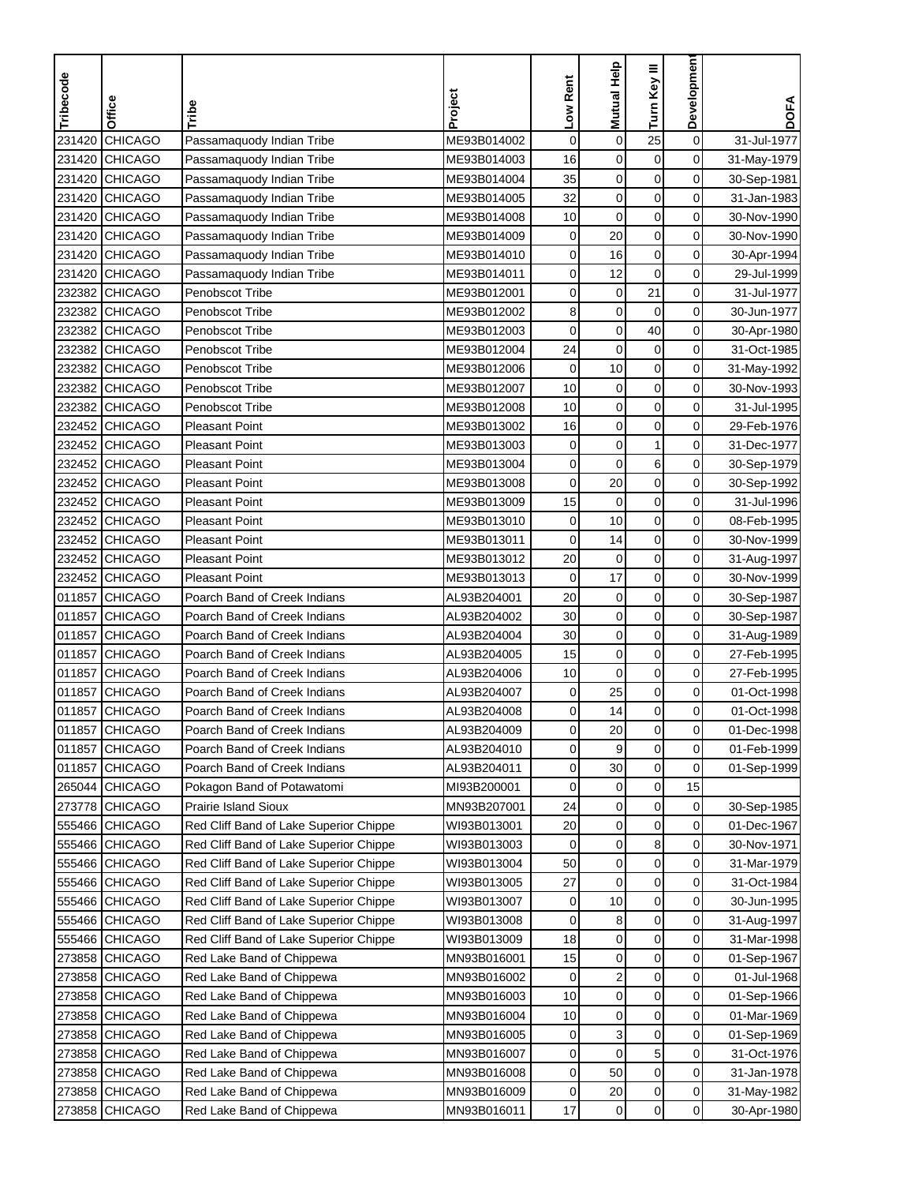| Tribecode | Office         | Tribe                                  | Project                    | Low Rent    | <b>Mutual Help</b>      | Turn Key III | Development    | <b>DOFA</b> |
|-----------|----------------|----------------------------------------|----------------------------|-------------|-------------------------|--------------|----------------|-------------|
| 231420    | <b>CHICAGO</b> | Passamaquody Indian Tribe              | ME93B014002                | $\mathbf 0$ | $\mathbf 0$             | 25           | $\mathbf 0$    | 31-Jul-1977 |
| 231420    | <b>CHICAGO</b> |                                        | ME93B014003                | 16          | 0                       | 0            | 0              | 31-May-1979 |
|           | <b>CHICAGO</b> | Passamaquody Indian Tribe              | ME93B014004                |             |                         |              | 0              |             |
| 231420    |                | Passamaquody Indian Tribe              |                            | 35          | $\mathbf 0$             | $\mathbf 0$  |                | 30-Sep-1981 |
| 231420    | <b>CHICAGO</b> | Passamaquody Indian Tribe              | ME93B014005<br>ME93B014008 | 32          | $\mathbf 0$             | $\mathbf 0$  | 0              | 31-Jan-1983 |
| 231420    | <b>CHICAGO</b> | Passamaquody Indian Tribe              |                            | 10          | $\mathbf 0$             | $\pmb{0}$    | 0              | 30-Nov-1990 |
| 231420    | <b>CHICAGO</b> | Passamaquody Indian Tribe              | ME93B014009                | $\pmb{0}$   | 20                      | $\mathbf 0$  | 0              | 30-Nov-1990 |
| 231420    | <b>CHICAGO</b> | Passamaquody Indian Tribe              | ME93B014010                | 0           | 16                      | $\mathbf 0$  | 0              | 30-Apr-1994 |
| 231420    | <b>CHICAGO</b> | Passamaquody Indian Tribe              | ME93B014011                | 0           | 12                      | 0            | 0<br>0         | 29-Jul-1999 |
| 232382    | <b>CHICAGO</b> | Penobscot Tribe                        | ME93B012001                | 0           | $\mathbf 0$             | 21           |                | 31-Jul-1977 |
| 232382    | <b>CHICAGO</b> | Penobscot Tribe                        | ME93B012002                | 8           | $\mathbf 0$             | $\mathbf 0$  | 0              | 30-Jun-1977 |
| 232382    | <b>CHICAGO</b> | <b>Penobscot Tribe</b>                 | ME93B012003                | 0           | $\mathbf 0$             | 40           | 0              | 30-Apr-1980 |
| 232382    | <b>CHICAGO</b> | Penobscot Tribe                        | ME93B012004                | 24          | 0                       | $\mathbf 0$  | 0              | 31-Oct-1985 |
| 232382    | <b>CHICAGO</b> | Penobscot Tribe                        | ME93B012006                | $\mathbf 0$ | 10                      | $\pmb{0}$    | 0              | 31-May-1992 |
| 232382    | <b>CHICAGO</b> | Penobscot Tribe                        | ME93B012007                | 10          | $\mathbf 0$             | $\mathbf 0$  | 0              | 30-Nov-1993 |
| 232382    | <b>CHICAGO</b> | <b>Penobscot Tribe</b>                 | ME93B012008                | 10          | $\mathbf 0$             | 0            | 0              | 31-Jul-1995 |
| 232452    | <b>CHICAGO</b> | <b>Pleasant Point</b>                  | ME93B013002                | 16          | 0                       | 0            | 0              | 29-Feb-1976 |
| 232452    | <b>CHICAGO</b> | <b>Pleasant Point</b>                  | ME93B013003                | $\mathbf 0$ | $\mathbf 0$             | 1            | 0              | 31-Dec-1977 |
| 232452    | <b>CHICAGO</b> | <b>Pleasant Point</b>                  | ME93B013004                | 0           | $\mathbf 0$             | 6            | 0              | 30-Sep-1979 |
|           | 232452 CHICAGO | <b>Pleasant Point</b>                  | ME93B013008                | 0           | 20                      | $\mathbf 0$  | 0              | 30-Sep-1992 |
| 232452    | <b>CHICAGO</b> | <b>Pleasant Point</b>                  | ME93B013009                | 15          | $\mathbf 0$             | $\mathbf 0$  | 0              | 31-Jul-1996 |
| 232452    | <b>CHICAGO</b> | <b>Pleasant Point</b>                  | ME93B013010                | 0           | 10                      | $\mathbf 0$  | 0              | 08-Feb-1995 |
| 232452    | <b>CHICAGO</b> | <b>Pleasant Point</b>                  | ME93B013011                | 0           | 14                      | $\pmb{0}$    | 0              | 30-Nov-1999 |
| 232452    | <b>CHICAGO</b> | <b>Pleasant Point</b>                  | ME93B013012                | 20          | $\mathbf 0$             | $\mathbf 0$  | 0              | 31-Aug-1997 |
| 232452    | <b>CHICAGO</b> | <b>Pleasant Point</b>                  | ME93B013013                | 0           | 17                      | $\mathbf 0$  | 0              | 30-Nov-1999 |
| 011857    | <b>CHICAGO</b> | Poarch Band of Creek Indians           | AL93B204001                | 20          | 0                       | 0            | 0              | 30-Sep-1987 |
| 011857    | <b>CHICAGO</b> | Poarch Band of Creek Indians           | AL93B204002                | 30          | $\mathbf 0$             | $\mathbf 0$  | 0              | 30-Sep-1987 |
| 011857    | <b>CHICAGO</b> | Poarch Band of Creek Indians           | AL93B204004                | 30          | 0                       | $\mathbf 0$  | 0              | 31-Aug-1989 |
| 011857    | <b>CHICAGO</b> | Poarch Band of Creek Indians           | AL93B204005                | 15          | $\mathbf 0$             | $\mathbf 0$  | 0              | 27-Feb-1995 |
| 011857    | <b>CHICAGO</b> | Poarch Band of Creek Indians           | AL93B204006                | 10          | $\mathbf 0$             | 0            | 0              | 27-Feb-1995 |
| 011857    | <b>CHICAGO</b> | Poarch Band of Creek Indians           | AL93B204007                | 0           | 25                      | $\mathbf 0$  | 0              | 01-Oct-1998 |
| 011857    | <b>CHICAGO</b> | Poarch Band of Creek Indians           | AL93B204008                | 0           | 14                      | $\mathbf 0$  | 0              | 01-Oct-1998 |
| 011857    | <b>CHICAGO</b> | Poarch Band of Creek Indians           | AL93B204009                | 0           | 20                      | 0            | 0              | 01-Dec-1998 |
| 011857    | <b>CHICAGO</b> | Poarch Band of Creek Indians           | AL93B204010                | 0           | 9                       | 0            | 0              | 01-Feb-1999 |
| 011857    | <b>CHICAGO</b> | Poarch Band of Creek Indians           | AL93B204011                | 0           | 30                      | $\mathbf 0$  | 0              | 01-Sep-1999 |
|           | 265044 CHICAGO | Pokagon Band of Potawatomi             | MI93B200001                | 0           | $\pmb{0}$               | $\pmb{0}$    | 15             |             |
|           | 273778 CHICAGO | <b>Prairie Island Sioux</b>            | MN93B207001                | 24          | $\mathbf 0$             | $\mathbf 0$  | $\overline{0}$ | 30-Sep-1985 |
|           | 555466 CHICAGO | Red Cliff Band of Lake Superior Chippe | WI93B013001                | 20          | 0                       | 0            | 0              | 01-Dec-1967 |
|           | 555466 CHICAGO | Red Cliff Band of Lake Superior Chippe | WI93B013003                | 0           | $\pmb{0}$               | 8            | 0              | 30-Nov-1971 |
|           | 555466 CHICAGO | Red Cliff Band of Lake Superior Chippe | WI93B013004                | 50          | $\pmb{0}$               | $\pmb{0}$    | 0              | 31-Mar-1979 |
|           | 555466 CHICAGO | Red Cliff Band of Lake Superior Chippe | WI93B013005                | 27          | $\mathbf 0$             | 0            | 0              | 31-Oct-1984 |
|           | 555466 CHICAGO | Red Cliff Band of Lake Superior Chippe | WI93B013007                | 0           | 10                      | 0            | 0              | 30-Jun-1995 |
|           | 555466 CHICAGO | Red Cliff Band of Lake Superior Chippe | WI93B013008                | 0           | 8                       | 0            | 0              | 31-Aug-1997 |
|           | 555466 CHICAGO | Red Cliff Band of Lake Superior Chippe | WI93B013009                | 18          | $\mathbf 0$             | $\mathbf 0$  | 0              | 31-Mar-1998 |
|           | 273858 CHICAGO | Red Lake Band of Chippewa              | MN93B016001                | 15          | 0                       | $\mathbf 0$  | 0              | 01-Sep-1967 |
|           | 273858 CHICAGO | Red Lake Band of Chippewa              | MN93B016002                | 0           | $\overline{\mathbf{c}}$ | $\mathbf 0$  | 0              | 01-Jul-1968 |
| 273858    | <b>CHICAGO</b> | Red Lake Band of Chippewa              | MN93B016003                | 10          | $\pmb{0}$               | 0            | 0              | 01-Sep-1966 |
| 273858    | <b>CHICAGO</b> | Red Lake Band of Chippewa              | MN93B016004                | 10          | $\boldsymbol{0}$        | $\pmb{0}$    | 0              | 01-Mar-1969 |
|           | 273858 CHICAGO | Red Lake Band of Chippewa              | MN93B016005                | 0           | 3                       | $\pmb{0}$    | 0              | 01-Sep-1969 |
|           | 273858 CHICAGO | Red Lake Band of Chippewa              | MN93B016007                | 0           | $\mathbf 0$             | 5            | 0              | 31-Oct-1976 |
|           | 273858 CHICAGO | Red Lake Band of Chippewa              | MN93B016008                | 0           | 50                      | 0            | 0              | 31-Jan-1978 |
|           | 273858 CHICAGO | Red Lake Band of Chippewa              | MN93B016009                | 0           | 20                      | 0            | $\overline{0}$ | 31-May-1982 |
|           | 273858 CHICAGO | Red Lake Band of Chippewa              | MN93B016011                | 17          | $\mathbf 0$             | $\mathbf 0$  | $\overline{0}$ | 30-Apr-1980 |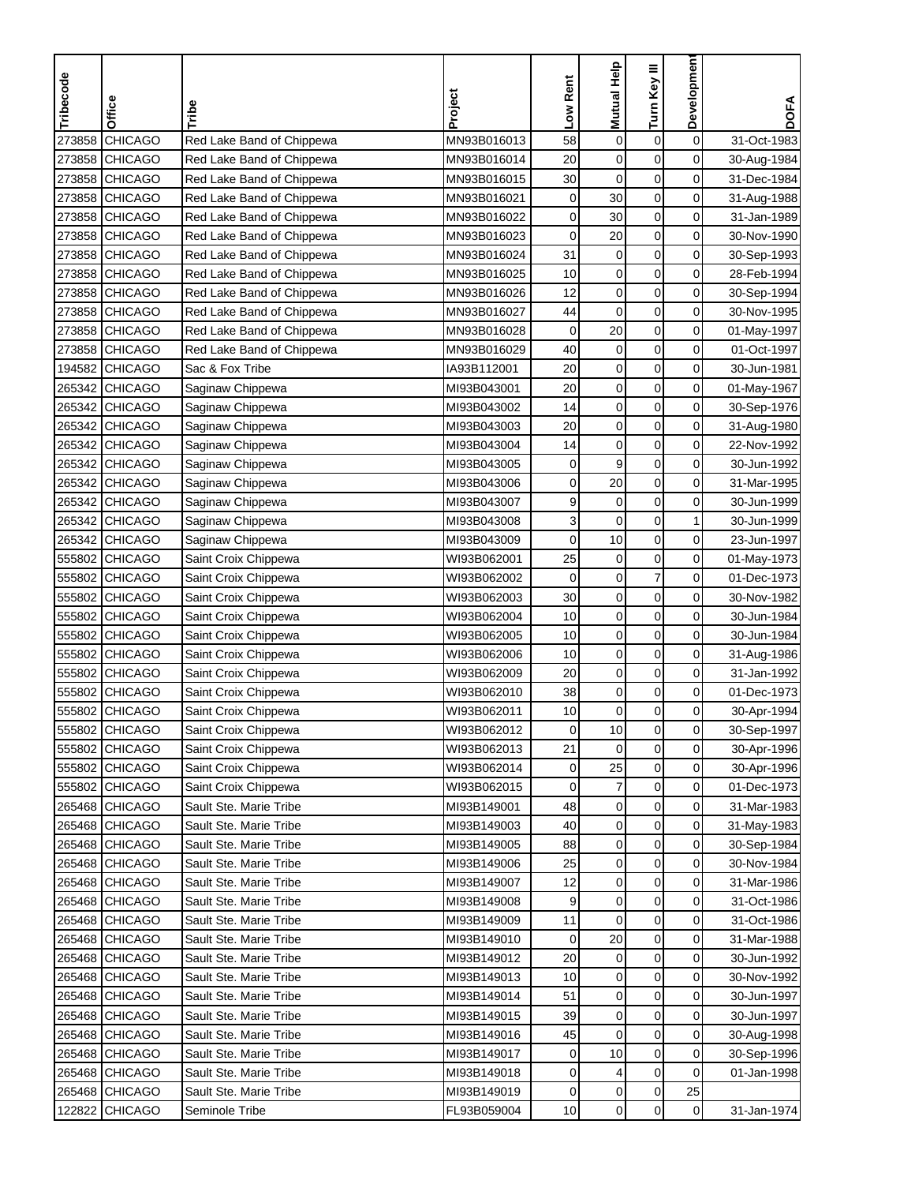| Tribecode<br>Office      | Tribe                     | Project     | Low Rent    | Mutual Help      | Turn Key III   | <b>Developmen</b> | <b>DOFA</b> |
|--------------------------|---------------------------|-------------|-------------|------------------|----------------|-------------------|-------------|
|                          |                           |             |             |                  |                |                   |             |
| 273858<br><b>CHICAGO</b> | Red Lake Band of Chippewa | MN93B016013 | 58          | $\mathbf 0$      | $\mathbf 0$    | $\mathbf 0$       | 31-Oct-1983 |
| <b>CHICAGO</b><br>273858 | Red Lake Band of Chippewa | MN93B016014 | 20          | $\mathbf 0$      | $\mathbf 0$    | 0                 | 30-Aug-1984 |
| <b>CHICAGO</b><br>273858 | Red Lake Band of Chippewa | MN93B016015 | 30          | $\mathbf 0$      | $\mathbf 0$    | 0                 | 31-Dec-1984 |
| 273858<br><b>CHICAGO</b> | Red Lake Band of Chippewa | MN93B016021 | 0           | 30               | $\mathbf 0$    | 0                 | 31-Aug-1988 |
| <b>CHICAGO</b><br>273858 | Red Lake Band of Chippewa | MN93B016022 | 0           | 30               | $\pmb{0}$      | 0                 | 31-Jan-1989 |
| 273858<br><b>CHICAGO</b> | Red Lake Band of Chippewa | MN93B016023 | $\mathbf 0$ | 20               | $\pmb{0}$      | 0                 | 30-Nov-1990 |
| 273858<br><b>CHICAGO</b> | Red Lake Band of Chippewa | MN93B016024 | 31          | $\mathbf 0$      | $\mathbf 0$    | 0                 | 30-Sep-1993 |
| 273858<br><b>CHICAGO</b> | Red Lake Band of Chippewa | MN93B016025 | 10          | $\pmb{0}$        | $\mathbf 0$    | 0                 | 28-Feb-1994 |
| 273858<br><b>CHICAGO</b> | Red Lake Band of Chippewa | MN93B016026 | 12          | $\mathbf 0$      | 0              | 0                 | 30-Sep-1994 |
| 273858<br><b>CHICAGO</b> | Red Lake Band of Chippewa | MN93B016027 | 44          | $\mathbf 0$      | $\mathbf 0$    | 0                 | 30-Nov-1995 |
| <b>CHICAGO</b><br>273858 | Red Lake Band of Chippewa | MN93B016028 | 0           | 20               | $\mathbf 0$    | $\mathbf 0$       | 01-May-1997 |
| 273858 CHICAGO           | Red Lake Band of Chippewa | MN93B016029 | 40          | $\pmb{0}$        | $\mathbf 0$    | 0                 | 01-Oct-1997 |
| 194582 CHICAGO           | Sac & Fox Tribe           | IA93B112001 | 20          | $\mathbf 0$      | $\mathbf 0$    | $\mathbf 0$       | 30-Jun-1981 |
| 265342<br><b>CHICAGO</b> | Saginaw Chippewa          | MI93B043001 | 20          | $\pmb{0}$        | $\pmb{0}$      | $\mathbf 0$       | 01-May-1967 |
| 265342<br><b>CHICAGO</b> | Saginaw Chippewa          | MI93B043002 | 14          | $\mathbf 0$      | $\mathbf 0$    | 0                 | 30-Sep-1976 |
| 265342 CHICAGO           | Saginaw Chippewa          | MI93B043003 | 20          | $\mathbf 0$      | $\mathbf 0$    | 0                 | 31-Aug-1980 |
| 265342<br><b>CHICAGO</b> | Saginaw Chippewa          | MI93B043004 | 14          | $\mathbf 0$      | 0              | 0                 | 22-Nov-1992 |
| 265342 CHICAGO           | Saginaw Chippewa          | MI93B043005 | $\mathbf 0$ | 9                | $\mathbf 0$    | 0                 | 30-Jun-1992 |
| 265342 CHICAGO           | Saginaw Chippewa          | MI93B043006 | 0           | 20               | $\mathbf 0$    | 0                 | 31-Mar-1995 |
| 265342 CHICAGO           | Saginaw Chippewa          | MI93B043007 | 9           | $\mathbf 0$      | $\mathbf 0$    | 0                 | 30-Jun-1999 |
| 265342<br><b>CHICAGO</b> | Saginaw Chippewa          | MI93B043008 | 3           | $\mathbf 0$      | $\mathbf 0$    | 1                 | 30-Jun-1999 |
| 265342<br><b>CHICAGO</b> | Saginaw Chippewa          | MI93B043009 | 0           | 10               | $\pmb{0}$      | 0                 | 23-Jun-1997 |
| 555802<br><b>CHICAGO</b> | Saint Croix Chippewa      | WI93B062001 | 25          | $\boldsymbol{0}$ | $\mathbf 0$    | 0                 | 01-May-1973 |
| 555802<br><b>CHICAGO</b> | Saint Croix Chippewa      | WI93B062002 | 0           | $\pmb{0}$        | $\overline{7}$ | 0                 | 01-Dec-1973 |
| 555802<br><b>CHICAGO</b> | Saint Croix Chippewa      | WI93B062003 | 30          | $\mathbf 0$      | 0              | 0                 | 30-Nov-1982 |
| 555802<br><b>CHICAGO</b> | Saint Croix Chippewa      | WI93B062004 | 10          | $\pmb{0}$        | 0              | 0                 | 30-Jun-1984 |
| 555802<br><b>CHICAGO</b> | Saint Croix Chippewa      | WI93B062005 | 10          | $\mathbf 0$      | $\mathbf 0$    | 0                 | 30-Jun-1984 |
| 555802<br><b>CHICAGO</b> | Saint Croix Chippewa      | WI93B062006 | 10          | $\mathbf 0$      | $\mathbf 0$    | 0                 | 31-Aug-1986 |
| 555802<br><b>CHICAGO</b> | Saint Croix Chippewa      | WI93B062009 | 20          | $\boldsymbol{0}$ | $\mathbf 0$    | 0                 | 31-Jan-1992 |
| 555802<br><b>CHICAGO</b> | Saint Croix Chippewa      | WI93B062010 | 38          | $\mathbf 0$      | $\pmb{0}$      | $\mathbf 0$       | 01-Dec-1973 |
| <b>CHICAGO</b><br>555802 | Saint Croix Chippewa      | WI93B062011 | 10          | $\mathbf 0$      | $\mathbf 0$    | 0                 | 30-Apr-1994 |
| 555802 CHICAGO           | Saint Croix Chippewa      | WI93B062012 | 0           | 10               | 0              | 0                 | 30-Sep-1997 |
| 555802 CHICAGO           | Saint Croix Chippewa      | WI93B062013 | 21          | $\mathbf 0$      | $\mathbf 0$    | 0                 | 30-Apr-1996 |
| 555802 CHICAGO           | Saint Croix Chippewa      | WI93B062014 | 0           | 25               | 0              | 0                 | 30-Apr-1996 |
| 555802 CHICAGO           | Saint Croix Chippewa      | WI93B062015 | $\mathbf 0$ | $\boldsymbol{7}$ | $\pmb{0}$      | 0                 | 01-Dec-1973 |
| 265468 CHICAGO           | Sault Ste. Marie Tribe    | MI93B149001 | 48          | 0                | 0              | $\overline{0}$    | 31-Mar-1983 |
| 265468 CHICAGO           | Sault Ste. Marie Tribe    | MI93B149003 | 40          | $\mathbf 0$      | 0              | $\overline{0}$    | 31-May-1983 |
| 265468 CHICAGO           | Sault Ste. Marie Tribe    | MI93B149005 | 88          | $\pmb{0}$        | 0              | $\overline{0}$    | 30-Sep-1984 |
| 265468 CHICAGO           | Sault Ste. Marie Tribe    | MI93B149006 | 25          | $\pmb{0}$        | $\pmb{0}$      | $\overline{0}$    | 30-Nov-1984 |
| 265468 CHICAGO           | Sault Ste. Marie Tribe    | MI93B149007 | 12          | 0                | $\mathbf 0$    | 0                 | 31-Mar-1986 |
| 265468 CHICAGO           | Sault Ste. Marie Tribe    | MI93B149008 | 9           | $\pmb{0}$        | $\mathbf 0$    | 0                 | 31-Oct-1986 |
| 265468 CHICAGO           | Sault Ste. Marie Tribe    | MI93B149009 | 11          | $\mathbf 0$      | $\pmb{0}$      | $\mathbf 0$       | 31-Oct-1986 |
| 265468 CHICAGO           | Sault Ste. Marie Tribe    | MI93B149010 | 0           | 20               | $\pmb{0}$      | 0                 | 31-Mar-1988 |
| 265468 CHICAGO           | Sault Ste. Marie Tribe    | MI93B149012 | 20          | 0                | $\mathbf 0$    | 0                 | 30-Jun-1992 |
| 265468 CHICAGO           | Sault Ste. Marie Tribe    | MI93B149013 | 10          | 0                | 0              | 0                 | 30-Nov-1992 |
| 265468 CHICAGO           | Sault Ste. Marie Tribe    | MI93B149014 | 51          | $\mathbf 0$      | 0              | 0                 | 30-Jun-1997 |
| 265468 CHICAGO           | Sault Ste. Marie Tribe    | MI93B149015 | 39          | $\mathbf 0$      | $\pmb{0}$      | 0                 | 30-Jun-1997 |
| 265468 CHICAGO           | Sault Ste. Marie Tribe    | MI93B149016 | 45          | $\mathbf 0$      | 0              | 0                 | 30-Aug-1998 |
| 265468 CHICAGO           | Sault Ste. Marie Tribe    | MI93B149017 | 0           | 10               | $\pmb{0}$      | 0                 | 30-Sep-1996 |
| 265468 CHICAGO           | Sault Ste. Marie Tribe    | MI93B149018 | 0           | 4                | 0              | 0                 | 01-Jan-1998 |
| 265468 CHICAGO           | Sault Ste. Marie Tribe    | MI93B149019 | 0           | $\pmb{0}$        | $\pmb{0}$      | 25                |             |
| 122822<br><b>CHICAGO</b> | Seminole Tribe            | FL93B059004 | 10          | $\pmb{0}$        | 0              | $\overline{0}$    | 31-Jan-1974 |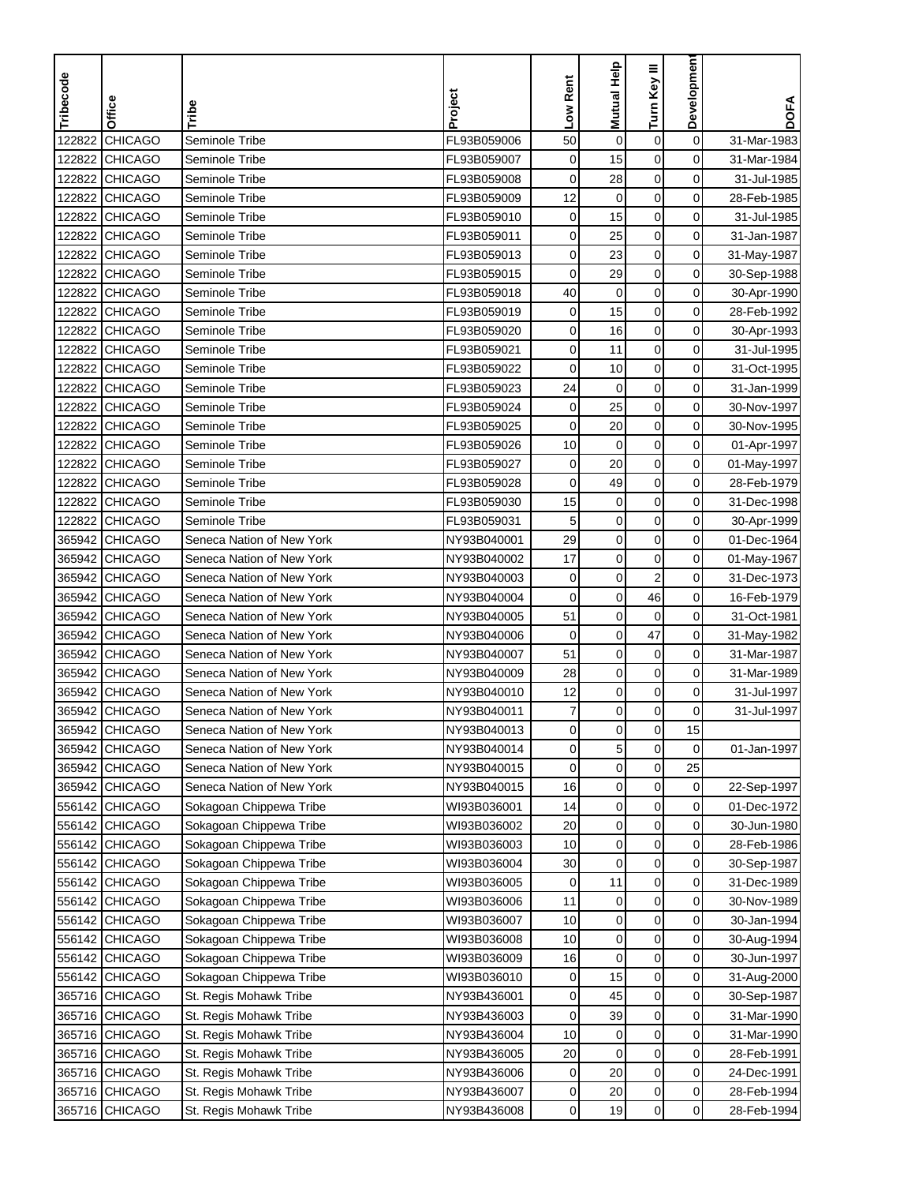| Tribecode | Office           | Tribe                     | Project     | Low Rent    | Mutual Help      | Turn Key III            | <b>Developmen</b> | <b>DOFA</b> |
|-----------|------------------|---------------------------|-------------|-------------|------------------|-------------------------|-------------------|-------------|
|           |                  |                           |             |             |                  |                         |                   |             |
| 122822    | <b>CHICAGO</b>   | Seminole Tribe            | FL93B059006 | 50          | $\mathbf 0$      | $\boldsymbol{0}$        | $\mathbf 0$       | 31-Mar-1983 |
| 122822    | <b>CHICAGO</b>   | Seminole Tribe            | FL93B059007 | $\mathbf 0$ | 15               | $\mathbf 0$             | 0                 | 31-Mar-1984 |
| 122822    | <b>CHICAGO</b>   | Seminole Tribe            | FL93B059008 | 0           | 28               | $\mathbf 0$             | 0                 | 31-Jul-1985 |
| 122822    | <b>CHICAGO</b>   | Seminole Tribe            | FL93B059009 | 12          | $\mathbf 0$      | $\mathbf 0$             | 0                 | 28-Feb-1985 |
| 122822    | <b>CHICAGO</b>   | Seminole Tribe            | FL93B059010 | $\mathbf 0$ | 15               | $\boldsymbol{0}$        | 0                 | 31-Jul-1985 |
| 122822    | <b>CHICAGO</b>   | Seminole Tribe            | FL93B059011 | 0           | 25               | $\mathbf 0$             | 0                 | 31-Jan-1987 |
| 122822    | <b>CHICAGO</b>   | Seminole Tribe            | FL93B059013 | 0           | 23               | $\mathbf 0$             | $\mathbf 0$       | 31-May-1987 |
| 122822    | <b>CHICAGO</b>   | Seminole Tribe            | FL93B059015 | 0           | 29               | $\mathbf 0$             | 0                 | 30-Sep-1988 |
| 122822    | <b>CHICAGO</b>   | Seminole Tribe            | FL93B059018 | 40          | 0                | 0                       | 0                 | 30-Apr-1990 |
| 122822    | <b>CHICAGO</b>   | Seminole Tribe            | FL93B059019 | $\mathbf 0$ | 15               | 0                       | $\mathbf 0$       | 28-Feb-1992 |
| 122822    | <b>CHICAGO</b>   | Seminole Tribe            | FL93B059020 | 0           | 16               | 0                       | 0                 | 30-Apr-1993 |
| 122822    | <b>CHICAGO</b>   | Seminole Tribe            | FL93B059021 | 0           | 11               | $\mathbf 0$             | 0                 | 31-Jul-1995 |
| 122822    | <b>CHICAGO</b>   | Seminole Tribe            | FL93B059022 | 0           | 10               | 0                       | 0                 | 31-Oct-1995 |
| 122822    | <b>CHICAGO</b>   | Seminole Tribe            | FL93B059023 | 24          | $\mathbf 0$      | $\mathbf 0$             | $\mathbf 0$       | 31-Jan-1999 |
| 122822    | <b>CHICAGO</b>   | Seminole Tribe            | FL93B059024 | 0           | 25               | $\mathbf 0$             | 0                 | 30-Nov-1997 |
| 122822    | <b>CHICAGO</b>   | Seminole Tribe            | FL93B059025 | 0           | 20               | $\mathbf 0$             | 0                 | 30-Nov-1995 |
| 122822    | <b>CHICAGO</b>   | Seminole Tribe            | FL93B059026 | 10          | $\mathbf 0$      | $\mathbf 0$             | 0                 | 01-Apr-1997 |
| 122822    | <b>CHICAGO</b>   | Seminole Tribe            | FL93B059027 | $\mathbf 0$ | 20               | $\mathbf 0$             | $\mathbf 0$       | 01-May-1997 |
| 122822    | <b>CHICAGO</b>   | Seminole Tribe            | FL93B059028 | 0           | 49               | $\mathbf 0$             | 0                 | 28-Feb-1979 |
| 122822    | <b>CHICAGO</b>   | Seminole Tribe            | FL93B059030 | 15          | 0                | $\mathbf 0$             | 0                 | 31-Dec-1998 |
| 122822    | <b>CHICAGO</b>   | Seminole Tribe            | FL93B059031 | 5           | $\mathbf 0$      | $\mathbf 0$             | 0                 | 30-Apr-1999 |
| 365942    | <b>CHICAGO</b>   | Seneca Nation of New York | NY93B040001 | 29          | $\mathbf 0$      | $\boldsymbol{0}$        | 0                 | 01-Dec-1964 |
| 365942    | CHICAGO          | Seneca Nation of New York | NY93B040002 | 17          | $\mathbf 0$      | $\mathbf 0$             | 0                 | 01-May-1967 |
| 365942    | <b>CHICAGO</b>   | Seneca Nation of New York | NY93B040003 | 0           | $\mathbf 0$      | $\overline{\mathbf{c}}$ | $\mathbf 0$       | 31-Dec-1973 |
| 365942    | <b>CHICAGO</b>   | Seneca Nation of New York | NY93B040004 | 0           | $\mathbf 0$      | 46                      | 0                 | 16-Feb-1979 |
| 365942    | <b>CHICAGO</b>   | Seneca Nation of New York | NY93B040005 | 51          | $\mathbf 0$      | $\mathbf 0$             | 0                 | 31-Oct-1981 |
| 365942    | <b>CHICAGO</b>   | Seneca Nation of New York | NY93B040006 | 0           | $\mathbf 0$      | 47                      | $\mathbf 0$       | 31-May-1982 |
| 365942    | <b>CHICAGO</b>   | Seneca Nation of New York | NY93B040007 | 51          | 0                | 0                       | 0                 | 31-Mar-1987 |
| 365942    | <b>CHICAGO</b>   | Seneca Nation of New York | NY93B040009 | 28          | $\mathbf 0$      | $\mathbf 0$             | 0                 | 31-Mar-1989 |
| 365942    | <b>CHICAGO</b>   | Seneca Nation of New York | NY93B040010 | 12          | $\mathbf 0$      | $\boldsymbol{0}$        | 0                 | 31-Jul-1997 |
| 365942    | <b>CHICAGO</b>   | Seneca Nation of New York | NY93B040011 | 7           | $\mathbf 0$      | $\mathbf 0$             | 0                 | 31-Jul-1997 |
|           | 365942   CHICAGO | Seneca Nation of New York | NY93B040013 | 0           | 0                | $\mathbf 0$             | 15                |             |
|           | 365942 CHICAGO   | Seneca Nation of New York | NY93B040014 | 0           | $\overline{5}$   | $\mathbf 0$             | 0                 | 01-Jan-1997 |
|           | 365942 CHICAGO   | Seneca Nation of New York | NY93B040015 | 0           | $\boldsymbol{0}$ | 0                       | 25                |             |
|           | 365942 CHICAGO   | Seneca Nation of New York | NY93B040015 | 16          | $\boldsymbol{0}$ | $\pmb{0}$               | 0                 | 22-Sep-1997 |
|           | 556142 CHICAGO   | Sokagoan Chippewa Tribe   | WI93B036001 | 14          | $\pmb{0}$        | $\mathbf 0$             | 0                 | 01-Dec-1972 |
|           | 556142 CHICAGO   | Sokagoan Chippewa Tribe   | WI93B036002 | 20          | $\pmb{0}$        | $\pmb{0}$               | 0                 | 30-Jun-1980 |
|           | 556142 CHICAGO   | Sokagoan Chippewa Tribe   | WI93B036003 | 10          | $\pmb{0}$        | 0                       | $\overline{0}$    | 28-Feb-1986 |
|           | 556142 CHICAGO   | Sokagoan Chippewa Tribe   | WI93B036004 | 30          | $\pmb{0}$        | $\pmb{0}$               | $\overline{0}$    | 30-Sep-1987 |
|           | 556142 CHICAGO   | Sokagoan Chippewa Tribe   | WI93B036005 | 0           | 11               | $\mathbf 0$             | 0                 | 31-Dec-1989 |
|           | 556142 CHICAGO   | Sokagoan Chippewa Tribe   | WI93B036006 | 11          | $\pmb{0}$        | $\boldsymbol{0}$        | 0                 | 30-Nov-1989 |
|           | 556142 CHICAGO   | Sokagoan Chippewa Tribe   | WI93B036007 | 10          | $\mathbf 0$      | $\pmb{0}$               | 0                 | 30-Jan-1994 |
|           | 556142 CHICAGO   | Sokagoan Chippewa Tribe   | WI93B036008 | 10          | $\mathbf 0$      | $\pmb{0}$               | $\mathbf 0$       | 30-Aug-1994 |
|           | 556142 CHICAGO   | Sokagoan Chippewa Tribe   | WI93B036009 | 16          | $\mathbf 0$      | $\mathbf 0$             | 0                 | 30-Jun-1997 |
|           | 556142 CHICAGO   | Sokagoan Chippewa Tribe   | WI93B036010 | 0           | 15               | $\mathbf 0$             | 0                 | 31-Aug-2000 |
|           | 365716 CHICAGO   | St. Regis Mohawk Tribe    | NY93B436001 | 0           | 45               | 0                       | 0                 | 30-Sep-1987 |
|           | 365716 CHICAGO   | St. Regis Mohawk Tribe    | NY93B436003 | 0           | 39               | $\pmb{0}$               | 0                 | 31-Mar-1990 |
|           | 365716 CHICAGO   | St. Regis Mohawk Tribe    | NY93B436004 | 10          | $\pmb{0}$        | $\pmb{0}$               | 0                 | 31-Mar-1990 |
|           | 365716 CHICAGO   | St. Regis Mohawk Tribe    | NY93B436005 | 20          | $\mathbf 0$      | $\mathbf 0$             | 0                 | 28-Feb-1991 |
|           | 365716 CHICAGO   | St. Regis Mohawk Tribe    | NY93B436006 | 0           | 20               | 0                       | 0                 | 24-Dec-1991 |
|           | 365716 CHICAGO   | St. Regis Mohawk Tribe    | NY93B436007 | 0           | 20               | $\pmb{0}$               | $\mathbf 0$       | 28-Feb-1994 |
|           | 365716 CHICAGO   | St. Regis Mohawk Tribe    | NY93B436008 | 0           | 19               | 0                       | $\overline{0}$    | 28-Feb-1994 |
|           |                  |                           |             |             |                  |                         |                   |             |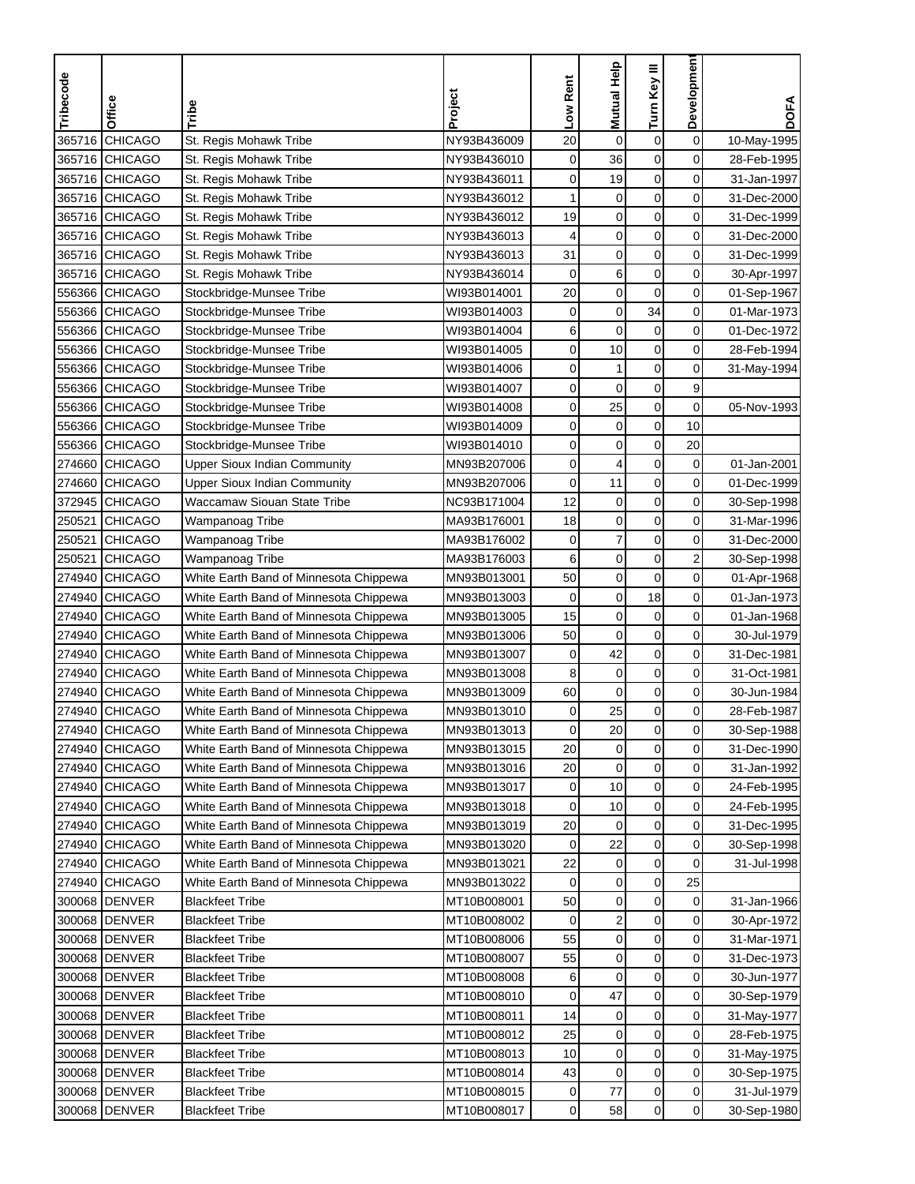| Tribecode | Office         | Tribe                                  | Project     | Low Rent    | Mutual Help      | Turn Key III     | <b>Developmen</b>   | <b>DOFA</b> |
|-----------|----------------|----------------------------------------|-------------|-------------|------------------|------------------|---------------------|-------------|
|           |                |                                        |             |             |                  |                  |                     |             |
| 365716    | CHICAGO        | St. Regis Mohawk Tribe                 | NY93B436009 | 20          | $\mathbf 0$      | $\boldsymbol{0}$ | $\mathbf 0$         | 10-May-1995 |
|           | 365716 CHICAGO | St. Regis Mohawk Tribe                 | NY93B436010 | $\mathbf 0$ | 36               | $\mathbf 0$      | 0                   | 28-Feb-1995 |
|           | 365716 CHICAGO | St. Regis Mohawk Tribe                 | NY93B436011 | 0           | 19               | $\mathbf 0$      | 0                   | 31-Jan-1997 |
|           | 365716 CHICAGO | St. Regis Mohawk Tribe                 | NY93B436012 | 1           | $\mathbf 0$      | $\mathbf 0$      | 0                   | 31-Dec-2000 |
| 365716    | <b>CHICAGO</b> | St. Regis Mohawk Tribe                 | NY93B436012 | 19          | $\mathbf 0$      | $\boldsymbol{0}$ | 0                   | 31-Dec-1999 |
|           | 365716 CHICAGO | St. Regis Mohawk Tribe                 | NY93B436013 | 4           | $\mathbf 0$      | $\mathbf 0$      | 0                   | 31-Dec-2000 |
|           | 365716 CHICAGO | St. Regis Mohawk Tribe                 | NY93B436013 | 31          | $\mathbf 0$      | $\mathbf 0$      | 0                   | 31-Dec-1999 |
| 365716    | CHICAGO        | St. Regis Mohawk Tribe                 | NY93B436014 | 0           | 6                | 0                | 0                   | 30-Apr-1997 |
|           | 556366 CHICAGO | Stockbridge-Munsee Tribe               | WI93B014001 | 20          | $\mathbf 0$      | 0                | 0                   | 01-Sep-1967 |
|           | 556366 CHICAGO | Stockbridge-Munsee Tribe               | WI93B014003 | $\mathbf 0$ | $\boldsymbol{0}$ | 34               | $\mathbf 0$         | 01-Mar-1973 |
|           | 556366 CHICAGO | Stockbridge-Munsee Tribe               | WI93B014004 | 6           | $\mathbf 0$      | 0                | 0                   | 01-Dec-1972 |
|           | 556366 CHICAGO | Stockbridge-Munsee Tribe               | WI93B014005 | 0           | 10               | $\mathbf 0$      | 0                   | 28-Feb-1994 |
|           | 556366 CHICAGO | Stockbridge-Munsee Tribe               | WI93B014006 | 0           | 1                | 0                | $\mathbf 0$         | 31-May-1994 |
|           | 556366 CHICAGO | Stockbridge-Munsee Tribe               | WI93B014007 | 0           | $\mathbf 0$      | $\pmb{0}$        | 9                   |             |
|           | 556366 CHICAGO | Stockbridge-Munsee Tribe               | WI93B014008 | 0           | 25               | $\mathbf 0$      | 0                   | 05-Nov-1993 |
|           | 556366 CHICAGO | Stockbridge-Munsee Tribe               | WI93B014009 | 0           | $\pmb{0}$        | $\pmb{0}$        | 10                  |             |
|           | 556366 CHICAGO | Stockbridge-Munsee Tribe               | WI93B014010 | 0           | $\mathbf 0$      | $\pmb{0}$        | 20                  |             |
|           | 274660 CHICAGO | <b>Upper Sioux Indian Community</b>    | MN93B207006 | $\mathbf 0$ | 4                | $\mathbf 0$      | 0                   | 01-Jan-2001 |
| 274660    | <b>CHICAGO</b> | <b>Upper Sioux Indian Community</b>    | MN93B207006 | $\mathbf 0$ | 11               | $\mathbf 0$      | 0                   | 01-Dec-1999 |
| 372945    | <b>CHICAGO</b> | Waccamaw Siouan State Tribe            | NC93B171004 | 12          | 0                | $\mathbf 0$      | 0                   | 30-Sep-1998 |
| 250521    | <b>CHICAGO</b> | Wampanoag Tribe                        | MA93B176001 | 18          | $\mathbf 0$      | $\mathbf 0$      | 0                   | 31-Mar-1996 |
| 250521    | <b>CHICAGO</b> | Wampanoag Tribe                        | MA93B176002 | $\mathbf 0$ | $\overline{7}$   | $\pmb{0}$        | 0                   | 31-Dec-2000 |
| 250521    | <b>CHICAGO</b> | Wampanoag Tribe                        | MA93B176003 | 6           | $\mathbf 0$      | $\mathbf 0$      | 2                   | 30-Sep-1998 |
| 274940    | <b>CHICAGO</b> | White Earth Band of Minnesota Chippewa | MN93B013001 | 50          | $\boldsymbol{0}$ | $\mathbf 0$      | 0                   | 01-Apr-1968 |
| 274940    | <b>CHICAGO</b> | White Earth Band of Minnesota Chippewa | MN93B013003 | $\mathbf 0$ | $\mathbf 0$      | 18               | 0                   | 01-Jan-1973 |
| 274940    | <b>CHICAGO</b> | White Earth Band of Minnesota Chippewa | MN93B013005 | 15          | $\pmb{0}$        | $\pmb{0}$        | 0                   | 01-Jan-1968 |
| 274940    | <b>CHICAGO</b> | White Earth Band of Minnesota Chippewa | MN93B013006 | 50          | $\mathbf 0$      | $\mathbf 0$      | 0                   | 30-Jul-1979 |
| 274940    | <b>CHICAGO</b> | White Earth Band of Minnesota Chippewa | MN93B013007 | 0           | 42               | $\mathbf 0$      | 0                   | 31-Dec-1981 |
| 274940    | <b>CHICAGO</b> | White Earth Band of Minnesota Chippewa | MN93B013008 | 8           | $\pmb{0}$        | $\mathbf 0$      | 0                   | 31-Oct-1981 |
| 274940    | <b>CHICAGO</b> | White Earth Band of Minnesota Chippewa | MN93B013009 | 60          | $\mathbf 0$      | $\pmb{0}$        | $\mathbf 0$         | 30-Jun-1984 |
| 274940    | <b>CHICAGO</b> | White Earth Band of Minnesota Chippewa | MN93B013010 | 0           | 25               | $\mathbf 0$      | 0                   | 28-Feb-1987 |
|           | 274940 CHICAGO | White Earth Band of Minnesota Chippewa | MN93B013013 | 0           | 20               | 0                | 0                   | 30-Sep-1988 |
|           | 274940 CHICAGO | White Earth Band of Minnesota Chippewa | MN93B013015 | 20          | $\mathbf 0$      | $\mathbf 0$      | $\mathsf{O}\xspace$ | 31-Dec-1990 |
|           | 274940 CHICAGO | White Earth Band of Minnesota Chippewa | MN93B013016 | 20          | $\mathbf 0$      | 0                | 0                   | 31-Jan-1992 |
|           | 274940 CHICAGO | White Earth Band of Minnesota Chippewa | MN93B013017 | 0           | 10               | $\pmb{0}$        | 0                   | 24-Feb-1995 |
|           | 274940 CHICAGO | White Earth Band of Minnesota Chippewa | MN93B013018 | 0           | 10               | 0                | $\overline{0}$      | 24-Feb-1995 |
|           | 274940 CHICAGO | White Earth Band of Minnesota Chippewa | MN93B013019 | 20          | $\mathbf 0$      | 0                | 0                   | 31-Dec-1995 |
|           | 274940 CHICAGO | White Earth Band of Minnesota Chippewa | MN93B013020 | 0           | 22               | 0                | $\overline{0}$      | 30-Sep-1998 |
|           | 274940 CHICAGO | White Earth Band of Minnesota Chippewa | MN93B013021 | 22          | $\pmb{0}$        | $\pmb{0}$        | 0                   | 31-Jul-1998 |
|           | 274940 CHICAGO | White Earth Band of Minnesota Chippewa | MN93B013022 | 0           | 0                | 0                | 25                  |             |
|           | 300068 DENVER  | <b>Blackfeet Tribe</b>                 | MT10B008001 | 50          | $\pmb{0}$        | $\pmb{0}$        | 0                   | 31-Jan-1966 |
|           | 300068 DENVER  | <b>Blackfeet Tribe</b>                 | MT10B008002 | 0           | $\boldsymbol{2}$ | $\pmb{0}$        | 0                   | 30-Apr-1972 |
|           | 300068 DENVER  | <b>Blackfeet Tribe</b>                 | MT10B008006 | 55          | $\pmb{0}$        | $\pmb{0}$        | $\mathbf 0$         | 31-Mar-1971 |
|           | 300068 DENVER  | <b>Blackfeet Tribe</b>                 | MT10B008007 | 55          | $\mathbf 0$      | $\mathbf 0$      | 0                   | 31-Dec-1973 |
|           | 300068 DENVER  | <b>Blackfeet Tribe</b>                 | MT10B008008 | 6           | 0                | $\mathbf 0$      | 0                   | 30-Jun-1977 |
|           | 300068 DENVER  | <b>Blackfeet Tribe</b>                 | MT10B008010 | 0           | 47               | 0                | 0                   | 30-Sep-1979 |
|           | 300068 DENVER  | <b>Blackfeet Tribe</b>                 | MT10B008011 | 14          | 0                | $\pmb{0}$        | 0                   | 31-May-1977 |
|           | 300068 DENVER  | <b>Blackfeet Tribe</b>                 | MT10B008012 | 25          | $\pmb{0}$        | $\mathbf 0$      | 0                   | 28-Feb-1975 |
|           | 300068 DENVER  | <b>Blackfeet Tribe</b>                 | MT10B008013 | 10          | $\pmb{0}$        | $\mathbf 0$      | 0                   | 31-May-1975 |
|           | 300068 DENVER  | <b>Blackfeet Tribe</b>                 | MT10B008014 | 43          | $\mathbf 0$      | 0                | 0                   | 30-Sep-1975 |
|           | 300068 DENVER  | <b>Blackfeet Tribe</b>                 | MT10B008015 | $\mathbf 0$ | 77               | $\pmb{0}$        | $\mathbf 0$         | 31-Jul-1979 |
|           | 300068 DENVER  | <b>Blackfeet Tribe</b>                 | MT10B008017 | 0           | 58               | $\pmb{0}$        | $\overline{0}$      | 30-Sep-1980 |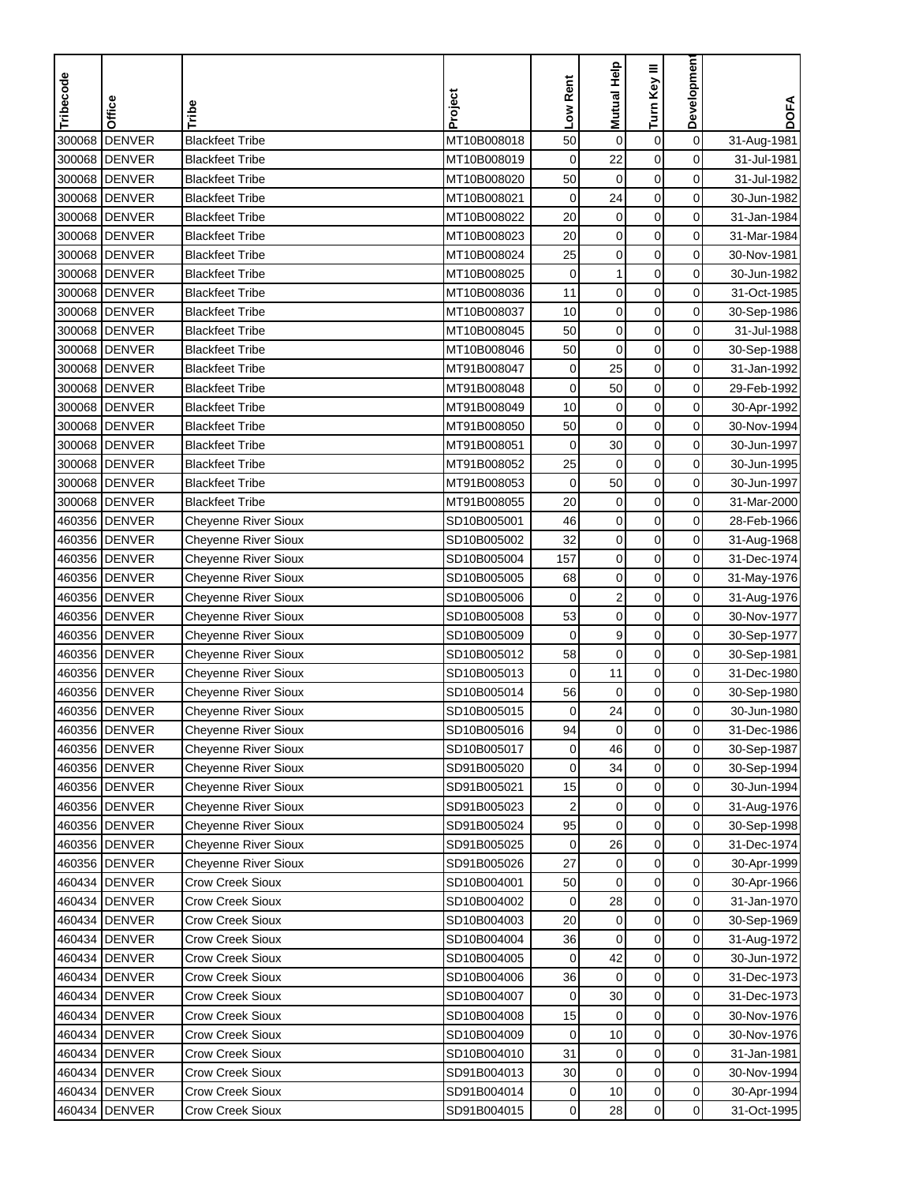| Tribecode |                        |                                      | Project                    | Low Rent       | Mutual Help             | Turn Key III     | Developmen          |             |
|-----------|------------------------|--------------------------------------|----------------------------|----------------|-------------------------|------------------|---------------------|-------------|
|           | Office                 | Tribe                                |                            |                |                         |                  |                     | <b>DOFA</b> |
| 300068    | <b>DENVER</b>          | <b>Blackfeet Tribe</b>               | MT10B008018                | 50             | $\pmb{0}$               | $\boldsymbol{0}$ | $\mathbf 0$         | 31-Aug-1981 |
| 300068    | <b>DENVER</b>          | <b>Blackfeet Tribe</b>               | MT10B008019                | $\mathbf 0$    | 22                      | $\mathbf 0$      | 0                   | 31-Jul-1981 |
|           | 300068 DENVER          | <b>Blackfeet Tribe</b>               | MT10B008020                | 50             | $\mathbf 0$             | $\mathbf 0$      | 0                   | 31-Jul-1982 |
|           | 300068 DENVER          | <b>Blackfeet Tribe</b>               | MT10B008021                | 0              | 24                      | $\mathbf 0$      | 0                   | 30-Jun-1982 |
| 300068    | <b>DENVER</b>          | <b>Blackfeet Tribe</b>               | MT10B008022                | 20             | $\mathbf 0$             | $\boldsymbol{0}$ | 0                   | 31-Jan-1984 |
| 300068    | <b>DENVER</b>          | <b>Blackfeet Tribe</b>               | MT10B008023                | 20             | $\pmb{0}$               | $\mathbf 0$      | 0                   | 31-Mar-1984 |
|           | 300068 DENVER          | <b>Blackfeet Tribe</b>               | MT10B008024                | 25             | $\mathbf 0$             | $\mathbf 0$      | $\mathbf 0$         | 30-Nov-1981 |
|           | 300068 DENVER          | <b>Blackfeet Tribe</b>               | MT10B008025                | 0              | 1                       | $\mathbf 0$      | 0                   | 30-Jun-1982 |
| 300068    | <b>DENVER</b>          | <b>Blackfeet Tribe</b>               | MT10B008036                | 11             | $\mathbf 0$             | $\mathbf 0$      | 0                   | 31-Oct-1985 |
| 300068    | <b>DENVER</b>          | <b>Blackfeet Tribe</b>               | MT10B008037                | 10             | $\mathbf 0$             | $\mathbf 0$      | 0                   | 30-Sep-1986 |
|           | 300068 DENVER          | <b>Blackfeet Tribe</b>               | MT10B008045                | 50             | $\mathbf 0$             | $\mathbf 0$      | 0                   | 31-Jul-1988 |
|           | 300068 DENVER          | <b>Blackfeet Tribe</b>               | MT10B008046                | 50             | $\mathbf 0$             | $\mathbf 0$      | 0                   | 30-Sep-1988 |
|           | 300068 DENVER          | <b>Blackfeet Tribe</b>               | MT91B008047                | 0              | 25                      | 0                | $\mathbf 0$         | 31-Jan-1992 |
|           | 300068 DENVER          | <b>Blackfeet Tribe</b>               | MT91B008048                | $\mathbf 0$    | 50                      | $\pmb{0}$        | $\mathbf 0$         | 29-Feb-1992 |
|           | 300068 DENVER          | <b>Blackfeet Tribe</b>               | MT91B008049                | 10             | $\pmb{0}$               | $\mathbf 0$      | 0                   | 30-Apr-1992 |
|           | 300068 DENVER          | <b>Blackfeet Tribe</b>               | MT91B008050                | 50             | $\pmb{0}$               | $\boldsymbol{0}$ | 0                   | 30-Nov-1994 |
|           | 300068 DENVER          | <b>Blackfeet Tribe</b>               | MT91B008051                | $\mathbf 0$    | 30                      | $\mathbf 0$      | 0                   | 30-Jun-1997 |
|           | 300068 DENVER          | <b>Blackfeet Tribe</b>               | MT91B008052                | 25             | $\mathbf 0$             | $\mathbf 0$      | 0                   | 30-Jun-1995 |
|           | 300068 DENVER          | <b>Blackfeet Tribe</b>               | MT91B008053                | $\mathbf 0$    | 50                      | $\mathbf 0$      | 0                   | 30-Jun-1997 |
|           | 300068 DENVER          | <b>Blackfeet Tribe</b>               | MT91B008055                | 20             | 0                       | $\mathbf 0$      | 0                   | 31-Mar-2000 |
|           | 460356 DENVER          | Cheyenne River Sioux                 | SD10B005001                | 46             | $\mathbf 0$             | $\mathbf 0$      | $\mathbf 0$         | 28-Feb-1966 |
|           | 460356 DENVER          | Cheyenne River Sioux                 | SD10B005002                | 32             | $\mathbf 0$             | $\pmb{0}$        | 0                   | 31-Aug-1968 |
|           | 460356 DENVER          | Cheyenne River Sioux                 | SD10B005004                | 157            | $\mathbf 0$             | $\mathbf 0$      | $\mathbf 0$         | 31-Dec-1974 |
|           | 460356 <b>I</b> DENVER | Cheyenne River Sioux                 | SD10B005005                | 68             | $\mathbf 0$             | $\mathbf 0$      | $\mathbf 0$         | 31-May-1976 |
|           | 460356 DENVER          | <b>Cheyenne River Sioux</b>          | SD10B005006                | 0              | $\overline{\mathbf{c}}$ | $\mathbf 0$      | 0                   | 31-Aug-1976 |
|           | 460356 DENVER          | <b>Cheyenne River Sioux</b>          | SD10B005008                | 53             | $\mathbf 0$             | $\mathbf 0$      | 0                   | 30-Nov-1977 |
|           | 460356 DENVER          | <b>Cheyenne River Sioux</b>          | SD10B005009                | 0              | 9                       | $\mathbf 0$      | 0                   | 30-Sep-1977 |
|           | 460356 DENVER          | <b>Cheyenne River Sioux</b>          | SD10B005012                | 58             | $\mathbf 0$             | $\mathbf 0$      | 0                   | 30-Sep-1981 |
|           | 460356 DENVER          | Cheyenne River Sioux                 | SD10B005013                | 0              | 11                      | $\mathbf 0$      | 0                   | 31-Dec-1980 |
|           | 460356 DENVER          | Cheyenne River Sioux                 | SD10B005014                | 56             | $\mathbf 0$             | $\pmb{0}$        | $\mathbf 0$         | 30-Sep-1980 |
|           | 460356 DENVER          | <b>Cheyenne River Sioux</b>          | SD10B005015                | 0              | 24                      | $\mathbf 0$      | 0                   | 30-Jun-1980 |
|           | 460356 <b>IDENVER</b>  | Cheyenne River Sioux                 | SD10B005016                | 94             | 0                       | 0                | 0                   | 31-Dec-1986 |
|           | 460356 DENVER          | <b>Cheyenne River Sioux</b>          | SD10B005017                | 0              | 46                      | $\mathbf 0$      | $\mathsf{O}\xspace$ | 30-Sep-1987 |
|           | 460356 DENVER          | <b>Cheyenne River Sioux</b>          | SD91B005020                | 0              | 34                      | 0                | $\mathbf 0$         | 30-Sep-1994 |
|           | 460356 DENVER          | <b>Cheyenne River Sioux</b>          | SD91B005021                | 15             | 0                       | $\pmb{0}$        | $\mathbf 0$         | 30-Jun-1994 |
|           | 460356 DENVER          | <b>Cheyenne River Sioux</b>          | SD91B005023                |                | 0                       | $\mathbf 0$      | $\overline{0}$      | 31-Aug-1976 |
|           | 460356 DENVER          | <b>Cheyenne River Sioux</b>          | SD91B005024                | 95             | 0                       | $\pmb{0}$        | $\overline{0}$      | 30-Sep-1998 |
|           | 460356 DENVER          | <b>Cheyenne River Sioux</b>          | SD91B005025                | 0              | 26                      | 0                | $\overline{0}$      | 31-Dec-1974 |
|           | 460356 DENVER          | Cheyenne River Sioux                 | SD91B005026                | 27             | 0                       | $\pmb{0}$        | $\overline{0}$      | 30-Apr-1999 |
|           | 460434 DENVER          | Crow Creek Sioux                     | SD10B004001                | 50             | 0                       | 0                | $\overline{0}$      | 30-Apr-1966 |
|           | 460434 DENVER          | <b>Crow Creek Sioux</b>              | SD10B004002                | 0              | 28                      | $\pmb{0}$        | 0                   | 31-Jan-1970 |
|           | 460434 DENVER          | Crow Creek Sioux                     | SD10B004003                | 20             | $\mathbf 0$             | $\pmb{0}$        | $\mathbf 0$         | 30-Sep-1969 |
|           | 460434 DENVER          | Crow Creek Sioux                     | SD10B004004                | 36             | $\pmb{0}$               | $\pmb{0}$        | $\overline{0}$      | 31-Aug-1972 |
|           | 460434 DENVER          | Crow Creek Sioux                     | SD10B004005                | 0              | 42                      | 0                | 0                   | 30-Jun-1972 |
|           | 460434 DENVER          | <b>Crow Creek Sioux</b>              | SD10B004006                | 36             | 0                       | 0                | 0                   | 31-Dec-1973 |
|           | 460434 DENVER          | Crow Creek Sioux                     | SD10B004007                | 0              | 30                      | 0                | 0                   | 31-Dec-1973 |
|           | 460434 DENVER          | <b>Crow Creek Sioux</b>              | SD10B004008                | 15             |                         | $\pmb{0}$        | 0                   | 30-Nov-1976 |
|           |                        |                                      |                            |                | 0                       | $\pmb{0}$        | 0                   |             |
|           | 460434 DENVER          | Crow Creek Sioux                     | SD10B004009                | 0<br>31        | 10                      | $\pmb{0}$        | 0                   | 30-Nov-1976 |
|           | 460434 DENVER          | Crow Creek Sioux                     | SD10B004010                |                | 0<br>$\mathbf 0$        | 0                | 0                   | 31-Jan-1981 |
|           | 460434 DENVER          | Crow Creek Sioux<br>Crow Creek Sioux | SD91B004013<br>SD91B004014 | 30             |                         |                  |                     | 30-Nov-1994 |
|           | 460434 DENVER          |                                      |                            | 0              | 10                      | $\pmb{0}$        | $\mathbf 0$         | 30-Apr-1994 |
|           | 460434 DENVER          | Crow Creek Sioux                     | SD91B004015                | $\overline{0}$ | 28                      | $\pmb{0}$        | $\overline{0}$      | 31-Oct-1995 |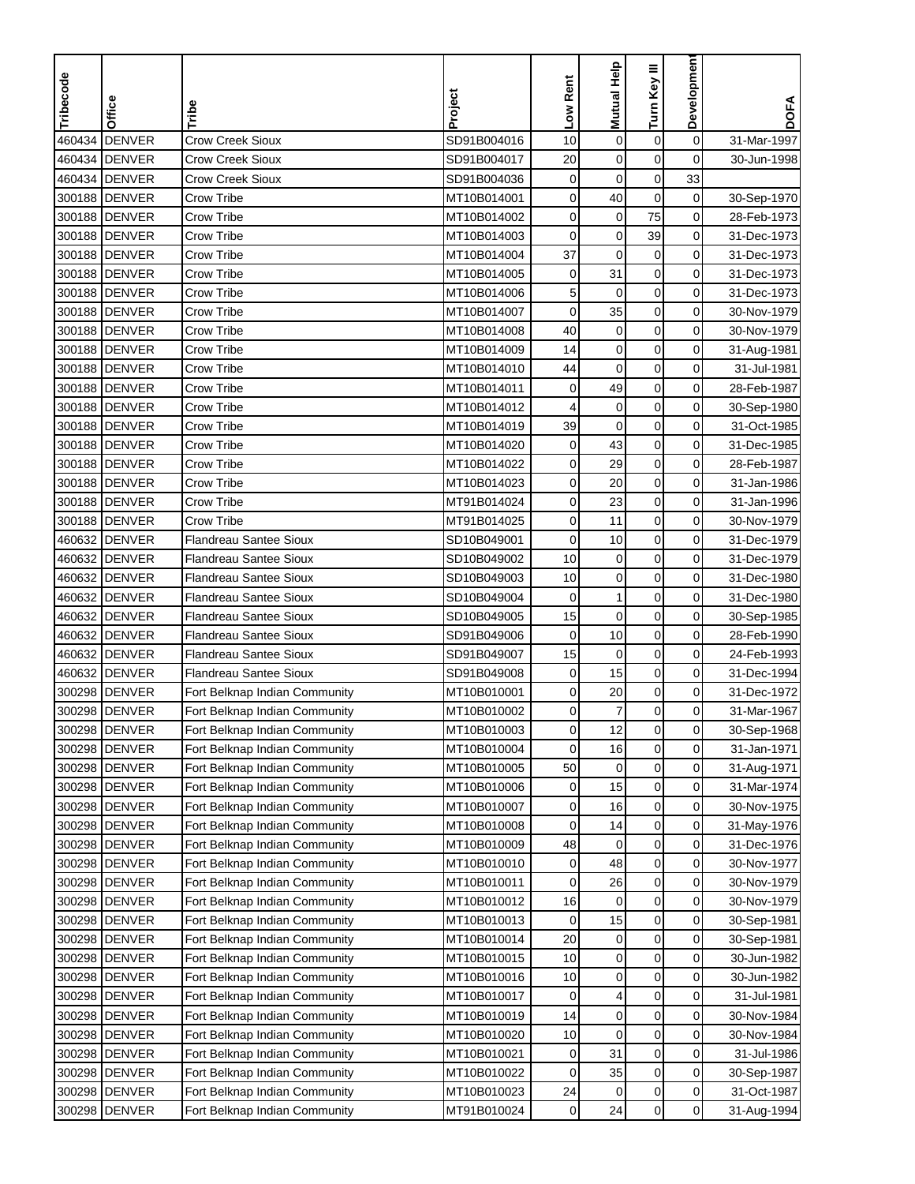| Tribecode | <b>Office</b>          | Tribe                         | Project     | Low Rent    | Mutual Help  | Turn Key III     | Developmen     | <b>DOFA</b> |
|-----------|------------------------|-------------------------------|-------------|-------------|--------------|------------------|----------------|-------------|
|           |                        |                               |             |             |              |                  |                |             |
| 460434    | <b>DENVER</b>          | <b>Crow Creek Sioux</b>       | SD91B004016 | 10          | $\mathbf 0$  | $\pmb{0}$        | 0              | 31-Mar-1997 |
| 460434    | <b>DENVER</b>          | <b>Crow Creek Sioux</b>       | SD91B004017 | 20          | 0            | 0                | 0              | 30-Jun-1998 |
|           | 460434 DENVER          | Crow Creek Sioux              | SD91B004036 | $\mathbf 0$ | 0            | $\mathbf 0$      | 33             |             |
| 300188    | <b>DENVER</b>          | Crow Tribe                    | MT10B014001 | 0           | 40           | $\mathbf 0$      | 0              | 30-Sep-1970 |
| 300188    | <b>DENVER</b>          | Crow Tribe                    | MT10B014002 | 0           | $\pmb{0}$    | 75               | 0              | 28-Feb-1973 |
| 300188    | <b>DENVER</b>          | Crow Tribe                    | MT10B014003 | $\mathbf 0$ | 0            | 39               | 0              | 31-Dec-1973 |
| 300188    | <b>DENVER</b>          | Crow Tribe                    | MT10B014004 | 37          | $\mathbf 0$  | $\pmb{0}$        | 0              | 31-Dec-1973 |
| 300188    | <b>DENVER</b>          | Crow Tribe                    | MT10B014005 | $\pmb{0}$   | 31           | $\mathbf 0$      | 0              | 31-Dec-1973 |
| 300188    | <b>DENVER</b>          | Crow Tribe                    | MT10B014006 | 5           | $\mathbf 0$  | $\mathbf 0$      | 0              | 31-Dec-1973 |
|           | 300188 DENVER          | Crow Tribe                    | MT10B014007 | 0           | 35           | $\pmb{0}$        | 0              | 30-Nov-1979 |
|           | 300188 DENVER          | Crow Tribe                    | MT10B014008 | 40          | 0            | 0                | 0              | 30-Nov-1979 |
|           | 300188 DENVER          | Crow Tribe                    | MT10B014009 | 14          | $\mathbf 0$  | $\pmb{0}$        | 0              | 31-Aug-1981 |
| 300188    | <b>DENVER</b>          | Crow Tribe                    | MT10B014010 | 44          | $\mathbf 0$  | 0                | 0              | 31-Jul-1981 |
| 300188    | <b>DENVER</b>          | Crow Tribe                    | MT10B014011 | $\pmb{0}$   | 49           | $\pmb{0}$        | 0              | 28-Feb-1987 |
| 300188    | <b>DENVER</b>          | Crow Tribe                    | MT10B014012 | 4           | 0            | $\boldsymbol{0}$ | 0              | 30-Sep-1980 |
| 300188    | <b>DENVER</b>          | Crow Tribe                    | MT10B014019 | 39          | $\mathbf 0$  | $\pmb{0}$        | 0              | 31-Oct-1985 |
| 300188    | <b>DENVER</b>          | <b>Crow Tribe</b>             | MT10B014020 | 0           | 43           | $\pmb{0}$        | 0              | 31-Dec-1985 |
| 300188    | <b>DENVER</b>          | Crow Tribe                    | MT10B014022 | 0           | 29           | $\pmb{0}$        | 0              | 28-Feb-1987 |
| 300188    | <b>DENVER</b>          | <b>Crow Tribe</b>             | MT10B014023 | 0           | 20           | 0                | 0              | 31-Jan-1986 |
|           | 300188 DENVER          | Crow Tribe                    | MT91B014024 | 0           | 23           | $\mathbf 0$      | 0              | 31-Jan-1996 |
| 300188    | <b>DENVER</b>          | Crow Tribe                    | MT91B014025 | 0           | 11           | $\mathbf 0$      | 0              | 30-Nov-1979 |
| 460632    | <b>DENVER</b>          | <b>Flandreau Santee Sioux</b> | SD10B049001 | 0           | 10           | $\pmb{0}$        | 0              | 31-Dec-1979 |
| 460632    | <b>DENVER</b>          | <b>Flandreau Santee Sioux</b> | SD10B049002 | 10          | 0            | $\mathbf 0$      | 0              | 31-Dec-1979 |
| 460632    | <b>DENVER</b>          | <b>Flandreau Santee Sioux</b> | SD10B049003 | 10          | 0            | $\pmb{0}$        | 0              | 31-Dec-1980 |
| 460632    | <b>DENVER</b>          | <b>Flandreau Santee Sioux</b> | SD10B049004 | $\mathbf 0$ | $\mathbf{1}$ | $\pmb{0}$        | 0              | 31-Dec-1980 |
| 460632    | <b>DENVER</b>          | <b>Flandreau Santee Sioux</b> | SD10B049005 | 15          | $\mathbf 0$  | 0                | 0              | 30-Sep-1985 |
|           | 460632 DENVER          | Flandreau Santee Sioux        | SD91B049006 | $\mathbf 0$ | 10           | 0                | 0              | 28-Feb-1990 |
| 460632    | <b>DENVER</b>          | <b>Flandreau Santee Sioux</b> | SD91B049007 | 15          | 0            | $\mathbf 0$      | 0              | 24-Feb-1993 |
| 460632    | <b>DENVER</b>          | <b>Flandreau Santee Sioux</b> | SD91B049008 | 0           | 15           | 0                | 0              | 31-Dec-1994 |
| 300298    | <b>DENVER</b>          | Fort Belknap Indian Community | MT10B010001 | 0           | 20           | $\pmb{0}$        | 0              | 31-Dec-1972 |
| 300298    | <b>DENVER</b>          | Fort Belknap Indian Community | MT10B010002 | 0           | 7            | $\mathbf 0$      | 0              | 31-Mar-1967 |
|           | 300298 <b>I</b> DENVER | Fort Belknap Indian Community | MT10B010003 | 0           | 12           | $\mathbf 0$      | 0              | 30-Sep-1968 |
|           | 300298 DENVER          | Fort Belknap Indian Community | MT10B010004 | 0           | 16           | $\mathbf 0$      | $\mathbf 0$    | 31-Jan-1971 |
|           | 300298 DENVER          | Fort Belknap Indian Community | MT10B010005 | 50          | 0            | 0                | 0              | 31-Aug-1971 |
|           | 300298 DENVER          | Fort Belknap Indian Community | MT10B010006 | 0           | 15           | $\pmb{0}$        | 0              | 31-Mar-1974 |
|           | 300298 DENVER          | Fort Belknap Indian Community | MT10B010007 | 0           | 16           | 0                | 0              | 30-Nov-1975 |
|           | 300298 DENVER          | Fort Belknap Indian Community | MT10B010008 | 0           | 14           | 0                | 0              | 31-May-1976 |
|           | 300298 DENVER          | Fort Belknap Indian Community | MT10B010009 | 48          | 0            | 0                | $\overline{0}$ | 31-Dec-1976 |
|           | 300298 DENVER          | Fort Belknap Indian Community | MT10B010010 | 0           | 48           | $\mathbf 0$      | $\overline{0}$ | 30-Nov-1977 |
|           | 300298 DENVER          | Fort Belknap Indian Community | MT10B010011 | 0           | 26           | 0                | 0              | 30-Nov-1979 |
|           | 300298 DENVER          | Fort Belknap Indian Community | MT10B010012 | 16          | 0            | $\pmb{0}$        | 0              | 30-Nov-1979 |
|           | 300298 DENVER          | Fort Belknap Indian Community | MT10B010013 | 0           | 15           | $\pmb{0}$        | 0              | 30-Sep-1981 |
|           | 300298 DENVER          | Fort Belknap Indian Community | MT10B010014 | 20          | $\pmb{0}$    | $\pmb{0}$        | 0              | 30-Sep-1981 |
|           | 300298 DENVER          | Fort Belknap Indian Community | MT10B010015 | 10          | 0            | 0                | 0              | 30-Jun-1982 |
|           | 300298 DENVER          | Fort Belknap Indian Community | MT10B010016 | 10          | 0            | 0                | 0              | 30-Jun-1982 |
|           | 300298 DENVER          | Fort Belknap Indian Community | MT10B010017 | 0           | 4            | 0                | 0              | 31-Jul-1981 |
|           | 300298 DENVER          | Fort Belknap Indian Community | MT10B010019 | 14          | $\pmb{0}$    | $\pmb{0}$        | 0              | 30-Nov-1984 |
|           | 300298 DENVER          | Fort Belknap Indian Community | MT10B010020 | 10          | $\mathbf 0$  | $\mathbf 0$      | 0              | 30-Nov-1984 |
|           | 300298 DENVER          | Fort Belknap Indian Community | MT10B010021 | 0           | 31           | $\pmb{0}$        | 0              | 31-Jul-1986 |
|           | 300298 DENVER          | Fort Belknap Indian Community | MT10B010022 | 0           | 35           | 0                | 0              | 30-Sep-1987 |
|           | 300298 DENVER          | Fort Belknap Indian Community | MT10B010023 | 24          | $\mathbf 0$  | $\pmb{0}$        | 0              | 31-Oct-1987 |
|           | 300298 DENVER          | Fort Belknap Indian Community | MT91B010024 | 0           | 24           | $\pmb{0}$        | $\overline{0}$ | 31-Aug-1994 |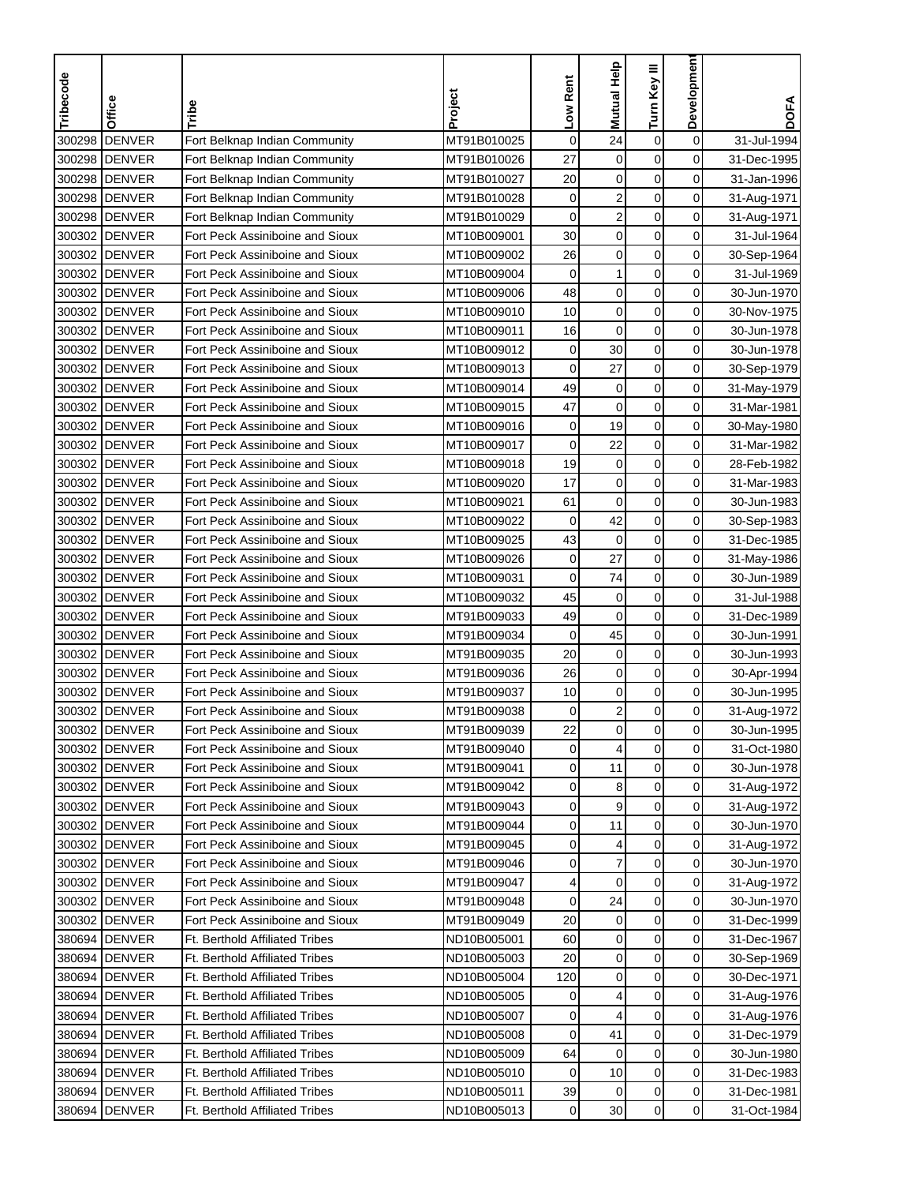| <b>DENVER</b><br>Fort Belknap Indian Community<br>$\mathbf 0$<br>24<br>$\boldsymbol{0}$<br>$\mathbf 0$<br>300298<br>MT91B010025<br>31-Jul-1994<br>0<br><b>DENVER</b><br>27<br>$\mathbf 0$<br>$\mathbf 0$<br>300298<br>Fort Belknap Indian Community<br>MT91B010026<br>31-Dec-1995<br>300298 DENVER<br>20<br>$\mathbf 0$<br>0<br>Fort Belknap Indian Community<br>MT91B010027<br>0<br>31-Jan-1996<br>$\overline{c}$<br>$\mathbf 0$<br>0<br>300298 DENVER<br>Fort Belknap Indian Community<br>MT91B010028<br>0<br>31-Aug-1971<br>$\overline{\mathbf{c}}$<br>$\mathbf 0$<br>$\mathbf 0$<br>0<br>300298<br><b>DENVER</b><br>Fort Belknap Indian Community<br>MT91B010029<br>31-Aug-1971<br>30<br>$\pmb{0}$<br>$\mathbf 0$<br>0<br>300302<br><b>DENVER</b><br>MT10B009001<br>Fort Peck Assiniboine and Sioux<br>31-Jul-1964<br>26<br>$\mathbf 0$<br>$\mathbf 0$<br>$\mathbf 0$<br>300302 DENVER<br>Fort Peck Assiniboine and Sioux<br>MT10B009002<br>30-Sep-1964<br>1<br>0<br>0<br>300302<br><b>DENVER</b><br>Fort Peck Assiniboine and Sioux<br>MT10B009004<br>0<br>31-Jul-1969<br>0<br>$\mathbf 0$<br>0<br>300302<br><b>DENVER</b><br>Fort Peck Assiniboine and Sioux<br>MT10B009006<br>48<br>30-Jun-1970<br>0<br>300302<br><b>DENVER</b><br>Fort Peck Assiniboine and Sioux<br>10<br>$\mathbf 0$<br>$\mathbf 0$<br>MT10B009010<br>30-Nov-1975<br><b>DENVER</b><br>$\mathbf 0$<br>0<br>300302<br>Fort Peck Assiniboine and Sioux<br>16<br>0<br>MT10B009011<br>30-Jun-1978<br>$\mathbf 0$<br>30<br>$\mathbf 0$<br>0<br>300302 DENVER<br>Fort Peck Assiniboine and Sioux<br>MT10B009012<br>30-Jun-1978<br>$\mathbf 0$<br>$\mathbf 0$<br>27<br>0<br>300302<br><b>IDENVER</b><br>Fort Peck Assiniboine and Sioux<br>MT10B009013<br>30-Sep-1979<br>$\pmb{0}$<br>49<br>$\mathbf 0$<br>300302<br><b>DENVER</b><br>$\pmb{0}$<br>Fort Peck Assiniboine and Sioux<br>MT10B009014<br>31-May-1979<br>$\mathbf 0$<br><b>DENVER</b><br>47<br>$\mathbf 0$<br>$\mathbf 0$<br>300302<br>Fort Peck Assiniboine and Sioux<br>31-Mar-1981<br>MT10B009015<br>$\mathbf 0$<br>0<br><b>DENVER</b><br>19<br>300302<br>Fort Peck Assiniboine and Sioux<br>MT10B009016<br>0<br>30-May-1980<br>$\mathbf 0$<br>0<br>300302 DENVER<br>MT10B009017<br>$\mathbf 0$<br>22<br>Fort Peck Assiniboine and Sioux<br>31-Mar-1982<br>$\mathbf 0$<br>0<br>300302 DENVER<br>Fort Peck Assiniboine and Sioux<br>MT10B009018<br>19<br>$\mathbf 0$<br>28-Feb-1982<br>300302 DENVER<br>17<br>$\mathbf 0$<br>$\mathbf 0$<br>0<br>Fort Peck Assiniboine and Sioux<br>MT10B009020<br>31-Mar-1983<br>$\mathbf 0$<br>0<br>300302 DENVER<br>Fort Peck Assiniboine and Sioux<br>MT10B009021<br>61<br>0<br>30-Jun-1983<br>42<br>0<br>$\mathbf 0$<br>$\mathbf 0$<br>300302<br><b>IDENVER</b><br>Fort Peck Assiniboine and Sioux<br>MT10B009022<br>30-Sep-1983<br>43<br>$\pmb{0}$<br><b>DENVER</b><br>$\mathbf 0$<br>0<br>300302<br>Fort Peck Assiniboine and Sioux<br>MT10B009025<br>31-Dec-1985<br>$\mathbf 0$<br>$\mathbf 0$<br><b>DENVER</b><br>$\mathbf 0$<br>27<br>300302<br>Fort Peck Assiniboine and Sioux<br>MT10B009026<br>31-May-1986<br>$\mathbf 0$<br>74<br>0<br>300302 DENVER<br>Fort Peck Assiniboine and Sioux<br>MT10B009031<br>$\mathbf 0$<br>30-Jun-1989<br>45<br>$\mathbf 0$<br>$\mathbf 0$<br>0<br>300302<br><b>IDENVER</b><br>Fort Peck Assiniboine and Sioux<br>MT10B009032<br>31-Jul-1988<br>0<br>0<br>300302<br><b>DENVER</b><br>Fort Peck Assiniboine and Sioux<br>49<br>$\mathbf 0$<br>MT91B009033<br>31-Dec-1989<br>0<br><b>DENVER</b><br>$\mathbf 0$<br>$\mathbf 0$<br>300302<br>Fort Peck Assiniboine and Sioux<br>MT91B009034<br>45<br>30-Jun-1991<br>20<br>$\mathbf 0$<br>0<br>300302<br><b>IDENVER</b><br>Fort Peck Assiniboine and Sioux<br>MT91B009035<br>0<br>30-Jun-1993<br>26<br>$\mathbf 0$<br>$\mathbf 0$<br>0<br>300302<br><b>IDENVER</b><br>Fort Peck Assiniboine and Sioux<br>MT91B009036<br>30-Apr-1994<br>$\pmb{0}$<br>$\mathbf 0$<br>10<br>$\mathbf 0$<br>300302<br><b>DENVER</b><br>Fort Peck Assiniboine and Sioux<br>MT91B009037<br>30-Jun-1995<br>$\overline{\mathbf{c}}$<br><b>DENVER</b><br>$\mathbf 0$<br>0<br>300302<br>MT91B009038<br>0<br>Fort Peck Assiniboine and Sioux<br>31-Aug-1972<br>300302 DENVER<br>Fort Peck Assiniboine and Sioux<br>MT91B009039<br>22<br>0<br>0<br>0<br>30-Jun-1995<br>$\pmb{0}$<br>$\overline{4}$<br>0<br>300302 DENVER<br>MT91B009040<br>0<br>31-Oct-1980<br>Fort Peck Assiniboine and Sioux<br>$\mathbf 0$<br>0<br>300302 DENVER<br>Fort Peck Assiniboine and Sioux<br>MT91B009041<br>0<br>11<br>30-Jun-1978<br>$\pmb{0}$<br>$\mathbf 0$<br>300302 DENVER<br>0<br>8<br>Fort Peck Assiniboine and Sioux<br>MT91B009042<br>31-Aug-1972<br>$\overline{0}$<br>300302 DENVER<br>Fort Peck Assiniboine and Sioux<br>MT91B009043<br>0<br>9<br>0<br>31-Aug-1972<br>11<br>0<br>0<br>300302 DENVER<br>Fort Peck Assiniboine and Sioux<br>MT91B009044<br>0<br>30-Jun-1970<br>$\overline{0}$<br>300302 DENVER<br>Fort Peck Assiniboine and Sioux<br>MT91B009045<br>0<br>4<br>0<br>31-Aug-1972<br>$\overline{\mathcal{I}}$<br>$\pmb{0}$<br>$\overline{0}$<br>300302 DENVER<br>Fort Peck Assiniboine and Sioux<br>MT91B009046<br>0<br>30-Jun-1970<br>$\mathbf 0$<br>$\mathbf 0$<br>$\overline{0}$<br>300302 DENVER<br>Fort Peck Assiniboine and Sioux<br>MT91B009047<br>4<br>31-Aug-1972<br>$\pmb{0}$<br>0<br>300302 DENVER<br>Fort Peck Assiniboine and Sioux<br>MT91B009048<br>0<br>24<br>30-Jun-1970<br>$\pmb{0}$<br>$\mathbf 0$<br>20<br>$\mathbf 0$<br>300302 DENVER<br>Fort Peck Assiniboine and Sioux<br>MT91B009049<br>31-Dec-1999<br>$\pmb{0}$<br>380694 DENVER<br>Ft. Berthold Affiliated Tribes<br>ND10B005001<br>$\mathbf 0$<br>0<br>60<br>31-Dec-1967<br>$\mathbf 0$<br>0<br>380694 DENVER<br>Ft. Berthold Affiliated Tribes<br>ND10B005003<br>20<br>0<br>30-Sep-1969<br>$\mathbf 0$<br>380694 DENVER<br><b>Ft. Berthold Affiliated Tribes</b><br>ND10B005004<br>120<br>0<br>0<br>30-Dec-1971<br>0<br>0<br>380694 DENVER<br><b>Ft. Berthold Affiliated Tribes</b><br>ND10B005005<br>4<br>31-Aug-1976<br>0<br>$\pmb{0}$<br>0<br>380694 DENVER<br><b>Ft. Berthold Affiliated Tribes</b><br>ND10B005007<br>0<br>4<br>31-Aug-1976<br>41<br>0<br>0<br>380694 DENVER<br><b>Ft. Berthold Affiliated Tribes</b><br>ND10B005008<br>0<br>31-Dec-1979<br>$\pmb{0}$<br>0<br>380694 DENVER<br><b>Ft. Berthold Affiliated Tribes</b><br>ND10B005009<br>64<br>0<br>30-Jun-1980<br>0<br>0<br>380694 DENVER<br><b>Ft. Berthold Affiliated Tribes</b><br>ND10B005010<br>10<br>0<br>31-Dec-1983<br>$\mathbf 0$<br>380694<br><b>DENVER</b><br>Ft. Berthold Affiliated Tribes<br>ND10B005011<br>39<br>0<br>31-Dec-1981<br>0<br>$\mathbf 0$<br>$\overline{0}$<br>380694 DENVER<br>Ft. Berthold Affiliated Tribes<br>ND10B005013<br>0<br>31-Oct-1984 | Tribecode | Office | Tribe | Project | Low Rent | <b>Mutual Help</b> | Turn Key III | Developmen | <b>DOFA</b> |
|-----------------------------------------------------------------------------------------------------------------------------------------------------------------------------------------------------------------------------------------------------------------------------------------------------------------------------------------------------------------------------------------------------------------------------------------------------------------------------------------------------------------------------------------------------------------------------------------------------------------------------------------------------------------------------------------------------------------------------------------------------------------------------------------------------------------------------------------------------------------------------------------------------------------------------------------------------------------------------------------------------------------------------------------------------------------------------------------------------------------------------------------------------------------------------------------------------------------------------------------------------------------------------------------------------------------------------------------------------------------------------------------------------------------------------------------------------------------------------------------------------------------------------------------------------------------------------------------------------------------------------------------------------------------------------------------------------------------------------------------------------------------------------------------------------------------------------------------------------------------------------------------------------------------------------------------------------------------------------------------------------------------------------------------------------------------------------------------------------------------------------------------------------------------------------------------------------------------------------------------------------------------------------------------------------------------------------------------------------------------------------------------------------------------------------------------------------------------------------------------------------------------------------------------------------------------------------------------------------------------------------------------------------------------------------------------------------------------------------------------------------------------------------------------------------------------------------------------------------------------------------------------------------------------------------------------------------------------------------------------------------------------------------------------------------------------------------------------------------------------------------------------------------------------------------------------------------------------------------------------------------------------------------------------------------------------------------------------------------------------------------------------------------------------------------------------------------------------------------------------------------------------------------------------------------------------------------------------------------------------------------------------------------------------------------------------------------------------------------------------------------------------------------------------------------------------------------------------------------------------------------------------------------------------------------------------------------------------------------------------------------------------------------------------------------------------------------------------------------------------------------------------------------------------------------------------------------------------------------------------------------------------------------------------------------------------------------------------------------------------------------------------------------------------------------------------------------------------------------------------------------------------------------------------------------------------------------------------------------------------------------------------------------------------------------------------------------------------------------------------------------------------------------------------------------------------------------------------------------------------------------------------------------------------------------------------------------------------------------------------------------------------------------------------------------------------------------------------------------------------------------------------------------------------------------------------------------------------------------------------------------------------------------------------------------------------------------------------------------------------------------------------------------------------------------------------------------------------------------------------------------------------------------------------------------------------------------------------------------------------------------------------------------------------------------------------------------------------------------------------------------------------------------------------------------------------------------------------------------------------------------------------------------------------------------------------------------------------------------------------------------------------------------------------------------------------------------------------------------------------------------------------------------------------------------------------------------------------------------------------------------------------------------------------------------------------------------------------------------------------------------------------------------------------------------------------------------------------------------------------------------------------------------------------------------------------------------------------------------------------------------------------------------------------------------------------------------------------------------------------------------------|-----------|--------|-------|---------|----------|--------------------|--------------|------------|-------------|
|                                                                                                                                                                                                                                                                                                                                                                                                                                                                                                                                                                                                                                                                                                                                                                                                                                                                                                                                                                                                                                                                                                                                                                                                                                                                                                                                                                                                                                                                                                                                                                                                                                                                                                                                                                                                                                                                                                                                                                                                                                                                                                                                                                                                                                                                                                                                                                                                                                                                                                                                                                                                                                                                                                                                                                                                                                                                                                                                                                                                                                                                                                                                                                                                                                                                                                                                                                                                                                                                                                                                                                                                                                                                                                                                                                                                                                                                                                                                                                                                                                                                                                                                                                                                                                                                                                                                                                                                                                                                                                                                                                                                                                                                                                                                                                                                                                                                                                                                                                                                                                                                                                                                                                                                                                                                                                                                                                                                                                                                                                                                                                                                                                                                                                                                                                                                                                                                                                                                                                                                                                                                                                                                                                                                                                                                                                                                                                                                                                                                                                                                                                                                                                                                                                                                                           |           |        |       |         |          |                    |              |            |             |
|                                                                                                                                                                                                                                                                                                                                                                                                                                                                                                                                                                                                                                                                                                                                                                                                                                                                                                                                                                                                                                                                                                                                                                                                                                                                                                                                                                                                                                                                                                                                                                                                                                                                                                                                                                                                                                                                                                                                                                                                                                                                                                                                                                                                                                                                                                                                                                                                                                                                                                                                                                                                                                                                                                                                                                                                                                                                                                                                                                                                                                                                                                                                                                                                                                                                                                                                                                                                                                                                                                                                                                                                                                                                                                                                                                                                                                                                                                                                                                                                                                                                                                                                                                                                                                                                                                                                                                                                                                                                                                                                                                                                                                                                                                                                                                                                                                                                                                                                                                                                                                                                                                                                                                                                                                                                                                                                                                                                                                                                                                                                                                                                                                                                                                                                                                                                                                                                                                                                                                                                                                                                                                                                                                                                                                                                                                                                                                                                                                                                                                                                                                                                                                                                                                                                                           |           |        |       |         |          |                    |              |            |             |
|                                                                                                                                                                                                                                                                                                                                                                                                                                                                                                                                                                                                                                                                                                                                                                                                                                                                                                                                                                                                                                                                                                                                                                                                                                                                                                                                                                                                                                                                                                                                                                                                                                                                                                                                                                                                                                                                                                                                                                                                                                                                                                                                                                                                                                                                                                                                                                                                                                                                                                                                                                                                                                                                                                                                                                                                                                                                                                                                                                                                                                                                                                                                                                                                                                                                                                                                                                                                                                                                                                                                                                                                                                                                                                                                                                                                                                                                                                                                                                                                                                                                                                                                                                                                                                                                                                                                                                                                                                                                                                                                                                                                                                                                                                                                                                                                                                                                                                                                                                                                                                                                                                                                                                                                                                                                                                                                                                                                                                                                                                                                                                                                                                                                                                                                                                                                                                                                                                                                                                                                                                                                                                                                                                                                                                                                                                                                                                                                                                                                                                                                                                                                                                                                                                                                                           |           |        |       |         |          |                    |              |            |             |
|                                                                                                                                                                                                                                                                                                                                                                                                                                                                                                                                                                                                                                                                                                                                                                                                                                                                                                                                                                                                                                                                                                                                                                                                                                                                                                                                                                                                                                                                                                                                                                                                                                                                                                                                                                                                                                                                                                                                                                                                                                                                                                                                                                                                                                                                                                                                                                                                                                                                                                                                                                                                                                                                                                                                                                                                                                                                                                                                                                                                                                                                                                                                                                                                                                                                                                                                                                                                                                                                                                                                                                                                                                                                                                                                                                                                                                                                                                                                                                                                                                                                                                                                                                                                                                                                                                                                                                                                                                                                                                                                                                                                                                                                                                                                                                                                                                                                                                                                                                                                                                                                                                                                                                                                                                                                                                                                                                                                                                                                                                                                                                                                                                                                                                                                                                                                                                                                                                                                                                                                                                                                                                                                                                                                                                                                                                                                                                                                                                                                                                                                                                                                                                                                                                                                                           |           |        |       |         |          |                    |              |            |             |
|                                                                                                                                                                                                                                                                                                                                                                                                                                                                                                                                                                                                                                                                                                                                                                                                                                                                                                                                                                                                                                                                                                                                                                                                                                                                                                                                                                                                                                                                                                                                                                                                                                                                                                                                                                                                                                                                                                                                                                                                                                                                                                                                                                                                                                                                                                                                                                                                                                                                                                                                                                                                                                                                                                                                                                                                                                                                                                                                                                                                                                                                                                                                                                                                                                                                                                                                                                                                                                                                                                                                                                                                                                                                                                                                                                                                                                                                                                                                                                                                                                                                                                                                                                                                                                                                                                                                                                                                                                                                                                                                                                                                                                                                                                                                                                                                                                                                                                                                                                                                                                                                                                                                                                                                                                                                                                                                                                                                                                                                                                                                                                                                                                                                                                                                                                                                                                                                                                                                                                                                                                                                                                                                                                                                                                                                                                                                                                                                                                                                                                                                                                                                                                                                                                                                                           |           |        |       |         |          |                    |              |            |             |
|                                                                                                                                                                                                                                                                                                                                                                                                                                                                                                                                                                                                                                                                                                                                                                                                                                                                                                                                                                                                                                                                                                                                                                                                                                                                                                                                                                                                                                                                                                                                                                                                                                                                                                                                                                                                                                                                                                                                                                                                                                                                                                                                                                                                                                                                                                                                                                                                                                                                                                                                                                                                                                                                                                                                                                                                                                                                                                                                                                                                                                                                                                                                                                                                                                                                                                                                                                                                                                                                                                                                                                                                                                                                                                                                                                                                                                                                                                                                                                                                                                                                                                                                                                                                                                                                                                                                                                                                                                                                                                                                                                                                                                                                                                                                                                                                                                                                                                                                                                                                                                                                                                                                                                                                                                                                                                                                                                                                                                                                                                                                                                                                                                                                                                                                                                                                                                                                                                                                                                                                                                                                                                                                                                                                                                                                                                                                                                                                                                                                                                                                                                                                                                                                                                                                                           |           |        |       |         |          |                    |              |            |             |
|                                                                                                                                                                                                                                                                                                                                                                                                                                                                                                                                                                                                                                                                                                                                                                                                                                                                                                                                                                                                                                                                                                                                                                                                                                                                                                                                                                                                                                                                                                                                                                                                                                                                                                                                                                                                                                                                                                                                                                                                                                                                                                                                                                                                                                                                                                                                                                                                                                                                                                                                                                                                                                                                                                                                                                                                                                                                                                                                                                                                                                                                                                                                                                                                                                                                                                                                                                                                                                                                                                                                                                                                                                                                                                                                                                                                                                                                                                                                                                                                                                                                                                                                                                                                                                                                                                                                                                                                                                                                                                                                                                                                                                                                                                                                                                                                                                                                                                                                                                                                                                                                                                                                                                                                                                                                                                                                                                                                                                                                                                                                                                                                                                                                                                                                                                                                                                                                                                                                                                                                                                                                                                                                                                                                                                                                                                                                                                                                                                                                                                                                                                                                                                                                                                                                                           |           |        |       |         |          |                    |              |            |             |
|                                                                                                                                                                                                                                                                                                                                                                                                                                                                                                                                                                                                                                                                                                                                                                                                                                                                                                                                                                                                                                                                                                                                                                                                                                                                                                                                                                                                                                                                                                                                                                                                                                                                                                                                                                                                                                                                                                                                                                                                                                                                                                                                                                                                                                                                                                                                                                                                                                                                                                                                                                                                                                                                                                                                                                                                                                                                                                                                                                                                                                                                                                                                                                                                                                                                                                                                                                                                                                                                                                                                                                                                                                                                                                                                                                                                                                                                                                                                                                                                                                                                                                                                                                                                                                                                                                                                                                                                                                                                                                                                                                                                                                                                                                                                                                                                                                                                                                                                                                                                                                                                                                                                                                                                                                                                                                                                                                                                                                                                                                                                                                                                                                                                                                                                                                                                                                                                                                                                                                                                                                                                                                                                                                                                                                                                                                                                                                                                                                                                                                                                                                                                                                                                                                                                                           |           |        |       |         |          |                    |              |            |             |
|                                                                                                                                                                                                                                                                                                                                                                                                                                                                                                                                                                                                                                                                                                                                                                                                                                                                                                                                                                                                                                                                                                                                                                                                                                                                                                                                                                                                                                                                                                                                                                                                                                                                                                                                                                                                                                                                                                                                                                                                                                                                                                                                                                                                                                                                                                                                                                                                                                                                                                                                                                                                                                                                                                                                                                                                                                                                                                                                                                                                                                                                                                                                                                                                                                                                                                                                                                                                                                                                                                                                                                                                                                                                                                                                                                                                                                                                                                                                                                                                                                                                                                                                                                                                                                                                                                                                                                                                                                                                                                                                                                                                                                                                                                                                                                                                                                                                                                                                                                                                                                                                                                                                                                                                                                                                                                                                                                                                                                                                                                                                                                                                                                                                                                                                                                                                                                                                                                                                                                                                                                                                                                                                                                                                                                                                                                                                                                                                                                                                                                                                                                                                                                                                                                                                                           |           |        |       |         |          |                    |              |            |             |
|                                                                                                                                                                                                                                                                                                                                                                                                                                                                                                                                                                                                                                                                                                                                                                                                                                                                                                                                                                                                                                                                                                                                                                                                                                                                                                                                                                                                                                                                                                                                                                                                                                                                                                                                                                                                                                                                                                                                                                                                                                                                                                                                                                                                                                                                                                                                                                                                                                                                                                                                                                                                                                                                                                                                                                                                                                                                                                                                                                                                                                                                                                                                                                                                                                                                                                                                                                                                                                                                                                                                                                                                                                                                                                                                                                                                                                                                                                                                                                                                                                                                                                                                                                                                                                                                                                                                                                                                                                                                                                                                                                                                                                                                                                                                                                                                                                                                                                                                                                                                                                                                                                                                                                                                                                                                                                                                                                                                                                                                                                                                                                                                                                                                                                                                                                                                                                                                                                                                                                                                                                                                                                                                                                                                                                                                                                                                                                                                                                                                                                                                                                                                                                                                                                                                                           |           |        |       |         |          |                    |              |            |             |
|                                                                                                                                                                                                                                                                                                                                                                                                                                                                                                                                                                                                                                                                                                                                                                                                                                                                                                                                                                                                                                                                                                                                                                                                                                                                                                                                                                                                                                                                                                                                                                                                                                                                                                                                                                                                                                                                                                                                                                                                                                                                                                                                                                                                                                                                                                                                                                                                                                                                                                                                                                                                                                                                                                                                                                                                                                                                                                                                                                                                                                                                                                                                                                                                                                                                                                                                                                                                                                                                                                                                                                                                                                                                                                                                                                                                                                                                                                                                                                                                                                                                                                                                                                                                                                                                                                                                                                                                                                                                                                                                                                                                                                                                                                                                                                                                                                                                                                                                                                                                                                                                                                                                                                                                                                                                                                                                                                                                                                                                                                                                                                                                                                                                                                                                                                                                                                                                                                                                                                                                                                                                                                                                                                                                                                                                                                                                                                                                                                                                                                                                                                                                                                                                                                                                                           |           |        |       |         |          |                    |              |            |             |
|                                                                                                                                                                                                                                                                                                                                                                                                                                                                                                                                                                                                                                                                                                                                                                                                                                                                                                                                                                                                                                                                                                                                                                                                                                                                                                                                                                                                                                                                                                                                                                                                                                                                                                                                                                                                                                                                                                                                                                                                                                                                                                                                                                                                                                                                                                                                                                                                                                                                                                                                                                                                                                                                                                                                                                                                                                                                                                                                                                                                                                                                                                                                                                                                                                                                                                                                                                                                                                                                                                                                                                                                                                                                                                                                                                                                                                                                                                                                                                                                                                                                                                                                                                                                                                                                                                                                                                                                                                                                                                                                                                                                                                                                                                                                                                                                                                                                                                                                                                                                                                                                                                                                                                                                                                                                                                                                                                                                                                                                                                                                                                                                                                                                                                                                                                                                                                                                                                                                                                                                                                                                                                                                                                                                                                                                                                                                                                                                                                                                                                                                                                                                                                                                                                                                                           |           |        |       |         |          |                    |              |            |             |
|                                                                                                                                                                                                                                                                                                                                                                                                                                                                                                                                                                                                                                                                                                                                                                                                                                                                                                                                                                                                                                                                                                                                                                                                                                                                                                                                                                                                                                                                                                                                                                                                                                                                                                                                                                                                                                                                                                                                                                                                                                                                                                                                                                                                                                                                                                                                                                                                                                                                                                                                                                                                                                                                                                                                                                                                                                                                                                                                                                                                                                                                                                                                                                                                                                                                                                                                                                                                                                                                                                                                                                                                                                                                                                                                                                                                                                                                                                                                                                                                                                                                                                                                                                                                                                                                                                                                                                                                                                                                                                                                                                                                                                                                                                                                                                                                                                                                                                                                                                                                                                                                                                                                                                                                                                                                                                                                                                                                                                                                                                                                                                                                                                                                                                                                                                                                                                                                                                                                                                                                                                                                                                                                                                                                                                                                                                                                                                                                                                                                                                                                                                                                                                                                                                                                                           |           |        |       |         |          |                    |              |            |             |
|                                                                                                                                                                                                                                                                                                                                                                                                                                                                                                                                                                                                                                                                                                                                                                                                                                                                                                                                                                                                                                                                                                                                                                                                                                                                                                                                                                                                                                                                                                                                                                                                                                                                                                                                                                                                                                                                                                                                                                                                                                                                                                                                                                                                                                                                                                                                                                                                                                                                                                                                                                                                                                                                                                                                                                                                                                                                                                                                                                                                                                                                                                                                                                                                                                                                                                                                                                                                                                                                                                                                                                                                                                                                                                                                                                                                                                                                                                                                                                                                                                                                                                                                                                                                                                                                                                                                                                                                                                                                                                                                                                                                                                                                                                                                                                                                                                                                                                                                                                                                                                                                                                                                                                                                                                                                                                                                                                                                                                                                                                                                                                                                                                                                                                                                                                                                                                                                                                                                                                                                                                                                                                                                                                                                                                                                                                                                                                                                                                                                                                                                                                                                                                                                                                                                                           |           |        |       |         |          |                    |              |            |             |
|                                                                                                                                                                                                                                                                                                                                                                                                                                                                                                                                                                                                                                                                                                                                                                                                                                                                                                                                                                                                                                                                                                                                                                                                                                                                                                                                                                                                                                                                                                                                                                                                                                                                                                                                                                                                                                                                                                                                                                                                                                                                                                                                                                                                                                                                                                                                                                                                                                                                                                                                                                                                                                                                                                                                                                                                                                                                                                                                                                                                                                                                                                                                                                                                                                                                                                                                                                                                                                                                                                                                                                                                                                                                                                                                                                                                                                                                                                                                                                                                                                                                                                                                                                                                                                                                                                                                                                                                                                                                                                                                                                                                                                                                                                                                                                                                                                                                                                                                                                                                                                                                                                                                                                                                                                                                                                                                                                                                                                                                                                                                                                                                                                                                                                                                                                                                                                                                                                                                                                                                                                                                                                                                                                                                                                                                                                                                                                                                                                                                                                                                                                                                                                                                                                                                                           |           |        |       |         |          |                    |              |            |             |
|                                                                                                                                                                                                                                                                                                                                                                                                                                                                                                                                                                                                                                                                                                                                                                                                                                                                                                                                                                                                                                                                                                                                                                                                                                                                                                                                                                                                                                                                                                                                                                                                                                                                                                                                                                                                                                                                                                                                                                                                                                                                                                                                                                                                                                                                                                                                                                                                                                                                                                                                                                                                                                                                                                                                                                                                                                                                                                                                                                                                                                                                                                                                                                                                                                                                                                                                                                                                                                                                                                                                                                                                                                                                                                                                                                                                                                                                                                                                                                                                                                                                                                                                                                                                                                                                                                                                                                                                                                                                                                                                                                                                                                                                                                                                                                                                                                                                                                                                                                                                                                                                                                                                                                                                                                                                                                                                                                                                                                                                                                                                                                                                                                                                                                                                                                                                                                                                                                                                                                                                                                                                                                                                                                                                                                                                                                                                                                                                                                                                                                                                                                                                                                                                                                                                                           |           |        |       |         |          |                    |              |            |             |
|                                                                                                                                                                                                                                                                                                                                                                                                                                                                                                                                                                                                                                                                                                                                                                                                                                                                                                                                                                                                                                                                                                                                                                                                                                                                                                                                                                                                                                                                                                                                                                                                                                                                                                                                                                                                                                                                                                                                                                                                                                                                                                                                                                                                                                                                                                                                                                                                                                                                                                                                                                                                                                                                                                                                                                                                                                                                                                                                                                                                                                                                                                                                                                                                                                                                                                                                                                                                                                                                                                                                                                                                                                                                                                                                                                                                                                                                                                                                                                                                                                                                                                                                                                                                                                                                                                                                                                                                                                                                                                                                                                                                                                                                                                                                                                                                                                                                                                                                                                                                                                                                                                                                                                                                                                                                                                                                                                                                                                                                                                                                                                                                                                                                                                                                                                                                                                                                                                                                                                                                                                                                                                                                                                                                                                                                                                                                                                                                                                                                                                                                                                                                                                                                                                                                                           |           |        |       |         |          |                    |              |            |             |
|                                                                                                                                                                                                                                                                                                                                                                                                                                                                                                                                                                                                                                                                                                                                                                                                                                                                                                                                                                                                                                                                                                                                                                                                                                                                                                                                                                                                                                                                                                                                                                                                                                                                                                                                                                                                                                                                                                                                                                                                                                                                                                                                                                                                                                                                                                                                                                                                                                                                                                                                                                                                                                                                                                                                                                                                                                                                                                                                                                                                                                                                                                                                                                                                                                                                                                                                                                                                                                                                                                                                                                                                                                                                                                                                                                                                                                                                                                                                                                                                                                                                                                                                                                                                                                                                                                                                                                                                                                                                                                                                                                                                                                                                                                                                                                                                                                                                                                                                                                                                                                                                                                                                                                                                                                                                                                                                                                                                                                                                                                                                                                                                                                                                                                                                                                                                                                                                                                                                                                                                                                                                                                                                                                                                                                                                                                                                                                                                                                                                                                                                                                                                                                                                                                                                                           |           |        |       |         |          |                    |              |            |             |
|                                                                                                                                                                                                                                                                                                                                                                                                                                                                                                                                                                                                                                                                                                                                                                                                                                                                                                                                                                                                                                                                                                                                                                                                                                                                                                                                                                                                                                                                                                                                                                                                                                                                                                                                                                                                                                                                                                                                                                                                                                                                                                                                                                                                                                                                                                                                                                                                                                                                                                                                                                                                                                                                                                                                                                                                                                                                                                                                                                                                                                                                                                                                                                                                                                                                                                                                                                                                                                                                                                                                                                                                                                                                                                                                                                                                                                                                                                                                                                                                                                                                                                                                                                                                                                                                                                                                                                                                                                                                                                                                                                                                                                                                                                                                                                                                                                                                                                                                                                                                                                                                                                                                                                                                                                                                                                                                                                                                                                                                                                                                                                                                                                                                                                                                                                                                                                                                                                                                                                                                                                                                                                                                                                                                                                                                                                                                                                                                                                                                                                                                                                                                                                                                                                                                                           |           |        |       |         |          |                    |              |            |             |
|                                                                                                                                                                                                                                                                                                                                                                                                                                                                                                                                                                                                                                                                                                                                                                                                                                                                                                                                                                                                                                                                                                                                                                                                                                                                                                                                                                                                                                                                                                                                                                                                                                                                                                                                                                                                                                                                                                                                                                                                                                                                                                                                                                                                                                                                                                                                                                                                                                                                                                                                                                                                                                                                                                                                                                                                                                                                                                                                                                                                                                                                                                                                                                                                                                                                                                                                                                                                                                                                                                                                                                                                                                                                                                                                                                                                                                                                                                                                                                                                                                                                                                                                                                                                                                                                                                                                                                                                                                                                                                                                                                                                                                                                                                                                                                                                                                                                                                                                                                                                                                                                                                                                                                                                                                                                                                                                                                                                                                                                                                                                                                                                                                                                                                                                                                                                                                                                                                                                                                                                                                                                                                                                                                                                                                                                                                                                                                                                                                                                                                                                                                                                                                                                                                                                                           |           |        |       |         |          |                    |              |            |             |
|                                                                                                                                                                                                                                                                                                                                                                                                                                                                                                                                                                                                                                                                                                                                                                                                                                                                                                                                                                                                                                                                                                                                                                                                                                                                                                                                                                                                                                                                                                                                                                                                                                                                                                                                                                                                                                                                                                                                                                                                                                                                                                                                                                                                                                                                                                                                                                                                                                                                                                                                                                                                                                                                                                                                                                                                                                                                                                                                                                                                                                                                                                                                                                                                                                                                                                                                                                                                                                                                                                                                                                                                                                                                                                                                                                                                                                                                                                                                                                                                                                                                                                                                                                                                                                                                                                                                                                                                                                                                                                                                                                                                                                                                                                                                                                                                                                                                                                                                                                                                                                                                                                                                                                                                                                                                                                                                                                                                                                                                                                                                                                                                                                                                                                                                                                                                                                                                                                                                                                                                                                                                                                                                                                                                                                                                                                                                                                                                                                                                                                                                                                                                                                                                                                                                                           |           |        |       |         |          |                    |              |            |             |
|                                                                                                                                                                                                                                                                                                                                                                                                                                                                                                                                                                                                                                                                                                                                                                                                                                                                                                                                                                                                                                                                                                                                                                                                                                                                                                                                                                                                                                                                                                                                                                                                                                                                                                                                                                                                                                                                                                                                                                                                                                                                                                                                                                                                                                                                                                                                                                                                                                                                                                                                                                                                                                                                                                                                                                                                                                                                                                                                                                                                                                                                                                                                                                                                                                                                                                                                                                                                                                                                                                                                                                                                                                                                                                                                                                                                                                                                                                                                                                                                                                                                                                                                                                                                                                                                                                                                                                                                                                                                                                                                                                                                                                                                                                                                                                                                                                                                                                                                                                                                                                                                                                                                                                                                                                                                                                                                                                                                                                                                                                                                                                                                                                                                                                                                                                                                                                                                                                                                                                                                                                                                                                                                                                                                                                                                                                                                                                                                                                                                                                                                                                                                                                                                                                                                                           |           |        |       |         |          |                    |              |            |             |
|                                                                                                                                                                                                                                                                                                                                                                                                                                                                                                                                                                                                                                                                                                                                                                                                                                                                                                                                                                                                                                                                                                                                                                                                                                                                                                                                                                                                                                                                                                                                                                                                                                                                                                                                                                                                                                                                                                                                                                                                                                                                                                                                                                                                                                                                                                                                                                                                                                                                                                                                                                                                                                                                                                                                                                                                                                                                                                                                                                                                                                                                                                                                                                                                                                                                                                                                                                                                                                                                                                                                                                                                                                                                                                                                                                                                                                                                                                                                                                                                                                                                                                                                                                                                                                                                                                                                                                                                                                                                                                                                                                                                                                                                                                                                                                                                                                                                                                                                                                                                                                                                                                                                                                                                                                                                                                                                                                                                                                                                                                                                                                                                                                                                                                                                                                                                                                                                                                                                                                                                                                                                                                                                                                                                                                                                                                                                                                                                                                                                                                                                                                                                                                                                                                                                                           |           |        |       |         |          |                    |              |            |             |
|                                                                                                                                                                                                                                                                                                                                                                                                                                                                                                                                                                                                                                                                                                                                                                                                                                                                                                                                                                                                                                                                                                                                                                                                                                                                                                                                                                                                                                                                                                                                                                                                                                                                                                                                                                                                                                                                                                                                                                                                                                                                                                                                                                                                                                                                                                                                                                                                                                                                                                                                                                                                                                                                                                                                                                                                                                                                                                                                                                                                                                                                                                                                                                                                                                                                                                                                                                                                                                                                                                                                                                                                                                                                                                                                                                                                                                                                                                                                                                                                                                                                                                                                                                                                                                                                                                                                                                                                                                                                                                                                                                                                                                                                                                                                                                                                                                                                                                                                                                                                                                                                                                                                                                                                                                                                                                                                                                                                                                                                                                                                                                                                                                                                                                                                                                                                                                                                                                                                                                                                                                                                                                                                                                                                                                                                                                                                                                                                                                                                                                                                                                                                                                                                                                                                                           |           |        |       |         |          |                    |              |            |             |
|                                                                                                                                                                                                                                                                                                                                                                                                                                                                                                                                                                                                                                                                                                                                                                                                                                                                                                                                                                                                                                                                                                                                                                                                                                                                                                                                                                                                                                                                                                                                                                                                                                                                                                                                                                                                                                                                                                                                                                                                                                                                                                                                                                                                                                                                                                                                                                                                                                                                                                                                                                                                                                                                                                                                                                                                                                                                                                                                                                                                                                                                                                                                                                                                                                                                                                                                                                                                                                                                                                                                                                                                                                                                                                                                                                                                                                                                                                                                                                                                                                                                                                                                                                                                                                                                                                                                                                                                                                                                                                                                                                                                                                                                                                                                                                                                                                                                                                                                                                                                                                                                                                                                                                                                                                                                                                                                                                                                                                                                                                                                                                                                                                                                                                                                                                                                                                                                                                                                                                                                                                                                                                                                                                                                                                                                                                                                                                                                                                                                                                                                                                                                                                                                                                                                                           |           |        |       |         |          |                    |              |            |             |
|                                                                                                                                                                                                                                                                                                                                                                                                                                                                                                                                                                                                                                                                                                                                                                                                                                                                                                                                                                                                                                                                                                                                                                                                                                                                                                                                                                                                                                                                                                                                                                                                                                                                                                                                                                                                                                                                                                                                                                                                                                                                                                                                                                                                                                                                                                                                                                                                                                                                                                                                                                                                                                                                                                                                                                                                                                                                                                                                                                                                                                                                                                                                                                                                                                                                                                                                                                                                                                                                                                                                                                                                                                                                                                                                                                                                                                                                                                                                                                                                                                                                                                                                                                                                                                                                                                                                                                                                                                                                                                                                                                                                                                                                                                                                                                                                                                                                                                                                                                                                                                                                                                                                                                                                                                                                                                                                                                                                                                                                                                                                                                                                                                                                                                                                                                                                                                                                                                                                                                                                                                                                                                                                                                                                                                                                                                                                                                                                                                                                                                                                                                                                                                                                                                                                                           |           |        |       |         |          |                    |              |            |             |
|                                                                                                                                                                                                                                                                                                                                                                                                                                                                                                                                                                                                                                                                                                                                                                                                                                                                                                                                                                                                                                                                                                                                                                                                                                                                                                                                                                                                                                                                                                                                                                                                                                                                                                                                                                                                                                                                                                                                                                                                                                                                                                                                                                                                                                                                                                                                                                                                                                                                                                                                                                                                                                                                                                                                                                                                                                                                                                                                                                                                                                                                                                                                                                                                                                                                                                                                                                                                                                                                                                                                                                                                                                                                                                                                                                                                                                                                                                                                                                                                                                                                                                                                                                                                                                                                                                                                                                                                                                                                                                                                                                                                                                                                                                                                                                                                                                                                                                                                                                                                                                                                                                                                                                                                                                                                                                                                                                                                                                                                                                                                                                                                                                                                                                                                                                                                                                                                                                                                                                                                                                                                                                                                                                                                                                                                                                                                                                                                                                                                                                                                                                                                                                                                                                                                                           |           |        |       |         |          |                    |              |            |             |
|                                                                                                                                                                                                                                                                                                                                                                                                                                                                                                                                                                                                                                                                                                                                                                                                                                                                                                                                                                                                                                                                                                                                                                                                                                                                                                                                                                                                                                                                                                                                                                                                                                                                                                                                                                                                                                                                                                                                                                                                                                                                                                                                                                                                                                                                                                                                                                                                                                                                                                                                                                                                                                                                                                                                                                                                                                                                                                                                                                                                                                                                                                                                                                                                                                                                                                                                                                                                                                                                                                                                                                                                                                                                                                                                                                                                                                                                                                                                                                                                                                                                                                                                                                                                                                                                                                                                                                                                                                                                                                                                                                                                                                                                                                                                                                                                                                                                                                                                                                                                                                                                                                                                                                                                                                                                                                                                                                                                                                                                                                                                                                                                                                                                                                                                                                                                                                                                                                                                                                                                                                                                                                                                                                                                                                                                                                                                                                                                                                                                                                                                                                                                                                                                                                                                                           |           |        |       |         |          |                    |              |            |             |
|                                                                                                                                                                                                                                                                                                                                                                                                                                                                                                                                                                                                                                                                                                                                                                                                                                                                                                                                                                                                                                                                                                                                                                                                                                                                                                                                                                                                                                                                                                                                                                                                                                                                                                                                                                                                                                                                                                                                                                                                                                                                                                                                                                                                                                                                                                                                                                                                                                                                                                                                                                                                                                                                                                                                                                                                                                                                                                                                                                                                                                                                                                                                                                                                                                                                                                                                                                                                                                                                                                                                                                                                                                                                                                                                                                                                                                                                                                                                                                                                                                                                                                                                                                                                                                                                                                                                                                                                                                                                                                                                                                                                                                                                                                                                                                                                                                                                                                                                                                                                                                                                                                                                                                                                                                                                                                                                                                                                                                                                                                                                                                                                                                                                                                                                                                                                                                                                                                                                                                                                                                                                                                                                                                                                                                                                                                                                                                                                                                                                                                                                                                                                                                                                                                                                                           |           |        |       |         |          |                    |              |            |             |
|                                                                                                                                                                                                                                                                                                                                                                                                                                                                                                                                                                                                                                                                                                                                                                                                                                                                                                                                                                                                                                                                                                                                                                                                                                                                                                                                                                                                                                                                                                                                                                                                                                                                                                                                                                                                                                                                                                                                                                                                                                                                                                                                                                                                                                                                                                                                                                                                                                                                                                                                                                                                                                                                                                                                                                                                                                                                                                                                                                                                                                                                                                                                                                                                                                                                                                                                                                                                                                                                                                                                                                                                                                                                                                                                                                                                                                                                                                                                                                                                                                                                                                                                                                                                                                                                                                                                                                                                                                                                                                                                                                                                                                                                                                                                                                                                                                                                                                                                                                                                                                                                                                                                                                                                                                                                                                                                                                                                                                                                                                                                                                                                                                                                                                                                                                                                                                                                                                                                                                                                                                                                                                                                                                                                                                                                                                                                                                                                                                                                                                                                                                                                                                                                                                                                                           |           |        |       |         |          |                    |              |            |             |
|                                                                                                                                                                                                                                                                                                                                                                                                                                                                                                                                                                                                                                                                                                                                                                                                                                                                                                                                                                                                                                                                                                                                                                                                                                                                                                                                                                                                                                                                                                                                                                                                                                                                                                                                                                                                                                                                                                                                                                                                                                                                                                                                                                                                                                                                                                                                                                                                                                                                                                                                                                                                                                                                                                                                                                                                                                                                                                                                                                                                                                                                                                                                                                                                                                                                                                                                                                                                                                                                                                                                                                                                                                                                                                                                                                                                                                                                                                                                                                                                                                                                                                                                                                                                                                                                                                                                                                                                                                                                                                                                                                                                                                                                                                                                                                                                                                                                                                                                                                                                                                                                                                                                                                                                                                                                                                                                                                                                                                                                                                                                                                                                                                                                                                                                                                                                                                                                                                                                                                                                                                                                                                                                                                                                                                                                                                                                                                                                                                                                                                                                                                                                                                                                                                                                                           |           |        |       |         |          |                    |              |            |             |
|                                                                                                                                                                                                                                                                                                                                                                                                                                                                                                                                                                                                                                                                                                                                                                                                                                                                                                                                                                                                                                                                                                                                                                                                                                                                                                                                                                                                                                                                                                                                                                                                                                                                                                                                                                                                                                                                                                                                                                                                                                                                                                                                                                                                                                                                                                                                                                                                                                                                                                                                                                                                                                                                                                                                                                                                                                                                                                                                                                                                                                                                                                                                                                                                                                                                                                                                                                                                                                                                                                                                                                                                                                                                                                                                                                                                                                                                                                                                                                                                                                                                                                                                                                                                                                                                                                                                                                                                                                                                                                                                                                                                                                                                                                                                                                                                                                                                                                                                                                                                                                                                                                                                                                                                                                                                                                                                                                                                                                                                                                                                                                                                                                                                                                                                                                                                                                                                                                                                                                                                                                                                                                                                                                                                                                                                                                                                                                                                                                                                                                                                                                                                                                                                                                                                                           |           |        |       |         |          |                    |              |            |             |
|                                                                                                                                                                                                                                                                                                                                                                                                                                                                                                                                                                                                                                                                                                                                                                                                                                                                                                                                                                                                                                                                                                                                                                                                                                                                                                                                                                                                                                                                                                                                                                                                                                                                                                                                                                                                                                                                                                                                                                                                                                                                                                                                                                                                                                                                                                                                                                                                                                                                                                                                                                                                                                                                                                                                                                                                                                                                                                                                                                                                                                                                                                                                                                                                                                                                                                                                                                                                                                                                                                                                                                                                                                                                                                                                                                                                                                                                                                                                                                                                                                                                                                                                                                                                                                                                                                                                                                                                                                                                                                                                                                                                                                                                                                                                                                                                                                                                                                                                                                                                                                                                                                                                                                                                                                                                                                                                                                                                                                                                                                                                                                                                                                                                                                                                                                                                                                                                                                                                                                                                                                                                                                                                                                                                                                                                                                                                                                                                                                                                                                                                                                                                                                                                                                                                                           |           |        |       |         |          |                    |              |            |             |
|                                                                                                                                                                                                                                                                                                                                                                                                                                                                                                                                                                                                                                                                                                                                                                                                                                                                                                                                                                                                                                                                                                                                                                                                                                                                                                                                                                                                                                                                                                                                                                                                                                                                                                                                                                                                                                                                                                                                                                                                                                                                                                                                                                                                                                                                                                                                                                                                                                                                                                                                                                                                                                                                                                                                                                                                                                                                                                                                                                                                                                                                                                                                                                                                                                                                                                                                                                                                                                                                                                                                                                                                                                                                                                                                                                                                                                                                                                                                                                                                                                                                                                                                                                                                                                                                                                                                                                                                                                                                                                                                                                                                                                                                                                                                                                                                                                                                                                                                                                                                                                                                                                                                                                                                                                                                                                                                                                                                                                                                                                                                                                                                                                                                                                                                                                                                                                                                                                                                                                                                                                                                                                                                                                                                                                                                                                                                                                                                                                                                                                                                                                                                                                                                                                                                                           |           |        |       |         |          |                    |              |            |             |
|                                                                                                                                                                                                                                                                                                                                                                                                                                                                                                                                                                                                                                                                                                                                                                                                                                                                                                                                                                                                                                                                                                                                                                                                                                                                                                                                                                                                                                                                                                                                                                                                                                                                                                                                                                                                                                                                                                                                                                                                                                                                                                                                                                                                                                                                                                                                                                                                                                                                                                                                                                                                                                                                                                                                                                                                                                                                                                                                                                                                                                                                                                                                                                                                                                                                                                                                                                                                                                                                                                                                                                                                                                                                                                                                                                                                                                                                                                                                                                                                                                                                                                                                                                                                                                                                                                                                                                                                                                                                                                                                                                                                                                                                                                                                                                                                                                                                                                                                                                                                                                                                                                                                                                                                                                                                                                                                                                                                                                                                                                                                                                                                                                                                                                                                                                                                                                                                                                                                                                                                                                                                                                                                                                                                                                                                                                                                                                                                                                                                                                                                                                                                                                                                                                                                                           |           |        |       |         |          |                    |              |            |             |
|                                                                                                                                                                                                                                                                                                                                                                                                                                                                                                                                                                                                                                                                                                                                                                                                                                                                                                                                                                                                                                                                                                                                                                                                                                                                                                                                                                                                                                                                                                                                                                                                                                                                                                                                                                                                                                                                                                                                                                                                                                                                                                                                                                                                                                                                                                                                                                                                                                                                                                                                                                                                                                                                                                                                                                                                                                                                                                                                                                                                                                                                                                                                                                                                                                                                                                                                                                                                                                                                                                                                                                                                                                                                                                                                                                                                                                                                                                                                                                                                                                                                                                                                                                                                                                                                                                                                                                                                                                                                                                                                                                                                                                                                                                                                                                                                                                                                                                                                                                                                                                                                                                                                                                                                                                                                                                                                                                                                                                                                                                                                                                                                                                                                                                                                                                                                                                                                                                                                                                                                                                                                                                                                                                                                                                                                                                                                                                                                                                                                                                                                                                                                                                                                                                                                                           |           |        |       |         |          |                    |              |            |             |
|                                                                                                                                                                                                                                                                                                                                                                                                                                                                                                                                                                                                                                                                                                                                                                                                                                                                                                                                                                                                                                                                                                                                                                                                                                                                                                                                                                                                                                                                                                                                                                                                                                                                                                                                                                                                                                                                                                                                                                                                                                                                                                                                                                                                                                                                                                                                                                                                                                                                                                                                                                                                                                                                                                                                                                                                                                                                                                                                                                                                                                                                                                                                                                                                                                                                                                                                                                                                                                                                                                                                                                                                                                                                                                                                                                                                                                                                                                                                                                                                                                                                                                                                                                                                                                                                                                                                                                                                                                                                                                                                                                                                                                                                                                                                                                                                                                                                                                                                                                                                                                                                                                                                                                                                                                                                                                                                                                                                                                                                                                                                                                                                                                                                                                                                                                                                                                                                                                                                                                                                                                                                                                                                                                                                                                                                                                                                                                                                                                                                                                                                                                                                                                                                                                                                                           |           |        |       |         |          |                    |              |            |             |
|                                                                                                                                                                                                                                                                                                                                                                                                                                                                                                                                                                                                                                                                                                                                                                                                                                                                                                                                                                                                                                                                                                                                                                                                                                                                                                                                                                                                                                                                                                                                                                                                                                                                                                                                                                                                                                                                                                                                                                                                                                                                                                                                                                                                                                                                                                                                                                                                                                                                                                                                                                                                                                                                                                                                                                                                                                                                                                                                                                                                                                                                                                                                                                                                                                                                                                                                                                                                                                                                                                                                                                                                                                                                                                                                                                                                                                                                                                                                                                                                                                                                                                                                                                                                                                                                                                                                                                                                                                                                                                                                                                                                                                                                                                                                                                                                                                                                                                                                                                                                                                                                                                                                                                                                                                                                                                                                                                                                                                                                                                                                                                                                                                                                                                                                                                                                                                                                                                                                                                                                                                                                                                                                                                                                                                                                                                                                                                                                                                                                                                                                                                                                                                                                                                                                                           |           |        |       |         |          |                    |              |            |             |
|                                                                                                                                                                                                                                                                                                                                                                                                                                                                                                                                                                                                                                                                                                                                                                                                                                                                                                                                                                                                                                                                                                                                                                                                                                                                                                                                                                                                                                                                                                                                                                                                                                                                                                                                                                                                                                                                                                                                                                                                                                                                                                                                                                                                                                                                                                                                                                                                                                                                                                                                                                                                                                                                                                                                                                                                                                                                                                                                                                                                                                                                                                                                                                                                                                                                                                                                                                                                                                                                                                                                                                                                                                                                                                                                                                                                                                                                                                                                                                                                                                                                                                                                                                                                                                                                                                                                                                                                                                                                                                                                                                                                                                                                                                                                                                                                                                                                                                                                                                                                                                                                                                                                                                                                                                                                                                                                                                                                                                                                                                                                                                                                                                                                                                                                                                                                                                                                                                                                                                                                                                                                                                                                                                                                                                                                                                                                                                                                                                                                                                                                                                                                                                                                                                                                                           |           |        |       |         |          |                    |              |            |             |
|                                                                                                                                                                                                                                                                                                                                                                                                                                                                                                                                                                                                                                                                                                                                                                                                                                                                                                                                                                                                                                                                                                                                                                                                                                                                                                                                                                                                                                                                                                                                                                                                                                                                                                                                                                                                                                                                                                                                                                                                                                                                                                                                                                                                                                                                                                                                                                                                                                                                                                                                                                                                                                                                                                                                                                                                                                                                                                                                                                                                                                                                                                                                                                                                                                                                                                                                                                                                                                                                                                                                                                                                                                                                                                                                                                                                                                                                                                                                                                                                                                                                                                                                                                                                                                                                                                                                                                                                                                                                                                                                                                                                                                                                                                                                                                                                                                                                                                                                                                                                                                                                                                                                                                                                                                                                                                                                                                                                                                                                                                                                                                                                                                                                                                                                                                                                                                                                                                                                                                                                                                                                                                                                                                                                                                                                                                                                                                                                                                                                                                                                                                                                                                                                                                                                                           |           |        |       |         |          |                    |              |            |             |
|                                                                                                                                                                                                                                                                                                                                                                                                                                                                                                                                                                                                                                                                                                                                                                                                                                                                                                                                                                                                                                                                                                                                                                                                                                                                                                                                                                                                                                                                                                                                                                                                                                                                                                                                                                                                                                                                                                                                                                                                                                                                                                                                                                                                                                                                                                                                                                                                                                                                                                                                                                                                                                                                                                                                                                                                                                                                                                                                                                                                                                                                                                                                                                                                                                                                                                                                                                                                                                                                                                                                                                                                                                                                                                                                                                                                                                                                                                                                                                                                                                                                                                                                                                                                                                                                                                                                                                                                                                                                                                                                                                                                                                                                                                                                                                                                                                                                                                                                                                                                                                                                                                                                                                                                                                                                                                                                                                                                                                                                                                                                                                                                                                                                                                                                                                                                                                                                                                                                                                                                                                                                                                                                                                                                                                                                                                                                                                                                                                                                                                                                                                                                                                                                                                                                                           |           |        |       |         |          |                    |              |            |             |
|                                                                                                                                                                                                                                                                                                                                                                                                                                                                                                                                                                                                                                                                                                                                                                                                                                                                                                                                                                                                                                                                                                                                                                                                                                                                                                                                                                                                                                                                                                                                                                                                                                                                                                                                                                                                                                                                                                                                                                                                                                                                                                                                                                                                                                                                                                                                                                                                                                                                                                                                                                                                                                                                                                                                                                                                                                                                                                                                                                                                                                                                                                                                                                                                                                                                                                                                                                                                                                                                                                                                                                                                                                                                                                                                                                                                                                                                                                                                                                                                                                                                                                                                                                                                                                                                                                                                                                                                                                                                                                                                                                                                                                                                                                                                                                                                                                                                                                                                                                                                                                                                                                                                                                                                                                                                                                                                                                                                                                                                                                                                                                                                                                                                                                                                                                                                                                                                                                                                                                                                                                                                                                                                                                                                                                                                                                                                                                                                                                                                                                                                                                                                                                                                                                                                                           |           |        |       |         |          |                    |              |            |             |
|                                                                                                                                                                                                                                                                                                                                                                                                                                                                                                                                                                                                                                                                                                                                                                                                                                                                                                                                                                                                                                                                                                                                                                                                                                                                                                                                                                                                                                                                                                                                                                                                                                                                                                                                                                                                                                                                                                                                                                                                                                                                                                                                                                                                                                                                                                                                                                                                                                                                                                                                                                                                                                                                                                                                                                                                                                                                                                                                                                                                                                                                                                                                                                                                                                                                                                                                                                                                                                                                                                                                                                                                                                                                                                                                                                                                                                                                                                                                                                                                                                                                                                                                                                                                                                                                                                                                                                                                                                                                                                                                                                                                                                                                                                                                                                                                                                                                                                                                                                                                                                                                                                                                                                                                                                                                                                                                                                                                                                                                                                                                                                                                                                                                                                                                                                                                                                                                                                                                                                                                                                                                                                                                                                                                                                                                                                                                                                                                                                                                                                                                                                                                                                                                                                                                                           |           |        |       |         |          |                    |              |            |             |
|                                                                                                                                                                                                                                                                                                                                                                                                                                                                                                                                                                                                                                                                                                                                                                                                                                                                                                                                                                                                                                                                                                                                                                                                                                                                                                                                                                                                                                                                                                                                                                                                                                                                                                                                                                                                                                                                                                                                                                                                                                                                                                                                                                                                                                                                                                                                                                                                                                                                                                                                                                                                                                                                                                                                                                                                                                                                                                                                                                                                                                                                                                                                                                                                                                                                                                                                                                                                                                                                                                                                                                                                                                                                                                                                                                                                                                                                                                                                                                                                                                                                                                                                                                                                                                                                                                                                                                                                                                                                                                                                                                                                                                                                                                                                                                                                                                                                                                                                                                                                                                                                                                                                                                                                                                                                                                                                                                                                                                                                                                                                                                                                                                                                                                                                                                                                                                                                                                                                                                                                                                                                                                                                                                                                                                                                                                                                                                                                                                                                                                                                                                                                                                                                                                                                                           |           |        |       |         |          |                    |              |            |             |
|                                                                                                                                                                                                                                                                                                                                                                                                                                                                                                                                                                                                                                                                                                                                                                                                                                                                                                                                                                                                                                                                                                                                                                                                                                                                                                                                                                                                                                                                                                                                                                                                                                                                                                                                                                                                                                                                                                                                                                                                                                                                                                                                                                                                                                                                                                                                                                                                                                                                                                                                                                                                                                                                                                                                                                                                                                                                                                                                                                                                                                                                                                                                                                                                                                                                                                                                                                                                                                                                                                                                                                                                                                                                                                                                                                                                                                                                                                                                                                                                                                                                                                                                                                                                                                                                                                                                                                                                                                                                                                                                                                                                                                                                                                                                                                                                                                                                                                                                                                                                                                                                                                                                                                                                                                                                                                                                                                                                                                                                                                                                                                                                                                                                                                                                                                                                                                                                                                                                                                                                                                                                                                                                                                                                                                                                                                                                                                                                                                                                                                                                                                                                                                                                                                                                                           |           |        |       |         |          |                    |              |            |             |
|                                                                                                                                                                                                                                                                                                                                                                                                                                                                                                                                                                                                                                                                                                                                                                                                                                                                                                                                                                                                                                                                                                                                                                                                                                                                                                                                                                                                                                                                                                                                                                                                                                                                                                                                                                                                                                                                                                                                                                                                                                                                                                                                                                                                                                                                                                                                                                                                                                                                                                                                                                                                                                                                                                                                                                                                                                                                                                                                                                                                                                                                                                                                                                                                                                                                                                                                                                                                                                                                                                                                                                                                                                                                                                                                                                                                                                                                                                                                                                                                                                                                                                                                                                                                                                                                                                                                                                                                                                                                                                                                                                                                                                                                                                                                                                                                                                                                                                                                                                                                                                                                                                                                                                                                                                                                                                                                                                                                                                                                                                                                                                                                                                                                                                                                                                                                                                                                                                                                                                                                                                                                                                                                                                                                                                                                                                                                                                                                                                                                                                                                                                                                                                                                                                                                                           |           |        |       |         |          |                    |              |            |             |
|                                                                                                                                                                                                                                                                                                                                                                                                                                                                                                                                                                                                                                                                                                                                                                                                                                                                                                                                                                                                                                                                                                                                                                                                                                                                                                                                                                                                                                                                                                                                                                                                                                                                                                                                                                                                                                                                                                                                                                                                                                                                                                                                                                                                                                                                                                                                                                                                                                                                                                                                                                                                                                                                                                                                                                                                                                                                                                                                                                                                                                                                                                                                                                                                                                                                                                                                                                                                                                                                                                                                                                                                                                                                                                                                                                                                                                                                                                                                                                                                                                                                                                                                                                                                                                                                                                                                                                                                                                                                                                                                                                                                                                                                                                                                                                                                                                                                                                                                                                                                                                                                                                                                                                                                                                                                                                                                                                                                                                                                                                                                                                                                                                                                                                                                                                                                                                                                                                                                                                                                                                                                                                                                                                                                                                                                                                                                                                                                                                                                                                                                                                                                                                                                                                                                                           |           |        |       |         |          |                    |              |            |             |
|                                                                                                                                                                                                                                                                                                                                                                                                                                                                                                                                                                                                                                                                                                                                                                                                                                                                                                                                                                                                                                                                                                                                                                                                                                                                                                                                                                                                                                                                                                                                                                                                                                                                                                                                                                                                                                                                                                                                                                                                                                                                                                                                                                                                                                                                                                                                                                                                                                                                                                                                                                                                                                                                                                                                                                                                                                                                                                                                                                                                                                                                                                                                                                                                                                                                                                                                                                                                                                                                                                                                                                                                                                                                                                                                                                                                                                                                                                                                                                                                                                                                                                                                                                                                                                                                                                                                                                                                                                                                                                                                                                                                                                                                                                                                                                                                                                                                                                                                                                                                                                                                                                                                                                                                                                                                                                                                                                                                                                                                                                                                                                                                                                                                                                                                                                                                                                                                                                                                                                                                                                                                                                                                                                                                                                                                                                                                                                                                                                                                                                                                                                                                                                                                                                                                                           |           |        |       |         |          |                    |              |            |             |
|                                                                                                                                                                                                                                                                                                                                                                                                                                                                                                                                                                                                                                                                                                                                                                                                                                                                                                                                                                                                                                                                                                                                                                                                                                                                                                                                                                                                                                                                                                                                                                                                                                                                                                                                                                                                                                                                                                                                                                                                                                                                                                                                                                                                                                                                                                                                                                                                                                                                                                                                                                                                                                                                                                                                                                                                                                                                                                                                                                                                                                                                                                                                                                                                                                                                                                                                                                                                                                                                                                                                                                                                                                                                                                                                                                                                                                                                                                                                                                                                                                                                                                                                                                                                                                                                                                                                                                                                                                                                                                                                                                                                                                                                                                                                                                                                                                                                                                                                                                                                                                                                                                                                                                                                                                                                                                                                                                                                                                                                                                                                                                                                                                                                                                                                                                                                                                                                                                                                                                                                                                                                                                                                                                                                                                                                                                                                                                                                                                                                                                                                                                                                                                                                                                                                                           |           |        |       |         |          |                    |              |            |             |
|                                                                                                                                                                                                                                                                                                                                                                                                                                                                                                                                                                                                                                                                                                                                                                                                                                                                                                                                                                                                                                                                                                                                                                                                                                                                                                                                                                                                                                                                                                                                                                                                                                                                                                                                                                                                                                                                                                                                                                                                                                                                                                                                                                                                                                                                                                                                                                                                                                                                                                                                                                                                                                                                                                                                                                                                                                                                                                                                                                                                                                                                                                                                                                                                                                                                                                                                                                                                                                                                                                                                                                                                                                                                                                                                                                                                                                                                                                                                                                                                                                                                                                                                                                                                                                                                                                                                                                                                                                                                                                                                                                                                                                                                                                                                                                                                                                                                                                                                                                                                                                                                                                                                                                                                                                                                                                                                                                                                                                                                                                                                                                                                                                                                                                                                                                                                                                                                                                                                                                                                                                                                                                                                                                                                                                                                                                                                                                                                                                                                                                                                                                                                                                                                                                                                                           |           |        |       |         |          |                    |              |            |             |
|                                                                                                                                                                                                                                                                                                                                                                                                                                                                                                                                                                                                                                                                                                                                                                                                                                                                                                                                                                                                                                                                                                                                                                                                                                                                                                                                                                                                                                                                                                                                                                                                                                                                                                                                                                                                                                                                                                                                                                                                                                                                                                                                                                                                                                                                                                                                                                                                                                                                                                                                                                                                                                                                                                                                                                                                                                                                                                                                                                                                                                                                                                                                                                                                                                                                                                                                                                                                                                                                                                                                                                                                                                                                                                                                                                                                                                                                                                                                                                                                                                                                                                                                                                                                                                                                                                                                                                                                                                                                                                                                                                                                                                                                                                                                                                                                                                                                                                                                                                                                                                                                                                                                                                                                                                                                                                                                                                                                                                                                                                                                                                                                                                                                                                                                                                                                                                                                                                                                                                                                                                                                                                                                                                                                                                                                                                                                                                                                                                                                                                                                                                                                                                                                                                                                                           |           |        |       |         |          |                    |              |            |             |
|                                                                                                                                                                                                                                                                                                                                                                                                                                                                                                                                                                                                                                                                                                                                                                                                                                                                                                                                                                                                                                                                                                                                                                                                                                                                                                                                                                                                                                                                                                                                                                                                                                                                                                                                                                                                                                                                                                                                                                                                                                                                                                                                                                                                                                                                                                                                                                                                                                                                                                                                                                                                                                                                                                                                                                                                                                                                                                                                                                                                                                                                                                                                                                                                                                                                                                                                                                                                                                                                                                                                                                                                                                                                                                                                                                                                                                                                                                                                                                                                                                                                                                                                                                                                                                                                                                                                                                                                                                                                                                                                                                                                                                                                                                                                                                                                                                                                                                                                                                                                                                                                                                                                                                                                                                                                                                                                                                                                                                                                                                                                                                                                                                                                                                                                                                                                                                                                                                                                                                                                                                                                                                                                                                                                                                                                                                                                                                                                                                                                                                                                                                                                                                                                                                                                                           |           |        |       |         |          |                    |              |            |             |
|                                                                                                                                                                                                                                                                                                                                                                                                                                                                                                                                                                                                                                                                                                                                                                                                                                                                                                                                                                                                                                                                                                                                                                                                                                                                                                                                                                                                                                                                                                                                                                                                                                                                                                                                                                                                                                                                                                                                                                                                                                                                                                                                                                                                                                                                                                                                                                                                                                                                                                                                                                                                                                                                                                                                                                                                                                                                                                                                                                                                                                                                                                                                                                                                                                                                                                                                                                                                                                                                                                                                                                                                                                                                                                                                                                                                                                                                                                                                                                                                                                                                                                                                                                                                                                                                                                                                                                                                                                                                                                                                                                                                                                                                                                                                                                                                                                                                                                                                                                                                                                                                                                                                                                                                                                                                                                                                                                                                                                                                                                                                                                                                                                                                                                                                                                                                                                                                                                                                                                                                                                                                                                                                                                                                                                                                                                                                                                                                                                                                                                                                                                                                                                                                                                                                                           |           |        |       |         |          | 30                 |              |            |             |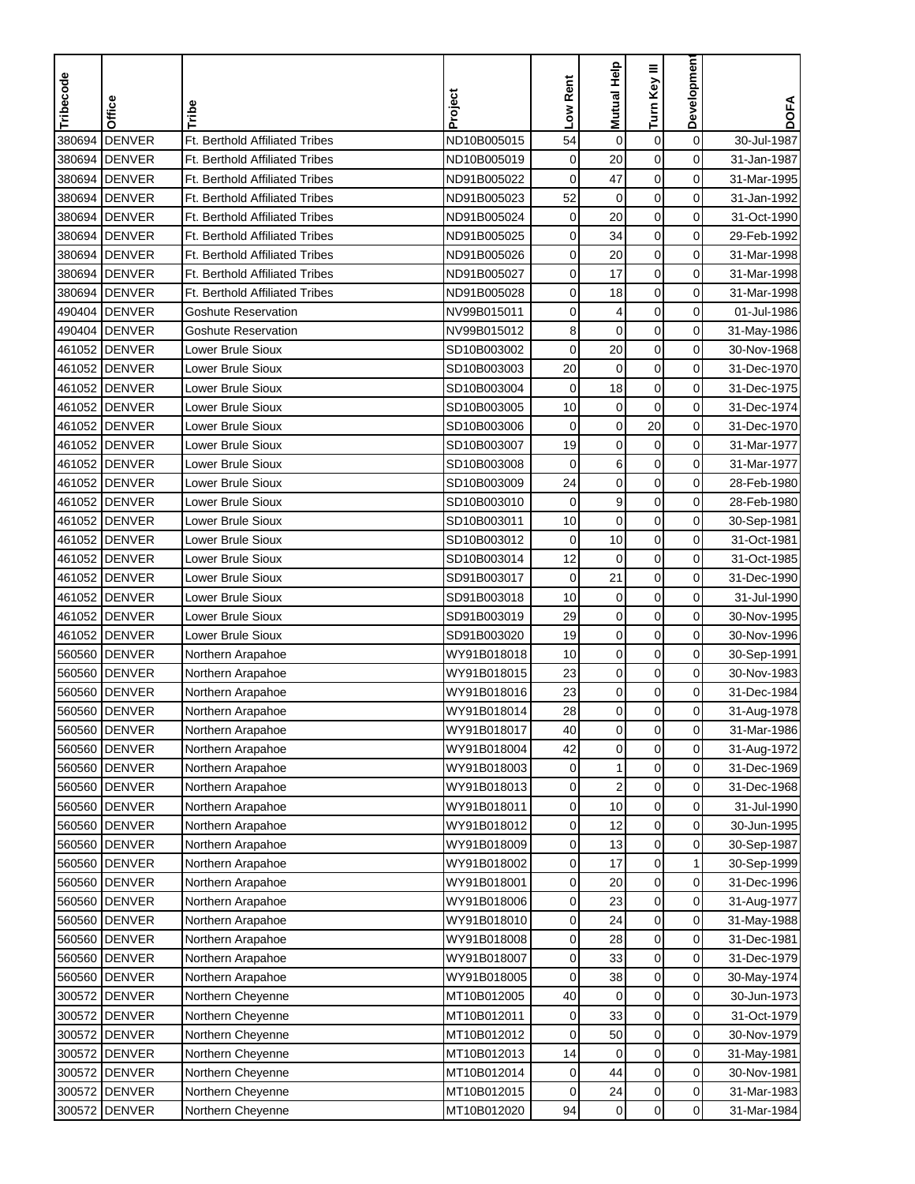| Tribecode        | Office                         | Tribe                                 | Project                    | Low Rent    | Mutual Help    | Turn Key III           | Development    | <b>DOFA</b>                |
|------------------|--------------------------------|---------------------------------------|----------------------------|-------------|----------------|------------------------|----------------|----------------------------|
| 380694           | <b>DENVER</b>                  | Ft. Berthold Affiliated Tribes        | ND10B005015                | 54          | $\pmb{0}$      | $\pmb{0}$              | $\mathbf 0$    | 30-Jul-1987                |
| 380694           | <b>DENVER</b>                  | <b>Ft. Berthold Affiliated Tribes</b> | ND10B005019                | $\mathbf 0$ | 20             | $\mathbf 0$            | 0              | 31-Jan-1987                |
| 380694           | <b>DENVER</b>                  | Ft. Berthold Affiliated Tribes        | ND91B005022                | 0           | 47             | $\mathbf 0$            | 0              | 31-Mar-1995                |
|                  | <b>DENVER</b>                  | Ft. Berthold Affiliated Tribes        |                            | 52          | $\mathbf 0$    | $\mathbf 0$            | 0              |                            |
| 380694           |                                | <b>Ft. Berthold Affiliated Tribes</b> | ND91B005023                |             | 20             |                        |                | 31-Jan-1992                |
| 380694<br>380694 | <b>DENVER</b><br><b>DENVER</b> | <b>Ft. Berthold Affiliated Tribes</b> | ND91B005024<br>ND91B005025 | 0<br>0      | 34             | $\pmb{0}$<br>$\pmb{0}$ | 0<br>0         | 31-Oct-1990<br>29-Feb-1992 |
| 380694           | <b>DENVER</b>                  | Ft. Berthold Affiliated Tribes        | ND91B005026                | 0           | 20             | $\pmb{0}$              | 0              | 31-Mar-1998                |
| 380694           | <b>DENVER</b>                  | Ft. Berthold Affiliated Tribes        | ND91B005027                | 0           | 17             | 0                      | 0              | 31-Mar-1998                |
| 380694           | <b>DENVER</b>                  | Ft. Berthold Affiliated Tribes        | ND91B005028                | 0           | 18             | 0                      | 0              | 31-Mar-1998                |
|                  |                                | <b>Goshute Reservation</b>            |                            | 0           |                | $\pmb{0}$              | 0              |                            |
|                  | 490404 DENVER                  |                                       | NV99B015011                |             | 4              |                        |                | 01-Jul-1986                |
|                  | 490404 DENVER                  | <b>Goshute Reservation</b>            | NV99B015012                | 8           | $\mathbf 0$    | $\mathbf 0$            | 0              | 31-May-1986                |
|                  | 461052 DENVER                  | Lower Brule Sioux                     | SD10B003002                | $\mathbf 0$ | 20             | $\mathbf 0$            | 0              | 30-Nov-1968                |
|                  | 461052 DENVER                  | <b>Lower Brule Sioux</b>              | SD10B003003                | 20          | 0              | $\pmb{0}$              | 0              | 31-Dec-1970                |
|                  | 461052 DENVER                  | Lower Brule Sioux                     | SD10B003004                | $\mathbf 0$ | 18             | $\pmb{0}$              | 0              | 31-Dec-1975                |
|                  | 461052 DENVER                  | Lower Brule Sioux                     | SD10B003005                | 10          | $\pmb{0}$      | $\mathbf 0$            | 0              | 31-Dec-1974                |
|                  | 461052 DENVER                  | Lower Brule Sioux                     | SD10B003006                | 0           | $\mathbf 0$    | 20                     | 0              | 31-Dec-1970                |
|                  | 461052 DENVER                  | Lower Brule Sioux                     | SD10B003007                | 19          | $\mathbf 0$    | $\pmb{0}$              | 0              | 31-Mar-1977                |
|                  | 461052 DENVER                  | Lower Brule Sioux                     | SD10B003008                | $\mathbf 0$ | 6              | $\mathbf 0$            | 0              | 31-Mar-1977                |
|                  | 461052 DENVER                  | Lower Brule Sioux                     | SD10B003009                | 24          | $\mathbf 0$    | $\mathbf 0$            | 0              | 28-Feb-1980                |
|                  | 461052 DENVER                  | Lower Brule Sioux                     | SD10B003010                | $\mathbf 0$ | 9              | $\mathbf 0$            | 0              | 28-Feb-1980                |
|                  | 461052 DENVER                  | Lower Brule Sioux                     | SD10B003011                | 10          | $\mathbf 0$    | $\mathbf 0$            | 0              | 30-Sep-1981                |
|                  | 461052 DENVER                  | Lower Brule Sioux                     | SD10B003012                | $\mathbf 0$ | 10             | $\pmb{0}$              | 0              | 31-Oct-1981                |
| 461052           | <b>DENVER</b>                  | Lower Brule Sioux                     | SD10B003014                | 12          | $\mathbf 0$    | $\mathbf 0$            | 0              | 31-Oct-1985                |
|                  | 461052 DENVER                  | Lower Brule Sioux                     | SD91B003017                | $\mathbf 0$ | 21             | $\mathbf 0$            | 0              | 31-Dec-1990                |
|                  | 461052 DENVER                  | Lower Brule Sioux                     | SD91B003018                | 10          | $\mathbf 0$    | 0                      | 0              | 31-Jul-1990                |
|                  | 461052 DENVER                  | Lower Brule Sioux                     | SD91B003019                | 29          | $\mathbf 0$    | 0                      | 0              | 30-Nov-1995                |
|                  | 461052 DENVER                  | Lower Brule Sioux                     | SD91B003020                | 19          | $\mathbf 0$    | $\mathbf 0$            | 0              | 30-Nov-1996                |
|                  | 560560 DENVER                  | Northern Arapahoe                     | WY91B018018                | 10          | 0              | $\mathbf 0$            | 0              | 30-Sep-1991                |
| 560560           | <b>DENVER</b>                  | Northern Arapahoe                     | WY91B018015                | 23          | $\mathbf 0$    | $\mathbf 0$            | 0              | 30-Nov-1983                |
| 560560           | <b>DENVER</b>                  | Northern Arapahoe                     | WY91B018016                | 23          | $\mathbf 0$    | $\pmb{0}$              | 0              | 31-Dec-1984                |
| 560560           | <b>DENVER</b>                  | Northern Arapahoe                     | WY91B018014                | 28          | $\mathbf 0$    | $\mathbf 0$            | 0              | 31-Aug-1978                |
|                  | 560560  DENVER                 | Northern Arapahoe                     | WY91B018017                | 40          | 0              | $\mathbf 0$            | 0              | 31-Mar-1986                |
|                  | 560560 DENVER                  | Northern Arapahoe                     | WY91B018004                | 42          | $\mathbf 0$    | $\overline{0}$         | $\mathbf 0$    | 31-Aug-1972                |
|                  | 560560 DENVER                  | Northern Arapahoe                     | WY91B018003                | 0           | 1              | 0                      | 0              | 31-Dec-1969                |
|                  | 560560 DENVER                  | Northern Arapahoe                     | WY91B018013                | 0           | $\overline{c}$ | $\mathbf 0$            | 0              | 31-Dec-1968                |
|                  | 560560 DENVER                  | Northern Arapahoe                     | WY91B018011                | 0           | 10             | $\pmb{0}$              | 0              | 31-Jul-1990                |
|                  | 560560 DENVER                  | Northern Arapahoe                     | WY91B018012                | 0           | 12             | $\pmb{0}$              | 0              | 30-Jun-1995                |
|                  | 560560 DENVER                  | Northern Arapahoe                     | WY91B018009                | 0           | 13             | $\pmb{0}$              | 0              | 30-Sep-1987                |
|                  | 560560 DENVER                  | Northern Arapahoe                     | WY91B018002                | 0           | 17             | $\mathbf 0$            | 1              | 30-Sep-1999                |
|                  | 560560 DENVER                  | Northern Arapahoe                     | WY91B018001                | 0           | 20             | $\pmb{0}$              | 0              | 31-Dec-1996                |
|                  | 560560 DENVER                  | Northern Arapahoe                     | WY91B018006                | 0           | 23             | $\boldsymbol{0}$       | 0              | 31-Aug-1977                |
|                  | 560560 DENVER                  | Northern Arapahoe                     | WY91B018010                | 0           | 24             | $\pmb{0}$              | 0              | 31-May-1988                |
|                  | 560560 DENVER                  | Northern Arapahoe                     | WY91B018008                | 0           | 28             | $\pmb{0}$              | 0              | 31-Dec-1981                |
| 560560           | <b>DENVER</b>                  | Northern Arapahoe                     | WY91B018007                | 0           | 33             | $\pmb{0}$              | 0              | 31-Dec-1979                |
|                  | 560560 DENVER                  | Northern Arapahoe                     | WY91B018005                | 0           | 38             | $\boldsymbol{0}$       | 0              | 30-May-1974                |
| 300572           | <b>DENVER</b>                  | Northern Cheyenne                     | MT10B012005                | 40          | 0              | 0                      | 0              | 30-Jun-1973                |
|                  | 300572 DENVER                  | Northern Cheyenne                     | MT10B012011                | 0           | 33             | $\mathbf 0$            | 0              | 31-Oct-1979                |
| 300572           | <b>DENVER</b>                  | Northern Cheyenne                     | MT10B012012                | 0           | 50             | $\pmb{0}$              | 0              | 30-Nov-1979                |
| 300572           | <b>DENVER</b>                  | Northern Cheyenne                     | MT10B012013                | 14          | 0              | $\pmb{0}$              | 0              | 31-May-1981                |
| 300572           | <b>DENVER</b>                  | Northern Cheyenne                     | MT10B012014                | 0           | 44             | 0                      | 0              | 30-Nov-1981                |
|                  | 300572 DENVER                  | Northern Cheyenne                     | MT10B012015                | 0           | 24             | $\mathbf 0$            | 0              | 31-Mar-1983                |
|                  | 300572 DENVER                  | Northern Cheyenne                     | MT10B012020                | 94          | $\pmb{0}$      | $\boldsymbol{0}$       | $\overline{0}$ | 31-Mar-1984                |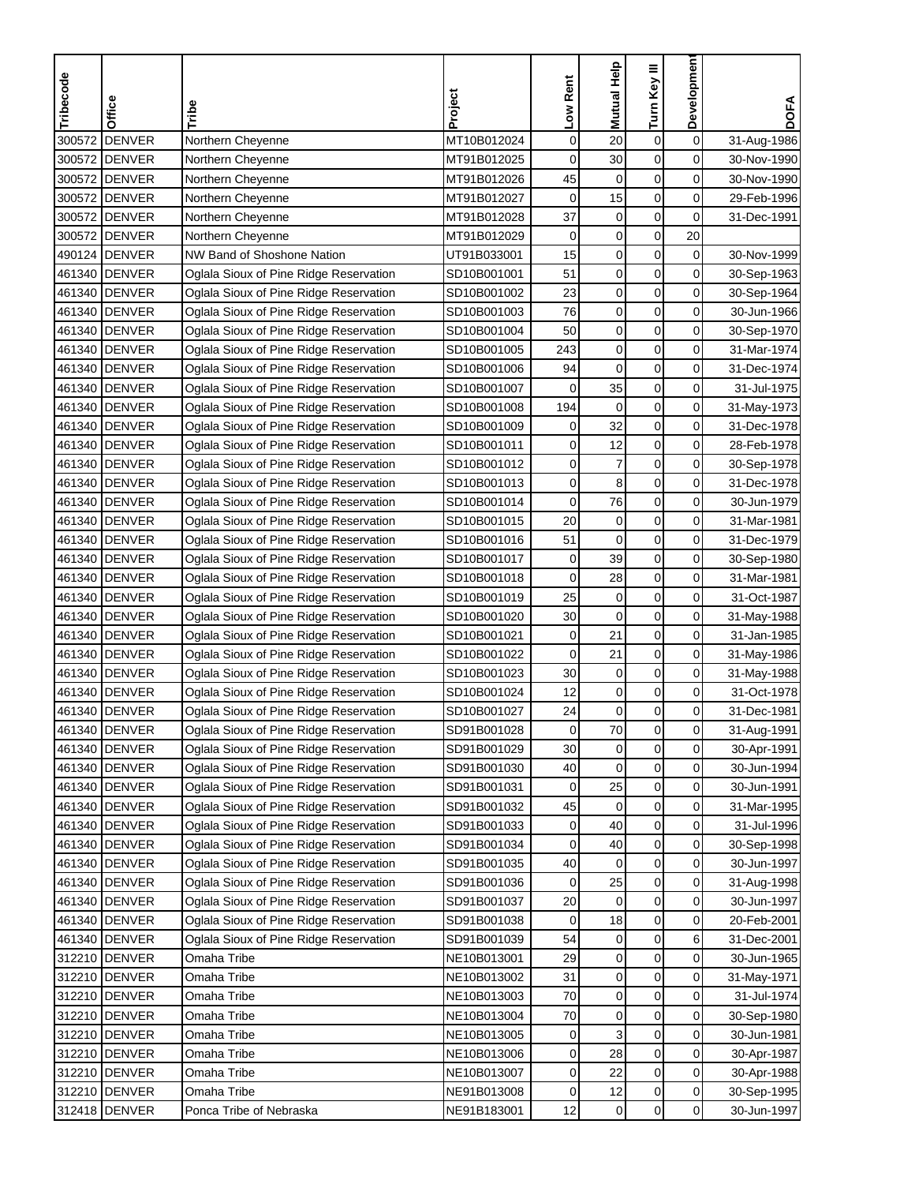| Tribecode | Office         | Tribe                                  | Project     | Low Rent    | Mutual Help      | Turn Key III     | Developmen          | <b>DOFA</b> |
|-----------|----------------|----------------------------------------|-------------|-------------|------------------|------------------|---------------------|-------------|
|           |                |                                        |             |             |                  |                  |                     |             |
| 300572    | <b>DENVER</b>  | Northern Cheyenne                      | MT10B012024 | $\mathbf 0$ | 20               | $\boldsymbol{0}$ | $\mathbf 0$         | 31-Aug-1986 |
| 300572    | <b>DENVER</b>  | Northern Cheyenne                      | MT91B012025 | $\mathbf 0$ | 30               | $\mathbf 0$      | $\mathbf 0$         | 30-Nov-1990 |
|           | 300572 DENVER  | Northern Cheyenne                      | MT91B012026 | 45          | 0                | $\mathbf 0$      | 0                   | 30-Nov-1990 |
|           | 300572 DENVER  | Northern Cheyenne                      | MT91B012027 | 0           | 15               | $\mathbf 0$      | 0                   | 29-Feb-1996 |
|           | 300572 DENVER  | Northern Cheyenne                      | MT91B012028 | 37          | $\pmb{0}$        | $\mathbf 0$      | 0                   | 31-Dec-1991 |
| 300572    | <b>IDENVER</b> | Northern Cheyenne                      | MT91B012029 | 0           | $\pmb{0}$        | $\boldsymbol{0}$ | 20                  |             |
|           | 490124 DENVER  | NW Band of Shoshone Nation             | UT91B033001 | 15          | $\boldsymbol{0}$ | $\mathbf 0$      | 0                   | 30-Nov-1999 |
|           | 461340 DENVER  | Oglala Sioux of Pine Ridge Reservation | SD10B001001 | 51          | $\boldsymbol{0}$ | $\mathbf 0$      | 0                   | 30-Sep-1963 |
|           | 461340 DENVER  | Oglala Sioux of Pine Ridge Reservation | SD10B001002 | 23          | $\mathbf 0$      | 0                | 0                   | 30-Sep-1964 |
|           | 461340 DENVER  | Oglala Sioux of Pine Ridge Reservation | SD10B001003 | 76          | $\boldsymbol{0}$ | $\pmb{0}$        | $\mathbf 0$         | 30-Jun-1966 |
|           | 461340 DENVER  | Oglala Sioux of Pine Ridge Reservation | SD10B001004 | 50          | $\mathbf 0$      | $\mathbf 0$      | 0                   | 30-Sep-1970 |
|           | 461340 DENVER  | Oglala Sioux of Pine Ridge Reservation | SD10B001005 | 243         | $\mathbf 0$      | $\mathbf 0$      | 0                   | 31-Mar-1974 |
|           | 461340 DENVER  | Oglala Sioux of Pine Ridge Reservation | SD10B001006 | 94          | $\mathbf 0$      | 0                | $\mathbf 0$         | 31-Dec-1974 |
|           | 461340 DENVER  | Oglala Sioux of Pine Ridge Reservation | SD10B001007 | 0           | 35               | $\mathbf 0$      | $\mathbf 0$         | 31-Jul-1975 |
|           | 461340 DENVER  | Oglala Sioux of Pine Ridge Reservation | SD10B001008 | 194         | $\mathbf 0$      | $\mathbf 0$      | 0                   | 31-May-1973 |
|           | 461340 DENVER  | Oglala Sioux of Pine Ridge Reservation | SD10B001009 | 0           | 32               | $\boldsymbol{0}$ | 0                   | 31-Dec-1978 |
|           | 461340 DENVER  | Oglala Sioux of Pine Ridge Reservation | SD10B001011 | 0           | 12               | $\mathbf 0$      | 0                   | 28-Feb-1978 |
|           | 461340 DENVER  | Oglala Sioux of Pine Ridge Reservation | SD10B001012 | $\mathbf 0$ | $\overline{7}$   | $\pmb{0}$        | $\mathbf 0$         | 30-Sep-1978 |
|           | 461340 DENVER  | Oglala Sioux of Pine Ridge Reservation | SD10B001013 | $\mathbf 0$ | 8                | $\mathbf 0$      | $\mathbf 0$         | 31-Dec-1978 |
|           | 461340 DENVER  | Oglala Sioux of Pine Ridge Reservation | SD10B001014 | 0           | 76               | $\mathbf 0$      | 0                   | 30-Jun-1979 |
|           | 461340 DENVER  | Oglala Sioux of Pine Ridge Reservation | SD10B001015 | 20          | $\mathbf 0$      | $\pmb{0}$        | 0                   | 31-Mar-1981 |
|           | 461340 DENVER  | Oglala Sioux of Pine Ridge Reservation | SD10B001016 | 51          | $\mathbf 0$      | $\pmb{0}$        | $\mathbf 0$         | 31-Dec-1979 |
|           | 461340 DENVER  | Oglala Sioux of Pine Ridge Reservation | SD10B001017 | $\pmb{0}$   | 39               | $\pmb{0}$        | $\mathbf 0$         | 30-Sep-1980 |
|           | 461340 DENVER  | Oglala Sioux of Pine Ridge Reservation | SD10B001018 | 0           | 28               | $\mathbf 0$      | 0                   | 31-Mar-1981 |
|           | 461340 DENVER  | Oglala Sioux of Pine Ridge Reservation | SD10B001019 | 25          | $\mathbf 0$      | 0                | 0                   | 31-Oct-1987 |
|           | 461340 DENVER  | Oglala Sioux of Pine Ridge Reservation | SD10B001020 | 30          | $\mathbf 0$      | $\pmb{0}$        | 0                   | 31-May-1988 |
|           | 461340 DENVER  | Oglala Sioux of Pine Ridge Reservation | SD10B001021 | $\mathbf 0$ | 21               | $\pmb{0}$        | $\mathbf 0$         | 31-Jan-1985 |
|           | 461340 DENVER  | Oglala Sioux of Pine Ridge Reservation | SD10B001022 | 0           | 21               | $\mathbf 0$      | 0                   | 31-May-1986 |
|           | 461340 DENVER  | Oglala Sioux of Pine Ridge Reservation | SD10B001023 | 30          | $\pmb{0}$        | 0                | $\mathbf 0$         | 31-May-1988 |
|           | 461340 DENVER  | Oglala Sioux of Pine Ridge Reservation | SD10B001024 | 12          | $\pmb{0}$        | $\pmb{0}$        | $\mathbf 0$         | 31-Oct-1978 |
|           | 461340 DENVER  | Oglala Sioux of Pine Ridge Reservation | SD10B001027 | 24          | $\mathbf 0$      | $\mathbf 0$      | 0                   | 31-Dec-1981 |
|           | 461340 DENVER  | Oglala Sioux of Pine Ridge Reservation | SD91B001028 | 0           | 70               | 0                | 0                   | 31-Aug-1991 |
|           | 461340 DENVER  | Oglala Sioux of Pine Ridge Reservation | SD91B001029 | 30          | $\mathbf 0$      | $\mathbf 0$      | $\mathsf{O}\xspace$ | 30-Apr-1991 |
|           | 461340 DENVER  | Oglala Sioux of Pine Ridge Reservation | SD91B001030 | 40          | $\mathbf 0$      | 0                | 0                   | 30-Jun-1994 |
|           | 461340 DENVER  | Oglala Sioux of Pine Ridge Reservation | SD91B001031 | 0           | 25               | $\pmb{0}$        | 0                   | 30-Jun-1991 |
|           | 461340 DENVER  | Oglala Sioux of Pine Ridge Reservation | SD91B001032 | 45          | 0                | 0                | 0                   | 31-Mar-1995 |
|           | 461340 DENVER  | Oglala Sioux of Pine Ridge Reservation | SD91B001033 | 0           | 40               | $\pmb{0}$        | 0                   | 31-Jul-1996 |
|           | 461340 DENVER  | Oglala Sioux of Pine Ridge Reservation | SD91B001034 | 0           | 40               | 0                | $\overline{0}$      | 30-Sep-1998 |
|           | 461340 DENVER  | Oglala Sioux of Pine Ridge Reservation | SD91B001035 | 40          | 0                | $\mathbf 0$      | $\overline{0}$      | 30-Jun-1997 |
|           | 461340 DENVER  | Oglala Sioux of Pine Ridge Reservation | SD91B001036 | 0           | 25               | 0                | 0                   | 31-Aug-1998 |
|           | 461340 DENVER  | Oglala Sioux of Pine Ridge Reservation | SD91B001037 | 20          | $\mathbf 0$      | $\boldsymbol{0}$ | 0                   | 30-Jun-1997 |
|           | 461340 DENVER  | Oglala Sioux of Pine Ridge Reservation | SD91B001038 | 0           | 18               | $\pmb{0}$        | $\mathbf 0$         | 20-Feb-2001 |
|           | 461340 DENVER  | Oglala Sioux of Pine Ridge Reservation | SD91B001039 | 54          | 0                | $\pmb{0}$        | 6                   | 31-Dec-2001 |
|           | 312210 DENVER  | Omaha Tribe                            | NE10B013001 | 29          | 0                | $\mathbf 0$      | 0                   | 30-Jun-1965 |
|           | 312210 DENVER  | Omaha Tribe                            | NE10B013002 | 31          | 0                | $\mathbf 0$      | 0                   | 31-May-1971 |
|           | 312210 DENVER  | Omaha Tribe                            | NE10B013003 | 70          | $\mathbf 0$      | 0                | 0                   | 31-Jul-1974 |
|           | 312210 DENVER  | Omaha Tribe                            | NE10B013004 | 70          | $\pmb{0}$        | $\pmb{0}$        | 0                   | 30-Sep-1980 |
|           | 312210 DENVER  | Omaha Tribe                            | NE10B013005 | 0           | 3                | 0                | 0                   | 30-Jun-1981 |
|           | 312210 DENVER  | Omaha Tribe                            | NE10B013006 | 0           | 28               | $\pmb{0}$        | 0                   | 30-Apr-1987 |
|           | 312210 DENVER  | Omaha Tribe                            | NE10B013007 | 0           | 22               | 0                | 0                   | 30-Apr-1988 |
|           | 312210 DENVER  | Omaha Tribe                            | NE91B013008 | 0           | 12               | $\pmb{0}$        | $\mathbf 0$         | 30-Sep-1995 |
|           | 312418 DENVER  | Ponca Tribe of Nebraska                | NE91B183001 | 12          | 0                | $\pmb{0}$        | $\overline{0}$      | 30-Jun-1997 |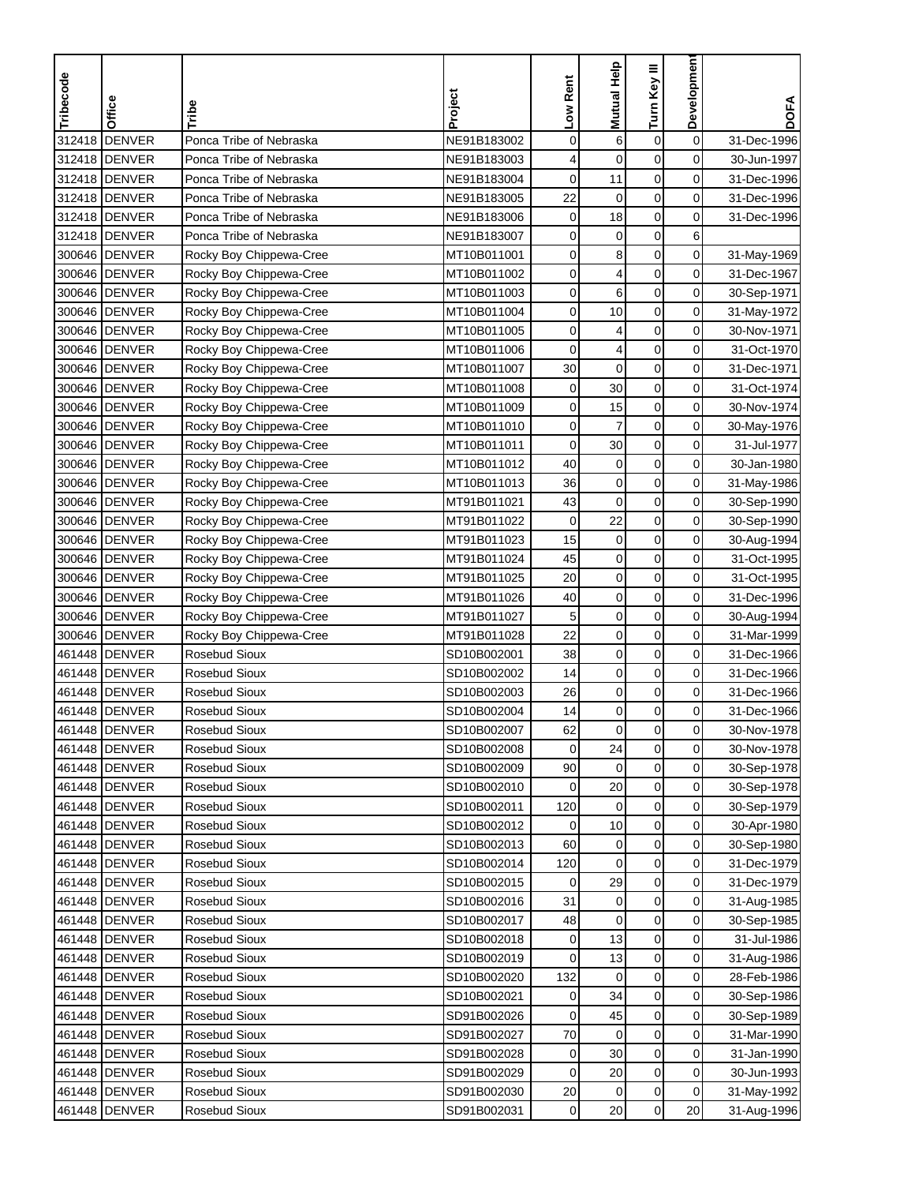| Tribecode | Office                         | Tribe                          | Project                    | Low Rent    | <b>Mutual Help</b> | Turn Key III     | Developmen     | <b>DOFA</b> |
|-----------|--------------------------------|--------------------------------|----------------------------|-------------|--------------------|------------------|----------------|-------------|
|           |                                |                                |                            |             |                    |                  |                |             |
| 312418    | <b>DENVER</b>                  | Ponca Tribe of Nebraska        | NE91B183002                | 0           | 6                  | 0                | $\mathbf 0$    | 31-Dec-1996 |
| 312418    | <b>DENVER</b>                  | Ponca Tribe of Nebraska        | NE91B183003                | 4           | $\mathbf 0$        | 0                | $\mathbf 0$    | 30-Jun-1997 |
|           | 312418 DENVER                  | Ponca Tribe of Nebraska        | NE91B183004                | 0           | 11                 | 0                | 0              | 31-Dec-1996 |
| 312418    | <b>DENVER</b>                  | Ponca Tribe of Nebraska        | NE91B183005                | 22          | 0                  | 0                | $\mathbf 0$    | 31-Dec-1996 |
| 312418    | <b>DENVER</b>                  | Ponca Tribe of Nebraska        | NE91B183006                | $\mathbf 0$ | 18                 | 0                | 0              | 31-Dec-1996 |
| 312418    | <b>DENVER</b>                  | Ponca Tribe of Nebraska        | NE91B183007                | 0           | $\mathbf 0$        | $\boldsymbol{0}$ | 6              |             |
| 300646    | <b>DENVER</b>                  | Rocky Boy Chippewa-Cree        | MT10B011001                | 0           | 8                  | 0                | $\mathbf 0$    | 31-May-1969 |
|           | 300646 DENVER                  | Rocky Boy Chippewa-Cree        | MT10B011002                | 0           | 4                  | 0                | 0              | 31-Dec-1967 |
|           | 300646 DENVER                  | Rocky Boy Chippewa-Cree        | MT10B011003                | 0           | 6                  | 0                | $\mathbf 0$    | 30-Sep-1971 |
|           | 300646 DENVER                  | Rocky Boy Chippewa-Cree        | MT10B011004                | 0           | 10                 | 0                | $\mathbf 0$    | 31-May-1972 |
|           | 300646 DENVER                  | Rocky Boy Chippewa-Cree        | MT10B011005                | 0           | 4                  | 0                | 0              | 30-Nov-1971 |
|           | 300646 DENVER                  | Rocky Boy Chippewa-Cree        | MT10B011006                | $\mathbf 0$ | 4                  | $\mathbf 0$      | 0              | 31-Oct-1970 |
|           | 300646 DENVER                  | Rocky Boy Chippewa-Cree        | MT10B011007                | 30          | 0                  | $\mathbf 0$      | $\mathbf 0$    | 31-Dec-1971 |
|           | 300646 DENVER                  | Rocky Boy Chippewa-Cree        | MT10B011008                | $\mathbf 0$ | 30                 | $\mathbf 0$      | $\mathbf 0$    | 31-Oct-1974 |
|           | 300646 DENVER                  | Rocky Boy Chippewa-Cree        | MT10B011009                | 0           | 15                 | 0                | 0              | 30-Nov-1974 |
|           | 300646 DENVER                  | Rocky Boy Chippewa-Cree        | MT10B011010                | 0           | $\overline{7}$     | $\mathbf 0$      | 0              | 30-May-1976 |
|           | 300646 DENVER                  | Rocky Boy Chippewa-Cree        | MT10B011011                | 0           | 30                 | 0                | $\mathbf 0$    | 31-Jul-1977 |
|           | 300646 DENVER                  | Rocky Boy Chippewa-Cree        | MT10B011012                | 40          | $\mathbf 0$        | 0                | $\mathbf 0$    | 30-Jan-1980 |
|           | 300646 DENVER                  | Rocky Boy Chippewa-Cree        | MT10B011013                | 36          | $\mathbf 0$        | $\mathbf 0$      | $\mathbf 0$    | 31-May-1986 |
|           | 300646 DENVER                  | Rocky Boy Chippewa-Cree        | MT91B011021                | 43          | $\mathbf 0$        | $\mathbf 0$      | 0              | 30-Sep-1990 |
| 300646    | <b>DENVER</b>                  | Rocky Boy Chippewa-Cree        | MT91B011022                | $\mathbf 0$ | 22                 | 0                | 0              | 30-Sep-1990 |
| 300646    | <b>DENVER</b>                  | Rocky Boy Chippewa-Cree        | MT91B011023                | 15          | $\mathbf 0$        | 0                | 0              | 30-Aug-1994 |
| 300646    | <b>DENVER</b>                  | Rocky Boy Chippewa-Cree        | MT91B011024                | 45          | $\mathbf 0$        | 0                | 0              | 31-Oct-1995 |
| 300646    | <b>DENVER</b>                  | Rocky Boy Chippewa-Cree        | MT91B011025                | 20          | $\mathbf 0$        | 0                | 0              | 31-Oct-1995 |
| 300646    | <b>DENVER</b>                  | Rocky Boy Chippewa-Cree        | MT91B011026                | 40          | 0                  | 0                | $\mathbf 0$    | 31-Dec-1996 |
|           | 300646 DENVER                  | Rocky Boy Chippewa-Cree        | MT91B011027                | 5           | $\mathbf 0$        | 0                | $\mathbf 0$    | 30-Aug-1994 |
| 300646    | <b>DENVER</b>                  | Rocky Boy Chippewa-Cree        | MT91B011028                | 22          | $\mathbf 0$        | $\mathbf 0$      | $\mathbf 0$    | 31-Mar-1999 |
|           | 461448 DENVER                  | Rosebud Sioux                  | SD10B002001                | 38          | $\mathbf 0$        | $\mathbf 0$      | $\mathbf 0$    | 31-Dec-1966 |
| 461448    | <b>DENVER</b>                  | Rosebud Sioux                  | SD10B002002                | 14          | 0                  | $\mathbf 0$      | 0              | 31-Dec-1966 |
| 461448    | <b>DENVER</b>                  | Rosebud Sioux                  | SD10B002003                | 26          | 0                  | $\boldsymbol{0}$ | $\mathbf 0$    | 31-Dec-1966 |
| 461448    | <b>DENVER</b>                  | Rosebud Sioux                  | SD10B002004                | 14          | $\mathbf 0$        | $\mathbf 0$      | 0              | 31-Dec-1966 |
|           | 461448 <b>IDENVER</b>          | Rosebud Sioux                  | SD10B002007                | 62          | 0                  | 0                | $\overline{0}$ | 30-Nov-1978 |
|           | 461448 DENVER                  | Rosebud Sioux                  | SD10B002008                | 0           | 24                 | $\pmb{0}$        | $\mathbf 0$    | 30-Nov-1978 |
|           | 461448 DENVER                  | Rosebud Sioux                  | SD10B002009                | 90          | 0                  | 0                | $\pmb{0}$      | 30-Sep-1978 |
|           | 461448 DENVER                  | Rosebud Sioux                  | SD10B002010                | $\mathbf 0$ | 20                 | $\pmb{0}$        | $\mathbf 0$    | 30-Sep-1978 |
|           | 461448 DENVER                  | Rosebud Sioux                  | SD10B002011                | 120         | 0                  | 0                | $\mathbf 0$    | 30-Sep-1979 |
|           | 461448 DENVER                  | Rosebud Sioux                  | SD10B002012                | 0           | 10                 | 0                | $\pmb{0}$      | 30-Apr-1980 |
|           | 461448 DENVER                  | Rosebud Sioux                  | SD10B002013                | 60          | 0                  | 0                | $\mathbf 0$    | 30-Sep-1980 |
|           | 461448 DENVER                  | Rosebud Sioux                  | SD10B002014                | 120         | $\mathbf 0$        | $\pmb{0}$        | $\pmb{0}$      | 31-Dec-1979 |
|           | 461448 DENVER                  | Rosebud Sioux                  | SD10B002015                | 0           | 29                 | 0                | $\mathbf 0$    | 31-Dec-1979 |
|           | 461448 DENVER                  | Rosebud Sioux                  | SD10B002016                | 31          | $\pmb{0}$          | 0                | 0              | 31-Aug-1985 |
|           | 461448 DENVER                  | Rosebud Sioux                  | SD10B002017                | 48          | 0                  | 0                | $\mathbf 0$    | 30-Sep-1985 |
|           | 461448 DENVER                  | Rosebud Sioux                  | SD10B002018                | 0           | 13                 | $\boldsymbol{0}$ | $\mathbf 0$    | 31-Jul-1986 |
|           | 461448 DENVER                  | Rosebud Sioux                  | SD10B002019                | 0           | 13                 | 0                | $\mathbf 0$    | 31-Aug-1986 |
|           | 461448 DENVER                  | Rosebud Sioux                  | SD10B002020                | 132         | 0                  | 0                | 0              | 28-Feb-1986 |
|           | 461448 DENVER                  | Rosebud Sioux                  | SD10B002021                | 0           | 34                 | 0                | $\mathbf 0$    | 30-Sep-1986 |
|           | 461448 DENVER                  | Rosebud Sioux                  | SD91B002026                | 0           | 45                 | $\pmb{0}$        | $\pmb{0}$      | 30-Sep-1989 |
| 461448    | <b>DENVER</b>                  | Rosebud Sioux                  | SD91B002027                | 70          | 0                  | 0                | $\mathbf 0$    | 31-Mar-1990 |
|           | 461448 DENVER                  | Rosebud Sioux                  | SD91B002028                | 0           | 30                 | 0                | 0              | 31-Jan-1990 |
|           |                                |                                |                            | 0           |                    |                  | 0              |             |
|           | 461448 DENVER<br>461448 DENVER | Rosebud Sioux<br>Rosebud Sioux | SD91B002029<br>SD91B002030 |             | 20                 | 0                |                | 30-Jun-1993 |
|           |                                |                                |                            | 20          | 0                  | $\pmb{0}$        | $\pmb{0}$      | 31-May-1992 |
| 461448    | <b>DENVER</b>                  | Rosebud Sioux                  | SD91B002031                | 0           | 20                 | $\boldsymbol{0}$ | 20             | 31-Aug-1996 |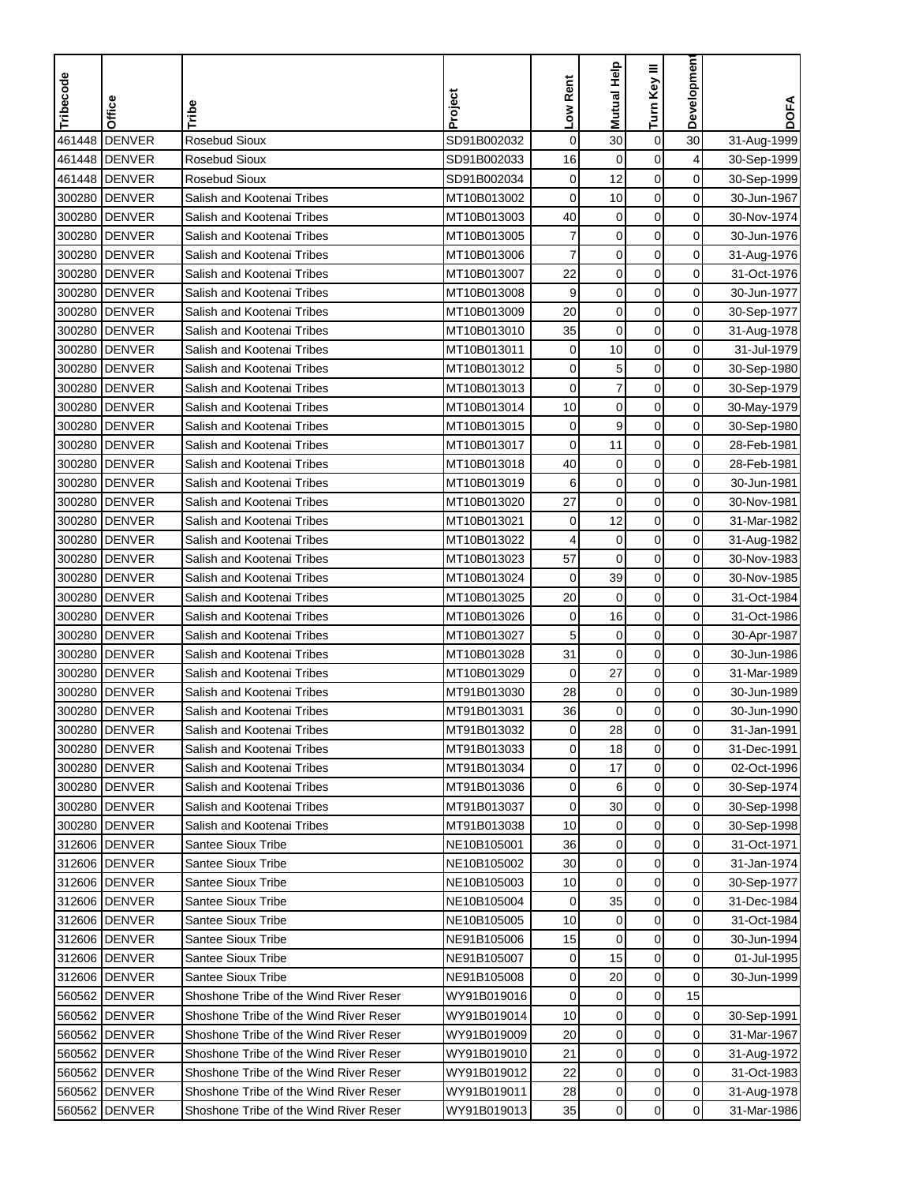| Tribecode | Office         | Tribe                                  | Project     | Low Rent     | <b>Mutual Help</b> | Turn Key III     | Developmen     | <b>DOFA</b> |
|-----------|----------------|----------------------------------------|-------------|--------------|--------------------|------------------|----------------|-------------|
|           |                |                                        |             |              |                    |                  |                |             |
| 461448    | <b>DENVER</b>  | <b>Rosebud Sioux</b>                   | SD91B002032 | $\mathbf 0$  | 30                 | $\boldsymbol{0}$ | 30             | 31-Aug-1999 |
| 461448    | <b>DENVER</b>  | <b>Rosebud Sioux</b>                   | SD91B002033 | 16           | $\mathbf 0$        | $\mathbf 0$      | 4              | 30-Sep-1999 |
|           | 461448 DENVER  | <b>Rosebud Sioux</b>                   | SD91B002034 | $\mathbf 0$  | 12                 | 0                | 0              | 30-Sep-1999 |
| 300280    | <b>DENVER</b>  | Salish and Kootenai Tribes             | MT10B013002 | 0            | 10                 | $\mathbf 0$      | 0              | 30-Jun-1967 |
| 300280    | <b>DENVER</b>  | Salish and Kootenai Tribes             | MT10B013003 | 40           | $\mathbf 0$        | $\boldsymbol{0}$ | 0              | 30-Nov-1974 |
| 300280    | <b>DENVER</b>  | Salish and Kootenai Tribes             | MT10B013005 | 7            | $\mathbf 0$        | $\mathbf 0$      | 0              | 30-Jun-1976 |
| 300280    | <b>DENVER</b>  | Salish and Kootenai Tribes             | MT10B013006 | 7            | $\mathbf 0$        | $\mathbf 0$      | 0              | 31-Aug-1976 |
| 300280    | <b>DENVER</b>  | Salish and Kootenai Tribes             | MT10B013007 | 22           | $\mathbf 0$        | $\mathbf 0$      | 0              | 31-Oct-1976 |
| 300280    | <b>DENVER</b>  | Salish and Kootenai Tribes             | MT10B013008 | 9            | $\mathbf 0$        | $\mathbf 0$      | 0              | 30-Jun-1977 |
| 300280    | <b>DENVER</b>  | Salish and Kootenai Tribes             | MT10B013009 | 20           | $\mathbf 0$        | $\mathbf 0$      | 0              | 30-Sep-1977 |
| 300280    | <b>DENVER</b>  | Salish and Kootenai Tribes             | MT10B013010 | 35           | 0                  | 0                | 0              | 31-Aug-1978 |
| 300280    | <b>DENVER</b>  | Salish and Kootenai Tribes             | MT10B013011 | 0            | 10                 | $\mathbf 0$      | 0              | 31-Jul-1979 |
| 300280    | <b>DENVER</b>  | Salish and Kootenai Tribes             | MT10B013012 | 0            | 5                  | $\mathbf 0$      | 0              | 30-Sep-1980 |
| 300280    | <b>DENVER</b>  | Salish and Kootenai Tribes             | MT10B013013 | $\mathbf 0$  | $\overline{7}$     | $\mathbf 0$      | 0              | 30-Sep-1979 |
| 300280    | <b>DENVER</b>  | Salish and Kootenai Tribes             | MT10B013014 | 10           | $\mathbf 0$        | $\mathbf 0$      | 0              | 30-May-1979 |
| 300280    | <b>DENVER</b>  | Salish and Kootenai Tribes             | MT10B013015 | 0            | 9                  | $\mathbf 0$      | 0              | 30-Sep-1980 |
| 300280    | <b>DENVER</b>  | Salish and Kootenai Tribes             | MT10B013017 | 0            | 11                 | $\mathbf 0$      | 0              | 28-Feb-1981 |
| 300280    | <b>DENVER</b>  | Salish and Kootenai Tribes             | MT10B013018 | 40           | $\mathbf 0$        | $\mathbf 0$      | 0              | 28-Feb-1981 |
| 300280    | <b>DENVER</b>  | Salish and Kootenai Tribes             | MT10B013019 | 6            | 0                  | 0                | 0              | 30-Jun-1981 |
| 300280    | <b>DENVER</b>  | Salish and Kootenai Tribes             | MT10B013020 | 27           | $\mathbf 0$        | $\mathbf 0$      | 0              | 30-Nov-1981 |
| 300280    | <b>DENVER</b>  | Salish and Kootenai Tribes             | MT10B013021 | 0            | 12                 | $\mathbf 0$      | 0              | 31-Mar-1982 |
| 300280    | <b>DENVER</b>  | Salish and Kootenai Tribes             | MT10B013022 | 4            | $\mathbf 0$        | $\pmb{0}$        | 0              | 31-Aug-1982 |
| 300280    | <b>DENVER</b>  | Salish and Kootenai Tribes             | MT10B013023 | 57           | $\mathbf 0$        | $\mathbf 0$      | 0              | 30-Nov-1983 |
| 300280    | <b>DENVER</b>  | Salish and Kootenai Tribes             | MT10B013024 | 0            | 39                 | $\mathbf 0$      | 0              | 30-Nov-1985 |
| 300280    | <b>DENVER</b>  | Salish and Kootenai Tribes             | MT10B013025 | 20           | $\mathbf 0$        | $\mathbf 0$      | 0              | 31-Oct-1984 |
| 300280    | <b>DENVER</b>  | Salish and Kootenai Tribes             | MT10B013026 | $\mathbf 0$  | 16                 | $\mathbf 0$      | 0              | 31-Oct-1986 |
| 300280    | <b>DENVER</b>  | Salish and Kootenai Tribes             | MT10B013027 | 5            | $\mathbf 0$        | $\mathbf 0$      | 0              | 30-Apr-1987 |
| 300280    | <b>DENVER</b>  | Salish and Kootenai Tribes             | MT10B013028 | 31           | 0                  | $\mathbf 0$      | 0              | 30-Jun-1986 |
| 300280    | <b>DENVER</b>  | Salish and Kootenai Tribes             | MT10B013029 | $\mathbf 0$  | 27                 | $\mathbf 0$      | 0              | 31-Mar-1989 |
| 300280    | <b>DENVER</b>  | Salish and Kootenai Tribes             | MT91B013030 | 28           | $\mathbf 0$        | $\pmb{0}$        | 0              | 30-Jun-1989 |
| 300280    | <b>DENVER</b>  | Salish and Kootenai Tribes             | MT91B013031 | 36           | $\mathbf 0$        | $\mathbf 0$      | 0              | 30-Jun-1990 |
|           | 300280  DENVER | Salish and Kootenai Tribes             | MT91B013032 | $\mathbf{0}$ | 28                 | 0                | 0              | 31-Jan-1991 |
|           | 300280 DENVER  | Salish and Kootenai Tribes             | MT91B013033 | 0            | 18                 | $\pmb{0}$        | 0              | 31-Dec-1991 |
|           | 300280 DENVER  | Salish and Kootenai Tribes             | MT91B013034 | 0            | 17                 | 0                | 0              | 02-Oct-1996 |
|           | 300280 DENVER  | Salish and Kootenai Tribes             | MT91B013036 | 0            | 6                  | $\pmb{0}$        | $\overline{0}$ | 30-Sep-1974 |
|           | 300280 DENVER  | Salish and Kootenai Tribes             | MT91B013037 | 0            | 30                 | 0                | $\overline{0}$ | 30-Sep-1998 |
|           | 300280 DENVER  | Salish and Kootenai Tribes             | MT91B013038 | 10           | 0                  | 0                | $\overline{0}$ | 30-Sep-1998 |
|           | 312606 DENVER  | <b>Santee Sioux Tribe</b>              | NE10B105001 | 36           | 0                  | 0                | $\overline{0}$ | 31-Oct-1971 |
|           | 312606 DENVER  | Santee Sioux Tribe                     | NE10B105002 | 30           | 0                  | $\pmb{0}$        | $\overline{0}$ | 31-Jan-1974 |
|           | 312606 DENVER  | <b>Santee Sioux Tribe</b>              | NE10B105003 | 10           | 0                  | 0                | $\overline{0}$ | 30-Sep-1977 |
|           | 312606 DENVER  | <b>Santee Sioux Tribe</b>              | NE10B105004 | 0            | 35                 | $\pmb{0}$        | 0              | 31-Dec-1984 |
|           | 312606 DENVER  | <b>Santee Sioux Tribe</b>              | NE10B105005 | 10           | $\mathbf 0$        | 0                | 0              | 31-Oct-1984 |
|           | 312606 DENVER  | <b>Santee Sioux Tribe</b>              | NE91B105006 | 15           | $\mathbf 0$        | $\pmb{0}$        | 0              | 30-Jun-1994 |
|           | 312606 DENVER  | Santee Sioux Tribe                     | NE91B105007 | 0            | 15                 | 0                | 0              | 01-Jul-1995 |
|           | 312606 DENVER  | <b>Santee Sioux Tribe</b>              | NE91B105008 | 0            | 20                 | $\mathbf 0$      | 0              | 30-Jun-1999 |
|           | 560562 DENVER  | Shoshone Tribe of the Wind River Reser | WY91B019016 | 0            | 0                  | 0                | 15             |             |
|           | 560562 DENVER  | Shoshone Tribe of the Wind River Reser | WY91B019014 | 10           | $\pmb{0}$          | $\pmb{0}$        | 0              | 30-Sep-1991 |
|           | 560562 DENVER  | Shoshone Tribe of the Wind River Reser | WY91B019009 | 20           | 0                  | 0                | 0              | 31-Mar-1967 |
|           | 560562 DENVER  | Shoshone Tribe of the Wind River Reser | WY91B019010 | 21           | 0                  | 0                | 0              | 31-Aug-1972 |
|           | 560562 DENVER  | Shoshone Tribe of the Wind River Reser | WY91B019012 | 22           | $\pmb{0}$          | 0                | 0              | 31-Oct-1983 |
|           | 560562 DENVER  | Shoshone Tribe of the Wind River Reser | WY91B019011 | 28           | $\pmb{0}$          | $\pmb{0}$        | $\overline{0}$ | 31-Aug-1978 |
|           | 560562 DENVER  | Shoshone Tribe of the Wind River Reser | WY91B019013 | 35           | $\mathbf 0$        | 0                | $\overline{0}$ | 31-Mar-1986 |
|           |                |                                        |             |              |                    |                  |                |             |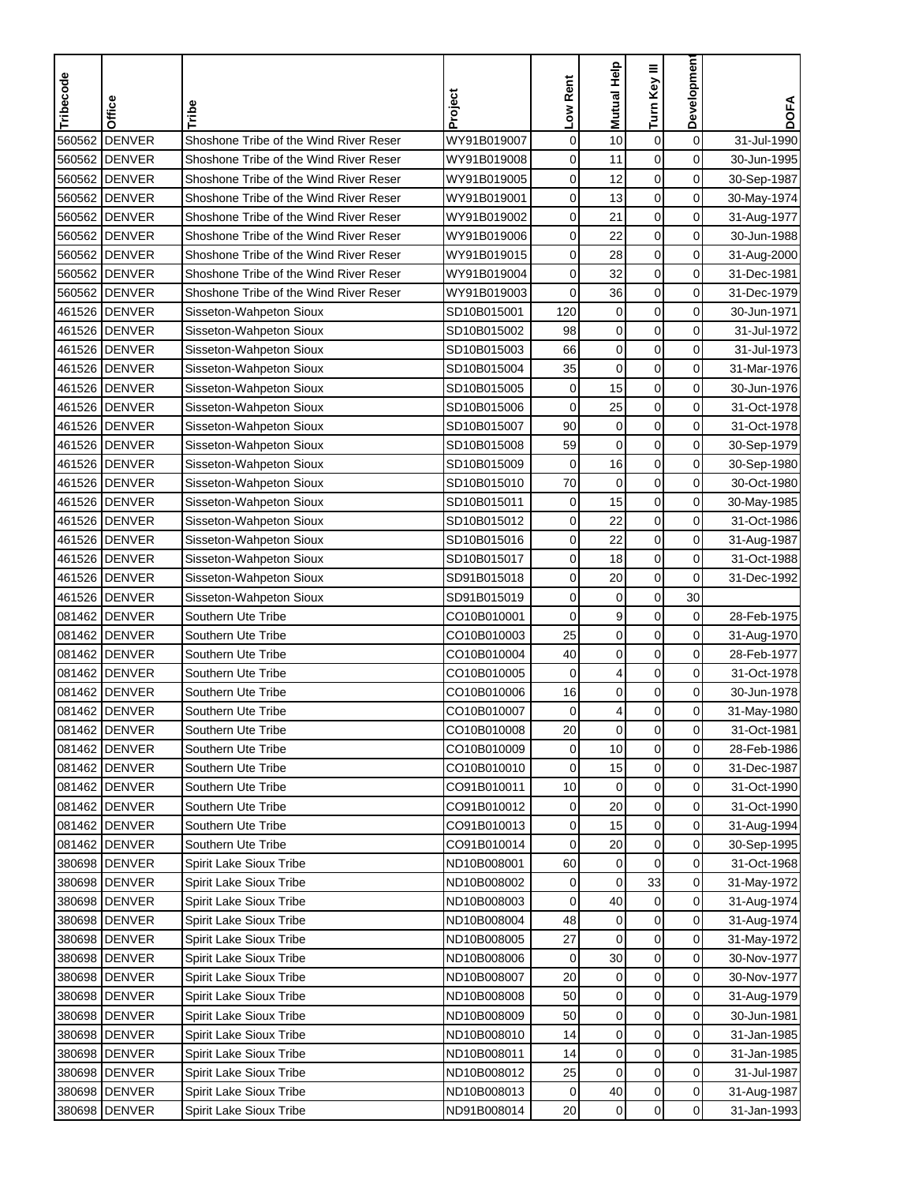| Tribecode | Office        | Tribe                                  | Project     | Low Rent    | Mutual Help | Turn Key III     | Development    | <b>DOFA</b> |
|-----------|---------------|----------------------------------------|-------------|-------------|-------------|------------------|----------------|-------------|
|           |               |                                        |             |             |             |                  |                |             |
| 560562    | <b>DENVER</b> | Shoshone Tribe of the Wind River Reser | WY91B019007 | $\mathbf 0$ | 10          | $\mathbf 0$      | $\mathbf 0$    | 31-Jul-1990 |
| 560562    | <b>DENVER</b> | Shoshone Tribe of the Wind River Reser | WY91B019008 | 0           | 11          | 0                | 0              | 30-Jun-1995 |
| 560562    | <b>DENVER</b> | Shoshone Tribe of the Wind River Reser | WY91B019005 | 0           | 12          | $\mathbf 0$      | 0              | 30-Sep-1987 |
| 560562    | <b>DENVER</b> | Shoshone Tribe of the Wind River Reser | WY91B019001 | 0           | 13          | $\mathbf 0$      | $\mathbf 0$    | 30-May-1974 |
| 560562    | <b>DENVER</b> | Shoshone Tribe of the Wind River Reser | WY91B019002 | 0           | 21          | $\pmb{0}$        | $\mathbf 0$    | 31-Aug-1977 |
| 560562    | <b>DENVER</b> | Shoshone Tribe of the Wind River Reser | WY91B019006 | 0           | 22          | $\mathbf 0$      | 0              | 30-Jun-1988 |
|           | 560562 DENVER | Shoshone Tribe of the Wind River Reser | WY91B019015 | 0           | 28          | $\mathbf 0$      | 0              | 31-Aug-2000 |
|           | 560562 DENVER | Shoshone Tribe of the Wind River Reser | WY91B019004 | 0           | 32          | $\mathbf 0$      | 0              | 31-Dec-1981 |
|           | 560562 DENVER | Shoshone Tribe of the Wind River Reser | WY91B019003 | $\mathbf 0$ | 36          | 0                | $\mathbf 0$    | 31-Dec-1979 |
|           | 461526 DENVER | Sisseton-Wahpeton Sioux                | SD10B015001 | 120         | $\mathbf 0$ | $\mathbf 0$      | 0              | 30-Jun-1971 |
|           | 461526 DENVER | Sisseton-Wahpeton Sioux                | SD10B015002 | 98          | $\mathbf 0$ | $\mathbf 0$      | 0              | 31-Jul-1972 |
|           | 461526 DENVER | Sisseton-Wahpeton Sioux                | SD10B015003 | 66          | $\mathbf 0$ | $\mathbf 0$      | 0              | 31-Jul-1973 |
|           | 461526 DENVER | Sisseton-Wahpeton Sioux                | SD10B015004 | 35          | $\mathbf 0$ | $\mathbf 0$      | $\mathbf 0$    | 31-Mar-1976 |
|           | 461526 DENVER | Sisseton-Wahpeton Sioux                | SD10B015005 | $\mathbf 0$ | 15          | $\mathbf 0$      | $\mathbf 0$    | 30-Jun-1976 |
|           | 461526 DENVER | Sisseton-Wahpeton Sioux                | SD10B015006 | $\mathbf 0$ | 25          | $\mathbf 0$      | 0              | 31-Oct-1978 |
|           | 461526 DENVER | Sisseton-Wahpeton Sioux                | SD10B015007 | 90          | $\mathbf 0$ | 0                | 0              | 31-Oct-1978 |
|           | 461526 DENVER | Sisseton-Wahpeton Sioux                | SD10B015008 | 59          | $\mathbf 0$ | $\mathbf 0$      | $\mathbf 0$    | 30-Sep-1979 |
|           | 461526 DENVER | Sisseton-Wahpeton Sioux                | SD10B015009 | 0           | 16          | $\mathbf 0$      | $\mathbf 0$    | 30-Sep-1980 |
|           | 461526 DENVER | Sisseton-Wahpeton Sioux                | SD10B015010 | 70          | 0           | $\mathbf 0$      | $\mathbf 0$    | 30-Oct-1980 |
|           | 461526 DENVER | Sisseton-Wahpeton Sioux                | SD10B015011 | 0           | 15          | $\mathbf 0$      | 0              | 30-May-1985 |
|           | 461526 DENVER | Sisseton-Wahpeton Sioux                | SD10B015012 | 0           | 22          | 0                | $\mathbf 0$    | 31-Oct-1986 |
|           | 461526 DENVER | Sisseton-Wahpeton Sioux                | SD10B015016 | 0           | 22          | $\mathbf 0$      | 0              | 31-Aug-1987 |
|           | 461526 DENVER | Sisseton-Wahpeton Sioux                | SD10B015017 | 0           | 18          | $\mathbf 0$      | 0              | 31-Oct-1988 |
|           | 461526 DENVER | Sisseton-Wahpeton Sioux                | SD91B015018 | 0           | 20          | $\mathbf 0$      | 0              | 31-Dec-1992 |
|           | 461526 DENVER | Sisseton-Wahpeton Sioux                | SD91B015019 | 0           | $\mathbf 0$ | $\mathbf 0$      | 30             |             |
|           | 081462 DENVER | Southern Ute Tribe                     | CO10B010001 | $\mathbf 0$ | 9           | $\mathbf 0$      | 0              | 28-Feb-1975 |
|           | 081462 DENVER | Southern Ute Tribe                     | CO10B010003 | 25          | 0           | 0                | 0              | 31-Aug-1970 |
|           | 081462 DENVER | Southern Ute Tribe                     | CO10B010004 | 40          | $\mathbf 0$ | $\mathbf 0$      | 0              | 28-Feb-1977 |
|           | 081462 DENVER | Southern Ute Tribe                     | CO10B010005 | 0           | 4           | $\mathbf 0$      | $\mathbf 0$    | 31-Oct-1978 |
| 081462    | <b>DENVER</b> | Southern Ute Tribe                     | CO10B010006 | 16          | $\mathbf 0$ | $\mathbf 0$      | $\mathbf 0$    | 30-Jun-1978 |
|           | 081462 DENVER | Southern Ute Tribe                     | CO10B010007 | 0           | 4           | $\mathbf 0$      | $\mathbf 0$    | 31-May-1980 |
|           | 081462 DENVER | Southern Ute Tribe                     | CO10B010008 | 20          | 0           | $\mathbf 0$      | 0              | 31-Oct-1981 |
|           | 081462 DENVER | Southern Ute Tribe                     | CO10B010009 | 0           | 10          | $\mathbf 0$      | 0              | 28-Feb-1986 |
|           | 081462 DENVER | Southern Ute Tribe                     | CO10B010010 | 0           | 15          | $\pmb{0}$        | $\mathbf 0$    | 31-Dec-1987 |
|           | 081462 DENVER | Southern Ute Tribe                     | CO91B010011 | 10          | $\mathbf 0$ | 0                | 0              | 31-Oct-1990 |
|           | 081462 DENVER | Southern Ute Tribe                     | CO91B010012 | 0           | 20          | 0                | 0              | 31-Oct-1990 |
|           | 081462 DENVER | Southern Ute Tribe                     | CO91B010013 | 0           | 15          | 0                | $\overline{0}$ | 31-Aug-1994 |
|           | 081462 DENVER | Southern Ute Tribe                     | CO91B010014 | 0           | 20          | $\boldsymbol{0}$ | $\overline{0}$ | 30-Sep-1995 |
|           | 380698 DENVER | Spirit Lake Sioux Tribe                | ND10B008001 | 60          | 0           | $\mathbf 0$      | $\overline{0}$ | 31-Oct-1968 |
|           | 380698 DENVER | Spirit Lake Sioux Tribe                | ND10B008002 | 0           | $\mathbf 0$ | 33               | $\overline{0}$ | 31-May-1972 |
|           | 380698 DENVER | Spirit Lake Sioux Tribe                | ND10B008003 | 0           | 40          | $\mathbf 0$      | 0              | 31-Aug-1974 |
|           | 380698 DENVER | Spirit Lake Sioux Tribe                | ND10B008004 | 48          | $\mathbf 0$ | $\boldsymbol{0}$ | $\mathbf 0$    | 31-Aug-1974 |
|           | 380698 DENVER | Spirit Lake Sioux Tribe                | ND10B008005 | 27          | 0           | $\mathbf 0$      | 0              | 31-May-1972 |
|           | 380698 DENVER | Spirit Lake Sioux Tribe                | ND10B008006 | 0           | 30          | $\mathbf 0$      | 0              | 30-Nov-1977 |
|           | 380698 DENVER | Spirit Lake Sioux Tribe                | ND10B008007 | 20          | 0           | $\mathbf 0$      | 0              | 30-Nov-1977 |
|           | 380698 DENVER | Spirit Lake Sioux Tribe                | ND10B008008 | 50          | $\mathbf 0$ | 0                | 0              | 31-Aug-1979 |
|           | 380698 DENVER | Spirit Lake Sioux Tribe                | ND10B008009 | 50          | 0           | $\pmb{0}$        | 0              | 30-Jun-1981 |
|           | 380698 DENVER | Spirit Lake Sioux Tribe                | ND10B008010 | 14          | $\pmb{0}$   | $\mathbf 0$      | 0              | 31-Jan-1985 |
|           | 380698 DENVER | Spirit Lake Sioux Tribe                | ND10B008011 | 14          | $\pmb{0}$   | $\mathbf 0$      | 0              | 31-Jan-1985 |
|           | 380698 DENVER | Spirit Lake Sioux Tribe                | ND10B008012 | 25          | $\mathbf 0$ | 0                | $\mathbf 0$    | 31-Jul-1987 |
|           | 380698 DENVER | Spirit Lake Sioux Tribe                | ND10B008013 | 0           | 40          | $\pmb{0}$        | $\overline{0}$ | 31-Aug-1987 |
|           | 380698 DENVER | Spirit Lake Sioux Tribe                | ND91B008014 | 20          | $\mathbf 0$ | $\mathbf 0$      | $\overline{0}$ | 31-Jan-1993 |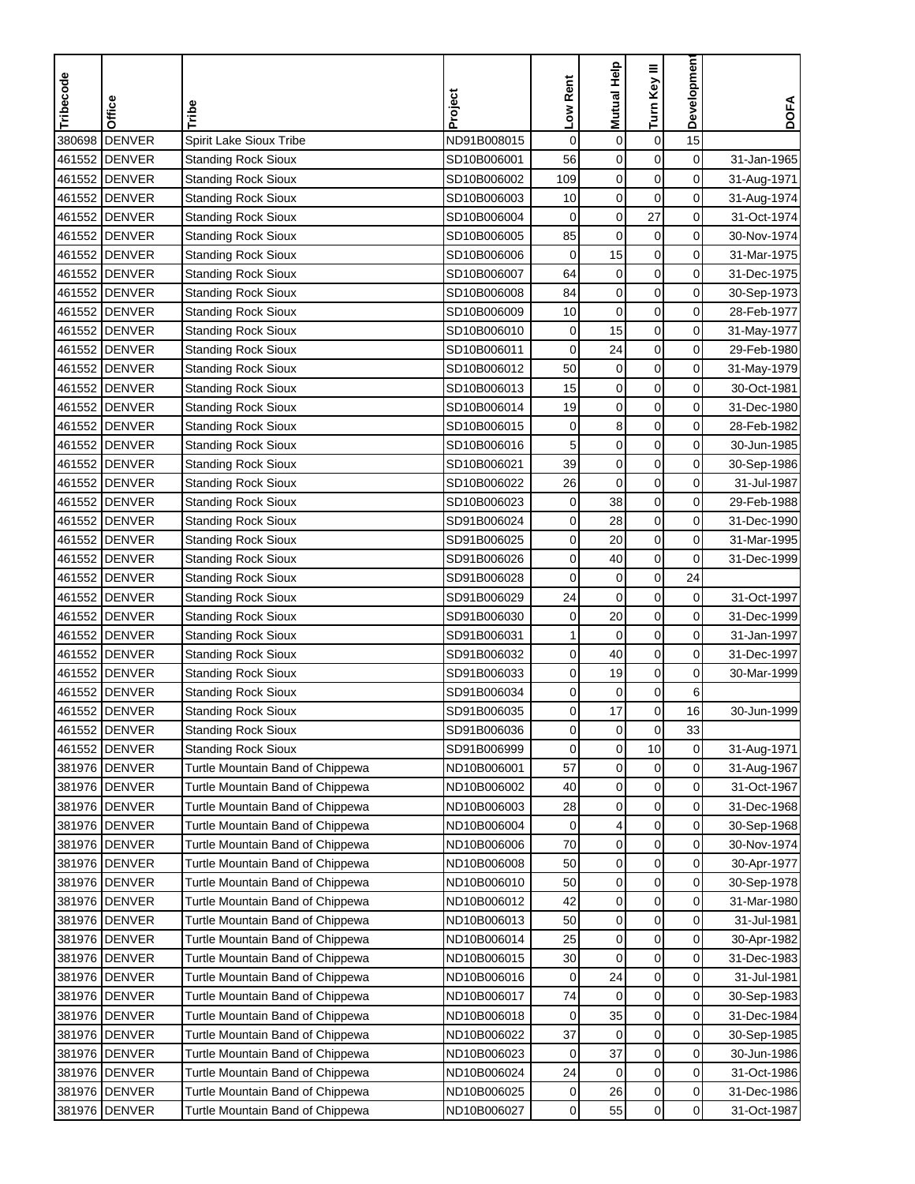| Tribecode | Office        | Tribe                                                    | Project     | Low Rent     | Mutual Help      | Turn Key III     | Developmen     | <b>DOFA</b>                |
|-----------|---------------|----------------------------------------------------------|-------------|--------------|------------------|------------------|----------------|----------------------------|
| 380698    | <b>DENVER</b> | Spirit Lake Sioux Tribe                                  | ND91B008015 | $\mathbf 0$  | $\mathbf 0$      | $\boldsymbol{0}$ | 15             |                            |
|           | 461552 DENVER | <b>Standing Rock Sioux</b>                               | SD10B006001 | 56           | $\mathbf 0$      | $\mathbf 0$      | 0              | 31-Jan-1965                |
|           | 461552 DENVER | <b>Standing Rock Sioux</b>                               | SD10B006002 | 109          | 0                | $\mathbf 0$      | 0              | 31-Aug-1971                |
|           | 461552 DENVER | <b>Standing Rock Sioux</b>                               | SD10B006003 | 10           | $\pmb{0}$        | $\mathbf 0$      | 0              |                            |
|           | 461552 DENVER |                                                          | SD10B006004 | $\mathbf 0$  | $\mathbf 0$      | 27               | 0              | 31-Aug-1974<br>31-Oct-1974 |
|           | 461552 DENVER | <b>Standing Rock Sioux</b><br><b>Standing Rock Sioux</b> | SD10B006005 | 85           | $\mathbf 0$      | $\pmb{0}$        | 0              | 30-Nov-1974                |
|           | 461552 DENVER | <b>Standing Rock Sioux</b>                               | SD10B006006 | $\pmb{0}$    | 15               | $\boldsymbol{0}$ | 0              | 31-Mar-1975                |
|           | 461552 DENVER | <b>Standing Rock Sioux</b>                               | SD10B006007 | 64           | $\pmb{0}$        | $\mathbf 0$      | 0              | 31-Dec-1975                |
|           | 461552 DENVER |                                                          | SD10B006008 | 84           | $\mathbf 0$      | 0                | 0              | 30-Sep-1973                |
|           | 461552 DENVER | <b>Standing Rock Sioux</b><br><b>Standing Rock Sioux</b> | SD10B006009 | 10           | $\boldsymbol{0}$ | $\pmb{0}$        | 0              | 28-Feb-1977                |
|           | 461552 DENVER |                                                          | SD10B006010 | 0            | 15               | 0                | $\overline{0}$ |                            |
|           | 461552 DENVER | <b>Standing Rock Sioux</b>                               | SD10B006011 | $\mathbf 0$  | 24               | $\mathbf 0$      | 0              | 31-May-1977                |
|           |               | <b>Standing Rock Sioux</b>                               |             | 50           |                  | 0                | 0              | 29-Feb-1980                |
|           | 461552 DENVER | <b>Standing Rock Sioux</b>                               | SD10B006012 | 15           | 0                | $\pmb{0}$        |                | 31-May-1979                |
|           | 461552 DENVER | <b>Standing Rock Sioux</b>                               | SD10B006013 |              | $\boldsymbol{0}$ |                  | 0              | 30-Oct-1981                |
|           | 461552 DENVER | <b>Standing Rock Sioux</b>                               | SD10B006014 | 19           | $\mathbf 0$      | $\mathbf 0$      | 0              | 31-Dec-1980                |
|           | 461552 DENVER | <b>Standing Rock Sioux</b>                               | SD10B006015 | 0            | 8                | $\mathbf 0$      | 0              | 28-Feb-1982                |
|           | 461552 DENVER | <b>Standing Rock Sioux</b>                               | SD10B006016 | 5            | $\mathbf 0$      | 0                | 0              | 30-Jun-1985                |
|           | 461552 DENVER | <b>Standing Rock Sioux</b>                               | SD10B006021 | 39           | $\boldsymbol{0}$ | $\mathbf 0$      | 0              | 30-Sep-1986                |
|           | 461552 DENVER | <b>Standing Rock Sioux</b>                               | SD10B006022 | 26           | $\mathbf 0$      | $\mathbf 0$      | 0              | 31-Jul-1987                |
|           | 461552 DENVER | <b>Standing Rock Sioux</b>                               | SD10B006023 | 0            | 38               | $\mathbf 0$      | 0              | 29-Feb-1988                |
|           | 461552 DENVER | <b>Standing Rock Sioux</b>                               | SD91B006024 | 0            | 28               | $\mathbf 0$      | 0              | 31-Dec-1990                |
|           | 461552 DENVER | <b>Standing Rock Sioux</b>                               | SD91B006025 | 0            | 20               | $\pmb{0}$        | 0              | 31-Mar-1995                |
|           | 461552 DENVER | <b>Standing Rock Sioux</b>                               | SD91B006026 | 0            | 40               | $\mathbf 0$      | 0              | 31-Dec-1999                |
|           | 461552 DENVER | <b>Standing Rock Sioux</b>                               | SD91B006028 | 0            | 0                | $\pmb{0}$        | 24             |                            |
|           | 461552 DENVER | <b>Standing Rock Sioux</b>                               | SD91B006029 | 24           | $\mathbf 0$      | 0                | 0              | 31-Oct-1997                |
|           | 461552 DENVER | <b>Standing Rock Sioux</b>                               | SD91B006030 | 0            | 20               | $\pmb{0}$        | 0              | 31-Dec-1999                |
|           | 461552 DENVER | <b>Standing Rock Sioux</b>                               | SD91B006031 | 1            | $\mathbf 0$      | $\mathbf 0$      | 0              | 31-Jan-1997                |
|           | 461552 DENVER | <b>Standing Rock Sioux</b>                               | SD91B006032 | 0            | 40               | $\mathbf 0$      | 0              | 31-Dec-1997                |
|           | 461552 DENVER | <b>Standing Rock Sioux</b>                               | SD91B006033 | 0            | 19               | 0                | 0              | 30-Mar-1999                |
|           | 461552 DENVER | <b>Standing Rock Sioux</b>                               | SD91B006034 | 0            | $\mathbf 0$      | $\pmb{0}$        | 6              |                            |
|           | 461552 DENVER | <b>Standing Rock Sioux</b>                               | SD91B006035 | 0            | 17               | $\pmb{0}$        | 16             | 30-Jun-1999                |
|           | 461552 DENVER | Standing Rock Sioux                                      | SD91B006036 | $\mathbf{0}$ | 0                | 0                | 33             |                            |
|           | 461552 DENVER | <b>Standing Rock Sioux</b>                               | SD91B006999 | 0            | $\mathsf 0$      | 10               | 0              | 31-Aug-1971                |
|           | 381976 DENVER | Turtle Mountain Band of Chippewa                         | ND10B006001 | 57           | 0                | 0                | 0              | 31-Aug-1967                |
|           | 381976 DENVER | Turtle Mountain Band of Chippewa                         | ND10B006002 | 40           | $\boldsymbol{0}$ | $\pmb{0}$        | 0              | 31-Oct-1967                |
|           | 381976 DENVER | Turtle Mountain Band of Chippewa                         | ND10B006003 | 28           | 0                | 0                | $\overline{0}$ | 31-Dec-1968                |
|           | 381976 DENVER | Turtle Mountain Band of Chippewa                         | ND10B006004 | 0            | 4                | $\mathbf 0$      | 0              | 30-Sep-1968                |
|           | 381976 DENVER | Turtle Mountain Band of Chippewa                         | ND10B006006 | 70           | $\pmb{0}$        | 0                | 0              | 30-Nov-1974                |
|           | 381976 DENVER | Turtle Mountain Band of Chippewa                         | ND10B006008 | 50           | $\boldsymbol{0}$ | $\pmb{0}$        | 0              | 30-Apr-1977                |
|           | 381976 DENVER | Turtle Mountain Band of Chippewa                         | ND10B006010 | 50           | $\pmb{0}$        | $\boldsymbol{0}$ | 0              | 30-Sep-1978                |
|           | 381976 DENVER | Turtle Mountain Band of Chippewa                         | ND10B006012 | 42           | $\pmb{0}$        | $\pmb{0}$        | 0              | 31-Mar-1980                |
|           | 381976 DENVER | Turtle Mountain Band of Chippewa                         | ND10B006013 | 50           | 0                | 0                | 0              | 31-Jul-1981                |
|           | 381976 DENVER | Turtle Mountain Band of Chippewa                         | ND10B006014 | 25           | $\pmb{0}$        | $\pmb{0}$        | 0              | 30-Apr-1982                |
|           | 381976 DENVER | Turtle Mountain Band of Chippewa                         | ND10B006015 | 30           | $\mathbf 0$      | $\mathbf 0$      | 0              | 31-Dec-1983                |
|           | 381976 DENVER | Turtle Mountain Band of Chippewa                         | ND10B006016 | 0            | 24               | $\mathbf 0$      | 0              | 31-Jul-1981                |
|           | 381976 DENVER | Turtle Mountain Band of Chippewa                         | ND10B006017 | 74           | 0                | $\mathbf 0$      | 0              | 30-Sep-1983                |
|           | 381976 DENVER | Turtle Mountain Band of Chippewa                         | ND10B006018 | 0            | 35               | $\pmb{0}$        | 0              | 31-Dec-1984                |
|           | 381976 DENVER | Turtle Mountain Band of Chippewa                         | ND10B006022 | 37           | 0                | $\mathbf 0$      | 0              | 30-Sep-1985                |
|           | 381976 DENVER | Turtle Mountain Band of Chippewa                         | ND10B006023 | 0            | 37               | $\pmb{0}$        | 0              | 30-Jun-1986                |
|           | 381976 DENVER | Turtle Mountain Band of Chippewa                         | ND10B006024 | 24           | $\mathbf 0$      | 0                | 0              | 31-Oct-1986                |
|           | 381976 DENVER | Turtle Mountain Band of Chippewa                         | ND10B006025 | 0            | 26               | $\pmb{0}$        | 0              | 31-Dec-1986                |
|           | 381976 DENVER | Turtle Mountain Band of Chippewa                         | ND10B006027 | 0            | 55               | 0                | $\overline{0}$ | 31-Oct-1987                |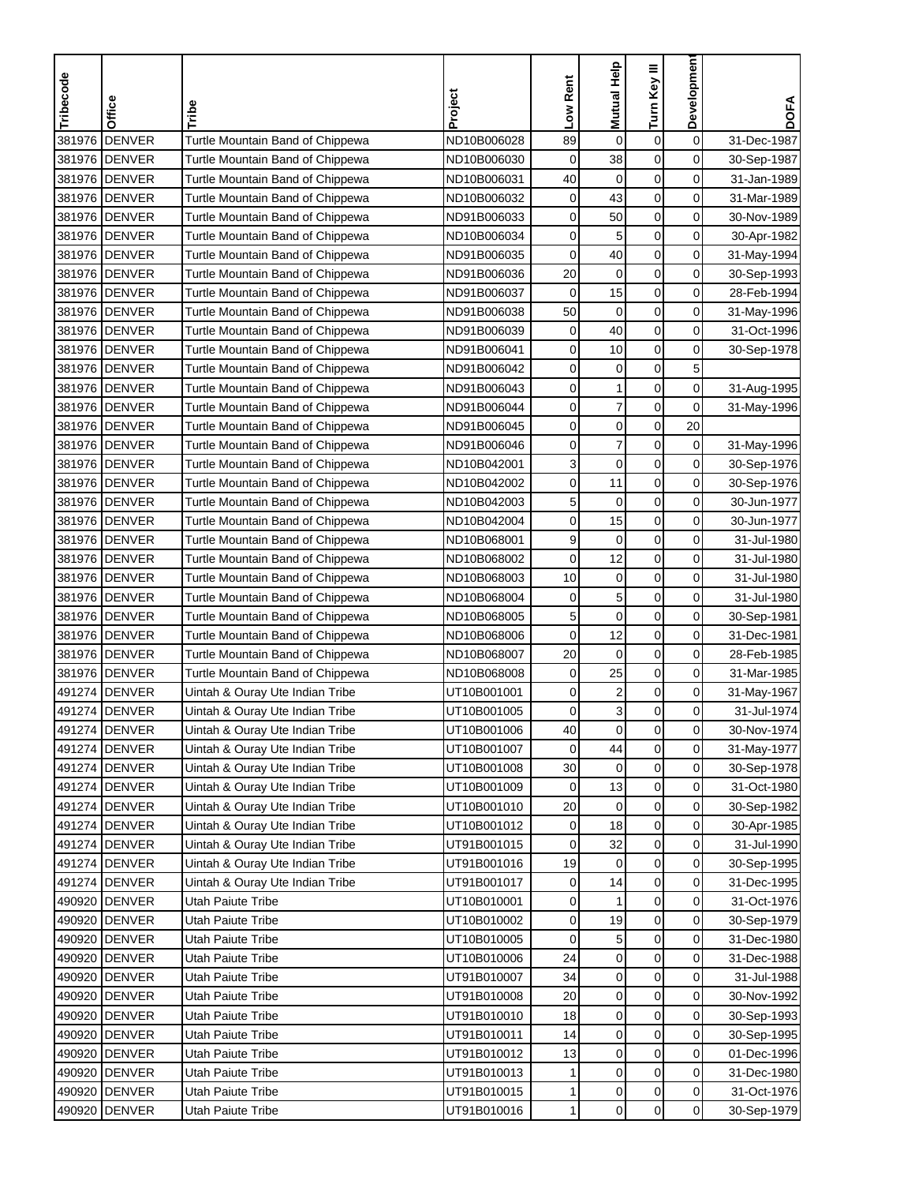| Tribecode | Office        | Tribe                            | Project     | Low Rent    | Mutual Help             | Turn Key III     | Development         | <b>DOFA</b> |
|-----------|---------------|----------------------------------|-------------|-------------|-------------------------|------------------|---------------------|-------------|
|           |               |                                  |             |             |                         |                  |                     |             |
| 381976    | <b>DENVER</b> | Turtle Mountain Band of Chippewa | ND10B006028 | 89          | $\mathbf 0$             | $\boldsymbol{0}$ | $\mathbf 0$         | 31-Dec-1987 |
|           | 381976 DENVER | Turtle Mountain Band of Chippewa | ND10B006030 | $\mathbf 0$ | 38                      | $\mathbf 0$      | 0                   | 30-Sep-1987 |
|           | 381976 DENVER | Turtle Mountain Band of Chippewa | ND10B006031 | 40          | 0                       | $\mathbf 0$      | 0                   | 31-Jan-1989 |
|           | 381976 DENVER | Turtle Mountain Band of Chippewa | ND10B006032 | 0           | 43                      | $\mathbf 0$      | 0                   | 31-Mar-1989 |
|           | 381976 DENVER | Turtle Mountain Band of Chippewa | ND91B006033 | 0           | 50                      | $\boldsymbol{0}$ | $\mathbf 0$         | 30-Nov-1989 |
|           | 381976 DENVER | Turtle Mountain Band of Chippewa | ND10B006034 | 0           | 5                       | $\mathbf 0$      | 0                   | 30-Apr-1982 |
|           | 381976 DENVER | Turtle Mountain Band of Chippewa | ND91B006035 | 0           | 40                      | $\pmb{0}$        | $\mathbf 0$         | 31-May-1994 |
|           | 381976 DENVER | Turtle Mountain Band of Chippewa | ND91B006036 | 20          | $\mathbf 0$             | 0                | 0                   | 30-Sep-1993 |
|           | 381976 DENVER | Turtle Mountain Band of Chippewa | ND91B006037 | $\mathbf 0$ | 15                      | 0                | 0                   | 28-Feb-1994 |
|           | 381976 DENVER | Turtle Mountain Band of Chippewa | ND91B006038 | 50          | $\mathbf 0$             | $\mathbf 0$      | $\mathbf 0$         | 31-May-1996 |
|           | 381976 DENVER | Turtle Mountain Band of Chippewa | ND91B006039 | 0           | 40                      | 0                | $\mathbf 0$         | 31-Oct-1996 |
|           | 381976 DENVER | Turtle Mountain Band of Chippewa | ND91B006041 | 0           | 10                      | $\mathbf 0$      | 0                   | 30-Sep-1978 |
|           | 381976 DENVER | Turtle Mountain Band of Chippewa | ND91B006042 | 0           | $\mathbf 0$             | $\mathbf 0$      | 5                   |             |
|           | 381976 DENVER | Turtle Mountain Band of Chippewa | ND91B006043 | 0           | $\mathbf{1}$            | $\pmb{0}$        | $\mathbf 0$         | 31-Aug-1995 |
|           | 381976 DENVER | Turtle Mountain Band of Chippewa | ND91B006044 | 0           | $\overline{\mathbf{7}}$ | $\mathbf 0$      | 0                   | 31-May-1996 |
|           | 381976 DENVER | Turtle Mountain Band of Chippewa | ND91B006045 | 0           | 0                       | $\mathbf 0$      | 20                  |             |
|           | 381976 DENVER | Turtle Mountain Band of Chippewa | ND91B006046 | 0           | $\overline{7}$          | $\mathbf 0$      | 0                   | 31-May-1996 |
|           | 381976 DENVER | Turtle Mountain Band of Chippewa | ND10B042001 | 3           | $\boldsymbol{0}$        | $\mathbf 0$      | $\mathbf 0$         | 30-Sep-1976 |
|           | 381976 DENVER | Turtle Mountain Band of Chippewa | ND10B042002 | 0           | 11                      | $\mathbf 0$      | $\mathbf 0$         | 30-Sep-1976 |
|           | 381976 DENVER | Turtle Mountain Band of Chippewa | ND10B042003 | 5           | 0                       | $\mathbf 0$      | 0                   | 30-Jun-1977 |
|           | 381976 DENVER | Turtle Mountain Band of Chippewa | ND10B042004 | 0           | 15                      | $\mathbf 0$      | 0                   | 30-Jun-1977 |
|           | 381976 DENVER | Turtle Mountain Band of Chippewa | ND10B068001 | 9           | $\mathbf 0$             | $\pmb{0}$        | 0                   | 31-Jul-1980 |
|           | 381976 DENVER | Turtle Mountain Band of Chippewa | ND10B068002 | $\mathbf 0$ | 12                      | $\mathbf 0$      | 0                   | 31-Jul-1980 |
|           | 381976 DENVER | Turtle Mountain Band of Chippewa | ND10B068003 | 10          | $\mathbf 0$             | $\mathbf 0$      | 0                   | 31-Jul-1980 |
|           | 381976 DENVER | Turtle Mountain Band of Chippewa | ND10B068004 | 0           | 5                       | 0                | 0                   | 31-Jul-1980 |
|           | 381976 DENVER | Turtle Mountain Band of Chippewa | ND10B068005 | 5           | 0                       | $\mathbf 0$      | 0                   | 30-Sep-1981 |
|           | 381976 DENVER | Turtle Mountain Band of Chippewa | ND10B068006 | $\mathbf 0$ | 12                      | $\mathbf 0$      | $\mathbf 0$         | 31-Dec-1981 |
|           | 381976 DENVER | Turtle Mountain Band of Chippewa | ND10B068007 | 20          | $\mathbf 0$             | $\mathbf 0$      | 0                   | 28-Feb-1985 |
|           | 381976 DENVER | Turtle Mountain Band of Chippewa | ND10B068008 | 0           | 25                      | $\mathbf 0$      | 0                   | 31-Mar-1985 |
|           | 491274 DENVER | Uintah & Ouray Ute Indian Tribe  | UT10B001001 | 0           | $\overline{\mathbf{c}}$ | $\pmb{0}$        | $\mathbf 0$         | 31-May-1967 |
|           | 491274 DENVER | Uintah & Ouray Ute Indian Tribe  | UT10B001005 | 0           | 3                       | $\mathbf 0$      | 0                   | 31-Jul-1974 |
|           | 491274 DENVER | Uintah & Ouray Ute Indian Tribe  | UT10B001006 | 40          | 0                       | $\mathbf 0$      | 0                   | 30-Nov-1974 |
|           | 491274 DENVER | Uintah & Ouray Ute Indian Tribe  | UT10B001007 | $\mathbf 0$ | 44                      | $\mathbf 0$      | $\mathsf{O}\xspace$ | 31-May-1977 |
|           | 491274 DENVER | Uintah & Ouray Ute Indian Tribe  | UT10B001008 | 30          | 0                       | 0                | $\mathbf 0$         | 30-Sep-1978 |
|           | 491274 DENVER | Uintah & Ouray Ute Indian Tribe  | UT10B001009 | 0           | 13                      | $\boldsymbol{0}$ | 0                   | 31-Oct-1980 |
|           | 491274 DENVER | Uintah & Ouray Ute Indian Tribe  | UT10B001010 | 20          | 0                       | 0                | $\overline{0}$      | 30-Sep-1982 |
|           | 491274 DENVER | Uintah & Ouray Ute Indian Tribe  | UT10B001012 | 0           | 18                      | 0                | 0                   | 30-Apr-1985 |
|           | 491274 DENVER | Uintah & Ouray Ute Indian Tribe  | UT91B001015 | 0           | 32                      | 0                | 0                   | 31-Jul-1990 |
|           | 491274 DENVER | Uintah & Ouray Ute Indian Tribe  | UT91B001016 | 19          | 0                       | $\pmb{0}$        | $\overline{0}$      | 30-Sep-1995 |
|           | 491274 DENVER | Uintah & Ouray Ute Indian Tribe  | UT91B001017 | 0           | 14                      | $\pmb{0}$        | 0                   | 31-Dec-1995 |
|           | 490920 DENVER | Utah Paiute Tribe                | UT10B010001 | 0           | 1                       | $\pmb{0}$        | 0                   | 31-Oct-1976 |
|           | 490920 DENVER | Utah Paiute Tribe                | UT10B010002 | 0           | 19                      | $\boldsymbol{0}$ | $\mathbf 0$         | 30-Sep-1979 |
|           | 490920 DENVER | Utah Paiute Tribe                | UT10B010005 | 0           | 5                       | $\boldsymbol{0}$ | $\mathbf 0$         | 31-Dec-1980 |
|           | 490920 DENVER | Utah Paiute Tribe                | UT10B010006 | 24          | 0                       | $\mathbf 0$      | $\overline{0}$      | 31-Dec-1988 |
|           | 490920 DENVER | Utah Paiute Tribe                | UT91B010007 | 34          | 0                       | 0                | 0                   | 31-Jul-1988 |
|           | 490920 DENVER | Utah Paiute Tribe                | UT91B010008 | 20          | $\pmb{0}$               | 0                | 0                   | 30-Nov-1992 |
|           | 490920 DENVER | Utah Paiute Tribe                | UT91B010010 | 18          | $\boldsymbol{0}$        | $\boldsymbol{0}$ | 0                   | 30-Sep-1993 |
|           | 490920 DENVER | Utah Paiute Tribe                | UT91B010011 | 14          | $\mathbf 0$             | 0                | $\overline{0}$      | 30-Sep-1995 |
|           | 490920 DENVER | Utah Paiute Tribe                | UT91B010012 | 13          | $\pmb{0}$               | $\boldsymbol{0}$ | 0                   | 01-Dec-1996 |
|           | 490920 DENVER | Utah Paiute Tribe                | UT91B010013 | 1           | $\pmb{0}$               | 0                | 0                   | 31-Dec-1980 |
|           | 490920 DENVER | Utah Paiute Tribe                | UT91B010015 | 1           | 0                       | $\pmb{0}$        | $\mathbf 0$         | 31-Oct-1976 |
|           | 490920 DENVER | Utah Paiute Tribe                | UT91B010016 | 1           | $\pmb{0}$               | $\mathbf 0$      | $\overline{0}$      | 30-Sep-1979 |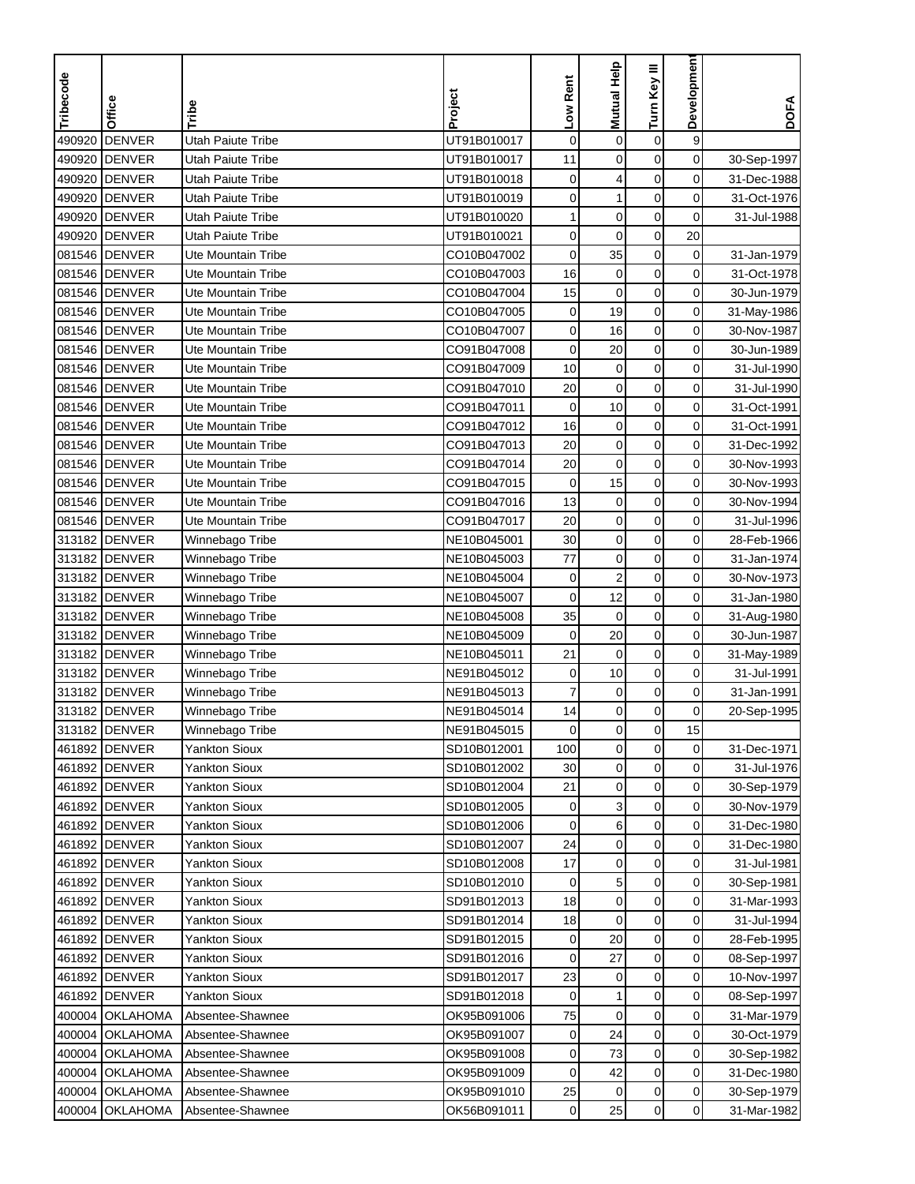| Tribecode        | Office                         | Tribe                                           | Project                    | Low Rent    | Mutual Help      | Turn Key III             | Development    | <b>DOFA</b> |
|------------------|--------------------------------|-------------------------------------------------|----------------------------|-------------|------------------|--------------------------|----------------|-------------|
| 490920           | <b>DENVER</b>                  | Utah Paiute Tribe                               | UT91B010017                | $\mathbf 0$ | $\mathbf 0$      | $\mathbf 0$              | 9              |             |
| 490920           | <b>DENVER</b>                  | Utah Paiute Tribe                               | UT91B010017                | 11          | $\mathbf 0$      | $\mathbf 0$              | $\mathbf 0$    | 30-Sep-1997 |
| 490920           | <b>DENVER</b>                  | Utah Paiute Tribe                               | UT91B010018                | 0           | 4                | $\mathbf 0$              | 0              | 31-Dec-1988 |
|                  |                                |                                                 |                            | 0           | 1                | $\mathbf 0$              | 0              |             |
| 490920           | <b>DENVER</b>                  | Utah Paiute Tribe                               | UT91B010019                |             | $\mathbf 0$      | $\pmb{0}$                |                | 31-Oct-1976 |
| 490920<br>490920 | <b>DENVER</b><br><b>DENVER</b> | Utah Paiute Tribe<br>Utah Paiute Tribe          | UT91B010020<br>UT91B010021 | 1           | $\mathbf 0$      | $\pmb{0}$                | 0<br>20        | 31-Jul-1988 |
|                  |                                |                                                 |                            | 0           | 35               | $\mathbf 0$              | 0              |             |
|                  | 081546 DENVER                  | Ute Mountain Tribe<br><b>Ute Mountain Tribe</b> | CO10B047002                | 0<br>16     |                  |                          |                | 31-Jan-1979 |
|                  | 081546 DENVER                  | <b>Ute Mountain Tribe</b>                       | CO10B047003                |             | $\mathbf 0$      | $\mathbf 0$              | 0<br>0         | 31-Oct-1978 |
|                  | 081546 DENVER<br>081546 DENVER | Ute Mountain Tribe                              | CO10B047004                | 15          | $\mathbf 0$      | $\pmb{0}$<br>$\mathbf 0$ |                | 30-Jun-1979 |
|                  |                                |                                                 | CO10B047005                | $\mathbf 0$ | 19               |                          | $\mathbf 0$    | 31-May-1986 |
|                  | 081546 DENVER                  | Ute Mountain Tribe                              | CO10B047007                | 0           | 16               | $\mathbf 0$              | $\mathbf 0$    | 30-Nov-1987 |
|                  | 081546 DENVER                  | Ute Mountain Tribe                              | CO91B047008                | $\mathbf 0$ | 20               | $\mathbf 0$              | 0              | 30-Jun-1989 |
|                  | 081546 DENVER                  | <b>Ute Mountain Tribe</b>                       | CO91B047009                | 10          | $\pmb{0}$        | 0                        | 0              | 31-Jul-1990 |
|                  | 081546 DENVER                  | <b>Ute Mountain Tribe</b>                       | CO91B047010                | 20          | $\pmb{0}$        | $\pmb{0}$                | $\mathbf 0$    | 31-Jul-1990 |
|                  | 081546 DENVER                  | Ute Mountain Tribe                              | CO91B047011                | 0           | 10               | $\mathbf 0$              | 0              | 31-Oct-1991 |
|                  | 081546 DENVER                  | Ute Mountain Tribe                              | CO91B047012                | 16          | $\pmb{0}$        | $\boldsymbol{0}$         | 0              | 31-Oct-1991 |
|                  | 081546 DENVER                  | <b>Ute Mountain Tribe</b>                       | CO91B047013                | 20          | $\mathbf 0$      | $\mathbf 0$              | 0              | 31-Dec-1992 |
|                  | 081546 DENVER                  | Ute Mountain Tribe                              | CO91B047014                | 20          | $\boldsymbol{0}$ | $\mathbf 0$              | 0              | 30-Nov-1993 |
|                  | 081546 DENVER                  | Ute Mountain Tribe                              | CO91B047015                | $\mathbf 0$ | 15               | $\mathbf 0$              | 0              | 30-Nov-1993 |
|                  | 081546 DENVER                  | Ute Mountain Tribe                              | CO91B047016                | 13          | $\mathbf 0$      | $\mathbf 0$              | 0              | 30-Nov-1994 |
|                  | 081546 DENVER                  | Ute Mountain Tribe                              | CO91B047017                | 20          | $\mathbf 0$      | $\mathbf 0$              | 0              | 31-Jul-1996 |
|                  | 313182 DENVER                  | Winnebago Tribe                                 | NE10B045001                | 30          | $\mathbf 0$      | $\pmb{0}$                | 0              | 28-Feb-1966 |
| 313182           | <b>DENVER</b>                  | Winnebago Tribe                                 | NE10B045003                | 77          | $\mathbf 0$      | $\mathbf 0$              | 0              | 31-Jan-1974 |
|                  | 313182 DENVER                  | Winnebago Tribe                                 | NE10B045004                | 0           | $\overline{c}$   | $\pmb{0}$                | 0              | 30-Nov-1973 |
|                  | 313182 DENVER                  | Winnebago Tribe                                 | NE10B045007                | $\mathbf 0$ | 12               | $\mathbf 0$              | 0              | 31-Jan-1980 |
|                  | 313182 DENVER                  | Winnebago Tribe                                 | NE10B045008                | 35          | $\pmb{0}$        | $\pmb{0}$                | 0              | 31-Aug-1980 |
|                  | 313182 DENVER                  | Winnebago Tribe                                 | NE10B045009                | $\mathbf 0$ | 20               | $\mathbf 0$              | 0              | 30-Jun-1987 |
|                  | 313182 DENVER                  | Winnebago Tribe                                 | NE10B045011                | 21          | $\mathbf 0$      | $\mathbf 0$              | 0              | 31-May-1989 |
|                  | 313182 DENVER                  | Winnebago Tribe                                 | NE91B045012                | 0           | 10               | $\pmb{0}$                | 0              | 31-Jul-1991 |
| 313182           | <b>DENVER</b>                  | Winnebago Tribe                                 | NE91B045013                | 7           | $\mathbf 0$      | $\pmb{0}$                | $\mathbf 0$    | 31-Jan-1991 |
|                  | 313182 DENVER                  | Winnebago Tribe                                 | NE91B045014                | 14          | $\mathbf 0$      | $\mathbf 0$              | 0              | 20-Sep-1995 |
|                  | 313182 <b>JDENVER</b>          | Winnebago Tribe                                 | NE91B045015                | 0           | 0                | 0                        | 15             |             |
|                  | 461892 DENVER                  | <b>Yankton Sioux</b>                            | SD10B012001                | 100         | $\pmb{0}$        | $\mathbf 0$              | $\mathbf 0$    | 31-Dec-1971 |
|                  | 461892 DENVER                  | Yankton Sioux                                   | SD10B012002                | 30          | $\pmb{0}$        | 0                        | 0              | 31-Jul-1976 |
|                  | 461892 DENVER                  | <b>Yankton Sioux</b>                            | SD10B012004                | 21          | $\pmb{0}$        | $\pmb{0}$                | $\overline{0}$ | 30-Sep-1979 |
|                  | 461892 DENVER                  | <b>Yankton Sioux</b>                            | SD10B012005                | 0           | 3                | $\mathbf 0$              | $\overline{0}$ | 30-Nov-1979 |
|                  | 461892 DENVER                  | <b>Yankton Sioux</b>                            | SD10B012006                | 0           | 6                | $\pmb{0}$                | $\overline{0}$ | 31-Dec-1980 |
|                  | 461892 DENVER                  | <b>Yankton Sioux</b>                            | SD10B012007                | 24          | $\pmb{0}$        | 0                        | $\overline{0}$ | 31-Dec-1980 |
|                  | 461892 DENVER                  | <b>Yankton Sioux</b>                            | SD10B012008                | 17          | $\pmb{0}$        | $\pmb{0}$                | 0              | 31-Jul-1981 |
|                  | 461892 DENVER                  | <b>Yankton Sioux</b>                            | SD10B012010                | 0           | 5                | 0                        | $\overline{0}$ | 30-Sep-1981 |
|                  | 461892 DENVER                  | <b>Yankton Sioux</b>                            | SD91B012013                | 18          | 0                | $\boldsymbol{0}$         | 0              | 31-Mar-1993 |
|                  | 461892 DENVER                  | <b>Yankton Sioux</b>                            | SD91B012014                | 18          | $\mathbf 0$      | $\pmb{0}$                | 0              | 31-Jul-1994 |
|                  | 461892 DENVER                  | <b>Yankton Sioux</b>                            | SD91B012015                | 0           | 20               | $\pmb{0}$                | $\mathbf 0$    | 28-Feb-1995 |
|                  | 461892 DENVER                  | <b>Yankton Sioux</b>                            | SD91B012016                | 0           | 27               | 0                        | $\overline{0}$ | 08-Sep-1997 |
|                  | 461892 DENVER                  | <b>Yankton Sioux</b>                            | SD91B012017                | 23          | 0                | $\mathbf 0$              | 0              | 10-Nov-1997 |
|                  | 461892 DENVER                  | Yankton Sioux                                   | SD91B012018                | 0           | 1                | 0                        | 0              | 08-Sep-1997 |
|                  | 400004 OKLAHOMA                | Absentee-Shawnee                                | OK95B091006                | 75          | $\mathbf 0$      | 0                        | 0              | 31-Mar-1979 |
|                  | 400004 OKLAHOMA                | Absentee-Shawnee                                | OK95B091007                | 0           | 24               | $\mathbf 0$              | $\overline{0}$ | 30-Oct-1979 |
|                  | 400004 OKLAHOMA                | Absentee-Shawnee                                | OK95B091008                | 0           | 73               | $\pmb{0}$                | 0              | 30-Sep-1982 |
|                  | 400004 OKLAHOMA                | Absentee-Shawnee                                | OK95B091009                | 0           | 42               | 0                        | $\mathbf 0$    | 31-Dec-1980 |
|                  | 400004 OKLAHOMA                | Absentee-Shawnee                                | OK95B091010                | 25          | 0                | $\pmb{0}$                | $\overline{0}$ | 30-Sep-1979 |
|                  | 400004 OKLAHOMA                | Absentee-Shawnee                                | OK56B091011                | 0           | 25               | $\pmb{0}$                | $\overline{0}$ | 31-Mar-1982 |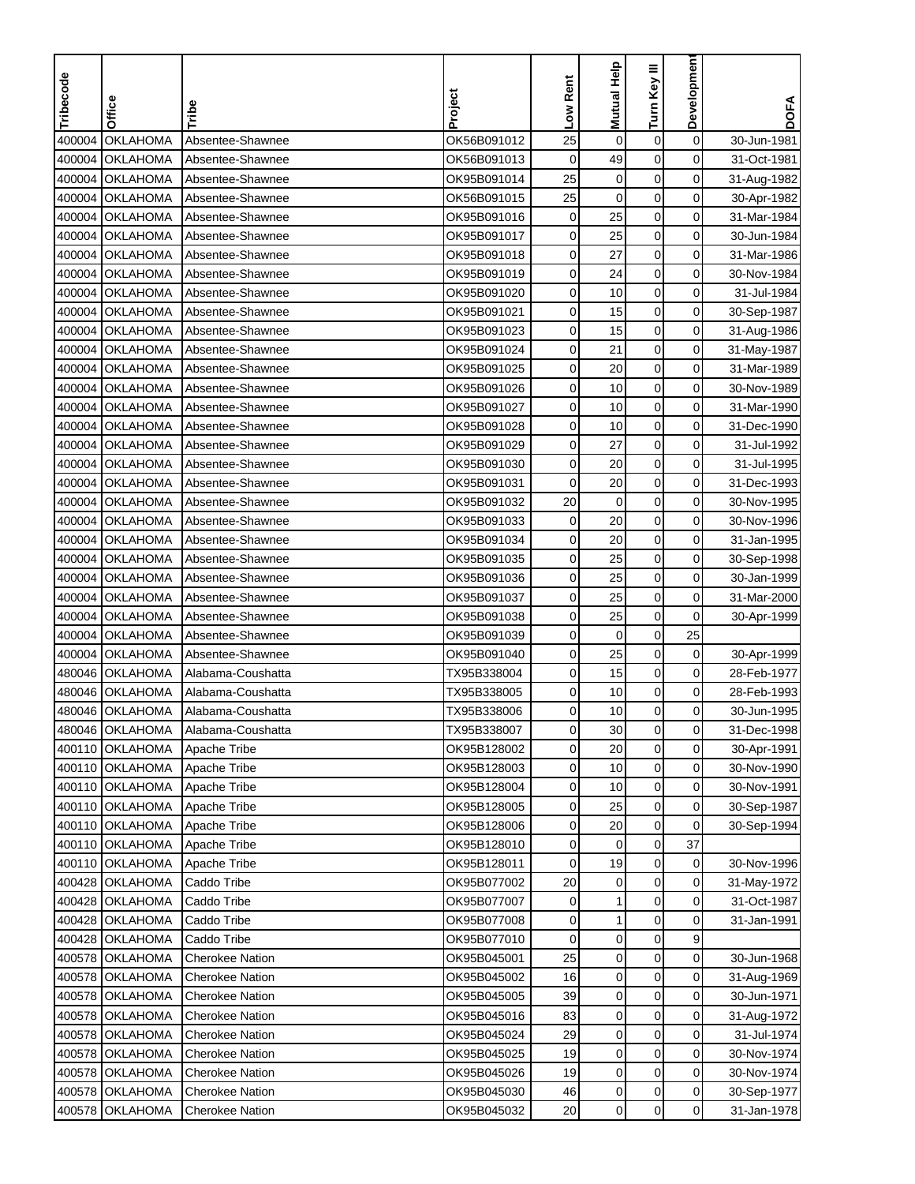| Tribecode | Office          | Tribe                  | Project     | Low Rent    | <b>Mutual Help</b> | Turn Key III     | Developmen     | <b>DOFA</b> |
|-----------|-----------------|------------------------|-------------|-------------|--------------------|------------------|----------------|-------------|
|           |                 |                        |             |             |                    |                  |                |             |
| 400004    | <b>OKLAHOMA</b> | Absentee-Shawnee       | OK56B091012 | 25          | $\pmb{0}$          | $\pmb{0}$        | $\mathbf 0$    | 30-Jun-1981 |
| 400004    | <b>OKLAHOMA</b> | Absentee-Shawnee       | OK56B091013 | $\mathbf 0$ | 49                 | $\mathbf 0$      | 0              | 31-Oct-1981 |
| 400004    | <b>OKLAHOMA</b> | Absentee-Shawnee       | OK95B091014 | 25          | 0                  | $\mathbf 0$      | $\mathbf 0$    | 31-Aug-1982 |
| 400004    | <b>OKLAHOMA</b> | Absentee-Shawnee       | OK56B091015 | 25          | $\mathbf 0$        | $\mathbf 0$      | 0              | 30-Apr-1982 |
| 400004    | <b>OKLAHOMA</b> | Absentee-Shawnee       | OK95B091016 | $\mathbf 0$ | 25                 | $\boldsymbol{0}$ | 0              | 31-Mar-1984 |
| 400004    | <b>OKLAHOMA</b> | Absentee-Shawnee       | OK95B091017 | 0           | 25                 | 0                | 0              | 30-Jun-1984 |
| 400004    | <b>OKLAHOMA</b> | Absentee-Shawnee       | OK95B091018 | 0           | 27                 | $\pmb{0}$        | 0              | 31-Mar-1986 |
| 400004    | <b>OKLAHOMA</b> | Absentee-Shawnee       | OK95B091019 | 0           | 24                 | $\pmb{0}$        | 0              | 30-Nov-1984 |
| 400004    | <b>OKLAHOMA</b> | Absentee-Shawnee       | OK95B091020 | 0           | 10                 | 0                | 0              | 31-Jul-1984 |
| 400004    | <b>OKLAHOMA</b> | Absentee-Shawnee       | OK95B091021 | 0           | 15                 | 0                | $\mathbf 0$    | 30-Sep-1987 |
| 400004    | <b>OKLAHOMA</b> | Absentee-Shawnee       | OK95B091023 | 0           | 15                 | $\mathbf 0$      | $\mathbf 0$    | 31-Aug-1986 |
| 400004    | <b>OKLAHOMA</b> | Absentee-Shawnee       | OK95B091024 | 0           | 21                 | $\mathbf 0$      | $\mathbf 0$    | 31-May-1987 |
| 400004    | <b>OKLAHOMA</b> | Absentee-Shawnee       | OK95B091025 | 0           | 20                 | 0                | 0              | 31-Mar-1989 |
| 400004    | <b>OKLAHOMA</b> | Absentee-Shawnee       | OK95B091026 | 0           | 10                 | $\mathbf 0$      | $\mathbf 0$    | 30-Nov-1989 |
| 400004    | <b>OKLAHOMA</b> | Absentee-Shawnee       | OK95B091027 | 0           | 10                 | $\pmb{0}$        | 0              | 31-Mar-1990 |
| 400004    | <b>OKLAHOMA</b> | Absentee-Shawnee       | OK95B091028 | 0           | 10                 | $\pmb{0}$        | 0              | 31-Dec-1990 |
| 400004    | <b>OKLAHOMA</b> | Absentee-Shawnee       | OK95B091029 | 0           | 27                 | $\mathbf 0$      | 0              | 31-Jul-1992 |
| 400004    | <b>OKLAHOMA</b> | Absentee-Shawnee       | OK95B091030 | 0           | 20                 | $\boldsymbol{0}$ | 0              | 31-Jul-1995 |
| 400004    | <b>OKLAHOMA</b> | Absentee-Shawnee       | OK95B091031 | $\mathbf 0$ | 20                 | $\mathbf 0$      | $\mathbf 0$    | 31-Dec-1993 |
| 400004    | <b>OKLAHOMA</b> | Absentee-Shawnee       | OK95B091032 | 20          | 0                  | $\mathbf 0$      | 0              | 30-Nov-1995 |
| 400004    | <b>OKLAHOMA</b> | Absentee-Shawnee       | OK95B091033 | 0           | 20                 | $\mathbf 0$      | 0              | 30-Nov-1996 |
| 400004    | <b>OKLAHOMA</b> | Absentee-Shawnee       | OK95B091034 | 0           | 20                 | $\boldsymbol{0}$ | 0              | 31-Jan-1995 |
| 400004    | <b>OKLAHOMA</b> | Absentee-Shawnee       | OK95B091035 | 0           | 25                 | $\mathbf 0$      | 0              | 30-Sep-1998 |
| 400004    | <b>OKLAHOMA</b> | Absentee-Shawnee       | OK95B091036 | 0           | 25                 | $\mathbf 0$      | 0              | 30-Jan-1999 |
| 400004    | <b>OKLAHOMA</b> | Absentee-Shawnee       | OK95B091037 | 0           | 25                 | 0                | 0              | 31-Mar-2000 |
| 400004    | <b>OKLAHOMA</b> | Absentee-Shawnee       | OK95B091038 | 0           | 25                 | $\boldsymbol{0}$ | $\mathbf 0$    | 30-Apr-1999 |
| 400004    | <b>OKLAHOMA</b> | Absentee-Shawnee       | OK95B091039 | 0           | $\mathbf 0$        | $\mathbf 0$      | 25             |             |
| 400004    | <b>OKLAHOMA</b> | Absentee-Shawnee       | OK95B091040 | 0           | 25                 | $\mathbf 0$      | 0              | 30-Apr-1999 |
| 480046    | <b>OKLAHOMA</b> | Alabama-Coushatta      | TX95B338004 | 0           | 15                 | $\mathbf 0$      | 0              | 28-Feb-1977 |
| 480046    | <b>OKLAHOMA</b> | Alabama-Coushatta      | TX95B338005 | 0           | 10                 | $\pmb{0}$        | 0              | 28-Feb-1993 |
| 480046    | <b>OKLAHOMA</b> | Alabama-Coushatta      | TX95B338006 | 0           | 10                 | $\mathbf 0$      | 0              | 30-Jun-1995 |
|           | 480046 OKLAHOMA | Alabama-Coushatta      | TX95B338007 | 0           | 30                 | $\mathbf 0$      | 0              | 31-Dec-1998 |
|           | 400110 OKLAHOMA | Apache Tribe           | OK95B128002 | 0           | 20                 | $\mathbf 0$      | 0              | 30-Apr-1991 |
|           | 400110 OKLAHOMA | Apache Tribe           | OK95B128003 | 0           | 10                 | 0                | 0              | 30-Nov-1990 |
|           | 400110 OKLAHOMA | Apache Tribe           | OK95B128004 | 0           | 10                 | $\boldsymbol{0}$ | 0              | 30-Nov-1991 |
|           | 400110 OKLAHOMA | Apache Tribe           | OK95B128005 | 0           | 25                 | 0                | $\overline{0}$ | 30-Sep-1987 |
|           | 400110 OKLAHOMA | Apache Tribe           | OK95B128006 | 0           | 20                 | 0                | 0              | 30-Sep-1994 |
|           | 400110 OKLAHOMA | Apache Tribe           | OK95B128010 | 0           | 0                  | 0                | 37             |             |
|           | 400110 OKLAHOMA | Apache Tribe           | OK95B128011 | 0           | 19                 | $\boldsymbol{0}$ | $\overline{0}$ | 30-Nov-1996 |
|           | 400428 OKLAHOMA | Caddo Tribe            | OK95B077002 | 20          | 0                  | 0                | 0              | 31-May-1972 |
|           | 400428 OKLAHOMA | Caddo Tribe            | OK95B077007 | 0           | 1                  | $\mathbf 0$      | 0              | 31-Oct-1987 |
|           | 400428 OKLAHOMA | Caddo Tribe            | OK95B077008 | 0           | 1                  | 0                | 0              | 31-Jan-1991 |
|           | 400428 OKLAHOMA | Caddo Tribe            | OK95B077010 | 0           | $\mathbf 0$        | 0                | 9              |             |
|           | 400578 OKLAHOMA | <b>Cherokee Nation</b> | OK95B045001 | 25          | 0                  | 0                | $\overline{0}$ | 30-Jun-1968 |
|           | 400578 OKLAHOMA | <b>Cherokee Nation</b> | OK95B045002 | 16          | 0                  | 0                | 0              | 31-Aug-1969 |
|           | 400578 OKLAHOMA | <b>Cherokee Nation</b> | OK95B045005 | 39          | $\mathbf 0$        | 0                | 0              | 30-Jun-1971 |
|           | 400578 OKLAHOMA | <b>Cherokee Nation</b> | OK95B045016 | 83          | $\mathbf 0$        | 0                | 0              | 31-Aug-1972 |
|           | 400578 OKLAHOMA | <b>Cherokee Nation</b> | OK95B045024 | 29          | $\mathbf 0$        | 0                | 0              | 31-Jul-1974 |
|           | 400578 OKLAHOMA | <b>Cherokee Nation</b> | OK95B045025 | 19          | 0                  | $\mathbf 0$      | 0              | 30-Nov-1974 |
|           | 400578 OKLAHOMA | <b>Cherokee Nation</b> | OK95B045026 | 19          | $\mathbf 0$        | 0                | 0              | 30-Nov-1974 |
|           | 400578 OKLAHOMA | <b>Cherokee Nation</b> | OK95B045030 | 46          | 0                  | 0                | $\overline{0}$ | 30-Sep-1977 |
|           | 400578 OKLAHOMA | <b>Cherokee Nation</b> | OK95B045032 | 20          | $\mathbf 0$        | 0                | $\overline{0}$ | 31-Jan-1978 |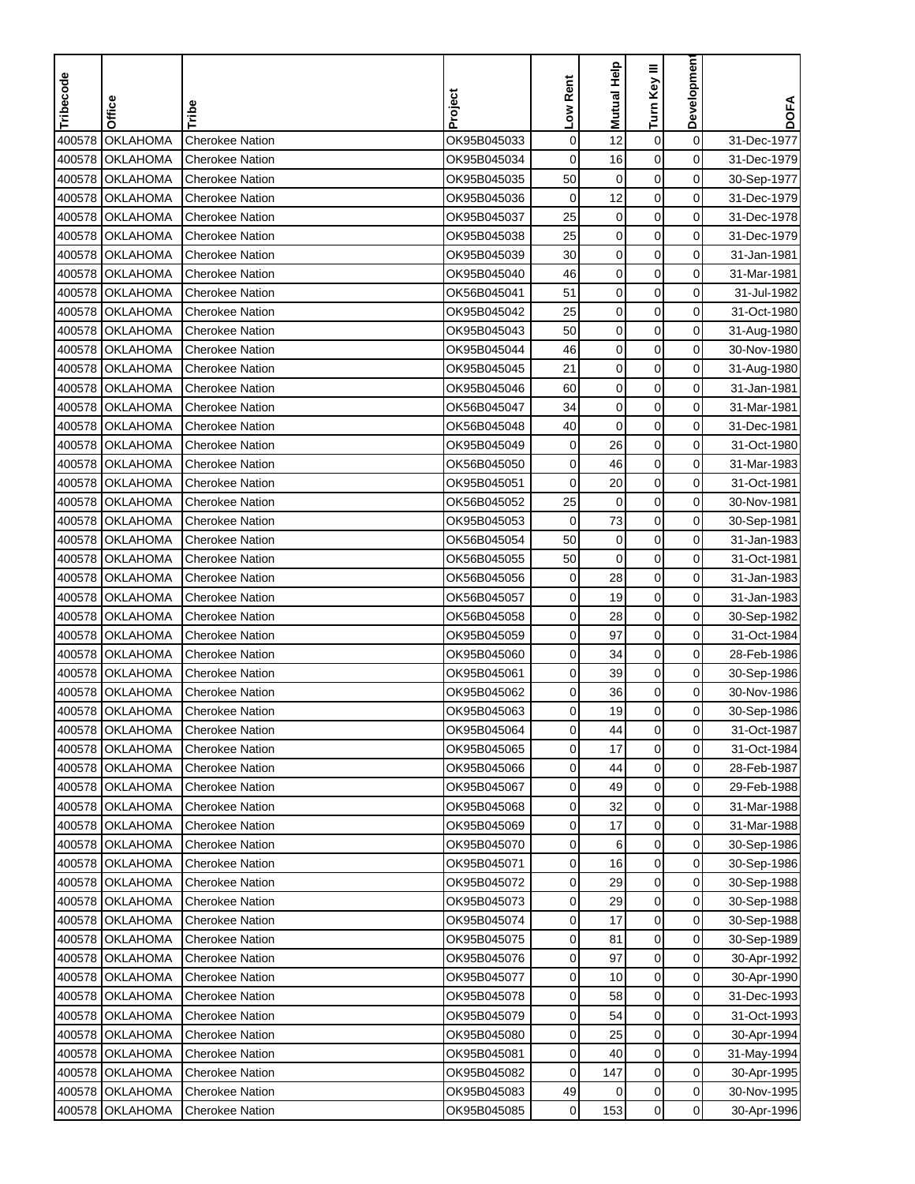| Tribecode | Office          | Tribe                  | Project     | Low Rent    | <b>Mutual Help</b> | Turn Key III     | Developmen     | <b>DOFA</b> |
|-----------|-----------------|------------------------|-------------|-------------|--------------------|------------------|----------------|-------------|
|           |                 |                        |             |             |                    |                  |                |             |
| 400578    | <b>OKLAHOMA</b> | <b>Cherokee Nation</b> | OK95B045033 | $\mathbf 0$ | 12                 | $\boldsymbol{0}$ | $\mathbf 0$    | 31-Dec-1977 |
| 400578    | <b>OKLAHOMA</b> | Cherokee Nation        | OK95B045034 | $\mathbf 0$ | 16                 | $\mathbf 0$      | 0              | 31-Dec-1979 |
| 400578    | <b>OKLAHOMA</b> | <b>Cherokee Nation</b> | OK95B045035 | 50          | 0                  | $\mathbf 0$      | 0              | 30-Sep-1977 |
| 400578    | <b>OKLAHOMA</b> | <b>Cherokee Nation</b> | OK95B045036 | 0           | 12                 | $\mathbf 0$      | 0              | 31-Dec-1979 |
| 400578    | <b>OKLAHOMA</b> | <b>Cherokee Nation</b> | OK95B045037 | 25          | $\mathbf 0$        | $\boldsymbol{0}$ | 0              | 31-Dec-1978 |
| 400578    | <b>OKLAHOMA</b> | <b>Cherokee Nation</b> | OK95B045038 | 25          | $\pmb{0}$          | $\mathbf 0$      | 0              | 31-Dec-1979 |
| 400578    | <b>OKLAHOMA</b> | Cherokee Nation        | OK95B045039 | 30          | $\mathbf 0$        | $\mathbf 0$      | 0              | 31-Jan-1981 |
| 400578    | <b>OKLAHOMA</b> | <b>Cherokee Nation</b> | OK95B045040 | 46          | $\mathbf 0$        | $\mathbf 0$      | 0              | 31-Mar-1981 |
| 400578    | <b>OKLAHOMA</b> | <b>Cherokee Nation</b> | OK56B045041 | 51          | $\mathbf 0$        | 0                | 0              | 31-Jul-1982 |
| 400578    | <b>OKLAHOMA</b> | <b>Cherokee Nation</b> | OK95B045042 | 25          | $\pmb{0}$          | 0                | 0              | 31-Oct-1980 |
| 400578    | <b>OKLAHOMA</b> | <b>Cherokee Nation</b> | OK95B045043 | 50          | 0                  | 0                | 0              | 31-Aug-1980 |
| 400578    | <b>OKLAHOMA</b> | <b>Cherokee Nation</b> | OK95B045044 | 46          | $\mathbf 0$        | $\mathbf 0$      | 0              | 30-Nov-1980 |
| 400578    | <b>OKLAHOMA</b> | <b>Cherokee Nation</b> | OK95B045045 | 21          | $\mathbf 0$        | 0                | 0              | 31-Aug-1980 |
| 400578    | <b>OKLAHOMA</b> | <b>Cherokee Nation</b> | OK95B045046 | 60          | $\mathbf 0$        | $\pmb{0}$        | 0              | 31-Jan-1981 |
| 400578    | <b>OKLAHOMA</b> | <b>Cherokee Nation</b> | OK56B045047 | 34          | $\mathbf 0$        | $\mathbf 0$      | 0              | 31-Mar-1981 |
| 400578    | <b>OKLAHOMA</b> | <b>Cherokee Nation</b> | OK56B045048 | 40          | $\mathbf 0$        | $\pmb{0}$        | 0              | 31-Dec-1981 |
| 400578    | <b>OKLAHOMA</b> | <b>Cherokee Nation</b> | OK95B045049 | $\mathbf 0$ | 26                 | $\mathbf 0$      | 0              | 31-Oct-1980 |
| 400578    | <b>OKLAHOMA</b> | <b>Cherokee Nation</b> | OK56B045050 | 0           | 46                 | 0                | $\mathbf 0$    | 31-Mar-1983 |
| 400578    | <b>OKLAHOMA</b> | <b>Cherokee Nation</b> | OK95B045051 | 0           | 20                 | $\mathbf 0$      | 0              | 31-Oct-1981 |
| 400578    | <b>OKLAHOMA</b> | <b>Cherokee Nation</b> | OK56B045052 | 25          | 0                  | $\mathbf 0$      | 0              | 30-Nov-1981 |
| 400578    | <b>OKLAHOMA</b> | <b>Cherokee Nation</b> | OK95B045053 | 0           | 73                 | $\mathbf 0$      | 0              | 30-Sep-1981 |
| 400578    | <b>OKLAHOMA</b> | <b>Cherokee Nation</b> | OK56B045054 | 50          | $\mathbf 0$        | 0                | 0              | 31-Jan-1983 |
| 400578    | <b>OKLAHOMA</b> | Cherokee Nation        | OK56B045055 | 50          | $\mathbf 0$        | $\mathbf 0$      | 0              | 31-Oct-1981 |
| 400578    | <b>OKLAHOMA</b> | <b>Cherokee Nation</b> | OK56B045056 | 0           | 28                 | $\mathbf 0$      | 0              | 31-Jan-1983 |
| 400578    | <b>OKLAHOMA</b> | <b>Cherokee Nation</b> | OK56B045057 | 0           | 19                 | 0                | 0              | 31-Jan-1983 |
| 400578    | <b>OKLAHOMA</b> | <b>Cherokee Nation</b> | OK56B045058 | 0           | 28                 | 0                | 0              | 30-Sep-1982 |
| 400578    | <b>OKLAHOMA</b> | <b>Cherokee Nation</b> | OK95B045059 | 0           | 97                 | $\mathbf 0$      | 0              | 31-Oct-1984 |
| 400578    | <b>OKLAHOMA</b> | <b>Cherokee Nation</b> | OK95B045060 | 0           | 34                 | $\mathbf 0$      | 0              | 28-Feb-1986 |
| 400578    | <b>OKLAHOMA</b> | <b>Cherokee Nation</b> | OK95B045061 | 0           | 39                 | 0                | 0              | 30-Sep-1986 |
| 400578    | <b>OKLAHOMA</b> | <b>Cherokee Nation</b> | OK95B045062 | 0           | 36                 | $\pmb{0}$        | 0              | 30-Nov-1986 |
| 400578    | <b>OKLAHOMA</b> | Cherokee Nation        | OK95B045063 | 0           | 19                 | $\mathbf 0$      | 0              | 30-Sep-1986 |
|           | 400578 OKLAHOMA | Cherokee Nation        | OK95B045064 | 0           | 44                 | 0                | 0              | 31-Oct-1987 |
|           | 400578 OKLAHOMA | <b>Cherokee Nation</b> | OK95B045065 | 0           | 17                 | $\mathbf 0$      | $\mathbf 0$    | 31-Oct-1984 |
|           | 400578 OKLAHOMA | <b>Cherokee Nation</b> | OK95B045066 | 0           | 44                 | 0                | 0              | 28-Feb-1987 |
|           | 400578 OKLAHOMA | <b>Cherokee Nation</b> | OK95B045067 | 0           | 49                 | 0                | 0              | 29-Feb-1988 |
|           | 400578 OKLAHOMA | <b>Cherokee Nation</b> | OK95B045068 | 0           | 32                 | 0                | $\overline{0}$ | 31-Mar-1988 |
|           | 400578 OKLAHOMA | <b>Cherokee Nation</b> | OK95B045069 | 0           | 17                 | 0                | 0              | 31-Mar-1988 |
|           | 400578 OKLAHOMA | <b>Cherokee Nation</b> | OK95B045070 | 0           | 6                  | 0                | $\overline{0}$ | 30-Sep-1986 |
|           | 400578 OKLAHOMA | <b>Cherokee Nation</b> | OK95B045071 | 0           | 16                 | $\pmb{0}$        | $\overline{0}$ | 30-Sep-1986 |
|           | 400578 OKLAHOMA | <b>Cherokee Nation</b> | OK95B045072 | 0           | 29                 | 0                | $\overline{0}$ | 30-Sep-1988 |
|           | 400578 OKLAHOMA | <b>Cherokee Nation</b> | OK95B045073 | 0           | 29                 | $\mathbf 0$      | 0              | 30-Sep-1988 |
|           | 400578 OKLAHOMA | <b>Cherokee Nation</b> | OK95B045074 | 0           | 17                 | 0                | $\mathbf 0$    | 30-Sep-1988 |
|           | 400578 OKLAHOMA | <b>Cherokee Nation</b> | OK95B045075 | 0           | 81                 | 0                | 0              | 30-Sep-1989 |
|           | 400578 OKLAHOMA | <b>Cherokee Nation</b> | OK95B045076 | 0           | 97                 | 0                | $\overline{0}$ | 30-Apr-1992 |
|           | 400578 OKLAHOMA | <b>Cherokee Nation</b> | OK95B045077 | 0           | 10                 | 0                | 0              | 30-Apr-1990 |
|           | 400578 OKLAHOMA | <b>Cherokee Nation</b> | OK95B045078 | 0           | 58                 | 0                | 0              | 31-Dec-1993 |
|           | 400578 OKLAHOMA | <b>Cherokee Nation</b> | OK95B045079 | 0           | 54                 | 0                | 0              | 31-Oct-1993 |
|           | 400578 OKLAHOMA | <b>Cherokee Nation</b> | OK95B045080 | 0           | 25                 | 0                | $\overline{0}$ | 30-Apr-1994 |
|           | 400578 OKLAHOMA | <b>Cherokee Nation</b> | OK95B045081 | 0           | 40                 | 0                | 0              | 31-May-1994 |
|           | 400578 OKLAHOMA | <b>Cherokee Nation</b> | OK95B045082 | 0           | 147                | 0                | 0              | 30-Apr-1995 |
|           | 400578 OKLAHOMA | <b>Cherokee Nation</b> | OK95B045083 | 49          | 0                  | 0                | 0              | 30-Nov-1995 |
|           | 400578 OKLAHOMA | <b>Cherokee Nation</b> | OK95B045085 | 0           | 153                | $\mathbf 0$      | $\overline{0}$ | 30-Apr-1996 |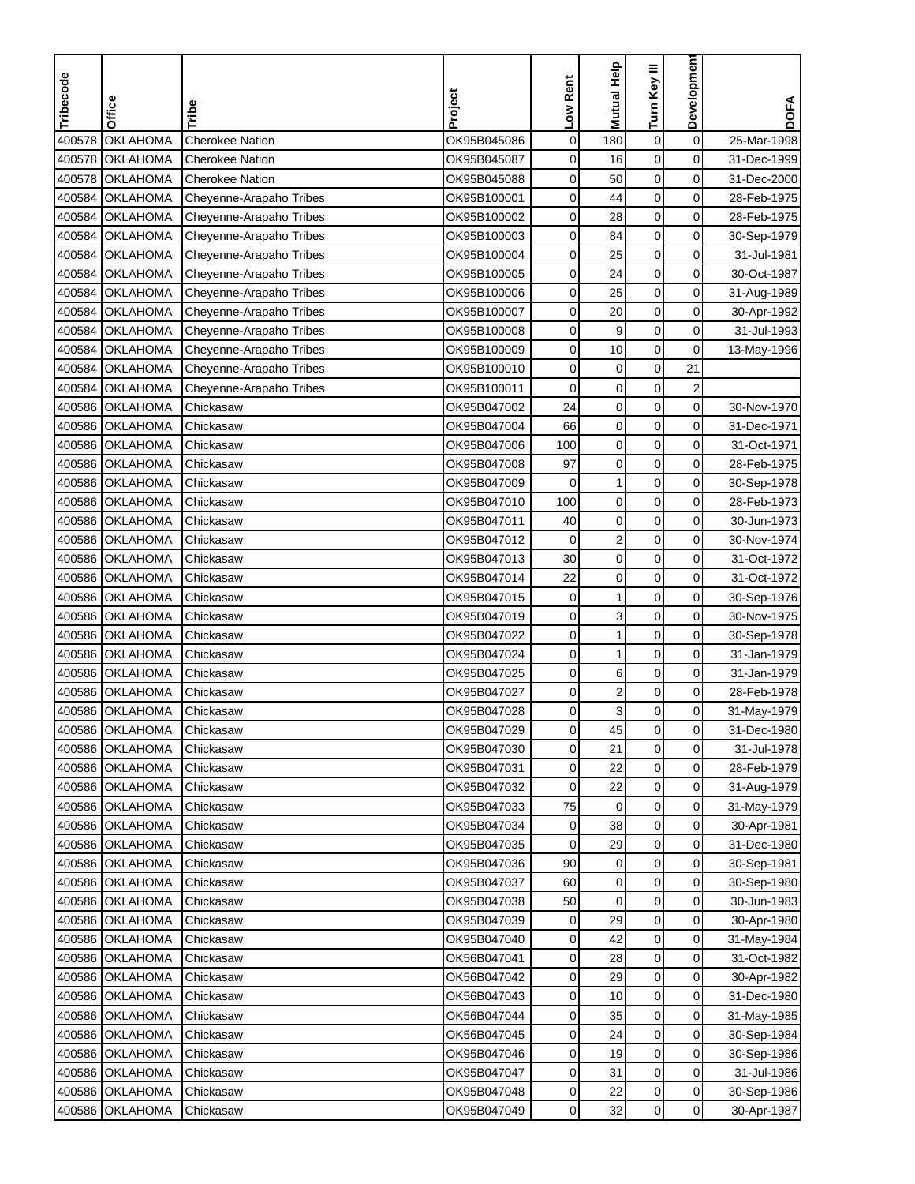| Tribecode | Office          | Tribe                   | Project     | Low Rent    | <b>Mutual Help</b>      | Turn Key III     | Developmen              | <b>DOFA</b> |
|-----------|-----------------|-------------------------|-------------|-------------|-------------------------|------------------|-------------------------|-------------|
|           |                 |                         |             |             |                         |                  |                         |             |
| 400578    | <b>OKLAHOMA</b> | <b>Cherokee Nation</b>  | OK95B045086 | $\mathbf 0$ | 180                     | $\boldsymbol{0}$ | $\mathbf 0$             | 25-Mar-1998 |
| 400578    | <b>OKLAHOMA</b> | <b>Cherokee Nation</b>  | OK95B045087 | 0           | 16                      | $\mathbf 0$      | 0                       | 31-Dec-1999 |
| 400578    | <b>OKLAHOMA</b> | <b>Cherokee Nation</b>  | OK95B045088 | 0           | 50                      | $\mathbf 0$      | 0                       | 31-Dec-2000 |
| 400584    | <b>OKLAHOMA</b> | Cheyenne-Arapaho Tribes | OK95B100001 | 0           | 44                      | $\mathbf 0$      | 0                       | 28-Feb-1975 |
| 400584    | <b>OKLAHOMA</b> | Cheyenne-Arapaho Tribes | OK95B100002 | 0           | 28                      | $\mathbf 0$      | 0                       | 28-Feb-1975 |
| 400584    | <b>OKLAHOMA</b> | Cheyenne-Arapaho Tribes | OK95B100003 | 0           | 84                      | $\mathbf 0$      | 0                       | 30-Sep-1979 |
| 400584    | <b>OKLAHOMA</b> | Cheyenne-Arapaho Tribes | OK95B100004 | 0           | 25                      | $\mathbf 0$      | 0                       | 31-Jul-1981 |
| 400584    | <b>OKLAHOMA</b> | Cheyenne-Arapaho Tribes | OK95B100005 | 0           | 24                      | $\mathbf 0$      | 0                       | 30-Oct-1987 |
| 400584    | <b>OKLAHOMA</b> | Cheyenne-Arapaho Tribes | OK95B100006 | 0           | 25                      | 0                | 0                       | 31-Aug-1989 |
| 400584    | <b>OKLAHOMA</b> | Cheyenne-Arapaho Tribes | OK95B100007 | 0           | 20                      | $\mathbf 0$      | 0                       | 30-Apr-1992 |
| 400584    | <b>OKLAHOMA</b> | Cheyenne-Arapaho Tribes | OK95B100008 | 0           | 9                       | $\mathbf 0$      | 0                       | 31-Jul-1993 |
| 400584    | <b>OKLAHOMA</b> | Cheyenne-Arapaho Tribes | OK95B100009 | 0           | 10                      | $\mathbf 0$      | 0                       | 13-May-1996 |
| 400584    | <b>OKLAHOMA</b> | Cheyenne-Arapaho Tribes | OK95B100010 | 0           | $\mathbf 0$             | $\boldsymbol{0}$ | 21                      |             |
| 400584    | <b>OKLAHOMA</b> | Cheyenne-Arapaho Tribes | OK95B100011 | $\mathbf 0$ | $\pmb{0}$               | $\pmb{0}$        | $\overline{\mathbf{c}}$ |             |
| 400586    | <b>OKLAHOMA</b> | Chickasaw               | OK95B047002 | 24          | $\mathbf 0$             | $\mathbf 0$      | $\mathbf 0$             | 30-Nov-1970 |
|           | 400586 OKLAHOMA | Chickasaw               | OK95B047004 | 66          | $\mathbf 0$             | $\mathbf 0$      | 0                       | 31-Dec-1971 |
| 400586    | <b>OKLAHOMA</b> | Chickasaw               | OK95B047006 | 100         | $\mathbf 0$             | $\mathbf 0$      | 0                       | 31-Oct-1971 |
|           | 400586 OKLAHOMA | Chickasaw               | OK95B047008 | 97          | $\mathbf 0$             | $\mathbf 0$      | 0                       | 28-Feb-1975 |
|           | 400586 OKLAHOMA | Chickasaw               | OK95B047009 | 0           | 1                       | $\mathbf 0$      | 0                       | 30-Sep-1978 |
|           | 400586 OKLAHOMA | Chickasaw               | OK95B047010 | 100         | $\mathbf 0$             | $\mathbf 0$      | 0                       | 28-Feb-1973 |
| 400586    | <b>OKLAHOMA</b> | Chickasaw               | OK95B047011 | 40          | $\mathbf 0$             | $\mathbf 0$      | 0                       | 30-Jun-1973 |
| 400586    | <b>OKLAHOMA</b> | Chickasaw               | OK95B047012 | $\mathbf 0$ | $\overline{c}$          | $\mathbf 0$      | 0                       | 30-Nov-1974 |
| 400586    | <b>OKLAHOMA</b> | Chickasaw               | OK95B047013 | 30          | $\mathbf 0$             | $\mathbf 0$      | 0                       | 31-Oct-1972 |
| 400586    | <b>OKLAHOMA</b> | Chickasaw               | OK95B047014 | 22          | $\mathbf 0$             | $\mathbf 0$      | 0                       | 31-Oct-1972 |
| 400586    | <b>OKLAHOMA</b> | Chickasaw               | OK95B047015 | 0           | 1                       | 0                | 0                       | 30-Sep-1976 |
| 400586    | <b>OKLAHOMA</b> | Chickasaw               | OK95B047019 | 0           | 3                       | 0                | $\mathbf 0$             | 30-Nov-1975 |
| 400586    | <b>OKLAHOMA</b> | Chickasaw               | OK95B047022 | $\mathbf 0$ | 1                       | $\mathbf 0$      | 0                       | 30-Sep-1978 |
| 400586    | <b>OKLAHOMA</b> | Chickasaw               | OK95B047024 | 0           | 1                       | $\mathbf 0$      | 0                       | 31-Jan-1979 |
|           | 400586 OKLAHOMA | Chickasaw               | OK95B047025 | 0           | 6                       | $\mathbf 0$      | 0                       | 31-Jan-1979 |
| 400586    | <b>OKLAHOMA</b> | Chickasaw               | OK95B047027 | 0           | $\overline{\mathbf{c}}$ | $\pmb{0}$        | $\mathbf 0$             | 28-Feb-1978 |
| 400586    | <b>OKLAHOMA</b> | Chickasaw               | OK95B047028 | 0           | 3                       | $\mathbf 0$      | 0                       | 31-May-1979 |
|           | 400586 OKLAHOMA | Chickasaw               | OK95B047029 | 0           | 45                      | 0                | 0                       | 31-Dec-1980 |
|           | 400586 OKLAHOMA | Chickasaw               | OK95B047030 | 0           | 21                      | $\pmb{0}$        | 0                       | 31-Jul-1978 |
|           | 400586 OKLAHOMA | Chickasaw               | OK95B047031 | 0           | 22                      | 0                | 0                       | 28-Feb-1979 |
|           | 400586 OKLAHOMA | Chickasaw               | OK95B047032 | 0           | 22                      | $\pmb{0}$        | $\overline{0}$          | 31-Aug-1979 |
|           | 400586 OKLAHOMA | Chickasaw               | OK95B047033 | 75          | 0                       | 0                | $\overline{0}$          | 31-May-1979 |
|           | 400586 OKLAHOMA | Chickasaw               | OK95B047034 | 0           | 38                      | 0                | 0                       | 30-Apr-1981 |
|           | 400586 OKLAHOMA | Chickasaw               | OK95B047035 | 0           | 29                      | 0                | 0                       | 31-Dec-1980 |
|           | 400586 OKLAHOMA | Chickasaw               | OK95B047036 | 90          | 0                       | $\boldsymbol{0}$ | $\overline{0}$          | 30-Sep-1981 |
|           | 400586 OKLAHOMA | Chickasaw               | OK95B047037 | 60          | 0                       | 0                | 0                       | 30-Sep-1980 |
|           | 400586 OKLAHOMA | Chickasaw               | OK95B047038 | 50          | $\mathbf 0$             | $\mathbf 0$      | 0                       | 30-Jun-1983 |
|           | 400586 OKLAHOMA | Chickasaw               | OK95B047039 | 0           | 29                      | 0                | $\mathbf 0$             | 30-Apr-1980 |
|           | 400586 OKLAHOMA | Chickasaw               | OK95B047040 | 0           | 42                      | $\boldsymbol{0}$ | $\mathbf 0$             | 31-May-1984 |
|           | 400586 OKLAHOMA | Chickasaw               | OK56B047041 | 0           | 28                      | $\mathbf 0$      | 0                       | 31-Oct-1982 |
|           | 400586 OKLAHOMA | Chickasaw               | OK56B047042 | 0           | 29                      | 0                | 0                       | 30-Apr-1982 |
|           | 400586 OKLAHOMA | Chickasaw               | OK56B047043 | 0           | 10                      | 0                | 0                       | 31-Dec-1980 |
|           | 400586 OKLAHOMA | Chickasaw               | OK56B047044 | 0           | 35                      | 0                | 0                       | 31-May-1985 |
|           | 400586 OKLAHOMA | Chickasaw               | OK56B047045 | 0           | 24                      | 0                | $\overline{0}$          | 30-Sep-1984 |
|           | 400586 OKLAHOMA | Chickasaw               | OK95B047046 | 0           | 19                      | $\mathbf 0$      | 0                       | 30-Sep-1986 |
|           | 400586 OKLAHOMA | Chickasaw               | OK95B047047 | 0           | 31                      | 0                | 0                       | 31-Jul-1986 |
|           | 400586 OKLAHOMA | Chickasaw               | OK95B047048 | 0           | 22                      | $\pmb{0}$        | $\overline{0}$          | 30-Sep-1986 |
|           | 400586 OKLAHOMA | Chickasaw               | OK95B047049 | 0           | 32                      | 0                | $\overline{0}$          | 30-Apr-1987 |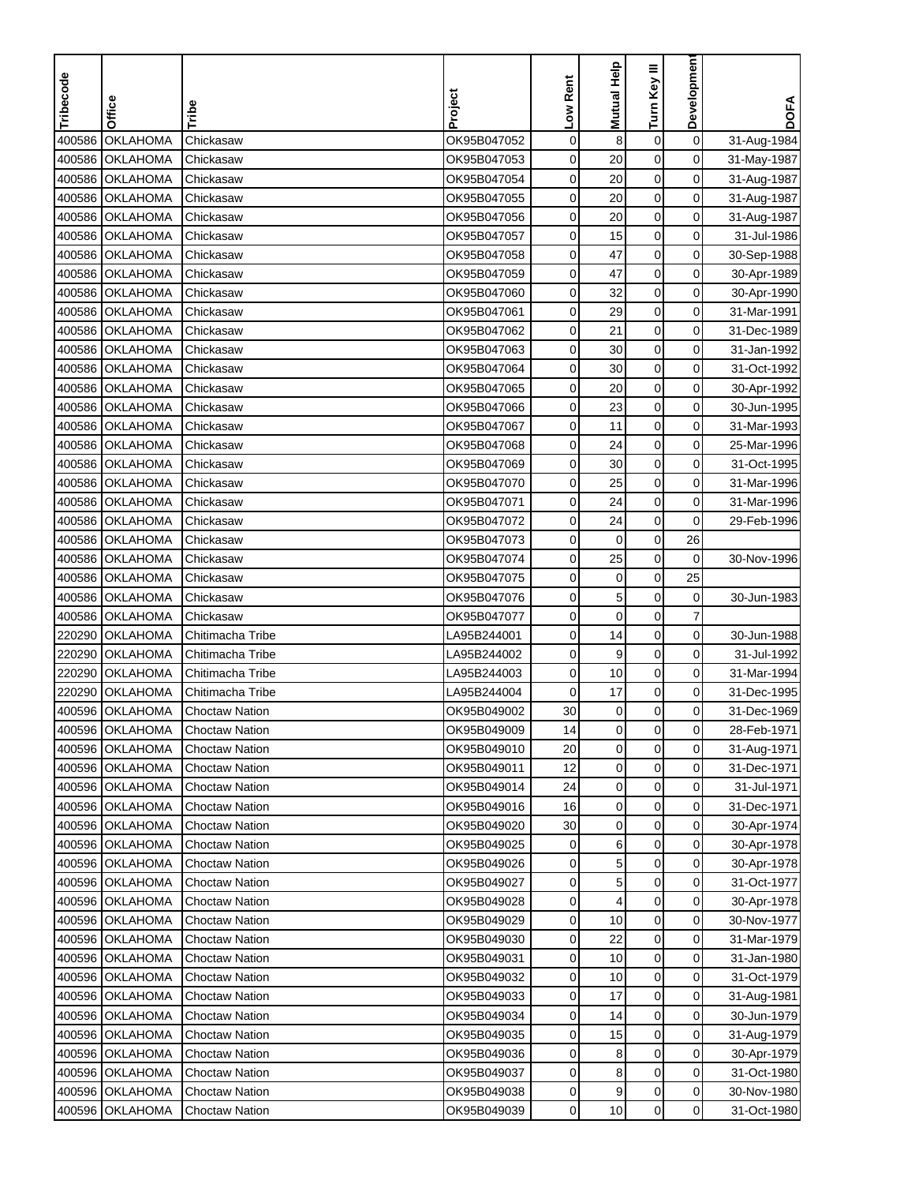| Tribecode | Office          | Tribe                 | Project     | Low Rent    | <b>Mutual Help</b> | Turn Key III     | Developmen     | <b>DOFA</b> |
|-----------|-----------------|-----------------------|-------------|-------------|--------------------|------------------|----------------|-------------|
|           |                 |                       |             |             |                    |                  |                |             |
| 400586    | <b>OKLAHOMA</b> | Chickasaw             | OK95B047052 | $\mathbf 0$ | 8                  | $\boldsymbol{0}$ | $\mathbf 0$    | 31-Aug-1984 |
| 400586    | <b>OKLAHOMA</b> | Chickasaw             | OK95B047053 | $\mathbf 0$ | 20                 | $\mathbf 0$      | $\mathbf 0$    | 31-May-1987 |
| 400586    | <b>OKLAHOMA</b> | Chickasaw             | OK95B047054 | 0           | 20                 | $\mathbf 0$      | 0              | 31-Aug-1987 |
| 400586    | <b>OKLAHOMA</b> | Chickasaw             | OK95B047055 | 0           | 20                 | $\mathbf 0$      | 0              | 31-Aug-1987 |
| 400586    | <b>OKLAHOMA</b> | Chickasaw             | OK95B047056 | 0           | 20                 | $\boldsymbol{0}$ | 0              | 31-Aug-1987 |
| 400586    | <b>OKLAHOMA</b> | Chickasaw             | OK95B047057 | 0           | 15                 | $\mathbf 0$      | 0              | 31-Jul-1986 |
| 400586    | <b>OKLAHOMA</b> | Chickasaw             | OK95B047058 | 0           | 47                 | $\pmb{0}$        | 0              | 30-Sep-1988 |
| 400586    | <b>OKLAHOMA</b> | Chickasaw             | OK95B047059 | 0           | 47                 | $\mathbf 0$      | 0              | 30-Apr-1989 |
| 400586    | <b>OKLAHOMA</b> | Chickasaw             | OK95B047060 | 0           | 32                 | 0                | 0              | 30-Apr-1990 |
| 400586    | <b>OKLAHOMA</b> | Chickasaw             | OK95B047061 | 0           | 29                 | 0                | $\mathbf 0$    | 31-Mar-1991 |
| 400586    | <b>OKLAHOMA</b> | Chickasaw             | OK95B047062 | 0           | 21                 | 0                | 0              | 31-Dec-1989 |
| 400586    | <b>OKLAHOMA</b> | Chickasaw             | OK95B047063 | 0           | 30                 | $\mathbf 0$      | 0              | 31-Jan-1992 |
| 400586    | <b>OKLAHOMA</b> | Chickasaw             | OK95B047064 | 0           | 30                 | 0                | 0              | 31-Oct-1992 |
| 400586    | <b>OKLAHOMA</b> | Chickasaw             | OK95B047065 | 0           | 20                 | $\mathbf 0$      | $\mathbf 0$    | 30-Apr-1992 |
| 400586    | <b>OKLAHOMA</b> | Chickasaw             | OK95B047066 | 0           | 23                 | $\mathbf 0$      | 0              | 30-Jun-1995 |
| 400586    | <b>OKLAHOMA</b> | Chickasaw             | OK95B047067 | 0           | 11                 | $\pmb{0}$        | 0              | 31-Mar-1993 |
| 400586    | <b>OKLAHOMA</b> | Chickasaw             | OK95B047068 | 0           | 24                 | $\mathbf 0$      | 0              | 25-Mar-1996 |
| 400586    | <b>OKLAHOMA</b> | Chickasaw             | OK95B047069 | 0           | 30                 | 0                | 0              | 31-Oct-1995 |
| 400586    | <b>OKLAHOMA</b> | Chickasaw             | OK95B047070 | 0           | 25                 | $\mathbf 0$      | 0              | 31-Mar-1996 |
| 400586    | <b>OKLAHOMA</b> | Chickasaw             | OK95B047071 | 0           | 24                 | $\mathbf 0$      | 0              | 31-Mar-1996 |
| 400586    | <b>OKLAHOMA</b> | Chickasaw             | OK95B047072 | 0           | 24                 | $\mathbf 0$      | 0              | 29-Feb-1996 |
| 400586    | <b>OKLAHOMA</b> | Chickasaw             | OK95B047073 | 0           | $\mathbf 0$        | $\boldsymbol{0}$ | 26             |             |
| 400586    | <b>OKLAHOMA</b> | Chickasaw             | OK95B047074 | 0           | 25                 | $\mathbf 0$      | 0              | 30-Nov-1996 |
| 400586    | <b>OKLAHOMA</b> | Chickasaw             | OK95B047075 | 0           | 0                  | $\boldsymbol{0}$ | 25             |             |
| 400586    | OKLAHOMA        | Chickasaw             | OK95B047076 | 0           | 5                  | 0                | 0              | 30-Jun-1983 |
| 400586    | <b>OKLAHOMA</b> | Chickasaw             | OK95B047077 | 0           | $\mathbf 0$        | 0                | 7              |             |
| 220290    | <b>OKLAHOMA</b> | Chitimacha Tribe      | LA95B244001 | 0           | 14                 | $\mathbf 0$      | 0              | 30-Jun-1988 |
| 220290    | <b>OKLAHOMA</b> | Chitimacha Tribe      | LA95B244002 | 0           | 9                  | 0                | 0              | 31-Jul-1992 |
| 220290    | <b>OKLAHOMA</b> | Chitimacha Tribe      | LA95B244003 | 0           | 10                 | $\mathbf 0$      | 0              | 31-Mar-1994 |
| 220290    | <b>OKLAHOMA</b> | Chitimacha Tribe      | LA95B244004 | 0           | 17                 | $\boldsymbol{0}$ | 0              | 31-Dec-1995 |
| 400596    | <b>OKLAHOMA</b> | <b>Choctaw Nation</b> | OK95B049002 | 30          | 0                  | $\mathbf 0$      | 0              | 31-Dec-1969 |
|           | 400596 OKLAHOMA | Choctaw Nation        | OK95B049009 | 14          | 0                  | $\mathbf 0$      | 0              | 28-Feb-1971 |
|           | 400596 OKLAHOMA | Choctaw Nation        | OK95B049010 | 20          | $\mathbf 0$        | $\mathbf 0$      | $\mathbf 0$    | 31-Aug-1971 |
|           | 400596 OKLAHOMA | <b>Choctaw Nation</b> | OK95B049011 | 12          | $\mathbf 0$        | 0                | 0              | 31-Dec-1971 |
|           | 400596 OKLAHOMA | <b>Choctaw Nation</b> | OK95B049014 | 24          | $\pmb{0}$          | 0                | 0              | 31-Jul-1971 |
|           | 400596 OKLAHOMA | <b>Choctaw Nation</b> | OK95B049016 | 16          | 0                  | 0                | $\overline{0}$ | 31-Dec-1971 |
|           | 400596 OKLAHOMA | <b>Choctaw Nation</b> | OK95B049020 | 30          | $\mathbf 0$        | 0                | 0              | 30-Apr-1974 |
|           | 400596 OKLAHOMA | <b>Choctaw Nation</b> | OK95B049025 | 0           | 6                  | 0                | $\overline{0}$ | 30-Apr-1978 |
|           | 400596 OKLAHOMA | <b>Choctaw Nation</b> | OK95B049026 | 0           | 5                  | $\boldsymbol{0}$ | $\overline{0}$ | 30-Apr-1978 |
|           | 400596 OKLAHOMA | <b>Choctaw Nation</b> | OK95B049027 | 0           | 5                  | 0                | 0              | 31-Oct-1977 |
|           | 400596 OKLAHOMA | <b>Choctaw Nation</b> | OK95B049028 | 0           | 4                  | $\mathbf 0$      | 0              | 30-Apr-1978 |
|           | 400596 OKLAHOMA | <b>Choctaw Nation</b> | OK95B049029 | 0           | 10                 | 0                | $\mathbf 0$    | 30-Nov-1977 |
|           | 400596 OKLAHOMA | <b>Choctaw Nation</b> | OK95B049030 | 0           | 22                 | 0                | 0              | 31-Mar-1979 |
|           | 400596 OKLAHOMA | <b>Choctaw Nation</b> | OK95B049031 | 0           | 10                 | 0                | 0              | 31-Jan-1980 |
|           | 400596 OKLAHOMA | <b>Choctaw Nation</b> | OK95B049032 | 0           | 10                 | 0                | 0              | 31-Oct-1979 |
|           | 400596 OKLAHOMA | <b>Choctaw Nation</b> | OK95B049033 | 0           | 17                 | 0                | 0              | 31-Aug-1981 |
|           | 400596 OKLAHOMA | <b>Choctaw Nation</b> | OK95B049034 | 0           | 14                 | 0                | 0              | 30-Jun-1979 |
|           | 400596 OKLAHOMA | <b>Choctaw Nation</b> | OK95B049035 | 0           | 15                 | 0                | $\overline{0}$ | 31-Aug-1979 |
|           | 400596 OKLAHOMA | <b>Choctaw Nation</b> | OK95B049036 | 0           | 8                  | 0                | 0              | 30-Apr-1979 |
|           | 400596 OKLAHOMA | <b>Choctaw Nation</b> | OK95B049037 | 0           | 8                  | 0                | 0              | 31-Oct-1980 |
|           | 400596 OKLAHOMA | <b>Choctaw Nation</b> | OK95B049038 | 0           | 9                  | 0                | 0              | 30-Nov-1980 |
|           | 400596 OKLAHOMA | <b>Choctaw Nation</b> | OK95B049039 | 0           | 10                 | 0                | $\overline{0}$ | 31-Oct-1980 |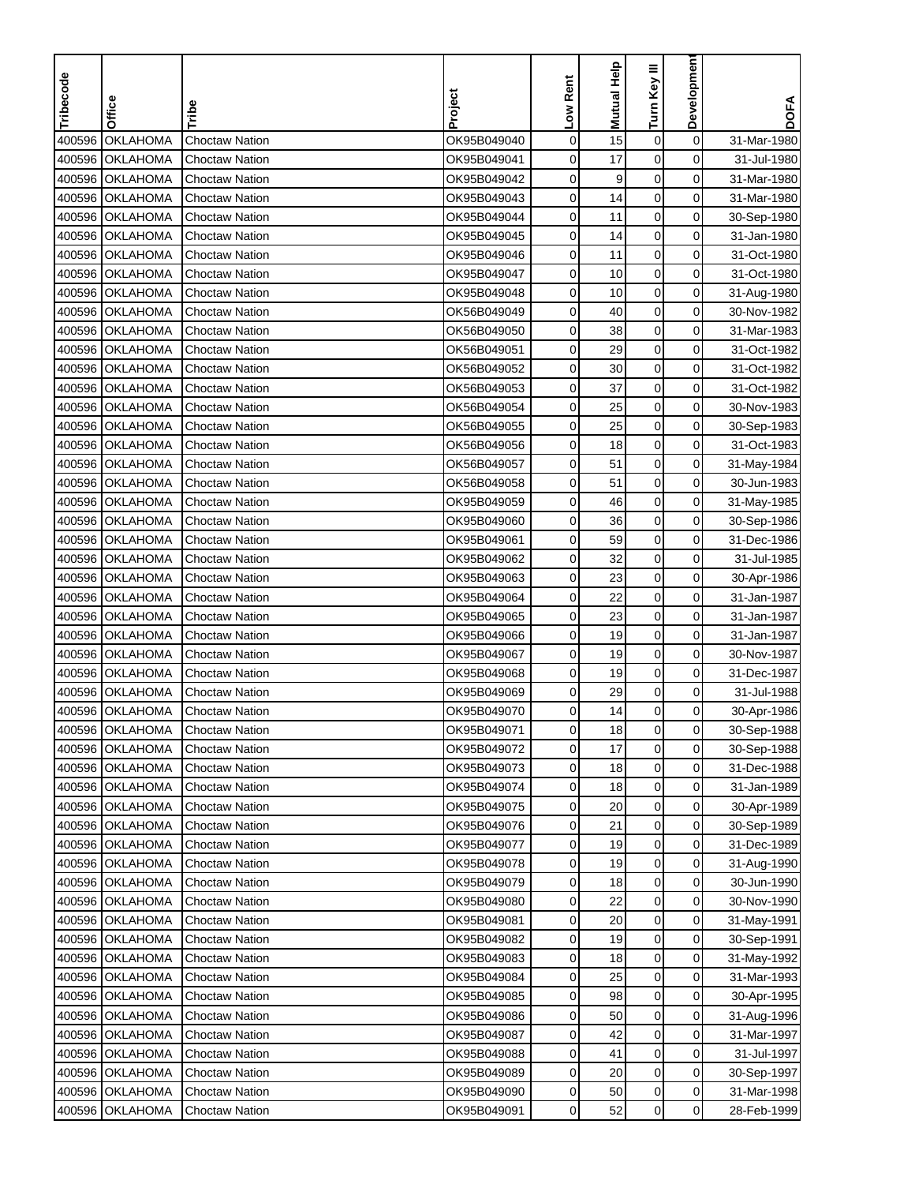| Tribecode | Office          |                       | Project     | Low Rent    | <b>Mutual Help</b> | Turn Key III     | Developmen     | <b>DOFA</b> |
|-----------|-----------------|-----------------------|-------------|-------------|--------------------|------------------|----------------|-------------|
|           |                 | Tribe                 |             |             |                    |                  |                |             |
| 400596    | <b>OKLAHOMA</b> | <b>Choctaw Nation</b> | OK95B049040 | $\mathbf 0$ | 15                 | $\boldsymbol{0}$ | $\mathbf 0$    | 31-Mar-1980 |
| 400596    | <b>OKLAHOMA</b> | Choctaw Nation        | OK95B049041 | 0           | 17                 | $\mathbf 0$      | 0              | 31-Jul-1980 |
| 400596    | <b>OKLAHOMA</b> | <b>Choctaw Nation</b> | OK95B049042 | 0           | 9                  | $\mathbf 0$      | 0              | 31-Mar-1980 |
| 400596    | <b>OKLAHOMA</b> | <b>Choctaw Nation</b> | OK95B049043 | 0           | 14                 | $\mathbf 0$      | 0              | 31-Mar-1980 |
| 400596    | <b>OKLAHOMA</b> | <b>Choctaw Nation</b> | OK95B049044 | 0           | 11                 | $\boldsymbol{0}$ | 0              | 30-Sep-1980 |
| 400596    | <b>OKLAHOMA</b> | <b>Choctaw Nation</b> | OK95B049045 | 0           | 14                 | 0                | 0              | 31-Jan-1980 |
| 400596    | <b>OKLAHOMA</b> | Choctaw Nation        | OK95B049046 | 0           | 11                 | $\pmb{0}$        | 0              | 31-Oct-1980 |
| 400596    | <b>OKLAHOMA</b> | Choctaw Nation        | OK95B049047 | 0           | 10                 | 0                | 0              | 31-Oct-1980 |
| 400596    | <b>OKLAHOMA</b> | <b>Choctaw Nation</b> | OK95B049048 | 0           | 10                 | 0                | $\mathbf 0$    | 31-Aug-1980 |
| 400596    | <b>OKLAHOMA</b> | <b>Choctaw Nation</b> | OK56B049049 | 0           | 40                 | 0                | $\mathbf 0$    | 30-Nov-1982 |
| 400596    | <b>OKLAHOMA</b> | <b>Choctaw Nation</b> | OK56B049050 | 0           | 38                 | 0                | 0              | 31-Mar-1983 |
| 400596    | <b>OKLAHOMA</b> | <b>Choctaw Nation</b> | OK56B049051 | 0           | 29                 | $\mathbf 0$      | 0              | 31-Oct-1982 |
| 400596    | <b>OKLAHOMA</b> | <b>Choctaw Nation</b> | OK56B049052 | 0           | 30                 | 0                | 0              | 31-Oct-1982 |
| 400596    | <b>OKLAHOMA</b> | <b>Choctaw Nation</b> | OK56B049053 | 0           | 37                 | $\mathbf 0$      | $\mathbf 0$    | 31-Oct-1982 |
| 400596    | <b>OKLAHOMA</b> | Choctaw Nation        | OK56B049054 | 0           | 25                 | $\pmb{0}$        | 0              | 30-Nov-1983 |
| 400596    | <b>OKLAHOMA</b> | <b>Choctaw Nation</b> | OK56B049055 | 0           | 25                 | $\pmb{0}$        | 0              | 30-Sep-1983 |
| 400596    | <b>OKLAHOMA</b> | <b>Choctaw Nation</b> | OK56B049056 | 0           | 18                 | 0                | 0              | 31-Oct-1983 |
| 400596    | <b>OKLAHOMA</b> | <b>Choctaw Nation</b> | OK56B049057 | 0           | 51                 | 0                | $\mathbf 0$    | 31-May-1984 |
| 400596    | <b>OKLAHOMA</b> | <b>Choctaw Nation</b> | OK56B049058 | 0           | 51                 | $\mathbf 0$      | 0              | 30-Jun-1983 |
| 400596    | OKLAHOMA        | <b>Choctaw Nation</b> | OK95B049059 | 0           | 46                 | $\mathbf 0$      | 0              | 31-May-1985 |
| 400596    | <b>OKLAHOMA</b> | Choctaw Nation        | OK95B049060 | 0           | 36                 | $\mathbf 0$      | 0              | 30-Sep-1986 |
| 400596    | <b>OKLAHOMA</b> | <b>Choctaw Nation</b> | OK95B049061 | 0           | 59                 | $\boldsymbol{0}$ | 0              | 31-Dec-1986 |
| 400596    | <b>OKLAHOMA</b> | Choctaw Nation        | OK95B049062 | 0           | 32                 | 0                | 0              | 31-Jul-1985 |
| 400596    | <b>OKLAHOMA</b> | Choctaw Nation        | OK95B049063 | 0           | 23                 | $\mathbf 0$      | 0              | 30-Apr-1986 |
| 400596    | <b>OKLAHOMA</b> | Choctaw Nation        | OK95B049064 | 0           | 22                 | 0                | 0              | 31-Jan-1987 |
| 400596    | <b>OKLAHOMA</b> | <b>Choctaw Nation</b> | OK95B049065 | 0           | 23                 | 0                | 0              | 31-Jan-1987 |
| 400596    | <b>OKLAHOMA</b> | <b>Choctaw Nation</b> | OK95B049066 | 0           | 19                 | $\mathbf 0$      | 0              | 31-Jan-1987 |
| 400596    | <b>OKLAHOMA</b> | <b>Choctaw Nation</b> | OK95B049067 | 0           | 19                 | 0                | 0              | 30-Nov-1987 |
| 400596    | <b>OKLAHOMA</b> | <b>Choctaw Nation</b> | OK95B049068 | 0           | 19                 | $\mathbf 0$      | 0              | 31-Dec-1987 |
| 400596    | <b>OKLAHOMA</b> | <b>Choctaw Nation</b> | OK95B049069 | 0           | 29                 | $\boldsymbol{0}$ | 0              | 31-Jul-1988 |
| 400596    | <b>OKLAHOMA</b> | Choctaw Nation        | OK95B049070 | 0           | 14                 | $\mathbf 0$      | 0              | 30-Apr-1986 |
|           | 400596 OKLAHOMA | Choctaw Nation        | OK95B049071 | 0           | 18                 | $\mathbf 0$      | 0              | 30-Sep-1988 |
|           | 400596 OKLAHOMA | Choctaw Nation        | OK95B049072 | 0           | 17                 | $\mathbf 0$      | $\mathbf 0$    | 30-Sep-1988 |
|           | 400596 OKLAHOMA | <b>Choctaw Nation</b> | OK95B049073 | 0           | 18                 | 0                | 0              | 31-Dec-1988 |
|           | 400596 OKLAHOMA | <b>Choctaw Nation</b> | OK95B049074 | 0           | 18                 | 0                | 0              | 31-Jan-1989 |
|           | 400596 OKLAHOMA | <b>Choctaw Nation</b> | OK95B049075 | 0           | 20                 | 0                | $\overline{0}$ | 30-Apr-1989 |
|           | 400596 OKLAHOMA | <b>Choctaw Nation</b> | OK95B049076 | 0           | 21                 | 0                | $\overline{0}$ | 30-Sep-1989 |
|           | 400596 OKLAHOMA | <b>Choctaw Nation</b> | OK95B049077 | 0           | 19                 | 0                | 0              | 31-Dec-1989 |
|           | 400596 OKLAHOMA | <b>Choctaw Nation</b> | OK95B049078 | 0           | 19                 | $\boldsymbol{0}$ | $\overline{0}$ | 31-Aug-1990 |
|           | 400596 OKLAHOMA | <b>Choctaw Nation</b> | OK95B049079 | 0           | 18                 | 0                | 0              | 30-Jun-1990 |
|           | 400596 OKLAHOMA | <b>Choctaw Nation</b> | OK95B049080 | 0           | 22                 | $\mathbf 0$      | 0              | 30-Nov-1990 |
|           | 400596 OKLAHOMA | <b>Choctaw Nation</b> | OK95B049081 | 0           | 20                 | 0                | $\mathbf 0$    | 31-May-1991 |
|           | 400596 OKLAHOMA | <b>Choctaw Nation</b> | OK95B049082 | 0           | 19                 | 0                | 0              | 30-Sep-1991 |
|           | 400596 OKLAHOMA | <b>Choctaw Nation</b> | OK95B049083 | 0           | 18                 | 0                | $\overline{0}$ | 31-May-1992 |
|           | 400596 OKLAHOMA | <b>Choctaw Nation</b> | OK95B049084 | 0           | 25                 | 0                | 0              | 31-Mar-1993 |
|           | 400596 OKLAHOMA | <b>Choctaw Nation</b> | OK95B049085 | 0           | 98                 | 0                | 0              | 30-Apr-1995 |
|           | 400596 OKLAHOMA | <b>Choctaw Nation</b> | OK95B049086 | 0           | 50                 | 0                | 0              | 31-Aug-1996 |
|           | 400596 OKLAHOMA | <b>Choctaw Nation</b> | OK95B049087 | 0           | 42                 | 0                | 0              | 31-Mar-1997 |
|           | 400596 OKLAHOMA | <b>Choctaw Nation</b> | OK95B049088 | 0           | 41                 | $\mathbf 0$      | 0              | 31-Jul-1997 |
|           | 400596 OKLAHOMA | <b>Choctaw Nation</b> | OK95B049089 | 0           | 20                 | 0                | 0              | 30-Sep-1997 |
|           | 400596 OKLAHOMA | <b>Choctaw Nation</b> | OK95B049090 | 0           | 50                 | 0                | $\mathbf 0$    | 31-Mar-1998 |
|           | 400596 OKLAHOMA | <b>Choctaw Nation</b> | OK95B049091 | 0           | 52                 | 0                | $\overline{0}$ | 28-Feb-1999 |
|           |                 |                       |             |             |                    |                  |                |             |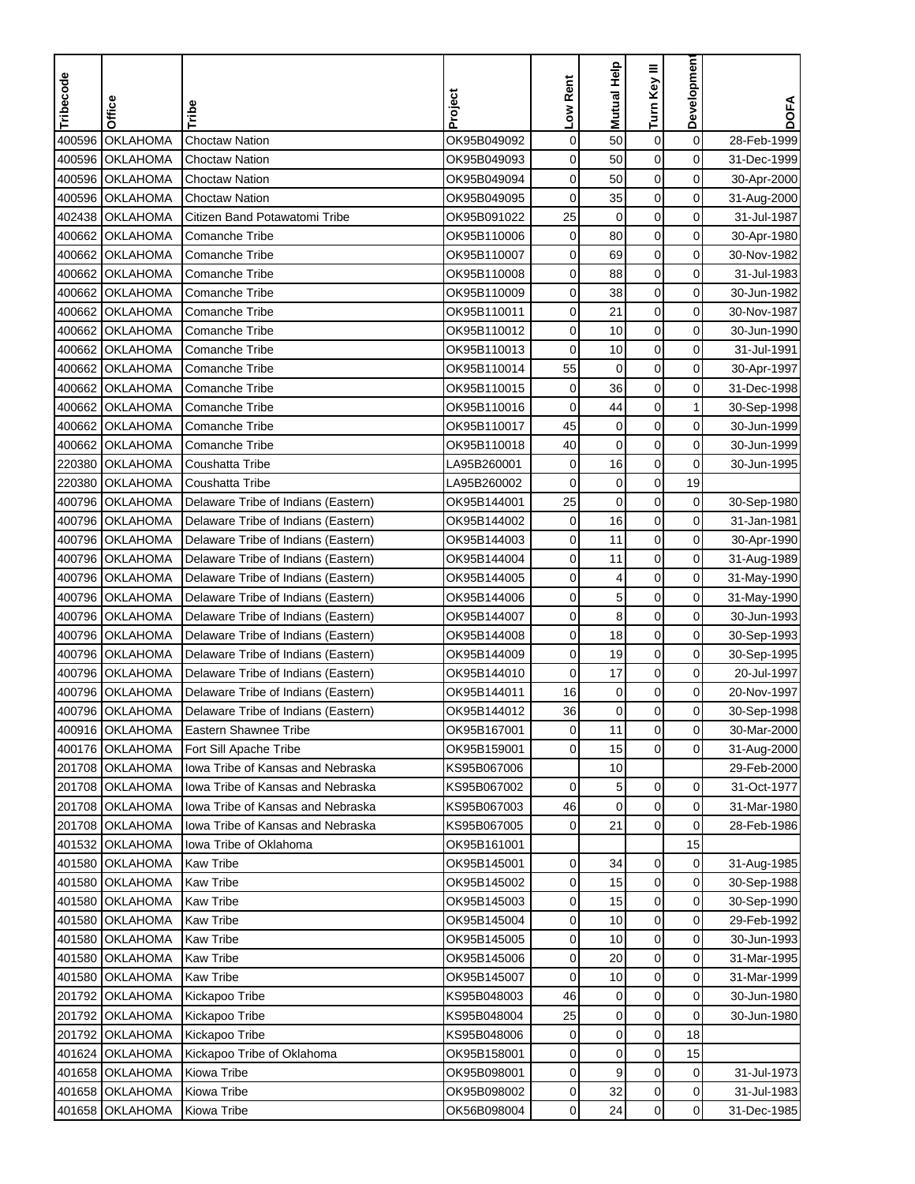| Tribecode | Office          | Tribe                                    | Project     | Low Rent    | <b>Mutual Help</b> | Turn Key III     | Developmen     | <b>DOFA</b> |
|-----------|-----------------|------------------------------------------|-------------|-------------|--------------------|------------------|----------------|-------------|
|           |                 |                                          |             |             |                    |                  |                |             |
| 400596    | <b>OKLAHOMA</b> | <b>Choctaw Nation</b>                    | OK95B049092 | $\mathbf 0$ | 50                 | $\boldsymbol{0}$ | 0              | 28-Feb-1999 |
| 400596    | <b>OKLAHOMA</b> | <b>Choctaw Nation</b>                    | OK95B049093 | 0           | 50                 | $\mathbf 0$      | 0              | 31-Dec-1999 |
| 400596    | OKLAHOMA        | <b>Choctaw Nation</b>                    | OK95B049094 | 0           | 50                 | $\mathbf 0$      | 0              | 30-Apr-2000 |
| 400596    | <b>OKLAHOMA</b> | <b>Choctaw Nation</b>                    | OK95B049095 | 0           | 35                 | $\mathbf 0$      | 0              | 31-Aug-2000 |
| 402438    | <b>OKLAHOMA</b> | Citizen Band Potawatomi Tribe            | OK95B091022 | 25          | $\mathbf 0$        | $\mathbf 0$      | 0              | 31-Jul-1987 |
| 400662    | <b>OKLAHOMA</b> | <b>Comanche Tribe</b>                    | OK95B110006 | 0           | 80                 | 0                | 0              | 30-Apr-1980 |
| 400662    | <b>OKLAHOMA</b> | Comanche Tribe                           | OK95B110007 | 0           | 69                 | $\mathbf 0$      | 0              | 30-Nov-1982 |
| 400662    | <b>OKLAHOMA</b> | Comanche Tribe                           | OK95B110008 | 0           | 88                 | $\mathbf 0$      | 0              | 31-Jul-1983 |
| 400662    | <b>OKLAHOMA</b> | <b>Comanche Tribe</b>                    | OK95B110009 | 0           | 38                 | 0                | 0              | 30-Jun-1982 |
| 400662    | <b>OKLAHOMA</b> | <b>Comanche Tribe</b>                    | OK95B110011 | 0           | 21                 | $\mathbf 0$      | 0              | 30-Nov-1987 |
| 400662    | <b>OKLAHOMA</b> | <b>Comanche Tribe</b>                    | OK95B110012 | 0           | 10                 | 0                | 0              | 30-Jun-1990 |
| 400662    | <b>OKLAHOMA</b> | <b>Comanche Tribe</b>                    | OK95B110013 | 0           | 10                 | $\mathbf 0$      | 0              | 31-Jul-1991 |
| 400662    | <b>OKLAHOMA</b> | <b>Comanche Tribe</b>                    | OK95B110014 | 55          | 0                  | $\mathbf 0$      | 0              | 30-Apr-1997 |
| 400662    | <b>OKLAHOMA</b> | <b>Comanche Tribe</b>                    | OK95B110015 | $\mathbf 0$ | 36                 | $\mathbf 0$      | $\mathbf 0$    | 31-Dec-1998 |
| 400662    | <b>OKLAHOMA</b> | Comanche Tribe                           | OK95B110016 | 0           | 44                 | $\mathbf 0$      | $\mathbf{1}$   | 30-Sep-1998 |
| 400662    | <b>OKLAHOMA</b> | Comanche Tribe                           | OK95B110017 | 45          | $\mathbf 0$        | $\mathbf 0$      | 0              | 30-Jun-1999 |
| 400662    | <b>OKLAHOMA</b> | Comanche Tribe                           | OK95B110018 | 40          | $\mathbf 0$        | $\mathbf 0$      | 0              | 30-Jun-1999 |
| 220380    | <b>OKLAHOMA</b> | Coushatta Tribe                          | LA95B260001 | $\mathbf 0$ | 16                 | $\mathbf 0$      | 0              | 30-Jun-1995 |
| 220380    | <b>OKLAHOMA</b> | Coushatta Tribe                          | LA95B260002 | 0           | 0                  | $\mathbf 0$      | 19             |             |
| 400796    | <b>OKLAHOMA</b> | Delaware Tribe of Indians (Eastern)      | OK95B144001 | 25          | 0                  | 0                | 0              | 30-Sep-1980 |
| 400796    | <b>OKLAHOMA</b> | Delaware Tribe of Indians (Eastern)      | OK95B144002 | 0           | 16                 | $\mathbf 0$      | 0              | 31-Jan-1981 |
| 400796    | <b>OKLAHOMA</b> | Delaware Tribe of Indians (Eastern)      | OK95B144003 | 0           | 11                 | $\boldsymbol{0}$ | 0              | 30-Apr-1990 |
| 400796    | <b>OKLAHOMA</b> | Delaware Tribe of Indians (Eastern)      | OK95B144004 | 0           | 11                 | $\mathbf 0$      | 0              | 31-Aug-1989 |
| 400796    | <b>OKLAHOMA</b> | Delaware Tribe of Indians (Eastern)      | OK95B144005 | 0           | 4                  | 0                | $\mathbf 0$    | 31-May-1990 |
| 400796    | <b>OKLAHOMA</b> | Delaware Tribe of Indians (Eastern)      | OK95B144006 | 0           | 5                  | 0                | 0              | 31-May-1990 |
| 400796    | <b>OKLAHOMA</b> | Delaware Tribe of Indians (Eastern)      | OK95B144007 | 0           | 8                  | 0                | 0              | 30-Jun-1993 |
|           | 400796 OKLAHOMA | Delaware Tribe of Indians (Eastern)      | OK95B144008 | 0           | 18                 | $\mathbf 0$      | 0              | 30-Sep-1993 |
| 400796    | <b>OKLAHOMA</b> | Delaware Tribe of Indians (Eastern)      | OK95B144009 | 0           | 19                 | $\mathbf 0$      | 0              | 30-Sep-1995 |
| 400796    | <b>OKLAHOMA</b> | Delaware Tribe of Indians (Eastern)      | OK95B144010 | 0           | 17                 | $\mathbf 0$      | 0              | 20-Jul-1997 |
| 400796    | <b>OKLAHOMA</b> | Delaware Tribe of Indians (Eastern)      | OK95B144011 | 16          | 0                  | $\boldsymbol{0}$ | 0              | 20-Nov-1997 |
| 400796    | <b>OKLAHOMA</b> | Delaware Tribe of Indians (Eastern)      | OK95B144012 | 36          | $\mathbf 0$        | $\mathbf 0$      | 0              | 30-Sep-1998 |
|           | 400916 OKLAHOMA | Eastern Shawnee Tribe                    | OK95B167001 | 0           | 11                 | $\mathbf 0$      | 0              | 30-Mar-2000 |
|           | 400176 OKLAHOMA | Fort Sill Apache Tribe                   | OK95B159001 | 0           | 15                 | $\mathbf 0$      | $\overline{0}$ | 31-Aug-2000 |
|           | 201708 OKLAHOMA | Iowa Tribe of Kansas and Nebraska        | KS95B067006 |             | 10                 |                  |                | 29-Feb-2000 |
|           | 201708 OKLAHOMA | Iowa Tribe of Kansas and Nebraska        | KS95B067002 | $\mathbf 0$ | 5                  | 0                | 0              | 31-Oct-1977 |
|           | 201708 OKLAHOMA | <b>Iowa Tribe of Kansas and Nebraska</b> | KS95B067003 | 46          | 0                  | 0                | $\overline{0}$ | 31-Mar-1980 |
|           | 201708 OKLAHOMA | Iowa Tribe of Kansas and Nebraska        | KS95B067005 | 0           | 21                 | $\mathbf 0$      | 0              | 28-Feb-1986 |
|           | 401532 OKLAHOMA | Iowa Tribe of Oklahoma                   | OK95B161001 |             |                    |                  | 15             |             |
|           | 401580 OKLAHOMA | <b>Kaw Tribe</b>                         | OK95B145001 | 0           | 34                 | 0                | $\overline{0}$ | 31-Aug-1985 |
|           | 401580 OKLAHOMA | Kaw Tribe                                | OK95B145002 | 0           | 15                 | $\mathbf 0$      | 0              | 30-Sep-1988 |
|           | 401580 OKLAHOMA | <b>Kaw Tribe</b>                         | OK95B145003 | 0           | 15                 | $\mathbf 0$      | 0              | 30-Sep-1990 |
|           | 401580 OKLAHOMA | <b>Kaw Tribe</b>                         | OK95B145004 | 0           | 10                 | $\boldsymbol{0}$ | $\mathbf 0$    | 29-Feb-1992 |
|           | 401580 OKLAHOMA | <b>Kaw Tribe</b>                         | OK95B145005 | 0           | 10                 | $\boldsymbol{0}$ | 0              | 30-Jun-1993 |
|           | 401580 OKLAHOMA | <b>Kaw Tribe</b>                         | OK95B145006 | 0           | 20                 | $\mathbf 0$      | 0              | 31-Mar-1995 |
|           | 401580 OKLAHOMA | <b>Kaw Tribe</b>                         | OK95B145007 | 0           | 10                 | 0                | 0              | 31-Mar-1999 |
|           | 201792 OKLAHOMA | Kickapoo Tribe                           | KS95B048003 | 46          | 0                  | 0                | 0              | 30-Jun-1980 |
|           | 201792 OKLAHOMA | Kickapoo Tribe                           | KS95B048004 | 25          | $\mathbf 0$        | $\boldsymbol{0}$ | 0              | 30-Jun-1980 |
|           | 201792 OKLAHOMA | Kickapoo Tribe                           | KS95B048006 | 0           | $\mathbf 0$        | 0                | 18             |             |
|           | 401624 OKLAHOMA | Kickapoo Tribe of Oklahoma               | OK95B158001 | 0           | $\mathbf 0$        | $\boldsymbol{0}$ | 15             |             |
|           | 401658 OKLAHOMA | Kiowa Tribe                              | OK95B098001 | 0           | 9                  | 0                | 0              | 31-Jul-1973 |
|           | 401658 OKLAHOMA | Kiowa Tribe                              | OK95B098002 | 0           | 32                 | $\pmb{0}$        | 0              | 31-Jul-1983 |
|           | 401658 OKLAHOMA | Kiowa Tribe                              | OK56B098004 | 0           | 24                 | 0                | $\overline{0}$ | 31-Dec-1985 |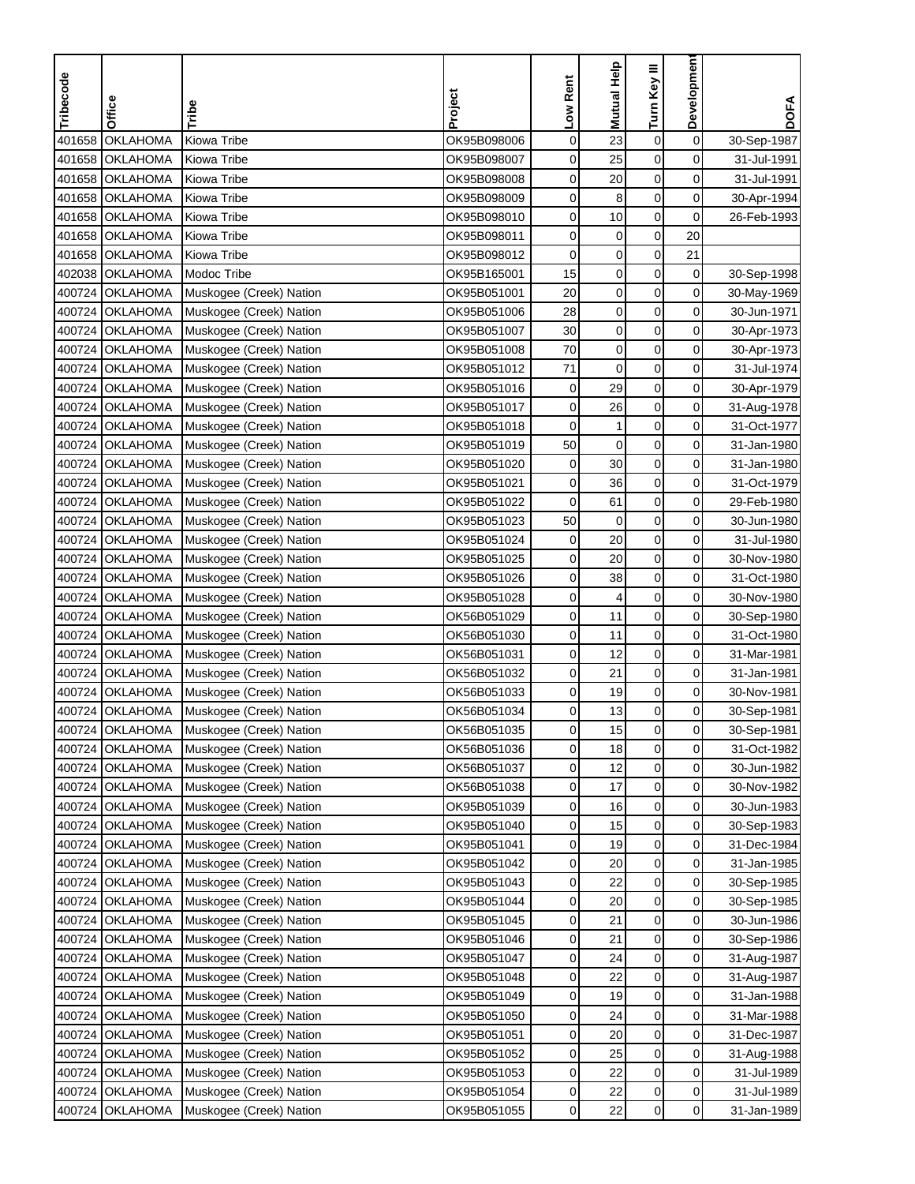| Tribecode | Office          | Tribe                   | Project     | Low Rent    | <b>Mutual Help</b> | Turn Key III     | <b>Developmen</b> | <b>DOFA</b> |
|-----------|-----------------|-------------------------|-------------|-------------|--------------------|------------------|-------------------|-------------|
|           |                 |                         |             |             |                    |                  |                   |             |
| 401658    | <b>OKLAHOMA</b> | Kiowa Tribe             | OK95B098006 | $\mathbf 0$ | 23                 | $\boldsymbol{0}$ | $\mathbf 0$       | 30-Sep-1987 |
| 401658    | <b>OKLAHOMA</b> | Kiowa Tribe             | OK95B098007 | 0           | 25                 | $\mathbf 0$      | 0                 | 31-Jul-1991 |
| 401658    | <b>OKLAHOMA</b> | Kiowa Tribe             | OK95B098008 | 0           | 20                 | $\mathbf 0$      | 0                 | 31-Jul-1991 |
| 401658    | <b>OKLAHOMA</b> | Kiowa Tribe             | OK95B098009 | 0           | 8                  | $\mathbf 0$      | 0                 | 30-Apr-1994 |
| 401658    | <b>OKLAHOMA</b> | Kiowa Tribe             | OK95B098010 | 0           | 10                 | $\boldsymbol{0}$ | 0                 | 26-Feb-1993 |
| 401658    | <b>OKLAHOMA</b> | Kiowa Tribe             | OK95B098011 | 0           | $\pmb{0}$          | $\boldsymbol{0}$ | 20                |             |
| 401658    | <b>OKLAHOMA</b> | Kiowa Tribe             | OK95B098012 | 0           | $\pmb{0}$          | $\mathbf 0$      | 21                |             |
|           | 402038 OKLAHOMA | Modoc Tribe             | OK95B165001 | 15          | $\pmb{0}$          | 0                | 0                 | 30-Sep-1998 |
|           | 400724 OKLAHOMA | Muskogee (Creek) Nation | OK95B051001 | 20          | $\pmb{0}$          | 0                | 0                 | 30-May-1969 |
|           | 400724 OKLAHOMA | Muskogee (Creek) Nation | OK95B051006 | 28          | $\pmb{0}$          | $\mathbf 0$      | $\mathbf 0$       | 30-Jun-1971 |
|           | 400724 OKLAHOMA | Muskogee (Creek) Nation | OK95B051007 | 30          | 0                  | $\mathbf 0$      | 0                 | 30-Apr-1973 |
|           | 400724 OKLAHOMA | Muskogee (Creek) Nation | OK95B051008 | 70          | $\pmb{0}$          | $\mathbf 0$      | 0                 | 30-Apr-1973 |
|           | 400724 OKLAHOMA | Muskogee (Creek) Nation | OK95B051012 | 71          | $\mathbf 0$        | 0                | 0                 | 31-Jul-1974 |
|           | 400724 OKLAHOMA | Muskogee (Creek) Nation | OK95B051016 | $\pmb{0}$   | 29                 | $\mathsf 0$      | $\mathbf 0$       | 30-Apr-1979 |
|           | 400724 OKLAHOMA | Muskogee (Creek) Nation | OK95B051017 | 0           | 26                 | $\mathbf 0$      | 0                 | 31-Aug-1978 |
| 400724    | <b>OKLAHOMA</b> | Muskogee (Creek) Nation | OK95B051018 | 0           | $\mathbf{1}$       | $\pmb{0}$        | 0                 | 31-Oct-1977 |
|           | 400724 OKLAHOMA | Muskogee (Creek) Nation | OK95B051019 | 50          | $\mathbf 0$        | $\mathbf 0$      | 0                 | 31-Jan-1980 |
|           | 400724 OKLAHOMA | Muskogee (Creek) Nation | OK95B051020 | $\mathbf 0$ | 30                 | $\boldsymbol{0}$ | $\mathbf 0$       | 31-Jan-1980 |
|           | 400724 OKLAHOMA | Muskogee (Creek) Nation | OK95B051021 | $\mathbf 0$ | 36                 | $\mathbf 0$      | 0                 | 31-Oct-1979 |
|           | 400724 OKLAHOMA | Muskogee (Creek) Nation | OK95B051022 | 0           | 61                 | $\mathbf 0$      | 0                 | 29-Feb-1980 |
| 400724    | <b>OKLAHOMA</b> | Muskogee (Creek) Nation | OK95B051023 | 50          | $\mathbf 0$        | $\mathbf 0$      | 0                 | 30-Jun-1980 |
| 400724    | <b>OKLAHOMA</b> | Muskogee (Creek) Nation | OK95B051024 | 0           | 20                 | $\boldsymbol{0}$ | 0                 | 31-Jul-1980 |
| 400724    | <b>OKLAHOMA</b> | Muskogee (Creek) Nation | OK95B051025 | 0           | 20                 | $\mathbf 0$      | 0                 | 30-Nov-1980 |
| 400724    | <b>OKLAHOMA</b> | Muskogee (Creek) Nation | OK95B051026 | 0           | 38                 | $\mathbf 0$      | 0                 | 31-Oct-1980 |
| 400724    | <b>OKLAHOMA</b> | Muskogee (Creek) Nation | OK95B051028 | 0           | 4                  | 0                | 0                 | 30-Nov-1980 |
| 400724    | <b>OKLAHOMA</b> | Muskogee (Creek) Nation | OK56B051029 | 0           | 11                 | 0                | 0                 | 30-Sep-1980 |
|           | 400724 OKLAHOMA | Muskogee (Creek) Nation | OK56B051030 | 0           | 11                 | $\mathbf 0$      | $\mathbf 0$       | 31-Oct-1980 |
|           | 400724 OKLAHOMA | Muskogee (Creek) Nation | OK56B051031 | 0           | 12                 | $\mathbf 0$      | 0                 | 31-Mar-1981 |
|           | 400724 OKLAHOMA | Muskogee (Creek) Nation | OK56B051032 | 0           | 21                 | $\mathbf 0$      | 0                 | 31-Jan-1981 |
| 400724    | <b>OKLAHOMA</b> | Muskogee (Creek) Nation | OK56B051033 | 0           | 19                 | $\pmb{0}$        | $\mathbf 0$       | 30-Nov-1981 |
|           | 400724 OKLAHOMA | Muskogee (Creek) Nation | OK56B051034 | 0           | 13                 | $\mathbf 0$      | 0                 | 30-Sep-1981 |
|           | 400724 OKLAHOMA | Muskogee (Creek) Nation | OK56B051035 | 0           | 15                 | $\mathbf 0$      | 0                 | 30-Sep-1981 |
|           | 400724 OKLAHOMA | Muskogee (Creek) Nation | OK56B051036 | 0           | 18                 | $\mathbf 0$      | 0                 | 31-Oct-1982 |
|           | 400724 OKLAHOMA | Muskogee (Creek) Nation | OK56B051037 | 0           | 12                 | 0                | 0                 | 30-Jun-1982 |
|           | 400724 OKLAHOMA | Muskogee (Creek) Nation | OK56B051038 | 0           | 17                 | $\boldsymbol{0}$ | 0                 | 30-Nov-1982 |
|           | 400724 OKLAHOMA | Muskogee (Creek) Nation | OK95B051039 | 0           | 16                 | 0                | $\overline{0}$    | 30-Jun-1983 |
|           | 400724 OKLAHOMA | Muskogee (Creek) Nation | OK95B051040 | 0           | 15                 | 0                | $\overline{0}$    | 30-Sep-1983 |
|           | 400724 OKLAHOMA | Muskogee (Creek) Nation | OK95B051041 | 0           | 19                 | 0                | $\overline{0}$    | 31-Dec-1984 |
|           | 400724 OKLAHOMA | Muskogee (Creek) Nation | OK95B051042 | 0           | 20                 | $\mathbf 0$      | $\overline{0}$    | 31-Jan-1985 |
|           | 400724 OKLAHOMA | Muskogee (Creek) Nation | OK95B051043 | 0           | 22                 | 0                | 0                 | 30-Sep-1985 |
|           | 400724 OKLAHOMA | Muskogee (Creek) Nation | OK95B051044 | 0           | 20                 | $\pmb{0}$        | 0                 | 30-Sep-1985 |
|           | 400724 OKLAHOMA | Muskogee (Creek) Nation | OK95B051045 | 0           | 21                 | $\boldsymbol{0}$ | $\mathbf 0$       | 30-Jun-1986 |
|           | 400724 OKLAHOMA | Muskogee (Creek) Nation | OK95B051046 | 0           | 21                 | $\boldsymbol{0}$ | 0                 | 30-Sep-1986 |
|           | 400724 OKLAHOMA | Muskogee (Creek) Nation | OK95B051047 | 0           | 24                 | 0                | $\overline{0}$    | 31-Aug-1987 |
|           | 400724 OKLAHOMA | Muskogee (Creek) Nation | OK95B051048 | 0           | 22                 | 0                | 0                 | 31-Aug-1987 |
|           | 400724 OKLAHOMA | Muskogee (Creek) Nation | OK95B051049 | 0           | 19                 | 0                | 0                 | 31-Jan-1988 |
|           | 400724 OKLAHOMA | Muskogee (Creek) Nation | OK95B051050 | 0           | 24                 | $\boldsymbol{0}$ | 0                 | 31-Mar-1988 |
|           | 400724 OKLAHOMA | Muskogee (Creek) Nation | OK95B051051 | 0           | 20                 | 0                | $\overline{0}$    | 31-Dec-1987 |
|           | 400724 OKLAHOMA | Muskogee (Creek) Nation | OK95B051052 | 0           | 25                 | $\boldsymbol{0}$ | 0                 | 31-Aug-1988 |
|           | 400724 OKLAHOMA | Muskogee (Creek) Nation | OK95B051053 | 0           | 22                 | 0                | 0                 | 31-Jul-1989 |
|           | 400724 OKLAHOMA | Muskogee (Creek) Nation | OK95B051054 | 0           | 22                 | $\pmb{0}$        | 0                 | 31-Jul-1989 |
|           | 400724 OKLAHOMA | Muskogee (Creek) Nation | OK95B051055 | 0           | 22                 | $\boldsymbol{0}$ | $\overline{0}$    | 31-Jan-1989 |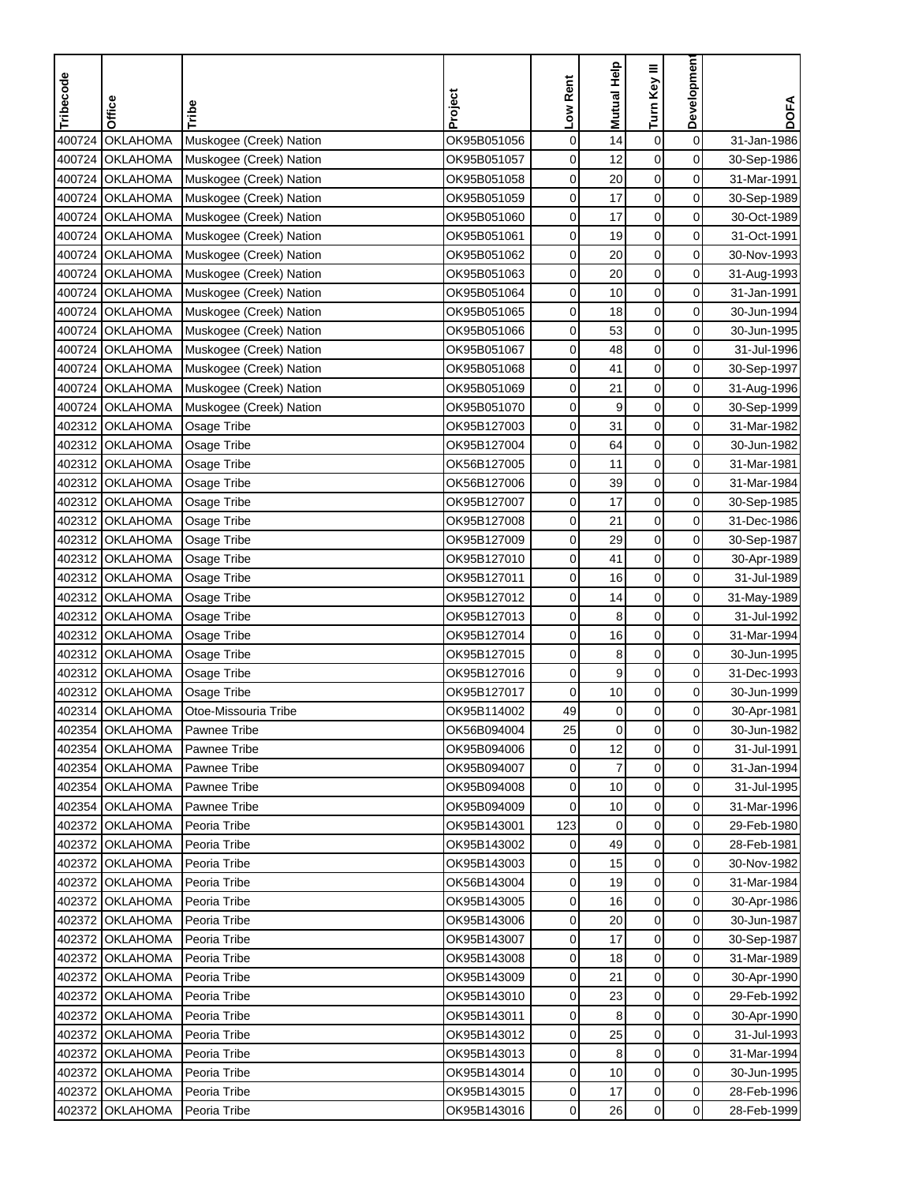| Tribecode | <b>Office</b>   | Tribe                   | Project     | Low Rent | <b>Mutual Help</b> | Turn Key III     | Developmen     | <b>DOFA</b> |
|-----------|-----------------|-------------------------|-------------|----------|--------------------|------------------|----------------|-------------|
|           |                 |                         |             |          |                    |                  |                |             |
| 400724    | <b>OKLAHOMA</b> | Muskogee (Creek) Nation | OK95B051056 | 0        | 14                 | $\boldsymbol{0}$ | 0              | 31-Jan-1986 |
| 400724    | <b>OKLAHOMA</b> | Muskogee (Creek) Nation | OK95B051057 | 0        | 12                 | $\mathbf 0$      | 0              | 30-Sep-1986 |
| 400724    | <b>OKLAHOMA</b> | Muskogee (Creek) Nation | OK95B051058 | 0        | 20                 | 0                | 0              | 31-Mar-1991 |
| 400724    | <b>OKLAHOMA</b> | Muskogee (Creek) Nation | OK95B051059 | 0        | 17                 | $\mathbf 0$      | 0              | 30-Sep-1989 |
| 400724    | <b>OKLAHOMA</b> | Muskogee (Creek) Nation | OK95B051060 | 0        | 17                 | $\boldsymbol{0}$ | 0              | 30-Oct-1989 |
| 400724    | <b>OKLAHOMA</b> | Muskogee (Creek) Nation | OK95B051061 | 0        | 19                 | $\mathbf 0$      | 0              | 31-Oct-1991 |
| 400724    | <b>OKLAHOMA</b> | Muskogee (Creek) Nation | OK95B051062 | 0        | 20                 | $\mathbf 0$      | 0              | 30-Nov-1993 |
| 400724    | <b>OKLAHOMA</b> | Muskogee (Creek) Nation | OK95B051063 | 0        | 20                 | 0                | 0              | 31-Aug-1993 |
| 400724    | <b>OKLAHOMA</b> | Muskogee (Creek) Nation | OK95B051064 | 0        | 10                 | 0                | 0              | 31-Jan-1991 |
|           | 400724 OKLAHOMA | Muskogee (Creek) Nation | OK95B051065 | 0        | 18                 | $\boldsymbol{0}$ | 0              | 30-Jun-1994 |
|           | 400724 OKLAHOMA | Muskogee (Creek) Nation | OK95B051066 | 0        | 53                 | 0                | 0              | 30-Jun-1995 |
| 400724    | <b>OKLAHOMA</b> | Muskogee (Creek) Nation | OK95B051067 | 0        | 48                 | $\mathbf 0$      | 0              | 31-Jul-1996 |
| 400724    | <b>OKLAHOMA</b> | Muskogee (Creek) Nation | OK95B051068 | 0        | 41                 | $\boldsymbol{0}$ | 0              | 30-Sep-1997 |
| 400724    | <b>OKLAHOMA</b> | Muskogee (Creek) Nation | OK95B051069 | 0        | 21                 | $\boldsymbol{0}$ | 0              | 31-Aug-1996 |
| 400724    | <b>OKLAHOMA</b> | Muskogee (Creek) Nation | OK95B051070 | 0        | 9                  | $\mathbf 0$      | 0              | 30-Sep-1999 |
| 402312    | <b>OKLAHOMA</b> | Osage Tribe             | OK95B127003 | 0        | 31                 | $\mathbf 0$      | 0              | 31-Mar-1982 |
| 402312    | <b>OKLAHOMA</b> | Osage Tribe             | OK95B127004 | 0        | 64                 | 0                | 0              | 30-Jun-1982 |
|           | 402312 OKLAHOMA | Osage Tribe             | OK56B127005 | 0        | 11                 | $\boldsymbol{0}$ | 0              | 31-Mar-1981 |
|           | 402312 OKLAHOMA | Osage Tribe             | OK56B127006 | 0        | 39                 | 0                | 0              | 31-Mar-1984 |
|           | 402312 OKLAHOMA | Osage Tribe             | OK95B127007 | 0        | 17                 | $\mathbf 0$      | 0              | 30-Sep-1985 |
| 402312    | <b>OKLAHOMA</b> | Osage Tribe             | OK95B127008 | 0        | 21                 | $\mathbf 0$      | 0              | 31-Dec-1986 |
| 402312    | <b>OKLAHOMA</b> | Osage Tribe             | OK95B127009 | 0        | 29                 | $\boldsymbol{0}$ | 0              | 30-Sep-1987 |
| 402312    | <b>OKLAHOMA</b> | Osage Tribe             | OK95B127010 | 0        | 41                 | $\boldsymbol{0}$ | 0              | 30-Apr-1989 |
| 402312    | <b>OKLAHOMA</b> | Osage Tribe             | OK95B127011 | 0        | 16                 | $\mathbf 0$      | 0              | 31-Jul-1989 |
| 402312    | <b>OKLAHOMA</b> | Osage Tribe             | OK95B127012 | 0        | 14                 | 0                | 0              | 31-May-1989 |
|           | 402312 OKLAHOMA | Osage Tribe             | OK95B127013 | 0        | 8                  | 0                | 0              | 31-Jul-1992 |
| 402312    | <b>OKLAHOMA</b> | Osage Tribe             | OK95B127014 | 0        | 16                 | $\mathbf 0$      | 0              | 31-Mar-1994 |
|           | 402312 OKLAHOMA | Osage Tribe             | OK95B127015 | 0        | 8                  | $\mathbf 0$      | 0              | 30-Jun-1995 |
| 402312    | <b>OKLAHOMA</b> | Osage Tribe             | OK95B127016 | 0        | 9                  | 0                | 0              | 31-Dec-1993 |
| 402312    | <b>OKLAHOMA</b> | Osage Tribe             | OK95B127017 | 0        | 10                 | $\pmb{0}$        | 0              | 30-Jun-1999 |
| 402314    | <b>OKLAHOMA</b> | Otoe-Missouria Tribe    | OK95B114002 | 49       | $\pmb{0}$          | $\mathbf 0$      | 0              | 30-Apr-1981 |
|           | 402354 OKLAHOMA | Pawnee Tribe            | OK56B094004 | 25       | 0                  | $\mathbf 0$      | 0              | 30-Jun-1982 |
|           | 402354 OKLAHOMA | <b>Pawnee Tribe</b>     | OK95B094006 | 0        | 12                 | $\mathbf 0$      | 0              | 31-Jul-1991 |
|           | 402354 OKLAHOMA | <b>Pawnee Tribe</b>     | OK95B094007 | 0        | 7                  | 0                | 0              | 31-Jan-1994 |
|           | 402354 OKLAHOMA | <b>Pawnee Tribe</b>     | OK95B094008 | 0        | 10                 | 0                | 0              | 31-Jul-1995 |
|           | 402354 OKLAHOMA | <b>Pawnee Tribe</b>     | OK95B094009 | 0        | 10                 | 0                | $\overline{0}$ | 31-Mar-1996 |
|           | 402372 OKLAHOMA | Peoria Tribe            | OK95B143001 | 123      | 0                  | 0                | $\overline{0}$ | 29-Feb-1980 |
| 402372    | <b>OKLAHOMA</b> | Peoria Tribe            | OK95B143002 | 0        | 49                 | 0                | $\overline{0}$ | 28-Feb-1981 |
|           | 402372 OKLAHOMA | Peoria Tribe            | OK95B143003 | 0        | 15                 | 0                | $\overline{0}$ | 30-Nov-1982 |
|           | 402372 OKLAHOMA | Peoria Tribe            | OK56B143004 | 0        | 19                 | 0                | $\overline{0}$ | 31-Mar-1984 |
|           | 402372 OKLAHOMA | Peoria Tribe            | OK95B143005 | 0        | 16                 | 0                | 0              | 30-Apr-1986 |
|           | 402372 OKLAHOMA | Peoria Tribe            | OK95B143006 | 0        | 20                 | 0                | 0              | 30-Jun-1987 |
|           | 402372 OKLAHOMA | Peoria Tribe            | OK95B143007 | 0        | 17                 | 0                | $\overline{0}$ | 30-Sep-1987 |
|           | 402372 OKLAHOMA | Peoria Tribe            | OK95B143008 | 0        | 18                 | 0                | $\overline{0}$ | 31-Mar-1989 |
|           | 402372 OKLAHOMA | Peoria Tribe            | OK95B143009 | 0        | 21                 | 0                | 0              | 30-Apr-1990 |
| 402372    | <b>OKLAHOMA</b> | Peoria Tribe            | OK95B143010 | 0        | 23                 | 0                | $\overline{0}$ | 29-Feb-1992 |
| 402372    | <b>OKLAHOMA</b> | Peoria Tribe            | OK95B143011 | 0        | 8                  | $\boldsymbol{0}$ | 0              | 30-Apr-1990 |
| 402372    | <b>OKLAHOMA</b> | Peoria Tribe            | OK95B143012 | 0        | 25                 | 0                | 0              | 31-Jul-1993 |
|           | 402372 OKLAHOMA | Peoria Tribe            | OK95B143013 | 0        | 8                  | 0                | 0              | 31-Mar-1994 |
| 402372    | <b>OKLAHOMA</b> | Peoria Tribe            | OK95B143014 | 0        | 10                 | 0                | 0              | 30-Jun-1995 |
|           | 402372 OKLAHOMA | Peoria Tribe            | OK95B143015 | 0        | 17                 | 0                | $\overline{0}$ | 28-Feb-1996 |
| 402372    | <b>OKLAHOMA</b> | Peoria Tribe            | OK95B143016 | 0        | 26                 | 0                | $\overline{0}$ | 28-Feb-1999 |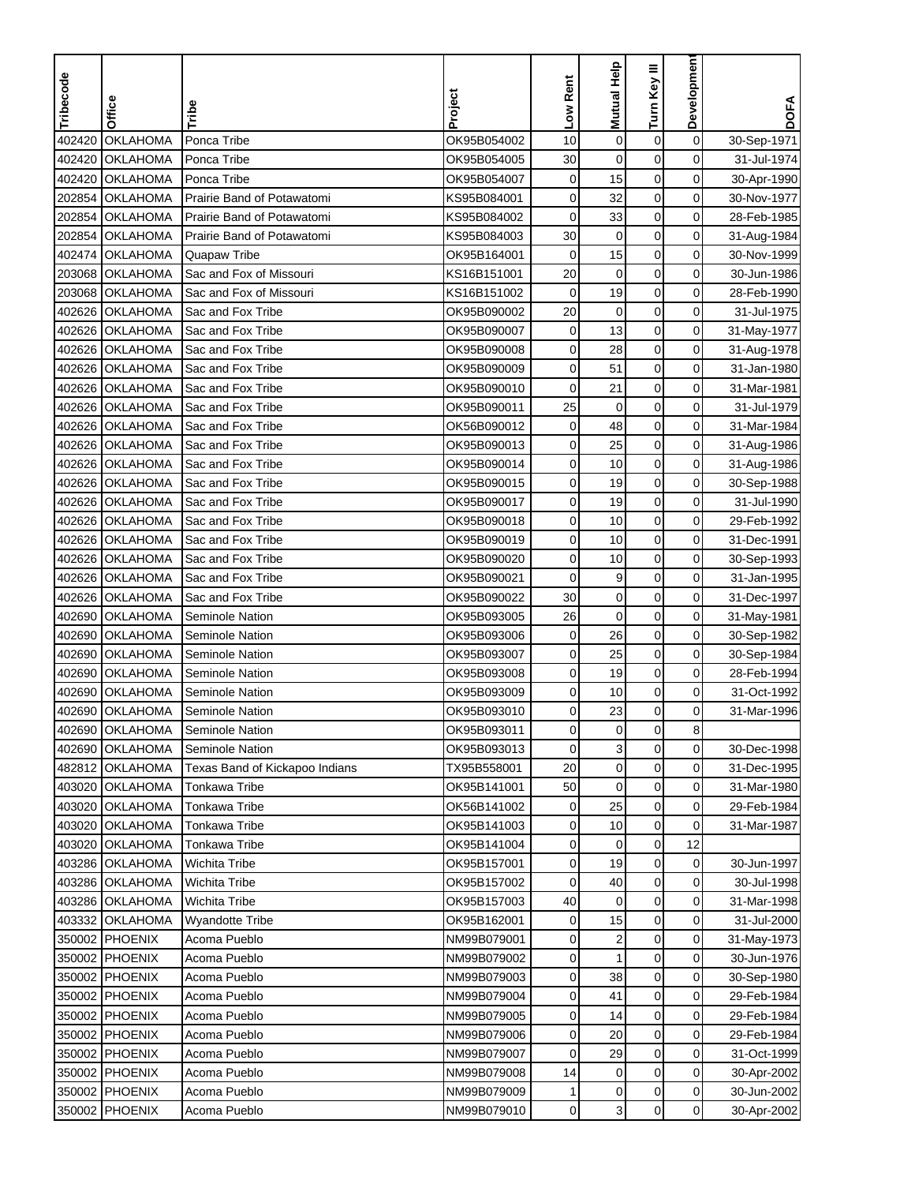| Tribecode | Office          | Tribe                          | Project     | Low Rent    | Mutual Help    | Turn Key III     | Developmen          | <b>DOFA</b> |
|-----------|-----------------|--------------------------------|-------------|-------------|----------------|------------------|---------------------|-------------|
|           |                 |                                |             |             |                |                  |                     |             |
| 402420    | <b>OKLAHOMA</b> | Ponca Tribe                    | OK95B054002 | 10          | $\mathbf 0$    | $\boldsymbol{0}$ | $\mathbf 0$         | 30-Sep-1971 |
| 402420    | <b>OKLAHOMA</b> | Ponca Tribe                    | OK95B054005 | 30          | $\mathbf 0$    | $\mathbf 0$      | 0                   | 31-Jul-1974 |
| 402420    | <b>OKLAHOMA</b> | Ponca Tribe                    | OK95B054007 | 0           | 15             | $\mathbf 0$      | 0                   | 30-Apr-1990 |
| 202854    | <b>OKLAHOMA</b> | Prairie Band of Potawatomi     | KS95B084001 | 0           | 32             | $\mathbf 0$      | 0                   | 30-Nov-1977 |
| 202854    | <b>OKLAHOMA</b> | Prairie Band of Potawatomi     | KS95B084002 | $\mathbf 0$ | 33             | $\boldsymbol{0}$ | 0                   | 28-Feb-1985 |
| 202854    | <b>OKLAHOMA</b> | Prairie Band of Potawatomi     | KS95B084003 | 30          | $\pmb{0}$      | $\mathbf 0$      | 0                   | 31-Aug-1984 |
| 402474    | <b>OKLAHOMA</b> | Quapaw Tribe                   | OK95B164001 | 0           | 15             | $\mathbf 0$      | 0                   | 30-Nov-1999 |
| 203068    | <b>OKLAHOMA</b> | Sac and Fox of Missouri        | KS16B151001 | 20          | $\mathbf 0$    | $\mathbf 0$      | 0                   | 30-Jun-1986 |
| 203068    | <b>OKLAHOMA</b> | Sac and Fox of Missouri        | KS16B151002 | 0           | 19             | 0                | 0                   | 28-Feb-1990 |
| 402626    | <b>OKLAHOMA</b> | Sac and Fox Tribe              | OK95B090002 | 20          | $\mathbf 0$    | $\mathbf 0$      | 0                   | 31-Jul-1975 |
| 402626    | OKLAHOMA        | Sac and Fox Tribe              | OK95B090007 | 0           | 13             | 0                | 0                   | 31-May-1977 |
| 402626    | <b>OKLAHOMA</b> | Sac and Fox Tribe              | OK95B090008 | 0           | 28             | $\mathbf 0$      | 0                   | 31-Aug-1978 |
| 402626    | <b>OKLAHOMA</b> | Sac and Fox Tribe              | OK95B090009 | 0           | 51             | 0                | 0                   | 31-Jan-1980 |
| 402626    | <b>OKLAHOMA</b> | Sac and Fox Tribe              | OK95B090010 | $\mathbf 0$ | 21             | $\pmb{0}$        | $\mathbf 0$         | 31-Mar-1981 |
| 402626    | <b>OKLAHOMA</b> | Sac and Fox Tribe              | OK95B090011 | 25          | 0              | $\mathbf 0$      | 0                   | 31-Jul-1979 |
| 402626    | <b>OKLAHOMA</b> | Sac and Fox Tribe              | OK56B090012 | 0           | 48             | $\mathbf 0$      | 0                   | 31-Mar-1984 |
| 402626    | <b>OKLAHOMA</b> | Sac and Fox Tribe              | OK95B090013 | 0           | 25             | $\mathbf 0$      | 0                   | 31-Aug-1986 |
| 402626    | <b>OKLAHOMA</b> | Sac and Fox Tribe              | OK95B090014 | 0           | 10             | $\mathbf 0$      | $\mathbf 0$         | 31-Aug-1986 |
|           | 402626 OKLAHOMA | Sac and Fox Tribe              | OK95B090015 | 0           | 19             | $\mathbf 0$      | 0                   | 30-Sep-1988 |
| 402626    | <b>OKLAHOMA</b> | Sac and Fox Tribe              | OK95B090017 | 0           | 19             | $\mathbf 0$      | 0                   | 31-Jul-1990 |
| 402626    | <b>OKLAHOMA</b> | Sac and Fox Tribe              | OK95B090018 | 0           | 10             | $\mathbf 0$      | 0                   | 29-Feb-1992 |
| 402626    | <b>OKLAHOMA</b> | Sac and Fox Tribe              | OK95B090019 | 0           | 10             | $\boldsymbol{0}$ | 0                   | 31-Dec-1991 |
| 402626    | <b>OKLAHOMA</b> | Sac and Fox Tribe              | OK95B090020 | 0           | 10             | $\mathbf 0$      | 0                   | 30-Sep-1993 |
| 402626    | <b>OKLAHOMA</b> | Sac and Fox Tribe              | OK95B090021 | $\mathbf 0$ | 9              | 0                | 0                   | 31-Jan-1995 |
| 402626    | <b>OKLAHOMA</b> | Sac and Fox Tribe              | OK95B090022 | 30          | $\mathbf 0$    | 0                | 0                   | 31-Dec-1997 |
| 402690    | <b>OKLAHOMA</b> | Seminole Nation                | OK95B093005 | 26          | $\mathbf 0$    | 0                | 0                   | 31-May-1981 |
| 402690    | <b>OKLAHOMA</b> | Seminole Nation                | OK95B093006 | $\mathbf 0$ | 26             | $\mathbf 0$      | $\mathbf 0$         | 30-Sep-1982 |
| 402690    | <b>OKLAHOMA</b> | Seminole Nation                | OK95B093007 | 0           | 25             | $\mathbf 0$      | 0                   | 30-Sep-1984 |
| 402690    | <b>OKLAHOMA</b> | <b>Seminole Nation</b>         | OK95B093008 | 0           | 19             | $\mathbf 0$      | 0                   | 28-Feb-1994 |
| 402690    | <b>OKLAHOMA</b> | Seminole Nation                | OK95B093009 | 0           | 10             | $\boldsymbol{0}$ | 0                   | 31-Oct-1992 |
| 402690    | <b>OKLAHOMA</b> | Seminole Nation                | OK95B093010 | 0           | 23             | $\mathbf 0$      | 0                   | 31-Mar-1996 |
|           | 402690 OKLAHOMA | Seminole Nation                | OK95B093011 | 0           | 0              | $\mathbf 0$      | 8                   |             |
|           | 402690 OKLAHOMA | Seminole Nation                | OK95B093013 | 0           | $\overline{3}$ | $\mathbf 0$      | $\mathsf{O}\xspace$ | 30-Dec-1998 |
|           | 482812 OKLAHOMA | Texas Band of Kickapoo Indians | TX95B558001 | 20          | $\pmb{0}$      | 0                | 0                   | 31-Dec-1995 |
|           | 403020 OKLAHOMA | Tonkawa Tribe                  | OK95B141001 | 50          | $\mathbf 0$    | $\boldsymbol{0}$ | 0                   | 31-Mar-1980 |
|           | 403020 OKLAHOMA | <b>Tonkawa Tribe</b>           | OK56B141002 | 0           | 25             | 0                | $\overline{0}$      | 29-Feb-1984 |
|           | 403020 OKLAHOMA | Tonkawa Tribe                  | OK95B141003 | 0           | 10             | 0                | 0                   | 31-Mar-1987 |
|           | 403020 OKLAHOMA | <b>Tonkawa Tribe</b>           | OK95B141004 | 0           | 0              | 0                | 12                  |             |
|           | 403286 OKLAHOMA | <b>Wichita Tribe</b>           | OK95B157001 | 0           | 19             | $\boldsymbol{0}$ | $\overline{0}$      | 30-Jun-1997 |
|           | 403286 OKLAHOMA | <b>Wichita Tribe</b>           | OK95B157002 | 0           | 40             | $\mathbf 0$      | 0                   | 30-Jul-1998 |
|           | 403286 OKLAHOMA | <b>Wichita Tribe</b>           | OK95B157003 | 40          | $\mathbf 0$    | $\mathbf 0$      | 0                   | 31-Mar-1998 |
|           | 403332 OKLAHOMA | <b>Wyandotte Tribe</b>         | OK95B162001 | 0           | 15             | 0                | 0                   | 31-Jul-2000 |
|           | 350002 PHOENIX  | Acoma Pueblo                   | NM99B079001 | 0           | $\overline{2}$ | 0                | 0                   | 31-May-1973 |
|           | 350002 PHOENIX  | Acoma Pueblo                   | NM99B079002 | 0           | 1              | $\mathbf 0$      | 0                   | 30-Jun-1976 |
|           | 350002 PHOENIX  | Acoma Pueblo                   | NM99B079003 | 0           | 38             | 0                | 0                   | 30-Sep-1980 |
|           | 350002 PHOENIX  | Acoma Pueblo                   | NM99B079004 | 0           | 41             | 0                | 0                   | 29-Feb-1984 |
|           | 350002 PHOENIX  | Acoma Pueblo                   | NM99B079005 | 0           | 14             | $\boldsymbol{0}$ | 0                   | 29-Feb-1984 |
|           | 350002 PHOENIX  | Acoma Pueblo                   | NM99B079006 | 0           | 20             | 0                | 0                   | 29-Feb-1984 |
|           | 350002 PHOENIX  | Acoma Pueblo                   | NM99B079007 | 0           | 29             | $\mathbf 0$      | 0                   | 31-Oct-1999 |
|           | 350002 PHOENIX  | Acoma Pueblo                   | NM99B079008 | 14          | 0              | 0                | 0                   | 30-Apr-2002 |
|           | 350002 PHOENIX  | Acoma Pueblo                   | NM99B079009 | 1           | 0              | 0                | $\mathbf 0$         | 30-Jun-2002 |
|           | 350002 PHOENIX  | Acoma Pueblo                   | NM99B079010 | 0           | 3              | 0                | $\overline{0}$      | 30-Apr-2002 |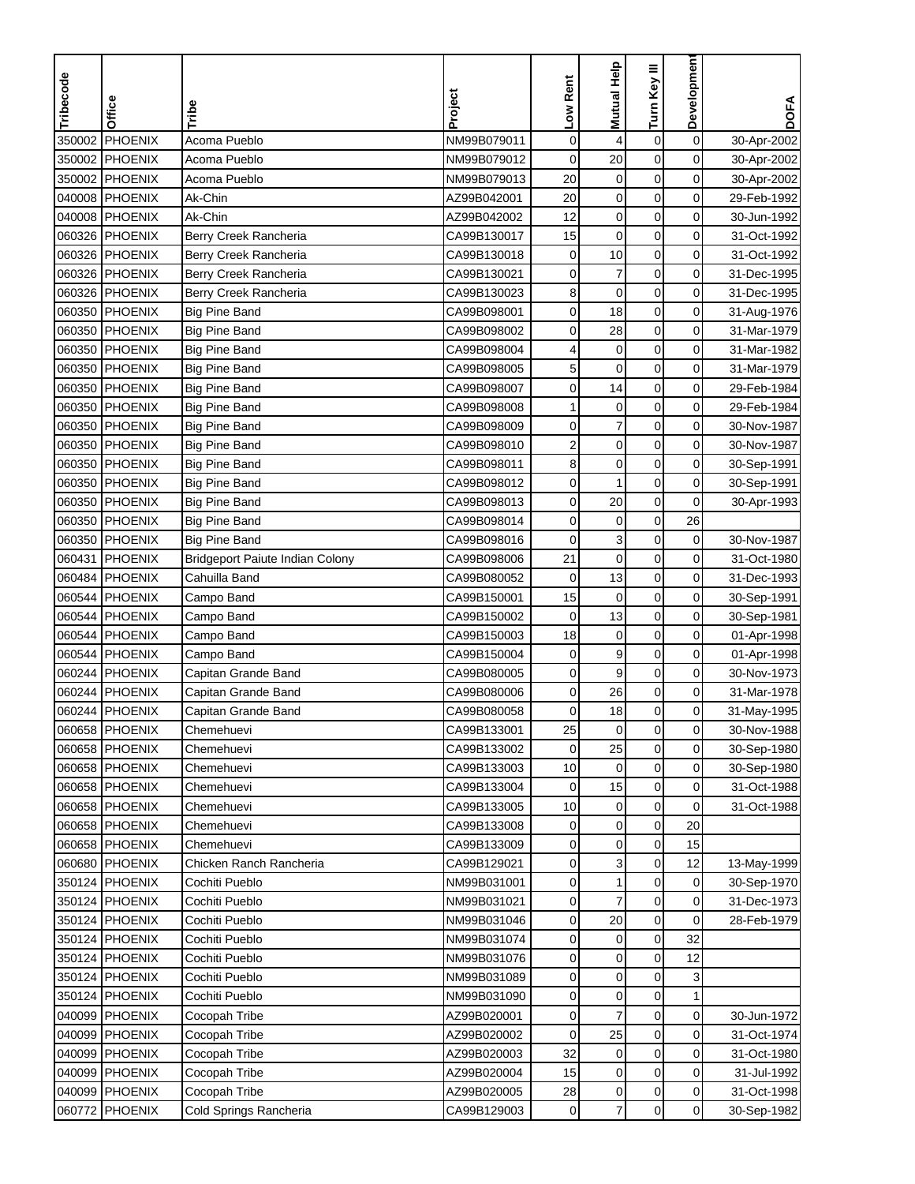| Tribecode | Office         | Tribe                                  | Project     | Low Rent    | Mutual Help      | Turn Key III     | <b>Developmen</b>   | <b>DOFA</b> |
|-----------|----------------|----------------------------------------|-------------|-------------|------------------|------------------|---------------------|-------------|
|           |                |                                        |             |             |                  |                  |                     |             |
| 350002    | <b>PHOENIX</b> | Acoma Pueblo                           | NM99B079011 | $\mathbf 0$ | 4                | $\boldsymbol{0}$ | $\mathbf 0$         | 30-Apr-2002 |
| 350002    | PHOENIX        | Acoma Pueblo                           | NM99B079012 | $\mathbf 0$ | 20               | $\mathbf 0$      | 0                   | 30-Apr-2002 |
| 350002    | PHOENIX        | Acoma Pueblo                           | NM99B079013 | 20          | 0                | $\mathbf 0$      | 0                   | 30-Apr-2002 |
| 040008    | PHOENIX        | Ak-Chin                                | AZ99B042001 | 20          | $\mathbf 0$      | $\mathbf 0$      | 0                   | 29-Feb-1992 |
| 040008    | PHOENIX        | Ak-Chin                                | AZ99B042002 | 12          | $\mathbf 0$      | $\boldsymbol{0}$ | 0                   | 30-Jun-1992 |
| 060326    | PHOENIX        | Berry Creek Rancheria                  | CA99B130017 | 15          | $\boldsymbol{0}$ | $\pmb{0}$        | 0                   | 31-Oct-1992 |
|           | 060326 PHOENIX | Berry Creek Rancheria                  | CA99B130018 | 0           | 10               | $\boldsymbol{0}$ | 0                   | 31-Oct-1992 |
|           | 060326 PHOENIX | Berry Creek Rancheria                  | CA99B130021 | 0           | $\overline{7}$   | $\pmb{0}$        | 0                   | 31-Dec-1995 |
|           | 060326 PHOENIX | Berry Creek Rancheria                  | CA99B130023 | 8           | $\pmb{0}$        | 0                | 0                   | 31-Dec-1995 |
|           | 060350 PHOENIX | <b>Big Pine Band</b>                   | CA99B098001 | 0           | 18               | $\pmb{0}$        | $\mathbf 0$         | 31-Aug-1976 |
| 060350    | PHOENIX        | <b>Big Pine Band</b>                   | CA99B098002 | 0           | 28               | $\pmb{0}$        | $\mathbf 0$         | 31-Mar-1979 |
|           | 060350 PHOENIX | <b>Big Pine Band</b>                   | CA99B098004 | 4           | $\mathbf 0$      | $\mathbf 0$      | 0                   | 31-Mar-1982 |
| 060350    | PHOENIX        | <b>Big Pine Band</b>                   | CA99B098005 | 5           | $\mathbf 0$      | $\pmb{0}$        | $\mathbf 0$         | 31-Mar-1979 |
|           | 060350 PHOENIX | <b>Big Pine Band</b>                   | CA99B098007 | 0           | 14               | $\mathbf 0$      | $\mathbf 0$         | 29-Feb-1984 |
| 060350    | PHOENIX        | <b>Big Pine Band</b>                   | CA99B098008 | 1           | $\pmb{0}$        | $\pmb{0}$        | 0                   | 29-Feb-1984 |
|           | 060350 PHOENIX | <b>Big Pine Band</b>                   | CA99B098009 | 0           | $\overline{7}$   | $\boldsymbol{0}$ | 0                   | 30-Nov-1987 |
| 060350    | PHOENIX        | <b>Big Pine Band</b>                   | CA99B098010 | 2           | $\mathbf 0$      | 0                | 0                   | 30-Nov-1987 |
|           | 060350 PHOENIX | <b>Big Pine Band</b>                   | CA99B098011 | 8           | $\pmb{0}$        | $\mathbf 0$      | $\mathbf 0$         | 30-Sep-1991 |
| 060350    | PHOENIX        | <b>Big Pine Band</b>                   | CA99B098012 | 0           | 1                | $\mathbf 0$      | $\mathbf 0$         | 30-Sep-1991 |
|           | 060350 PHOENIX | <b>Big Pine Band</b>                   | CA99B098013 | 0           | 20               | $\mathbf 0$      | 0                   | 30-Apr-1993 |
| 060350    | PHOENIX        | <b>Big Pine Band</b>                   | CA99B098014 | 0           | $\mathbf 0$      | $\pmb{0}$        | 26                  |             |
| 060350    | PHOENIX        | <b>Big Pine Band</b>                   | CA99B098016 | 0           | 3                | $\pmb{0}$        | 0                   | 30-Nov-1987 |
| 060431    | <b>PHOENIX</b> | <b>Bridgeport Paiute Indian Colony</b> | CA99B098006 | 21          | $\pmb{0}$        | $\mathbf 0$      | 0                   | 31-Oct-1980 |
|           | 060484 PHOENIX | Cahuilla Band                          | CA99B080052 | $\mathbf 0$ | 13               | $\mathbf 0$      | 0                   | 31-Dec-1993 |
| 060544    | PHOENIX        | Campo Band                             | CA99B150001 | 15          | $\pmb{0}$        | 0                | 0                   | 30-Sep-1991 |
| 060544    | PHOENIX        | Campo Band                             | CA99B150002 | $\mathbf 0$ | 13               | 0                | $\mathbf 0$         | 30-Sep-1981 |
|           | 060544 PHOENIX | Campo Band                             | CA99B150003 | 18          | $\mathbf 0$      | $\mathbf 0$      | 0                   | 01-Apr-1998 |
|           | 060544 PHOENIX | Campo Band                             | CA99B150004 | 0           | 9                | $\mathbf 0$      | 0                   | 01-Apr-1998 |
|           | 060244 PHOENIX | Capitan Grande Band                    | CA99B080005 | 0           | 9                | $\mathbf 0$      | 0                   | 30-Nov-1973 |
| 060244    | PHOENIX        | Capitan Grande Band                    | CA99B080006 | 0           | 26               | $\pmb{0}$        | $\mathbf 0$         | 31-Mar-1978 |
|           | 060244 PHOENIX | Capitan Grande Band                    | CA99B080058 | 0           | 18               | $\mathbf 0$      | 0                   | 31-May-1995 |
|           | 060658 PHOENIX | Chemehuevi                             | CA99B133001 | 25          | 0                | 0                | 0                   | 30-Nov-1988 |
|           | 060658 PHOENIX | Chemehuevi                             | CA99B133002 | $\mathbf 0$ | 25               | $\mathbf 0$      | $\mathsf{O}\xspace$ | 30-Sep-1980 |
|           | 060658 PHOENIX | Chemehuevi                             | CA99B133003 | 10          | $\mathbf 0$      | 0                | $\mathbf 0$         | 30-Sep-1980 |
|           | 060658 PHOENIX | Chemehuevi                             | CA99B133004 | 0           | 15               | $\pmb{0}$        | 0                   | 31-Oct-1988 |
|           | 060658 PHOENIX | Chemehuevi                             | CA99B133005 | 10          | 0                | 0                | 0                   | 31-Oct-1988 |
|           | 060658 PHOENIX | Chemehuevi                             | CA99B133008 | 0           | $\pmb{0}$        | $\pmb{0}$        | 20                  |             |
|           | 060658 PHOENIX | Chemehuevi                             | CA99B133009 | 0           | $\pmb{0}$        | 0                | 15                  |             |
|           | 060680 PHOENIX | Chicken Ranch Rancheria                | CA99B129021 | 0           | 3                | $\pmb{0}$        | 12                  | 13-May-1999 |
|           | 350124 PHOENIX | Cochiti Pueblo                         | NM99B031001 | 0           | 1                | $\mathbf 0$      | 0                   | 30-Sep-1970 |
|           | 350124 PHOENIX | Cochiti Pueblo                         | NM99B031021 | 0           | $\overline{7}$   | $\boldsymbol{0}$ | 0                   | 31-Dec-1973 |
|           | 350124 PHOENIX | Cochiti Pueblo                         | NM99B031046 | 0           | 20               | $\pmb{0}$        | 0                   | 28-Feb-1979 |
|           | 350124 PHOENIX | Cochiti Pueblo                         | NM99B031074 | 0           | $\mathbf 0$      | $\pmb{0}$        | 32                  |             |
|           | 350124 PHOENIX | Cochiti Pueblo                         | NM99B031076 | 0           | $\mathbf 0$      | $\mathbf 0$      | 12                  |             |
|           | 350124 PHOENIX | Cochiti Pueblo                         | NM99B031089 | 0           | 0                | 0                | 3                   |             |
|           | 350124 PHOENIX | Cochiti Pueblo                         | NM99B031090 | 0           | $\mathbf 0$      | 0                | 1                   |             |
|           | 040099 PHOENIX | Cocopah Tribe                          | AZ99B020001 | 0           | $\overline{7}$   | 0                | 0                   | 30-Jun-1972 |
|           | 040099 PHOENIX | Cocopah Tribe                          | AZ99B020002 | 0           | 25               | 0                | 0                   | 31-Oct-1974 |
|           | 040099 PHOENIX | Cocopah Tribe                          | AZ99B020003 | 32          | 0                | $\mathbf 0$      | 0                   | 31-Oct-1980 |
|           | 040099 PHOENIX | Cocopah Tribe                          | AZ99B020004 | 15          | $\mathbf 0$      | 0                | 0                   | 31-Jul-1992 |
|           | 040099 PHOENIX | Cocopah Tribe                          | AZ99B020005 | 28          | 0                | 0                | $\mathbf 0$         | 31-Oct-1998 |
| 060772    | PHOENIX        | Cold Springs Rancheria                 | CA99B129003 | 0           | $\overline{7}$   | $\pmb{0}$        | $\overline{0}$      | 30-Sep-1982 |
|           |                |                                        |             |             |                  |                  |                     |             |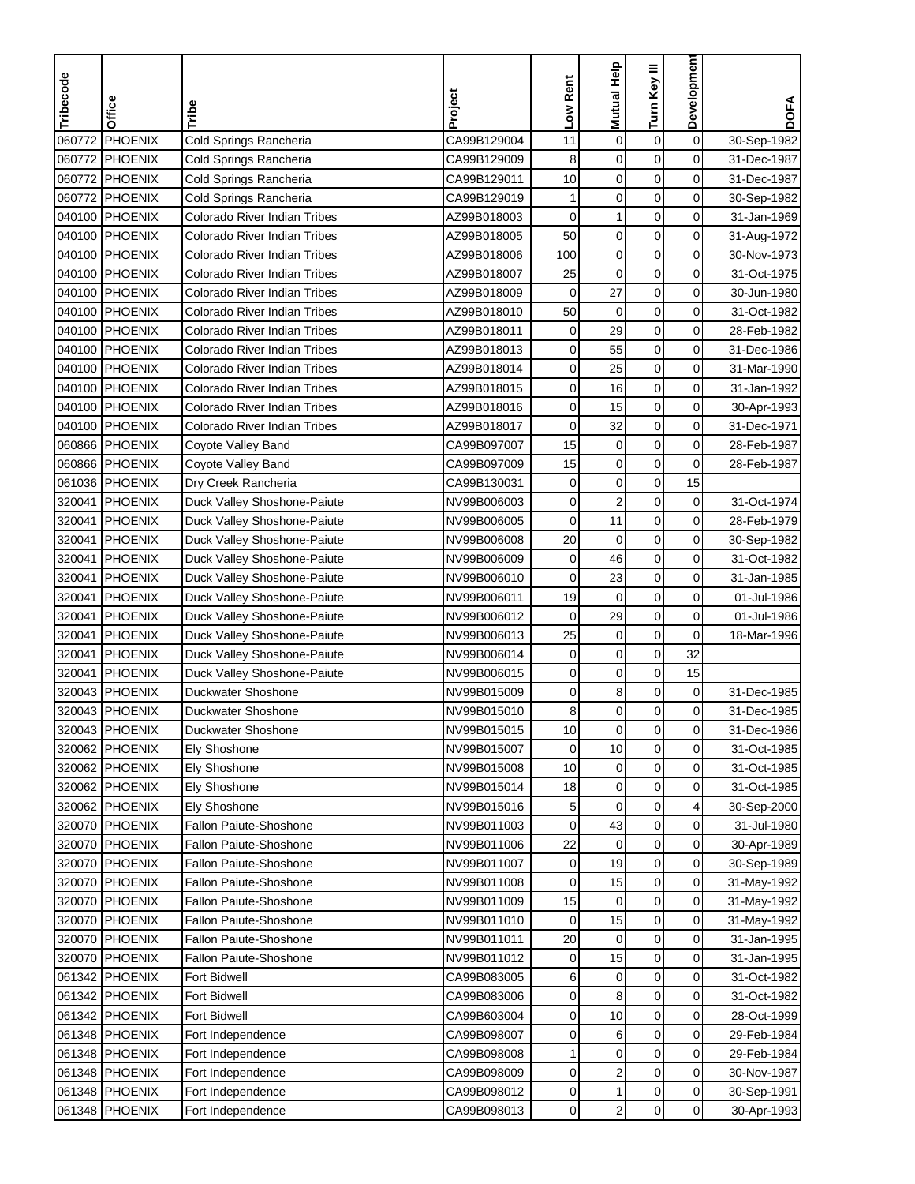| PHOENIX<br>$\mathbf 0$<br>Cold Springs Rancheria<br>CA99B129004<br>$\mathbf 0$<br>$\boldsymbol{0}$<br>060772<br>11<br>30-Sep-1982<br>$\mathbf 0$<br>PHOENIX<br>8<br>$\mathbf 0$<br>$\mathbf 0$<br>060772<br>Cold Springs Rancheria<br>CA99B129009<br>31-Dec-1987<br>$\mathbf 0$<br>060772 PHOENIX<br>$\mathbf 0$<br>$\mathbf 0$<br>Cold Springs Rancheria<br>CA99B129011<br>10<br>31-Dec-1987<br>$\mathbf 0$<br>$\mathbf 0$<br>0<br>PHOENIX<br>CA99B129019<br>1<br>060772<br>Cold Springs Rancheria<br>30-Sep-1982<br>$\mathbf 0$<br>$\mathbf 0$<br>0<br>040100 PHOENIX<br>1<br>Colorado River Indian Tribes<br>AZ99B018003<br>31-Jan-1969<br>50<br>$\pmb{0}$<br>040100 PHOENIX<br>Colorado River Indian Tribes<br>$\mathbf 0$<br>0<br>AZ99B018005<br>31-Aug-1972<br>$\mathbf 0$<br>$\mathbf 0$<br>$\mathbf 0$<br>100<br>040100 PHOENIX<br>Colorado River Indian Tribes<br>30-Nov-1973<br>AZ99B018006<br>$\mathbf 0$<br>040100 PHOENIX<br>Colorado River Indian Tribes<br>25<br>$\mathbf 0$<br>0<br>AZ99B018007<br>31-Oct-1975<br>0<br>040100 PHOENIX<br>$\mathbf 0$<br>27<br>0<br>Colorado River Indian Tribes<br>AZ99B018009<br>30-Jun-1980<br>$\mathbf 0$<br>0<br>040100 PHOENIX<br>Colorado River Indian Tribes<br>AZ99B018010<br>50<br>$\mathbf 0$<br>31-Oct-1982<br>PHOENIX<br>29<br>$\mathbf 0$<br>0<br>040100<br>Colorado River Indian Tribes<br>AZ99B018011<br>0<br>28-Feb-1982<br>$\mathbf 0$<br>040100 PHOENIX<br>0<br>55<br>0<br>Colorado River Indian Tribes<br>AZ99B018013<br>31-Dec-1986<br>$\mathbf 0$<br>0<br>25<br>0<br>040100 PHOENIX<br>Colorado River Indian Tribes<br>AZ99B018014<br>31-Mar-1990<br>$\pmb{0}$<br>16<br>$\mathbf 0$<br>040100 PHOENIX<br>Colorado River Indian Tribes<br>0<br>AZ99B018015<br>31-Jan-1992<br>$\mathbf 0$<br>$\mathbf 0$<br>15<br>040100<br><b>PHOENIX</b><br>Colorado River Indian Tribes<br>AZ99B018016<br>0<br>30-Apr-1993<br>$\mathbf 0$<br>040100 PHOENIX<br>32<br>0<br>Colorado River Indian Tribes<br>AZ99B018017<br>0<br>31-Dec-1971<br>$\mathbf 0$<br>0<br>060866 PHOENIX<br>CA99B097007<br>15<br>$\mathbf 0$<br>28-Feb-1987<br>Coyote Valley Band<br>$\mathbf 0$<br>$\mathbf 0$<br>0<br>060866 PHOENIX<br>CA99B097009<br>15<br>28-Feb-1987<br>Coyote Valley Band<br>061036 PHOENIX<br>CA99B130031<br>$\mathbf 0$<br>$\mathbf 0$<br>15<br>Dry Creek Rancheria<br>0<br>$\overline{\mathbf{c}}$<br>$\mathbf 0$<br>0<br>320041<br><b>PHOENIX</b><br>Duck Valley Shoshone-Paiute<br>NV99B006003<br>0<br>31-Oct-1974<br>11<br>0<br>320041<br>$\mathbf 0$<br>$\mathbf 0$<br><b>PHOENIX</b><br>NV99B006005<br>28-Feb-1979<br>Duck Valley Shoshone-Paiute<br>20<br>$\pmb{0}$<br>$\mathbf 0$<br>0<br>320041<br>PHOENIX<br>Duck Valley Shoshone-Paiute<br>NV99B006008<br>30-Sep-1982<br>$\pmb{0}$<br>$\mathbf 0$<br>$\mathbf 0$<br>46<br>320041<br><b>PHOENIX</b><br>NV99B006009<br>Duck Valley Shoshone-Paiute<br>31-Oct-1982<br>$\mathbf 0$<br>23<br>0<br>320041<br><b>PHOENIX</b><br>Duck Valley Shoshone-Paiute<br>NV99B006010<br>0<br>31-Jan-1985<br>19<br>$\mathbf 0$<br>$\mathbf 0$<br>0<br>320041<br>PHOENIX<br>Duck Valley Shoshone-Paiute<br>NV99B006011<br>01-Jul-1986<br>$\pmb{0}$<br>0<br>320041<br>PHOENIX<br>NV99B006012<br>$\mathbf 0$<br>29<br>01-Jul-1986<br>Duck Valley Shoshone-Paiute<br>0<br>PHOENIX<br>25<br>$\mathbf 0$<br>$\mathbf 0$<br>320041<br>Duck Valley Shoshone-Paiute<br>NV99B006013<br>18-Mar-1996<br>$\mathbf 0$<br>$\mathbf 0$<br>32<br>320041<br><b>PHOENIX</b><br>Duck Valley Shoshone-Paiute<br>NV99B006014<br>0<br>$\boldsymbol{0}$<br>15<br>0<br>320041<br>PHOENIX<br>Duck Valley Shoshone-Paiute<br>NV99B006015<br>0<br>8<br>$\pmb{0}$<br>0<br>0<br>320043<br>PHOENIX<br>Duckwater Shoshone<br>NV99B015009<br>31-Dec-1985<br>$\mathbf 0$<br>$\mathbf 0$<br>320043 PHOENIX<br>0<br>Duckwater Shoshone<br>NV99B015010<br>8<br>31-Dec-1985<br>320043  PHOENIX<br>Duckwater Shoshone<br>NV99B015015<br>10<br>0<br>0<br>0<br>31-Dec-1986<br>$\mathbf 0$<br>$\mathbf 0$<br>10<br>320062 PHOENIX<br>NV99B015007<br>$\mathbf 0$<br>31-Oct-1985<br>Ely Shoshone<br>320062 PHOENIX<br>$\mathbf 0$<br>0<br>0<br>NV99B015008<br>10<br>31-Oct-1985<br>Ely Shoshone<br>$\boldsymbol{0}$<br>$\pmb{0}$<br>320062 PHOENIX<br>NV99B015014<br>0<br>31-Oct-1985<br>Ely Shoshone<br>18<br>$\mathbf 0$<br>320062 PHOENIX<br>NV99B015016<br>0<br>4<br>30-Sep-2000<br>Ely Shoshone<br>5<br>$\pmb{0}$<br>43<br>0<br>320070 PHOENIX<br>Fallon Paiute-Shoshone<br>NV99B011003<br>0<br>31-Jul-1980<br>22<br>$\mathbf 0$<br>0<br>0<br>320070 PHOENIX<br>Fallon Paiute-Shoshone<br>NV99B011006<br>30-Apr-1989<br>$\pmb{0}$<br>19<br>$\overline{0}$<br>320070 PHOENIX<br>Fallon Paiute-Shoshone<br>NV99B011007<br>0<br>30-Sep-1989<br>$\pmb{0}$<br>0<br>320070<br>PHOENIX<br>Fallon Paiute-Shoshone<br>NV99B011008<br>15<br>0<br>31-May-1992<br>$\boldsymbol{0}$<br>NV99B011009<br>$\mathbf 0$<br>0<br>320070 PHOENIX<br>Fallon Paiute-Shoshone<br>15<br>31-May-1992<br>$\pmb{0}$<br>$\mathbf 0$<br>320070 PHOENIX<br>Fallon Paiute-Shoshone<br>NV99B011010<br>15<br>0<br>31-May-1992<br>$\mathbf 0$<br>$\pmb{0}$<br>$\mathbf 0$<br>320070 PHOENIX<br>Fallon Paiute-Shoshone<br>NV99B011011<br>20<br>31-Jan-1995<br>320070 PHOENIX<br>NV99B011012<br>15<br>$\mathbf 0$<br>0<br>Fallon Paiute-Shoshone<br>0<br>31-Jan-1995<br>$\mathbf 0$<br>061342 PHOENIX<br>Fort Bidwell<br>CA99B083005<br>6<br>0<br>0<br>31-Oct-1982<br>8<br>0<br>0<br>061342 PHOENIX<br>Fort Bidwell<br>CA99B083006<br>0<br>31-Oct-1982<br>10<br>$\pmb{0}$<br>061342 PHOENIX<br><b>Fort Bidwell</b><br>CA99B603004<br>0<br>0<br>28-Oct-1999<br>$\mathbf 0$<br>0<br>061348 PHOENIX<br>CA99B098007<br>6<br>29-Feb-1984<br>Fort Independence<br>0<br>$\mathbf 0$<br>$\pmb{0}$<br>0<br>061348 PHOENIX<br>Fort Independence<br>CA99B098008<br>29-Feb-1984<br>1<br>$\overline{\mathbf{c}}$<br>CA99B098009<br>0<br>0<br>061348 PHOENIX<br>0<br>30-Nov-1987<br>Fort Independence<br>$\pmb{0}$<br>$\mathbf 0$<br>061348 PHOENIX<br>Fort Independence<br>CA99B098012<br>0<br>1<br>30-Sep-1991<br>0<br>061348 PHOENIX | Tribecode | Office | Tribe             | Project     | Low Rent | Mutual Help    | Turn Key III | <b>Developmen</b> | <b>DOFA</b> |
|----------------------------------------------------------------------------------------------------------------------------------------------------------------------------------------------------------------------------------------------------------------------------------------------------------------------------------------------------------------------------------------------------------------------------------------------------------------------------------------------------------------------------------------------------------------------------------------------------------------------------------------------------------------------------------------------------------------------------------------------------------------------------------------------------------------------------------------------------------------------------------------------------------------------------------------------------------------------------------------------------------------------------------------------------------------------------------------------------------------------------------------------------------------------------------------------------------------------------------------------------------------------------------------------------------------------------------------------------------------------------------------------------------------------------------------------------------------------------------------------------------------------------------------------------------------------------------------------------------------------------------------------------------------------------------------------------------------------------------------------------------------------------------------------------------------------------------------------------------------------------------------------------------------------------------------------------------------------------------------------------------------------------------------------------------------------------------------------------------------------------------------------------------------------------------------------------------------------------------------------------------------------------------------------------------------------------------------------------------------------------------------------------------------------------------------------------------------------------------------------------------------------------------------------------------------------------------------------------------------------------------------------------------------------------------------------------------------------------------------------------------------------------------------------------------------------------------------------------------------------------------------------------------------------------------------------------------------------------------------------------------------------------------------------------------------------------------------------------------------------------------------------------------------------------------------------------------------------------------------------------------------------------------------------------------------------------------------------------------------------------------------------------------------------------------------------------------------------------------------------------------------------------------------------------------------------------------------------------------------------------------------------------------------------------------------------------------------------------------------------------------------------------------------------------------------------------------------------------------------------------------------------------------------------------------------------------------------------------------------------------------------------------------------------------------------------------------------------------------------------------------------------------------------------------------------------------------------------------------------------------------------------------------------------------------------------------------------------------------------------------------------------------------------------------------------------------------------------------------------------------------------------------------------------------------------------------------------------------------------------------------------------------------------------------------------------------------------------------------------------------------------------------------------------------------------------------------------------------------------------------------------------------------------------------------------------------------------------------------------------------------------------------------------------------------------------------------------------------------------------------------------------------------------------------------------------------------------------------------------------------------------------------------------------------------------------------------------------------------------------------------------------------------------------------------------------------------------------------------------------------------------------------------------------------------------------------------------------------------------------------------------------------------------------------------------------------------------------------------------------------------------------------------------------------------------------------------------------------------------------------------------------------------------------------------------------------------------------------------------------------------------------------------------------|-----------|--------|-------------------|-------------|----------|----------------|--------------|-------------------|-------------|
|                                                                                                                                                                                                                                                                                                                                                                                                                                                                                                                                                                                                                                                                                                                                                                                                                                                                                                                                                                                                                                                                                                                                                                                                                                                                                                                                                                                                                                                                                                                                                                                                                                                                                                                                                                                                                                                                                                                                                                                                                                                                                                                                                                                                                                                                                                                                                                                                                                                                                                                                                                                                                                                                                                                                                                                                                                                                                                                                                                                                                                                                                                                                                                                                                                                                                                                                                                                                                                                                                                                                                                                                                                                                                                                                                                                                                                                                                                                                                                                                                                                                                                                                                                                                                                                                                                                                                                                                                                                                                                                                                                                                                                                                                                                                                                                                                                                                                                                                                                                                                                                                                                                                                                                                                                                                                                                                                                                                                                                                                                                                                                                                                                                                                                                                                                                                                                                                                                                                                                                                                                              |           |        |                   |             |          |                |              |                   |             |
|                                                                                                                                                                                                                                                                                                                                                                                                                                                                                                                                                                                                                                                                                                                                                                                                                                                                                                                                                                                                                                                                                                                                                                                                                                                                                                                                                                                                                                                                                                                                                                                                                                                                                                                                                                                                                                                                                                                                                                                                                                                                                                                                                                                                                                                                                                                                                                                                                                                                                                                                                                                                                                                                                                                                                                                                                                                                                                                                                                                                                                                                                                                                                                                                                                                                                                                                                                                                                                                                                                                                                                                                                                                                                                                                                                                                                                                                                                                                                                                                                                                                                                                                                                                                                                                                                                                                                                                                                                                                                                                                                                                                                                                                                                                                                                                                                                                                                                                                                                                                                                                                                                                                                                                                                                                                                                                                                                                                                                                                                                                                                                                                                                                                                                                                                                                                                                                                                                                                                                                                                                              |           |        |                   |             |          |                |              |                   |             |
|                                                                                                                                                                                                                                                                                                                                                                                                                                                                                                                                                                                                                                                                                                                                                                                                                                                                                                                                                                                                                                                                                                                                                                                                                                                                                                                                                                                                                                                                                                                                                                                                                                                                                                                                                                                                                                                                                                                                                                                                                                                                                                                                                                                                                                                                                                                                                                                                                                                                                                                                                                                                                                                                                                                                                                                                                                                                                                                                                                                                                                                                                                                                                                                                                                                                                                                                                                                                                                                                                                                                                                                                                                                                                                                                                                                                                                                                                                                                                                                                                                                                                                                                                                                                                                                                                                                                                                                                                                                                                                                                                                                                                                                                                                                                                                                                                                                                                                                                                                                                                                                                                                                                                                                                                                                                                                                                                                                                                                                                                                                                                                                                                                                                                                                                                                                                                                                                                                                                                                                                                                              |           |        |                   |             |          |                |              |                   |             |
|                                                                                                                                                                                                                                                                                                                                                                                                                                                                                                                                                                                                                                                                                                                                                                                                                                                                                                                                                                                                                                                                                                                                                                                                                                                                                                                                                                                                                                                                                                                                                                                                                                                                                                                                                                                                                                                                                                                                                                                                                                                                                                                                                                                                                                                                                                                                                                                                                                                                                                                                                                                                                                                                                                                                                                                                                                                                                                                                                                                                                                                                                                                                                                                                                                                                                                                                                                                                                                                                                                                                                                                                                                                                                                                                                                                                                                                                                                                                                                                                                                                                                                                                                                                                                                                                                                                                                                                                                                                                                                                                                                                                                                                                                                                                                                                                                                                                                                                                                                                                                                                                                                                                                                                                                                                                                                                                                                                                                                                                                                                                                                                                                                                                                                                                                                                                                                                                                                                                                                                                                                              |           |        |                   |             |          |                |              |                   |             |
|                                                                                                                                                                                                                                                                                                                                                                                                                                                                                                                                                                                                                                                                                                                                                                                                                                                                                                                                                                                                                                                                                                                                                                                                                                                                                                                                                                                                                                                                                                                                                                                                                                                                                                                                                                                                                                                                                                                                                                                                                                                                                                                                                                                                                                                                                                                                                                                                                                                                                                                                                                                                                                                                                                                                                                                                                                                                                                                                                                                                                                                                                                                                                                                                                                                                                                                                                                                                                                                                                                                                                                                                                                                                                                                                                                                                                                                                                                                                                                                                                                                                                                                                                                                                                                                                                                                                                                                                                                                                                                                                                                                                                                                                                                                                                                                                                                                                                                                                                                                                                                                                                                                                                                                                                                                                                                                                                                                                                                                                                                                                                                                                                                                                                                                                                                                                                                                                                                                                                                                                                                              |           |        |                   |             |          |                |              |                   |             |
|                                                                                                                                                                                                                                                                                                                                                                                                                                                                                                                                                                                                                                                                                                                                                                                                                                                                                                                                                                                                                                                                                                                                                                                                                                                                                                                                                                                                                                                                                                                                                                                                                                                                                                                                                                                                                                                                                                                                                                                                                                                                                                                                                                                                                                                                                                                                                                                                                                                                                                                                                                                                                                                                                                                                                                                                                                                                                                                                                                                                                                                                                                                                                                                                                                                                                                                                                                                                                                                                                                                                                                                                                                                                                                                                                                                                                                                                                                                                                                                                                                                                                                                                                                                                                                                                                                                                                                                                                                                                                                                                                                                                                                                                                                                                                                                                                                                                                                                                                                                                                                                                                                                                                                                                                                                                                                                                                                                                                                                                                                                                                                                                                                                                                                                                                                                                                                                                                                                                                                                                                                              |           |        |                   |             |          |                |              |                   |             |
|                                                                                                                                                                                                                                                                                                                                                                                                                                                                                                                                                                                                                                                                                                                                                                                                                                                                                                                                                                                                                                                                                                                                                                                                                                                                                                                                                                                                                                                                                                                                                                                                                                                                                                                                                                                                                                                                                                                                                                                                                                                                                                                                                                                                                                                                                                                                                                                                                                                                                                                                                                                                                                                                                                                                                                                                                                                                                                                                                                                                                                                                                                                                                                                                                                                                                                                                                                                                                                                                                                                                                                                                                                                                                                                                                                                                                                                                                                                                                                                                                                                                                                                                                                                                                                                                                                                                                                                                                                                                                                                                                                                                                                                                                                                                                                                                                                                                                                                                                                                                                                                                                                                                                                                                                                                                                                                                                                                                                                                                                                                                                                                                                                                                                                                                                                                                                                                                                                                                                                                                                                              |           |        |                   |             |          |                |              |                   |             |
|                                                                                                                                                                                                                                                                                                                                                                                                                                                                                                                                                                                                                                                                                                                                                                                                                                                                                                                                                                                                                                                                                                                                                                                                                                                                                                                                                                                                                                                                                                                                                                                                                                                                                                                                                                                                                                                                                                                                                                                                                                                                                                                                                                                                                                                                                                                                                                                                                                                                                                                                                                                                                                                                                                                                                                                                                                                                                                                                                                                                                                                                                                                                                                                                                                                                                                                                                                                                                                                                                                                                                                                                                                                                                                                                                                                                                                                                                                                                                                                                                                                                                                                                                                                                                                                                                                                                                                                                                                                                                                                                                                                                                                                                                                                                                                                                                                                                                                                                                                                                                                                                                                                                                                                                                                                                                                                                                                                                                                                                                                                                                                                                                                                                                                                                                                                                                                                                                                                                                                                                                                              |           |        |                   |             |          |                |              |                   |             |
|                                                                                                                                                                                                                                                                                                                                                                                                                                                                                                                                                                                                                                                                                                                                                                                                                                                                                                                                                                                                                                                                                                                                                                                                                                                                                                                                                                                                                                                                                                                                                                                                                                                                                                                                                                                                                                                                                                                                                                                                                                                                                                                                                                                                                                                                                                                                                                                                                                                                                                                                                                                                                                                                                                                                                                                                                                                                                                                                                                                                                                                                                                                                                                                                                                                                                                                                                                                                                                                                                                                                                                                                                                                                                                                                                                                                                                                                                                                                                                                                                                                                                                                                                                                                                                                                                                                                                                                                                                                                                                                                                                                                                                                                                                                                                                                                                                                                                                                                                                                                                                                                                                                                                                                                                                                                                                                                                                                                                                                                                                                                                                                                                                                                                                                                                                                                                                                                                                                                                                                                                                              |           |        |                   |             |          |                |              |                   |             |
|                                                                                                                                                                                                                                                                                                                                                                                                                                                                                                                                                                                                                                                                                                                                                                                                                                                                                                                                                                                                                                                                                                                                                                                                                                                                                                                                                                                                                                                                                                                                                                                                                                                                                                                                                                                                                                                                                                                                                                                                                                                                                                                                                                                                                                                                                                                                                                                                                                                                                                                                                                                                                                                                                                                                                                                                                                                                                                                                                                                                                                                                                                                                                                                                                                                                                                                                                                                                                                                                                                                                                                                                                                                                                                                                                                                                                                                                                                                                                                                                                                                                                                                                                                                                                                                                                                                                                                                                                                                                                                                                                                                                                                                                                                                                                                                                                                                                                                                                                                                                                                                                                                                                                                                                                                                                                                                                                                                                                                                                                                                                                                                                                                                                                                                                                                                                                                                                                                                                                                                                                                              |           |        |                   |             |          |                |              |                   |             |
|                                                                                                                                                                                                                                                                                                                                                                                                                                                                                                                                                                                                                                                                                                                                                                                                                                                                                                                                                                                                                                                                                                                                                                                                                                                                                                                                                                                                                                                                                                                                                                                                                                                                                                                                                                                                                                                                                                                                                                                                                                                                                                                                                                                                                                                                                                                                                                                                                                                                                                                                                                                                                                                                                                                                                                                                                                                                                                                                                                                                                                                                                                                                                                                                                                                                                                                                                                                                                                                                                                                                                                                                                                                                                                                                                                                                                                                                                                                                                                                                                                                                                                                                                                                                                                                                                                                                                                                                                                                                                                                                                                                                                                                                                                                                                                                                                                                                                                                                                                                                                                                                                                                                                                                                                                                                                                                                                                                                                                                                                                                                                                                                                                                                                                                                                                                                                                                                                                                                                                                                                                              |           |        |                   |             |          |                |              |                   |             |
|                                                                                                                                                                                                                                                                                                                                                                                                                                                                                                                                                                                                                                                                                                                                                                                                                                                                                                                                                                                                                                                                                                                                                                                                                                                                                                                                                                                                                                                                                                                                                                                                                                                                                                                                                                                                                                                                                                                                                                                                                                                                                                                                                                                                                                                                                                                                                                                                                                                                                                                                                                                                                                                                                                                                                                                                                                                                                                                                                                                                                                                                                                                                                                                                                                                                                                                                                                                                                                                                                                                                                                                                                                                                                                                                                                                                                                                                                                                                                                                                                                                                                                                                                                                                                                                                                                                                                                                                                                                                                                                                                                                                                                                                                                                                                                                                                                                                                                                                                                                                                                                                                                                                                                                                                                                                                                                                                                                                                                                                                                                                                                                                                                                                                                                                                                                                                                                                                                                                                                                                                                              |           |        |                   |             |          |                |              |                   |             |
|                                                                                                                                                                                                                                                                                                                                                                                                                                                                                                                                                                                                                                                                                                                                                                                                                                                                                                                                                                                                                                                                                                                                                                                                                                                                                                                                                                                                                                                                                                                                                                                                                                                                                                                                                                                                                                                                                                                                                                                                                                                                                                                                                                                                                                                                                                                                                                                                                                                                                                                                                                                                                                                                                                                                                                                                                                                                                                                                                                                                                                                                                                                                                                                                                                                                                                                                                                                                                                                                                                                                                                                                                                                                                                                                                                                                                                                                                                                                                                                                                                                                                                                                                                                                                                                                                                                                                                                                                                                                                                                                                                                                                                                                                                                                                                                                                                                                                                                                                                                                                                                                                                                                                                                                                                                                                                                                                                                                                                                                                                                                                                                                                                                                                                                                                                                                                                                                                                                                                                                                                                              |           |        |                   |             |          |                |              |                   |             |
|                                                                                                                                                                                                                                                                                                                                                                                                                                                                                                                                                                                                                                                                                                                                                                                                                                                                                                                                                                                                                                                                                                                                                                                                                                                                                                                                                                                                                                                                                                                                                                                                                                                                                                                                                                                                                                                                                                                                                                                                                                                                                                                                                                                                                                                                                                                                                                                                                                                                                                                                                                                                                                                                                                                                                                                                                                                                                                                                                                                                                                                                                                                                                                                                                                                                                                                                                                                                                                                                                                                                                                                                                                                                                                                                                                                                                                                                                                                                                                                                                                                                                                                                                                                                                                                                                                                                                                                                                                                                                                                                                                                                                                                                                                                                                                                                                                                                                                                                                                                                                                                                                                                                                                                                                                                                                                                                                                                                                                                                                                                                                                                                                                                                                                                                                                                                                                                                                                                                                                                                                                              |           |        |                   |             |          |                |              |                   |             |
|                                                                                                                                                                                                                                                                                                                                                                                                                                                                                                                                                                                                                                                                                                                                                                                                                                                                                                                                                                                                                                                                                                                                                                                                                                                                                                                                                                                                                                                                                                                                                                                                                                                                                                                                                                                                                                                                                                                                                                                                                                                                                                                                                                                                                                                                                                                                                                                                                                                                                                                                                                                                                                                                                                                                                                                                                                                                                                                                                                                                                                                                                                                                                                                                                                                                                                                                                                                                                                                                                                                                                                                                                                                                                                                                                                                                                                                                                                                                                                                                                                                                                                                                                                                                                                                                                                                                                                                                                                                                                                                                                                                                                                                                                                                                                                                                                                                                                                                                                                                                                                                                                                                                                                                                                                                                                                                                                                                                                                                                                                                                                                                                                                                                                                                                                                                                                                                                                                                                                                                                                                              |           |        |                   |             |          |                |              |                   |             |
|                                                                                                                                                                                                                                                                                                                                                                                                                                                                                                                                                                                                                                                                                                                                                                                                                                                                                                                                                                                                                                                                                                                                                                                                                                                                                                                                                                                                                                                                                                                                                                                                                                                                                                                                                                                                                                                                                                                                                                                                                                                                                                                                                                                                                                                                                                                                                                                                                                                                                                                                                                                                                                                                                                                                                                                                                                                                                                                                                                                                                                                                                                                                                                                                                                                                                                                                                                                                                                                                                                                                                                                                                                                                                                                                                                                                                                                                                                                                                                                                                                                                                                                                                                                                                                                                                                                                                                                                                                                                                                                                                                                                                                                                                                                                                                                                                                                                                                                                                                                                                                                                                                                                                                                                                                                                                                                                                                                                                                                                                                                                                                                                                                                                                                                                                                                                                                                                                                                                                                                                                                              |           |        |                   |             |          |                |              |                   |             |
|                                                                                                                                                                                                                                                                                                                                                                                                                                                                                                                                                                                                                                                                                                                                                                                                                                                                                                                                                                                                                                                                                                                                                                                                                                                                                                                                                                                                                                                                                                                                                                                                                                                                                                                                                                                                                                                                                                                                                                                                                                                                                                                                                                                                                                                                                                                                                                                                                                                                                                                                                                                                                                                                                                                                                                                                                                                                                                                                                                                                                                                                                                                                                                                                                                                                                                                                                                                                                                                                                                                                                                                                                                                                                                                                                                                                                                                                                                                                                                                                                                                                                                                                                                                                                                                                                                                                                                                                                                                                                                                                                                                                                                                                                                                                                                                                                                                                                                                                                                                                                                                                                                                                                                                                                                                                                                                                                                                                                                                                                                                                                                                                                                                                                                                                                                                                                                                                                                                                                                                                                                              |           |        |                   |             |          |                |              |                   |             |
|                                                                                                                                                                                                                                                                                                                                                                                                                                                                                                                                                                                                                                                                                                                                                                                                                                                                                                                                                                                                                                                                                                                                                                                                                                                                                                                                                                                                                                                                                                                                                                                                                                                                                                                                                                                                                                                                                                                                                                                                                                                                                                                                                                                                                                                                                                                                                                                                                                                                                                                                                                                                                                                                                                                                                                                                                                                                                                                                                                                                                                                                                                                                                                                                                                                                                                                                                                                                                                                                                                                                                                                                                                                                                                                                                                                                                                                                                                                                                                                                                                                                                                                                                                                                                                                                                                                                                                                                                                                                                                                                                                                                                                                                                                                                                                                                                                                                                                                                                                                                                                                                                                                                                                                                                                                                                                                                                                                                                                                                                                                                                                                                                                                                                                                                                                                                                                                                                                                                                                                                                                              |           |        |                   |             |          |                |              |                   |             |
|                                                                                                                                                                                                                                                                                                                                                                                                                                                                                                                                                                                                                                                                                                                                                                                                                                                                                                                                                                                                                                                                                                                                                                                                                                                                                                                                                                                                                                                                                                                                                                                                                                                                                                                                                                                                                                                                                                                                                                                                                                                                                                                                                                                                                                                                                                                                                                                                                                                                                                                                                                                                                                                                                                                                                                                                                                                                                                                                                                                                                                                                                                                                                                                                                                                                                                                                                                                                                                                                                                                                                                                                                                                                                                                                                                                                                                                                                                                                                                                                                                                                                                                                                                                                                                                                                                                                                                                                                                                                                                                                                                                                                                                                                                                                                                                                                                                                                                                                                                                                                                                                                                                                                                                                                                                                                                                                                                                                                                                                                                                                                                                                                                                                                                                                                                                                                                                                                                                                                                                                                                              |           |        |                   |             |          |                |              |                   |             |
|                                                                                                                                                                                                                                                                                                                                                                                                                                                                                                                                                                                                                                                                                                                                                                                                                                                                                                                                                                                                                                                                                                                                                                                                                                                                                                                                                                                                                                                                                                                                                                                                                                                                                                                                                                                                                                                                                                                                                                                                                                                                                                                                                                                                                                                                                                                                                                                                                                                                                                                                                                                                                                                                                                                                                                                                                                                                                                                                                                                                                                                                                                                                                                                                                                                                                                                                                                                                                                                                                                                                                                                                                                                                                                                                                                                                                                                                                                                                                                                                                                                                                                                                                                                                                                                                                                                                                                                                                                                                                                                                                                                                                                                                                                                                                                                                                                                                                                                                                                                                                                                                                                                                                                                                                                                                                                                                                                                                                                                                                                                                                                                                                                                                                                                                                                                                                                                                                                                                                                                                                                              |           |        |                   |             |          |                |              |                   |             |
|                                                                                                                                                                                                                                                                                                                                                                                                                                                                                                                                                                                                                                                                                                                                                                                                                                                                                                                                                                                                                                                                                                                                                                                                                                                                                                                                                                                                                                                                                                                                                                                                                                                                                                                                                                                                                                                                                                                                                                                                                                                                                                                                                                                                                                                                                                                                                                                                                                                                                                                                                                                                                                                                                                                                                                                                                                                                                                                                                                                                                                                                                                                                                                                                                                                                                                                                                                                                                                                                                                                                                                                                                                                                                                                                                                                                                                                                                                                                                                                                                                                                                                                                                                                                                                                                                                                                                                                                                                                                                                                                                                                                                                                                                                                                                                                                                                                                                                                                                                                                                                                                                                                                                                                                                                                                                                                                                                                                                                                                                                                                                                                                                                                                                                                                                                                                                                                                                                                                                                                                                                              |           |        |                   |             |          |                |              |                   |             |
|                                                                                                                                                                                                                                                                                                                                                                                                                                                                                                                                                                                                                                                                                                                                                                                                                                                                                                                                                                                                                                                                                                                                                                                                                                                                                                                                                                                                                                                                                                                                                                                                                                                                                                                                                                                                                                                                                                                                                                                                                                                                                                                                                                                                                                                                                                                                                                                                                                                                                                                                                                                                                                                                                                                                                                                                                                                                                                                                                                                                                                                                                                                                                                                                                                                                                                                                                                                                                                                                                                                                                                                                                                                                                                                                                                                                                                                                                                                                                                                                                                                                                                                                                                                                                                                                                                                                                                                                                                                                                                                                                                                                                                                                                                                                                                                                                                                                                                                                                                                                                                                                                                                                                                                                                                                                                                                                                                                                                                                                                                                                                                                                                                                                                                                                                                                                                                                                                                                                                                                                                                              |           |        |                   |             |          |                |              |                   |             |
|                                                                                                                                                                                                                                                                                                                                                                                                                                                                                                                                                                                                                                                                                                                                                                                                                                                                                                                                                                                                                                                                                                                                                                                                                                                                                                                                                                                                                                                                                                                                                                                                                                                                                                                                                                                                                                                                                                                                                                                                                                                                                                                                                                                                                                                                                                                                                                                                                                                                                                                                                                                                                                                                                                                                                                                                                                                                                                                                                                                                                                                                                                                                                                                                                                                                                                                                                                                                                                                                                                                                                                                                                                                                                                                                                                                                                                                                                                                                                                                                                                                                                                                                                                                                                                                                                                                                                                                                                                                                                                                                                                                                                                                                                                                                                                                                                                                                                                                                                                                                                                                                                                                                                                                                                                                                                                                                                                                                                                                                                                                                                                                                                                                                                                                                                                                                                                                                                                                                                                                                                                              |           |        |                   |             |          |                |              |                   |             |
|                                                                                                                                                                                                                                                                                                                                                                                                                                                                                                                                                                                                                                                                                                                                                                                                                                                                                                                                                                                                                                                                                                                                                                                                                                                                                                                                                                                                                                                                                                                                                                                                                                                                                                                                                                                                                                                                                                                                                                                                                                                                                                                                                                                                                                                                                                                                                                                                                                                                                                                                                                                                                                                                                                                                                                                                                                                                                                                                                                                                                                                                                                                                                                                                                                                                                                                                                                                                                                                                                                                                                                                                                                                                                                                                                                                                                                                                                                                                                                                                                                                                                                                                                                                                                                                                                                                                                                                                                                                                                                                                                                                                                                                                                                                                                                                                                                                                                                                                                                                                                                                                                                                                                                                                                                                                                                                                                                                                                                                                                                                                                                                                                                                                                                                                                                                                                                                                                                                                                                                                                                              |           |        |                   |             |          |                |              |                   |             |
|                                                                                                                                                                                                                                                                                                                                                                                                                                                                                                                                                                                                                                                                                                                                                                                                                                                                                                                                                                                                                                                                                                                                                                                                                                                                                                                                                                                                                                                                                                                                                                                                                                                                                                                                                                                                                                                                                                                                                                                                                                                                                                                                                                                                                                                                                                                                                                                                                                                                                                                                                                                                                                                                                                                                                                                                                                                                                                                                                                                                                                                                                                                                                                                                                                                                                                                                                                                                                                                                                                                                                                                                                                                                                                                                                                                                                                                                                                                                                                                                                                                                                                                                                                                                                                                                                                                                                                                                                                                                                                                                                                                                                                                                                                                                                                                                                                                                                                                                                                                                                                                                                                                                                                                                                                                                                                                                                                                                                                                                                                                                                                                                                                                                                                                                                                                                                                                                                                                                                                                                                                              |           |        |                   |             |          |                |              |                   |             |
|                                                                                                                                                                                                                                                                                                                                                                                                                                                                                                                                                                                                                                                                                                                                                                                                                                                                                                                                                                                                                                                                                                                                                                                                                                                                                                                                                                                                                                                                                                                                                                                                                                                                                                                                                                                                                                                                                                                                                                                                                                                                                                                                                                                                                                                                                                                                                                                                                                                                                                                                                                                                                                                                                                                                                                                                                                                                                                                                                                                                                                                                                                                                                                                                                                                                                                                                                                                                                                                                                                                                                                                                                                                                                                                                                                                                                                                                                                                                                                                                                                                                                                                                                                                                                                                                                                                                                                                                                                                                                                                                                                                                                                                                                                                                                                                                                                                                                                                                                                                                                                                                                                                                                                                                                                                                                                                                                                                                                                                                                                                                                                                                                                                                                                                                                                                                                                                                                                                                                                                                                                              |           |        |                   |             |          |                |              |                   |             |
|                                                                                                                                                                                                                                                                                                                                                                                                                                                                                                                                                                                                                                                                                                                                                                                                                                                                                                                                                                                                                                                                                                                                                                                                                                                                                                                                                                                                                                                                                                                                                                                                                                                                                                                                                                                                                                                                                                                                                                                                                                                                                                                                                                                                                                                                                                                                                                                                                                                                                                                                                                                                                                                                                                                                                                                                                                                                                                                                                                                                                                                                                                                                                                                                                                                                                                                                                                                                                                                                                                                                                                                                                                                                                                                                                                                                                                                                                                                                                                                                                                                                                                                                                                                                                                                                                                                                                                                                                                                                                                                                                                                                                                                                                                                                                                                                                                                                                                                                                                                                                                                                                                                                                                                                                                                                                                                                                                                                                                                                                                                                                                                                                                                                                                                                                                                                                                                                                                                                                                                                                                              |           |        |                   |             |          |                |              |                   |             |
|                                                                                                                                                                                                                                                                                                                                                                                                                                                                                                                                                                                                                                                                                                                                                                                                                                                                                                                                                                                                                                                                                                                                                                                                                                                                                                                                                                                                                                                                                                                                                                                                                                                                                                                                                                                                                                                                                                                                                                                                                                                                                                                                                                                                                                                                                                                                                                                                                                                                                                                                                                                                                                                                                                                                                                                                                                                                                                                                                                                                                                                                                                                                                                                                                                                                                                                                                                                                                                                                                                                                                                                                                                                                                                                                                                                                                                                                                                                                                                                                                                                                                                                                                                                                                                                                                                                                                                                                                                                                                                                                                                                                                                                                                                                                                                                                                                                                                                                                                                                                                                                                                                                                                                                                                                                                                                                                                                                                                                                                                                                                                                                                                                                                                                                                                                                                                                                                                                                                                                                                                                              |           |        |                   |             |          |                |              |                   |             |
|                                                                                                                                                                                                                                                                                                                                                                                                                                                                                                                                                                                                                                                                                                                                                                                                                                                                                                                                                                                                                                                                                                                                                                                                                                                                                                                                                                                                                                                                                                                                                                                                                                                                                                                                                                                                                                                                                                                                                                                                                                                                                                                                                                                                                                                                                                                                                                                                                                                                                                                                                                                                                                                                                                                                                                                                                                                                                                                                                                                                                                                                                                                                                                                                                                                                                                                                                                                                                                                                                                                                                                                                                                                                                                                                                                                                                                                                                                                                                                                                                                                                                                                                                                                                                                                                                                                                                                                                                                                                                                                                                                                                                                                                                                                                                                                                                                                                                                                                                                                                                                                                                                                                                                                                                                                                                                                                                                                                                                                                                                                                                                                                                                                                                                                                                                                                                                                                                                                                                                                                                                              |           |        |                   |             |          |                |              |                   |             |
|                                                                                                                                                                                                                                                                                                                                                                                                                                                                                                                                                                                                                                                                                                                                                                                                                                                                                                                                                                                                                                                                                                                                                                                                                                                                                                                                                                                                                                                                                                                                                                                                                                                                                                                                                                                                                                                                                                                                                                                                                                                                                                                                                                                                                                                                                                                                                                                                                                                                                                                                                                                                                                                                                                                                                                                                                                                                                                                                                                                                                                                                                                                                                                                                                                                                                                                                                                                                                                                                                                                                                                                                                                                                                                                                                                                                                                                                                                                                                                                                                                                                                                                                                                                                                                                                                                                                                                                                                                                                                                                                                                                                                                                                                                                                                                                                                                                                                                                                                                                                                                                                                                                                                                                                                                                                                                                                                                                                                                                                                                                                                                                                                                                                                                                                                                                                                                                                                                                                                                                                                                              |           |        |                   |             |          |                |              |                   |             |
|                                                                                                                                                                                                                                                                                                                                                                                                                                                                                                                                                                                                                                                                                                                                                                                                                                                                                                                                                                                                                                                                                                                                                                                                                                                                                                                                                                                                                                                                                                                                                                                                                                                                                                                                                                                                                                                                                                                                                                                                                                                                                                                                                                                                                                                                                                                                                                                                                                                                                                                                                                                                                                                                                                                                                                                                                                                                                                                                                                                                                                                                                                                                                                                                                                                                                                                                                                                                                                                                                                                                                                                                                                                                                                                                                                                                                                                                                                                                                                                                                                                                                                                                                                                                                                                                                                                                                                                                                                                                                                                                                                                                                                                                                                                                                                                                                                                                                                                                                                                                                                                                                                                                                                                                                                                                                                                                                                                                                                                                                                                                                                                                                                                                                                                                                                                                                                                                                                                                                                                                                                              |           |        |                   |             |          |                |              |                   |             |
|                                                                                                                                                                                                                                                                                                                                                                                                                                                                                                                                                                                                                                                                                                                                                                                                                                                                                                                                                                                                                                                                                                                                                                                                                                                                                                                                                                                                                                                                                                                                                                                                                                                                                                                                                                                                                                                                                                                                                                                                                                                                                                                                                                                                                                                                                                                                                                                                                                                                                                                                                                                                                                                                                                                                                                                                                                                                                                                                                                                                                                                                                                                                                                                                                                                                                                                                                                                                                                                                                                                                                                                                                                                                                                                                                                                                                                                                                                                                                                                                                                                                                                                                                                                                                                                                                                                                                                                                                                                                                                                                                                                                                                                                                                                                                                                                                                                                                                                                                                                                                                                                                                                                                                                                                                                                                                                                                                                                                                                                                                                                                                                                                                                                                                                                                                                                                                                                                                                                                                                                                                              |           |        |                   |             |          |                |              |                   |             |
|                                                                                                                                                                                                                                                                                                                                                                                                                                                                                                                                                                                                                                                                                                                                                                                                                                                                                                                                                                                                                                                                                                                                                                                                                                                                                                                                                                                                                                                                                                                                                                                                                                                                                                                                                                                                                                                                                                                                                                                                                                                                                                                                                                                                                                                                                                                                                                                                                                                                                                                                                                                                                                                                                                                                                                                                                                                                                                                                                                                                                                                                                                                                                                                                                                                                                                                                                                                                                                                                                                                                                                                                                                                                                                                                                                                                                                                                                                                                                                                                                                                                                                                                                                                                                                                                                                                                                                                                                                                                                                                                                                                                                                                                                                                                                                                                                                                                                                                                                                                                                                                                                                                                                                                                                                                                                                                                                                                                                                                                                                                                                                                                                                                                                                                                                                                                                                                                                                                                                                                                                                              |           |        |                   |             |          |                |              |                   |             |
|                                                                                                                                                                                                                                                                                                                                                                                                                                                                                                                                                                                                                                                                                                                                                                                                                                                                                                                                                                                                                                                                                                                                                                                                                                                                                                                                                                                                                                                                                                                                                                                                                                                                                                                                                                                                                                                                                                                                                                                                                                                                                                                                                                                                                                                                                                                                                                                                                                                                                                                                                                                                                                                                                                                                                                                                                                                                                                                                                                                                                                                                                                                                                                                                                                                                                                                                                                                                                                                                                                                                                                                                                                                                                                                                                                                                                                                                                                                                                                                                                                                                                                                                                                                                                                                                                                                                                                                                                                                                                                                                                                                                                                                                                                                                                                                                                                                                                                                                                                                                                                                                                                                                                                                                                                                                                                                                                                                                                                                                                                                                                                                                                                                                                                                                                                                                                                                                                                                                                                                                                                              |           |        |                   |             |          |                |              |                   |             |
|                                                                                                                                                                                                                                                                                                                                                                                                                                                                                                                                                                                                                                                                                                                                                                                                                                                                                                                                                                                                                                                                                                                                                                                                                                                                                                                                                                                                                                                                                                                                                                                                                                                                                                                                                                                                                                                                                                                                                                                                                                                                                                                                                                                                                                                                                                                                                                                                                                                                                                                                                                                                                                                                                                                                                                                                                                                                                                                                                                                                                                                                                                                                                                                                                                                                                                                                                                                                                                                                                                                                                                                                                                                                                                                                                                                                                                                                                                                                                                                                                                                                                                                                                                                                                                                                                                                                                                                                                                                                                                                                                                                                                                                                                                                                                                                                                                                                                                                                                                                                                                                                                                                                                                                                                                                                                                                                                                                                                                                                                                                                                                                                                                                                                                                                                                                                                                                                                                                                                                                                                                              |           |        |                   |             |          |                |              |                   |             |
|                                                                                                                                                                                                                                                                                                                                                                                                                                                                                                                                                                                                                                                                                                                                                                                                                                                                                                                                                                                                                                                                                                                                                                                                                                                                                                                                                                                                                                                                                                                                                                                                                                                                                                                                                                                                                                                                                                                                                                                                                                                                                                                                                                                                                                                                                                                                                                                                                                                                                                                                                                                                                                                                                                                                                                                                                                                                                                                                                                                                                                                                                                                                                                                                                                                                                                                                                                                                                                                                                                                                                                                                                                                                                                                                                                                                                                                                                                                                                                                                                                                                                                                                                                                                                                                                                                                                                                                                                                                                                                                                                                                                                                                                                                                                                                                                                                                                                                                                                                                                                                                                                                                                                                                                                                                                                                                                                                                                                                                                                                                                                                                                                                                                                                                                                                                                                                                                                                                                                                                                                                              |           |        |                   |             |          |                |              |                   |             |
|                                                                                                                                                                                                                                                                                                                                                                                                                                                                                                                                                                                                                                                                                                                                                                                                                                                                                                                                                                                                                                                                                                                                                                                                                                                                                                                                                                                                                                                                                                                                                                                                                                                                                                                                                                                                                                                                                                                                                                                                                                                                                                                                                                                                                                                                                                                                                                                                                                                                                                                                                                                                                                                                                                                                                                                                                                                                                                                                                                                                                                                                                                                                                                                                                                                                                                                                                                                                                                                                                                                                                                                                                                                                                                                                                                                                                                                                                                                                                                                                                                                                                                                                                                                                                                                                                                                                                                                                                                                                                                                                                                                                                                                                                                                                                                                                                                                                                                                                                                                                                                                                                                                                                                                                                                                                                                                                                                                                                                                                                                                                                                                                                                                                                                                                                                                                                                                                                                                                                                                                                                              |           |        |                   |             |          |                |              |                   |             |
|                                                                                                                                                                                                                                                                                                                                                                                                                                                                                                                                                                                                                                                                                                                                                                                                                                                                                                                                                                                                                                                                                                                                                                                                                                                                                                                                                                                                                                                                                                                                                                                                                                                                                                                                                                                                                                                                                                                                                                                                                                                                                                                                                                                                                                                                                                                                                                                                                                                                                                                                                                                                                                                                                                                                                                                                                                                                                                                                                                                                                                                                                                                                                                                                                                                                                                                                                                                                                                                                                                                                                                                                                                                                                                                                                                                                                                                                                                                                                                                                                                                                                                                                                                                                                                                                                                                                                                                                                                                                                                                                                                                                                                                                                                                                                                                                                                                                                                                                                                                                                                                                                                                                                                                                                                                                                                                                                                                                                                                                                                                                                                                                                                                                                                                                                                                                                                                                                                                                                                                                                                              |           |        |                   |             |          |                |              |                   |             |
|                                                                                                                                                                                                                                                                                                                                                                                                                                                                                                                                                                                                                                                                                                                                                                                                                                                                                                                                                                                                                                                                                                                                                                                                                                                                                                                                                                                                                                                                                                                                                                                                                                                                                                                                                                                                                                                                                                                                                                                                                                                                                                                                                                                                                                                                                                                                                                                                                                                                                                                                                                                                                                                                                                                                                                                                                                                                                                                                                                                                                                                                                                                                                                                                                                                                                                                                                                                                                                                                                                                                                                                                                                                                                                                                                                                                                                                                                                                                                                                                                                                                                                                                                                                                                                                                                                                                                                                                                                                                                                                                                                                                                                                                                                                                                                                                                                                                                                                                                                                                                                                                                                                                                                                                                                                                                                                                                                                                                                                                                                                                                                                                                                                                                                                                                                                                                                                                                                                                                                                                                                              |           |        |                   |             |          |                |              |                   |             |
|                                                                                                                                                                                                                                                                                                                                                                                                                                                                                                                                                                                                                                                                                                                                                                                                                                                                                                                                                                                                                                                                                                                                                                                                                                                                                                                                                                                                                                                                                                                                                                                                                                                                                                                                                                                                                                                                                                                                                                                                                                                                                                                                                                                                                                                                                                                                                                                                                                                                                                                                                                                                                                                                                                                                                                                                                                                                                                                                                                                                                                                                                                                                                                                                                                                                                                                                                                                                                                                                                                                                                                                                                                                                                                                                                                                                                                                                                                                                                                                                                                                                                                                                                                                                                                                                                                                                                                                                                                                                                                                                                                                                                                                                                                                                                                                                                                                                                                                                                                                                                                                                                                                                                                                                                                                                                                                                                                                                                                                                                                                                                                                                                                                                                                                                                                                                                                                                                                                                                                                                                                              |           |        |                   |             |          |                |              |                   |             |
|                                                                                                                                                                                                                                                                                                                                                                                                                                                                                                                                                                                                                                                                                                                                                                                                                                                                                                                                                                                                                                                                                                                                                                                                                                                                                                                                                                                                                                                                                                                                                                                                                                                                                                                                                                                                                                                                                                                                                                                                                                                                                                                                                                                                                                                                                                                                                                                                                                                                                                                                                                                                                                                                                                                                                                                                                                                                                                                                                                                                                                                                                                                                                                                                                                                                                                                                                                                                                                                                                                                                                                                                                                                                                                                                                                                                                                                                                                                                                                                                                                                                                                                                                                                                                                                                                                                                                                                                                                                                                                                                                                                                                                                                                                                                                                                                                                                                                                                                                                                                                                                                                                                                                                                                                                                                                                                                                                                                                                                                                                                                                                                                                                                                                                                                                                                                                                                                                                                                                                                                                                              |           |        |                   |             |          |                |              |                   |             |
|                                                                                                                                                                                                                                                                                                                                                                                                                                                                                                                                                                                                                                                                                                                                                                                                                                                                                                                                                                                                                                                                                                                                                                                                                                                                                                                                                                                                                                                                                                                                                                                                                                                                                                                                                                                                                                                                                                                                                                                                                                                                                                                                                                                                                                                                                                                                                                                                                                                                                                                                                                                                                                                                                                                                                                                                                                                                                                                                                                                                                                                                                                                                                                                                                                                                                                                                                                                                                                                                                                                                                                                                                                                                                                                                                                                                                                                                                                                                                                                                                                                                                                                                                                                                                                                                                                                                                                                                                                                                                                                                                                                                                                                                                                                                                                                                                                                                                                                                                                                                                                                                                                                                                                                                                                                                                                                                                                                                                                                                                                                                                                                                                                                                                                                                                                                                                                                                                                                                                                                                                                              |           |        |                   |             |          |                |              |                   |             |
|                                                                                                                                                                                                                                                                                                                                                                                                                                                                                                                                                                                                                                                                                                                                                                                                                                                                                                                                                                                                                                                                                                                                                                                                                                                                                                                                                                                                                                                                                                                                                                                                                                                                                                                                                                                                                                                                                                                                                                                                                                                                                                                                                                                                                                                                                                                                                                                                                                                                                                                                                                                                                                                                                                                                                                                                                                                                                                                                                                                                                                                                                                                                                                                                                                                                                                                                                                                                                                                                                                                                                                                                                                                                                                                                                                                                                                                                                                                                                                                                                                                                                                                                                                                                                                                                                                                                                                                                                                                                                                                                                                                                                                                                                                                                                                                                                                                                                                                                                                                                                                                                                                                                                                                                                                                                                                                                                                                                                                                                                                                                                                                                                                                                                                                                                                                                                                                                                                                                                                                                                                              |           |        |                   |             |          |                |              |                   |             |
|                                                                                                                                                                                                                                                                                                                                                                                                                                                                                                                                                                                                                                                                                                                                                                                                                                                                                                                                                                                                                                                                                                                                                                                                                                                                                                                                                                                                                                                                                                                                                                                                                                                                                                                                                                                                                                                                                                                                                                                                                                                                                                                                                                                                                                                                                                                                                                                                                                                                                                                                                                                                                                                                                                                                                                                                                                                                                                                                                                                                                                                                                                                                                                                                                                                                                                                                                                                                                                                                                                                                                                                                                                                                                                                                                                                                                                                                                                                                                                                                                                                                                                                                                                                                                                                                                                                                                                                                                                                                                                                                                                                                                                                                                                                                                                                                                                                                                                                                                                                                                                                                                                                                                                                                                                                                                                                                                                                                                                                                                                                                                                                                                                                                                                                                                                                                                                                                                                                                                                                                                                              |           |        |                   |             |          |                |              |                   |             |
|                                                                                                                                                                                                                                                                                                                                                                                                                                                                                                                                                                                                                                                                                                                                                                                                                                                                                                                                                                                                                                                                                                                                                                                                                                                                                                                                                                                                                                                                                                                                                                                                                                                                                                                                                                                                                                                                                                                                                                                                                                                                                                                                                                                                                                                                                                                                                                                                                                                                                                                                                                                                                                                                                                                                                                                                                                                                                                                                                                                                                                                                                                                                                                                                                                                                                                                                                                                                                                                                                                                                                                                                                                                                                                                                                                                                                                                                                                                                                                                                                                                                                                                                                                                                                                                                                                                                                                                                                                                                                                                                                                                                                                                                                                                                                                                                                                                                                                                                                                                                                                                                                                                                                                                                                                                                                                                                                                                                                                                                                                                                                                                                                                                                                                                                                                                                                                                                                                                                                                                                                                              |           |        |                   |             |          |                |              |                   |             |
|                                                                                                                                                                                                                                                                                                                                                                                                                                                                                                                                                                                                                                                                                                                                                                                                                                                                                                                                                                                                                                                                                                                                                                                                                                                                                                                                                                                                                                                                                                                                                                                                                                                                                                                                                                                                                                                                                                                                                                                                                                                                                                                                                                                                                                                                                                                                                                                                                                                                                                                                                                                                                                                                                                                                                                                                                                                                                                                                                                                                                                                                                                                                                                                                                                                                                                                                                                                                                                                                                                                                                                                                                                                                                                                                                                                                                                                                                                                                                                                                                                                                                                                                                                                                                                                                                                                                                                                                                                                                                                                                                                                                                                                                                                                                                                                                                                                                                                                                                                                                                                                                                                                                                                                                                                                                                                                                                                                                                                                                                                                                                                                                                                                                                                                                                                                                                                                                                                                                                                                                                                              |           |        |                   |             |          |                |              |                   |             |
|                                                                                                                                                                                                                                                                                                                                                                                                                                                                                                                                                                                                                                                                                                                                                                                                                                                                                                                                                                                                                                                                                                                                                                                                                                                                                                                                                                                                                                                                                                                                                                                                                                                                                                                                                                                                                                                                                                                                                                                                                                                                                                                                                                                                                                                                                                                                                                                                                                                                                                                                                                                                                                                                                                                                                                                                                                                                                                                                                                                                                                                                                                                                                                                                                                                                                                                                                                                                                                                                                                                                                                                                                                                                                                                                                                                                                                                                                                                                                                                                                                                                                                                                                                                                                                                                                                                                                                                                                                                                                                                                                                                                                                                                                                                                                                                                                                                                                                                                                                                                                                                                                                                                                                                                                                                                                                                                                                                                                                                                                                                                                                                                                                                                                                                                                                                                                                                                                                                                                                                                                                              |           |        |                   |             |          |                |              |                   |             |
|                                                                                                                                                                                                                                                                                                                                                                                                                                                                                                                                                                                                                                                                                                                                                                                                                                                                                                                                                                                                                                                                                                                                                                                                                                                                                                                                                                                                                                                                                                                                                                                                                                                                                                                                                                                                                                                                                                                                                                                                                                                                                                                                                                                                                                                                                                                                                                                                                                                                                                                                                                                                                                                                                                                                                                                                                                                                                                                                                                                                                                                                                                                                                                                                                                                                                                                                                                                                                                                                                                                                                                                                                                                                                                                                                                                                                                                                                                                                                                                                                                                                                                                                                                                                                                                                                                                                                                                                                                                                                                                                                                                                                                                                                                                                                                                                                                                                                                                                                                                                                                                                                                                                                                                                                                                                                                                                                                                                                                                                                                                                                                                                                                                                                                                                                                                                                                                                                                                                                                                                                                              |           |        |                   |             |          |                |              |                   |             |
|                                                                                                                                                                                                                                                                                                                                                                                                                                                                                                                                                                                                                                                                                                                                                                                                                                                                                                                                                                                                                                                                                                                                                                                                                                                                                                                                                                                                                                                                                                                                                                                                                                                                                                                                                                                                                                                                                                                                                                                                                                                                                                                                                                                                                                                                                                                                                                                                                                                                                                                                                                                                                                                                                                                                                                                                                                                                                                                                                                                                                                                                                                                                                                                                                                                                                                                                                                                                                                                                                                                                                                                                                                                                                                                                                                                                                                                                                                                                                                                                                                                                                                                                                                                                                                                                                                                                                                                                                                                                                                                                                                                                                                                                                                                                                                                                                                                                                                                                                                                                                                                                                                                                                                                                                                                                                                                                                                                                                                                                                                                                                                                                                                                                                                                                                                                                                                                                                                                                                                                                                                              |           |        |                   |             |          |                |              |                   |             |
|                                                                                                                                                                                                                                                                                                                                                                                                                                                                                                                                                                                                                                                                                                                                                                                                                                                                                                                                                                                                                                                                                                                                                                                                                                                                                                                                                                                                                                                                                                                                                                                                                                                                                                                                                                                                                                                                                                                                                                                                                                                                                                                                                                                                                                                                                                                                                                                                                                                                                                                                                                                                                                                                                                                                                                                                                                                                                                                                                                                                                                                                                                                                                                                                                                                                                                                                                                                                                                                                                                                                                                                                                                                                                                                                                                                                                                                                                                                                                                                                                                                                                                                                                                                                                                                                                                                                                                                                                                                                                                                                                                                                                                                                                                                                                                                                                                                                                                                                                                                                                                                                                                                                                                                                                                                                                                                                                                                                                                                                                                                                                                                                                                                                                                                                                                                                                                                                                                                                                                                                                                              |           |        |                   |             |          |                |              |                   |             |
|                                                                                                                                                                                                                                                                                                                                                                                                                                                                                                                                                                                                                                                                                                                                                                                                                                                                                                                                                                                                                                                                                                                                                                                                                                                                                                                                                                                                                                                                                                                                                                                                                                                                                                                                                                                                                                                                                                                                                                                                                                                                                                                                                                                                                                                                                                                                                                                                                                                                                                                                                                                                                                                                                                                                                                                                                                                                                                                                                                                                                                                                                                                                                                                                                                                                                                                                                                                                                                                                                                                                                                                                                                                                                                                                                                                                                                                                                                                                                                                                                                                                                                                                                                                                                                                                                                                                                                                                                                                                                                                                                                                                                                                                                                                                                                                                                                                                                                                                                                                                                                                                                                                                                                                                                                                                                                                                                                                                                                                                                                                                                                                                                                                                                                                                                                                                                                                                                                                                                                                                                                              |           |        |                   |             |          |                |              |                   |             |
|                                                                                                                                                                                                                                                                                                                                                                                                                                                                                                                                                                                                                                                                                                                                                                                                                                                                                                                                                                                                                                                                                                                                                                                                                                                                                                                                                                                                                                                                                                                                                                                                                                                                                                                                                                                                                                                                                                                                                                                                                                                                                                                                                                                                                                                                                                                                                                                                                                                                                                                                                                                                                                                                                                                                                                                                                                                                                                                                                                                                                                                                                                                                                                                                                                                                                                                                                                                                                                                                                                                                                                                                                                                                                                                                                                                                                                                                                                                                                                                                                                                                                                                                                                                                                                                                                                                                                                                                                                                                                                                                                                                                                                                                                                                                                                                                                                                                                                                                                                                                                                                                                                                                                                                                                                                                                                                                                                                                                                                                                                                                                                                                                                                                                                                                                                                                                                                                                                                                                                                                                                              |           |        |                   |             |          |                |              |                   |             |
|                                                                                                                                                                                                                                                                                                                                                                                                                                                                                                                                                                                                                                                                                                                                                                                                                                                                                                                                                                                                                                                                                                                                                                                                                                                                                                                                                                                                                                                                                                                                                                                                                                                                                                                                                                                                                                                                                                                                                                                                                                                                                                                                                                                                                                                                                                                                                                                                                                                                                                                                                                                                                                                                                                                                                                                                                                                                                                                                                                                                                                                                                                                                                                                                                                                                                                                                                                                                                                                                                                                                                                                                                                                                                                                                                                                                                                                                                                                                                                                                                                                                                                                                                                                                                                                                                                                                                                                                                                                                                                                                                                                                                                                                                                                                                                                                                                                                                                                                                                                                                                                                                                                                                                                                                                                                                                                                                                                                                                                                                                                                                                                                                                                                                                                                                                                                                                                                                                                                                                                                                                              |           |        | Fort Independence | CA99B098013 | 0        | $\overline{2}$ |              | $\overline{0}$    | 30-Apr-1993 |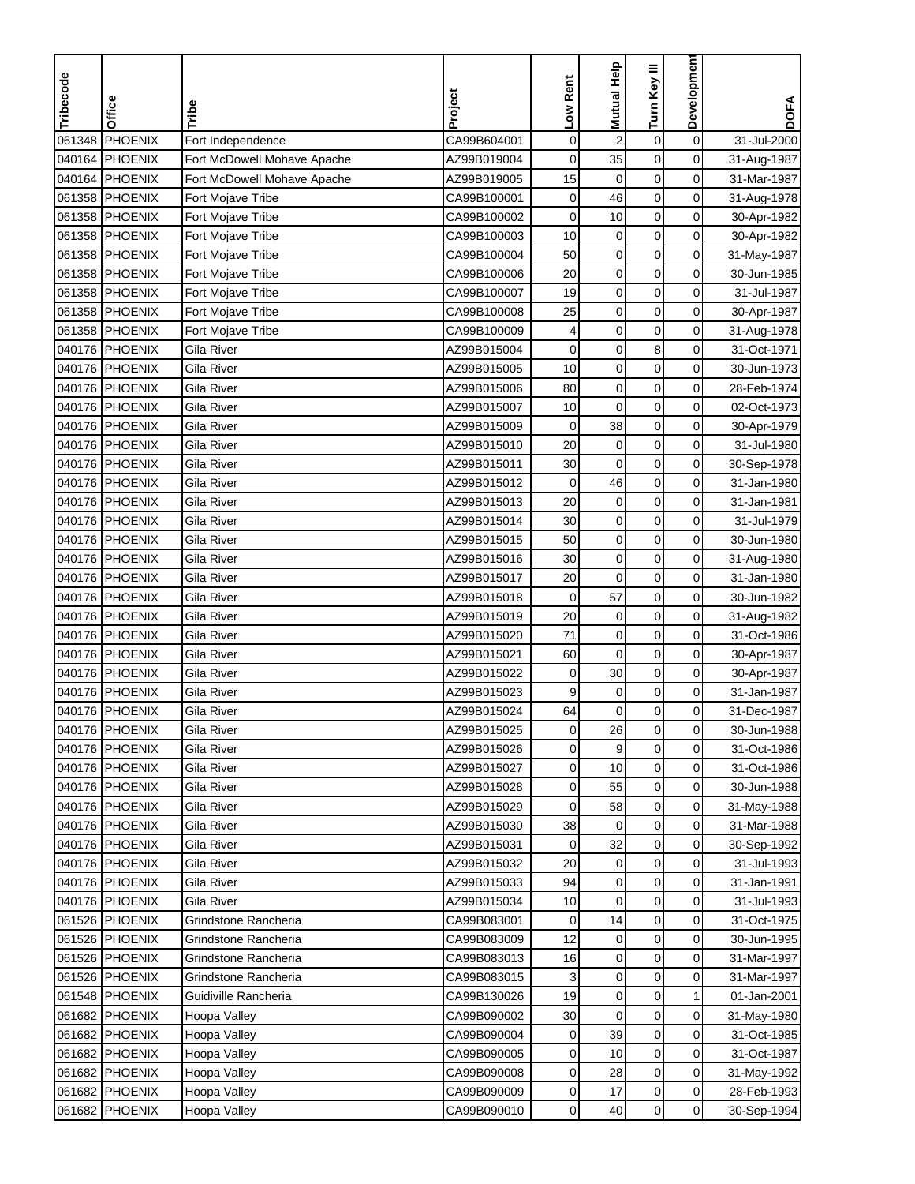| Tribecode | Office         | Tribe                       | Project     | Low Rent    | <b>Mutual Help</b>      | Turn Key III     | <b>Developmen</b>   | <b>DOFA</b> |
|-----------|----------------|-----------------------------|-------------|-------------|-------------------------|------------------|---------------------|-------------|
|           |                |                             |             |             |                         |                  |                     |             |
| 061348    | <b>PHOENIX</b> | Fort Independence           | CA99B604001 | $\mathbf 0$ | $\overline{\mathbf{c}}$ | $\boldsymbol{0}$ | $\mathbf 0$         | 31-Jul-2000 |
| 040164    | PHOENIX        | Fort McDowell Mohave Apache | AZ99B019004 | $\mathbf 0$ | 35                      | $\mathbf 0$      | $\mathbf 0$         | 31-Aug-1987 |
|           | 040164 PHOENIX | Fort McDowell Mohave Apache | AZ99B019005 | 15          | 0                       | $\mathbf 0$      | 0                   | 31-Mar-1987 |
| 061358    | PHOENIX        | Fort Mojave Tribe           | CA99B100001 | 0           | 46                      | $\mathbf 0$      | 0                   | 31-Aug-1978 |
| 061358    | PHOENIX        | Fort Mojave Tribe           | CA99B100002 | $\mathbf 0$ | 10                      | $\boldsymbol{0}$ | 0                   | 30-Apr-1982 |
| 061358    | PHOENIX        | Fort Mojave Tribe           | CA99B100003 | 10          | $\pmb{0}$               | $\mathbf 0$      | 0                   | 30-Apr-1982 |
|           | 061358 PHOENIX | Fort Mojave Tribe           | CA99B100004 | 50          | $\pmb{0}$               | $\pmb{0}$        | $\mathbf 0$         | 31-May-1987 |
|           | 061358 PHOENIX | Fort Mojave Tribe           | CA99B100006 | 20          | $\mathbf 0$             | 0                | 0                   | 30-Jun-1985 |
| 061358    | PHOENIX        | Fort Mojave Tribe           | CA99B100007 | 19          | $\mathbf 0$             | 0                | 0                   | 31-Jul-1987 |
| 061358    | PHOENIX        | Fort Mojave Tribe           | CA99B100008 | 25          | $\pmb{0}$               | $\mathbf 0$      | 0                   | 30-Apr-1987 |
| 061358    | PHOENIX        | Fort Mojave Tribe           | CA99B100009 | 4           | $\mathbf 0$             | $\mathbf 0$      | 0                   | 31-Aug-1978 |
|           | 040176 PHOENIX | Gila River                  | AZ99B015004 | $\mathbf 0$ | $\mathbf 0$             | 8                | 0                   | 31-Oct-1971 |
|           | 040176 PHOENIX | Gila River                  | AZ99B015005 | 10          | $\mathbf 0$             | $\mathbf 0$      | $\mathbf 0$         | 30-Jun-1973 |
|           | 040176 PHOENIX | Gila River                  | AZ99B015006 | 80          | $\pmb{0}$               | $\pmb{0}$        | $\mathbf 0$         | 28-Feb-1974 |
|           | 040176 PHOENIX | Gila River                  | AZ99B015007 | 10          | $\mathbf 0$             | $\mathbf 0$      | $\mathbf 0$         | 02-Oct-1973 |
|           | 040176 PHOENIX | Gila River                  | AZ99B015009 | 0           | 38                      | $\boldsymbol{0}$ | 0                   | 30-Apr-1979 |
|           | 040176 PHOENIX | Gila River                  | AZ99B015010 | 20          | $\mathbf 0$             | $\mathbf 0$      | 0                   | 31-Jul-1980 |
|           | 040176 PHOENIX | Gila River                  | AZ99B015011 | 30          | $\mathbf 0$             | $\mathbf 0$      | $\mathsf{O}\xspace$ | 30-Sep-1978 |
|           | 040176 PHOENIX | Gila River                  | AZ99B015012 | $\mathbf 0$ | 46                      | $\mathbf 0$      | 0                   | 31-Jan-1980 |
|           | 040176 PHOENIX | Gila River                  |             |             |                         |                  |                     |             |
|           |                |                             | AZ99B015013 | 20          | 0                       | $\mathbf 0$      | 0                   | 31-Jan-1981 |
|           | 040176 PHOENIX | Gila River                  | AZ99B015014 | 30          | $\mathbf 0$             | $\mathbf 0$      | 0                   | 31-Jul-1979 |
| 040176    | PHOENIX        | Gila River                  | AZ99B015015 | 50          | $\mathbf 0$             | $\pmb{0}$        | 0                   | 30-Jun-1980 |
| 040176    | PHOENIX        | Gila River                  | AZ99B015016 | 30          | $\mathbf 0$             | $\mathbf 0$      | $\mathbf 0$         | 31-Aug-1980 |
|           | 040176 PHOENIX | Gila River                  | AZ99B015017 | 20          | $\mathbf 0$             | $\pmb{0}$        | 0                   | 31-Jan-1980 |
|           | 040176 PHOENIX | Gila River                  | AZ99B015018 | $\mathbf 0$ | 57                      | $\mathbf 0$      | 0                   | 30-Jun-1982 |
|           | 040176 PHOENIX | Gila River                  | AZ99B015019 | 20          | $\mathbf 0$             | 0                | 0                   | 31-Aug-1982 |
|           | 040176 PHOENIX | Gila River                  | AZ99B015020 | 71          | $\mathbf 0$             | $\mathbf 0$      | 0                   | 31-Oct-1986 |
|           | 040176 PHOENIX | Gila River                  | AZ99B015021 | 60          | $\mathbf 0$             | $\mathbf 0$      | 0                   | 30-Apr-1987 |
|           | 040176 PHOENIX | Gila River                  | AZ99B015022 | 0           | 30                      | $\mathbf 0$      | 0                   | 30-Apr-1987 |
| 040176    | PHOENIX        | Gila River                  | AZ99B015023 | 9           | $\mathbf 0$             | $\pmb{0}$        | $\mathbf 0$         | 31-Jan-1987 |
| 040176    | PHOENIX        | Gila River                  | AZ99B015024 | 64          | $\mathbf 0$             | $\mathbf 0$      | 0                   | 31-Dec-1987 |
|           | 040176 PHOENIX | Gila River                  | AZ99B015025 | 0           | 26                      | 0                | 0                   | 30-Jun-1988 |
|           | 040176 PHOENIX | Gila River                  | AZ99B015026 | 0           | 9                       | $\pmb{0}$        | $\mathbf 0$         | 31-Oct-1986 |
|           | 040176 PHOENIX | Gila River                  | AZ99B015027 | 0           | 10                      | 0                | $\mathbf 0$         | 31-Oct-1986 |
|           | 040176 PHOENIX | Gila River                  | AZ99B015028 | 0           | 55                      | $\pmb{0}$        | $\overline{0}$      | 30-Jun-1988 |
|           | 040176 PHOENIX | Gila River                  | AZ99B015029 | 0           | 58                      | 0                | $\overline{0}$      | 31-May-1988 |
|           | 040176 PHOENIX | Gila River                  | AZ99B015030 | 38          | 0                       | 0                | $\overline{0}$      | 31-Mar-1988 |
|           | 040176 PHOENIX | Gila River                  | AZ99B015031 | 0           | 32                      | 0                | $\overline{0}$      | 30-Sep-1992 |
|           | 040176 PHOENIX | Gila River                  | AZ99B015032 | 20          | 0                       | $\pmb{0}$        | $\overline{0}$      | 31-Jul-1993 |
|           | 040176 PHOENIX | Gila River                  | AZ99B015033 | 94          | 0                       | 0                | $\overline{0}$      | 31-Jan-1991 |
|           | 040176 PHOENIX | Gila River                  | AZ99B015034 | 10          | $\mathbf 0$             | $\mathbf 0$      | 0                   | 31-Jul-1993 |
|           | 061526 PHOENIX | Grindstone Rancheria        | CA99B083001 | 0           | 14                      | $\pmb{0}$        | $\mathbf 0$         | 31-Oct-1975 |
|           | 061526 PHOENIX | Grindstone Rancheria        | CA99B083009 | 12          | $\pmb{0}$               | $\pmb{0}$        | $\mathbf 0$         | 30-Jun-1995 |
|           | 061526 PHOENIX | Grindstone Rancheria        | CA99B083013 | 16          | 0                       | $\mathbf 0$      | $\overline{0}$      | 31-Mar-1997 |
|           | 061526 PHOENIX | Grindstone Rancheria        | CA99B083015 | 3           | 0                       | $\mathbf 0$      | 0                   | 31-Mar-1997 |
|           | 061548 PHOENIX | Guidiville Rancheria        | CA99B130026 | 19          | $\mathbf 0$             | 0                | 1                   | 01-Jan-2001 |
|           |                |                             |             |             | $\mathbf 0$             | $\pmb{0}$        |                     |             |
|           | 061682 PHOENIX | Hoopa Valley                | CA99B090002 | 30          |                         |                  | $\overline{0}$      | 31-May-1980 |
|           | 061682 PHOENIX | Hoopa Valley                | CA99B090004 | 0           | 39                      | 0                | $\overline{0}$      | 31-Oct-1985 |
|           | 061682 PHOENIX | Hoopa Valley                | CA99B090005 | 0           | 10                      | $\pmb{0}$        | 0                   | 31-Oct-1987 |
|           | 061682 PHOENIX | Hoopa Valley                | CA99B090008 | 0           | 28                      | 0                | 0                   | 31-May-1992 |
|           | 061682 PHOENIX | Hoopa Valley                | CA99B090009 | 0           | 17                      | $\pmb{0}$        | $\overline{0}$      | 28-Feb-1993 |
|           | 061682 PHOENIX | Hoopa Valley                | CA99B090010 | 0           | 40                      | $\pmb{0}$        | $\overline{0}$      | 30-Sep-1994 |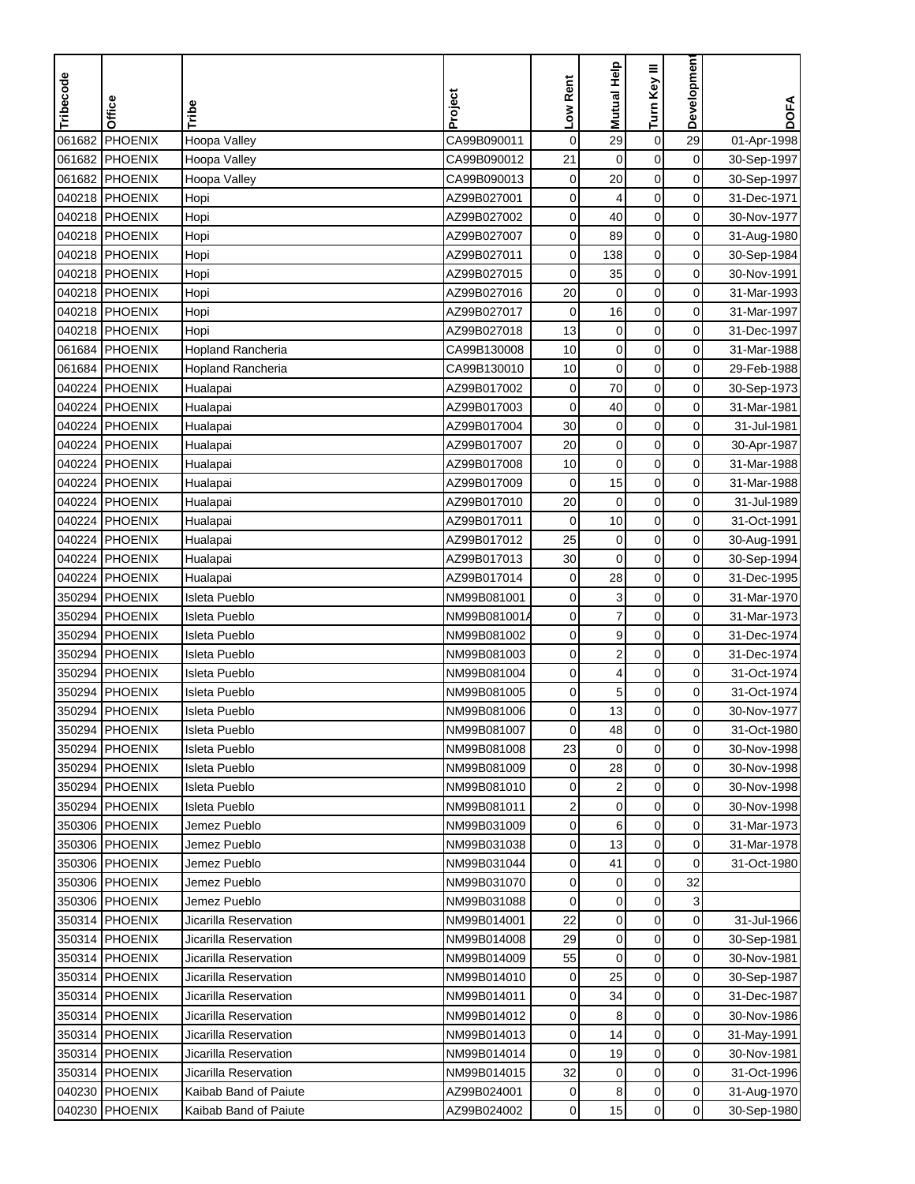| Tribecode | Office         |                          | Project     | Low Rent    | <b>Mutual Help</b> | Turn Key III        | Developmen     | <b>DOFA</b>                |
|-----------|----------------|--------------------------|-------------|-------------|--------------------|---------------------|----------------|----------------------------|
|           |                | Tribe                    |             |             |                    |                     |                |                            |
| 061682    | PHOENIX        | Hoopa Valley             | CA99B090011 | $\mathbf 0$ | 29                 | $\boldsymbol{0}$    | 29             | 01-Apr-1998                |
| 061682    | PHOENIX        | Hoopa Valley             | CA99B090012 | 21          | $\mathbf 0$        | $\mathbf 0$         | 0              | 30-Sep-1997                |
| 061682    | PHOENIX        | Hoopa Valley             | CA99B090013 | 0           | 20                 | $\mathbf 0$         | 0              | 30-Sep-1997                |
|           | 040218 PHOENIX | Hopi                     | AZ99B027001 | 0           | 4                  | $\mathbf 0$         | 0              | 31-Dec-1971                |
| 040218    | PHOENIX        | Hopi                     | AZ99B027002 | 0           | 40                 | $\boldsymbol{0}$    | 0              | 30-Nov-1977                |
|           | 040218 PHOENIX | Hopi                     | AZ99B027007 | 0           | 89                 | 0                   | 0              | 31-Aug-1980                |
|           | 040218 PHOENIX | Hopi                     | AZ99B027011 | 0           | 138                | $\pmb{0}$           | $\mathbf 0$    | 30-Sep-1984                |
|           | 040218 PHOENIX | Hopi                     | AZ99B027015 | 0           | 35                 | $\mathbf 0$         | 0              | 30-Nov-1991                |
|           | 040218 PHOENIX | Hopi                     | AZ99B027016 | 20          | $\mathbf 0$        | 0                   | 0              | 31-Mar-1993                |
|           | 040218 PHOENIX | Hopi                     | AZ99B027017 | $\mathbf 0$ | 16                 | $\mathbf 0$         | $\mathbf 0$    | 31-Mar-1997                |
| 040218    | PHOENIX        | Hopi                     | AZ99B027018 | 13          | 0                  | $\mathbf 0$         | 0              | 31-Dec-1997                |
|           | 061684 PHOENIX | <b>Hopland Rancheria</b> | CA99B130008 | 10          | $\pmb{0}$          | $\mathbf 0$         | 0              | 31-Mar-1988                |
| 061684    | PHOENIX        | Hopland Rancheria        | CA99B130010 | 10          | $\mathbf 0$        | 0                   | $\mathbf 0$    | 29-Feb-1988                |
| 040224    | PHOENIX        | Hualapai                 | AZ99B017002 | $\pmb{0}$   | 70                 | $\mathsf{O}\xspace$ | $\mathbf 0$    | 30-Sep-1973                |
| 040224    | PHOENIX        | Hualapai                 | AZ99B017003 | 0           | 40                 | $\pmb{0}$           | 0              | 31-Mar-1981                |
|           | 040224 PHOENIX | Hualapai                 | AZ99B017004 | 30          | $\pmb{0}$          | $\pmb{0}$           | 0              | 31-Jul-1981                |
| 040224    | PHOENIX        | Hualapai                 | AZ99B017007 | 20          | $\mathbf 0$        | $\mathbf 0$         | 0              | 30-Apr-1987                |
|           | 040224 PHOENIX | Hualapai                 | AZ99B017008 | 10          | $\boldsymbol{0}$   | $\boldsymbol{0}$    | $\mathbf 0$    | 31-Mar-1988                |
|           | 040224 PHOENIX | Hualapai                 | AZ99B017009 | $\mathbf 0$ | 15                 | $\mathbf 0$         | 0              | 31-Mar-1988                |
|           | 040224 PHOENIX | Hualapai                 | AZ99B017010 | 20          | 0                  | $\mathbf 0$         | 0              | 31-Jul-1989                |
|           | 040224 PHOENIX | Hualapai                 | AZ99B017011 | $\mathbf 0$ | 10                 | $\mathbf 0$         | 0              | 31-Oct-1991                |
| 040224    | PHOENIX        | Hualapai                 | AZ99B017012 | 25          | $\mathbf 0$        | $\boldsymbol{0}$    | 0              | 30-Aug-1991                |
| 040224    | PHOENIX        | Hualapai                 | AZ99B017013 | 30          | $\mathbf 0$        | $\mathbf 0$         | 0              | 30-Sep-1994                |
| 040224    | PHOENIX        | Hualapai                 | AZ99B017014 | 0           | 28                 | $\mathbf 0$         | 0              | 31-Dec-1995                |
| 350294    | PHOENIX        | <b>Isleta Pueblo</b>     | NM99B081001 | 0           | 3                  | 0                   | 0              | 31-Mar-1970                |
| 350294    | <b>PHOENIX</b> | <b>Isleta Pueblo</b>     | NM99B081001 | 0           | $\overline{7}$     | $\mathbf 0$         | 0              | 31-Mar-1973                |
|           | 350294 PHOENIX | <b>Isleta Pueblo</b>     | NM99B081002 | $\mathbf 0$ | 9                  | $\mathbf 0$         | $\mathbf 0$    | 31-Dec-1974                |
|           | 350294 PHOENIX | <b>Isleta Pueblo</b>     | NM99B081003 | 0           | $\boldsymbol{2}$   | $\mathbf 0$         | 0              | 31-Dec-1974                |
| 350294    | PHOENIX        | Isleta Pueblo            | NM99B081004 | 0           | 4                  | $\mathbf 0$         | 0              | 31-Oct-1974                |
| 350294    | <b>PHOENIX</b> | Isleta Pueblo            | NM99B081005 | 0           | 5                  | $\pmb{0}$           | 0              | 31-Oct-1974                |
| 350294    | <b>PHOENIX</b> | Isleta Pueblo            | NM99B081006 | 0           | 13                 | $\mathbf 0$         | 0              | 30-Nov-1977                |
|           | 350294 PHOENIX | Isleta Pueblo            | NM99B081007 | 0           | 48                 | 0                   | 0              | 31-Oct-1980                |
|           | 350294 PHOENIX | Isleta Pueblo            | NM99B081008 | 23          | $\mathbf 0$        | $\mathbf 0$         | $\mathbf 0$    | 30-Nov-1998                |
|           | 350294 PHOENIX | Isleta Pueblo            | NM99B081009 | 0           | 28                 | 0                   | 0              | 30-Nov-1998                |
|           | 350294 PHOENIX | Isleta Pueblo            | NM99B081010 | 0           | $\boldsymbol{2}$   | $\pmb{0}$           | $\overline{0}$ | 30-Nov-1998                |
|           | 350294 PHOENIX | Isleta Pueblo            | NM99B081011 | 2           | 0                  | 0                   | $\overline{0}$ | 30-Nov-1998                |
|           | 350306 PHOENIX | Jemez Pueblo             | NM99B031009 | 0           | 6                  | 0                   | $\overline{0}$ | 31-Mar-1973                |
|           | 350306 PHOENIX | Jemez Pueblo             | NM99B031038 | 0           | 13                 | 0                   | 0              | 31-Mar-1978                |
|           | 350306 PHOENIX | Jemez Pueblo             | NM99B031044 | 0           | 41                 | $\pmb{0}$           | 0              | 31-Oct-1980                |
|           | 350306 PHOENIX | Jemez Pueblo             | NM99B031070 | 0           | 0                  | 0                   | 32             |                            |
|           | 350306 PHOENIX | Jemez Pueblo             | NM99B031088 | 0           | $\pmb{0}$          | $\pmb{0}$           | 3              |                            |
|           | 350314 PHOENIX | Jicarilla Reservation    | NM99B014001 | 22          | $\mathbf 0$        | 0                   | $\mathbf 0$    | 31-Jul-1966                |
|           | 350314 PHOENIX | Jicarilla Reservation    | NM99B014008 | 29          | 0                  | $\pmb{0}$           | 0              | 30-Sep-1981                |
|           | 350314 PHOENIX | Jicarilla Reservation    | NM99B014009 | 55          | 0                  | $\mathbf 0$         | $\overline{0}$ | 30-Nov-1981                |
|           | 350314 PHOENIX | Jicarilla Reservation    | NM99B014010 | 0           | 25                 | 0                   | 0              | 30-Sep-1987                |
|           | 350314 PHOENIX | Jicarilla Reservation    | NM99B014011 | 0           | 34                 | 0                   | $\overline{0}$ | 31-Dec-1987                |
|           | 350314 PHOENIX | Jicarilla Reservation    | NM99B014012 | 0           | 8                  | 0                   | 0              | 30-Nov-1986                |
|           | 350314 PHOENIX | Jicarilla Reservation    | NM99B014013 | 0           | 14                 | 0                   | $\overline{0}$ |                            |
|           | 350314 PHOENIX | Jicarilla Reservation    | NM99B014014 | 0           | 19                 | 0                   | 0              | 31-May-1991                |
|           | 350314 PHOENIX | Jicarilla Reservation    | NM99B014015 | 32          |                    | 0                   | 0              | 30-Nov-1981<br>31-Oct-1996 |
|           | 040230 PHOENIX | Kaibab Band of Paiute    | AZ99B024001 | 0           | 0                  | 0                   | $\overline{0}$ | 31-Aug-1970                |
|           |                |                          |             |             | 8                  |                     |                |                            |
|           | 040230 PHOENIX | Kaibab Band of Paiute    | AZ99B024002 | 0           | 15                 | 0                   | $\overline{0}$ | 30-Sep-1980                |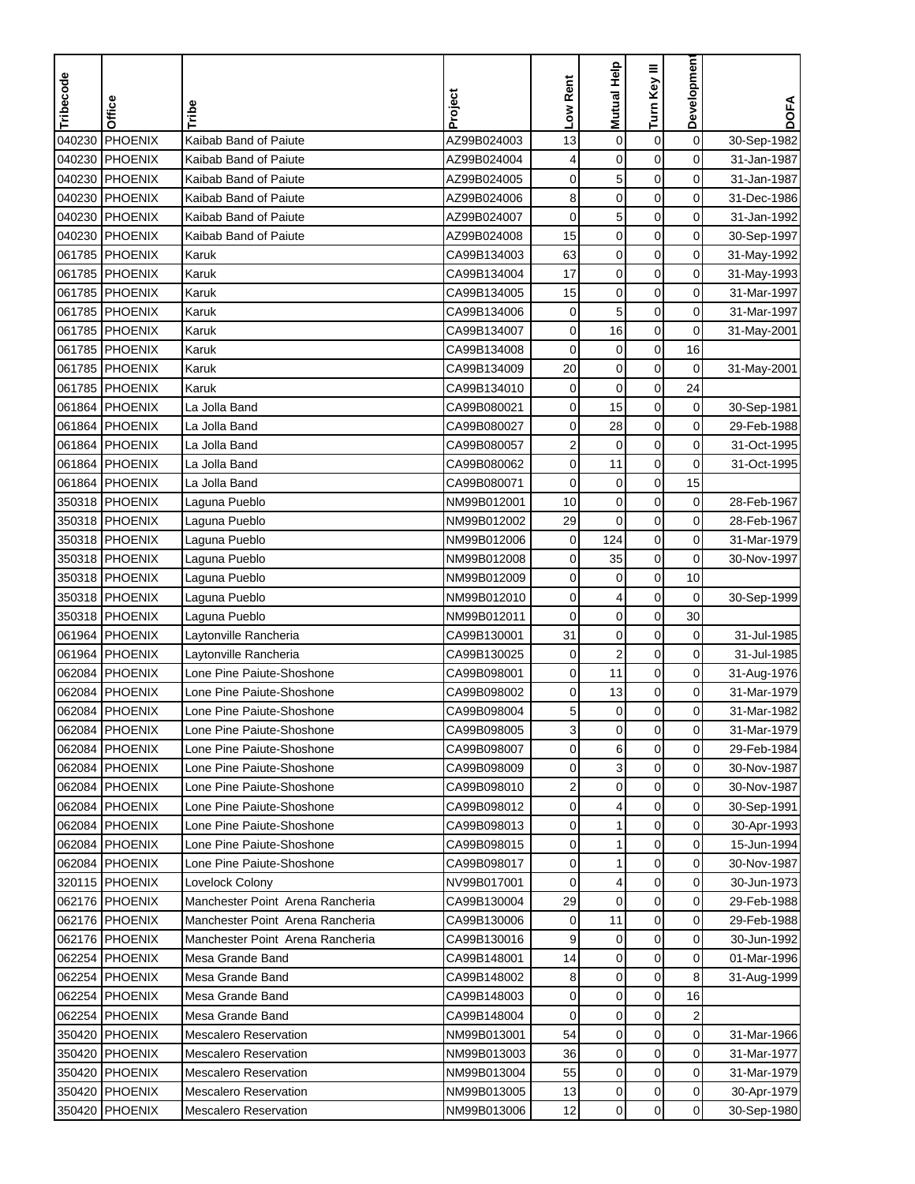| <b>PHOENIX</b><br>$\mathbf 0$<br>Kaibab Band of Paiute<br>AZ99B024003<br>$\mathbf 0$<br>$\boldsymbol{0}$<br>040230<br>13<br>30-Sep-1982<br>PHOENIX<br>0<br>$\mathbf 0$<br>$\mathbf 0$<br>Kaibab Band of Paiute<br>AZ99B024004<br>4<br>31-Jan-1987<br>PHOENIX<br>5<br>$\mathbf 0$<br>0<br>Kaibab Band of Paiute<br>AZ99B024005<br>0<br>31-Jan-1987<br>PHOENIX<br>8<br>$\mathbf 0$<br>$\mathbf 0$<br>0<br>Kaibab Band of Paiute<br>AZ99B024006<br>31-Dec-1986<br>5<br>$\mathbf 0$<br>$\pmb{0}$<br><b>PHOENIX</b><br>Kaibab Band of Paiute<br>0<br>31-Jan-1992<br>AZ99B024007<br>$\boldsymbol{0}$<br><b>PHOENIX</b><br>Kaibab Band of Paiute<br>15<br>$\mathbf 0$<br>0<br>AZ99B024008<br>30-Sep-1997<br>63<br>$\pmb{0}$<br>$\mathbf 0$<br>$\mathbf 0$<br><b>PHOENIX</b><br>Karuk<br>CA99B134003<br>31-May-1992<br>0<br>061785 PHOENIX<br>Karuk<br>CA99B134004<br>17<br>$\mathbf 0$<br>$\mathbf 0$<br>31-May-1993<br>0<br>PHOENIX<br>Karuk<br>CA99B134005<br>15<br>$\mathbf 0$<br>0<br>31-Mar-1997<br>0<br>PHOENIX<br>Karuk<br>CA99B134006<br>$\mathbf 0$<br>5<br>$\mathbf 0$<br>31-Mar-1997<br>0<br>PHOENIX<br>CA99B134007<br>0<br>16<br>$\mathbf 0$<br>Karuk<br>31-May-2001<br>$\mathbf 0$<br>PHOENIX<br>Karuk<br>CA99B134008<br>$\pmb{0}$<br>16<br>0<br>20<br>$\mathbf 0$<br>PHOENIX<br>Karuk<br>CA99B134009<br>0<br>0<br>31-May-2001<br>$\pmb{0}$<br>$\pmb{0}$<br>24<br>PHOENIX<br>Karuk<br>CA99B134010<br>$\pmb{0}$<br>$\mathbf 0$<br>061864 PHOENIX<br>La Jolla Band<br>15<br>$\mathbf 0$<br>30-Sep-1981<br>CA99B080021<br>0<br>$\boldsymbol{0}$<br>061864 PHOENIX<br>La Jolla Band<br>28<br>0<br>CA99B080027<br>0<br>29-Feb-1988<br>PHOENIX<br>2<br>$\mathbf 0$<br>0<br>La Jolla Band<br>CA99B080057<br>$\mathbf 0$<br>31-Oct-1995<br>PHOENIX<br>La Jolla Band<br>$\mathbf 0$<br>$\pmb{0}$<br>0<br>CA99B080062<br>11<br>31-Oct-1995<br>061864 PHOENIX<br>La Jolla Band<br>CA99B080071<br>$\mathbf 0$<br>$\mathbf 0$<br>$\mathbf 0$<br>15<br>350318 PHOENIX<br>Laguna Pueblo<br>$\mathbf 0$<br>$\mathbf 0$<br>0<br>28-Feb-1967<br>NM99B012001<br>10<br>29<br>$\mathbf 0$<br>$\mathbf 0$<br>350318 PHOENIX<br>0<br>Laguna Pueblo<br>NM99B012002<br>28-Feb-1967<br>124<br>$\pmb{0}$<br>PHOENIX<br>$\mathbf 0$<br>0<br>31-Mar-1979<br>Laguna Pueblo<br>NM99B012006<br>$\mathbf 0$<br>350318<br>PHOENIX<br>0<br>35<br>0<br>NM99B012008<br>30-Nov-1997<br>Laguna Pueblo<br>$\mathbf 0$<br>$\mathbf 0$<br>10<br>350318 PHOENIX<br>Laguna Pueblo<br>NM99B012009<br>0<br>$\mathbf 0$<br>350318 PHOENIX<br>NM99B012010<br>4<br>$\mathbf 0$<br>Laguna Pueblo<br>0<br>30-Sep-1999<br>$\mathbf 0$<br>$\pmb{0}$<br>0<br>30<br>PHOENIX<br>NM99B012011<br>Laguna Pueblo<br>061964 PHOENIX<br>CA99B130001<br>31<br>$\mathbf 0$<br>$\mathbf 0$<br>0<br>31-Jul-1985<br>Laytonville Rancheria<br>$\overline{\mathbf{c}}$<br>061964 PHOENIX<br>CA99B130025<br>$\mathbf 0$<br>0<br>Laytonville Rancheria<br>0<br>31-Jul-1985<br>11<br>$\mathbf 0$<br>PHOENIX<br>Lone Pine Paiute-Shoshone<br>CA99B098001<br>$\mathbf 0$<br>0<br>31-Aug-1976<br>$\pmb{0}$<br>$\mathbf 0$<br><b>PHOENIX</b><br>0<br>13<br>Lone Pine Paiute-Shoshone<br>CA99B098002<br>31-Mar-1979<br>$\mathbf 0$<br><b>PHOENIX</b><br>$\mathbf 0$<br>0<br>Lone Pine Paiute-Shoshone<br>CA99B098004<br>5<br>31-Mar-1982<br>062084 PHOENIX<br>Lone Pine Paiute-Shoshone<br>CA99B098005<br>3<br>0<br>0<br>0<br>31-Mar-1979<br>$\mathbf 0$<br>6<br>$\mathbf 0$<br>0<br>062084 PHOENIX<br>Lone Pine Paiute-Shoshone<br>CA99B098007<br>29-Feb-1984<br>3<br>0<br>0<br>062084 PHOENIX<br>Lone Pine Paiute-Shoshone<br>CA99B098009<br>0<br>30-Nov-1987<br>$\boldsymbol{0}$<br>$\pmb{0}$<br>062084 PHOENIX<br>2<br>0<br>Lone Pine Paiute-Shoshone<br>CA99B098010<br>30-Nov-1987<br>062084 PHOENIX<br>Lone Pine Paiute-Shoshone<br>CA99B098012<br>0<br>4<br>0<br>$\overline{0}$<br>30-Sep-1991<br>1<br>0<br>0<br>062084 PHOENIX<br>Lone Pine Paiute-Shoshone<br>CA99B098013<br>0<br>30-Apr-1993<br>062084 PHOENIX<br>Lone Pine Paiute-Shoshone<br>CA99B098015<br>0<br>1<br>0<br>0<br>15-Jun-1994<br>$\mathbf{1}$<br>$\pmb{0}$<br>$\overline{0}$<br>062084 PHOENIX<br>Lone Pine Paiute-Shoshone<br>CA99B098017<br>0<br>30-Nov-1987<br>320115 PHOENIX<br>4<br>0<br>0<br>Lovelock Colony<br>NV99B017001<br>0<br>30-Jun-1973<br>Manchester Point Arena Rancheria<br>$\pmb{0}$<br>$\pmb{0}$<br>0<br>062176 PHOENIX<br>CA99B130004<br>29<br>29-Feb-1988<br>$\pmb{0}$<br>$\mathbf 0$<br>11<br>062176 PHOENIX<br>Manchester Point Arena Rancheria<br>CA99B130006<br>0<br>29-Feb-1988<br>$\pmb{0}$<br>062176 PHOENIX<br>CA99B130016<br>9<br>$\mathbf 0$<br>0<br>Manchester Point Arena Rancheria<br>30-Jun-1992<br>$\mathbf 0$<br>0<br>062254 PHOENIX<br>Mesa Grande Band<br>CA99B148001<br>14<br>0<br>01-Mar-1996<br>062254 PHOENIX<br>CA99B148002<br>0<br>0<br>8<br>Mesa Grande Band<br>8<br>31-Aug-1999<br>$\mathbf 0$<br>0<br>16<br>062254 PHOENIX<br>Mesa Grande Band<br>CA99B148003<br>0<br>$\overline{\mathbf{c}}$<br>$\mathbf 0$<br>0<br>062254 PHOENIX<br>Mesa Grande Band<br>CA99B148004<br>0<br>54<br>$\mathbf 0$<br>0<br>$\overline{0}$<br>350420 PHOENIX<br>NM99B013001<br>Mescalero Reservation<br>31-Mar-1966<br>$\pmb{0}$<br>$\mathbf 0$<br>0<br>350420 PHOENIX<br><b>Mescalero Reservation</b><br>NM99B013003<br>36<br>31-Mar-1977<br>55<br>$\mathbf 0$<br>0<br>0<br>350420 PHOENIX<br><b>Mescalero Reservation</b><br>NM99B013004<br>31-Mar-1979<br>$\mathbf 0$<br>350420 PHOENIX<br>NM99B013005<br>0<br><b>Mescalero Reservation</b><br>13<br>0<br>30-Apr-1979<br>350420 PHOENIX | Tribecode | Office |                              | Project     | Low Rent | Mutual Help | Turn Key III | Developmen     | <b>DOFA</b> |
|----------------------------------------------------------------------------------------------------------------------------------------------------------------------------------------------------------------------------------------------------------------------------------------------------------------------------------------------------------------------------------------------------------------------------------------------------------------------------------------------------------------------------------------------------------------------------------------------------------------------------------------------------------------------------------------------------------------------------------------------------------------------------------------------------------------------------------------------------------------------------------------------------------------------------------------------------------------------------------------------------------------------------------------------------------------------------------------------------------------------------------------------------------------------------------------------------------------------------------------------------------------------------------------------------------------------------------------------------------------------------------------------------------------------------------------------------------------------------------------------------------------------------------------------------------------------------------------------------------------------------------------------------------------------------------------------------------------------------------------------------------------------------------------------------------------------------------------------------------------------------------------------------------------------------------------------------------------------------------------------------------------------------------------------------------------------------------------------------------------------------------------------------------------------------------------------------------------------------------------------------------------------------------------------------------------------------------------------------------------------------------------------------------------------------------------------------------------------------------------------------------------------------------------------------------------------------------------------------------------------------------------------------------------------------------------------------------------------------------------------------------------------------------------------------------------------------------------------------------------------------------------------------------------------------------------------------------------------------------------------------------------------------------------------------------------------------------------------------------------------------------------------------------------------------------------------------------------------------------------------------------------------------------------------------------------------------------------------------------------------------------------------------------------------------------------------------------------------------------------------------------------------------------------------------------------------------------------------------------------------------------------------------------------------------------------------------------------------------------------------------------------------------------------------------------------------------------------------------------------------------------------------------------------------------------------------------------------------------------------------------------------------------------------------------------------------------------------------------------------------------------------------------------------------------------------------------------------------------------------------------------------------------------------------------------------------------------------------------------------------------------------------------------------------------------------------------------------------------------------------------------------------------------------------------------------------------------------------------------------------------------------------------------------------------------------------------------------------------------------------------------------------------------------------------------------------------------------------------------------------------------------------------------------------------------------------------------------------------------------------------------------------------------------------------------------------------------------------------------------------------------------------------------------------------------------------------------------------------------------------------------------------------------------------------------------------------------------------------------------------------------------------------------------------------------------------------------------------------------------------------------------------------|-----------|--------|------------------------------|-------------|----------|-------------|--------------|----------------|-------------|
|                                                                                                                                                                                                                                                                                                                                                                                                                                                                                                                                                                                                                                                                                                                                                                                                                                                                                                                                                                                                                                                                                                                                                                                                                                                                                                                                                                                                                                                                                                                                                                                                                                                                                                                                                                                                                                                                                                                                                                                                                                                                                                                                                                                                                                                                                                                                                                                                                                                                                                                                                                                                                                                                                                                                                                                                                                                                                                                                                                                                                                                                                                                                                                                                                                                                                                                                                                                                                                                                                                                                                                                                                                                                                                                                                                                                                                                                                                                                                                                                                                                                                                                                                                                                                                                                                                                                                                                                                                                                                                                                                                                                                                                                                                                                                                                                                                                                                                                                                                                                                                                                                                                                                                                                                                                                                                                                                                                                                                                                                                                            |           |        | Tribe                        |             |          |             |              |                |             |
|                                                                                                                                                                                                                                                                                                                                                                                                                                                                                                                                                                                                                                                                                                                                                                                                                                                                                                                                                                                                                                                                                                                                                                                                                                                                                                                                                                                                                                                                                                                                                                                                                                                                                                                                                                                                                                                                                                                                                                                                                                                                                                                                                                                                                                                                                                                                                                                                                                                                                                                                                                                                                                                                                                                                                                                                                                                                                                                                                                                                                                                                                                                                                                                                                                                                                                                                                                                                                                                                                                                                                                                                                                                                                                                                                                                                                                                                                                                                                                                                                                                                                                                                                                                                                                                                                                                                                                                                                                                                                                                                                                                                                                                                                                                                                                                                                                                                                                                                                                                                                                                                                                                                                                                                                                                                                                                                                                                                                                                                                                                            |           |        |                              |             |          |             |              |                |             |
|                                                                                                                                                                                                                                                                                                                                                                                                                                                                                                                                                                                                                                                                                                                                                                                                                                                                                                                                                                                                                                                                                                                                                                                                                                                                                                                                                                                                                                                                                                                                                                                                                                                                                                                                                                                                                                                                                                                                                                                                                                                                                                                                                                                                                                                                                                                                                                                                                                                                                                                                                                                                                                                                                                                                                                                                                                                                                                                                                                                                                                                                                                                                                                                                                                                                                                                                                                                                                                                                                                                                                                                                                                                                                                                                                                                                                                                                                                                                                                                                                                                                                                                                                                                                                                                                                                                                                                                                                                                                                                                                                                                                                                                                                                                                                                                                                                                                                                                                                                                                                                                                                                                                                                                                                                                                                                                                                                                                                                                                                                                            | 040230    |        |                              |             |          |             |              |                |             |
|                                                                                                                                                                                                                                                                                                                                                                                                                                                                                                                                                                                                                                                                                                                                                                                                                                                                                                                                                                                                                                                                                                                                                                                                                                                                                                                                                                                                                                                                                                                                                                                                                                                                                                                                                                                                                                                                                                                                                                                                                                                                                                                                                                                                                                                                                                                                                                                                                                                                                                                                                                                                                                                                                                                                                                                                                                                                                                                                                                                                                                                                                                                                                                                                                                                                                                                                                                                                                                                                                                                                                                                                                                                                                                                                                                                                                                                                                                                                                                                                                                                                                                                                                                                                                                                                                                                                                                                                                                                                                                                                                                                                                                                                                                                                                                                                                                                                                                                                                                                                                                                                                                                                                                                                                                                                                                                                                                                                                                                                                                                            | 040230    |        |                              |             |          |             |              |                |             |
|                                                                                                                                                                                                                                                                                                                                                                                                                                                                                                                                                                                                                                                                                                                                                                                                                                                                                                                                                                                                                                                                                                                                                                                                                                                                                                                                                                                                                                                                                                                                                                                                                                                                                                                                                                                                                                                                                                                                                                                                                                                                                                                                                                                                                                                                                                                                                                                                                                                                                                                                                                                                                                                                                                                                                                                                                                                                                                                                                                                                                                                                                                                                                                                                                                                                                                                                                                                                                                                                                                                                                                                                                                                                                                                                                                                                                                                                                                                                                                                                                                                                                                                                                                                                                                                                                                                                                                                                                                                                                                                                                                                                                                                                                                                                                                                                                                                                                                                                                                                                                                                                                                                                                                                                                                                                                                                                                                                                                                                                                                                            | 040230    |        |                              |             |          |             |              |                |             |
|                                                                                                                                                                                                                                                                                                                                                                                                                                                                                                                                                                                                                                                                                                                                                                                                                                                                                                                                                                                                                                                                                                                                                                                                                                                                                                                                                                                                                                                                                                                                                                                                                                                                                                                                                                                                                                                                                                                                                                                                                                                                                                                                                                                                                                                                                                                                                                                                                                                                                                                                                                                                                                                                                                                                                                                                                                                                                                                                                                                                                                                                                                                                                                                                                                                                                                                                                                                                                                                                                                                                                                                                                                                                                                                                                                                                                                                                                                                                                                                                                                                                                                                                                                                                                                                                                                                                                                                                                                                                                                                                                                                                                                                                                                                                                                                                                                                                                                                                                                                                                                                                                                                                                                                                                                                                                                                                                                                                                                                                                                                            | 040230    |        |                              |             |          |             |              |                |             |
|                                                                                                                                                                                                                                                                                                                                                                                                                                                                                                                                                                                                                                                                                                                                                                                                                                                                                                                                                                                                                                                                                                                                                                                                                                                                                                                                                                                                                                                                                                                                                                                                                                                                                                                                                                                                                                                                                                                                                                                                                                                                                                                                                                                                                                                                                                                                                                                                                                                                                                                                                                                                                                                                                                                                                                                                                                                                                                                                                                                                                                                                                                                                                                                                                                                                                                                                                                                                                                                                                                                                                                                                                                                                                                                                                                                                                                                                                                                                                                                                                                                                                                                                                                                                                                                                                                                                                                                                                                                                                                                                                                                                                                                                                                                                                                                                                                                                                                                                                                                                                                                                                                                                                                                                                                                                                                                                                                                                                                                                                                                            | 040230    |        |                              |             |          |             |              |                |             |
|                                                                                                                                                                                                                                                                                                                                                                                                                                                                                                                                                                                                                                                                                                                                                                                                                                                                                                                                                                                                                                                                                                                                                                                                                                                                                                                                                                                                                                                                                                                                                                                                                                                                                                                                                                                                                                                                                                                                                                                                                                                                                                                                                                                                                                                                                                                                                                                                                                                                                                                                                                                                                                                                                                                                                                                                                                                                                                                                                                                                                                                                                                                                                                                                                                                                                                                                                                                                                                                                                                                                                                                                                                                                                                                                                                                                                                                                                                                                                                                                                                                                                                                                                                                                                                                                                                                                                                                                                                                                                                                                                                                                                                                                                                                                                                                                                                                                                                                                                                                                                                                                                                                                                                                                                                                                                                                                                                                                                                                                                                                            | 061785    |        |                              |             |          |             |              |                |             |
|                                                                                                                                                                                                                                                                                                                                                                                                                                                                                                                                                                                                                                                                                                                                                                                                                                                                                                                                                                                                                                                                                                                                                                                                                                                                                                                                                                                                                                                                                                                                                                                                                                                                                                                                                                                                                                                                                                                                                                                                                                                                                                                                                                                                                                                                                                                                                                                                                                                                                                                                                                                                                                                                                                                                                                                                                                                                                                                                                                                                                                                                                                                                                                                                                                                                                                                                                                                                                                                                                                                                                                                                                                                                                                                                                                                                                                                                                                                                                                                                                                                                                                                                                                                                                                                                                                                                                                                                                                                                                                                                                                                                                                                                                                                                                                                                                                                                                                                                                                                                                                                                                                                                                                                                                                                                                                                                                                                                                                                                                                                            |           |        |                              |             |          |             |              |                |             |
|                                                                                                                                                                                                                                                                                                                                                                                                                                                                                                                                                                                                                                                                                                                                                                                                                                                                                                                                                                                                                                                                                                                                                                                                                                                                                                                                                                                                                                                                                                                                                                                                                                                                                                                                                                                                                                                                                                                                                                                                                                                                                                                                                                                                                                                                                                                                                                                                                                                                                                                                                                                                                                                                                                                                                                                                                                                                                                                                                                                                                                                                                                                                                                                                                                                                                                                                                                                                                                                                                                                                                                                                                                                                                                                                                                                                                                                                                                                                                                                                                                                                                                                                                                                                                                                                                                                                                                                                                                                                                                                                                                                                                                                                                                                                                                                                                                                                                                                                                                                                                                                                                                                                                                                                                                                                                                                                                                                                                                                                                                                            | 061785    |        |                              |             |          |             |              |                |             |
|                                                                                                                                                                                                                                                                                                                                                                                                                                                                                                                                                                                                                                                                                                                                                                                                                                                                                                                                                                                                                                                                                                                                                                                                                                                                                                                                                                                                                                                                                                                                                                                                                                                                                                                                                                                                                                                                                                                                                                                                                                                                                                                                                                                                                                                                                                                                                                                                                                                                                                                                                                                                                                                                                                                                                                                                                                                                                                                                                                                                                                                                                                                                                                                                                                                                                                                                                                                                                                                                                                                                                                                                                                                                                                                                                                                                                                                                                                                                                                                                                                                                                                                                                                                                                                                                                                                                                                                                                                                                                                                                                                                                                                                                                                                                                                                                                                                                                                                                                                                                                                                                                                                                                                                                                                                                                                                                                                                                                                                                                                                            | 061785    |        |                              |             |          |             |              |                |             |
|                                                                                                                                                                                                                                                                                                                                                                                                                                                                                                                                                                                                                                                                                                                                                                                                                                                                                                                                                                                                                                                                                                                                                                                                                                                                                                                                                                                                                                                                                                                                                                                                                                                                                                                                                                                                                                                                                                                                                                                                                                                                                                                                                                                                                                                                                                                                                                                                                                                                                                                                                                                                                                                                                                                                                                                                                                                                                                                                                                                                                                                                                                                                                                                                                                                                                                                                                                                                                                                                                                                                                                                                                                                                                                                                                                                                                                                                                                                                                                                                                                                                                                                                                                                                                                                                                                                                                                                                                                                                                                                                                                                                                                                                                                                                                                                                                                                                                                                                                                                                                                                                                                                                                                                                                                                                                                                                                                                                                                                                                                                            | 061785    |        |                              |             |          |             |              |                |             |
|                                                                                                                                                                                                                                                                                                                                                                                                                                                                                                                                                                                                                                                                                                                                                                                                                                                                                                                                                                                                                                                                                                                                                                                                                                                                                                                                                                                                                                                                                                                                                                                                                                                                                                                                                                                                                                                                                                                                                                                                                                                                                                                                                                                                                                                                                                                                                                                                                                                                                                                                                                                                                                                                                                                                                                                                                                                                                                                                                                                                                                                                                                                                                                                                                                                                                                                                                                                                                                                                                                                                                                                                                                                                                                                                                                                                                                                                                                                                                                                                                                                                                                                                                                                                                                                                                                                                                                                                                                                                                                                                                                                                                                                                                                                                                                                                                                                                                                                                                                                                                                                                                                                                                                                                                                                                                                                                                                                                                                                                                                                            | 061785    |        |                              |             |          |             |              |                |             |
|                                                                                                                                                                                                                                                                                                                                                                                                                                                                                                                                                                                                                                                                                                                                                                                                                                                                                                                                                                                                                                                                                                                                                                                                                                                                                                                                                                                                                                                                                                                                                                                                                                                                                                                                                                                                                                                                                                                                                                                                                                                                                                                                                                                                                                                                                                                                                                                                                                                                                                                                                                                                                                                                                                                                                                                                                                                                                                                                                                                                                                                                                                                                                                                                                                                                                                                                                                                                                                                                                                                                                                                                                                                                                                                                                                                                                                                                                                                                                                                                                                                                                                                                                                                                                                                                                                                                                                                                                                                                                                                                                                                                                                                                                                                                                                                                                                                                                                                                                                                                                                                                                                                                                                                                                                                                                                                                                                                                                                                                                                                            | 061785    |        |                              |             |          |             |              |                |             |
|                                                                                                                                                                                                                                                                                                                                                                                                                                                                                                                                                                                                                                                                                                                                                                                                                                                                                                                                                                                                                                                                                                                                                                                                                                                                                                                                                                                                                                                                                                                                                                                                                                                                                                                                                                                                                                                                                                                                                                                                                                                                                                                                                                                                                                                                                                                                                                                                                                                                                                                                                                                                                                                                                                                                                                                                                                                                                                                                                                                                                                                                                                                                                                                                                                                                                                                                                                                                                                                                                                                                                                                                                                                                                                                                                                                                                                                                                                                                                                                                                                                                                                                                                                                                                                                                                                                                                                                                                                                                                                                                                                                                                                                                                                                                                                                                                                                                                                                                                                                                                                                                                                                                                                                                                                                                                                                                                                                                                                                                                                                            | 061785    |        |                              |             |          |             |              |                |             |
|                                                                                                                                                                                                                                                                                                                                                                                                                                                                                                                                                                                                                                                                                                                                                                                                                                                                                                                                                                                                                                                                                                                                                                                                                                                                                                                                                                                                                                                                                                                                                                                                                                                                                                                                                                                                                                                                                                                                                                                                                                                                                                                                                                                                                                                                                                                                                                                                                                                                                                                                                                                                                                                                                                                                                                                                                                                                                                                                                                                                                                                                                                                                                                                                                                                                                                                                                                                                                                                                                                                                                                                                                                                                                                                                                                                                                                                                                                                                                                                                                                                                                                                                                                                                                                                                                                                                                                                                                                                                                                                                                                                                                                                                                                                                                                                                                                                                                                                                                                                                                                                                                                                                                                                                                                                                                                                                                                                                                                                                                                                            |           |        |                              |             |          |             |              |                |             |
|                                                                                                                                                                                                                                                                                                                                                                                                                                                                                                                                                                                                                                                                                                                                                                                                                                                                                                                                                                                                                                                                                                                                                                                                                                                                                                                                                                                                                                                                                                                                                                                                                                                                                                                                                                                                                                                                                                                                                                                                                                                                                                                                                                                                                                                                                                                                                                                                                                                                                                                                                                                                                                                                                                                                                                                                                                                                                                                                                                                                                                                                                                                                                                                                                                                                                                                                                                                                                                                                                                                                                                                                                                                                                                                                                                                                                                                                                                                                                                                                                                                                                                                                                                                                                                                                                                                                                                                                                                                                                                                                                                                                                                                                                                                                                                                                                                                                                                                                                                                                                                                                                                                                                                                                                                                                                                                                                                                                                                                                                                                            |           |        |                              |             |          |             |              |                |             |
|                                                                                                                                                                                                                                                                                                                                                                                                                                                                                                                                                                                                                                                                                                                                                                                                                                                                                                                                                                                                                                                                                                                                                                                                                                                                                                                                                                                                                                                                                                                                                                                                                                                                                                                                                                                                                                                                                                                                                                                                                                                                                                                                                                                                                                                                                                                                                                                                                                                                                                                                                                                                                                                                                                                                                                                                                                                                                                                                                                                                                                                                                                                                                                                                                                                                                                                                                                                                                                                                                                                                                                                                                                                                                                                                                                                                                                                                                                                                                                                                                                                                                                                                                                                                                                                                                                                                                                                                                                                                                                                                                                                                                                                                                                                                                                                                                                                                                                                                                                                                                                                                                                                                                                                                                                                                                                                                                                                                                                                                                                                            | 061864    |        |                              |             |          |             |              |                |             |
|                                                                                                                                                                                                                                                                                                                                                                                                                                                                                                                                                                                                                                                                                                                                                                                                                                                                                                                                                                                                                                                                                                                                                                                                                                                                                                                                                                                                                                                                                                                                                                                                                                                                                                                                                                                                                                                                                                                                                                                                                                                                                                                                                                                                                                                                                                                                                                                                                                                                                                                                                                                                                                                                                                                                                                                                                                                                                                                                                                                                                                                                                                                                                                                                                                                                                                                                                                                                                                                                                                                                                                                                                                                                                                                                                                                                                                                                                                                                                                                                                                                                                                                                                                                                                                                                                                                                                                                                                                                                                                                                                                                                                                                                                                                                                                                                                                                                                                                                                                                                                                                                                                                                                                                                                                                                                                                                                                                                                                                                                                                            | 061864    |        |                              |             |          |             |              |                |             |
|                                                                                                                                                                                                                                                                                                                                                                                                                                                                                                                                                                                                                                                                                                                                                                                                                                                                                                                                                                                                                                                                                                                                                                                                                                                                                                                                                                                                                                                                                                                                                                                                                                                                                                                                                                                                                                                                                                                                                                                                                                                                                                                                                                                                                                                                                                                                                                                                                                                                                                                                                                                                                                                                                                                                                                                                                                                                                                                                                                                                                                                                                                                                                                                                                                                                                                                                                                                                                                                                                                                                                                                                                                                                                                                                                                                                                                                                                                                                                                                                                                                                                                                                                                                                                                                                                                                                                                                                                                                                                                                                                                                                                                                                                                                                                                                                                                                                                                                                                                                                                                                                                                                                                                                                                                                                                                                                                                                                                                                                                                                            |           |        |                              |             |          |             |              |                |             |
|                                                                                                                                                                                                                                                                                                                                                                                                                                                                                                                                                                                                                                                                                                                                                                                                                                                                                                                                                                                                                                                                                                                                                                                                                                                                                                                                                                                                                                                                                                                                                                                                                                                                                                                                                                                                                                                                                                                                                                                                                                                                                                                                                                                                                                                                                                                                                                                                                                                                                                                                                                                                                                                                                                                                                                                                                                                                                                                                                                                                                                                                                                                                                                                                                                                                                                                                                                                                                                                                                                                                                                                                                                                                                                                                                                                                                                                                                                                                                                                                                                                                                                                                                                                                                                                                                                                                                                                                                                                                                                                                                                                                                                                                                                                                                                                                                                                                                                                                                                                                                                                                                                                                                                                                                                                                                                                                                                                                                                                                                                                            |           |        |                              |             |          |             |              |                |             |
|                                                                                                                                                                                                                                                                                                                                                                                                                                                                                                                                                                                                                                                                                                                                                                                                                                                                                                                                                                                                                                                                                                                                                                                                                                                                                                                                                                                                                                                                                                                                                                                                                                                                                                                                                                                                                                                                                                                                                                                                                                                                                                                                                                                                                                                                                                                                                                                                                                                                                                                                                                                                                                                                                                                                                                                                                                                                                                                                                                                                                                                                                                                                                                                                                                                                                                                                                                                                                                                                                                                                                                                                                                                                                                                                                                                                                                                                                                                                                                                                                                                                                                                                                                                                                                                                                                                                                                                                                                                                                                                                                                                                                                                                                                                                                                                                                                                                                                                                                                                                                                                                                                                                                                                                                                                                                                                                                                                                                                                                                                                            |           |        |                              |             |          |             |              |                |             |
|                                                                                                                                                                                                                                                                                                                                                                                                                                                                                                                                                                                                                                                                                                                                                                                                                                                                                                                                                                                                                                                                                                                                                                                                                                                                                                                                                                                                                                                                                                                                                                                                                                                                                                                                                                                                                                                                                                                                                                                                                                                                                                                                                                                                                                                                                                                                                                                                                                                                                                                                                                                                                                                                                                                                                                                                                                                                                                                                                                                                                                                                                                                                                                                                                                                                                                                                                                                                                                                                                                                                                                                                                                                                                                                                                                                                                                                                                                                                                                                                                                                                                                                                                                                                                                                                                                                                                                                                                                                                                                                                                                                                                                                                                                                                                                                                                                                                                                                                                                                                                                                                                                                                                                                                                                                                                                                                                                                                                                                                                                                            | 350318    |        |                              |             |          |             |              |                |             |
|                                                                                                                                                                                                                                                                                                                                                                                                                                                                                                                                                                                                                                                                                                                                                                                                                                                                                                                                                                                                                                                                                                                                                                                                                                                                                                                                                                                                                                                                                                                                                                                                                                                                                                                                                                                                                                                                                                                                                                                                                                                                                                                                                                                                                                                                                                                                                                                                                                                                                                                                                                                                                                                                                                                                                                                                                                                                                                                                                                                                                                                                                                                                                                                                                                                                                                                                                                                                                                                                                                                                                                                                                                                                                                                                                                                                                                                                                                                                                                                                                                                                                                                                                                                                                                                                                                                                                                                                                                                                                                                                                                                                                                                                                                                                                                                                                                                                                                                                                                                                                                                                                                                                                                                                                                                                                                                                                                                                                                                                                                                            |           |        |                              |             |          |             |              |                |             |
|                                                                                                                                                                                                                                                                                                                                                                                                                                                                                                                                                                                                                                                                                                                                                                                                                                                                                                                                                                                                                                                                                                                                                                                                                                                                                                                                                                                                                                                                                                                                                                                                                                                                                                                                                                                                                                                                                                                                                                                                                                                                                                                                                                                                                                                                                                                                                                                                                                                                                                                                                                                                                                                                                                                                                                                                                                                                                                                                                                                                                                                                                                                                                                                                                                                                                                                                                                                                                                                                                                                                                                                                                                                                                                                                                                                                                                                                                                                                                                                                                                                                                                                                                                                                                                                                                                                                                                                                                                                                                                                                                                                                                                                                                                                                                                                                                                                                                                                                                                                                                                                                                                                                                                                                                                                                                                                                                                                                                                                                                                                            |           |        |                              |             |          |             |              |                |             |
|                                                                                                                                                                                                                                                                                                                                                                                                                                                                                                                                                                                                                                                                                                                                                                                                                                                                                                                                                                                                                                                                                                                                                                                                                                                                                                                                                                                                                                                                                                                                                                                                                                                                                                                                                                                                                                                                                                                                                                                                                                                                                                                                                                                                                                                                                                                                                                                                                                                                                                                                                                                                                                                                                                                                                                                                                                                                                                                                                                                                                                                                                                                                                                                                                                                                                                                                                                                                                                                                                                                                                                                                                                                                                                                                                                                                                                                                                                                                                                                                                                                                                                                                                                                                                                                                                                                                                                                                                                                                                                                                                                                                                                                                                                                                                                                                                                                                                                                                                                                                                                                                                                                                                                                                                                                                                                                                                                                                                                                                                                                            |           |        |                              |             |          |             |              |                |             |
|                                                                                                                                                                                                                                                                                                                                                                                                                                                                                                                                                                                                                                                                                                                                                                                                                                                                                                                                                                                                                                                                                                                                                                                                                                                                                                                                                                                                                                                                                                                                                                                                                                                                                                                                                                                                                                                                                                                                                                                                                                                                                                                                                                                                                                                                                                                                                                                                                                                                                                                                                                                                                                                                                                                                                                                                                                                                                                                                                                                                                                                                                                                                                                                                                                                                                                                                                                                                                                                                                                                                                                                                                                                                                                                                                                                                                                                                                                                                                                                                                                                                                                                                                                                                                                                                                                                                                                                                                                                                                                                                                                                                                                                                                                                                                                                                                                                                                                                                                                                                                                                                                                                                                                                                                                                                                                                                                                                                                                                                                                                            | 350318    |        |                              |             |          |             |              |                |             |
|                                                                                                                                                                                                                                                                                                                                                                                                                                                                                                                                                                                                                                                                                                                                                                                                                                                                                                                                                                                                                                                                                                                                                                                                                                                                                                                                                                                                                                                                                                                                                                                                                                                                                                                                                                                                                                                                                                                                                                                                                                                                                                                                                                                                                                                                                                                                                                                                                                                                                                                                                                                                                                                                                                                                                                                                                                                                                                                                                                                                                                                                                                                                                                                                                                                                                                                                                                                                                                                                                                                                                                                                                                                                                                                                                                                                                                                                                                                                                                                                                                                                                                                                                                                                                                                                                                                                                                                                                                                                                                                                                                                                                                                                                                                                                                                                                                                                                                                                                                                                                                                                                                                                                                                                                                                                                                                                                                                                                                                                                                                            |           |        |                              |             |          |             |              |                |             |
|                                                                                                                                                                                                                                                                                                                                                                                                                                                                                                                                                                                                                                                                                                                                                                                                                                                                                                                                                                                                                                                                                                                                                                                                                                                                                                                                                                                                                                                                                                                                                                                                                                                                                                                                                                                                                                                                                                                                                                                                                                                                                                                                                                                                                                                                                                                                                                                                                                                                                                                                                                                                                                                                                                                                                                                                                                                                                                                                                                                                                                                                                                                                                                                                                                                                                                                                                                                                                                                                                                                                                                                                                                                                                                                                                                                                                                                                                                                                                                                                                                                                                                                                                                                                                                                                                                                                                                                                                                                                                                                                                                                                                                                                                                                                                                                                                                                                                                                                                                                                                                                                                                                                                                                                                                                                                                                                                                                                                                                                                                                            |           |        |                              |             |          |             |              |                |             |
|                                                                                                                                                                                                                                                                                                                                                                                                                                                                                                                                                                                                                                                                                                                                                                                                                                                                                                                                                                                                                                                                                                                                                                                                                                                                                                                                                                                                                                                                                                                                                                                                                                                                                                                                                                                                                                                                                                                                                                                                                                                                                                                                                                                                                                                                                                                                                                                                                                                                                                                                                                                                                                                                                                                                                                                                                                                                                                                                                                                                                                                                                                                                                                                                                                                                                                                                                                                                                                                                                                                                                                                                                                                                                                                                                                                                                                                                                                                                                                                                                                                                                                                                                                                                                                                                                                                                                                                                                                                                                                                                                                                                                                                                                                                                                                                                                                                                                                                                                                                                                                                                                                                                                                                                                                                                                                                                                                                                                                                                                                                            | 062084    |        |                              |             |          |             |              |                |             |
|                                                                                                                                                                                                                                                                                                                                                                                                                                                                                                                                                                                                                                                                                                                                                                                                                                                                                                                                                                                                                                                                                                                                                                                                                                                                                                                                                                                                                                                                                                                                                                                                                                                                                                                                                                                                                                                                                                                                                                                                                                                                                                                                                                                                                                                                                                                                                                                                                                                                                                                                                                                                                                                                                                                                                                                                                                                                                                                                                                                                                                                                                                                                                                                                                                                                                                                                                                                                                                                                                                                                                                                                                                                                                                                                                                                                                                                                                                                                                                                                                                                                                                                                                                                                                                                                                                                                                                                                                                                                                                                                                                                                                                                                                                                                                                                                                                                                                                                                                                                                                                                                                                                                                                                                                                                                                                                                                                                                                                                                                                                            | 062084    |        |                              |             |          |             |              |                |             |
|                                                                                                                                                                                                                                                                                                                                                                                                                                                                                                                                                                                                                                                                                                                                                                                                                                                                                                                                                                                                                                                                                                                                                                                                                                                                                                                                                                                                                                                                                                                                                                                                                                                                                                                                                                                                                                                                                                                                                                                                                                                                                                                                                                                                                                                                                                                                                                                                                                                                                                                                                                                                                                                                                                                                                                                                                                                                                                                                                                                                                                                                                                                                                                                                                                                                                                                                                                                                                                                                                                                                                                                                                                                                                                                                                                                                                                                                                                                                                                                                                                                                                                                                                                                                                                                                                                                                                                                                                                                                                                                                                                                                                                                                                                                                                                                                                                                                                                                                                                                                                                                                                                                                                                                                                                                                                                                                                                                                                                                                                                                            | 062084    |        |                              |             |          |             |              |                |             |
|                                                                                                                                                                                                                                                                                                                                                                                                                                                                                                                                                                                                                                                                                                                                                                                                                                                                                                                                                                                                                                                                                                                                                                                                                                                                                                                                                                                                                                                                                                                                                                                                                                                                                                                                                                                                                                                                                                                                                                                                                                                                                                                                                                                                                                                                                                                                                                                                                                                                                                                                                                                                                                                                                                                                                                                                                                                                                                                                                                                                                                                                                                                                                                                                                                                                                                                                                                                                                                                                                                                                                                                                                                                                                                                                                                                                                                                                                                                                                                                                                                                                                                                                                                                                                                                                                                                                                                                                                                                                                                                                                                                                                                                                                                                                                                                                                                                                                                                                                                                                                                                                                                                                                                                                                                                                                                                                                                                                                                                                                                                            |           |        |                              |             |          |             |              |                |             |
|                                                                                                                                                                                                                                                                                                                                                                                                                                                                                                                                                                                                                                                                                                                                                                                                                                                                                                                                                                                                                                                                                                                                                                                                                                                                                                                                                                                                                                                                                                                                                                                                                                                                                                                                                                                                                                                                                                                                                                                                                                                                                                                                                                                                                                                                                                                                                                                                                                                                                                                                                                                                                                                                                                                                                                                                                                                                                                                                                                                                                                                                                                                                                                                                                                                                                                                                                                                                                                                                                                                                                                                                                                                                                                                                                                                                                                                                                                                                                                                                                                                                                                                                                                                                                                                                                                                                                                                                                                                                                                                                                                                                                                                                                                                                                                                                                                                                                                                                                                                                                                                                                                                                                                                                                                                                                                                                                                                                                                                                                                                            |           |        |                              |             |          |             |              |                |             |
|                                                                                                                                                                                                                                                                                                                                                                                                                                                                                                                                                                                                                                                                                                                                                                                                                                                                                                                                                                                                                                                                                                                                                                                                                                                                                                                                                                                                                                                                                                                                                                                                                                                                                                                                                                                                                                                                                                                                                                                                                                                                                                                                                                                                                                                                                                                                                                                                                                                                                                                                                                                                                                                                                                                                                                                                                                                                                                                                                                                                                                                                                                                                                                                                                                                                                                                                                                                                                                                                                                                                                                                                                                                                                                                                                                                                                                                                                                                                                                                                                                                                                                                                                                                                                                                                                                                                                                                                                                                                                                                                                                                                                                                                                                                                                                                                                                                                                                                                                                                                                                                                                                                                                                                                                                                                                                                                                                                                                                                                                                                            |           |        |                              |             |          |             |              |                |             |
|                                                                                                                                                                                                                                                                                                                                                                                                                                                                                                                                                                                                                                                                                                                                                                                                                                                                                                                                                                                                                                                                                                                                                                                                                                                                                                                                                                                                                                                                                                                                                                                                                                                                                                                                                                                                                                                                                                                                                                                                                                                                                                                                                                                                                                                                                                                                                                                                                                                                                                                                                                                                                                                                                                                                                                                                                                                                                                                                                                                                                                                                                                                                                                                                                                                                                                                                                                                                                                                                                                                                                                                                                                                                                                                                                                                                                                                                                                                                                                                                                                                                                                                                                                                                                                                                                                                                                                                                                                                                                                                                                                                                                                                                                                                                                                                                                                                                                                                                                                                                                                                                                                                                                                                                                                                                                                                                                                                                                                                                                                                            |           |        |                              |             |          |             |              |                |             |
|                                                                                                                                                                                                                                                                                                                                                                                                                                                                                                                                                                                                                                                                                                                                                                                                                                                                                                                                                                                                                                                                                                                                                                                                                                                                                                                                                                                                                                                                                                                                                                                                                                                                                                                                                                                                                                                                                                                                                                                                                                                                                                                                                                                                                                                                                                                                                                                                                                                                                                                                                                                                                                                                                                                                                                                                                                                                                                                                                                                                                                                                                                                                                                                                                                                                                                                                                                                                                                                                                                                                                                                                                                                                                                                                                                                                                                                                                                                                                                                                                                                                                                                                                                                                                                                                                                                                                                                                                                                                                                                                                                                                                                                                                                                                                                                                                                                                                                                                                                                                                                                                                                                                                                                                                                                                                                                                                                                                                                                                                                                            |           |        |                              |             |          |             |              |                |             |
|                                                                                                                                                                                                                                                                                                                                                                                                                                                                                                                                                                                                                                                                                                                                                                                                                                                                                                                                                                                                                                                                                                                                                                                                                                                                                                                                                                                                                                                                                                                                                                                                                                                                                                                                                                                                                                                                                                                                                                                                                                                                                                                                                                                                                                                                                                                                                                                                                                                                                                                                                                                                                                                                                                                                                                                                                                                                                                                                                                                                                                                                                                                                                                                                                                                                                                                                                                                                                                                                                                                                                                                                                                                                                                                                                                                                                                                                                                                                                                                                                                                                                                                                                                                                                                                                                                                                                                                                                                                                                                                                                                                                                                                                                                                                                                                                                                                                                                                                                                                                                                                                                                                                                                                                                                                                                                                                                                                                                                                                                                                            |           |        |                              |             |          |             |              |                |             |
|                                                                                                                                                                                                                                                                                                                                                                                                                                                                                                                                                                                                                                                                                                                                                                                                                                                                                                                                                                                                                                                                                                                                                                                                                                                                                                                                                                                                                                                                                                                                                                                                                                                                                                                                                                                                                                                                                                                                                                                                                                                                                                                                                                                                                                                                                                                                                                                                                                                                                                                                                                                                                                                                                                                                                                                                                                                                                                                                                                                                                                                                                                                                                                                                                                                                                                                                                                                                                                                                                                                                                                                                                                                                                                                                                                                                                                                                                                                                                                                                                                                                                                                                                                                                                                                                                                                                                                                                                                                                                                                                                                                                                                                                                                                                                                                                                                                                                                                                                                                                                                                                                                                                                                                                                                                                                                                                                                                                                                                                                                                            |           |        |                              |             |          |             |              |                |             |
|                                                                                                                                                                                                                                                                                                                                                                                                                                                                                                                                                                                                                                                                                                                                                                                                                                                                                                                                                                                                                                                                                                                                                                                                                                                                                                                                                                                                                                                                                                                                                                                                                                                                                                                                                                                                                                                                                                                                                                                                                                                                                                                                                                                                                                                                                                                                                                                                                                                                                                                                                                                                                                                                                                                                                                                                                                                                                                                                                                                                                                                                                                                                                                                                                                                                                                                                                                                                                                                                                                                                                                                                                                                                                                                                                                                                                                                                                                                                                                                                                                                                                                                                                                                                                                                                                                                                                                                                                                                                                                                                                                                                                                                                                                                                                                                                                                                                                                                                                                                                                                                                                                                                                                                                                                                                                                                                                                                                                                                                                                                            |           |        |                              |             |          |             |              |                |             |
|                                                                                                                                                                                                                                                                                                                                                                                                                                                                                                                                                                                                                                                                                                                                                                                                                                                                                                                                                                                                                                                                                                                                                                                                                                                                                                                                                                                                                                                                                                                                                                                                                                                                                                                                                                                                                                                                                                                                                                                                                                                                                                                                                                                                                                                                                                                                                                                                                                                                                                                                                                                                                                                                                                                                                                                                                                                                                                                                                                                                                                                                                                                                                                                                                                                                                                                                                                                                                                                                                                                                                                                                                                                                                                                                                                                                                                                                                                                                                                                                                                                                                                                                                                                                                                                                                                                                                                                                                                                                                                                                                                                                                                                                                                                                                                                                                                                                                                                                                                                                                                                                                                                                                                                                                                                                                                                                                                                                                                                                                                                            |           |        |                              |             |          |             |              |                |             |
|                                                                                                                                                                                                                                                                                                                                                                                                                                                                                                                                                                                                                                                                                                                                                                                                                                                                                                                                                                                                                                                                                                                                                                                                                                                                                                                                                                                                                                                                                                                                                                                                                                                                                                                                                                                                                                                                                                                                                                                                                                                                                                                                                                                                                                                                                                                                                                                                                                                                                                                                                                                                                                                                                                                                                                                                                                                                                                                                                                                                                                                                                                                                                                                                                                                                                                                                                                                                                                                                                                                                                                                                                                                                                                                                                                                                                                                                                                                                                                                                                                                                                                                                                                                                                                                                                                                                                                                                                                                                                                                                                                                                                                                                                                                                                                                                                                                                                                                                                                                                                                                                                                                                                                                                                                                                                                                                                                                                                                                                                                                            |           |        |                              |             |          |             |              |                |             |
|                                                                                                                                                                                                                                                                                                                                                                                                                                                                                                                                                                                                                                                                                                                                                                                                                                                                                                                                                                                                                                                                                                                                                                                                                                                                                                                                                                                                                                                                                                                                                                                                                                                                                                                                                                                                                                                                                                                                                                                                                                                                                                                                                                                                                                                                                                                                                                                                                                                                                                                                                                                                                                                                                                                                                                                                                                                                                                                                                                                                                                                                                                                                                                                                                                                                                                                                                                                                                                                                                                                                                                                                                                                                                                                                                                                                                                                                                                                                                                                                                                                                                                                                                                                                                                                                                                                                                                                                                                                                                                                                                                                                                                                                                                                                                                                                                                                                                                                                                                                                                                                                                                                                                                                                                                                                                                                                                                                                                                                                                                                            |           |        |                              |             |          |             |              |                |             |
|                                                                                                                                                                                                                                                                                                                                                                                                                                                                                                                                                                                                                                                                                                                                                                                                                                                                                                                                                                                                                                                                                                                                                                                                                                                                                                                                                                                                                                                                                                                                                                                                                                                                                                                                                                                                                                                                                                                                                                                                                                                                                                                                                                                                                                                                                                                                                                                                                                                                                                                                                                                                                                                                                                                                                                                                                                                                                                                                                                                                                                                                                                                                                                                                                                                                                                                                                                                                                                                                                                                                                                                                                                                                                                                                                                                                                                                                                                                                                                                                                                                                                                                                                                                                                                                                                                                                                                                                                                                                                                                                                                                                                                                                                                                                                                                                                                                                                                                                                                                                                                                                                                                                                                                                                                                                                                                                                                                                                                                                                                                            |           |        |                              |             |          |             |              |                |             |
|                                                                                                                                                                                                                                                                                                                                                                                                                                                                                                                                                                                                                                                                                                                                                                                                                                                                                                                                                                                                                                                                                                                                                                                                                                                                                                                                                                                                                                                                                                                                                                                                                                                                                                                                                                                                                                                                                                                                                                                                                                                                                                                                                                                                                                                                                                                                                                                                                                                                                                                                                                                                                                                                                                                                                                                                                                                                                                                                                                                                                                                                                                                                                                                                                                                                                                                                                                                                                                                                                                                                                                                                                                                                                                                                                                                                                                                                                                                                                                                                                                                                                                                                                                                                                                                                                                                                                                                                                                                                                                                                                                                                                                                                                                                                                                                                                                                                                                                                                                                                                                                                                                                                                                                                                                                                                                                                                                                                                                                                                                                            |           |        |                              |             |          |             |              |                |             |
|                                                                                                                                                                                                                                                                                                                                                                                                                                                                                                                                                                                                                                                                                                                                                                                                                                                                                                                                                                                                                                                                                                                                                                                                                                                                                                                                                                                                                                                                                                                                                                                                                                                                                                                                                                                                                                                                                                                                                                                                                                                                                                                                                                                                                                                                                                                                                                                                                                                                                                                                                                                                                                                                                                                                                                                                                                                                                                                                                                                                                                                                                                                                                                                                                                                                                                                                                                                                                                                                                                                                                                                                                                                                                                                                                                                                                                                                                                                                                                                                                                                                                                                                                                                                                                                                                                                                                                                                                                                                                                                                                                                                                                                                                                                                                                                                                                                                                                                                                                                                                                                                                                                                                                                                                                                                                                                                                                                                                                                                                                                            |           |        |                              |             |          |             |              |                |             |
|                                                                                                                                                                                                                                                                                                                                                                                                                                                                                                                                                                                                                                                                                                                                                                                                                                                                                                                                                                                                                                                                                                                                                                                                                                                                                                                                                                                                                                                                                                                                                                                                                                                                                                                                                                                                                                                                                                                                                                                                                                                                                                                                                                                                                                                                                                                                                                                                                                                                                                                                                                                                                                                                                                                                                                                                                                                                                                                                                                                                                                                                                                                                                                                                                                                                                                                                                                                                                                                                                                                                                                                                                                                                                                                                                                                                                                                                                                                                                                                                                                                                                                                                                                                                                                                                                                                                                                                                                                                                                                                                                                                                                                                                                                                                                                                                                                                                                                                                                                                                                                                                                                                                                                                                                                                                                                                                                                                                                                                                                                                            |           |        |                              |             |          |             |              |                |             |
|                                                                                                                                                                                                                                                                                                                                                                                                                                                                                                                                                                                                                                                                                                                                                                                                                                                                                                                                                                                                                                                                                                                                                                                                                                                                                                                                                                                                                                                                                                                                                                                                                                                                                                                                                                                                                                                                                                                                                                                                                                                                                                                                                                                                                                                                                                                                                                                                                                                                                                                                                                                                                                                                                                                                                                                                                                                                                                                                                                                                                                                                                                                                                                                                                                                                                                                                                                                                                                                                                                                                                                                                                                                                                                                                                                                                                                                                                                                                                                                                                                                                                                                                                                                                                                                                                                                                                                                                                                                                                                                                                                                                                                                                                                                                                                                                                                                                                                                                                                                                                                                                                                                                                                                                                                                                                                                                                                                                                                                                                                                            |           |        |                              |             |          |             |              |                |             |
|                                                                                                                                                                                                                                                                                                                                                                                                                                                                                                                                                                                                                                                                                                                                                                                                                                                                                                                                                                                                                                                                                                                                                                                                                                                                                                                                                                                                                                                                                                                                                                                                                                                                                                                                                                                                                                                                                                                                                                                                                                                                                                                                                                                                                                                                                                                                                                                                                                                                                                                                                                                                                                                                                                                                                                                                                                                                                                                                                                                                                                                                                                                                                                                                                                                                                                                                                                                                                                                                                                                                                                                                                                                                                                                                                                                                                                                                                                                                                                                                                                                                                                                                                                                                                                                                                                                                                                                                                                                                                                                                                                                                                                                                                                                                                                                                                                                                                                                                                                                                                                                                                                                                                                                                                                                                                                                                                                                                                                                                                                                            |           |        |                              |             |          |             |              |                |             |
|                                                                                                                                                                                                                                                                                                                                                                                                                                                                                                                                                                                                                                                                                                                                                                                                                                                                                                                                                                                                                                                                                                                                                                                                                                                                                                                                                                                                                                                                                                                                                                                                                                                                                                                                                                                                                                                                                                                                                                                                                                                                                                                                                                                                                                                                                                                                                                                                                                                                                                                                                                                                                                                                                                                                                                                                                                                                                                                                                                                                                                                                                                                                                                                                                                                                                                                                                                                                                                                                                                                                                                                                                                                                                                                                                                                                                                                                                                                                                                                                                                                                                                                                                                                                                                                                                                                                                                                                                                                                                                                                                                                                                                                                                                                                                                                                                                                                                                                                                                                                                                                                                                                                                                                                                                                                                                                                                                                                                                                                                                                            |           |        |                              |             |          |             |              |                |             |
|                                                                                                                                                                                                                                                                                                                                                                                                                                                                                                                                                                                                                                                                                                                                                                                                                                                                                                                                                                                                                                                                                                                                                                                                                                                                                                                                                                                                                                                                                                                                                                                                                                                                                                                                                                                                                                                                                                                                                                                                                                                                                                                                                                                                                                                                                                                                                                                                                                                                                                                                                                                                                                                                                                                                                                                                                                                                                                                                                                                                                                                                                                                                                                                                                                                                                                                                                                                                                                                                                                                                                                                                                                                                                                                                                                                                                                                                                                                                                                                                                                                                                                                                                                                                                                                                                                                                                                                                                                                                                                                                                                                                                                                                                                                                                                                                                                                                                                                                                                                                                                                                                                                                                                                                                                                                                                                                                                                                                                                                                                                            |           |        |                              |             |          |             |              |                |             |
|                                                                                                                                                                                                                                                                                                                                                                                                                                                                                                                                                                                                                                                                                                                                                                                                                                                                                                                                                                                                                                                                                                                                                                                                                                                                                                                                                                                                                                                                                                                                                                                                                                                                                                                                                                                                                                                                                                                                                                                                                                                                                                                                                                                                                                                                                                                                                                                                                                                                                                                                                                                                                                                                                                                                                                                                                                                                                                                                                                                                                                                                                                                                                                                                                                                                                                                                                                                                                                                                                                                                                                                                                                                                                                                                                                                                                                                                                                                                                                                                                                                                                                                                                                                                                                                                                                                                                                                                                                                                                                                                                                                                                                                                                                                                                                                                                                                                                                                                                                                                                                                                                                                                                                                                                                                                                                                                                                                                                                                                                                                            |           |        |                              |             |          |             |              |                |             |
|                                                                                                                                                                                                                                                                                                                                                                                                                                                                                                                                                                                                                                                                                                                                                                                                                                                                                                                                                                                                                                                                                                                                                                                                                                                                                                                                                                                                                                                                                                                                                                                                                                                                                                                                                                                                                                                                                                                                                                                                                                                                                                                                                                                                                                                                                                                                                                                                                                                                                                                                                                                                                                                                                                                                                                                                                                                                                                                                                                                                                                                                                                                                                                                                                                                                                                                                                                                                                                                                                                                                                                                                                                                                                                                                                                                                                                                                                                                                                                                                                                                                                                                                                                                                                                                                                                                                                                                                                                                                                                                                                                                                                                                                                                                                                                                                                                                                                                                                                                                                                                                                                                                                                                                                                                                                                                                                                                                                                                                                                                                            |           |        | <b>Mescalero Reservation</b> | NM99B013006 | 12       | $\mathbf 0$ | $\mathbf 0$  | $\overline{0}$ | 30-Sep-1980 |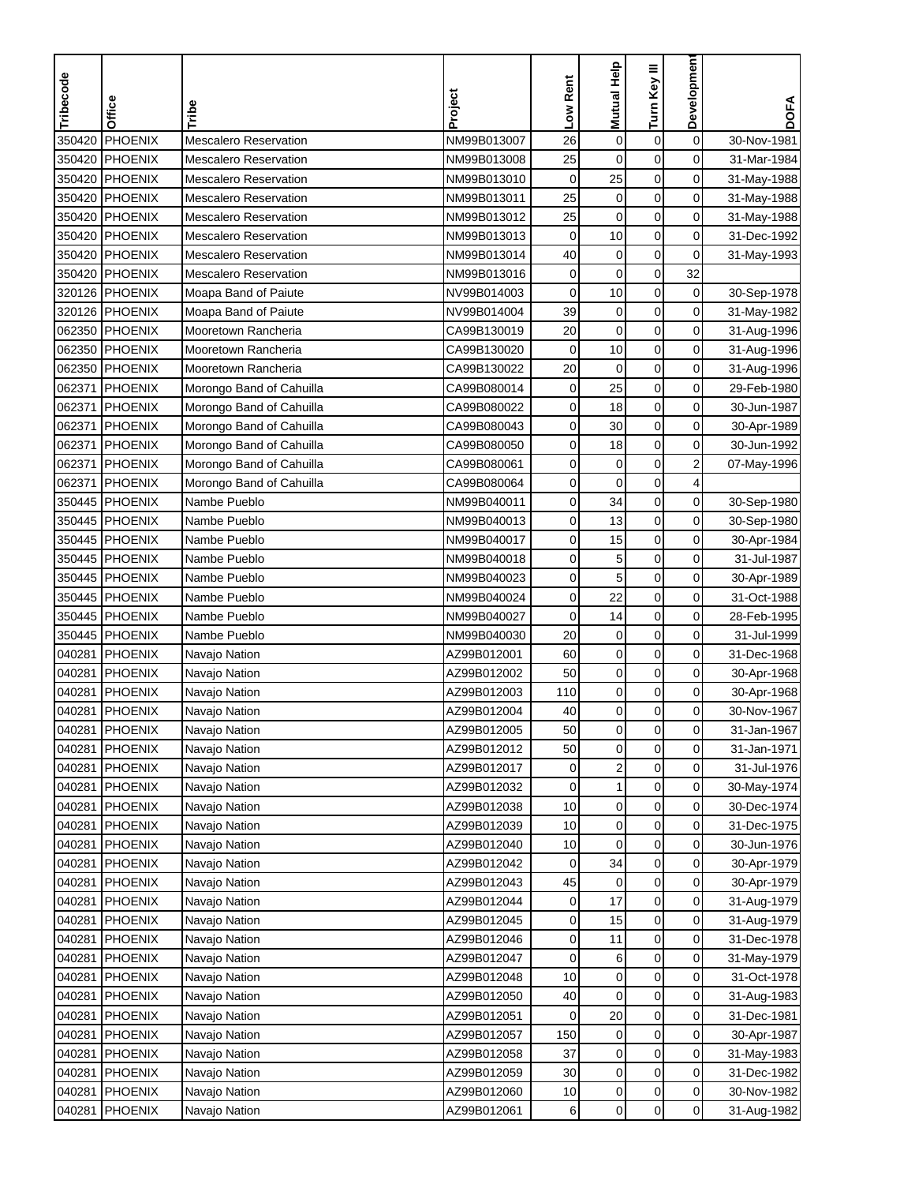| Tribecode | Office         | Tribe                        | Project     | Low Rent    | Mutual Help      | Turn Key III     | Developmen     | <b>DOFA</b> |
|-----------|----------------|------------------------------|-------------|-------------|------------------|------------------|----------------|-------------|
|           |                |                              |             |             |                  |                  |                |             |
| 350420    | PHOENIX        | <b>Mescalero Reservation</b> | NM99B013007 | 26          | $\mathbf 0$      | $\boldsymbol{0}$ | $\mathbf 0$    | 30-Nov-1981 |
| 350420    | PHOENIX        | <b>Mescalero Reservation</b> | NM99B013008 | 25          | $\mathbf 0$      | $\mathbf 0$      | 0              | 31-Mar-1984 |
| 350420    | PHOENIX        | <b>Mescalero Reservation</b> | NM99B013010 | $\mathbf 0$ | 25               | $\mathbf 0$      | 0              | 31-May-1988 |
|           | 350420 PHOENIX | <b>Mescalero Reservation</b> | NM99B013011 | 25          | $\pmb{0}$        | $\mathbf 0$      | 0              | 31-May-1988 |
| 350420    | <b>PHOENIX</b> | <b>Mescalero Reservation</b> | NM99B013012 | 25          | $\mathbf 0$      | $\pmb{0}$        | 0              | 31-May-1988 |
| 350420    | PHOENIX        | <b>Mescalero Reservation</b> | NM99B013013 | $\mathbf 0$ | 10               | $\mathbf 0$      | 0              | 31-Dec-1992 |
| 350420    | <b>PHOENIX</b> | <b>Mescalero Reservation</b> | NM99B013014 | 40          | $\pmb{0}$        | $\pmb{0}$        | 0              | 31-May-1993 |
|           | 350420 PHOENIX | <b>Mescalero Reservation</b> | NM99B013016 | 0           | $\mathbf 0$      | $\mathbf 0$      | 32             |             |
|           | 320126 PHOENIX | Moapa Band of Paiute         | NV99B014003 | 0           | 10               | 0                | 0              | 30-Sep-1978 |
|           | 320126 PHOENIX | Moapa Band of Paiute         | NV99B014004 | 39          | $\boldsymbol{0}$ | $\boldsymbol{0}$ | 0              | 31-May-1982 |
|           | 062350 PHOENIX | Mooretown Rancheria          | CA99B130019 | 20          | $\mathbf 0$      | $\mathbf 0$      | 0              | 31-Aug-1996 |
|           | 062350 PHOENIX | Mooretown Rancheria          | CA99B130020 | $\mathbf 0$ | 10               | $\mathbf 0$      | 0              | 31-Aug-1996 |
| 062350    | <b>PHOENIX</b> | Mooretown Rancheria          | CA99B130022 | 20          | $\mathbf 0$      | $\boldsymbol{0}$ | 0              | 31-Aug-1996 |
| 062371    | <b>PHOENIX</b> | Morongo Band of Cahuilla     | CA99B080014 | $\pmb{0}$   | 25               | $\mathbf 0$      | 0              | 29-Feb-1980 |
| 062371    | PHOENIX        | Morongo Band of Cahuilla     | CA99B080022 | 0           | 18               | $\mathbf 0$      | 0              | 30-Jun-1987 |
| 062371    | PHOENIX        | Morongo Band of Cahuilla     | CA99B080043 | 0           | 30               | $\mathbf 0$      | 0              | 30-Apr-1989 |
| 062371    | <b>PHOENIX</b> | Morongo Band of Cahuilla     | CA99B080050 | 0           | 18               | 0                | 0              | 30-Jun-1992 |
| 062371    | PHOENIX        | Morongo Band of Cahuilla     | CA99B080061 | 0           | $\mathbf 0$      | $\mathbf 0$      | $\overline{c}$ | 07-May-1996 |
| 062371    | PHOENIX        | Morongo Band of Cahuilla     | CA99B080064 | 0           | $\mathbf 0$      | $\mathbf 0$      | 4              |             |
|           | 350445 PHOENIX | Nambe Pueblo                 | NM99B040011 | 0           | 34               | $\mathbf 0$      | 0              | 30-Sep-1980 |
| 350445    | PHOENIX        | Nambe Pueblo                 | NM99B040013 | 0           | 13               | $\mathbf 0$      | 0              | 30-Sep-1980 |
|           | 350445 PHOENIX | Nambe Pueblo                 | NM99B040017 | 0           | 15               | $\pmb{0}$        | 0              | 30-Apr-1984 |
| 350445    | PHOENIX        | Nambe Pueblo                 | NM99B040018 | 0           | 5                | $\boldsymbol{0}$ | 0              | 31-Jul-1987 |
|           | 350445 PHOENIX | Nambe Pueblo                 | NM99B040023 | 0           | 5                | $\mathbf 0$      | 0              | 30-Apr-1989 |
|           | 350445 PHOENIX | Nambe Pueblo                 | NM99B040024 | 0           | 22               | 0                | 0              | 31-Oct-1988 |
|           | 350445 PHOENIX | Nambe Pueblo                 | NM99B040027 | 0           | 14               | 0                | 0              | 28-Feb-1995 |
|           | 350445 PHOENIX | Nambe Pueblo                 | NM99B040030 | 20          | $\pmb{0}$        | $\mathbf 0$      | 0              | 31-Jul-1999 |
| 040281    | PHOENIX        | Navajo Nation                | AZ99B012001 | 60          | $\mathbf 0$      | $\mathbf 0$      | 0              | 31-Dec-1968 |
| 040281    | PHOENIX        | Navajo Nation                | AZ99B012002 | 50          | $\mathbf 0$      | $\mathbf 0$      | 0              | 30-Apr-1968 |
| 040281    | <b>PHOENIX</b> | Navajo Nation                | AZ99B012003 | 110         | $\pmb{0}$        | $\pmb{0}$        | 0              | 30-Apr-1968 |
| 040281    | <b>PHOENIX</b> | Navajo Nation                | AZ99B012004 | 40          | $\pmb{0}$        | $\mathbf 0$      | 0              | 30-Nov-1967 |
|           | 040281 PHOENIX | Navajo Nation                | AZ99B012005 | 50          | 0                | $\mathbf 0$      | 0              | 31-Jan-1967 |
| 040281    | PHOENIX        | Navajo Nation                | AZ99B012012 | 50          | $\mathbf 0$      | $\mathbf 0$      | 0              | 31-Jan-1971 |
| 040281    | PHOENIX        | Navajo Nation                | AZ99B012017 | 0           | 2                | 0                | 0              | 31-Jul-1976 |
| 040281    | <b>PHOENIX</b> | Navajo Nation                | AZ99B012032 | 0           | $\mathbf{1}$     | $\pmb{0}$        | $\overline{0}$ | 30-May-1974 |
| 040281    | PHOENIX        | Navajo Nation                | AZ99B012038 | 10          | 0                | 0                | $\overline{0}$ | 30-Dec-1974 |
| 040281    | PHOENIX        | Navajo Nation                | AZ99B012039 | 10          | $\pmb{0}$        | 0                | $\overline{0}$ | 31-Dec-1975 |
| 040281    | <b>PHOENIX</b> | Navajo Nation                | AZ99B012040 | 10          | 0                | 0                | 0              | 30-Jun-1976 |
| 040281    | PHOENIX        | Navajo Nation                | AZ99B012042 | 0           | 34               | $\pmb{0}$        | $\overline{0}$ | 30-Apr-1979 |
| 040281    | PHOENIX        | Navajo Nation                | AZ99B012043 | 45          | 0                | 0                | 0              | 30-Apr-1979 |
| 040281    | PHOENIX        | Navajo Nation                | AZ99B012044 | 0           | 17               | 0                | 0              | 31-Aug-1979 |
| 040281    | PHOENIX        | Navajo Nation                | AZ99B012045 | 0           | 15               | $\pmb{0}$        | 0              | 31-Aug-1979 |
| 040281    | <b>PHOENIX</b> | Navajo Nation                | AZ99B012046 | 0           | 11               | $\pmb{0}$        | 0              | 31-Dec-1978 |
| 040281    | PHOENIX        | Navajo Nation                | AZ99B012047 | 0           | 6                | 0                | $\overline{0}$ | 31-May-1979 |
| 040281    | PHOENIX        | Navajo Nation                | AZ99B012048 | 10          | 0                | 0                | 0              | 31-Oct-1978 |
| 040281    | PHOENIX        | Navajo Nation                | AZ99B012050 | 40          | 0                | 0                | 0              | 31-Aug-1983 |
| 040281    | <b>PHOENIX</b> | Navajo Nation                | AZ99B012051 | 0           | 20               | $\boldsymbol{0}$ | 0              | 31-Dec-1981 |
| 040281    | <b>PHOENIX</b> | Navajo Nation                | AZ99B012057 | 150         | 0                | 0                | 0              | 30-Apr-1987 |
| 040281    | PHOENIX        | Navajo Nation                | AZ99B012058 | 37          | 0                | 0                | 0              | 31-May-1983 |
| 040281    | <b>PHOENIX</b> | Navajo Nation                | AZ99B012059 | 30          | 0                | 0                | 0              | 31-Dec-1982 |
| 040281    | PHOENIX        | Navajo Nation                | AZ99B012060 | 10          | 0                | 0                | $\overline{0}$ | 30-Nov-1982 |
| 040281    | <b>PHOENIX</b> | Navajo Nation                | AZ99B012061 | 6           | $\mathbf 0$      | $\boldsymbol{0}$ | $\overline{0}$ | 31-Aug-1982 |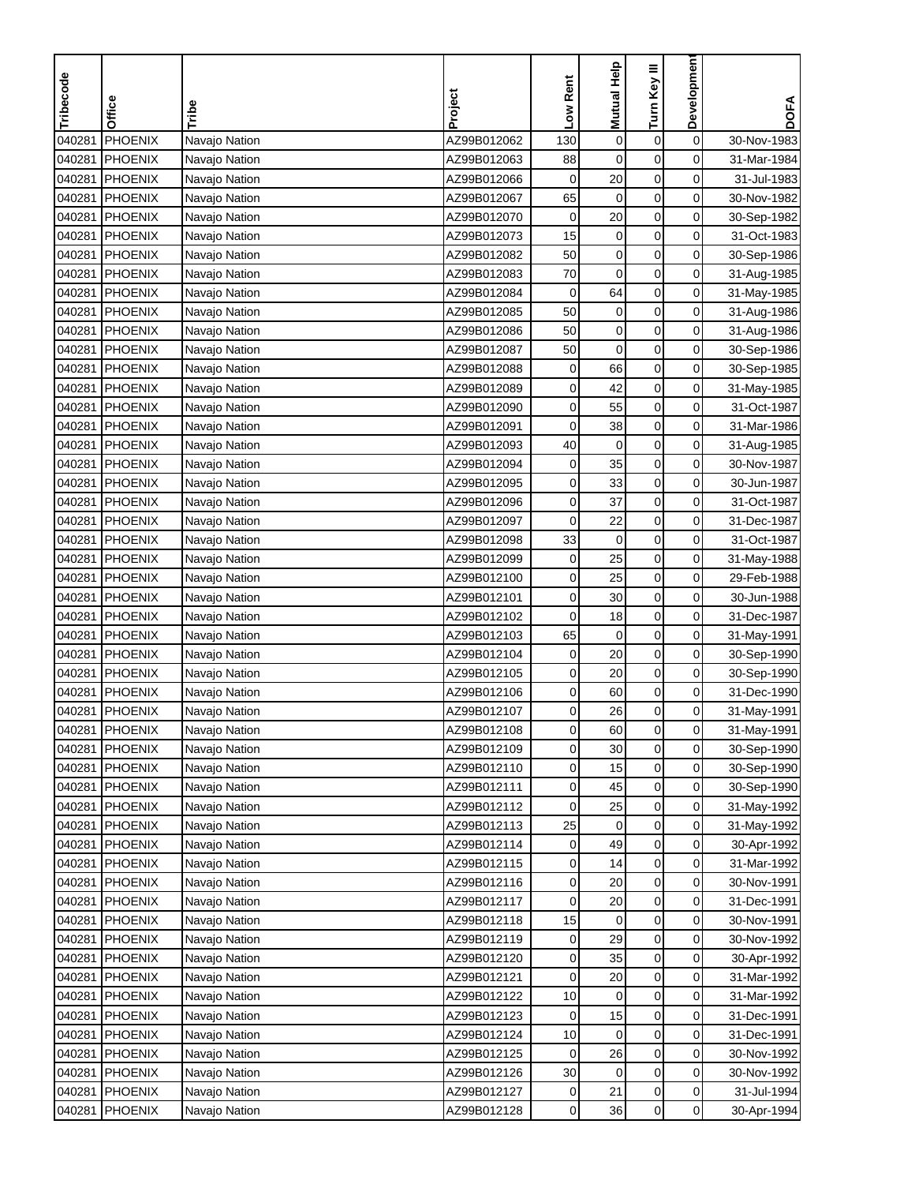| PHOENIX<br>$\mathbf 0$<br>Navajo Nation<br>AZ99B012062<br>130<br>$\pmb{0}$<br>$\pmb{0}$<br>30-Nov-1983<br>040281<br>0<br>040281<br><b>PHOENIX</b><br>$\mathbf 0$<br>$\mathbf 0$<br>AZ99B012063<br>88<br>31-Mar-1984<br>Navajo Nation<br>$\mathbf 0$<br>$\mathbf 0$<br>0<br>040281<br><b>PHOENIX</b><br>AZ99B012066<br>20<br>31-Jul-1983<br>Navajo Nation<br>$\mathbf 0$<br>0<br>040281<br><b>PHOENIX</b><br>65<br>$\mathbf 0$<br>AZ99B012067<br>30-Nov-1982<br>Navajo Nation<br>$\boldsymbol{0}$<br>$\pmb{0}$<br>20<br>0<br>040281<br>PHOENIX<br>AZ99B012070<br>30-Sep-1982<br>Navajo Nation<br>15<br>$\boldsymbol{0}$<br>040281<br><b>PHOENIX</b><br>AZ99B012073<br>$\pmb{0}$<br>0<br>31-Oct-1983<br>Navajo Nation<br>50<br>$\boldsymbol{0}$<br>$\boldsymbol{0}$<br>0<br>040281<br>PHOENIX<br>AZ99B012082<br>30-Sep-1986<br>Navajo Nation<br>0<br>040281<br>70<br>$\mathbf 0$<br>$\pmb{0}$<br><b>PHOENIX</b><br>AZ99B012083<br>Navajo Nation<br>31-Aug-1985<br>0<br>040281<br><b>PHOENIX</b><br>AZ99B012084<br>$\pmb{0}$<br>64<br>0<br>31-May-1985<br>Navajo Nation<br>0<br>040281<br>50<br>$\boldsymbol{0}$<br>$\pmb{0}$<br><b>PHOENIX</b><br>AZ99B012085<br>Navajo Nation<br>31-Aug-1986<br>PHOENIX<br>0<br>040281<br>AZ99B012086<br>50<br>0<br>0<br>Navajo Nation<br>31-Aug-1986<br>PHOENIX<br>50<br>$\mathbf 0$<br>$\mathbf 0$<br>0<br>040281<br>Navajo Nation<br>AZ99B012087<br>30-Sep-1986<br>66<br>$\pmb{0}$<br>0<br>040281<br>0<br>PHOENIX<br>Navajo Nation<br>AZ99B012088<br>30-Sep-1985<br>$\mathbf 0$<br>0<br>040281<br><b>PHOENIX</b><br>AZ99B012089<br>0<br>42<br>Navajo Nation<br>31-May-1985<br>55<br>$\pmb{0}$<br>0<br>040281<br><b>PHOENIX</b><br>AZ99B012090<br>0<br>31-Oct-1987<br>Navajo Nation<br>040281<br>PHOENIX<br>38<br>0<br>0<br>AZ99B012091<br>0<br>31-Mar-1986<br>Navajo Nation<br>0<br>040281<br>PHOENIX<br>AZ99B012093<br>40<br>$\mathbf 0$<br>0<br>31-Aug-1985<br>Navajo Nation<br>040281<br><b>PHOENIX</b><br>$\mathbf 0$<br>$\pmb{0}$<br>0<br>AZ99B012094<br>35<br>30-Nov-1987<br>Navajo Nation<br>040281<br>PHOENIX<br>AZ99B012095<br>0<br>$\mathbf 0$<br>0<br>33<br>30-Jun-1987<br>Navajo Nation<br>$\mathbf 0$<br>0<br>37<br>0<br>040281<br><b>PHOENIX</b><br>AZ99B012096<br>31-Oct-1987<br>Navajo Nation<br>$\pmb{0}$<br>040281<br><b>PHOENIX</b><br>0<br>22<br>0<br>AZ99B012097<br>31-Dec-1987<br>Navajo Nation<br>33<br>$\boldsymbol{0}$<br>$\mathbf 0$<br>0<br>040281<br>PHOENIX<br>AZ99B012098<br>31-Oct-1987<br>Navajo Nation<br>$\boldsymbol{0}$<br>040281<br>PHOENIX<br>$\pmb{0}$<br>25<br>0<br>AZ99B012099<br>31-May-1988<br>Navajo Nation<br>0<br>25<br>0<br>040281<br><b>PHOENIX</b><br>AZ99B012100<br>0<br>29-Feb-1988<br>Navajo Nation<br>30<br>0<br>040281<br><b>PHOENIX</b><br>AZ99B012101<br>0<br>0<br>30-Jun-1988<br>Navajo Nation<br>0<br>0<br>040281<br><b>PHOENIX</b><br>AZ99B012102<br>0<br>Navajo Nation<br>18<br>31-Dec-1987<br>0<br>040281<br><b>PHOENIX</b><br>AZ99B012103<br>65<br>$\mathbf 0$<br>0<br>Navajo Nation<br>31-May-1991<br>PHOENIX<br>0<br>20<br>0<br>0<br>040281<br>AZ99B012104<br>30-Sep-1990<br>Navajo Nation<br>$\pmb{0}$<br>040281<br>PHOENIX<br>0<br>20<br>0<br>AZ99B012105<br>Navajo Nation<br>30-Sep-1990<br>$\mathbf 0$<br>0<br>040281<br>PHOENIX<br>0<br>60<br>31-Dec-1990<br>Navajo Nation<br>AZ99B012106<br>$\mathbf 0$<br>040281<br>PHOENIX<br>26<br>0<br>AZ99B012107<br>0<br>31-May-1991<br>Navajo Nation<br>040281 PHOENIX<br>Navajo Nation<br>AZ99B012108<br>$\mathbf{0}$<br>60<br>$\mathbf 0$<br>0<br>31-May-1991<br>$\mathsf 0$<br>0<br>AZ99B012109<br>0<br>30<br>040281<br>PHOENIX<br>30-Sep-1990<br>Navajo Nation<br>0<br>0<br>040281<br>PHOENIX<br>AZ99B012110<br>0<br>15<br>30-Sep-1990<br>Navajo Nation<br>$\pmb{0}$<br>040281<br><b>PHOENIX</b><br>AZ99B012111<br>0<br>$\overline{0}$<br>45<br>30-Sep-1990<br>Navajo Nation<br>040281<br>PHOENIX<br>AZ99B012112<br>0<br>0<br>$\overline{0}$<br>Navajo Nation<br>25<br>31-May-1992<br>0<br>$\overline{0}$<br>040281<br>PHOENIX<br>AZ99B012113<br>25<br>0<br>Navajo Nation<br>31-May-1992<br>49<br>0<br>040281<br>PHOENIX<br>Navajo Nation<br>AZ99B012114<br>0<br>0<br>30-Apr-1992<br>$\pmb{0}$<br>$\overline{0}$<br>040281<br>PHOENIX<br>Navajo Nation<br>AZ99B012115<br>0<br>14<br>31-Mar-1992<br>0<br>040281<br>PHOENIX<br>AZ99B012116<br>0<br>20<br>0<br>Navajo Nation<br>30-Nov-1991<br>0<br>0<br>040281<br>PHOENIX<br>AZ99B012117<br>0<br>20<br>Navajo Nation<br>31-Dec-1991<br>$\pmb{0}$<br>0<br>15<br>040281<br>PHOENIX<br>AZ99B012118<br>0<br>30-Nov-1991<br>Navajo Nation<br>$\pmb{0}$<br><b>PHOENIX</b><br>AZ99B012119<br>29<br>0<br>040281<br>0<br>30-Nov-1992<br>Navajo Nation<br>0<br>040281<br>PHOENIX<br>AZ99B012120<br>0<br>35<br>$\overline{0}$<br>Navajo Nation<br>30-Apr-1992<br>0<br>040281<br>PHOENIX<br>AZ99B012121<br>0<br>20<br>0<br>Navajo Nation<br>31-Mar-1992<br>040281<br>PHOENIX<br>10<br>0<br>0<br>Navajo Nation<br>AZ99B012122<br>0<br>31-Mar-1992<br>$\boldsymbol{0}$<br>15<br>040281<br><b>PHOENIX</b><br>AZ99B012123<br>0<br>0<br>31-Dec-1991<br>Navajo Nation<br>0<br>040281<br><b>PHOENIX</b><br>10<br>0<br>0<br>Navajo Nation<br>AZ99B012124<br>31-Dec-1991<br>0<br>040281<br>PHOENIX<br>AZ99B012125<br>26<br>0<br>Navajo Nation<br>0<br>30-Nov-1992<br>30<br>0<br>0<br>040281<br><b>PHOENIX</b><br>AZ99B012126<br>0<br>30-Nov-1992<br>Navajo Nation<br>$\mathbf 0$<br>040281<br>PHOENIX<br>AZ99B012127<br>0<br>0<br>21<br>31-Jul-1994<br>Navajo Nation<br>$\boldsymbol{0}$<br>$\overline{0}$<br>040281<br><b>PHOENIX</b><br>AZ99B012128<br>0<br>36<br>30-Apr-1994<br>Navajo Nation | Tribecode | Office |       | Project | Low Rent | Mutual Help | Turn Key III | Developmen | <b>DOFA</b> |
|------------------------------------------------------------------------------------------------------------------------------------------------------------------------------------------------------------------------------------------------------------------------------------------------------------------------------------------------------------------------------------------------------------------------------------------------------------------------------------------------------------------------------------------------------------------------------------------------------------------------------------------------------------------------------------------------------------------------------------------------------------------------------------------------------------------------------------------------------------------------------------------------------------------------------------------------------------------------------------------------------------------------------------------------------------------------------------------------------------------------------------------------------------------------------------------------------------------------------------------------------------------------------------------------------------------------------------------------------------------------------------------------------------------------------------------------------------------------------------------------------------------------------------------------------------------------------------------------------------------------------------------------------------------------------------------------------------------------------------------------------------------------------------------------------------------------------------------------------------------------------------------------------------------------------------------------------------------------------------------------------------------------------------------------------------------------------------------------------------------------------------------------------------------------------------------------------------------------------------------------------------------------------------------------------------------------------------------------------------------------------------------------------------------------------------------------------------------------------------------------------------------------------------------------------------------------------------------------------------------------------------------------------------------------------------------------------------------------------------------------------------------------------------------------------------------------------------------------------------------------------------------------------------------------------------------------------------------------------------------------------------------------------------------------------------------------------------------------------------------------------------------------------------------------------------------------------------------------------------------------------------------------------------------------------------------------------------------------------------------------------------------------------------------------------------------------------------------------------------------------------------------------------------------------------------------------------------------------------------------------------------------------------------------------------------------------------------------------------------------------------------------------------------------------------------------------------------------------------------------------------------------------------------------------------------------------------------------------------------------------------------------------------------------------------------------------------------------------------------------------------------------------------------------------------------------------------------------------------------------------------------------------------------------------------------------------------------------------------------------------------------------------------------------------------------------------------------------------------------------------------------------------------------------------------------------------------------------------------------------------------------------------------------------------------------------------------------------------------------------------------------------------------------------------------------------------------------------------------------------------------------------------------------------------------------------------------------------------------------------------------------------------------------------------------------------------------------------------------------------------------------------------------------------------------------------------------------------------------------------------------------------------------------------------------------------------------------------------------------------------------------------------------------------------------------------------------------------------------------------------------------------------------------------------------------------------------|-----------|--------|-------|---------|----------|-------------|--------------|------------|-------------|
|                                                                                                                                                                                                                                                                                                                                                                                                                                                                                                                                                                                                                                                                                                                                                                                                                                                                                                                                                                                                                                                                                                                                                                                                                                                                                                                                                                                                                                                                                                                                                                                                                                                                                                                                                                                                                                                                                                                                                                                                                                                                                                                                                                                                                                                                                                                                                                                                                                                                                                                                                                                                                                                                                                                                                                                                                                                                                                                                                                                                                                                                                                                                                                                                                                                                                                                                                                                                                                                                                                                                                                                                                                                                                                                                                                                                                                                                                                                                                                                                                                                                                                                                                                                                                                                                                                                                                                                                                                                                                                                                                                                                                                                                                                                                                                                                                                                                                                                                                                                                                                                                                                                                                                                                                                                                                                                                                                                                                                                                                                                                                                              |           |        | Tribe |         |          |             |              |            |             |
|                                                                                                                                                                                                                                                                                                                                                                                                                                                                                                                                                                                                                                                                                                                                                                                                                                                                                                                                                                                                                                                                                                                                                                                                                                                                                                                                                                                                                                                                                                                                                                                                                                                                                                                                                                                                                                                                                                                                                                                                                                                                                                                                                                                                                                                                                                                                                                                                                                                                                                                                                                                                                                                                                                                                                                                                                                                                                                                                                                                                                                                                                                                                                                                                                                                                                                                                                                                                                                                                                                                                                                                                                                                                                                                                                                                                                                                                                                                                                                                                                                                                                                                                                                                                                                                                                                                                                                                                                                                                                                                                                                                                                                                                                                                                                                                                                                                                                                                                                                                                                                                                                                                                                                                                                                                                                                                                                                                                                                                                                                                                                                              |           |        |       |         |          |             |              |            |             |
|                                                                                                                                                                                                                                                                                                                                                                                                                                                                                                                                                                                                                                                                                                                                                                                                                                                                                                                                                                                                                                                                                                                                                                                                                                                                                                                                                                                                                                                                                                                                                                                                                                                                                                                                                                                                                                                                                                                                                                                                                                                                                                                                                                                                                                                                                                                                                                                                                                                                                                                                                                                                                                                                                                                                                                                                                                                                                                                                                                                                                                                                                                                                                                                                                                                                                                                                                                                                                                                                                                                                                                                                                                                                                                                                                                                                                                                                                                                                                                                                                                                                                                                                                                                                                                                                                                                                                                                                                                                                                                                                                                                                                                                                                                                                                                                                                                                                                                                                                                                                                                                                                                                                                                                                                                                                                                                                                                                                                                                                                                                                                                              |           |        |       |         |          |             |              |            |             |
|                                                                                                                                                                                                                                                                                                                                                                                                                                                                                                                                                                                                                                                                                                                                                                                                                                                                                                                                                                                                                                                                                                                                                                                                                                                                                                                                                                                                                                                                                                                                                                                                                                                                                                                                                                                                                                                                                                                                                                                                                                                                                                                                                                                                                                                                                                                                                                                                                                                                                                                                                                                                                                                                                                                                                                                                                                                                                                                                                                                                                                                                                                                                                                                                                                                                                                                                                                                                                                                                                                                                                                                                                                                                                                                                                                                                                                                                                                                                                                                                                                                                                                                                                                                                                                                                                                                                                                                                                                                                                                                                                                                                                                                                                                                                                                                                                                                                                                                                                                                                                                                                                                                                                                                                                                                                                                                                                                                                                                                                                                                                                                              |           |        |       |         |          |             |              |            |             |
|                                                                                                                                                                                                                                                                                                                                                                                                                                                                                                                                                                                                                                                                                                                                                                                                                                                                                                                                                                                                                                                                                                                                                                                                                                                                                                                                                                                                                                                                                                                                                                                                                                                                                                                                                                                                                                                                                                                                                                                                                                                                                                                                                                                                                                                                                                                                                                                                                                                                                                                                                                                                                                                                                                                                                                                                                                                                                                                                                                                                                                                                                                                                                                                                                                                                                                                                                                                                                                                                                                                                                                                                                                                                                                                                                                                                                                                                                                                                                                                                                                                                                                                                                                                                                                                                                                                                                                                                                                                                                                                                                                                                                                                                                                                                                                                                                                                                                                                                                                                                                                                                                                                                                                                                                                                                                                                                                                                                                                                                                                                                                                              |           |        |       |         |          |             |              |            |             |
|                                                                                                                                                                                                                                                                                                                                                                                                                                                                                                                                                                                                                                                                                                                                                                                                                                                                                                                                                                                                                                                                                                                                                                                                                                                                                                                                                                                                                                                                                                                                                                                                                                                                                                                                                                                                                                                                                                                                                                                                                                                                                                                                                                                                                                                                                                                                                                                                                                                                                                                                                                                                                                                                                                                                                                                                                                                                                                                                                                                                                                                                                                                                                                                                                                                                                                                                                                                                                                                                                                                                                                                                                                                                                                                                                                                                                                                                                                                                                                                                                                                                                                                                                                                                                                                                                                                                                                                                                                                                                                                                                                                                                                                                                                                                                                                                                                                                                                                                                                                                                                                                                                                                                                                                                                                                                                                                                                                                                                                                                                                                                                              |           |        |       |         |          |             |              |            |             |
|                                                                                                                                                                                                                                                                                                                                                                                                                                                                                                                                                                                                                                                                                                                                                                                                                                                                                                                                                                                                                                                                                                                                                                                                                                                                                                                                                                                                                                                                                                                                                                                                                                                                                                                                                                                                                                                                                                                                                                                                                                                                                                                                                                                                                                                                                                                                                                                                                                                                                                                                                                                                                                                                                                                                                                                                                                                                                                                                                                                                                                                                                                                                                                                                                                                                                                                                                                                                                                                                                                                                                                                                                                                                                                                                                                                                                                                                                                                                                                                                                                                                                                                                                                                                                                                                                                                                                                                                                                                                                                                                                                                                                                                                                                                                                                                                                                                                                                                                                                                                                                                                                                                                                                                                                                                                                                                                                                                                                                                                                                                                                                              |           |        |       |         |          |             |              |            |             |
|                                                                                                                                                                                                                                                                                                                                                                                                                                                                                                                                                                                                                                                                                                                                                                                                                                                                                                                                                                                                                                                                                                                                                                                                                                                                                                                                                                                                                                                                                                                                                                                                                                                                                                                                                                                                                                                                                                                                                                                                                                                                                                                                                                                                                                                                                                                                                                                                                                                                                                                                                                                                                                                                                                                                                                                                                                                                                                                                                                                                                                                                                                                                                                                                                                                                                                                                                                                                                                                                                                                                                                                                                                                                                                                                                                                                                                                                                                                                                                                                                                                                                                                                                                                                                                                                                                                                                                                                                                                                                                                                                                                                                                                                                                                                                                                                                                                                                                                                                                                                                                                                                                                                                                                                                                                                                                                                                                                                                                                                                                                                                                              |           |        |       |         |          |             |              |            |             |
|                                                                                                                                                                                                                                                                                                                                                                                                                                                                                                                                                                                                                                                                                                                                                                                                                                                                                                                                                                                                                                                                                                                                                                                                                                                                                                                                                                                                                                                                                                                                                                                                                                                                                                                                                                                                                                                                                                                                                                                                                                                                                                                                                                                                                                                                                                                                                                                                                                                                                                                                                                                                                                                                                                                                                                                                                                                                                                                                                                                                                                                                                                                                                                                                                                                                                                                                                                                                                                                                                                                                                                                                                                                                                                                                                                                                                                                                                                                                                                                                                                                                                                                                                                                                                                                                                                                                                                                                                                                                                                                                                                                                                                                                                                                                                                                                                                                                                                                                                                                                                                                                                                                                                                                                                                                                                                                                                                                                                                                                                                                                                                              |           |        |       |         |          |             |              |            |             |
|                                                                                                                                                                                                                                                                                                                                                                                                                                                                                                                                                                                                                                                                                                                                                                                                                                                                                                                                                                                                                                                                                                                                                                                                                                                                                                                                                                                                                                                                                                                                                                                                                                                                                                                                                                                                                                                                                                                                                                                                                                                                                                                                                                                                                                                                                                                                                                                                                                                                                                                                                                                                                                                                                                                                                                                                                                                                                                                                                                                                                                                                                                                                                                                                                                                                                                                                                                                                                                                                                                                                                                                                                                                                                                                                                                                                                                                                                                                                                                                                                                                                                                                                                                                                                                                                                                                                                                                                                                                                                                                                                                                                                                                                                                                                                                                                                                                                                                                                                                                                                                                                                                                                                                                                                                                                                                                                                                                                                                                                                                                                                                              |           |        |       |         |          |             |              |            |             |
|                                                                                                                                                                                                                                                                                                                                                                                                                                                                                                                                                                                                                                                                                                                                                                                                                                                                                                                                                                                                                                                                                                                                                                                                                                                                                                                                                                                                                                                                                                                                                                                                                                                                                                                                                                                                                                                                                                                                                                                                                                                                                                                                                                                                                                                                                                                                                                                                                                                                                                                                                                                                                                                                                                                                                                                                                                                                                                                                                                                                                                                                                                                                                                                                                                                                                                                                                                                                                                                                                                                                                                                                                                                                                                                                                                                                                                                                                                                                                                                                                                                                                                                                                                                                                                                                                                                                                                                                                                                                                                                                                                                                                                                                                                                                                                                                                                                                                                                                                                                                                                                                                                                                                                                                                                                                                                                                                                                                                                                                                                                                                                              |           |        |       |         |          |             |              |            |             |
|                                                                                                                                                                                                                                                                                                                                                                                                                                                                                                                                                                                                                                                                                                                                                                                                                                                                                                                                                                                                                                                                                                                                                                                                                                                                                                                                                                                                                                                                                                                                                                                                                                                                                                                                                                                                                                                                                                                                                                                                                                                                                                                                                                                                                                                                                                                                                                                                                                                                                                                                                                                                                                                                                                                                                                                                                                                                                                                                                                                                                                                                                                                                                                                                                                                                                                                                                                                                                                                                                                                                                                                                                                                                                                                                                                                                                                                                                                                                                                                                                                                                                                                                                                                                                                                                                                                                                                                                                                                                                                                                                                                                                                                                                                                                                                                                                                                                                                                                                                                                                                                                                                                                                                                                                                                                                                                                                                                                                                                                                                                                                                              |           |        |       |         |          |             |              |            |             |
|                                                                                                                                                                                                                                                                                                                                                                                                                                                                                                                                                                                                                                                                                                                                                                                                                                                                                                                                                                                                                                                                                                                                                                                                                                                                                                                                                                                                                                                                                                                                                                                                                                                                                                                                                                                                                                                                                                                                                                                                                                                                                                                                                                                                                                                                                                                                                                                                                                                                                                                                                                                                                                                                                                                                                                                                                                                                                                                                                                                                                                                                                                                                                                                                                                                                                                                                                                                                                                                                                                                                                                                                                                                                                                                                                                                                                                                                                                                                                                                                                                                                                                                                                                                                                                                                                                                                                                                                                                                                                                                                                                                                                                                                                                                                                                                                                                                                                                                                                                                                                                                                                                                                                                                                                                                                                                                                                                                                                                                                                                                                                                              |           |        |       |         |          |             |              |            |             |
|                                                                                                                                                                                                                                                                                                                                                                                                                                                                                                                                                                                                                                                                                                                                                                                                                                                                                                                                                                                                                                                                                                                                                                                                                                                                                                                                                                                                                                                                                                                                                                                                                                                                                                                                                                                                                                                                                                                                                                                                                                                                                                                                                                                                                                                                                                                                                                                                                                                                                                                                                                                                                                                                                                                                                                                                                                                                                                                                                                                                                                                                                                                                                                                                                                                                                                                                                                                                                                                                                                                                                                                                                                                                                                                                                                                                                                                                                                                                                                                                                                                                                                                                                                                                                                                                                                                                                                                                                                                                                                                                                                                                                                                                                                                                                                                                                                                                                                                                                                                                                                                                                                                                                                                                                                                                                                                                                                                                                                                                                                                                                                              |           |        |       |         |          |             |              |            |             |
|                                                                                                                                                                                                                                                                                                                                                                                                                                                                                                                                                                                                                                                                                                                                                                                                                                                                                                                                                                                                                                                                                                                                                                                                                                                                                                                                                                                                                                                                                                                                                                                                                                                                                                                                                                                                                                                                                                                                                                                                                                                                                                                                                                                                                                                                                                                                                                                                                                                                                                                                                                                                                                                                                                                                                                                                                                                                                                                                                                                                                                                                                                                                                                                                                                                                                                                                                                                                                                                                                                                                                                                                                                                                                                                                                                                                                                                                                                                                                                                                                                                                                                                                                                                                                                                                                                                                                                                                                                                                                                                                                                                                                                                                                                                                                                                                                                                                                                                                                                                                                                                                                                                                                                                                                                                                                                                                                                                                                                                                                                                                                                              |           |        |       |         |          |             |              |            |             |
|                                                                                                                                                                                                                                                                                                                                                                                                                                                                                                                                                                                                                                                                                                                                                                                                                                                                                                                                                                                                                                                                                                                                                                                                                                                                                                                                                                                                                                                                                                                                                                                                                                                                                                                                                                                                                                                                                                                                                                                                                                                                                                                                                                                                                                                                                                                                                                                                                                                                                                                                                                                                                                                                                                                                                                                                                                                                                                                                                                                                                                                                                                                                                                                                                                                                                                                                                                                                                                                                                                                                                                                                                                                                                                                                                                                                                                                                                                                                                                                                                                                                                                                                                                                                                                                                                                                                                                                                                                                                                                                                                                                                                                                                                                                                                                                                                                                                                                                                                                                                                                                                                                                                                                                                                                                                                                                                                                                                                                                                                                                                                                              |           |        |       |         |          |             |              |            |             |
|                                                                                                                                                                                                                                                                                                                                                                                                                                                                                                                                                                                                                                                                                                                                                                                                                                                                                                                                                                                                                                                                                                                                                                                                                                                                                                                                                                                                                                                                                                                                                                                                                                                                                                                                                                                                                                                                                                                                                                                                                                                                                                                                                                                                                                                                                                                                                                                                                                                                                                                                                                                                                                                                                                                                                                                                                                                                                                                                                                                                                                                                                                                                                                                                                                                                                                                                                                                                                                                                                                                                                                                                                                                                                                                                                                                                                                                                                                                                                                                                                                                                                                                                                                                                                                                                                                                                                                                                                                                                                                                                                                                                                                                                                                                                                                                                                                                                                                                                                                                                                                                                                                                                                                                                                                                                                                                                                                                                                                                                                                                                                                              |           |        |       |         |          |             |              |            |             |
|                                                                                                                                                                                                                                                                                                                                                                                                                                                                                                                                                                                                                                                                                                                                                                                                                                                                                                                                                                                                                                                                                                                                                                                                                                                                                                                                                                                                                                                                                                                                                                                                                                                                                                                                                                                                                                                                                                                                                                                                                                                                                                                                                                                                                                                                                                                                                                                                                                                                                                                                                                                                                                                                                                                                                                                                                                                                                                                                                                                                                                                                                                                                                                                                                                                                                                                                                                                                                                                                                                                                                                                                                                                                                                                                                                                                                                                                                                                                                                                                                                                                                                                                                                                                                                                                                                                                                                                                                                                                                                                                                                                                                                                                                                                                                                                                                                                                                                                                                                                                                                                                                                                                                                                                                                                                                                                                                                                                                                                                                                                                                                              |           |        |       |         |          |             |              |            |             |
|                                                                                                                                                                                                                                                                                                                                                                                                                                                                                                                                                                                                                                                                                                                                                                                                                                                                                                                                                                                                                                                                                                                                                                                                                                                                                                                                                                                                                                                                                                                                                                                                                                                                                                                                                                                                                                                                                                                                                                                                                                                                                                                                                                                                                                                                                                                                                                                                                                                                                                                                                                                                                                                                                                                                                                                                                                                                                                                                                                                                                                                                                                                                                                                                                                                                                                                                                                                                                                                                                                                                                                                                                                                                                                                                                                                                                                                                                                                                                                                                                                                                                                                                                                                                                                                                                                                                                                                                                                                                                                                                                                                                                                                                                                                                                                                                                                                                                                                                                                                                                                                                                                                                                                                                                                                                                                                                                                                                                                                                                                                                                                              |           |        |       |         |          |             |              |            |             |
|                                                                                                                                                                                                                                                                                                                                                                                                                                                                                                                                                                                                                                                                                                                                                                                                                                                                                                                                                                                                                                                                                                                                                                                                                                                                                                                                                                                                                                                                                                                                                                                                                                                                                                                                                                                                                                                                                                                                                                                                                                                                                                                                                                                                                                                                                                                                                                                                                                                                                                                                                                                                                                                                                                                                                                                                                                                                                                                                                                                                                                                                                                                                                                                                                                                                                                                                                                                                                                                                                                                                                                                                                                                                                                                                                                                                                                                                                                                                                                                                                                                                                                                                                                                                                                                                                                                                                                                                                                                                                                                                                                                                                                                                                                                                                                                                                                                                                                                                                                                                                                                                                                                                                                                                                                                                                                                                                                                                                                                                                                                                                                              |           |        |       |         |          |             |              |            |             |
|                                                                                                                                                                                                                                                                                                                                                                                                                                                                                                                                                                                                                                                                                                                                                                                                                                                                                                                                                                                                                                                                                                                                                                                                                                                                                                                                                                                                                                                                                                                                                                                                                                                                                                                                                                                                                                                                                                                                                                                                                                                                                                                                                                                                                                                                                                                                                                                                                                                                                                                                                                                                                                                                                                                                                                                                                                                                                                                                                                                                                                                                                                                                                                                                                                                                                                                                                                                                                                                                                                                                                                                                                                                                                                                                                                                                                                                                                                                                                                                                                                                                                                                                                                                                                                                                                                                                                                                                                                                                                                                                                                                                                                                                                                                                                                                                                                                                                                                                                                                                                                                                                                                                                                                                                                                                                                                                                                                                                                                                                                                                                                              |           |        |       |         |          |             |              |            |             |
|                                                                                                                                                                                                                                                                                                                                                                                                                                                                                                                                                                                                                                                                                                                                                                                                                                                                                                                                                                                                                                                                                                                                                                                                                                                                                                                                                                                                                                                                                                                                                                                                                                                                                                                                                                                                                                                                                                                                                                                                                                                                                                                                                                                                                                                                                                                                                                                                                                                                                                                                                                                                                                                                                                                                                                                                                                                                                                                                                                                                                                                                                                                                                                                                                                                                                                                                                                                                                                                                                                                                                                                                                                                                                                                                                                                                                                                                                                                                                                                                                                                                                                                                                                                                                                                                                                                                                                                                                                                                                                                                                                                                                                                                                                                                                                                                                                                                                                                                                                                                                                                                                                                                                                                                                                                                                                                                                                                                                                                                                                                                                                              |           |        |       |         |          |             |              |            |             |
|                                                                                                                                                                                                                                                                                                                                                                                                                                                                                                                                                                                                                                                                                                                                                                                                                                                                                                                                                                                                                                                                                                                                                                                                                                                                                                                                                                                                                                                                                                                                                                                                                                                                                                                                                                                                                                                                                                                                                                                                                                                                                                                                                                                                                                                                                                                                                                                                                                                                                                                                                                                                                                                                                                                                                                                                                                                                                                                                                                                                                                                                                                                                                                                                                                                                                                                                                                                                                                                                                                                                                                                                                                                                                                                                                                                                                                                                                                                                                                                                                                                                                                                                                                                                                                                                                                                                                                                                                                                                                                                                                                                                                                                                                                                                                                                                                                                                                                                                                                                                                                                                                                                                                                                                                                                                                                                                                                                                                                                                                                                                                                              |           |        |       |         |          |             |              |            |             |
|                                                                                                                                                                                                                                                                                                                                                                                                                                                                                                                                                                                                                                                                                                                                                                                                                                                                                                                                                                                                                                                                                                                                                                                                                                                                                                                                                                                                                                                                                                                                                                                                                                                                                                                                                                                                                                                                                                                                                                                                                                                                                                                                                                                                                                                                                                                                                                                                                                                                                                                                                                                                                                                                                                                                                                                                                                                                                                                                                                                                                                                                                                                                                                                                                                                                                                                                                                                                                                                                                                                                                                                                                                                                                                                                                                                                                                                                                                                                                                                                                                                                                                                                                                                                                                                                                                                                                                                                                                                                                                                                                                                                                                                                                                                                                                                                                                                                                                                                                                                                                                                                                                                                                                                                                                                                                                                                                                                                                                                                                                                                                                              |           |        |       |         |          |             |              |            |             |
|                                                                                                                                                                                                                                                                                                                                                                                                                                                                                                                                                                                                                                                                                                                                                                                                                                                                                                                                                                                                                                                                                                                                                                                                                                                                                                                                                                                                                                                                                                                                                                                                                                                                                                                                                                                                                                                                                                                                                                                                                                                                                                                                                                                                                                                                                                                                                                                                                                                                                                                                                                                                                                                                                                                                                                                                                                                                                                                                                                                                                                                                                                                                                                                                                                                                                                                                                                                                                                                                                                                                                                                                                                                                                                                                                                                                                                                                                                                                                                                                                                                                                                                                                                                                                                                                                                                                                                                                                                                                                                                                                                                                                                                                                                                                                                                                                                                                                                                                                                                                                                                                                                                                                                                                                                                                                                                                                                                                                                                                                                                                                                              |           |        |       |         |          |             |              |            |             |
|                                                                                                                                                                                                                                                                                                                                                                                                                                                                                                                                                                                                                                                                                                                                                                                                                                                                                                                                                                                                                                                                                                                                                                                                                                                                                                                                                                                                                                                                                                                                                                                                                                                                                                                                                                                                                                                                                                                                                                                                                                                                                                                                                                                                                                                                                                                                                                                                                                                                                                                                                                                                                                                                                                                                                                                                                                                                                                                                                                                                                                                                                                                                                                                                                                                                                                                                                                                                                                                                                                                                                                                                                                                                                                                                                                                                                                                                                                                                                                                                                                                                                                                                                                                                                                                                                                                                                                                                                                                                                                                                                                                                                                                                                                                                                                                                                                                                                                                                                                                                                                                                                                                                                                                                                                                                                                                                                                                                                                                                                                                                                                              |           |        |       |         |          |             |              |            |             |
|                                                                                                                                                                                                                                                                                                                                                                                                                                                                                                                                                                                                                                                                                                                                                                                                                                                                                                                                                                                                                                                                                                                                                                                                                                                                                                                                                                                                                                                                                                                                                                                                                                                                                                                                                                                                                                                                                                                                                                                                                                                                                                                                                                                                                                                                                                                                                                                                                                                                                                                                                                                                                                                                                                                                                                                                                                                                                                                                                                                                                                                                                                                                                                                                                                                                                                                                                                                                                                                                                                                                                                                                                                                                                                                                                                                                                                                                                                                                                                                                                                                                                                                                                                                                                                                                                                                                                                                                                                                                                                                                                                                                                                                                                                                                                                                                                                                                                                                                                                                                                                                                                                                                                                                                                                                                                                                                                                                                                                                                                                                                                                              |           |        |       |         |          |             |              |            |             |
|                                                                                                                                                                                                                                                                                                                                                                                                                                                                                                                                                                                                                                                                                                                                                                                                                                                                                                                                                                                                                                                                                                                                                                                                                                                                                                                                                                                                                                                                                                                                                                                                                                                                                                                                                                                                                                                                                                                                                                                                                                                                                                                                                                                                                                                                                                                                                                                                                                                                                                                                                                                                                                                                                                                                                                                                                                                                                                                                                                                                                                                                                                                                                                                                                                                                                                                                                                                                                                                                                                                                                                                                                                                                                                                                                                                                                                                                                                                                                                                                                                                                                                                                                                                                                                                                                                                                                                                                                                                                                                                                                                                                                                                                                                                                                                                                                                                                                                                                                                                                                                                                                                                                                                                                                                                                                                                                                                                                                                                                                                                                                                              |           |        |       |         |          |             |              |            |             |
|                                                                                                                                                                                                                                                                                                                                                                                                                                                                                                                                                                                                                                                                                                                                                                                                                                                                                                                                                                                                                                                                                                                                                                                                                                                                                                                                                                                                                                                                                                                                                                                                                                                                                                                                                                                                                                                                                                                                                                                                                                                                                                                                                                                                                                                                                                                                                                                                                                                                                                                                                                                                                                                                                                                                                                                                                                                                                                                                                                                                                                                                                                                                                                                                                                                                                                                                                                                                                                                                                                                                                                                                                                                                                                                                                                                                                                                                                                                                                                                                                                                                                                                                                                                                                                                                                                                                                                                                                                                                                                                                                                                                                                                                                                                                                                                                                                                                                                                                                                                                                                                                                                                                                                                                                                                                                                                                                                                                                                                                                                                                                                              |           |        |       |         |          |             |              |            |             |
|                                                                                                                                                                                                                                                                                                                                                                                                                                                                                                                                                                                                                                                                                                                                                                                                                                                                                                                                                                                                                                                                                                                                                                                                                                                                                                                                                                                                                                                                                                                                                                                                                                                                                                                                                                                                                                                                                                                                                                                                                                                                                                                                                                                                                                                                                                                                                                                                                                                                                                                                                                                                                                                                                                                                                                                                                                                                                                                                                                                                                                                                                                                                                                                                                                                                                                                                                                                                                                                                                                                                                                                                                                                                                                                                                                                                                                                                                                                                                                                                                                                                                                                                                                                                                                                                                                                                                                                                                                                                                                                                                                                                                                                                                                                                                                                                                                                                                                                                                                                                                                                                                                                                                                                                                                                                                                                                                                                                                                                                                                                                                                              |           |        |       |         |          |             |              |            |             |
|                                                                                                                                                                                                                                                                                                                                                                                                                                                                                                                                                                                                                                                                                                                                                                                                                                                                                                                                                                                                                                                                                                                                                                                                                                                                                                                                                                                                                                                                                                                                                                                                                                                                                                                                                                                                                                                                                                                                                                                                                                                                                                                                                                                                                                                                                                                                                                                                                                                                                                                                                                                                                                                                                                                                                                                                                                                                                                                                                                                                                                                                                                                                                                                                                                                                                                                                                                                                                                                                                                                                                                                                                                                                                                                                                                                                                                                                                                                                                                                                                                                                                                                                                                                                                                                                                                                                                                                                                                                                                                                                                                                                                                                                                                                                                                                                                                                                                                                                                                                                                                                                                                                                                                                                                                                                                                                                                                                                                                                                                                                                                                              |           |        |       |         |          |             |              |            |             |
|                                                                                                                                                                                                                                                                                                                                                                                                                                                                                                                                                                                                                                                                                                                                                                                                                                                                                                                                                                                                                                                                                                                                                                                                                                                                                                                                                                                                                                                                                                                                                                                                                                                                                                                                                                                                                                                                                                                                                                                                                                                                                                                                                                                                                                                                                                                                                                                                                                                                                                                                                                                                                                                                                                                                                                                                                                                                                                                                                                                                                                                                                                                                                                                                                                                                                                                                                                                                                                                                                                                                                                                                                                                                                                                                                                                                                                                                                                                                                                                                                                                                                                                                                                                                                                                                                                                                                                                                                                                                                                                                                                                                                                                                                                                                                                                                                                                                                                                                                                                                                                                                                                                                                                                                                                                                                                                                                                                                                                                                                                                                                                              |           |        |       |         |          |             |              |            |             |
|                                                                                                                                                                                                                                                                                                                                                                                                                                                                                                                                                                                                                                                                                                                                                                                                                                                                                                                                                                                                                                                                                                                                                                                                                                                                                                                                                                                                                                                                                                                                                                                                                                                                                                                                                                                                                                                                                                                                                                                                                                                                                                                                                                                                                                                                                                                                                                                                                                                                                                                                                                                                                                                                                                                                                                                                                                                                                                                                                                                                                                                                                                                                                                                                                                                                                                                                                                                                                                                                                                                                                                                                                                                                                                                                                                                                                                                                                                                                                                                                                                                                                                                                                                                                                                                                                                                                                                                                                                                                                                                                                                                                                                                                                                                                                                                                                                                                                                                                                                                                                                                                                                                                                                                                                                                                                                                                                                                                                                                                                                                                                                              |           |        |       |         |          |             |              |            |             |
|                                                                                                                                                                                                                                                                                                                                                                                                                                                                                                                                                                                                                                                                                                                                                                                                                                                                                                                                                                                                                                                                                                                                                                                                                                                                                                                                                                                                                                                                                                                                                                                                                                                                                                                                                                                                                                                                                                                                                                                                                                                                                                                                                                                                                                                                                                                                                                                                                                                                                                                                                                                                                                                                                                                                                                                                                                                                                                                                                                                                                                                                                                                                                                                                                                                                                                                                                                                                                                                                                                                                                                                                                                                                                                                                                                                                                                                                                                                                                                                                                                                                                                                                                                                                                                                                                                                                                                                                                                                                                                                                                                                                                                                                                                                                                                                                                                                                                                                                                                                                                                                                                                                                                                                                                                                                                                                                                                                                                                                                                                                                                                              |           |        |       |         |          |             |              |            |             |
|                                                                                                                                                                                                                                                                                                                                                                                                                                                                                                                                                                                                                                                                                                                                                                                                                                                                                                                                                                                                                                                                                                                                                                                                                                                                                                                                                                                                                                                                                                                                                                                                                                                                                                                                                                                                                                                                                                                                                                                                                                                                                                                                                                                                                                                                                                                                                                                                                                                                                                                                                                                                                                                                                                                                                                                                                                                                                                                                                                                                                                                                                                                                                                                                                                                                                                                                                                                                                                                                                                                                                                                                                                                                                                                                                                                                                                                                                                                                                                                                                                                                                                                                                                                                                                                                                                                                                                                                                                                                                                                                                                                                                                                                                                                                                                                                                                                                                                                                                                                                                                                                                                                                                                                                                                                                                                                                                                                                                                                                                                                                                                              |           |        |       |         |          |             |              |            |             |
|                                                                                                                                                                                                                                                                                                                                                                                                                                                                                                                                                                                                                                                                                                                                                                                                                                                                                                                                                                                                                                                                                                                                                                                                                                                                                                                                                                                                                                                                                                                                                                                                                                                                                                                                                                                                                                                                                                                                                                                                                                                                                                                                                                                                                                                                                                                                                                                                                                                                                                                                                                                                                                                                                                                                                                                                                                                                                                                                                                                                                                                                                                                                                                                                                                                                                                                                                                                                                                                                                                                                                                                                                                                                                                                                                                                                                                                                                                                                                                                                                                                                                                                                                                                                                                                                                                                                                                                                                                                                                                                                                                                                                                                                                                                                                                                                                                                                                                                                                                                                                                                                                                                                                                                                                                                                                                                                                                                                                                                                                                                                                                              |           |        |       |         |          |             |              |            |             |
|                                                                                                                                                                                                                                                                                                                                                                                                                                                                                                                                                                                                                                                                                                                                                                                                                                                                                                                                                                                                                                                                                                                                                                                                                                                                                                                                                                                                                                                                                                                                                                                                                                                                                                                                                                                                                                                                                                                                                                                                                                                                                                                                                                                                                                                                                                                                                                                                                                                                                                                                                                                                                                                                                                                                                                                                                                                                                                                                                                                                                                                                                                                                                                                                                                                                                                                                                                                                                                                                                                                                                                                                                                                                                                                                                                                                                                                                                                                                                                                                                                                                                                                                                                                                                                                                                                                                                                                                                                                                                                                                                                                                                                                                                                                                                                                                                                                                                                                                                                                                                                                                                                                                                                                                                                                                                                                                                                                                                                                                                                                                                                              |           |        |       |         |          |             |              |            |             |
|                                                                                                                                                                                                                                                                                                                                                                                                                                                                                                                                                                                                                                                                                                                                                                                                                                                                                                                                                                                                                                                                                                                                                                                                                                                                                                                                                                                                                                                                                                                                                                                                                                                                                                                                                                                                                                                                                                                                                                                                                                                                                                                                                                                                                                                                                                                                                                                                                                                                                                                                                                                                                                                                                                                                                                                                                                                                                                                                                                                                                                                                                                                                                                                                                                                                                                                                                                                                                                                                                                                                                                                                                                                                                                                                                                                                                                                                                                                                                                                                                                                                                                                                                                                                                                                                                                                                                                                                                                                                                                                                                                                                                                                                                                                                                                                                                                                                                                                                                                                                                                                                                                                                                                                                                                                                                                                                                                                                                                                                                                                                                                              |           |        |       |         |          |             |              |            |             |
|                                                                                                                                                                                                                                                                                                                                                                                                                                                                                                                                                                                                                                                                                                                                                                                                                                                                                                                                                                                                                                                                                                                                                                                                                                                                                                                                                                                                                                                                                                                                                                                                                                                                                                                                                                                                                                                                                                                                                                                                                                                                                                                                                                                                                                                                                                                                                                                                                                                                                                                                                                                                                                                                                                                                                                                                                                                                                                                                                                                                                                                                                                                                                                                                                                                                                                                                                                                                                                                                                                                                                                                                                                                                                                                                                                                                                                                                                                                                                                                                                                                                                                                                                                                                                                                                                                                                                                                                                                                                                                                                                                                                                                                                                                                                                                                                                                                                                                                                                                                                                                                                                                                                                                                                                                                                                                                                                                                                                                                                                                                                                                              |           |        |       |         |          |             |              |            |             |
|                                                                                                                                                                                                                                                                                                                                                                                                                                                                                                                                                                                                                                                                                                                                                                                                                                                                                                                                                                                                                                                                                                                                                                                                                                                                                                                                                                                                                                                                                                                                                                                                                                                                                                                                                                                                                                                                                                                                                                                                                                                                                                                                                                                                                                                                                                                                                                                                                                                                                                                                                                                                                                                                                                                                                                                                                                                                                                                                                                                                                                                                                                                                                                                                                                                                                                                                                                                                                                                                                                                                                                                                                                                                                                                                                                                                                                                                                                                                                                                                                                                                                                                                                                                                                                                                                                                                                                                                                                                                                                                                                                                                                                                                                                                                                                                                                                                                                                                                                                                                                                                                                                                                                                                                                                                                                                                                                                                                                                                                                                                                                                              |           |        |       |         |          |             |              |            |             |
|                                                                                                                                                                                                                                                                                                                                                                                                                                                                                                                                                                                                                                                                                                                                                                                                                                                                                                                                                                                                                                                                                                                                                                                                                                                                                                                                                                                                                                                                                                                                                                                                                                                                                                                                                                                                                                                                                                                                                                                                                                                                                                                                                                                                                                                                                                                                                                                                                                                                                                                                                                                                                                                                                                                                                                                                                                                                                                                                                                                                                                                                                                                                                                                                                                                                                                                                                                                                                                                                                                                                                                                                                                                                                                                                                                                                                                                                                                                                                                                                                                                                                                                                                                                                                                                                                                                                                                                                                                                                                                                                                                                                                                                                                                                                                                                                                                                                                                                                                                                                                                                                                                                                                                                                                                                                                                                                                                                                                                                                                                                                                                              |           |        |       |         |          |             |              |            |             |
|                                                                                                                                                                                                                                                                                                                                                                                                                                                                                                                                                                                                                                                                                                                                                                                                                                                                                                                                                                                                                                                                                                                                                                                                                                                                                                                                                                                                                                                                                                                                                                                                                                                                                                                                                                                                                                                                                                                                                                                                                                                                                                                                                                                                                                                                                                                                                                                                                                                                                                                                                                                                                                                                                                                                                                                                                                                                                                                                                                                                                                                                                                                                                                                                                                                                                                                                                                                                                                                                                                                                                                                                                                                                                                                                                                                                                                                                                                                                                                                                                                                                                                                                                                                                                                                                                                                                                                                                                                                                                                                                                                                                                                                                                                                                                                                                                                                                                                                                                                                                                                                                                                                                                                                                                                                                                                                                                                                                                                                                                                                                                                              |           |        |       |         |          |             |              |            |             |
|                                                                                                                                                                                                                                                                                                                                                                                                                                                                                                                                                                                                                                                                                                                                                                                                                                                                                                                                                                                                                                                                                                                                                                                                                                                                                                                                                                                                                                                                                                                                                                                                                                                                                                                                                                                                                                                                                                                                                                                                                                                                                                                                                                                                                                                                                                                                                                                                                                                                                                                                                                                                                                                                                                                                                                                                                                                                                                                                                                                                                                                                                                                                                                                                                                                                                                                                                                                                                                                                                                                                                                                                                                                                                                                                                                                                                                                                                                                                                                                                                                                                                                                                                                                                                                                                                                                                                                                                                                                                                                                                                                                                                                                                                                                                                                                                                                                                                                                                                                                                                                                                                                                                                                                                                                                                                                                                                                                                                                                                                                                                                                              |           |        |       |         |          |             |              |            |             |
|                                                                                                                                                                                                                                                                                                                                                                                                                                                                                                                                                                                                                                                                                                                                                                                                                                                                                                                                                                                                                                                                                                                                                                                                                                                                                                                                                                                                                                                                                                                                                                                                                                                                                                                                                                                                                                                                                                                                                                                                                                                                                                                                                                                                                                                                                                                                                                                                                                                                                                                                                                                                                                                                                                                                                                                                                                                                                                                                                                                                                                                                                                                                                                                                                                                                                                                                                                                                                                                                                                                                                                                                                                                                                                                                                                                                                                                                                                                                                                                                                                                                                                                                                                                                                                                                                                                                                                                                                                                                                                                                                                                                                                                                                                                                                                                                                                                                                                                                                                                                                                                                                                                                                                                                                                                                                                                                                                                                                                                                                                                                                                              |           |        |       |         |          |             |              |            |             |
|                                                                                                                                                                                                                                                                                                                                                                                                                                                                                                                                                                                                                                                                                                                                                                                                                                                                                                                                                                                                                                                                                                                                                                                                                                                                                                                                                                                                                                                                                                                                                                                                                                                                                                                                                                                                                                                                                                                                                                                                                                                                                                                                                                                                                                                                                                                                                                                                                                                                                                                                                                                                                                                                                                                                                                                                                                                                                                                                                                                                                                                                                                                                                                                                                                                                                                                                                                                                                                                                                                                                                                                                                                                                                                                                                                                                                                                                                                                                                                                                                                                                                                                                                                                                                                                                                                                                                                                                                                                                                                                                                                                                                                                                                                                                                                                                                                                                                                                                                                                                                                                                                                                                                                                                                                                                                                                                                                                                                                                                                                                                                                              |           |        |       |         |          |             |              |            |             |
|                                                                                                                                                                                                                                                                                                                                                                                                                                                                                                                                                                                                                                                                                                                                                                                                                                                                                                                                                                                                                                                                                                                                                                                                                                                                                                                                                                                                                                                                                                                                                                                                                                                                                                                                                                                                                                                                                                                                                                                                                                                                                                                                                                                                                                                                                                                                                                                                                                                                                                                                                                                                                                                                                                                                                                                                                                                                                                                                                                                                                                                                                                                                                                                                                                                                                                                                                                                                                                                                                                                                                                                                                                                                                                                                                                                                                                                                                                                                                                                                                                                                                                                                                                                                                                                                                                                                                                                                                                                                                                                                                                                                                                                                                                                                                                                                                                                                                                                                                                                                                                                                                                                                                                                                                                                                                                                                                                                                                                                                                                                                                                              |           |        |       |         |          |             |              |            |             |
|                                                                                                                                                                                                                                                                                                                                                                                                                                                                                                                                                                                                                                                                                                                                                                                                                                                                                                                                                                                                                                                                                                                                                                                                                                                                                                                                                                                                                                                                                                                                                                                                                                                                                                                                                                                                                                                                                                                                                                                                                                                                                                                                                                                                                                                                                                                                                                                                                                                                                                                                                                                                                                                                                                                                                                                                                                                                                                                                                                                                                                                                                                                                                                                                                                                                                                                                                                                                                                                                                                                                                                                                                                                                                                                                                                                                                                                                                                                                                                                                                                                                                                                                                                                                                                                                                                                                                                                                                                                                                                                                                                                                                                                                                                                                                                                                                                                                                                                                                                                                                                                                                                                                                                                                                                                                                                                                                                                                                                                                                                                                                                              |           |        |       |         |          |             |              |            |             |
|                                                                                                                                                                                                                                                                                                                                                                                                                                                                                                                                                                                                                                                                                                                                                                                                                                                                                                                                                                                                                                                                                                                                                                                                                                                                                                                                                                                                                                                                                                                                                                                                                                                                                                                                                                                                                                                                                                                                                                                                                                                                                                                                                                                                                                                                                                                                                                                                                                                                                                                                                                                                                                                                                                                                                                                                                                                                                                                                                                                                                                                                                                                                                                                                                                                                                                                                                                                                                                                                                                                                                                                                                                                                                                                                                                                                                                                                                                                                                                                                                                                                                                                                                                                                                                                                                                                                                                                                                                                                                                                                                                                                                                                                                                                                                                                                                                                                                                                                                                                                                                                                                                                                                                                                                                                                                                                                                                                                                                                                                                                                                                              |           |        |       |         |          |             |              |            |             |
|                                                                                                                                                                                                                                                                                                                                                                                                                                                                                                                                                                                                                                                                                                                                                                                                                                                                                                                                                                                                                                                                                                                                                                                                                                                                                                                                                                                                                                                                                                                                                                                                                                                                                                                                                                                                                                                                                                                                                                                                                                                                                                                                                                                                                                                                                                                                                                                                                                                                                                                                                                                                                                                                                                                                                                                                                                                                                                                                                                                                                                                                                                                                                                                                                                                                                                                                                                                                                                                                                                                                                                                                                                                                                                                                                                                                                                                                                                                                                                                                                                                                                                                                                                                                                                                                                                                                                                                                                                                                                                                                                                                                                                                                                                                                                                                                                                                                                                                                                                                                                                                                                                                                                                                                                                                                                                                                                                                                                                                                                                                                                                              |           |        |       |         |          |             |              |            |             |
|                                                                                                                                                                                                                                                                                                                                                                                                                                                                                                                                                                                                                                                                                                                                                                                                                                                                                                                                                                                                                                                                                                                                                                                                                                                                                                                                                                                                                                                                                                                                                                                                                                                                                                                                                                                                                                                                                                                                                                                                                                                                                                                                                                                                                                                                                                                                                                                                                                                                                                                                                                                                                                                                                                                                                                                                                                                                                                                                                                                                                                                                                                                                                                                                                                                                                                                                                                                                                                                                                                                                                                                                                                                                                                                                                                                                                                                                                                                                                                                                                                                                                                                                                                                                                                                                                                                                                                                                                                                                                                                                                                                                                                                                                                                                                                                                                                                                                                                                                                                                                                                                                                                                                                                                                                                                                                                                                                                                                                                                                                                                                                              |           |        |       |         |          |             |              |            |             |
|                                                                                                                                                                                                                                                                                                                                                                                                                                                                                                                                                                                                                                                                                                                                                                                                                                                                                                                                                                                                                                                                                                                                                                                                                                                                                                                                                                                                                                                                                                                                                                                                                                                                                                                                                                                                                                                                                                                                                                                                                                                                                                                                                                                                                                                                                                                                                                                                                                                                                                                                                                                                                                                                                                                                                                                                                                                                                                                                                                                                                                                                                                                                                                                                                                                                                                                                                                                                                                                                                                                                                                                                                                                                                                                                                                                                                                                                                                                                                                                                                                                                                                                                                                                                                                                                                                                                                                                                                                                                                                                                                                                                                                                                                                                                                                                                                                                                                                                                                                                                                                                                                                                                                                                                                                                                                                                                                                                                                                                                                                                                                                              |           |        |       |         |          |             |              |            |             |
|                                                                                                                                                                                                                                                                                                                                                                                                                                                                                                                                                                                                                                                                                                                                                                                                                                                                                                                                                                                                                                                                                                                                                                                                                                                                                                                                                                                                                                                                                                                                                                                                                                                                                                                                                                                                                                                                                                                                                                                                                                                                                                                                                                                                                                                                                                                                                                                                                                                                                                                                                                                                                                                                                                                                                                                                                                                                                                                                                                                                                                                                                                                                                                                                                                                                                                                                                                                                                                                                                                                                                                                                                                                                                                                                                                                                                                                                                                                                                                                                                                                                                                                                                                                                                                                                                                                                                                                                                                                                                                                                                                                                                                                                                                                                                                                                                                                                                                                                                                                                                                                                                                                                                                                                                                                                                                                                                                                                                                                                                                                                                                              |           |        |       |         |          |             |              |            |             |
|                                                                                                                                                                                                                                                                                                                                                                                                                                                                                                                                                                                                                                                                                                                                                                                                                                                                                                                                                                                                                                                                                                                                                                                                                                                                                                                                                                                                                                                                                                                                                                                                                                                                                                                                                                                                                                                                                                                                                                                                                                                                                                                                                                                                                                                                                                                                                                                                                                                                                                                                                                                                                                                                                                                                                                                                                                                                                                                                                                                                                                                                                                                                                                                                                                                                                                                                                                                                                                                                                                                                                                                                                                                                                                                                                                                                                                                                                                                                                                                                                                                                                                                                                                                                                                                                                                                                                                                                                                                                                                                                                                                                                                                                                                                                                                                                                                                                                                                                                                                                                                                                                                                                                                                                                                                                                                                                                                                                                                                                                                                                                                              |           |        |       |         |          |             |              |            |             |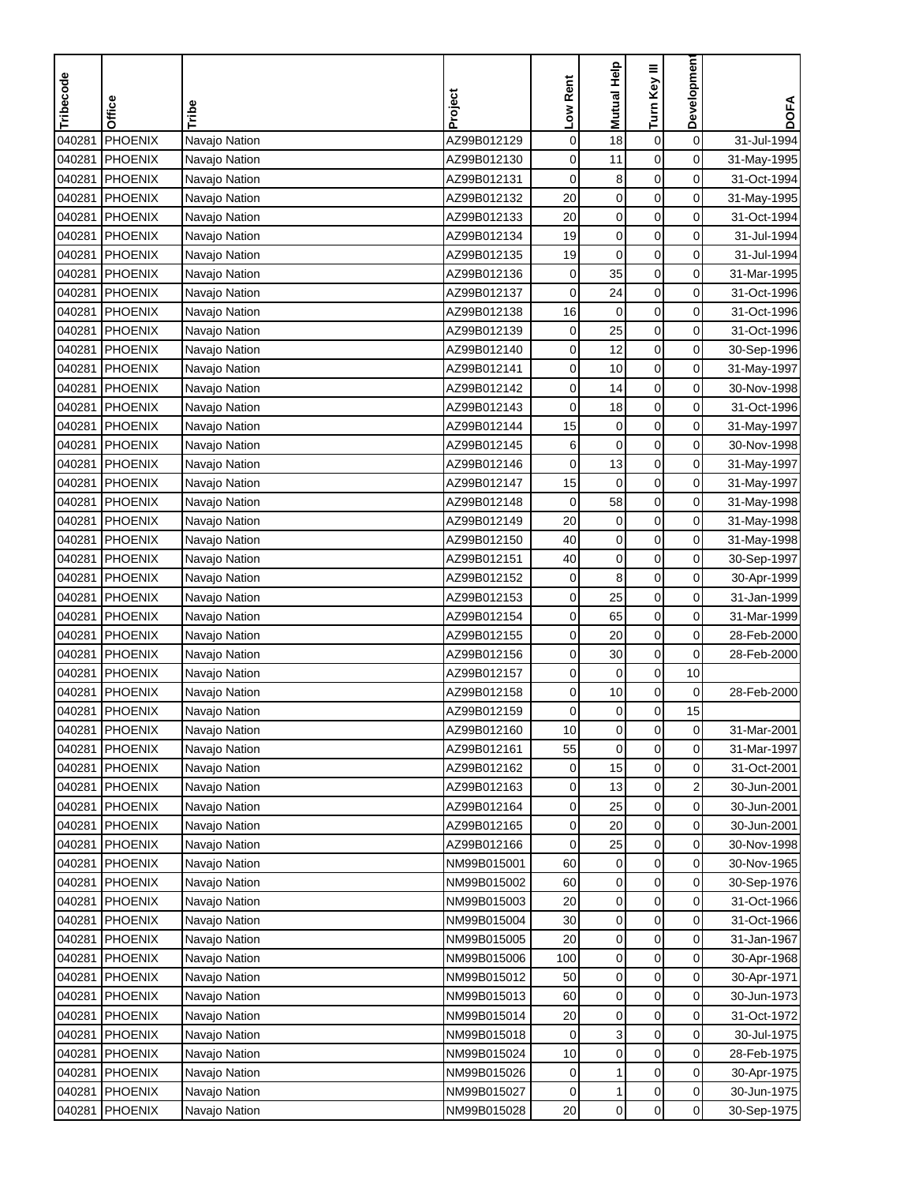| Development<br><b>Mutual Help</b><br>Turn Key III<br>Tribecode<br>Low Rent<br>Project<br>Office<br>Tribe<br><b>PHOENIX</b><br>$\mathbf 0$<br>AZ99B012129<br>$\mathbf 0$<br>18<br>$\boldsymbol{0}$<br>31-Jul-1994<br>040281<br>Navajo Nation<br>$\mathbf 0$<br>040281<br><b>PHOENIX</b><br>AZ99B012130<br>$\mathbf 0$<br>11<br>$\mathbf 0$<br>Navajo Nation<br>31-May-1995<br>PHOENIX<br>$\mathbf 0$<br>0<br>31-Oct-1994<br>040281<br>Navajo Nation<br>AZ99B012131<br>0<br>8<br>PHOENIX<br>AZ99B012132<br>20<br>$\pmb{0}$<br>$\mathbf 0$<br>0<br>040281<br>Navajo Nation<br>31-May-1995<br>20<br>$\pmb{0}$<br>$\boldsymbol{0}$<br>040281<br><b>PHOENIX</b><br>AZ99B012133<br>0<br>31-Oct-1994<br>Navajo Nation<br>19<br>$\boldsymbol{0}$<br>$\mathbf 0$<br>040281<br><b>PHOENIX</b><br>AZ99B012134<br>0<br>31-Jul-1994<br>Navajo Nation<br>$\pmb{0}$<br>$\pmb{0}$<br>19<br>0<br>040281<br>PHOENIX<br>AZ99B012135<br>31-Jul-1994<br>Navajo Nation<br>35<br>040281<br>PHOENIX<br>AZ99B012136<br>$\mathbf 0$<br>0<br>Navajo Nation<br>0<br>31-Mar-1995<br>0<br>040281<br><b>PHOENIX</b><br>AZ99B012137<br>0<br>24<br>0<br>31-Oct-1996<br>Navajo Nation<br>$\pmb{0}$<br>$\mathbf 0$<br>0<br>040281<br>PHOENIX<br>AZ99B012138<br>16<br>31-Oct-1996<br>Navajo Nation<br>PHOENIX<br>AZ99B012139<br>$\mathbf 0$<br>0<br>040281<br>0<br>25<br>31-Oct-1996<br>Navajo Nation<br>$\mathbf 0$<br>PHOENIX<br>AZ99B012140<br>0<br>12<br>0<br>040281<br>Navajo Nation<br>30-Sep-1996<br>$\mathbf 0$<br>040281<br>0<br>10<br>$\mathbf 0$<br><b>PHOENIX</b><br>Navajo Nation<br>AZ99B012141<br>31-May-1997<br>$\mathbf 0$<br>$\mathbf 0$<br>040281<br>PHOENIX<br>AZ99B012142<br>0<br>14<br>Navajo Nation<br>30-Nov-1998<br>040281<br>18<br>$\mathbf 0$<br>0<br>PHOENIX<br>AZ99B012143<br>0<br>31-Oct-1996<br>Navajo Nation<br>$\pmb{0}$<br>0<br>040281<br>PHOENIX<br>AZ99B012144<br>15<br>$\pmb{0}$<br>Navajo Nation<br>31-May-1997<br>$\mathbf 0$<br>$\mathbf 0$<br>0<br>040281<br><b>PHOENIX</b><br>AZ99B012145<br>6<br>Navajo Nation<br>30-Nov-1998<br>PHOENIX<br>$\mathbf 0$<br>$\pmb{0}$<br>$\mathbf 0$<br>040281<br>AZ99B012146<br>13<br>Navajo Nation | <b>DOFA</b> |
|-------------------------------------------------------------------------------------------------------------------------------------------------------------------------------------------------------------------------------------------------------------------------------------------------------------------------------------------------------------------------------------------------------------------------------------------------------------------------------------------------------------------------------------------------------------------------------------------------------------------------------------------------------------------------------------------------------------------------------------------------------------------------------------------------------------------------------------------------------------------------------------------------------------------------------------------------------------------------------------------------------------------------------------------------------------------------------------------------------------------------------------------------------------------------------------------------------------------------------------------------------------------------------------------------------------------------------------------------------------------------------------------------------------------------------------------------------------------------------------------------------------------------------------------------------------------------------------------------------------------------------------------------------------------------------------------------------------------------------------------------------------------------------------------------------------------------------------------------------------------------------------------------------------------------------------------------------------------------------------------------------------------------------------------------------------------------------------------------------------------------------------------|-------------|
|                                                                                                                                                                                                                                                                                                                                                                                                                                                                                                                                                                                                                                                                                                                                                                                                                                                                                                                                                                                                                                                                                                                                                                                                                                                                                                                                                                                                                                                                                                                                                                                                                                                                                                                                                                                                                                                                                                                                                                                                                                                                                                                                           |             |
|                                                                                                                                                                                                                                                                                                                                                                                                                                                                                                                                                                                                                                                                                                                                                                                                                                                                                                                                                                                                                                                                                                                                                                                                                                                                                                                                                                                                                                                                                                                                                                                                                                                                                                                                                                                                                                                                                                                                                                                                                                                                                                                                           |             |
|                                                                                                                                                                                                                                                                                                                                                                                                                                                                                                                                                                                                                                                                                                                                                                                                                                                                                                                                                                                                                                                                                                                                                                                                                                                                                                                                                                                                                                                                                                                                                                                                                                                                                                                                                                                                                                                                                                                                                                                                                                                                                                                                           |             |
|                                                                                                                                                                                                                                                                                                                                                                                                                                                                                                                                                                                                                                                                                                                                                                                                                                                                                                                                                                                                                                                                                                                                                                                                                                                                                                                                                                                                                                                                                                                                                                                                                                                                                                                                                                                                                                                                                                                                                                                                                                                                                                                                           |             |
|                                                                                                                                                                                                                                                                                                                                                                                                                                                                                                                                                                                                                                                                                                                                                                                                                                                                                                                                                                                                                                                                                                                                                                                                                                                                                                                                                                                                                                                                                                                                                                                                                                                                                                                                                                                                                                                                                                                                                                                                                                                                                                                                           |             |
|                                                                                                                                                                                                                                                                                                                                                                                                                                                                                                                                                                                                                                                                                                                                                                                                                                                                                                                                                                                                                                                                                                                                                                                                                                                                                                                                                                                                                                                                                                                                                                                                                                                                                                                                                                                                                                                                                                                                                                                                                                                                                                                                           |             |
|                                                                                                                                                                                                                                                                                                                                                                                                                                                                                                                                                                                                                                                                                                                                                                                                                                                                                                                                                                                                                                                                                                                                                                                                                                                                                                                                                                                                                                                                                                                                                                                                                                                                                                                                                                                                                                                                                                                                                                                                                                                                                                                                           |             |
|                                                                                                                                                                                                                                                                                                                                                                                                                                                                                                                                                                                                                                                                                                                                                                                                                                                                                                                                                                                                                                                                                                                                                                                                                                                                                                                                                                                                                                                                                                                                                                                                                                                                                                                                                                                                                                                                                                                                                                                                                                                                                                                                           |             |
|                                                                                                                                                                                                                                                                                                                                                                                                                                                                                                                                                                                                                                                                                                                                                                                                                                                                                                                                                                                                                                                                                                                                                                                                                                                                                                                                                                                                                                                                                                                                                                                                                                                                                                                                                                                                                                                                                                                                                                                                                                                                                                                                           |             |
|                                                                                                                                                                                                                                                                                                                                                                                                                                                                                                                                                                                                                                                                                                                                                                                                                                                                                                                                                                                                                                                                                                                                                                                                                                                                                                                                                                                                                                                                                                                                                                                                                                                                                                                                                                                                                                                                                                                                                                                                                                                                                                                                           |             |
|                                                                                                                                                                                                                                                                                                                                                                                                                                                                                                                                                                                                                                                                                                                                                                                                                                                                                                                                                                                                                                                                                                                                                                                                                                                                                                                                                                                                                                                                                                                                                                                                                                                                                                                                                                                                                                                                                                                                                                                                                                                                                                                                           |             |
|                                                                                                                                                                                                                                                                                                                                                                                                                                                                                                                                                                                                                                                                                                                                                                                                                                                                                                                                                                                                                                                                                                                                                                                                                                                                                                                                                                                                                                                                                                                                                                                                                                                                                                                                                                                                                                                                                                                                                                                                                                                                                                                                           |             |
|                                                                                                                                                                                                                                                                                                                                                                                                                                                                                                                                                                                                                                                                                                                                                                                                                                                                                                                                                                                                                                                                                                                                                                                                                                                                                                                                                                                                                                                                                                                                                                                                                                                                                                                                                                                                                                                                                                                                                                                                                                                                                                                                           |             |
|                                                                                                                                                                                                                                                                                                                                                                                                                                                                                                                                                                                                                                                                                                                                                                                                                                                                                                                                                                                                                                                                                                                                                                                                                                                                                                                                                                                                                                                                                                                                                                                                                                                                                                                                                                                                                                                                                                                                                                                                                                                                                                                                           |             |
|                                                                                                                                                                                                                                                                                                                                                                                                                                                                                                                                                                                                                                                                                                                                                                                                                                                                                                                                                                                                                                                                                                                                                                                                                                                                                                                                                                                                                                                                                                                                                                                                                                                                                                                                                                                                                                                                                                                                                                                                                                                                                                                                           |             |
|                                                                                                                                                                                                                                                                                                                                                                                                                                                                                                                                                                                                                                                                                                                                                                                                                                                                                                                                                                                                                                                                                                                                                                                                                                                                                                                                                                                                                                                                                                                                                                                                                                                                                                                                                                                                                                                                                                                                                                                                                                                                                                                                           |             |
|                                                                                                                                                                                                                                                                                                                                                                                                                                                                                                                                                                                                                                                                                                                                                                                                                                                                                                                                                                                                                                                                                                                                                                                                                                                                                                                                                                                                                                                                                                                                                                                                                                                                                                                                                                                                                                                                                                                                                                                                                                                                                                                                           |             |
|                                                                                                                                                                                                                                                                                                                                                                                                                                                                                                                                                                                                                                                                                                                                                                                                                                                                                                                                                                                                                                                                                                                                                                                                                                                                                                                                                                                                                                                                                                                                                                                                                                                                                                                                                                                                                                                                                                                                                                                                                                                                                                                                           |             |
|                                                                                                                                                                                                                                                                                                                                                                                                                                                                                                                                                                                                                                                                                                                                                                                                                                                                                                                                                                                                                                                                                                                                                                                                                                                                                                                                                                                                                                                                                                                                                                                                                                                                                                                                                                                                                                                                                                                                                                                                                                                                                                                                           | 31-May-1997 |
| $\mathbf 0$<br>040281<br>PHOENIX<br>AZ99B012147<br>15<br>$\mathbf 0$<br>$\mathbf 0$<br>Navajo Nation<br>31-May-1997                                                                                                                                                                                                                                                                                                                                                                                                                                                                                                                                                                                                                                                                                                                                                                                                                                                                                                                                                                                                                                                                                                                                                                                                                                                                                                                                                                                                                                                                                                                                                                                                                                                                                                                                                                                                                                                                                                                                                                                                                       |             |
| 58<br>$\mathbf 0$<br>0<br>040281<br><b>PHOENIX</b><br>Navajo Nation<br>AZ99B012148<br>0<br>31-May-1998                                                                                                                                                                                                                                                                                                                                                                                                                                                                                                                                                                                                                                                                                                                                                                                                                                                                                                                                                                                                                                                                                                                                                                                                                                                                                                                                                                                                                                                                                                                                                                                                                                                                                                                                                                                                                                                                                                                                                                                                                                    |             |
| 20<br>$\mathbf 0$<br>$\mathbf 0$<br>040281<br>PHOENIX<br>AZ99B012149<br>$\mathbf 0$<br>Navajo Nation<br>31-May-1998                                                                                                                                                                                                                                                                                                                                                                                                                                                                                                                                                                                                                                                                                                                                                                                                                                                                                                                                                                                                                                                                                                                                                                                                                                                                                                                                                                                                                                                                                                                                                                                                                                                                                                                                                                                                                                                                                                                                                                                                                       |             |
| 40<br>$\mathbf 0$<br>$\boldsymbol{0}$<br>$\mathbf 0$<br>040281<br><b>PHOENIX</b><br>Navajo Nation<br>AZ99B012150<br>31-May-1998                                                                                                                                                                                                                                                                                                                                                                                                                                                                                                                                                                                                                                                                                                                                                                                                                                                                                                                                                                                                                                                                                                                                                                                                                                                                                                                                                                                                                                                                                                                                                                                                                                                                                                                                                                                                                                                                                                                                                                                                           |             |
| $\mathbf 0$<br>$\mathbf 0$<br>$\mathbf 0$<br>040281<br>40<br><b>PHOENIX</b><br>AZ99B012151<br>30-Sep-1997<br>Navajo Nation                                                                                                                                                                                                                                                                                                                                                                                                                                                                                                                                                                                                                                                                                                                                                                                                                                                                                                                                                                                                                                                                                                                                                                                                                                                                                                                                                                                                                                                                                                                                                                                                                                                                                                                                                                                                                                                                                                                                                                                                                |             |
| 8<br>$\mathbf 0$<br>0<br>040281<br><b>PHOENIX</b><br>Navajo Nation<br>AZ99B012152<br>0<br>30-Apr-1999                                                                                                                                                                                                                                                                                                                                                                                                                                                                                                                                                                                                                                                                                                                                                                                                                                                                                                                                                                                                                                                                                                                                                                                                                                                                                                                                                                                                                                                                                                                                                                                                                                                                                                                                                                                                                                                                                                                                                                                                                                     |             |
| 25<br>0<br>040281<br>PHOENIX<br>AZ99B012153<br>0<br>0<br>31-Jan-1999<br>Navajo Nation                                                                                                                                                                                                                                                                                                                                                                                                                                                                                                                                                                                                                                                                                                                                                                                                                                                                                                                                                                                                                                                                                                                                                                                                                                                                                                                                                                                                                                                                                                                                                                                                                                                                                                                                                                                                                                                                                                                                                                                                                                                     |             |
| 0<br>0<br>040281<br><b>PHOENIX</b><br>AZ99B012154<br>0<br>65<br>31-Mar-1999<br>Navajo Nation                                                                                                                                                                                                                                                                                                                                                                                                                                                                                                                                                                                                                                                                                                                                                                                                                                                                                                                                                                                                                                                                                                                                                                                                                                                                                                                                                                                                                                                                                                                                                                                                                                                                                                                                                                                                                                                                                                                                                                                                                                              |             |
| 0<br>040281<br>PHOENIX<br>AZ99B012155<br>0<br>$\mathbf 0$<br>20<br>28-Feb-2000<br>Navajo Nation                                                                                                                                                                                                                                                                                                                                                                                                                                                                                                                                                                                                                                                                                                                                                                                                                                                                                                                                                                                                                                                                                                                                                                                                                                                                                                                                                                                                                                                                                                                                                                                                                                                                                                                                                                                                                                                                                                                                                                                                                                           |             |
| PHOENIX<br>AZ99B012156<br>$\mathbf 0$<br>0<br>040281<br>Navajo Nation<br>0<br>30<br>28-Feb-2000                                                                                                                                                                                                                                                                                                                                                                                                                                                                                                                                                                                                                                                                                                                                                                                                                                                                                                                                                                                                                                                                                                                                                                                                                                                                                                                                                                                                                                                                                                                                                                                                                                                                                                                                                                                                                                                                                                                                                                                                                                           |             |
| $\boldsymbol{0}$<br>PHOENIX<br>AZ99B012157<br>0<br>10<br>040281<br>Navajo Nation<br>0                                                                                                                                                                                                                                                                                                                                                                                                                                                                                                                                                                                                                                                                                                                                                                                                                                                                                                                                                                                                                                                                                                                                                                                                                                                                                                                                                                                                                                                                                                                                                                                                                                                                                                                                                                                                                                                                                                                                                                                                                                                     |             |
| 10<br>$\pmb{0}$<br>0<br>040281<br>PHOENIX<br>0<br>28-Feb-2000<br>Navajo Nation<br>AZ99B012158                                                                                                                                                                                                                                                                                                                                                                                                                                                                                                                                                                                                                                                                                                                                                                                                                                                                                                                                                                                                                                                                                                                                                                                                                                                                                                                                                                                                                                                                                                                                                                                                                                                                                                                                                                                                                                                                                                                                                                                                                                             |             |
| $\mathbf 0$<br>040281<br>PHOENIX<br>$\pmb{0}$<br>15<br>AZ99B012159<br>0<br>Navajo Nation                                                                                                                                                                                                                                                                                                                                                                                                                                                                                                                                                                                                                                                                                                                                                                                                                                                                                                                                                                                                                                                                                                                                                                                                                                                                                                                                                                                                                                                                                                                                                                                                                                                                                                                                                                                                                                                                                                                                                                                                                                                  |             |
| 040281 PHOENIX<br>Navajo Nation<br>AZ99B012160<br>10<br>0<br>$\mathbf 0$<br>0<br>31-Mar-2001                                                                                                                                                                                                                                                                                                                                                                                                                                                                                                                                                                                                                                                                                                                                                                                                                                                                                                                                                                                                                                                                                                                                                                                                                                                                                                                                                                                                                                                                                                                                                                                                                                                                                                                                                                                                                                                                                                                                                                                                                                              |             |
| $\mathbf 0$<br>0<br>$\mathbf 0$<br>040281<br>PHOENIX<br>AZ99B012161<br>55<br>31-Mar-1997<br>Navajo Nation                                                                                                                                                                                                                                                                                                                                                                                                                                                                                                                                                                                                                                                                                                                                                                                                                                                                                                                                                                                                                                                                                                                                                                                                                                                                                                                                                                                                                                                                                                                                                                                                                                                                                                                                                                                                                                                                                                                                                                                                                                 |             |
| 0<br>0<br>040281<br>PHOENIX<br>AZ99B012162<br>15<br>31-Oct-2001<br>Navajo Nation<br>0                                                                                                                                                                                                                                                                                                                                                                                                                                                                                                                                                                                                                                                                                                                                                                                                                                                                                                                                                                                                                                                                                                                                                                                                                                                                                                                                                                                                                                                                                                                                                                                                                                                                                                                                                                                                                                                                                                                                                                                                                                                     |             |
| $\boldsymbol{0}$<br>$\overline{\mathbf{c}}$<br>040281<br><b>PHOENIX</b><br>AZ99B012163<br>13<br>0<br>30-Jun-2001<br>Navajo Nation                                                                                                                                                                                                                                                                                                                                                                                                                                                                                                                                                                                                                                                                                                                                                                                                                                                                                                                                                                                                                                                                                                                                                                                                                                                                                                                                                                                                                                                                                                                                                                                                                                                                                                                                                                                                                                                                                                                                                                                                         |             |
| 040281<br>PHOENIX<br>AZ99B012164<br>0<br>0<br>Navajo Nation<br>0<br>25<br>30-Jun-2001                                                                                                                                                                                                                                                                                                                                                                                                                                                                                                                                                                                                                                                                                                                                                                                                                                                                                                                                                                                                                                                                                                                                                                                                                                                                                                                                                                                                                                                                                                                                                                                                                                                                                                                                                                                                                                                                                                                                                                                                                                                     |             |
| 20<br>0<br>040281<br>PHOENIX<br>AZ99B012165<br>0<br>0<br>Navajo Nation<br>30-Jun-2001                                                                                                                                                                                                                                                                                                                                                                                                                                                                                                                                                                                                                                                                                                                                                                                                                                                                                                                                                                                                                                                                                                                                                                                                                                                                                                                                                                                                                                                                                                                                                                                                                                                                                                                                                                                                                                                                                                                                                                                                                                                     |             |
| 0<br>040281<br>PHOENIX<br>Navajo Nation<br>AZ99B012166<br>0<br>25<br>0<br>30-Nov-1998                                                                                                                                                                                                                                                                                                                                                                                                                                                                                                                                                                                                                                                                                                                                                                                                                                                                                                                                                                                                                                                                                                                                                                                                                                                                                                                                                                                                                                                                                                                                                                                                                                                                                                                                                                                                                                                                                                                                                                                                                                                     |             |
| $\mathbf 0$<br>60<br>0<br>$\overline{0}$<br>040281<br>PHOENIX<br>Navajo Nation<br>NM99B015001<br>30-Nov-1965                                                                                                                                                                                                                                                                                                                                                                                                                                                                                                                                                                                                                                                                                                                                                                                                                                                                                                                                                                                                                                                                                                                                                                                                                                                                                                                                                                                                                                                                                                                                                                                                                                                                                                                                                                                                                                                                                                                                                                                                                              |             |
| $\mathbf 0$<br>040281<br>NM99B015002<br>0<br>0<br><b>PHOENIX</b><br>Navajo Nation<br>60<br>30-Sep-1976                                                                                                                                                                                                                                                                                                                                                                                                                                                                                                                                                                                                                                                                                                                                                                                                                                                                                                                                                                                                                                                                                                                                                                                                                                                                                                                                                                                                                                                                                                                                                                                                                                                                                                                                                                                                                                                                                                                                                                                                                                    |             |
| $\pmb{0}$<br>$\pmb{0}$<br>0<br>040281<br>PHOENIX<br>NM99B015003<br>20<br>31-Oct-1966<br>Navajo Nation                                                                                                                                                                                                                                                                                                                                                                                                                                                                                                                                                                                                                                                                                                                                                                                                                                                                                                                                                                                                                                                                                                                                                                                                                                                                                                                                                                                                                                                                                                                                                                                                                                                                                                                                                                                                                                                                                                                                                                                                                                     |             |
| $\pmb{0}$<br>NM99B015004<br>$\mathbf 0$<br>0<br>040281<br>PHOENIX<br>30<br>31-Oct-1966<br>Navajo Nation                                                                                                                                                                                                                                                                                                                                                                                                                                                                                                                                                                                                                                                                                                                                                                                                                                                                                                                                                                                                                                                                                                                                                                                                                                                                                                                                                                                                                                                                                                                                                                                                                                                                                                                                                                                                                                                                                                                                                                                                                                   |             |
| $\boldsymbol{0}$<br>$\pmb{0}$<br><b>PHOENIX</b><br>NM99B015005<br>20<br>0<br>040281<br>31-Jan-1967<br>Navajo Nation                                                                                                                                                                                                                                                                                                                                                                                                                                                                                                                                                                                                                                                                                                                                                                                                                                                                                                                                                                                                                                                                                                                                                                                                                                                                                                                                                                                                                                                                                                                                                                                                                                                                                                                                                                                                                                                                                                                                                                                                                       |             |
| $\mathbf 0$<br>$\mathbf 0$<br>040281<br>PHOENIX<br>NM99B015006<br>100<br>0<br>30-Apr-1968<br>Navajo Nation                                                                                                                                                                                                                                                                                                                                                                                                                                                                                                                                                                                                                                                                                                                                                                                                                                                                                                                                                                                                                                                                                                                                                                                                                                                                                                                                                                                                                                                                                                                                                                                                                                                                                                                                                                                                                                                                                                                                                                                                                                |             |
| 040281<br>PHOENIX<br>NM99B015012<br>0<br>0<br>0<br>Navajo Nation<br>50<br>30-Apr-1971                                                                                                                                                                                                                                                                                                                                                                                                                                                                                                                                                                                                                                                                                                                                                                                                                                                                                                                                                                                                                                                                                                                                                                                                                                                                                                                                                                                                                                                                                                                                                                                                                                                                                                                                                                                                                                                                                                                                                                                                                                                     |             |
| $\mathbf 0$<br>0<br>040281<br>PHOENIX<br>NM99B015013<br>60<br>0<br>Navajo Nation<br>30-Jun-1973                                                                                                                                                                                                                                                                                                                                                                                                                                                                                                                                                                                                                                                                                                                                                                                                                                                                                                                                                                                                                                                                                                                                                                                                                                                                                                                                                                                                                                                                                                                                                                                                                                                                                                                                                                                                                                                                                                                                                                                                                                           |             |
| 20<br>$\mathbf 0$<br>0<br>040281<br>PHOENIX<br>NM99B015014<br>0<br>31-Oct-1972<br>Navajo Nation                                                                                                                                                                                                                                                                                                                                                                                                                                                                                                                                                                                                                                                                                                                                                                                                                                                                                                                                                                                                                                                                                                                                                                                                                                                                                                                                                                                                                                                                                                                                                                                                                                                                                                                                                                                                                                                                                                                                                                                                                                           |             |
| 3<br>$\mathbf 0$<br>NM99B015018<br>0<br>040281<br><b>PHOENIX</b><br>Navajo Nation<br>30-Jul-1975<br>0                                                                                                                                                                                                                                                                                                                                                                                                                                                                                                                                                                                                                                                                                                                                                                                                                                                                                                                                                                                                                                                                                                                                                                                                                                                                                                                                                                                                                                                                                                                                                                                                                                                                                                                                                                                                                                                                                                                                                                                                                                     |             |
| $\pmb{0}$<br>$\mathbf 0$<br>040281<br>PHOENIX<br>NM99B015024<br>10<br>0<br>28-Feb-1975<br>Navajo Nation                                                                                                                                                                                                                                                                                                                                                                                                                                                                                                                                                                                                                                                                                                                                                                                                                                                                                                                                                                                                                                                                                                                                                                                                                                                                                                                                                                                                                                                                                                                                                                                                                                                                                                                                                                                                                                                                                                                                                                                                                                   |             |
| 1<br>0<br>0<br>040281<br>PHOENIX<br>NM99B015026<br>Navajo Nation<br>0<br>30-Apr-1975                                                                                                                                                                                                                                                                                                                                                                                                                                                                                                                                                                                                                                                                                                                                                                                                                                                                                                                                                                                                                                                                                                                                                                                                                                                                                                                                                                                                                                                                                                                                                                                                                                                                                                                                                                                                                                                                                                                                                                                                                                                      |             |
| 040281<br>PHOENIX<br>NM99B015027<br>0<br>0<br>30-Jun-1975<br>Navajo Nation<br>0<br>1                                                                                                                                                                                                                                                                                                                                                                                                                                                                                                                                                                                                                                                                                                                                                                                                                                                                                                                                                                                                                                                                                                                                                                                                                                                                                                                                                                                                                                                                                                                                                                                                                                                                                                                                                                                                                                                                                                                                                                                                                                                      |             |
| $\mathbf 0$<br>$\pmb{0}$<br>NM99B015028<br>20<br>$\overline{0}$<br>040281<br>PHOENIX<br>30-Sep-1975<br>Navajo Nation                                                                                                                                                                                                                                                                                                                                                                                                                                                                                                                                                                                                                                                                                                                                                                                                                                                                                                                                                                                                                                                                                                                                                                                                                                                                                                                                                                                                                                                                                                                                                                                                                                                                                                                                                                                                                                                                                                                                                                                                                      |             |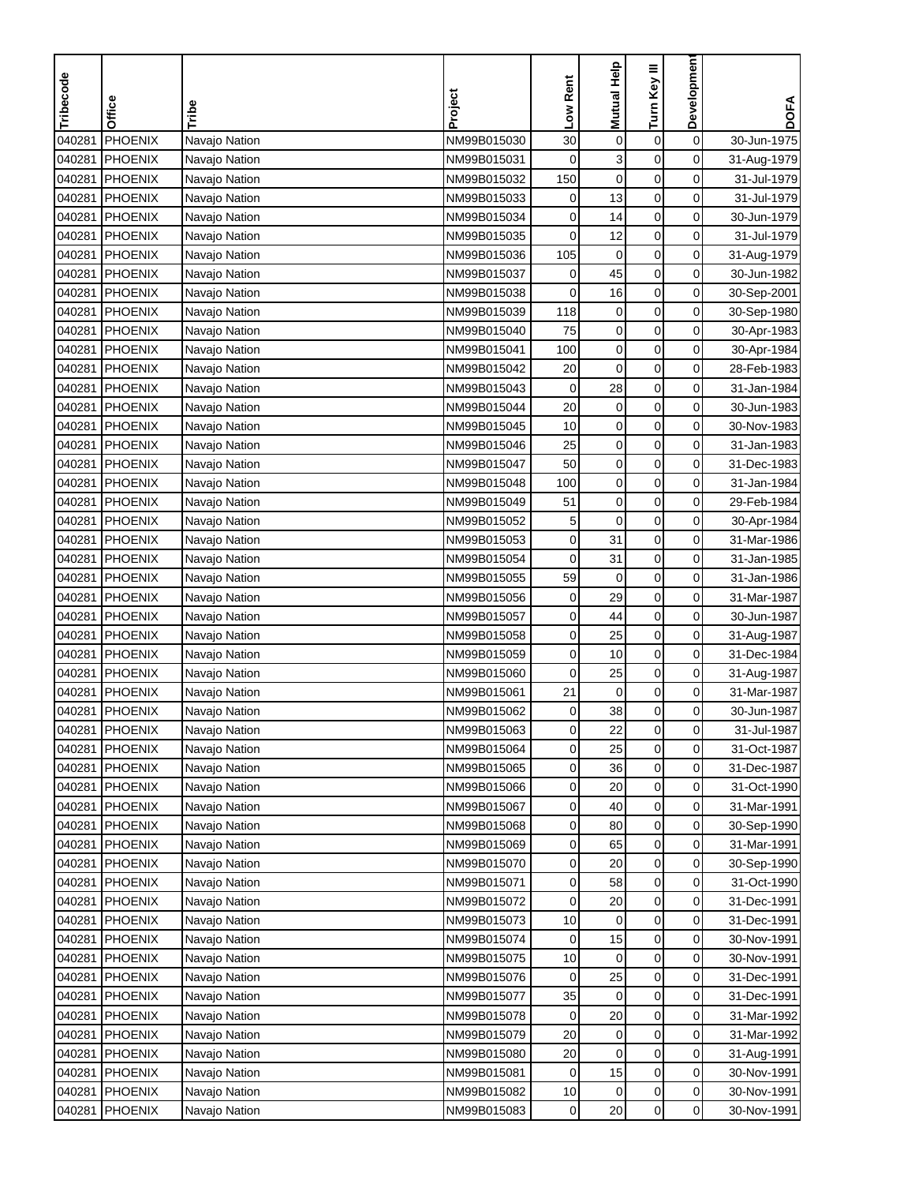| Tribecode | Office         | Tribe         | Project     | Low Rent     | Mutual Help      | Turn Key III     | Development    | <b>DOFA</b> |
|-----------|----------------|---------------|-------------|--------------|------------------|------------------|----------------|-------------|
|           |                |               |             |              |                  |                  |                |             |
| 040281    | <b>PHOENIX</b> | Navajo Nation | NM99B015030 | 30           | $\pmb{0}$        | $\boldsymbol{0}$ | $\mathbf 0$    | 30-Jun-1975 |
| 040281    | <b>PHOENIX</b> | Navajo Nation | NM99B015031 | $\mathbf 0$  | 3                | $\mathbf 0$      | 0              | 31-Aug-1979 |
| 040281    | <b>PHOENIX</b> | Navajo Nation | NM99B015032 | 150          | $\mathbf 0$      | $\mathbf 0$      | 0              | 31-Jul-1979 |
| 040281    | <b>PHOENIX</b> | Navajo Nation | NM99B015033 | 0            | 13               | $\boldsymbol{0}$ | 0              | 31-Jul-1979 |
| 040281    | PHOENIX        | Navajo Nation | NM99B015034 | 0            | 14               | $\mathbf 0$      | 0              | 30-Jun-1979 |
| 040281    | <b>PHOENIX</b> | Navajo Nation | NM99B015035 | 0            | 12               | $\pmb{0}$        | 0              | 31-Jul-1979 |
| 040281    | PHOENIX        | Navajo Nation | NM99B015036 | 105          | $\mathbf 0$      | $\pmb{0}$        | 0              | 31-Aug-1979 |
| 040281    | <b>PHOENIX</b> | Navajo Nation | NM99B015037 | 0            | 45               | 0                | 0              | 30-Jun-1982 |
| 040281    | <b>PHOENIX</b> | Navajo Nation | NM99B015038 | 0            | 16               | 0                | 0              | 30-Sep-2001 |
| 040281    | PHOENIX        | Navajo Nation | NM99B015039 | 118          | $\boldsymbol{0}$ | $\pmb{0}$        | 0              | 30-Sep-1980 |
| 040281    | PHOENIX        | Navajo Nation | NM99B015040 | 75           | $\mathbf 0$      | $\pmb{0}$        | 0              | 30-Apr-1983 |
| 040281    | PHOENIX        | Navajo Nation | NM99B015041 | 100          | $\pmb{0}$        | $\mathbf 0$      | 0              | 30-Apr-1984 |
| 040281    | <b>PHOENIX</b> | Navajo Nation | NM99B015042 | 20           | $\mathbf 0$      | $\boldsymbol{0}$ | 0              | 28-Feb-1983 |
| 040281    | <b>PHOENIX</b> | Navajo Nation | NM99B015043 | $\pmb{0}$    | 28               | $\pmb{0}$        | 0              | 31-Jan-1984 |
| 040281    | <b>PHOENIX</b> | Navajo Nation | NM99B015044 | 20           | $\pmb{0}$        | $\pmb{0}$        | 0              | 30-Jun-1983 |
| 040281    | PHOENIX        | Navajo Nation | NM99B015045 | 10           | $\mathbf 0$      | 0                | 0              | 30-Nov-1983 |
| 040281    | <b>PHOENIX</b> | Navajo Nation | NM99B015046 | 25           | $\mathbf 0$      | 0                | 0              | 31-Jan-1983 |
| 040281    | <b>PHOENIX</b> | Navajo Nation | NM99B015047 | 50           | $\boldsymbol{0}$ | $\pmb{0}$        | 0              | 31-Dec-1983 |
| 040281    | PHOENIX        | Navajo Nation | NM99B015048 | 100          | $\mathbf 0$      | $\mathbf 0$      | 0              | 31-Jan-1984 |
| 040281    | <b>PHOENIX</b> | Navajo Nation | NM99B015049 | 51           | $\mathbf 0$      | $\mathbf 0$      | 0              | 29-Feb-1984 |
| 040281    | <b>PHOENIX</b> | Navajo Nation | NM99B015052 | 5            | $\mathbf 0$      | $\mathbf 0$      | 0              | 30-Apr-1984 |
| 040281    | PHOENIX        | Navajo Nation | NM99B015053 | 0            | 31               | $\pmb{0}$        | 0              | 31-Mar-1986 |
| 040281    | <b>PHOENIX</b> | Navajo Nation | NM99B015054 | $\mathbf 0$  | 31               | $\mathbf 0$      | 0              | 31-Jan-1985 |
| 040281    | <b>PHOENIX</b> | Navajo Nation | NM99B015055 | 59           | $\mathbf 0$      | $\boldsymbol{0}$ | 0              | 31-Jan-1986 |
| 040281    | PHOENIX        | Navajo Nation | NM99B015056 | 0            | 29               | 0                | 0              | 31-Mar-1987 |
| 040281    | <b>PHOENIX</b> | Navajo Nation | NM99B015057 | 0            | 44               | 0                | 0              | 30-Jun-1987 |
| 040281    | <b>PHOENIX</b> | Navajo Nation | NM99B015058 | 0            | 25               | $\mathbf 0$      | 0              | 31-Aug-1987 |
| 040281    | PHOENIX        | Navajo Nation | NM99B015059 | 0            | 10               | $\mathbf 0$      | 0              | 31-Dec-1984 |
| 040281    | PHOENIX        | Navajo Nation | NM99B015060 | 0            | 25               | 0                | 0              | 31-Aug-1987 |
| 040281    | <b>PHOENIX</b> | Navajo Nation | NM99B015061 | 21           | $\mathbf 0$      | $\mathbf 0$      | 0              | 31-Mar-1987 |
| 040281    | <b>PHOENIX</b> | Navajo Nation | NM99B015062 | 0            | 38               | $\mathbf 0$      | 0              | 30-Jun-1987 |
|           | 040281 PHOENIX | Navajo Nation | NM99B015063 | $\mathbf{0}$ | 22               | $\mathbf 0$      | 0              | 31-Jul-1987 |
| 040281    | PHOENIX        | Navajo Nation | NM99B015064 | 0            | 25               | $\mathsf 0$      | 0              | 31-Oct-1987 |
| 040281    | PHOENIX        | Navajo Nation | NM99B015065 | 0            | 36               | 0                | 0              | 31-Dec-1987 |
| 040281    | PHOENIX        | Navajo Nation | NM99B015066 | 0            | 20               | $\boldsymbol{0}$ | 0              | 31-Oct-1990 |
| 040281    | PHOENIX        | Navajo Nation | NM99B015067 | 0            | 40               | 0                | $\overline{0}$ | 31-Mar-1991 |
| 040281    | PHOENIX        | Navajo Nation | NM99B015068 | 0            | 80               | 0                | $\overline{0}$ | 30-Sep-1990 |
| 040281    | <b>PHOENIX</b> | Navajo Nation | NM99B015069 | 0            | 65               | 0                | 0              | 31-Mar-1991 |
| 040281    | PHOENIX        | Navajo Nation | NM99B015070 | 0            | 20               | $\pmb{0}$        | $\overline{0}$ | 30-Sep-1990 |
| 040281    | PHOENIX        | Navajo Nation | NM99B015071 | 0            | 58               | 0                | $\overline{0}$ | 31-Oct-1990 |
| 040281    | PHOENIX        | Navajo Nation | NM99B015072 | 0            | 20               | 0                | 0              | 31-Dec-1991 |
| 040281    | <b>PHOENIX</b> | Navajo Nation | NM99B015073 | 10           | 0                | 0                | 0              | 31-Dec-1991 |
| 040281    | PHOENIX        | Navajo Nation | NM99B015074 | 0            | 15               | 0                | 0              | 30-Nov-1991 |
| 040281    | PHOENIX        | Navajo Nation | NM99B015075 | 10           | 0                | 0                | $\overline{0}$ | 30-Nov-1991 |
| 040281    | PHOENIX        | Navajo Nation | NM99B015076 | 0            | 25               | 0                | 0              | 31-Dec-1991 |
| 040281    | PHOENIX        | Navajo Nation | NM99B015077 | 35           | 0                | 0                | 0              | 31-Dec-1991 |
| 040281    | PHOENIX        | Navajo Nation | NM99B015078 | 0            | 20               | $\boldsymbol{0}$ | 0              | 31-Mar-1992 |
| 040281    | <b>PHOENIX</b> | Navajo Nation | NM99B015079 | 20           | 0                | 0                | 0              | 31-Mar-1992 |
|           |                |               |             |              |                  | 0                |                |             |
| 040281    | PHOENIX        | Navajo Nation | NM99B015080 | 20           | 0                |                  | 0              | 31-Aug-1991 |
| 040281    | <b>PHOENIX</b> | Navajo Nation | NM99B015081 | 0            | 15               | 0                | 0              | 30-Nov-1991 |
| 040281    | <b>PHOENIX</b> | Navajo Nation | NM99B015082 | 10           | $\pmb{0}$        | 0                | 0              | 30-Nov-1991 |
| 040281    | <b>PHOENIX</b> | Navajo Nation | NM99B015083 | 0            | 20               | $\boldsymbol{0}$ | $\overline{0}$ | 30-Nov-1991 |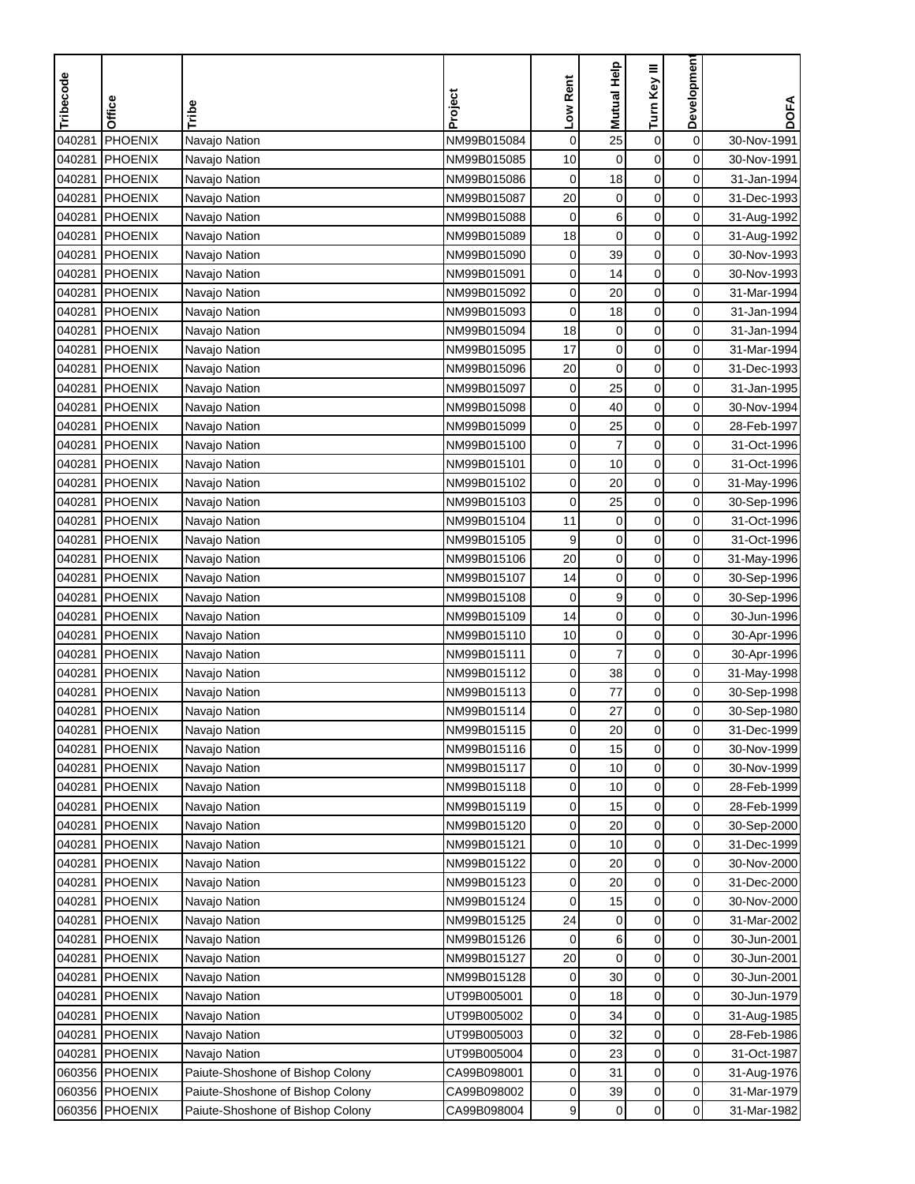| Tribecode | Office         | Tribe                            | Project     | Low Rent     | Mutual Help      | Turn Key III     | Development    | <b>DOFA</b> |
|-----------|----------------|----------------------------------|-------------|--------------|------------------|------------------|----------------|-------------|
|           |                |                                  |             |              |                  |                  |                |             |
| 040281    | <b>PHOENIX</b> | Navajo Nation                    | NM99B015084 | $\mathbf 0$  | 25               | $\pmb{0}$        | $\mathbf 0$    | 30-Nov-1991 |
| 040281    | <b>PHOENIX</b> | Navajo Nation                    | NM99B015085 | 10           | $\mathbf 0$      | $\mathbf 0$      | 0              | 30-Nov-1991 |
| 040281    | <b>PHOENIX</b> | Navajo Nation                    | NM99B015086 | $\mathbf 0$  | 18               | 0                | 0              | 31-Jan-1994 |
| 040281    | <b>PHOENIX</b> | Navajo Nation                    | NM99B015087 | 20           | $\mathbf 0$      | $\mathbf 0$      | 0              | 31-Dec-1993 |
| 040281    | PHOENIX        | Navajo Nation                    | NM99B015088 | $\mathbf 0$  | 6                | $\pmb{0}$        | 0              | 31-Aug-1992 |
| 040281    | <b>PHOENIX</b> | Navajo Nation                    | NM99B015089 | 18           | $\boldsymbol{0}$ | $\boldsymbol{0}$ | 0              | 31-Aug-1992 |
| 040281    | PHOENIX        | Navajo Nation                    | NM99B015090 | 0            | 39               | $\pmb{0}$        | 0              | 30-Nov-1993 |
| 040281    | <b>PHOENIX</b> | Navajo Nation                    | NM99B015091 | 0            | 14               | 0                | 0              | 30-Nov-1993 |
| 040281    | <b>PHOENIX</b> | Navajo Nation                    | NM99B015092 | 0            | 20               | 0                | 0              | 31-Mar-1994 |
| 040281    | PHOENIX        | Navajo Nation                    | NM99B015093 | 0            | 18               | $\pmb{0}$        | 0              | 31-Jan-1994 |
| 040281    | PHOENIX        | Navajo Nation                    | NM99B015094 | 18           | 0                | $\pmb{0}$        | 0              | 31-Jan-1994 |
| 040281    | PHOENIX        | Navajo Nation                    | NM99B015095 | 17           | $\mathbf 0$      | $\pmb{0}$        | 0              | 31-Mar-1994 |
| 040281    | <b>PHOENIX</b> | Navajo Nation                    | NM99B015096 | 20           | $\mathbf 0$      | $\pmb{0}$        | 0              | 31-Dec-1993 |
| 040281    | <b>PHOENIX</b> | Navajo Nation                    | NM99B015097 | $\pmb{0}$    | 25               | $\mathbf 0$      | 0              | 31-Jan-1995 |
| 040281    | PHOENIX        | Navajo Nation                    | NM99B015098 | 0            | 40               | $\mathbf 0$      | 0              | 30-Nov-1994 |
| 040281    | PHOENIX        | Navajo Nation                    | NM99B015099 | 0            | 25               | $\pmb{0}$        | 0              | 28-Feb-1997 |
| 040281    | <b>PHOENIX</b> | Navajo Nation                    | NM99B015100 | 0            | 7                | 0                | 0              | 31-Oct-1996 |
| 040281    | <b>PHOENIX</b> | Navajo Nation                    | NM99B015101 | 0            | 10               | $\pmb{0}$        | 0              | 31-Oct-1996 |
| 040281    | PHOENIX        | Navajo Nation                    | NM99B015102 | 0            | 20               | $\mathbf 0$      | 0              | 31-May-1996 |
| 040281    | <b>PHOENIX</b> | Navajo Nation                    | NM99B015103 | 0            | 25               | $\pmb{0}$        | 0              | 30-Sep-1996 |
| 040281    | <b>PHOENIX</b> | Navajo Nation                    | NM99B015104 | 11           | $\mathbf 0$      | $\mathbf 0$      | 0              | 31-Oct-1996 |
| 040281    | PHOENIX        | Navajo Nation                    | NM99B015105 | 9            | $\boldsymbol{0}$ | $\pmb{0}$        | 0              | 31-Oct-1996 |
| 040281    | <b>PHOENIX</b> | Navajo Nation                    | NM99B015106 | 20           | $\boldsymbol{0}$ | $\mathbf 0$      | 0              | 31-May-1996 |
| 040281    | <b>PHOENIX</b> | Navajo Nation                    | NM99B015107 | 14           | $\pmb{0}$        | 0                | 0              | 30-Sep-1996 |
| 040281    | <b>PHOENIX</b> | Navajo Nation                    | NM99B015108 | 0            | 9                | 0                | 0              | 30-Sep-1996 |
| 040281    | <b>PHOENIX</b> | Navajo Nation                    | NM99B015109 | 14           | $\pmb{0}$        | 0                | 0              | 30-Jun-1996 |
| 040281    | <b>PHOENIX</b> | Navajo Nation                    | NM99B015110 | 10           | $\boldsymbol{0}$ | $\mathbf 0$      | 0              | 30-Apr-1996 |
| 040281    | PHOENIX        | Navajo Nation                    | NM99B015111 | 0            | $\overline{7}$   | $\mathbf 0$      | 0              | 30-Apr-1996 |
| 040281    | PHOENIX        | Navajo Nation                    | NM99B015112 | 0            | 38               | 0                | 0              | 31-May-1998 |
| 040281    | <b>PHOENIX</b> | Navajo Nation                    | NM99B015113 | 0            | 77               | $\pmb{0}$        | 0              | 30-Sep-1998 |
| 040281    | PHOENIX        | Navajo Nation                    | NM99B015114 | 0            | 27               | $\mathbf 0$      | 0              | 30-Sep-1980 |
|           | 040281 PHOENIX | Navajo Nation                    | NM99B015115 | $\mathbf{0}$ | 20               | $\mathbf 0$      | 0              | 31-Dec-1999 |
| 040281    | PHOENIX        | Navajo Nation                    | NM99B015116 | 0            | 15               | $\mathbf 0$      | 0              | 30-Nov-1999 |
| 040281    | PHOENIX        | Navajo Nation                    | NM99B015117 | 0            | 10               | 0                | 0              | 30-Nov-1999 |
| 040281    | PHOENIX        | Navajo Nation                    | NM99B015118 | 0            | 10               | $\pmb{0}$        | 0              | 28-Feb-1999 |
| 040281    | PHOENIX        | Navajo Nation                    | NM99B015119 | 0            | 15               | 0                | $\overline{0}$ | 28-Feb-1999 |
| 040281    | PHOENIX        | Navajo Nation                    | NM99B015120 | 0            | 20               | 0                | 0              | 30-Sep-2000 |
| 040281    | <b>PHOENIX</b> | Navajo Nation                    | NM99B015121 | 0            | 10               | 0                | $\overline{0}$ | 31-Dec-1999 |
| 040281    | PHOENIX        | Navajo Nation                    | NM99B015122 | 0            | 20               | $\pmb{0}$        | $\overline{0}$ | 30-Nov-2000 |
| 040281    | PHOENIX        | Navajo Nation                    | NM99B015123 | 0            | 20               | 0                | 0              | 31-Dec-2000 |
| 040281    | PHOENIX        | Navajo Nation                    | NM99B015124 | 0            | 15               | $\pmb{0}$        | 0              | 30-Nov-2000 |
| 040281    | <b>PHOENIX</b> | Navajo Nation                    | NM99B015125 | 24           | 0                | $\pmb{0}$        | 0              | 31-Mar-2002 |
| 040281    | <b>PHOENIX</b> | Navajo Nation                    | NM99B015126 | 0            | 6                | $\boldsymbol{0}$ | 0              | 30-Jun-2001 |
| 040281    | PHOENIX        | Navajo Nation                    | NM99B015127 | 20           | 0                | 0                | 0              | 30-Jun-2001 |
| 040281    | PHOENIX        | Navajo Nation                    | NM99B015128 | 0            | 30               | 0                | 0              | 30-Jun-2001 |
| 040281    | PHOENIX        | Navajo Nation                    | UT99B005001 | 0            | 18               | 0                | 0              | 30-Jun-1979 |
| 040281    | <b>PHOENIX</b> | Navajo Nation                    | UT99B005002 | 0            | 34               | $\boldsymbol{0}$ | 0              | 31-Aug-1985 |
| 040281    | <b>PHOENIX</b> | Navajo Nation                    | UT99B005003 | 0            | 32               | 0                | 0              | 28-Feb-1986 |
| 040281    | PHOENIX        | Navajo Nation                    | UT99B005004 | 0            | 23               | 0                | 0              | 31-Oct-1987 |
|           | 060356 PHOENIX | Paiute-Shoshone of Bishop Colony | CA99B098001 | 0            | 31               | 0                | 0              | 31-Aug-1976 |
|           | 060356 PHOENIX | Paiute-Shoshone of Bishop Colony | CA99B098002 | 0            | 39               | $\pmb{0}$        | 0              | 31-Mar-1979 |
|           |                |                                  |             | 9            | $\mathbf 0$      | 0                | $\overline{0}$ |             |
|           | 060356 PHOENIX | Paiute-Shoshone of Bishop Colony | CA99B098004 |              |                  |                  |                | 31-Mar-1982 |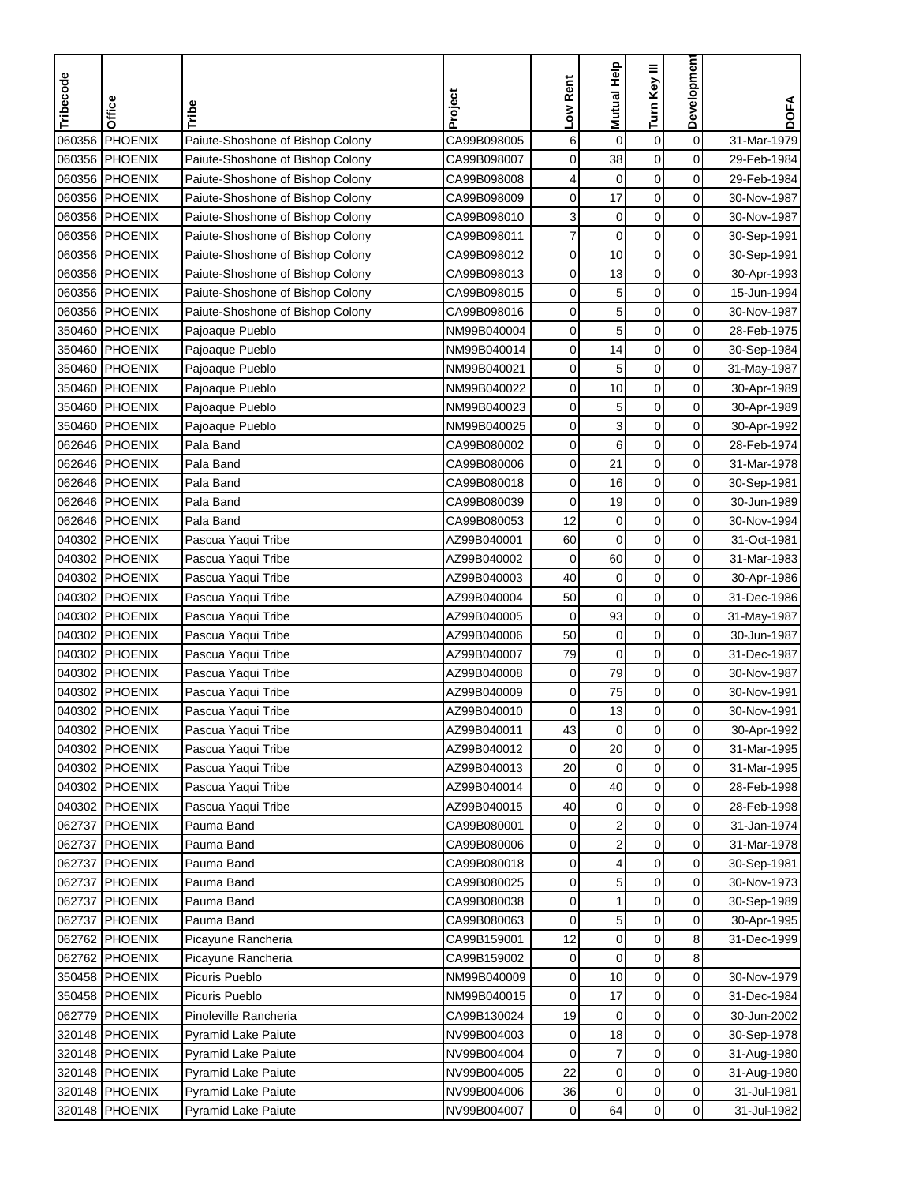| Tribecode | Office                           | Tribe                            | Project     | Low Rent    | <b>Mutual Help</b>      | Turn Key III     | Development    | <b>DOFA</b> |
|-----------|----------------------------------|----------------------------------|-------------|-------------|-------------------------|------------------|----------------|-------------|
|           | PHOENIX                          | Paiute-Shoshone of Bishop Colony | CA99B098005 |             |                         |                  |                |             |
| 060356    | PHOENIX                          |                                  | CA99B098007 | 6           | $\mathbf 0$             | $\mathbf 0$      | $\mathbf 0$    | 31-Mar-1979 |
| 060356    | 060356 PHOENIX                   | Paiute-Shoshone of Bishop Colony |             | 0           | 38                      | 0<br>$\mathbf 0$ | 0              | 29-Feb-1984 |
|           |                                  | Paiute-Shoshone of Bishop Colony | CA99B098008 | 4           | $\mathbf 0$             |                  | 0              | 29-Feb-1984 |
|           | 060356 PHOENIX                   | Paiute-Shoshone of Bishop Colony | CA99B098009 | 0           | 17                      | $\mathbf 0$      | 0              | 30-Nov-1987 |
|           | 060356 PHOENIX<br>060356 PHOENIX | Paiute-Shoshone of Bishop Colony | CA99B098010 | 3           | $\boldsymbol{0}$        | $\pmb{0}$        | $\mathbf 0$    | 30-Nov-1987 |
|           |                                  | Paiute-Shoshone of Bishop Colony | CA99B098011 | 7           | $\mathbf 0$             | $\mathbf 0$      | 0              | 30-Sep-1991 |
|           | 060356 PHOENIX                   | Paiute-Shoshone of Bishop Colony | CA99B098012 | 0           | 10                      | $\mathbf 0$      | 0              | 30-Sep-1991 |
|           | 060356 PHOENIX                   | Paiute-Shoshone of Bishop Colony | CA99B098013 | 0           | 13                      | 0                | 0              | 30-Apr-1993 |
|           | 060356 PHOENIX                   | Paiute-Shoshone of Bishop Colony | CA99B098015 | 0           | 5                       | 0                | 0              | 15-Jun-1994 |
| 060356    | PHOENIX                          | Paiute-Shoshone of Bishop Colony | CA99B098016 | 0           | 5                       | $\mathbf 0$      | 0              | 30-Nov-1987 |
|           | 350460 PHOENIX                   | Pajoaque Pueblo                  | NM99B040004 | 0           | 5                       | $\mathbf 0$      | 0              | 28-Feb-1975 |
|           | 350460 PHOENIX                   | Pajoaque Pueblo                  | NM99B040014 | 0           | 14                      | $\mathbf 0$      | $\mathbf 0$    | 30-Sep-1984 |
|           | 350460 PHOENIX                   | Pajoaque Pueblo                  | NM99B040021 | 0           | 5                       | $\pmb{0}$        | $\mathbf 0$    | 31-May-1987 |
|           | 350460 PHOENIX                   | Pajoaque Pueblo                  | NM99B040022 | 0           | 10                      | $\pmb{0}$        | 0              | 30-Apr-1989 |
|           | 350460 PHOENIX                   | Pajoaque Pueblo                  | NM99B040023 | 0           | 5                       | 0                | 0              | 30-Apr-1989 |
|           | 350460 PHOENIX                   | Pajoaque Pueblo                  | NM99B040025 | 0           | 3                       | 0                | 0              | 30-Apr-1992 |
| 062646    | PHOENIX                          | Pala Band                        | CA99B080002 | 0           | 6                       | 0                | $\mathbf 0$    | 28-Feb-1974 |
|           | 062646 PHOENIX                   | Pala Band                        | CA99B080006 | 0           | 21                      | $\mathbf 0$      | 0              | 31-Mar-1978 |
|           | 062646 PHOENIX                   | Pala Band                        | CA99B080018 | 0           | 16                      | $\mathbf 0$      | $\mathbf 0$    | 30-Sep-1981 |
|           | 062646 PHOENIX                   | Pala Band                        | CA99B080039 | $\mathbf 0$ | 19                      | $\mathbf 0$      | 0              | 30-Jun-1989 |
|           | 062646 PHOENIX                   | Pala Band                        | CA99B080053 | 12          | $\mathbf 0$             | 0                | 0              | 30-Nov-1994 |
| 040302    | PHOENIX                          | Pascua Yaqui Tribe               | AZ99B040001 | 60          | $\mathbf 0$             | $\pmb{0}$        | 0              | 31-Oct-1981 |
| 040302    | PHOENIX                          | Pascua Yaqui Tribe               | AZ99B040002 | 0           | 60                      | $\mathbf 0$      | 0              | 31-Mar-1983 |
|           | 040302 PHOENIX                   | Pascua Yaqui Tribe               | AZ99B040003 | 40          | $\mathbf 0$             | $\mathbf 0$      | 0              | 30-Apr-1986 |
| 040302    | PHOENIX                          | Pascua Yaqui Tribe               | AZ99B040004 | 50          | 0                       | 0                | 0              | 31-Dec-1986 |
|           | 040302 PHOENIX                   | Pascua Yaqui Tribe               | AZ99B040005 | $\mathbf 0$ | 93                      | $\mathbf 0$      | $\mathbf 0$    | 31-May-1987 |
|           | 040302 PHOENIX                   | Pascua Yaqui Tribe               | AZ99B040006 | 50          | 0                       | $\mathbf 0$      | 0              | 30-Jun-1987 |
| 040302    | PHOENIX                          | Pascua Yaqui Tribe               | AZ99B040007 | 79          | $\mathbf 0$             | $\mathbf 0$      | 0              | 31-Dec-1987 |
|           | 040302 PHOENIX                   | Pascua Yaqui Tribe               | AZ99B040008 | 0           | 79                      | 0                | $\mathbf 0$    | 30-Nov-1987 |
| 040302    | PHOENIX                          | Pascua Yaqui Tribe               | AZ99B040009 | 0           | 75                      | $\mathbf 0$      | $\mathbf 0$    | 30-Nov-1991 |
| 040302    | PHOENIX                          | Pascua Yaqui Tribe               | AZ99B040010 | 0           | 13                      | $\mathbf 0$      | 0              | 30-Nov-1991 |
|           | 040302 PHOENIX                   | Pascua Yaqui Tribe               | AZ99B040011 | 43          | 0                       | $\mathbf 0$      | 0              | 30-Apr-1992 |
|           | 040302 PHOENIX                   | Pascua Yaqui Tribe               | AZ99B040012 | 0           | 20                      | $\pmb{0}$        | $\mathbf 0$    | 31-Mar-1995 |
|           | 040302 PHOENIX                   | Pascua Yaqui Tribe               | AZ99B040013 | 20          | $\mathbf 0$             | $\pmb{0}$        | $\mathbf 0$    | 31-Mar-1995 |
|           | 040302 PHOENIX                   | Pascua Yaqui Tribe               | AZ99B040014 | 0           | 40                      | 0                | $\overline{0}$ | 28-Feb-1998 |
|           | 040302 PHOENIX                   | Pascua Yaqui Tribe               | AZ99B040015 | 40          | 0                       | 0                | 0              | 28-Feb-1998 |
| 062737    | PHOENIX                          | Pauma Band                       | CA99B080001 | 0           | $\boldsymbol{2}$        | 0                | $\overline{0}$ | 31-Jan-1974 |
| 062737    | PHOENIX                          | Pauma Band                       | CA99B080006 | 0           | $\overline{\mathbf{c}}$ | $\pmb{0}$        | $\overline{0}$ | 31-Mar-1978 |
|           | 062737 PHOENIX                   | Pauma Band                       | CA99B080018 | 0           | 4                       | 0                | $\overline{0}$ | 30-Sep-1981 |
|           | 062737 PHOENIX                   | Pauma Band                       | CA99B080025 | 0           | 5                       | $\mathbf 0$      | 0              | 30-Nov-1973 |
| 062737    | PHOENIX                          | Pauma Band                       | CA99B080038 | 0           | 1                       | 0                | 0              | 30-Sep-1989 |
| 062737    | <b>PHOENIX</b>                   | Pauma Band                       | CA99B080063 | 0           | 5                       | $\pmb{0}$        | 0              | 30-Apr-1995 |
|           | 062762 PHOENIX                   | Picayune Rancheria               | CA99B159001 | 12          | $\mathbf 0$             | $\mathbf 0$      | 8              | 31-Dec-1999 |
|           | 062762 PHOENIX                   | Picayune Rancheria               | CA99B159002 | 0           | 0                       | $\mathbf 0$      | 8              |             |
|           | 350458 PHOENIX                   | Picuris Pueblo                   | NM99B040009 | 0           | 10                      | $\mathbf 0$      | 0              | 30-Nov-1979 |
|           | 350458 PHOENIX                   | Picuris Pueblo                   | NM99B040015 | 0           | 17                      | 0                | 0              | 31-Dec-1984 |
|           | 062779 PHOENIX                   | Pinoleville Rancheria            | CA99B130024 | 19          | 0                       | $\pmb{0}$        | 0              | 30-Jun-2002 |
|           | 320148 PHOENIX                   | <b>Pyramid Lake Paiute</b>       | NV99B004003 | 0           | 18                      | $\mathbf 0$      | $\overline{0}$ | 30-Sep-1978 |
|           | 320148 PHOENIX                   | Pyramid Lake Paiute              | NV99B004004 | 0           | $\boldsymbol{7}$        | $\pmb{0}$        | 0              | 31-Aug-1980 |
|           | 320148 PHOENIX                   | <b>Pyramid Lake Paiute</b>       | NV99B004005 | 22          | $\pmb{0}$               | 0                | $\mathbf 0$    | 31-Aug-1980 |
|           | 320148 PHOENIX                   | Pyramid Lake Paiute              | NV99B004006 | 36          | $\pmb{0}$               | $\pmb{0}$        | $\overline{0}$ | 31-Jul-1981 |
|           | 320148 PHOENIX                   | Pyramid Lake Paiute              | NV99B004007 | 0           | 64                      | 0                | $\overline{0}$ | 31-Jul-1982 |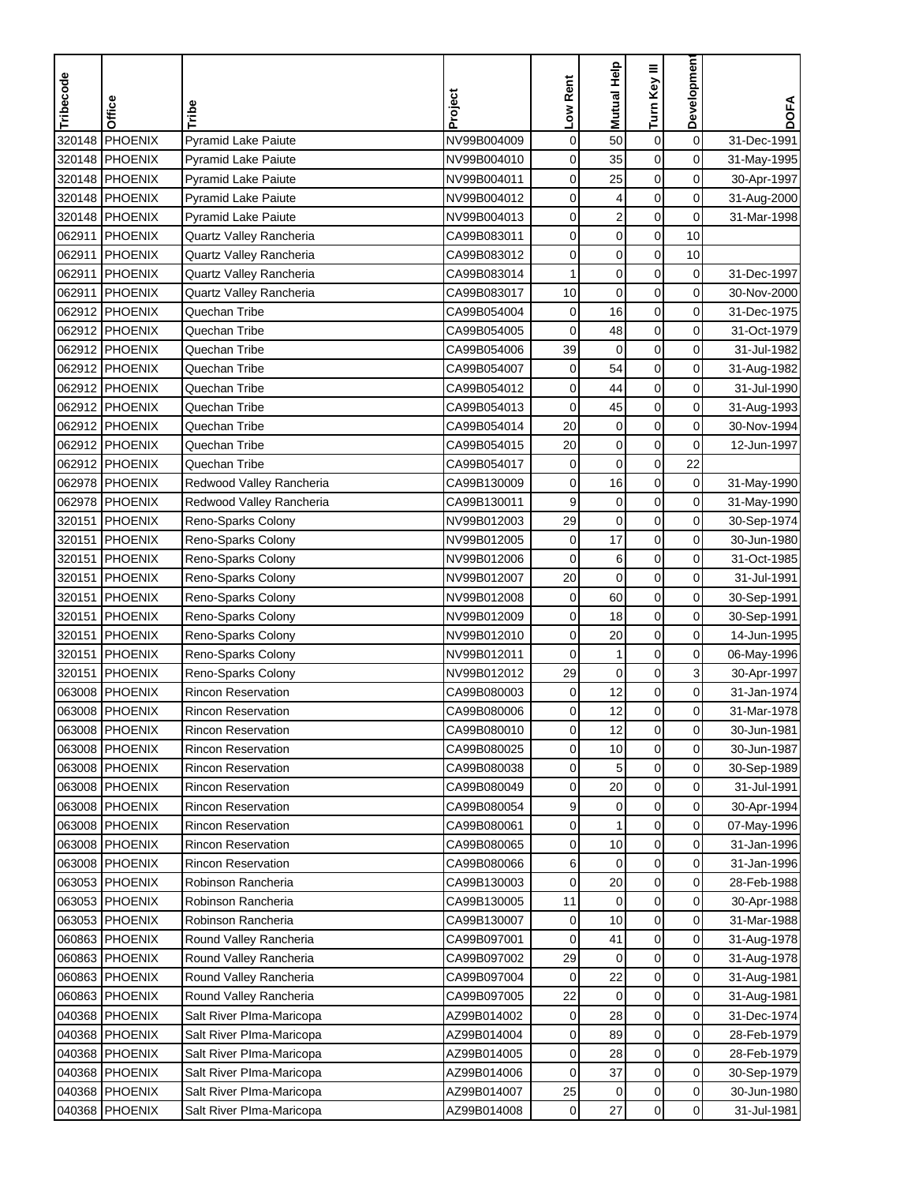| $\mathbf 0$<br>320148<br>PHOENIX<br>Pyramid Lake Paiute<br>0<br>50<br>$\boldsymbol{0}$<br>NV99B004009<br>31-Dec-1991<br>0<br>320148<br><b>PHOENIX</b><br>0<br>$\mathbf 0$<br><b>Pyramid Lake Paiute</b><br>NV99B004010<br>35<br>31-May-1995<br>0<br>$\mathbf 0$<br>0<br>320148 PHOENIX<br><b>Pyramid Lake Paiute</b><br>NV99B004011<br>25<br>30-Apr-1997<br>$\mathbf 0$<br>320148 PHOENIX<br>0<br>0<br><b>Pyramid Lake Paiute</b><br>NV99B004012<br>4<br>31-Aug-2000<br>0<br>$\overline{\mathbf{c}}$<br>$\boldsymbol{0}$<br>0<br>320148 PHOENIX<br>Pyramid Lake Paiute<br>NV99B004013<br>31-Mar-1998<br>$\pmb{0}$<br>$\boldsymbol{0}$<br>062911<br><b>PHOENIX</b><br>0<br>10<br>Quartz Valley Rancheria<br>CA99B083011<br>$\mathbf 0$<br>$\boldsymbol{0}$<br>0<br>062911<br><b>PHOENIX</b><br>Quartz Valley Rancheria<br>CA99B083012<br>10<br>$\mathbf 0$<br>0<br>0<br>062911<br>PHOENIX<br>Quartz Valley Rancheria<br>CA99B083014<br>1<br>31-Dec-1997<br>0<br>062911<br><b>PHOENIX</b><br>CA99B083017<br>10<br>$\mathbf 0$<br>0<br>Quartz Valley Rancheria<br>30-Nov-2000<br>062912 PHOENIX<br>$\mathbf 0$<br>$\boldsymbol{0}$<br>0<br>Quechan Tribe<br>CA99B054004<br>16<br>31-Dec-1975<br>062912 PHOENIX<br>0<br>$\mathbf 0$<br>0<br>Quechan Tribe<br>CA99B054005<br>48<br>31-Oct-1979<br>062912 PHOENIX<br>39<br>$\mathbf 0$<br>$\mathbf 0$<br>0<br>Quechan Tribe<br>CA99B054006<br>31-Jul-1982<br>54<br>$\boldsymbol{0}$<br>0<br>062912 PHOENIX<br>CA99B054007<br>0<br>Quechan Tribe<br>31-Aug-1982<br>$\boldsymbol{0}$<br>062912 PHOENIX<br>Quechan Tribe<br>0<br>44<br>0<br>CA99B054012<br>31-Jul-1990<br>$\mathbf 0$<br>0<br>062912 PHOENIX<br>Quechan Tribe<br>CA99B054013<br>0<br>45<br>31-Aug-1993<br>062912 PHOENIX<br>20<br>$\mathbf 0$<br>$\pmb{0}$<br>0<br>Quechan Tribe<br>CA99B054014<br>30-Nov-1994<br>0<br>062912 PHOENIX<br>Quechan Tribe<br>CA99B054015<br>20<br>$\mathbf 0$<br>0<br>12-Jun-1997<br>$\mathbf 0$<br>062912 PHOENIX<br>$\mathbf 0$<br>$\boldsymbol{0}$<br>22<br>Quechan Tribe<br>CA99B054017<br>062978 PHOENIX<br>Redwood Valley Rancheria<br>CA99B130009<br>0<br>0<br>16<br>0<br>31-May-1990<br>9<br>0<br>$\mathbf 0$<br>$\mathbf 0$<br>062978 PHOENIX<br>Redwood Valley Rancheria<br>CA99B130011<br>31-May-1990<br>29<br>320151<br>PHOENIX<br>$\mathbf 0$<br>$\mathbf 0$<br>0<br>Reno-Sparks Colony<br>NV99B012003<br>30-Sep-1974<br>$\mathbf 0$<br>17<br>$\boldsymbol{0}$<br>0<br>320151<br><b>PHOENIX</b><br>NV99B012005<br>30-Jun-1980<br>Reno-Sparks Colony<br>$\boldsymbol{0}$<br>320151<br><b>PHOENIX</b><br>$\mathbf 0$<br>6<br>0<br>NV99B012006<br>31-Oct-1985<br>Reno-Sparks Colony<br>$\boldsymbol{0}$<br>20<br>$\mathbf 0$<br>0<br>320151<br><b>PHOENIX</b><br>NV99B012007<br>31-Jul-1991<br>Reno-Sparks Colony<br>0<br>0<br>320151<br>PHOENIX<br>NV99B012008<br>0<br>60<br>Reno-Sparks Colony<br>30-Sep-1991<br>0<br>0<br>320151<br><b>PHOENIX</b><br>NV99B012009<br>0<br>Reno-Sparks Colony<br>18<br>30-Sep-1991<br>0<br><b>PHOENIX</b><br>NV99B012010<br>0<br>0<br>320151<br>20<br>Reno-Sparks Colony<br>14-Jun-1995<br>PHOENIX<br>$\mathbf 0$<br>0<br>320151<br>Reno-Sparks Colony<br>NV99B012011<br>0<br>1<br>06-May-1996<br>3<br>320151<br>PHOENIX<br>29<br>$\mathbf 0$<br>0<br>Reno-Sparks Colony<br>NV99B012012<br>30-Apr-1997<br>$\mathbf 0$<br>12<br>0<br>063008<br><b>PHOENIX</b><br>0<br><b>Rincon Reservation</b><br>CA99B080003<br>31-Jan-1974<br>12<br>$\mathbf 0$<br><b>PHOENIX</b><br>0<br>063008<br><b>Rincon Reservation</b><br>CA99B080006<br>0<br>31-Mar-1978<br>063008 PHOENIX<br>Rincon Reservation<br>CA99B080010<br>$\mathbf{0}$<br>12<br>$\mathbf 0$<br>0<br>30-Jun-1981<br>$\mathbf 0$<br>$\mathbf 0$<br>CA99B080025<br>0<br>10<br>063008 PHOENIX<br><b>Rincon Reservation</b><br>30-Jun-1987<br>0<br>063008 PHOENIX<br>5<br>0<br><b>Rincon Reservation</b><br>CA99B080038<br>0<br>30-Sep-1989<br>$\pmb{0}$<br>063008 PHOENIX<br><b>Rincon Reservation</b><br>CA99B080049<br>0<br>20<br>0<br>31-Jul-1991<br>9<br>063008 PHOENIX<br>Rincon Reservation<br>CA99B080054<br>0<br>0<br>$\overline{0}$<br>30-Apr-1994<br>1<br>0<br>0<br>063008 PHOENIX<br><b>Rincon Reservation</b><br>CA99B080061<br>0<br>07-May-1996<br>063008 PHOENIX<br>10<br>0<br>0<br><b>Rincon Reservation</b><br>CA99B080065<br>0<br>31-Jan-1996<br>$\mathbf 0$<br>063008 PHOENIX<br>Rincon Reservation<br>$\mathbf 0$<br>$\overline{0}$<br>CA99B080066<br>6<br>31-Jan-1996<br>Robinson Rancheria<br>0<br>0<br>063053 PHOENIX<br>CA99B130003<br>0<br>20<br>28-Feb-1988<br>Robinson Rancheria<br>$\pmb{0}$<br>0<br>063053 PHOENIX<br>CA99B130005<br>11<br>0<br>30-Apr-1988<br>$\pmb{0}$<br>0<br>063053 PHOENIX<br>Robinson Rancheria<br>CA99B130007<br>0<br>10<br>31-Mar-1988<br>$\pmb{0}$<br>0<br>060863 PHOENIX<br>Round Valley Rancheria<br>CA99B097001<br>0<br>41<br>31-Aug-1978<br>060863 PHOENIX<br>29<br>0<br>$\overline{0}$<br>Round Valley Rancheria<br>CA99B097002<br>0<br>31-Aug-1978<br>22<br>0<br>0<br>060863 PHOENIX<br>Round Valley Rancheria<br>CA99B097004<br>0<br>31-Aug-1981<br>22<br>0<br>060863 PHOENIX<br>Round Valley Rancheria<br>CA99B097005<br>0<br>0<br>31-Aug-1981<br>$\pmb{0}$<br>0<br>28<br>0<br>040368 PHOENIX<br>Salt River PIma-Maricopa<br>AZ99B014002<br>31-Dec-1974<br>0<br>0<br>040368 PHOENIX<br>Salt River Plma-Maricopa<br>AZ99B014004<br>0<br>89<br>28-Feb-1979<br>0<br>040368 PHOENIX<br>Salt River Plma-Maricopa<br>AZ99B014005<br>0<br>28<br>0<br>28-Feb-1979<br>0<br>040368 PHOENIX<br>37<br>0<br>Salt River Plma-Maricopa<br>AZ99B014006<br>0<br>30-Sep-1979<br>$\mathbf 0$<br>0<br>040368 PHOENIX<br>Salt River PIma-Maricopa<br>AZ99B014007<br>25<br>$\pmb{0}$<br>30-Jun-1980<br>$\boldsymbol{0}$<br>$\overline{0}$<br>040368 PHOENIX<br>Salt River Plma-Maricopa<br>AZ99B014008<br>0<br>27<br>31-Jul-1981 | Tribecode | <b>Office</b> | Tribe | Project | Low Rent | <b>Mutual Help</b> | Turn Key III | Developmen | <b>DOFA</b> |
|--------------------------------------------------------------------------------------------------------------------------------------------------------------------------------------------------------------------------------------------------------------------------------------------------------------------------------------------------------------------------------------------------------------------------------------------------------------------------------------------------------------------------------------------------------------------------------------------------------------------------------------------------------------------------------------------------------------------------------------------------------------------------------------------------------------------------------------------------------------------------------------------------------------------------------------------------------------------------------------------------------------------------------------------------------------------------------------------------------------------------------------------------------------------------------------------------------------------------------------------------------------------------------------------------------------------------------------------------------------------------------------------------------------------------------------------------------------------------------------------------------------------------------------------------------------------------------------------------------------------------------------------------------------------------------------------------------------------------------------------------------------------------------------------------------------------------------------------------------------------------------------------------------------------------------------------------------------------------------------------------------------------------------------------------------------------------------------------------------------------------------------------------------------------------------------------------------------------------------------------------------------------------------------------------------------------------------------------------------------------------------------------------------------------------------------------------------------------------------------------------------------------------------------------------------------------------------------------------------------------------------------------------------------------------------------------------------------------------------------------------------------------------------------------------------------------------------------------------------------------------------------------------------------------------------------------------------------------------------------------------------------------------------------------------------------------------------------------------------------------------------------------------------------------------------------------------------------------------------------------------------------------------------------------------------------------------------------------------------------------------------------------------------------------------------------------------------------------------------------------------------------------------------------------------------------------------------------------------------------------------------------------------------------------------------------------------------------------------------------------------------------------------------------------------------------------------------------------------------------------------------------------------------------------------------------------------------------------------------------------------------------------------------------------------------------------------------------------------------------------------------------------------------------------------------------------------------------------------------------------------------------------------------------------------------------------------------------------------------------------------------------------------------------------------------------------------------------------------------------------------------------------------------------------------------------------------------------------------------------------------------------------------------------------------------------------------------------------------------------------------------------------------------------------------------------------------------------------------------------------------------------------------------------------------------------------------------------------------------------------------------------------------------------------------------------------------------------------------------------------------------------------------------------------------------------------------------------------------------------------------------------------------------------------------------------------------------------------------------------------------------------------------------------------------------------------------------------------------------------------------------------------------------------------------------------------------------------------------------------------------------------------------------------------------------------------------------------------------------------------------------------------------------------------------------|-----------|---------------|-------|---------|----------|--------------------|--------------|------------|-------------|
|                                                                                                                                                                                                                                                                                                                                                                                                                                                                                                                                                                                                                                                                                                                                                                                                                                                                                                                                                                                                                                                                                                                                                                                                                                                                                                                                                                                                                                                                                                                                                                                                                                                                                                                                                                                                                                                                                                                                                                                                                                                                                                                                                                                                                                                                                                                                                                                                                                                                                                                                                                                                                                                                                                                                                                                                                                                                                                                                                                                                                                                                                                                                                                                                                                                                                                                                                                                                                                                                                                                                                                                                                                                                                                                                                                                                                                                                                                                                                                                                                                                                                                                                                                                                                                                                                                                                                                                                                                                                                                                                                                                                                                                                                                                                                                                                                                                                                                                                                                                                                                                                                                                                                                                                                                                                                                                                                                                                                                                                                                                                                                                                                                                                                                                                                                                                        |           |               |       |         |          |                    |              |            |             |
|                                                                                                                                                                                                                                                                                                                                                                                                                                                                                                                                                                                                                                                                                                                                                                                                                                                                                                                                                                                                                                                                                                                                                                                                                                                                                                                                                                                                                                                                                                                                                                                                                                                                                                                                                                                                                                                                                                                                                                                                                                                                                                                                                                                                                                                                                                                                                                                                                                                                                                                                                                                                                                                                                                                                                                                                                                                                                                                                                                                                                                                                                                                                                                                                                                                                                                                                                                                                                                                                                                                                                                                                                                                                                                                                                                                                                                                                                                                                                                                                                                                                                                                                                                                                                                                                                                                                                                                                                                                                                                                                                                                                                                                                                                                                                                                                                                                                                                                                                                                                                                                                                                                                                                                                                                                                                                                                                                                                                                                                                                                                                                                                                                                                                                                                                                                                        |           |               |       |         |          |                    |              |            |             |
|                                                                                                                                                                                                                                                                                                                                                                                                                                                                                                                                                                                                                                                                                                                                                                                                                                                                                                                                                                                                                                                                                                                                                                                                                                                                                                                                                                                                                                                                                                                                                                                                                                                                                                                                                                                                                                                                                                                                                                                                                                                                                                                                                                                                                                                                                                                                                                                                                                                                                                                                                                                                                                                                                                                                                                                                                                                                                                                                                                                                                                                                                                                                                                                                                                                                                                                                                                                                                                                                                                                                                                                                                                                                                                                                                                                                                                                                                                                                                                                                                                                                                                                                                                                                                                                                                                                                                                                                                                                                                                                                                                                                                                                                                                                                                                                                                                                                                                                                                                                                                                                                                                                                                                                                                                                                                                                                                                                                                                                                                                                                                                                                                                                                                                                                                                                                        |           |               |       |         |          |                    |              |            |             |
|                                                                                                                                                                                                                                                                                                                                                                                                                                                                                                                                                                                                                                                                                                                                                                                                                                                                                                                                                                                                                                                                                                                                                                                                                                                                                                                                                                                                                                                                                                                                                                                                                                                                                                                                                                                                                                                                                                                                                                                                                                                                                                                                                                                                                                                                                                                                                                                                                                                                                                                                                                                                                                                                                                                                                                                                                                                                                                                                                                                                                                                                                                                                                                                                                                                                                                                                                                                                                                                                                                                                                                                                                                                                                                                                                                                                                                                                                                                                                                                                                                                                                                                                                                                                                                                                                                                                                                                                                                                                                                                                                                                                                                                                                                                                                                                                                                                                                                                                                                                                                                                                                                                                                                                                                                                                                                                                                                                                                                                                                                                                                                                                                                                                                                                                                                                                        |           |               |       |         |          |                    |              |            |             |
|                                                                                                                                                                                                                                                                                                                                                                                                                                                                                                                                                                                                                                                                                                                                                                                                                                                                                                                                                                                                                                                                                                                                                                                                                                                                                                                                                                                                                                                                                                                                                                                                                                                                                                                                                                                                                                                                                                                                                                                                                                                                                                                                                                                                                                                                                                                                                                                                                                                                                                                                                                                                                                                                                                                                                                                                                                                                                                                                                                                                                                                                                                                                                                                                                                                                                                                                                                                                                                                                                                                                                                                                                                                                                                                                                                                                                                                                                                                                                                                                                                                                                                                                                                                                                                                                                                                                                                                                                                                                                                                                                                                                                                                                                                                                                                                                                                                                                                                                                                                                                                                                                                                                                                                                                                                                                                                                                                                                                                                                                                                                                                                                                                                                                                                                                                                                        |           |               |       |         |          |                    |              |            |             |
|                                                                                                                                                                                                                                                                                                                                                                                                                                                                                                                                                                                                                                                                                                                                                                                                                                                                                                                                                                                                                                                                                                                                                                                                                                                                                                                                                                                                                                                                                                                                                                                                                                                                                                                                                                                                                                                                                                                                                                                                                                                                                                                                                                                                                                                                                                                                                                                                                                                                                                                                                                                                                                                                                                                                                                                                                                                                                                                                                                                                                                                                                                                                                                                                                                                                                                                                                                                                                                                                                                                                                                                                                                                                                                                                                                                                                                                                                                                                                                                                                                                                                                                                                                                                                                                                                                                                                                                                                                                                                                                                                                                                                                                                                                                                                                                                                                                                                                                                                                                                                                                                                                                                                                                                                                                                                                                                                                                                                                                                                                                                                                                                                                                                                                                                                                                                        |           |               |       |         |          |                    |              |            |             |
|                                                                                                                                                                                                                                                                                                                                                                                                                                                                                                                                                                                                                                                                                                                                                                                                                                                                                                                                                                                                                                                                                                                                                                                                                                                                                                                                                                                                                                                                                                                                                                                                                                                                                                                                                                                                                                                                                                                                                                                                                                                                                                                                                                                                                                                                                                                                                                                                                                                                                                                                                                                                                                                                                                                                                                                                                                                                                                                                                                                                                                                                                                                                                                                                                                                                                                                                                                                                                                                                                                                                                                                                                                                                                                                                                                                                                                                                                                                                                                                                                                                                                                                                                                                                                                                                                                                                                                                                                                                                                                                                                                                                                                                                                                                                                                                                                                                                                                                                                                                                                                                                                                                                                                                                                                                                                                                                                                                                                                                                                                                                                                                                                                                                                                                                                                                                        |           |               |       |         |          |                    |              |            |             |
|                                                                                                                                                                                                                                                                                                                                                                                                                                                                                                                                                                                                                                                                                                                                                                                                                                                                                                                                                                                                                                                                                                                                                                                                                                                                                                                                                                                                                                                                                                                                                                                                                                                                                                                                                                                                                                                                                                                                                                                                                                                                                                                                                                                                                                                                                                                                                                                                                                                                                                                                                                                                                                                                                                                                                                                                                                                                                                                                                                                                                                                                                                                                                                                                                                                                                                                                                                                                                                                                                                                                                                                                                                                                                                                                                                                                                                                                                                                                                                                                                                                                                                                                                                                                                                                                                                                                                                                                                                                                                                                                                                                                                                                                                                                                                                                                                                                                                                                                                                                                                                                                                                                                                                                                                                                                                                                                                                                                                                                                                                                                                                                                                                                                                                                                                                                                        |           |               |       |         |          |                    |              |            |             |
|                                                                                                                                                                                                                                                                                                                                                                                                                                                                                                                                                                                                                                                                                                                                                                                                                                                                                                                                                                                                                                                                                                                                                                                                                                                                                                                                                                                                                                                                                                                                                                                                                                                                                                                                                                                                                                                                                                                                                                                                                                                                                                                                                                                                                                                                                                                                                                                                                                                                                                                                                                                                                                                                                                                                                                                                                                                                                                                                                                                                                                                                                                                                                                                                                                                                                                                                                                                                                                                                                                                                                                                                                                                                                                                                                                                                                                                                                                                                                                                                                                                                                                                                                                                                                                                                                                                                                                                                                                                                                                                                                                                                                                                                                                                                                                                                                                                                                                                                                                                                                                                                                                                                                                                                                                                                                                                                                                                                                                                                                                                                                                                                                                                                                                                                                                                                        |           |               |       |         |          |                    |              |            |             |
|                                                                                                                                                                                                                                                                                                                                                                                                                                                                                                                                                                                                                                                                                                                                                                                                                                                                                                                                                                                                                                                                                                                                                                                                                                                                                                                                                                                                                                                                                                                                                                                                                                                                                                                                                                                                                                                                                                                                                                                                                                                                                                                                                                                                                                                                                                                                                                                                                                                                                                                                                                                                                                                                                                                                                                                                                                                                                                                                                                                                                                                                                                                                                                                                                                                                                                                                                                                                                                                                                                                                                                                                                                                                                                                                                                                                                                                                                                                                                                                                                                                                                                                                                                                                                                                                                                                                                                                                                                                                                                                                                                                                                                                                                                                                                                                                                                                                                                                                                                                                                                                                                                                                                                                                                                                                                                                                                                                                                                                                                                                                                                                                                                                                                                                                                                                                        |           |               |       |         |          |                    |              |            |             |
|                                                                                                                                                                                                                                                                                                                                                                                                                                                                                                                                                                                                                                                                                                                                                                                                                                                                                                                                                                                                                                                                                                                                                                                                                                                                                                                                                                                                                                                                                                                                                                                                                                                                                                                                                                                                                                                                                                                                                                                                                                                                                                                                                                                                                                                                                                                                                                                                                                                                                                                                                                                                                                                                                                                                                                                                                                                                                                                                                                                                                                                                                                                                                                                                                                                                                                                                                                                                                                                                                                                                                                                                                                                                                                                                                                                                                                                                                                                                                                                                                                                                                                                                                                                                                                                                                                                                                                                                                                                                                                                                                                                                                                                                                                                                                                                                                                                                                                                                                                                                                                                                                                                                                                                                                                                                                                                                                                                                                                                                                                                                                                                                                                                                                                                                                                                                        |           |               |       |         |          |                    |              |            |             |
|                                                                                                                                                                                                                                                                                                                                                                                                                                                                                                                                                                                                                                                                                                                                                                                                                                                                                                                                                                                                                                                                                                                                                                                                                                                                                                                                                                                                                                                                                                                                                                                                                                                                                                                                                                                                                                                                                                                                                                                                                                                                                                                                                                                                                                                                                                                                                                                                                                                                                                                                                                                                                                                                                                                                                                                                                                                                                                                                                                                                                                                                                                                                                                                                                                                                                                                                                                                                                                                                                                                                                                                                                                                                                                                                                                                                                                                                                                                                                                                                                                                                                                                                                                                                                                                                                                                                                                                                                                                                                                                                                                                                                                                                                                                                                                                                                                                                                                                                                                                                                                                                                                                                                                                                                                                                                                                                                                                                                                                                                                                                                                                                                                                                                                                                                                                                        |           |               |       |         |          |                    |              |            |             |
|                                                                                                                                                                                                                                                                                                                                                                                                                                                                                                                                                                                                                                                                                                                                                                                                                                                                                                                                                                                                                                                                                                                                                                                                                                                                                                                                                                                                                                                                                                                                                                                                                                                                                                                                                                                                                                                                                                                                                                                                                                                                                                                                                                                                                                                                                                                                                                                                                                                                                                                                                                                                                                                                                                                                                                                                                                                                                                                                                                                                                                                                                                                                                                                                                                                                                                                                                                                                                                                                                                                                                                                                                                                                                                                                                                                                                                                                                                                                                                                                                                                                                                                                                                                                                                                                                                                                                                                                                                                                                                                                                                                                                                                                                                                                                                                                                                                                                                                                                                                                                                                                                                                                                                                                                                                                                                                                                                                                                                                                                                                                                                                                                                                                                                                                                                                                        |           |               |       |         |          |                    |              |            |             |
|                                                                                                                                                                                                                                                                                                                                                                                                                                                                                                                                                                                                                                                                                                                                                                                                                                                                                                                                                                                                                                                                                                                                                                                                                                                                                                                                                                                                                                                                                                                                                                                                                                                                                                                                                                                                                                                                                                                                                                                                                                                                                                                                                                                                                                                                                                                                                                                                                                                                                                                                                                                                                                                                                                                                                                                                                                                                                                                                                                                                                                                                                                                                                                                                                                                                                                                                                                                                                                                                                                                                                                                                                                                                                                                                                                                                                                                                                                                                                                                                                                                                                                                                                                                                                                                                                                                                                                                                                                                                                                                                                                                                                                                                                                                                                                                                                                                                                                                                                                                                                                                                                                                                                                                                                                                                                                                                                                                                                                                                                                                                                                                                                                                                                                                                                                                                        |           |               |       |         |          |                    |              |            |             |
|                                                                                                                                                                                                                                                                                                                                                                                                                                                                                                                                                                                                                                                                                                                                                                                                                                                                                                                                                                                                                                                                                                                                                                                                                                                                                                                                                                                                                                                                                                                                                                                                                                                                                                                                                                                                                                                                                                                                                                                                                                                                                                                                                                                                                                                                                                                                                                                                                                                                                                                                                                                                                                                                                                                                                                                                                                                                                                                                                                                                                                                                                                                                                                                                                                                                                                                                                                                                                                                                                                                                                                                                                                                                                                                                                                                                                                                                                                                                                                                                                                                                                                                                                                                                                                                                                                                                                                                                                                                                                                                                                                                                                                                                                                                                                                                                                                                                                                                                                                                                                                                                                                                                                                                                                                                                                                                                                                                                                                                                                                                                                                                                                                                                                                                                                                                                        |           |               |       |         |          |                    |              |            |             |
|                                                                                                                                                                                                                                                                                                                                                                                                                                                                                                                                                                                                                                                                                                                                                                                                                                                                                                                                                                                                                                                                                                                                                                                                                                                                                                                                                                                                                                                                                                                                                                                                                                                                                                                                                                                                                                                                                                                                                                                                                                                                                                                                                                                                                                                                                                                                                                                                                                                                                                                                                                                                                                                                                                                                                                                                                                                                                                                                                                                                                                                                                                                                                                                                                                                                                                                                                                                                                                                                                                                                                                                                                                                                                                                                                                                                                                                                                                                                                                                                                                                                                                                                                                                                                                                                                                                                                                                                                                                                                                                                                                                                                                                                                                                                                                                                                                                                                                                                                                                                                                                                                                                                                                                                                                                                                                                                                                                                                                                                                                                                                                                                                                                                                                                                                                                                        |           |               |       |         |          |                    |              |            |             |
|                                                                                                                                                                                                                                                                                                                                                                                                                                                                                                                                                                                                                                                                                                                                                                                                                                                                                                                                                                                                                                                                                                                                                                                                                                                                                                                                                                                                                                                                                                                                                                                                                                                                                                                                                                                                                                                                                                                                                                                                                                                                                                                                                                                                                                                                                                                                                                                                                                                                                                                                                                                                                                                                                                                                                                                                                                                                                                                                                                                                                                                                                                                                                                                                                                                                                                                                                                                                                                                                                                                                                                                                                                                                                                                                                                                                                                                                                                                                                                                                                                                                                                                                                                                                                                                                                                                                                                                                                                                                                                                                                                                                                                                                                                                                                                                                                                                                                                                                                                                                                                                                                                                                                                                                                                                                                                                                                                                                                                                                                                                                                                                                                                                                                                                                                                                                        |           |               |       |         |          |                    |              |            |             |
|                                                                                                                                                                                                                                                                                                                                                                                                                                                                                                                                                                                                                                                                                                                                                                                                                                                                                                                                                                                                                                                                                                                                                                                                                                                                                                                                                                                                                                                                                                                                                                                                                                                                                                                                                                                                                                                                                                                                                                                                                                                                                                                                                                                                                                                                                                                                                                                                                                                                                                                                                                                                                                                                                                                                                                                                                                                                                                                                                                                                                                                                                                                                                                                                                                                                                                                                                                                                                                                                                                                                                                                                                                                                                                                                                                                                                                                                                                                                                                                                                                                                                                                                                                                                                                                                                                                                                                                                                                                                                                                                                                                                                                                                                                                                                                                                                                                                                                                                                                                                                                                                                                                                                                                                                                                                                                                                                                                                                                                                                                                                                                                                                                                                                                                                                                                                        |           |               |       |         |          |                    |              |            |             |
|                                                                                                                                                                                                                                                                                                                                                                                                                                                                                                                                                                                                                                                                                                                                                                                                                                                                                                                                                                                                                                                                                                                                                                                                                                                                                                                                                                                                                                                                                                                                                                                                                                                                                                                                                                                                                                                                                                                                                                                                                                                                                                                                                                                                                                                                                                                                                                                                                                                                                                                                                                                                                                                                                                                                                                                                                                                                                                                                                                                                                                                                                                                                                                                                                                                                                                                                                                                                                                                                                                                                                                                                                                                                                                                                                                                                                                                                                                                                                                                                                                                                                                                                                                                                                                                                                                                                                                                                                                                                                                                                                                                                                                                                                                                                                                                                                                                                                                                                                                                                                                                                                                                                                                                                                                                                                                                                                                                                                                                                                                                                                                                                                                                                                                                                                                                                        |           |               |       |         |          |                    |              |            |             |
|                                                                                                                                                                                                                                                                                                                                                                                                                                                                                                                                                                                                                                                                                                                                                                                                                                                                                                                                                                                                                                                                                                                                                                                                                                                                                                                                                                                                                                                                                                                                                                                                                                                                                                                                                                                                                                                                                                                                                                                                                                                                                                                                                                                                                                                                                                                                                                                                                                                                                                                                                                                                                                                                                                                                                                                                                                                                                                                                                                                                                                                                                                                                                                                                                                                                                                                                                                                                                                                                                                                                                                                                                                                                                                                                                                                                                                                                                                                                                                                                                                                                                                                                                                                                                                                                                                                                                                                                                                                                                                                                                                                                                                                                                                                                                                                                                                                                                                                                                                                                                                                                                                                                                                                                                                                                                                                                                                                                                                                                                                                                                                                                                                                                                                                                                                                                        |           |               |       |         |          |                    |              |            |             |
|                                                                                                                                                                                                                                                                                                                                                                                                                                                                                                                                                                                                                                                                                                                                                                                                                                                                                                                                                                                                                                                                                                                                                                                                                                                                                                                                                                                                                                                                                                                                                                                                                                                                                                                                                                                                                                                                                                                                                                                                                                                                                                                                                                                                                                                                                                                                                                                                                                                                                                                                                                                                                                                                                                                                                                                                                                                                                                                                                                                                                                                                                                                                                                                                                                                                                                                                                                                                                                                                                                                                                                                                                                                                                                                                                                                                                                                                                                                                                                                                                                                                                                                                                                                                                                                                                                                                                                                                                                                                                                                                                                                                                                                                                                                                                                                                                                                                                                                                                                                                                                                                                                                                                                                                                                                                                                                                                                                                                                                                                                                                                                                                                                                                                                                                                                                                        |           |               |       |         |          |                    |              |            |             |
|                                                                                                                                                                                                                                                                                                                                                                                                                                                                                                                                                                                                                                                                                                                                                                                                                                                                                                                                                                                                                                                                                                                                                                                                                                                                                                                                                                                                                                                                                                                                                                                                                                                                                                                                                                                                                                                                                                                                                                                                                                                                                                                                                                                                                                                                                                                                                                                                                                                                                                                                                                                                                                                                                                                                                                                                                                                                                                                                                                                                                                                                                                                                                                                                                                                                                                                                                                                                                                                                                                                                                                                                                                                                                                                                                                                                                                                                                                                                                                                                                                                                                                                                                                                                                                                                                                                                                                                                                                                                                                                                                                                                                                                                                                                                                                                                                                                                                                                                                                                                                                                                                                                                                                                                                                                                                                                                                                                                                                                                                                                                                                                                                                                                                                                                                                                                        |           |               |       |         |          |                    |              |            |             |
|                                                                                                                                                                                                                                                                                                                                                                                                                                                                                                                                                                                                                                                                                                                                                                                                                                                                                                                                                                                                                                                                                                                                                                                                                                                                                                                                                                                                                                                                                                                                                                                                                                                                                                                                                                                                                                                                                                                                                                                                                                                                                                                                                                                                                                                                                                                                                                                                                                                                                                                                                                                                                                                                                                                                                                                                                                                                                                                                                                                                                                                                                                                                                                                                                                                                                                                                                                                                                                                                                                                                                                                                                                                                                                                                                                                                                                                                                                                                                                                                                                                                                                                                                                                                                                                                                                                                                                                                                                                                                                                                                                                                                                                                                                                                                                                                                                                                                                                                                                                                                                                                                                                                                                                                                                                                                                                                                                                                                                                                                                                                                                                                                                                                                                                                                                                                        |           |               |       |         |          |                    |              |            |             |
|                                                                                                                                                                                                                                                                                                                                                                                                                                                                                                                                                                                                                                                                                                                                                                                                                                                                                                                                                                                                                                                                                                                                                                                                                                                                                                                                                                                                                                                                                                                                                                                                                                                                                                                                                                                                                                                                                                                                                                                                                                                                                                                                                                                                                                                                                                                                                                                                                                                                                                                                                                                                                                                                                                                                                                                                                                                                                                                                                                                                                                                                                                                                                                                                                                                                                                                                                                                                                                                                                                                                                                                                                                                                                                                                                                                                                                                                                                                                                                                                                                                                                                                                                                                                                                                                                                                                                                                                                                                                                                                                                                                                                                                                                                                                                                                                                                                                                                                                                                                                                                                                                                                                                                                                                                                                                                                                                                                                                                                                                                                                                                                                                                                                                                                                                                                                        |           |               |       |         |          |                    |              |            |             |
|                                                                                                                                                                                                                                                                                                                                                                                                                                                                                                                                                                                                                                                                                                                                                                                                                                                                                                                                                                                                                                                                                                                                                                                                                                                                                                                                                                                                                                                                                                                                                                                                                                                                                                                                                                                                                                                                                                                                                                                                                                                                                                                                                                                                                                                                                                                                                                                                                                                                                                                                                                                                                                                                                                                                                                                                                                                                                                                                                                                                                                                                                                                                                                                                                                                                                                                                                                                                                                                                                                                                                                                                                                                                                                                                                                                                                                                                                                                                                                                                                                                                                                                                                                                                                                                                                                                                                                                                                                                                                                                                                                                                                                                                                                                                                                                                                                                                                                                                                                                                                                                                                                                                                                                                                                                                                                                                                                                                                                                                                                                                                                                                                                                                                                                                                                                                        |           |               |       |         |          |                    |              |            |             |
|                                                                                                                                                                                                                                                                                                                                                                                                                                                                                                                                                                                                                                                                                                                                                                                                                                                                                                                                                                                                                                                                                                                                                                                                                                                                                                                                                                                                                                                                                                                                                                                                                                                                                                                                                                                                                                                                                                                                                                                                                                                                                                                                                                                                                                                                                                                                                                                                                                                                                                                                                                                                                                                                                                                                                                                                                                                                                                                                                                                                                                                                                                                                                                                                                                                                                                                                                                                                                                                                                                                                                                                                                                                                                                                                                                                                                                                                                                                                                                                                                                                                                                                                                                                                                                                                                                                                                                                                                                                                                                                                                                                                                                                                                                                                                                                                                                                                                                                                                                                                                                                                                                                                                                                                                                                                                                                                                                                                                                                                                                                                                                                                                                                                                                                                                                                                        |           |               |       |         |          |                    |              |            |             |
|                                                                                                                                                                                                                                                                                                                                                                                                                                                                                                                                                                                                                                                                                                                                                                                                                                                                                                                                                                                                                                                                                                                                                                                                                                                                                                                                                                                                                                                                                                                                                                                                                                                                                                                                                                                                                                                                                                                                                                                                                                                                                                                                                                                                                                                                                                                                                                                                                                                                                                                                                                                                                                                                                                                                                                                                                                                                                                                                                                                                                                                                                                                                                                                                                                                                                                                                                                                                                                                                                                                                                                                                                                                                                                                                                                                                                                                                                                                                                                                                                                                                                                                                                                                                                                                                                                                                                                                                                                                                                                                                                                                                                                                                                                                                                                                                                                                                                                                                                                                                                                                                                                                                                                                                                                                                                                                                                                                                                                                                                                                                                                                                                                                                                                                                                                                                        |           |               |       |         |          |                    |              |            |             |
|                                                                                                                                                                                                                                                                                                                                                                                                                                                                                                                                                                                                                                                                                                                                                                                                                                                                                                                                                                                                                                                                                                                                                                                                                                                                                                                                                                                                                                                                                                                                                                                                                                                                                                                                                                                                                                                                                                                                                                                                                                                                                                                                                                                                                                                                                                                                                                                                                                                                                                                                                                                                                                                                                                                                                                                                                                                                                                                                                                                                                                                                                                                                                                                                                                                                                                                                                                                                                                                                                                                                                                                                                                                                                                                                                                                                                                                                                                                                                                                                                                                                                                                                                                                                                                                                                                                                                                                                                                                                                                                                                                                                                                                                                                                                                                                                                                                                                                                                                                                                                                                                                                                                                                                                                                                                                                                                                                                                                                                                                                                                                                                                                                                                                                                                                                                                        |           |               |       |         |          |                    |              |            |             |
|                                                                                                                                                                                                                                                                                                                                                                                                                                                                                                                                                                                                                                                                                                                                                                                                                                                                                                                                                                                                                                                                                                                                                                                                                                                                                                                                                                                                                                                                                                                                                                                                                                                                                                                                                                                                                                                                                                                                                                                                                                                                                                                                                                                                                                                                                                                                                                                                                                                                                                                                                                                                                                                                                                                                                                                                                                                                                                                                                                                                                                                                                                                                                                                                                                                                                                                                                                                                                                                                                                                                                                                                                                                                                                                                                                                                                                                                                                                                                                                                                                                                                                                                                                                                                                                                                                                                                                                                                                                                                                                                                                                                                                                                                                                                                                                                                                                                                                                                                                                                                                                                                                                                                                                                                                                                                                                                                                                                                                                                                                                                                                                                                                                                                                                                                                                                        |           |               |       |         |          |                    |              |            |             |
|                                                                                                                                                                                                                                                                                                                                                                                                                                                                                                                                                                                                                                                                                                                                                                                                                                                                                                                                                                                                                                                                                                                                                                                                                                                                                                                                                                                                                                                                                                                                                                                                                                                                                                                                                                                                                                                                                                                                                                                                                                                                                                                                                                                                                                                                                                                                                                                                                                                                                                                                                                                                                                                                                                                                                                                                                                                                                                                                                                                                                                                                                                                                                                                                                                                                                                                                                                                                                                                                                                                                                                                                                                                                                                                                                                                                                                                                                                                                                                                                                                                                                                                                                                                                                                                                                                                                                                                                                                                                                                                                                                                                                                                                                                                                                                                                                                                                                                                                                                                                                                                                                                                                                                                                                                                                                                                                                                                                                                                                                                                                                                                                                                                                                                                                                                                                        |           |               |       |         |          |                    |              |            |             |
|                                                                                                                                                                                                                                                                                                                                                                                                                                                                                                                                                                                                                                                                                                                                                                                                                                                                                                                                                                                                                                                                                                                                                                                                                                                                                                                                                                                                                                                                                                                                                                                                                                                                                                                                                                                                                                                                                                                                                                                                                                                                                                                                                                                                                                                                                                                                                                                                                                                                                                                                                                                                                                                                                                                                                                                                                                                                                                                                                                                                                                                                                                                                                                                                                                                                                                                                                                                                                                                                                                                                                                                                                                                                                                                                                                                                                                                                                                                                                                                                                                                                                                                                                                                                                                                                                                                                                                                                                                                                                                                                                                                                                                                                                                                                                                                                                                                                                                                                                                                                                                                                                                                                                                                                                                                                                                                                                                                                                                                                                                                                                                                                                                                                                                                                                                                                        |           |               |       |         |          |                    |              |            |             |
|                                                                                                                                                                                                                                                                                                                                                                                                                                                                                                                                                                                                                                                                                                                                                                                                                                                                                                                                                                                                                                                                                                                                                                                                                                                                                                                                                                                                                                                                                                                                                                                                                                                                                                                                                                                                                                                                                                                                                                                                                                                                                                                                                                                                                                                                                                                                                                                                                                                                                                                                                                                                                                                                                                                                                                                                                                                                                                                                                                                                                                                                                                                                                                                                                                                                                                                                                                                                                                                                                                                                                                                                                                                                                                                                                                                                                                                                                                                                                                                                                                                                                                                                                                                                                                                                                                                                                                                                                                                                                                                                                                                                                                                                                                                                                                                                                                                                                                                                                                                                                                                                                                                                                                                                                                                                                                                                                                                                                                                                                                                                                                                                                                                                                                                                                                                                        |           |               |       |         |          |                    |              |            |             |
|                                                                                                                                                                                                                                                                                                                                                                                                                                                                                                                                                                                                                                                                                                                                                                                                                                                                                                                                                                                                                                                                                                                                                                                                                                                                                                                                                                                                                                                                                                                                                                                                                                                                                                                                                                                                                                                                                                                                                                                                                                                                                                                                                                                                                                                                                                                                                                                                                                                                                                                                                                                                                                                                                                                                                                                                                                                                                                                                                                                                                                                                                                                                                                                                                                                                                                                                                                                                                                                                                                                                                                                                                                                                                                                                                                                                                                                                                                                                                                                                                                                                                                                                                                                                                                                                                                                                                                                                                                                                                                                                                                                                                                                                                                                                                                                                                                                                                                                                                                                                                                                                                                                                                                                                                                                                                                                                                                                                                                                                                                                                                                                                                                                                                                                                                                                                        |           |               |       |         |          |                    |              |            |             |
|                                                                                                                                                                                                                                                                                                                                                                                                                                                                                                                                                                                                                                                                                                                                                                                                                                                                                                                                                                                                                                                                                                                                                                                                                                                                                                                                                                                                                                                                                                                                                                                                                                                                                                                                                                                                                                                                                                                                                                                                                                                                                                                                                                                                                                                                                                                                                                                                                                                                                                                                                                                                                                                                                                                                                                                                                                                                                                                                                                                                                                                                                                                                                                                                                                                                                                                                                                                                                                                                                                                                                                                                                                                                                                                                                                                                                                                                                                                                                                                                                                                                                                                                                                                                                                                                                                                                                                                                                                                                                                                                                                                                                                                                                                                                                                                                                                                                                                                                                                                                                                                                                                                                                                                                                                                                                                                                                                                                                                                                                                                                                                                                                                                                                                                                                                                                        |           |               |       |         |          |                    |              |            |             |
|                                                                                                                                                                                                                                                                                                                                                                                                                                                                                                                                                                                                                                                                                                                                                                                                                                                                                                                                                                                                                                                                                                                                                                                                                                                                                                                                                                                                                                                                                                                                                                                                                                                                                                                                                                                                                                                                                                                                                                                                                                                                                                                                                                                                                                                                                                                                                                                                                                                                                                                                                                                                                                                                                                                                                                                                                                                                                                                                                                                                                                                                                                                                                                                                                                                                                                                                                                                                                                                                                                                                                                                                                                                                                                                                                                                                                                                                                                                                                                                                                                                                                                                                                                                                                                                                                                                                                                                                                                                                                                                                                                                                                                                                                                                                                                                                                                                                                                                                                                                                                                                                                                                                                                                                                                                                                                                                                                                                                                                                                                                                                                                                                                                                                                                                                                                                        |           |               |       |         |          |                    |              |            |             |
|                                                                                                                                                                                                                                                                                                                                                                                                                                                                                                                                                                                                                                                                                                                                                                                                                                                                                                                                                                                                                                                                                                                                                                                                                                                                                                                                                                                                                                                                                                                                                                                                                                                                                                                                                                                                                                                                                                                                                                                                                                                                                                                                                                                                                                                                                                                                                                                                                                                                                                                                                                                                                                                                                                                                                                                                                                                                                                                                                                                                                                                                                                                                                                                                                                                                                                                                                                                                                                                                                                                                                                                                                                                                                                                                                                                                                                                                                                                                                                                                                                                                                                                                                                                                                                                                                                                                                                                                                                                                                                                                                                                                                                                                                                                                                                                                                                                                                                                                                                                                                                                                                                                                                                                                                                                                                                                                                                                                                                                                                                                                                                                                                                                                                                                                                                                                        |           |               |       |         |          |                    |              |            |             |
|                                                                                                                                                                                                                                                                                                                                                                                                                                                                                                                                                                                                                                                                                                                                                                                                                                                                                                                                                                                                                                                                                                                                                                                                                                                                                                                                                                                                                                                                                                                                                                                                                                                                                                                                                                                                                                                                                                                                                                                                                                                                                                                                                                                                                                                                                                                                                                                                                                                                                                                                                                                                                                                                                                                                                                                                                                                                                                                                                                                                                                                                                                                                                                                                                                                                                                                                                                                                                                                                                                                                                                                                                                                                                                                                                                                                                                                                                                                                                                                                                                                                                                                                                                                                                                                                                                                                                                                                                                                                                                                                                                                                                                                                                                                                                                                                                                                                                                                                                                                                                                                                                                                                                                                                                                                                                                                                                                                                                                                                                                                                                                                                                                                                                                                                                                                                        |           |               |       |         |          |                    |              |            |             |
|                                                                                                                                                                                                                                                                                                                                                                                                                                                                                                                                                                                                                                                                                                                                                                                                                                                                                                                                                                                                                                                                                                                                                                                                                                                                                                                                                                                                                                                                                                                                                                                                                                                                                                                                                                                                                                                                                                                                                                                                                                                                                                                                                                                                                                                                                                                                                                                                                                                                                                                                                                                                                                                                                                                                                                                                                                                                                                                                                                                                                                                                                                                                                                                                                                                                                                                                                                                                                                                                                                                                                                                                                                                                                                                                                                                                                                                                                                                                                                                                                                                                                                                                                                                                                                                                                                                                                                                                                                                                                                                                                                                                                                                                                                                                                                                                                                                                                                                                                                                                                                                                                                                                                                                                                                                                                                                                                                                                                                                                                                                                                                                                                                                                                                                                                                                                        |           |               |       |         |          |                    |              |            |             |
|                                                                                                                                                                                                                                                                                                                                                                                                                                                                                                                                                                                                                                                                                                                                                                                                                                                                                                                                                                                                                                                                                                                                                                                                                                                                                                                                                                                                                                                                                                                                                                                                                                                                                                                                                                                                                                                                                                                                                                                                                                                                                                                                                                                                                                                                                                                                                                                                                                                                                                                                                                                                                                                                                                                                                                                                                                                                                                                                                                                                                                                                                                                                                                                                                                                                                                                                                                                                                                                                                                                                                                                                                                                                                                                                                                                                                                                                                                                                                                                                                                                                                                                                                                                                                                                                                                                                                                                                                                                                                                                                                                                                                                                                                                                                                                                                                                                                                                                                                                                                                                                                                                                                                                                                                                                                                                                                                                                                                                                                                                                                                                                                                                                                                                                                                                                                        |           |               |       |         |          |                    |              |            |             |
|                                                                                                                                                                                                                                                                                                                                                                                                                                                                                                                                                                                                                                                                                                                                                                                                                                                                                                                                                                                                                                                                                                                                                                                                                                                                                                                                                                                                                                                                                                                                                                                                                                                                                                                                                                                                                                                                                                                                                                                                                                                                                                                                                                                                                                                                                                                                                                                                                                                                                                                                                                                                                                                                                                                                                                                                                                                                                                                                                                                                                                                                                                                                                                                                                                                                                                                                                                                                                                                                                                                                                                                                                                                                                                                                                                                                                                                                                                                                                                                                                                                                                                                                                                                                                                                                                                                                                                                                                                                                                                                                                                                                                                                                                                                                                                                                                                                                                                                                                                                                                                                                                                                                                                                                                                                                                                                                                                                                                                                                                                                                                                                                                                                                                                                                                                                                        |           |               |       |         |          |                    |              |            |             |
|                                                                                                                                                                                                                                                                                                                                                                                                                                                                                                                                                                                                                                                                                                                                                                                                                                                                                                                                                                                                                                                                                                                                                                                                                                                                                                                                                                                                                                                                                                                                                                                                                                                                                                                                                                                                                                                                                                                                                                                                                                                                                                                                                                                                                                                                                                                                                                                                                                                                                                                                                                                                                                                                                                                                                                                                                                                                                                                                                                                                                                                                                                                                                                                                                                                                                                                                                                                                                                                                                                                                                                                                                                                                                                                                                                                                                                                                                                                                                                                                                                                                                                                                                                                                                                                                                                                                                                                                                                                                                                                                                                                                                                                                                                                                                                                                                                                                                                                                                                                                                                                                                                                                                                                                                                                                                                                                                                                                                                                                                                                                                                                                                                                                                                                                                                                                        |           |               |       |         |          |                    |              |            |             |
|                                                                                                                                                                                                                                                                                                                                                                                                                                                                                                                                                                                                                                                                                                                                                                                                                                                                                                                                                                                                                                                                                                                                                                                                                                                                                                                                                                                                                                                                                                                                                                                                                                                                                                                                                                                                                                                                                                                                                                                                                                                                                                                                                                                                                                                                                                                                                                                                                                                                                                                                                                                                                                                                                                                                                                                                                                                                                                                                                                                                                                                                                                                                                                                                                                                                                                                                                                                                                                                                                                                                                                                                                                                                                                                                                                                                                                                                                                                                                                                                                                                                                                                                                                                                                                                                                                                                                                                                                                                                                                                                                                                                                                                                                                                                                                                                                                                                                                                                                                                                                                                                                                                                                                                                                                                                                                                                                                                                                                                                                                                                                                                                                                                                                                                                                                                                        |           |               |       |         |          |                    |              |            |             |
|                                                                                                                                                                                                                                                                                                                                                                                                                                                                                                                                                                                                                                                                                                                                                                                                                                                                                                                                                                                                                                                                                                                                                                                                                                                                                                                                                                                                                                                                                                                                                                                                                                                                                                                                                                                                                                                                                                                                                                                                                                                                                                                                                                                                                                                                                                                                                                                                                                                                                                                                                                                                                                                                                                                                                                                                                                                                                                                                                                                                                                                                                                                                                                                                                                                                                                                                                                                                                                                                                                                                                                                                                                                                                                                                                                                                                                                                                                                                                                                                                                                                                                                                                                                                                                                                                                                                                                                                                                                                                                                                                                                                                                                                                                                                                                                                                                                                                                                                                                                                                                                                                                                                                                                                                                                                                                                                                                                                                                                                                                                                                                                                                                                                                                                                                                                                        |           |               |       |         |          |                    |              |            |             |
|                                                                                                                                                                                                                                                                                                                                                                                                                                                                                                                                                                                                                                                                                                                                                                                                                                                                                                                                                                                                                                                                                                                                                                                                                                                                                                                                                                                                                                                                                                                                                                                                                                                                                                                                                                                                                                                                                                                                                                                                                                                                                                                                                                                                                                                                                                                                                                                                                                                                                                                                                                                                                                                                                                                                                                                                                                                                                                                                                                                                                                                                                                                                                                                                                                                                                                                                                                                                                                                                                                                                                                                                                                                                                                                                                                                                                                                                                                                                                                                                                                                                                                                                                                                                                                                                                                                                                                                                                                                                                                                                                                                                                                                                                                                                                                                                                                                                                                                                                                                                                                                                                                                                                                                                                                                                                                                                                                                                                                                                                                                                                                                                                                                                                                                                                                                                        |           |               |       |         |          |                    |              |            |             |
|                                                                                                                                                                                                                                                                                                                                                                                                                                                                                                                                                                                                                                                                                                                                                                                                                                                                                                                                                                                                                                                                                                                                                                                                                                                                                                                                                                                                                                                                                                                                                                                                                                                                                                                                                                                                                                                                                                                                                                                                                                                                                                                                                                                                                                                                                                                                                                                                                                                                                                                                                                                                                                                                                                                                                                                                                                                                                                                                                                                                                                                                                                                                                                                                                                                                                                                                                                                                                                                                                                                                                                                                                                                                                                                                                                                                                                                                                                                                                                                                                                                                                                                                                                                                                                                                                                                                                                                                                                                                                                                                                                                                                                                                                                                                                                                                                                                                                                                                                                                                                                                                                                                                                                                                                                                                                                                                                                                                                                                                                                                                                                                                                                                                                                                                                                                                        |           |               |       |         |          |                    |              |            |             |
|                                                                                                                                                                                                                                                                                                                                                                                                                                                                                                                                                                                                                                                                                                                                                                                                                                                                                                                                                                                                                                                                                                                                                                                                                                                                                                                                                                                                                                                                                                                                                                                                                                                                                                                                                                                                                                                                                                                                                                                                                                                                                                                                                                                                                                                                                                                                                                                                                                                                                                                                                                                                                                                                                                                                                                                                                                                                                                                                                                                                                                                                                                                                                                                                                                                                                                                                                                                                                                                                                                                                                                                                                                                                                                                                                                                                                                                                                                                                                                                                                                                                                                                                                                                                                                                                                                                                                                                                                                                                                                                                                                                                                                                                                                                                                                                                                                                                                                                                                                                                                                                                                                                                                                                                                                                                                                                                                                                                                                                                                                                                                                                                                                                                                                                                                                                                        |           |               |       |         |          |                    |              |            |             |
|                                                                                                                                                                                                                                                                                                                                                                                                                                                                                                                                                                                                                                                                                                                                                                                                                                                                                                                                                                                                                                                                                                                                                                                                                                                                                                                                                                                                                                                                                                                                                                                                                                                                                                                                                                                                                                                                                                                                                                                                                                                                                                                                                                                                                                                                                                                                                                                                                                                                                                                                                                                                                                                                                                                                                                                                                                                                                                                                                                                                                                                                                                                                                                                                                                                                                                                                                                                                                                                                                                                                                                                                                                                                                                                                                                                                                                                                                                                                                                                                                                                                                                                                                                                                                                                                                                                                                                                                                                                                                                                                                                                                                                                                                                                                                                                                                                                                                                                                                                                                                                                                                                                                                                                                                                                                                                                                                                                                                                                                                                                                                                                                                                                                                                                                                                                                        |           |               |       |         |          |                    |              |            |             |
|                                                                                                                                                                                                                                                                                                                                                                                                                                                                                                                                                                                                                                                                                                                                                                                                                                                                                                                                                                                                                                                                                                                                                                                                                                                                                                                                                                                                                                                                                                                                                                                                                                                                                                                                                                                                                                                                                                                                                                                                                                                                                                                                                                                                                                                                                                                                                                                                                                                                                                                                                                                                                                                                                                                                                                                                                                                                                                                                                                                                                                                                                                                                                                                                                                                                                                                                                                                                                                                                                                                                                                                                                                                                                                                                                                                                                                                                                                                                                                                                                                                                                                                                                                                                                                                                                                                                                                                                                                                                                                                                                                                                                                                                                                                                                                                                                                                                                                                                                                                                                                                                                                                                                                                                                                                                                                                                                                                                                                                                                                                                                                                                                                                                                                                                                                                                        |           |               |       |         |          |                    |              |            |             |
|                                                                                                                                                                                                                                                                                                                                                                                                                                                                                                                                                                                                                                                                                                                                                                                                                                                                                                                                                                                                                                                                                                                                                                                                                                                                                                                                                                                                                                                                                                                                                                                                                                                                                                                                                                                                                                                                                                                                                                                                                                                                                                                                                                                                                                                                                                                                                                                                                                                                                                                                                                                                                                                                                                                                                                                                                                                                                                                                                                                                                                                                                                                                                                                                                                                                                                                                                                                                                                                                                                                                                                                                                                                                                                                                                                                                                                                                                                                                                                                                                                                                                                                                                                                                                                                                                                                                                                                                                                                                                                                                                                                                                                                                                                                                                                                                                                                                                                                                                                                                                                                                                                                                                                                                                                                                                                                                                                                                                                                                                                                                                                                                                                                                                                                                                                                                        |           |               |       |         |          |                    |              |            |             |
|                                                                                                                                                                                                                                                                                                                                                                                                                                                                                                                                                                                                                                                                                                                                                                                                                                                                                                                                                                                                                                                                                                                                                                                                                                                                                                                                                                                                                                                                                                                                                                                                                                                                                                                                                                                                                                                                                                                                                                                                                                                                                                                                                                                                                                                                                                                                                                                                                                                                                                                                                                                                                                                                                                                                                                                                                                                                                                                                                                                                                                                                                                                                                                                                                                                                                                                                                                                                                                                                                                                                                                                                                                                                                                                                                                                                                                                                                                                                                                                                                                                                                                                                                                                                                                                                                                                                                                                                                                                                                                                                                                                                                                                                                                                                                                                                                                                                                                                                                                                                                                                                                                                                                                                                                                                                                                                                                                                                                                                                                                                                                                                                                                                                                                                                                                                                        |           |               |       |         |          |                    |              |            |             |
|                                                                                                                                                                                                                                                                                                                                                                                                                                                                                                                                                                                                                                                                                                                                                                                                                                                                                                                                                                                                                                                                                                                                                                                                                                                                                                                                                                                                                                                                                                                                                                                                                                                                                                                                                                                                                                                                                                                                                                                                                                                                                                                                                                                                                                                                                                                                                                                                                                                                                                                                                                                                                                                                                                                                                                                                                                                                                                                                                                                                                                                                                                                                                                                                                                                                                                                                                                                                                                                                                                                                                                                                                                                                                                                                                                                                                                                                                                                                                                                                                                                                                                                                                                                                                                                                                                                                                                                                                                                                                                                                                                                                                                                                                                                                                                                                                                                                                                                                                                                                                                                                                                                                                                                                                                                                                                                                                                                                                                                                                                                                                                                                                                                                                                                                                                                                        |           |               |       |         |          |                    |              |            |             |
|                                                                                                                                                                                                                                                                                                                                                                                                                                                                                                                                                                                                                                                                                                                                                                                                                                                                                                                                                                                                                                                                                                                                                                                                                                                                                                                                                                                                                                                                                                                                                                                                                                                                                                                                                                                                                                                                                                                                                                                                                                                                                                                                                                                                                                                                                                                                                                                                                                                                                                                                                                                                                                                                                                                                                                                                                                                                                                                                                                                                                                                                                                                                                                                                                                                                                                                                                                                                                                                                                                                                                                                                                                                                                                                                                                                                                                                                                                                                                                                                                                                                                                                                                                                                                                                                                                                                                                                                                                                                                                                                                                                                                                                                                                                                                                                                                                                                                                                                                                                                                                                                                                                                                                                                                                                                                                                                                                                                                                                                                                                                                                                                                                                                                                                                                                                                        |           |               |       |         |          |                    |              |            |             |
|                                                                                                                                                                                                                                                                                                                                                                                                                                                                                                                                                                                                                                                                                                                                                                                                                                                                                                                                                                                                                                                                                                                                                                                                                                                                                                                                                                                                                                                                                                                                                                                                                                                                                                                                                                                                                                                                                                                                                                                                                                                                                                                                                                                                                                                                                                                                                                                                                                                                                                                                                                                                                                                                                                                                                                                                                                                                                                                                                                                                                                                                                                                                                                                                                                                                                                                                                                                                                                                                                                                                                                                                                                                                                                                                                                                                                                                                                                                                                                                                                                                                                                                                                                                                                                                                                                                                                                                                                                                                                                                                                                                                                                                                                                                                                                                                                                                                                                                                                                                                                                                                                                                                                                                                                                                                                                                                                                                                                                                                                                                                                                                                                                                                                                                                                                                                        |           |               |       |         |          |                    |              |            |             |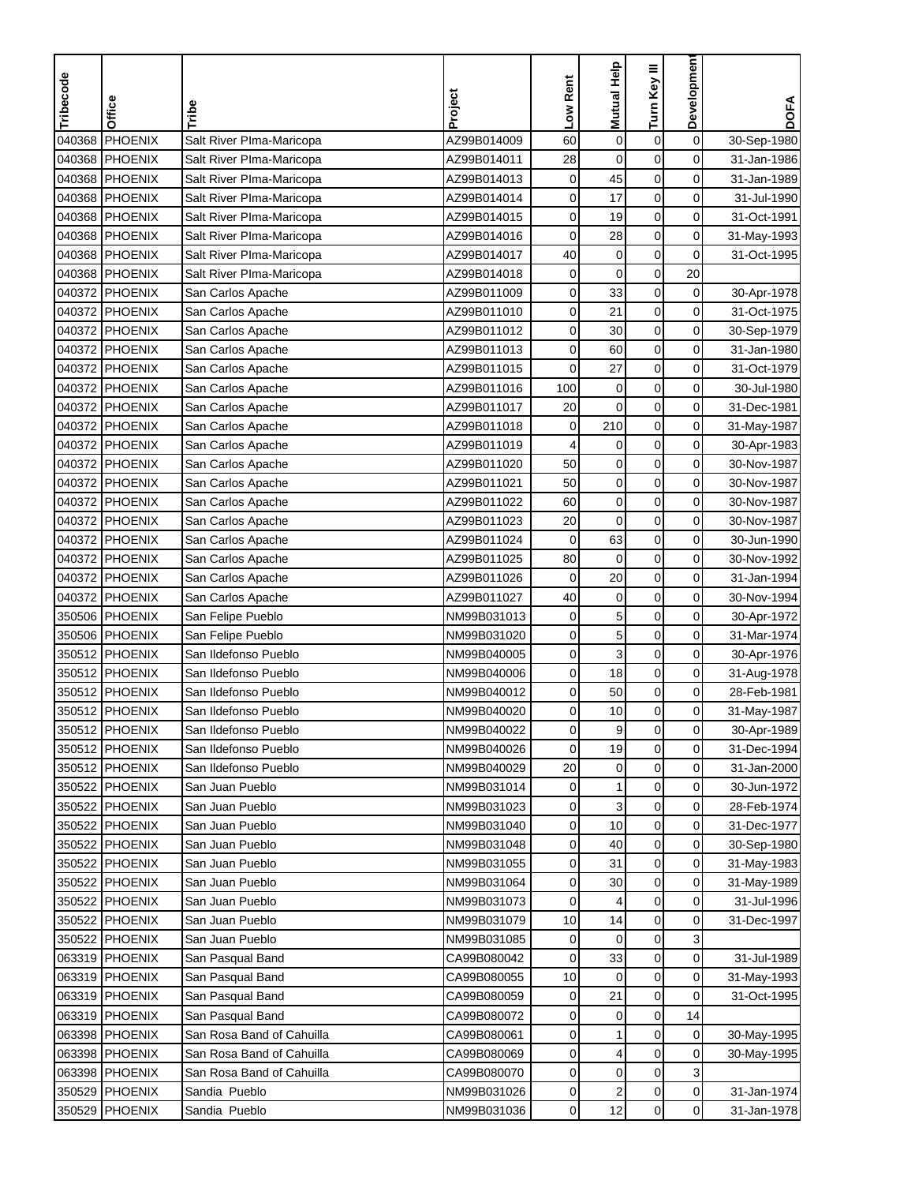| Tribecode | Office         | Tribe                     | Project     | Low Rent    | Mutual Help             | Turn Key III     | Development    | <b>DOFA</b> |
|-----------|----------------|---------------------------|-------------|-------------|-------------------------|------------------|----------------|-------------|
|           |                |                           |             |             |                         |                  |                |             |
| 040368    | <b>PHOENIX</b> | Salt River PIma-Maricopa  | AZ99B014009 | 60          | $\mathbf 0$             | $\boldsymbol{0}$ | $\mathbf 0$    | 30-Sep-1980 |
| 040368    | PHOENIX        | Salt River Plma-Maricopa  | AZ99B014011 | 28          | $\mathbf 0$             | $\mathbf 0$      | 0              | 31-Jan-1986 |
| 040368    | PHOENIX        | Salt River Plma-Maricopa  | AZ99B014013 | $\mathbf 0$ | 45                      | $\mathbf 0$      | 0              | 31-Jan-1989 |
| 040368    | PHOENIX        | Salt River Plma-Maricopa  | AZ99B014014 | 0           | 17                      | $\mathbf 0$      | 0              | 31-Jul-1990 |
| 040368    | PHOENIX        | Salt River Plma-Maricopa  | AZ99B014015 | 0           | 19                      | $\boldsymbol{0}$ | 0              | 31-Oct-1991 |
| 040368    | PHOENIX        | Salt River PIma-Maricopa  | AZ99B014016 | $\mathbf 0$ | 28                      | $\pmb{0}$        | 0              | 31-May-1993 |
|           | 040368 PHOENIX | Salt River PIma-Maricopa  | AZ99B014017 | 40          | $\mathbf 0$             | $\pmb{0}$        | 0              | 31-Oct-1995 |
|           | 040368 PHOENIX | Salt River PIma-Maricopa  | AZ99B014018 | 0           | $\pmb{0}$               | $\mathbf 0$      | 20             |             |
| 040372    | PHOENIX        | San Carlos Apache         | AZ99B011009 | 0           | 33                      | 0                | 0              | 30-Apr-1978 |
|           | 040372 PHOENIX | San Carlos Apache         | AZ99B011010 | 0           | 21                      | $\mathbf 0$      | 0              | 31-Oct-1975 |
| 040372    | PHOENIX        | San Carlos Apache         | AZ99B011012 | 0           | 30                      | $\mathbf 0$      | $\mathbf 0$    | 30-Sep-1979 |
|           | 040372 PHOENIX | San Carlos Apache         | AZ99B011013 | 0           | 60                      | $\mathbf 0$      | $\mathbf 0$    | 31-Jan-1980 |
| 040372    | PHOENIX        | San Carlos Apache         | AZ99B011015 | 0           | 27                      | $\pmb{0}$        | $\mathbf 0$    | 31-Oct-1979 |
| 040372    | PHOENIX        | San Carlos Apache         | AZ99B011016 | 100         | $\boldsymbol{0}$        | $\mathbf 0$      | 0              | 30-Jul-1980 |
| 040372    | PHOENIX        | San Carlos Apache         | AZ99B011017 | 20          | $\mathbf 0$             | $\mathbf 0$      | 0              | 31-Dec-1981 |
|           | 040372 PHOENIX | San Carlos Apache         | AZ99B011018 | $\mathbf 0$ | 210                     | $\pmb{0}$        | 0              | 31-May-1987 |
|           | 040372 PHOENIX | San Carlos Apache         | AZ99B011019 | 4           | $\mathbf 0$             | $\mathbf 0$      | 0              | 30-Apr-1983 |
|           | 040372 PHOENIX | San Carlos Apache         | AZ99B011020 | 50          | $\boldsymbol{0}$        | $\mathbf 0$      | 0              | 30-Nov-1987 |
|           | 040372 PHOENIX | San Carlos Apache         | AZ99B011021 | 50          | $\mathbf 0$             | $\mathbf 0$      | 0              | 30-Nov-1987 |
|           | 040372 PHOENIX | San Carlos Apache         | AZ99B011022 | 60          | $\mathbf 0$             | $\mathbf 0$      | 0              | 30-Nov-1987 |
| 040372    | PHOENIX        | San Carlos Apache         | AZ99B011023 | 20          | $\mathbf 0$             | $\mathbf 0$      | 0              | 30-Nov-1987 |
| 040372    | PHOENIX        | San Carlos Apache         | AZ99B011024 | $\mathbf 0$ | 63                      | $\pmb{0}$        | 0              | 30-Jun-1990 |
| 040372    | PHOENIX        | San Carlos Apache         | AZ99B011025 | 80          | $\mathbf 0$             | $\mathbf 0$      | 0              | 30-Nov-1992 |
| 040372    | <b>PHOENIX</b> | San Carlos Apache         | AZ99B011026 | 0           | 20                      | $\pmb{0}$        | 0              | 31-Jan-1994 |
| 040372    | PHOENIX        | San Carlos Apache         | AZ99B011027 | 40          | $\pmb{0}$               | 0                | 0              | 30-Nov-1994 |
| 350506    | PHOENIX        | San Felipe Pueblo         | NM99B031013 | $\mathbf 0$ | 5                       | 0                | 0              | 30-Apr-1972 |
| 350506    | PHOENIX        | San Felipe Pueblo         | NM99B031020 | $\mathbf 0$ | 5                       | $\mathbf 0$      | 0              | 31-Mar-1974 |
|           | 350512 PHOENIX | San Ildefonso Pueblo      | NM99B040005 | 0           | 3                       | $\mathbf 0$      | 0              | 30-Apr-1976 |
| 350512    | PHOENIX        | San Ildefonso Pueblo      | NM99B040006 | 0           | 18                      | $\mathbf 0$      | $\mathbf 0$    | 31-Aug-1978 |
| 350512    | PHOENIX        | San Ildefonso Pueblo      | NM99B040012 | 0           | 50                      | $\mathbf 0$      | $\mathbf 0$    | 28-Feb-1981 |
|           | 350512 PHOENIX | San Ildefonso Pueblo      | NM99B040020 | 0           | 10                      | $\mathbf 0$      | $\mathbf 0$    | 31-May-1987 |
|           | 350512 PHOENIX | San Ildefonso Pueblo      | NM99B040022 | 0           | 9                       | 0                | 0              | 30-Apr-1989 |
|           | 350512 PHOENIX | San Ildefonso Pueblo      | NM99B040026 | 0           | 19                      | $\mathbf 0$      | $\mathbf 0$    | 31-Dec-1994 |
|           | 350512 PHOENIX | San Ildefonso Pueblo      | NM99B040029 | 20          | 0                       | 0                | 0              | 31-Jan-2000 |
|           | 350522 PHOENIX | San Juan Pueblo           | NM99B031014 | 0           | 1                       | $\pmb{0}$        | 0              | 30-Jun-1972 |
|           | 350522 PHOENIX | San Juan Pueblo           | NM99B031023 | 0           | 3                       | 0                | $\overline{0}$ | 28-Feb-1974 |
|           | 350522 PHOENIX | San Juan Pueblo           | NM99B031040 | 0           | 10                      | 0                | $\overline{0}$ | 31-Dec-1977 |
|           | 350522 PHOENIX | San Juan Pueblo           | NM99B031048 | 0           | 40                      | 0                | $\overline{0}$ | 30-Sep-1980 |
|           | 350522 PHOENIX | San Juan Pueblo           | NM99B031055 | 0           | 31                      | $\mathbf 0$      | $\overline{0}$ | 31-May-1983 |
|           | 350522 PHOENIX | San Juan Pueblo           | NM99B031064 | 0           | 30                      | 0                | $\overline{0}$ | 31-May-1989 |
|           | 350522 PHOENIX | San Juan Pueblo           | NM99B031073 | 0           | 4                       | $\pmb{0}$        | 0              | 31-Jul-1996 |
|           | 350522 PHOENIX | San Juan Pueblo           | NM99B031079 | 10          | 14                      | $\boldsymbol{0}$ | $\mathbf 0$    | 31-Dec-1997 |
|           | 350522 PHOENIX | San Juan Pueblo           | NM99B031085 | 0           | $\mathbf 0$             | $\boldsymbol{0}$ | 3              |             |
|           | 063319 PHOENIX | San Pasqual Band          | CA99B080042 | 0           | 33                      | 0                | $\overline{0}$ | 31-Jul-1989 |
|           | 063319 PHOENIX | San Pasqual Band          | CA99B080055 | 10          | 0                       | 0                | 0              | 31-May-1993 |
|           | 063319 PHOENIX | San Pasqual Band          | CA99B080059 | 0           | 21                      | 0                | 0              | 31-Oct-1995 |
|           | 063319 PHOENIX | San Pasqual Band          | CA99B080072 | 0           | 0                       | $\boldsymbol{0}$ | 14             |             |
|           | 063398 PHOENIX | San Rosa Band of Cahuilla | CA99B080061 | 0           | 1                       | 0                | 0              | 30-May-1995 |
|           | 063398 PHOENIX | San Rosa Band of Cahuilla | CA99B080069 | 0           | 4                       | $\mathbf 0$      | 0              | 30-May-1995 |
|           | 063398 PHOENIX | San Rosa Band of Cahuilla | CA99B080070 | 0           | 0                       | 0                | 3              |             |
|           | 350529 PHOENIX | Sandia Pueblo             | NM99B031026 | 0           | $\overline{\mathbf{c}}$ | $\pmb{0}$        | $\overline{0}$ | 31-Jan-1974 |
|           | 350529 PHOENIX | Sandia Pueblo             | NM99B031036 | 0           | 12                      | $\pmb{0}$        | $\overline{0}$ | 31-Jan-1978 |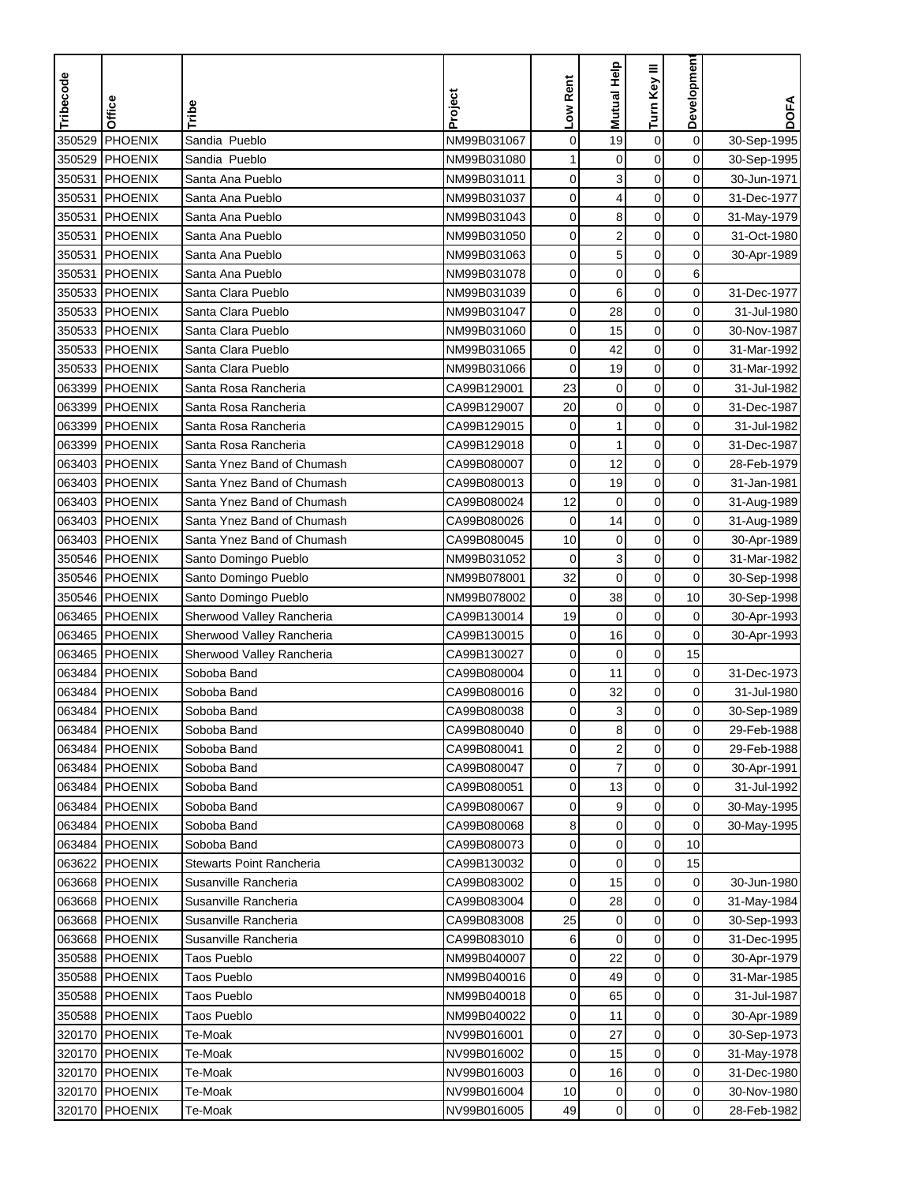| Tribecode | Office         | Tribe                           | Project     | Low Rent    | <b>Mutual Help</b>      | Turn Key III     | Development    | <b>DOFA</b> |
|-----------|----------------|---------------------------------|-------------|-------------|-------------------------|------------------|----------------|-------------|
|           |                |                                 |             |             |                         |                  |                |             |
| 350529    | <b>PHOENIX</b> | Sandia Pueblo                   | NM99B031067 | $\mathbf 0$ | 19                      | $\boldsymbol{0}$ | $\mathbf 0$    | 30-Sep-1995 |
| 350529    | PHOENIX        | Sandia Pueblo                   | NM99B031080 | 1           | $\mathbf 0$             | $\mathbf 0$      | $\mathbf 0$    | 30-Sep-1995 |
| 350531    | PHOENIX        | Santa Ana Pueblo                | NM99B031011 | 0           | 3                       | $\mathbf 0$      | $\mathbf 0$    | 30-Jun-1971 |
| 350531    | PHOENIX        | Santa Ana Pueblo                | NM99B031037 | 0           | 4                       | $\mathbf 0$      | 0              | 31-Dec-1977 |
| 350531    | <b>PHOENIX</b> | Santa Ana Pueblo                | NM99B031043 | 0           | 8                       | $\boldsymbol{0}$ | 0              | 31-May-1979 |
| 350531    | <b>PHOENIX</b> | Santa Ana Pueblo                | NM99B031050 | $\pmb{0}$   | $\overline{\mathbf{c}}$ | $\mathbf 0$      | 0              | 31-Oct-1980 |
| 350531    | <b>PHOENIX</b> | Santa Ana Pueblo                | NM99B031063 | 0           | 5                       | $\mathbf 0$      | 0              | 30-Apr-1989 |
| 350531    | PHOENIX        | Santa Ana Pueblo                | NM99B031078 | 0           | $\pmb{0}$               | $\mathbf 0$      | 6              |             |
| 350533    | PHOENIX        | Santa Clara Pueblo              | NM99B031039 | 0           | 6                       | 0                | $\mathbf 0$    | 31-Dec-1977 |
| 350533    | PHOENIX        | Santa Clara Pueblo              | NM99B031047 | 0           | 28                      | $\pmb{0}$        | 0              | 31-Jul-1980 |
| 350533    | PHOENIX        | Santa Clara Pueblo              | NM99B031060 | 0           | 15                      | $\mathbf 0$      | $\mathbf 0$    | 30-Nov-1987 |
|           | 350533 PHOENIX | Santa Clara Pueblo              | NM99B031065 | 0           | 42                      | $\mathbf 0$      | 0              | 31-Mar-1992 |
| 350533    | PHOENIX        | Santa Clara Pueblo              | NM99B031066 | 0           | 19                      | $\mathbf 0$      | $\mathbf 0$    | 31-Mar-1992 |
| 063399    | PHOENIX        | Santa Rosa Rancheria            | CA99B129001 | 23          | $\boldsymbol{0}$        | $\mathbf 0$      | 0              | 31-Jul-1982 |
| 063399    | PHOENIX        | Santa Rosa Rancheria            | CA99B129007 | 20          | $\mathbf 0$             | $\mathbf 0$      | 0              | 31-Dec-1987 |
| 063399    | PHOENIX        | Santa Rosa Rancheria            | CA99B129015 | 0           | $\mathbf{1}$            | $\boldsymbol{0}$ | 0              | 31-Jul-1982 |
| 063399    | PHOENIX        | Santa Rosa Rancheria            | CA99B129018 | 0           | 1                       | $\mathbf 0$      | 0              | 31-Dec-1987 |
|           | 063403 PHOENIX | Santa Ynez Band of Chumash      | CA99B080007 | $\mathbf 0$ | 12                      | $\mathbf 0$      | $\mathbf 0$    | 28-Feb-1979 |
|           | 063403 PHOENIX | Santa Ynez Band of Chumash      | CA99B080013 | $\mathbf 0$ | 19                      | $\mathbf 0$      | 0              | 31-Jan-1981 |
|           | 063403 PHOENIX | Santa Ynez Band of Chumash      | CA99B080024 | 12          | $\mathbf 0$             | $\mathbf 0$      | 0              | 31-Aug-1989 |
|           | 063403 PHOENIX | Santa Ynez Band of Chumash      | CA99B080026 | $\mathbf 0$ | 14                      | $\mathbf 0$      | $\mathbf 0$    | 31-Aug-1989 |
| 063403    | PHOENIX        | Santa Ynez Band of Chumash      | CA99B080045 | 10          | $\mathbf 0$             | $\boldsymbol{0}$ | 0              | 30-Apr-1989 |
| 350546    | PHOENIX        | Santo Domingo Pueblo            | NM99B031052 | $\mathbf 0$ | 3                       | $\mathbf 0$      | 0              | 31-Mar-1982 |
|           | 350546 PHOENIX | Santo Domingo Pueblo            | NM99B078001 | 32          | $\mathbf 0$             | $\pmb{0}$        | 0              | 30-Sep-1998 |
|           | 350546 PHOENIX | Santo Domingo Pueblo            | NM99B078002 | $\mathbf 0$ | 38                      | 0                | 10             | 30-Sep-1998 |
|           | 063465 PHOENIX | Sherwood Valley Rancheria       | CA99B130014 | 19          | $\mathbf 0$             | 0                | 0              | 30-Apr-1993 |
|           | 063465 PHOENIX | Sherwood Valley Rancheria       | CA99B130015 | $\mathbf 0$ | 16                      | $\mathbf 0$      | 0              | 30-Apr-1993 |
|           | 063465 PHOENIX | Sherwood Valley Rancheria       | CA99B130027 | 0           | $\mathbf 0$             | $\mathbf 0$      | 15             |             |
|           | 063484 PHOENIX | Soboba Band                     | CA99B080004 | 0           | 11                      | $\mathbf 0$      | 0              | 31-Dec-1973 |
| 063484    | PHOENIX        | Soboba Band                     | CA99B080016 | 0           | 32                      | $\boldsymbol{0}$ | 0              | 31-Jul-1980 |
|           | 063484 PHOENIX | Soboba Band                     | CA99B080038 | 0           | 3                       | $\mathbf 0$      | 0              | 30-Sep-1989 |
|           | 063484 PHOENIX | Soboba Band                     | CA99B080040 | 0           | 8                       | $\mathbf 0$      | 0              | 29-Feb-1988 |
|           | 063484 PHOENIX | Soboba Band                     | CA99B080041 | 0           | $\overline{2}$          | $\mathbf 0$      | $\mathbf 0$    | 29-Feb-1988 |
|           | 063484 PHOENIX | Soboba Band                     | CA99B080047 | 0           | 7                       | 0                | 0              | 30-Apr-1991 |
|           | 063484 PHOENIX | Soboba Band                     | CA99B080051 | 0           | 13                      | $\boldsymbol{0}$ | 0              | 31-Jul-1992 |
|           | 063484 PHOENIX | Soboba Band                     | CA99B080067 | 0           | 9                       | 0                | $\overline{0}$ | 30-May-1995 |
|           | 063484 PHOENIX | Soboba Band                     | CA99B080068 | 8           | 0                       | 0                | 0              | 30-May-1995 |
|           | 063484 PHOENIX | Soboba Band                     | CA99B080073 | 0           | $\pmb{0}$               | 0                | 10             |             |
|           | 063622 PHOENIX | <b>Stewarts Point Rancheria</b> | CA99B130032 | 0           | $\pmb{0}$               | $\mathbf 0$      | 15             |             |
|           | 063668 PHOENIX | Susanville Rancheria            | CA99B083002 | 0           | 15                      | 0                | 0              | 30-Jun-1980 |
|           | 063668 PHOENIX | Susanville Rancheria            | CA99B083004 | 0           | 28                      | $\pmb{0}$        | 0              | 31-May-1984 |
|           | 063668 PHOENIX | Susanville Rancheria            | CA99B083008 | 25          | $\mathbf 0$             | $\boldsymbol{0}$ | $\mathbf 0$    | 30-Sep-1993 |
|           | 063668 PHOENIX | Susanville Rancheria            | CA99B083010 | 6           | $\mathbf 0$             | $\boldsymbol{0}$ | 0              | 31-Dec-1995 |
|           | 350588 PHOENIX | <b>Taos Pueblo</b>              | NM99B040007 | 0           | 22                      | $\mathbf 0$      | $\overline{0}$ | 30-Apr-1979 |
|           | 350588 PHOENIX | <b>Taos Pueblo</b>              | NM99B040016 | 0           | 49                      | 0                | 0              | 31-Mar-1985 |
|           | 350588 PHOENIX | <b>Taos Pueblo</b>              | NM99B040018 | 0           | 65                      | 0                | 0              | 31-Jul-1987 |
|           | 350588 PHOENIX | <b>Taos Pueblo</b>              | NM99B040022 | 0           | 11                      | $\boldsymbol{0}$ | 0              | 30-Apr-1989 |
|           | 320170 PHOENIX | Te-Moak                         | NV99B016001 | 0           | 27                      | 0                | $\overline{0}$ | 30-Sep-1973 |
|           | 320170 PHOENIX | Te-Moak                         | NV99B016002 | 0           | 15                      | 0                | $\overline{0}$ | 31-May-1978 |
|           | 320170 PHOENIX | Te-Moak                         | NV99B016003 | 0           | 16                      | 0                | 0              | 31-Dec-1980 |
|           | 320170 PHOENIX | Te-Moak                         | NV99B016004 | 10          | 0                       | $\pmb{0}$        | $\mathbf 0$    | 30-Nov-1980 |
|           | 320170 PHOENIX | Te-Moak                         | NV99B016005 | 49          | 0                       | 0                | $\overline{0}$ | 28-Feb-1982 |
|           |                |                                 |             |             |                         |                  |                |             |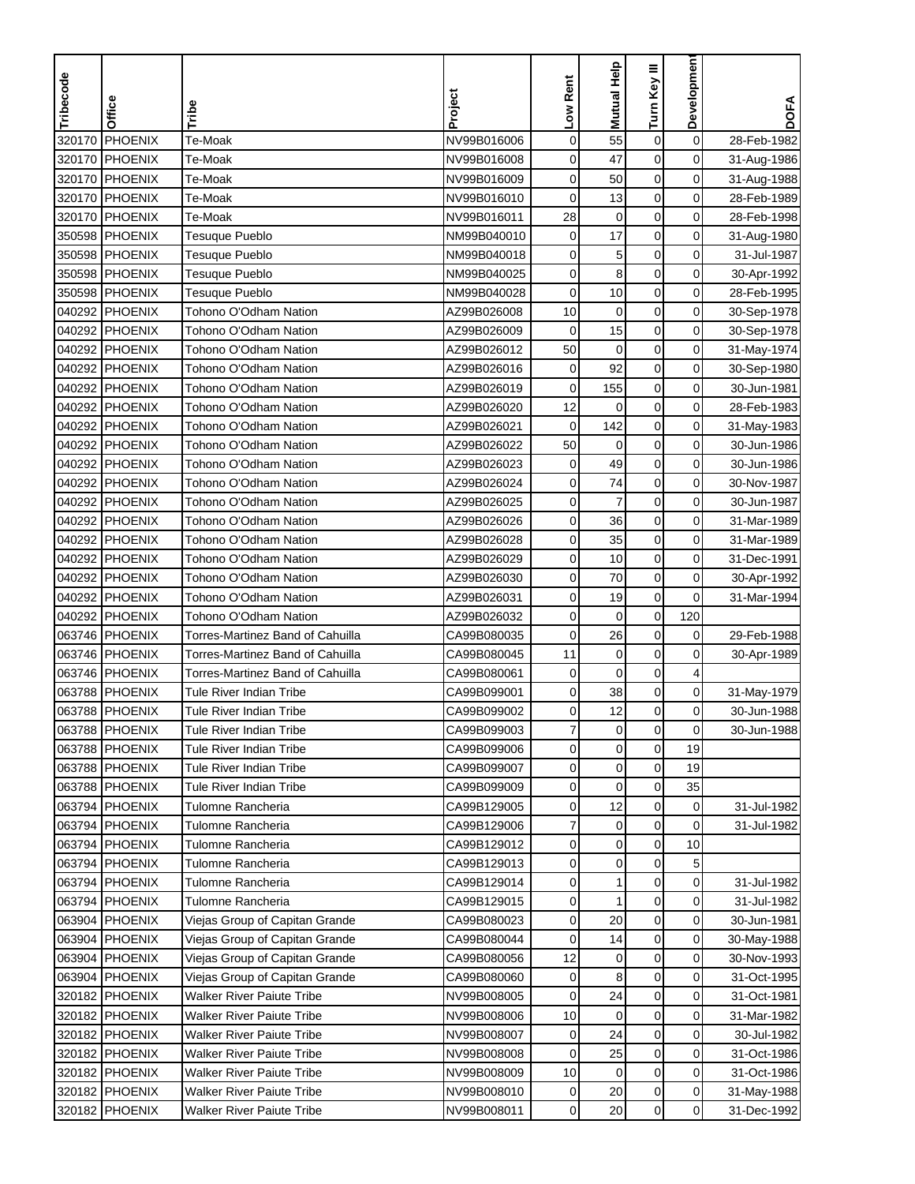| Developmen<br>Mutual Help<br>Turn Key III<br>Tribecode<br>Low Rent<br>Project<br>Office<br>Tribe<br>PHOENIX<br>$\mathbf 0$<br>320170<br>Te-Moak<br>NV99B016006<br>0<br>55<br>$\boldsymbol{0}$<br>28-Feb-1982<br>0<br>320170<br>PHOENIX<br>Te-Moak<br>0<br>$\mathbf 0$<br>NV99B016008<br>47<br>31-Aug-1986<br>0<br><b>PHOENIX</b><br>0<br>0<br>320170<br>Te-Moak<br>NV99B016009<br>50<br>31-Aug-1988<br>$\mathbf 0$<br>0<br>320170<br><b>PHOENIX</b><br>Te-Moak<br>0<br>13<br>NV99B016010<br>28-Feb-1989<br>28<br>$\boldsymbol{0}$<br>PHOENIX<br>$\mathbf 0$<br>0<br>320170<br>Te-Moak<br>NV99B016011<br>28-Feb-1998<br>17<br>350598<br>PHOENIX<br>Tesuque Pueblo<br>$\mathbf 0$<br>$\mathbf 0$<br>0<br>NM99B040010<br>31-Aug-1980<br>$\mathbf 0$<br>0<br>5<br>350598<br><b>PHOENIX</b><br>NM99B040018<br>0<br>31-Jul-1987<br>Tesuque Pueblo<br>8<br>0<br>0<br>0<br>350598 PHOENIX<br>Tesuque Pueblo<br>NM99B040025<br>30-Apr-1992<br>0<br>350598<br><b>PHOENIX</b><br>NM99B040028<br>0<br>10<br>0<br>Tesuque Pueblo<br>28-Feb-1995<br>040292 PHOENIX<br>$\mathbf 0$<br>$\boldsymbol{0}$<br>0<br>Tohono O'Odham Nation<br>AZ99B026008<br>10<br>30-Sep-1978<br>040292 PHOENIX<br>Tohono O'Odham Nation<br>$\mathbf 0$<br>0<br>AZ99B026009<br>0<br>15<br>30-Sep-1978<br>040292 PHOENIX<br>Tohono O'Odham Nation<br>50<br>$\mathbf 0$<br>$\mathbf 0$<br>0<br>AZ99B026012<br>31-May-1974<br>92<br>$\boldsymbol{0}$<br>0<br>040292<br><b>PHOENIX</b><br>Tohono O'Odham Nation<br>0<br>AZ99B026016<br>30-Sep-1980<br>$\boldsymbol{0}$<br>0<br>040292<br><b>PHOENIX</b><br>Tohono O'Odham Nation<br>$\mathbf 0$<br>155<br>AZ99B026019<br>30-Jun-1981<br>$\mathbf 0$<br>0<br>040292<br><b>PHOENIX</b><br>12<br>$\mathbf 0$<br>Tohono O'Odham Nation<br>AZ99B026020<br>28-Feb-1983<br>040292 PHOENIX<br>Tohono O'Odham Nation<br>$\mathbf 0$<br>142<br>$\mathbf 0$<br>0<br>AZ99B026021<br>31-May-1983<br>0<br>040292 PHOENIX<br>Tohono O'Odham Nation<br>AZ99B026022<br>50<br>0<br>0<br>30-Jun-1986 | <b>DOFA</b> |
|-------------------------------------------------------------------------------------------------------------------------------------------------------------------------------------------------------------------------------------------------------------------------------------------------------------------------------------------------------------------------------------------------------------------------------------------------------------------------------------------------------------------------------------------------------------------------------------------------------------------------------------------------------------------------------------------------------------------------------------------------------------------------------------------------------------------------------------------------------------------------------------------------------------------------------------------------------------------------------------------------------------------------------------------------------------------------------------------------------------------------------------------------------------------------------------------------------------------------------------------------------------------------------------------------------------------------------------------------------------------------------------------------------------------------------------------------------------------------------------------------------------------------------------------------------------------------------------------------------------------------------------------------------------------------------------------------------------------------------------------------------------------------------------------------------------------------------------------------------------------------------------------------------------------------------------------------------------------------------------------|-------------|
|                                                                                                                                                                                                                                                                                                                                                                                                                                                                                                                                                                                                                                                                                                                                                                                                                                                                                                                                                                                                                                                                                                                                                                                                                                                                                                                                                                                                                                                                                                                                                                                                                                                                                                                                                                                                                                                                                                                                                                                           |             |
|                                                                                                                                                                                                                                                                                                                                                                                                                                                                                                                                                                                                                                                                                                                                                                                                                                                                                                                                                                                                                                                                                                                                                                                                                                                                                                                                                                                                                                                                                                                                                                                                                                                                                                                                                                                                                                                                                                                                                                                           |             |
|                                                                                                                                                                                                                                                                                                                                                                                                                                                                                                                                                                                                                                                                                                                                                                                                                                                                                                                                                                                                                                                                                                                                                                                                                                                                                                                                                                                                                                                                                                                                                                                                                                                                                                                                                                                                                                                                                                                                                                                           |             |
|                                                                                                                                                                                                                                                                                                                                                                                                                                                                                                                                                                                                                                                                                                                                                                                                                                                                                                                                                                                                                                                                                                                                                                                                                                                                                                                                                                                                                                                                                                                                                                                                                                                                                                                                                                                                                                                                                                                                                                                           |             |
|                                                                                                                                                                                                                                                                                                                                                                                                                                                                                                                                                                                                                                                                                                                                                                                                                                                                                                                                                                                                                                                                                                                                                                                                                                                                                                                                                                                                                                                                                                                                                                                                                                                                                                                                                                                                                                                                                                                                                                                           |             |
|                                                                                                                                                                                                                                                                                                                                                                                                                                                                                                                                                                                                                                                                                                                                                                                                                                                                                                                                                                                                                                                                                                                                                                                                                                                                                                                                                                                                                                                                                                                                                                                                                                                                                                                                                                                                                                                                                                                                                                                           |             |
|                                                                                                                                                                                                                                                                                                                                                                                                                                                                                                                                                                                                                                                                                                                                                                                                                                                                                                                                                                                                                                                                                                                                                                                                                                                                                                                                                                                                                                                                                                                                                                                                                                                                                                                                                                                                                                                                                                                                                                                           |             |
|                                                                                                                                                                                                                                                                                                                                                                                                                                                                                                                                                                                                                                                                                                                                                                                                                                                                                                                                                                                                                                                                                                                                                                                                                                                                                                                                                                                                                                                                                                                                                                                                                                                                                                                                                                                                                                                                                                                                                                                           |             |
|                                                                                                                                                                                                                                                                                                                                                                                                                                                                                                                                                                                                                                                                                                                                                                                                                                                                                                                                                                                                                                                                                                                                                                                                                                                                                                                                                                                                                                                                                                                                                                                                                                                                                                                                                                                                                                                                                                                                                                                           |             |
|                                                                                                                                                                                                                                                                                                                                                                                                                                                                                                                                                                                                                                                                                                                                                                                                                                                                                                                                                                                                                                                                                                                                                                                                                                                                                                                                                                                                                                                                                                                                                                                                                                                                                                                                                                                                                                                                                                                                                                                           |             |
|                                                                                                                                                                                                                                                                                                                                                                                                                                                                                                                                                                                                                                                                                                                                                                                                                                                                                                                                                                                                                                                                                                                                                                                                                                                                                                                                                                                                                                                                                                                                                                                                                                                                                                                                                                                                                                                                                                                                                                                           |             |
|                                                                                                                                                                                                                                                                                                                                                                                                                                                                                                                                                                                                                                                                                                                                                                                                                                                                                                                                                                                                                                                                                                                                                                                                                                                                                                                                                                                                                                                                                                                                                                                                                                                                                                                                                                                                                                                                                                                                                                                           |             |
|                                                                                                                                                                                                                                                                                                                                                                                                                                                                                                                                                                                                                                                                                                                                                                                                                                                                                                                                                                                                                                                                                                                                                                                                                                                                                                                                                                                                                                                                                                                                                                                                                                                                                                                                                                                                                                                                                                                                                                                           |             |
|                                                                                                                                                                                                                                                                                                                                                                                                                                                                                                                                                                                                                                                                                                                                                                                                                                                                                                                                                                                                                                                                                                                                                                                                                                                                                                                                                                                                                                                                                                                                                                                                                                                                                                                                                                                                                                                                                                                                                                                           |             |
|                                                                                                                                                                                                                                                                                                                                                                                                                                                                                                                                                                                                                                                                                                                                                                                                                                                                                                                                                                                                                                                                                                                                                                                                                                                                                                                                                                                                                                                                                                                                                                                                                                                                                                                                                                                                                                                                                                                                                                                           |             |
|                                                                                                                                                                                                                                                                                                                                                                                                                                                                                                                                                                                                                                                                                                                                                                                                                                                                                                                                                                                                                                                                                                                                                                                                                                                                                                                                                                                                                                                                                                                                                                                                                                                                                                                                                                                                                                                                                                                                                                                           |             |
|                                                                                                                                                                                                                                                                                                                                                                                                                                                                                                                                                                                                                                                                                                                                                                                                                                                                                                                                                                                                                                                                                                                                                                                                                                                                                                                                                                                                                                                                                                                                                                                                                                                                                                                                                                                                                                                                                                                                                                                           |             |
|                                                                                                                                                                                                                                                                                                                                                                                                                                                                                                                                                                                                                                                                                                                                                                                                                                                                                                                                                                                                                                                                                                                                                                                                                                                                                                                                                                                                                                                                                                                                                                                                                                                                                                                                                                                                                                                                                                                                                                                           |             |
| $\mathbf 0$<br>040292 PHOENIX<br>$\mathbf 0$<br>$\mathbf 0$<br>Tohono O'Odham Nation<br>AZ99B026023<br>49<br>30-Jun-1986                                                                                                                                                                                                                                                                                                                                                                                                                                                                                                                                                                                                                                                                                                                                                                                                                                                                                                                                                                                                                                                                                                                                                                                                                                                                                                                                                                                                                                                                                                                                                                                                                                                                                                                                                                                                                                                                  |             |
| 040292 PHOENIX<br>Tohono O'Odham Nation<br>AZ99B026024<br>0<br>$\mathbf 0$<br>0<br>30-Nov-1987<br>74                                                                                                                                                                                                                                                                                                                                                                                                                                                                                                                                                                                                                                                                                                                                                                                                                                                                                                                                                                                                                                                                                                                                                                                                                                                                                                                                                                                                                                                                                                                                                                                                                                                                                                                                                                                                                                                                                      |             |
| $\overline{7}$<br>$\mathbf 0$<br>040292 PHOENIX<br>Tohono O'Odham Nation<br>AZ99B026025<br>0<br>0<br>30-Jun-1987                                                                                                                                                                                                                                                                                                                                                                                                                                                                                                                                                                                                                                                                                                                                                                                                                                                                                                                                                                                                                                                                                                                                                                                                                                                                                                                                                                                                                                                                                                                                                                                                                                                                                                                                                                                                                                                                          |             |
| 040292 PHOENIX<br>Tohono O'Odham Nation<br>0<br>36<br>$\mathbf 0$<br>0<br>AZ99B026026<br>31-Mar-1989                                                                                                                                                                                                                                                                                                                                                                                                                                                                                                                                                                                                                                                                                                                                                                                                                                                                                                                                                                                                                                                                                                                                                                                                                                                                                                                                                                                                                                                                                                                                                                                                                                                                                                                                                                                                                                                                                      |             |
| $\boldsymbol{0}$<br>040292<br>PHOENIX<br>Tohono O'Odham Nation<br>0<br>35<br>0<br>AZ99B026028<br>31-Mar-1989                                                                                                                                                                                                                                                                                                                                                                                                                                                                                                                                                                                                                                                                                                                                                                                                                                                                                                                                                                                                                                                                                                                                                                                                                                                                                                                                                                                                                                                                                                                                                                                                                                                                                                                                                                                                                                                                              |             |
| $\boldsymbol{0}$<br>040292<br>PHOENIX<br>Tohono O'Odham Nation<br>0<br>10<br>0<br>31-Dec-1991<br>AZ99B026029                                                                                                                                                                                                                                                                                                                                                                                                                                                                                                                                                                                                                                                                                                                                                                                                                                                                                                                                                                                                                                                                                                                                                                                                                                                                                                                                                                                                                                                                                                                                                                                                                                                                                                                                                                                                                                                                              |             |
| 70<br>0<br>0<br>040292<br><b>PHOENIX</b><br>Tohono O'Odham Nation<br>AZ99B026030<br>0<br>30-Apr-1992                                                                                                                                                                                                                                                                                                                                                                                                                                                                                                                                                                                                                                                                                                                                                                                                                                                                                                                                                                                                                                                                                                                                                                                                                                                                                                                                                                                                                                                                                                                                                                                                                                                                                                                                                                                                                                                                                      |             |
| 0<br>040292 PHOENIX<br>Tohono O'Odham Nation<br>AZ99B026031<br>0<br>19<br>0<br>31-Mar-1994                                                                                                                                                                                                                                                                                                                                                                                                                                                                                                                                                                                                                                                                                                                                                                                                                                                                                                                                                                                                                                                                                                                                                                                                                                                                                                                                                                                                                                                                                                                                                                                                                                                                                                                                                                                                                                                                                                |             |
| $\pmb{0}$<br>120<br>040292<br><b>PHOENIX</b><br>Tohono O'Odham Nation<br>AZ99B026032<br>0<br>$\mathbf 0$                                                                                                                                                                                                                                                                                                                                                                                                                                                                                                                                                                                                                                                                                                                                                                                                                                                                                                                                                                                                                                                                                                                                                                                                                                                                                                                                                                                                                                                                                                                                                                                                                                                                                                                                                                                                                                                                                  |             |
| 0<br>0<br>063746 PHOENIX<br><b>Torres-Martinez Band of Cahuilla</b><br>CA99B080035<br>0<br>29-Feb-1988<br>26                                                                                                                                                                                                                                                                                                                                                                                                                                                                                                                                                                                                                                                                                                                                                                                                                                                                                                                                                                                                                                                                                                                                                                                                                                                                                                                                                                                                                                                                                                                                                                                                                                                                                                                                                                                                                                                                              |             |
| 063746 PHOENIX<br>CA99B080045<br>$\mathbf 0$<br>0<br>Torres-Martinez Band of Cahuilla<br>11<br>0<br>30-Apr-1989                                                                                                                                                                                                                                                                                                                                                                                                                                                                                                                                                                                                                                                                                                                                                                                                                                                                                                                                                                                                                                                                                                                                                                                                                                                                                                                                                                                                                                                                                                                                                                                                                                                                                                                                                                                                                                                                           |             |
| 063746 PHOENIX<br>0<br>0<br>4<br>Torres-Martinez Band of Cahuilla<br>CA99B080061<br>0                                                                                                                                                                                                                                                                                                                                                                                                                                                                                                                                                                                                                                                                                                                                                                                                                                                                                                                                                                                                                                                                                                                                                                                                                                                                                                                                                                                                                                                                                                                                                                                                                                                                                                                                                                                                                                                                                                     |             |
| 38<br>$\boldsymbol{0}$<br>0<br>063788<br><b>PHOENIX</b><br>0<br>31-May-1979<br>Tule River Indian Tribe<br>CA99B099001                                                                                                                                                                                                                                                                                                                                                                                                                                                                                                                                                                                                                                                                                                                                                                                                                                                                                                                                                                                                                                                                                                                                                                                                                                                                                                                                                                                                                                                                                                                                                                                                                                                                                                                                                                                                                                                                     |             |
| $\mathbf 0$<br>063788<br>PHOENIX<br>12<br>0<br>Tule River Indian Tribe<br>CA99B099002<br>0<br>30-Jun-1988                                                                                                                                                                                                                                                                                                                                                                                                                                                                                                                                                                                                                                                                                                                                                                                                                                                                                                                                                                                                                                                                                                                                                                                                                                                                                                                                                                                                                                                                                                                                                                                                                                                                                                                                                                                                                                                                                 |             |
| 063788 PHOENIX<br>Tule River Indian Tribe<br>CA99B099003<br>0<br>$\mathbf 0$<br>0<br>30-Jun-1988<br>t,                                                                                                                                                                                                                                                                                                                                                                                                                                                                                                                                                                                                                                                                                                                                                                                                                                                                                                                                                                                                                                                                                                                                                                                                                                                                                                                                                                                                                                                                                                                                                                                                                                                                                                                                                                                                                                                                                    |             |
| $\mathsf 0$<br>$\pmb{0}$<br>CA99B099006<br>0<br>19<br>063788 PHOENIX<br>Tule River Indian Tribe                                                                                                                                                                                                                                                                                                                                                                                                                                                                                                                                                                                                                                                                                                                                                                                                                                                                                                                                                                                                                                                                                                                                                                                                                                                                                                                                                                                                                                                                                                                                                                                                                                                                                                                                                                                                                                                                                           |             |
| $\pmb{0}$<br>063788 PHOENIX<br>0<br>$\pmb{0}$<br>Tule River Indian Tribe<br>CA99B099007<br>19                                                                                                                                                                                                                                                                                                                                                                                                                                                                                                                                                                                                                                                                                                                                                                                                                                                                                                                                                                                                                                                                                                                                                                                                                                                                                                                                                                                                                                                                                                                                                                                                                                                                                                                                                                                                                                                                                             |             |
| $\pmb{0}$<br>$\pmb{0}$<br>063788 PHOENIX<br>CA99B099009<br>0<br>35<br>Tule River Indian Tribe                                                                                                                                                                                                                                                                                                                                                                                                                                                                                                                                                                                                                                                                                                                                                                                                                                                                                                                                                                                                                                                                                                                                                                                                                                                                                                                                                                                                                                                                                                                                                                                                                                                                                                                                                                                                                                                                                             |             |
| 063794 PHOENIX<br>Tulomne Rancheria<br>CA99B129005<br>0<br>12<br>0<br>0<br>31-Jul-1982                                                                                                                                                                                                                                                                                                                                                                                                                                                                                                                                                                                                                                                                                                                                                                                                                                                                                                                                                                                                                                                                                                                                                                                                                                                                                                                                                                                                                                                                                                                                                                                                                                                                                                                                                                                                                                                                                                    |             |
| $\pmb{0}$<br>0<br>0<br>063794 PHOENIX<br>Tulomne Rancheria<br>CA99B129006<br>7<br>31-Jul-1982                                                                                                                                                                                                                                                                                                                                                                                                                                                                                                                                                                                                                                                                                                                                                                                                                                                                                                                                                                                                                                                                                                                                                                                                                                                                                                                                                                                                                                                                                                                                                                                                                                                                                                                                                                                                                                                                                             |             |
| $\pmb{0}$<br>$\pmb{0}$<br>10<br>063794 PHOENIX<br>Tulomne Rancheria<br>CA99B129012<br>0                                                                                                                                                                                                                                                                                                                                                                                                                                                                                                                                                                                                                                                                                                                                                                                                                                                                                                                                                                                                                                                                                                                                                                                                                                                                                                                                                                                                                                                                                                                                                                                                                                                                                                                                                                                                                                                                                                   |             |
| $\pmb{0}$<br>063794 PHOENIX<br>Tulomne Rancheria<br>0<br>5 <sup>1</sup><br>CA99B129013<br>0                                                                                                                                                                                                                                                                                                                                                                                                                                                                                                                                                                                                                                                                                                                                                                                                                                                                                                                                                                                                                                                                                                                                                                                                                                                                                                                                                                                                                                                                                                                                                                                                                                                                                                                                                                                                                                                                                               |             |
| Tulomne Rancheria<br>0<br>$\overline{0}$<br>063794 PHOENIX<br>CA99B129014<br>0<br>1<br>31-Jul-1982                                                                                                                                                                                                                                                                                                                                                                                                                                                                                                                                                                                                                                                                                                                                                                                                                                                                                                                                                                                                                                                                                                                                                                                                                                                                                                                                                                                                                                                                                                                                                                                                                                                                                                                                                                                                                                                                                        |             |
| Tulomne Rancheria<br>1<br>0<br>0<br>063794 PHOENIX<br>CA99B129015<br>0<br>31-Jul-1982                                                                                                                                                                                                                                                                                                                                                                                                                                                                                                                                                                                                                                                                                                                                                                                                                                                                                                                                                                                                                                                                                                                                                                                                                                                                                                                                                                                                                                                                                                                                                                                                                                                                                                                                                                                                                                                                                                     |             |
| $\pmb{0}$<br>0<br>063904 PHOENIX<br>CA99B080023<br>0<br>20<br>Viejas Group of Capitan Grande<br>30-Jun-1981                                                                                                                                                                                                                                                                                                                                                                                                                                                                                                                                                                                                                                                                                                                                                                                                                                                                                                                                                                                                                                                                                                                                                                                                                                                                                                                                                                                                                                                                                                                                                                                                                                                                                                                                                                                                                                                                               |             |
| $\boldsymbol{0}$<br>$\overline{0}$<br>063904 PHOENIX<br>Viejas Group of Capitan Grande<br>CA99B080044<br>0<br>14<br>30-May-1988                                                                                                                                                                                                                                                                                                                                                                                                                                                                                                                                                                                                                                                                                                                                                                                                                                                                                                                                                                                                                                                                                                                                                                                                                                                                                                                                                                                                                                                                                                                                                                                                                                                                                                                                                                                                                                                           |             |
| 063904 PHOENIX<br>Viejas Group of Capitan Grande<br>0<br>$\overline{0}$<br>CA99B080056<br>12<br>0<br>30-Nov-1993                                                                                                                                                                                                                                                                                                                                                                                                                                                                                                                                                                                                                                                                                                                                                                                                                                                                                                                                                                                                                                                                                                                                                                                                                                                                                                                                                                                                                                                                                                                                                                                                                                                                                                                                                                                                                                                                          |             |
| 8<br>0<br>063904 PHOENIX<br>Viejas Group of Capitan Grande<br>CA99B080060<br>0<br>0<br>31-Oct-1995                                                                                                                                                                                                                                                                                                                                                                                                                                                                                                                                                                                                                                                                                                                                                                                                                                                                                                                                                                                                                                                                                                                                                                                                                                                                                                                                                                                                                                                                                                                                                                                                                                                                                                                                                                                                                                                                                        |             |
| Walker River Paiute Tribe<br>24<br>0<br>320182 PHOENIX<br>NV99B008005<br>0<br>0<br>31-Oct-1981                                                                                                                                                                                                                                                                                                                                                                                                                                                                                                                                                                                                                                                                                                                                                                                                                                                                                                                                                                                                                                                                                                                                                                                                                                                                                                                                                                                                                                                                                                                                                                                                                                                                                                                                                                                                                                                                                            |             |
| $\pmb{0}$<br><b>Walker River Paiute Tribe</b><br>10<br>$\mathbf 0$<br>0<br>320182 PHOENIX<br>NV99B008006<br>31-Mar-1982                                                                                                                                                                                                                                                                                                                                                                                                                                                                                                                                                                                                                                                                                                                                                                                                                                                                                                                                                                                                                                                                                                                                                                                                                                                                                                                                                                                                                                                                                                                                                                                                                                                                                                                                                                                                                                                                   |             |
| <b>Walker River Paiute Tribe</b><br>0<br>0<br>320182 PHOENIX<br>NV99B008007<br>0<br>24<br>30-Jul-1982                                                                                                                                                                                                                                                                                                                                                                                                                                                                                                                                                                                                                                                                                                                                                                                                                                                                                                                                                                                                                                                                                                                                                                                                                                                                                                                                                                                                                                                                                                                                                                                                                                                                                                                                                                                                                                                                                     |             |
| 0<br>320182 PHOENIX<br><b>Walker River Paiute Tribe</b><br>NV99B008008<br>0<br>25<br>0<br>31-Oct-1986                                                                                                                                                                                                                                                                                                                                                                                                                                                                                                                                                                                                                                                                                                                                                                                                                                                                                                                                                                                                                                                                                                                                                                                                                                                                                                                                                                                                                                                                                                                                                                                                                                                                                                                                                                                                                                                                                     |             |
| 0<br>320182 PHOENIX<br><b>Walker River Paiute Tribe</b><br>NV99B008009<br>0<br>10<br>0<br>31-Oct-1986                                                                                                                                                                                                                                                                                                                                                                                                                                                                                                                                                                                                                                                                                                                                                                                                                                                                                                                                                                                                                                                                                                                                                                                                                                                                                                                                                                                                                                                                                                                                                                                                                                                                                                                                                                                                                                                                                     |             |
| $\overline{0}$<br>$\pmb{0}$<br>320182 PHOENIX<br><b>Walker River Paiute Tribe</b><br>NV99B008010<br>0<br>31-May-1988<br>20                                                                                                                                                                                                                                                                                                                                                                                                                                                                                                                                                                                                                                                                                                                                                                                                                                                                                                                                                                                                                                                                                                                                                                                                                                                                                                                                                                                                                                                                                                                                                                                                                                                                                                                                                                                                                                                                |             |
| 0<br>$\pmb{0}$<br>$\overline{0}$<br>320182 PHOENIX<br>Walker River Paiute Tribe<br>NV99B008011<br>20<br>31-Dec-1992                                                                                                                                                                                                                                                                                                                                                                                                                                                                                                                                                                                                                                                                                                                                                                                                                                                                                                                                                                                                                                                                                                                                                                                                                                                                                                                                                                                                                                                                                                                                                                                                                                                                                                                                                                                                                                                                       |             |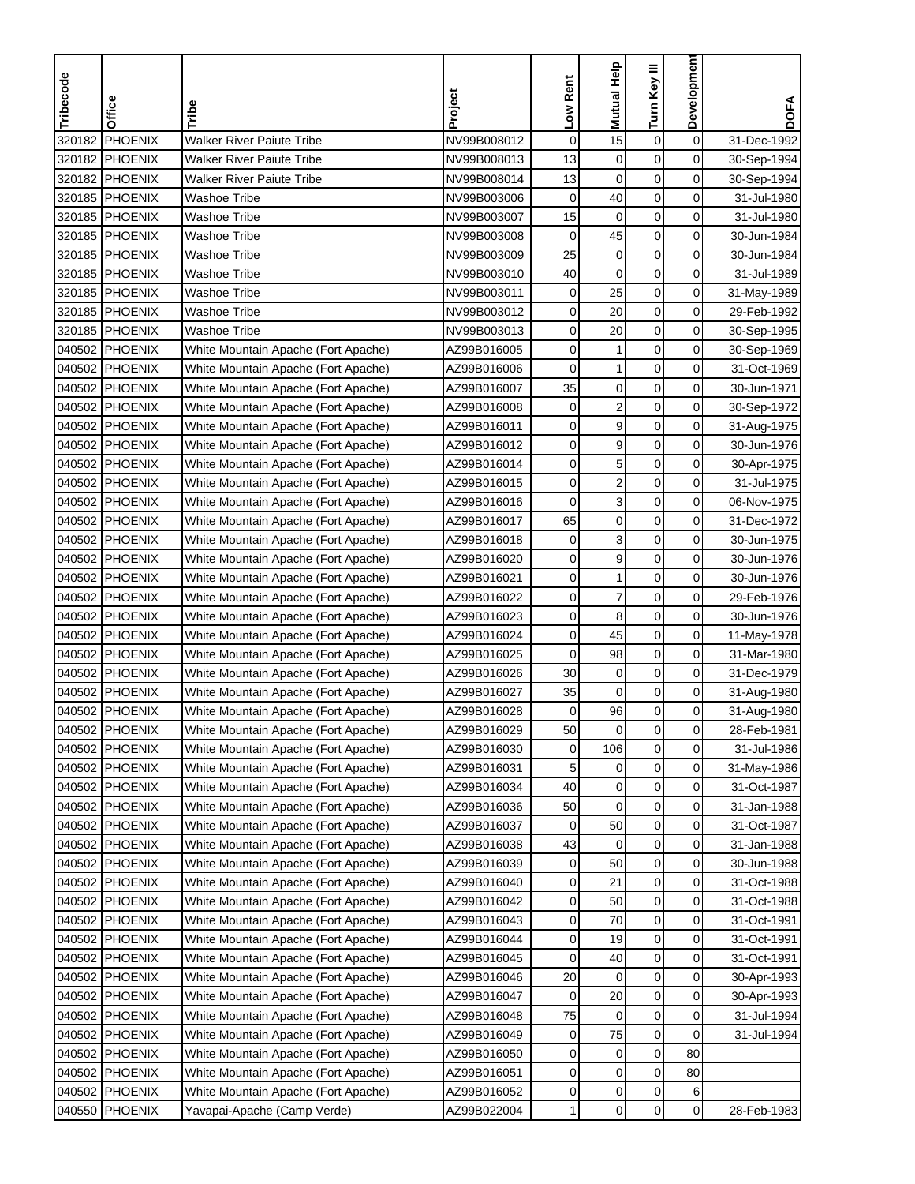| Tribecode | Office         | Tribe                               | Project     | Low Rent    | <b>Mutual Help</b>      | Turn Key III     | Development    | <b>DOFA</b> |
|-----------|----------------|-------------------------------------|-------------|-------------|-------------------------|------------------|----------------|-------------|
|           |                |                                     |             |             |                         |                  |                |             |
| 320182    | PHOENIX        | <b>Walker River Paiute Tribe</b>    | NV99B008012 | $\mathbf 0$ | 15                      | $\boldsymbol{0}$ | 0              | 31-Dec-1992 |
|           | 320182 PHOENIX | <b>Walker River Paiute Tribe</b>    | NV99B008013 | 13          | $\mathbf 0$             | $\mathbf 0$      | 0              | 30-Sep-1994 |
|           | 320182 PHOENIX | <b>Walker River Paiute Tribe</b>    | NV99B008014 | 13          | $\mathbf 0$             | 0                | 0              | 30-Sep-1994 |
|           | 320185 PHOENIX | Washoe Tribe                        | NV99B003006 | $\mathbf 0$ | 40                      | $\boldsymbol{0}$ | 0              | 31-Jul-1980 |
|           | 320185 PHOENIX | Washoe Tribe                        | NV99B003007 | 15          | $\mathbf 0$             | $\pmb{0}$        | 0              | 31-Jul-1980 |
|           | 320185 PHOENIX | <b>Washoe Tribe</b>                 | NV99B003008 | $\mathbf 0$ | 45                      | $\pmb{0}$        | 0              | 30-Jun-1984 |
|           | 320185 PHOENIX | Washoe Tribe                        | NV99B003009 | 25          | $\pmb{0}$               | $\mathbf 0$      | 0              | 30-Jun-1984 |
|           | 320185 PHOENIX | Washoe Tribe                        | NV99B003010 | 40          | $\mathbf 0$             | 0                | 0              | 31-Jul-1989 |
|           | 320185 PHOENIX | Washoe Tribe                        | NV99B003011 | 0           | 25                      | 0                | 0              | 31-May-1989 |
|           | 320185 PHOENIX | <b>Washoe Tribe</b>                 | NV99B003012 | 0           | 20                      | $\pmb{0}$        | 0              | 29-Feb-1992 |
|           | 320185 PHOENIX | <b>Washoe Tribe</b>                 | NV99B003013 | 0           | 20                      | $\mathbf 0$      | $\overline{0}$ | 30-Sep-1995 |
|           | 040502 PHOENIX | White Mountain Apache (Fort Apache) | AZ99B016005 | 0           | 1                       | $\mathbf 0$      | 0              | 30-Sep-1969 |
|           | 040502 PHOENIX | White Mountain Apache (Fort Apache) | AZ99B016006 | 0           | 1                       | $\boldsymbol{0}$ | 0              | 31-Oct-1969 |
|           | 040502 PHOENIX | White Mountain Apache (Fort Apache) | AZ99B016007 | 35          | $\boldsymbol{0}$        | $\boldsymbol{0}$ | 0              | 30-Jun-1971 |
|           | 040502 PHOENIX | White Mountain Apache (Fort Apache) | AZ99B016008 | 0           | $\overline{\mathbf{c}}$ | $\mathbf 0$      | 0              | 30-Sep-1972 |
|           | 040502 PHOENIX | White Mountain Apache (Fort Apache) | AZ99B016011 | 0           | 9                       | 0                | 0              | 31-Aug-1975 |
|           | 040502 PHOENIX | White Mountain Apache (Fort Apache) | AZ99B016012 | 0           | 9                       | 0                | $\mathbf 0$    | 30-Jun-1976 |
|           | 040502 PHOENIX | White Mountain Apache (Fort Apache) | AZ99B016014 | 0           | 5                       | $\mathbf 0$      | 0              | 30-Apr-1975 |
|           | 040502 PHOENIX | White Mountain Apache (Fort Apache) | AZ99B016015 | 0           | 2                       | $\mathbf 0$      | 0              | 31-Jul-1975 |
|           | 040502 PHOENIX | White Mountain Apache (Fort Apache) | AZ99B016016 | 0           | 3                       | $\mathbf 0$      | 0              | 06-Nov-1975 |
|           | 040502 PHOENIX | White Mountain Apache (Fort Apache) | AZ99B016017 | 65          | $\boldsymbol{0}$        | $\mathbf 0$      | 0              | 31-Dec-1972 |
|           | 040502 PHOENIX | White Mountain Apache (Fort Apache) | AZ99B016018 | 0           | 3                       | $\pmb{0}$        | 0              | 30-Jun-1975 |
| 040502    | PHOENIX        | White Mountain Apache (Fort Apache) | AZ99B016020 | 0           | 9                       | $\mathbf 0$      | 0              | 30-Jun-1976 |
|           | 040502 PHOENIX | White Mountain Apache (Fort Apache) | AZ99B016021 | 0           | 1                       | 0                | 0              | 30-Jun-1976 |
|           | 040502 PHOENIX | White Mountain Apache (Fort Apache) | AZ99B016022 | 0           | $\overline{7}$          | 0                | 0              | 29-Feb-1976 |
|           | 040502 PHOENIX | White Mountain Apache (Fort Apache) | AZ99B016023 | 0           | 8                       | 0                | 0              | 30-Jun-1976 |
|           | 040502 PHOENIX | White Mountain Apache (Fort Apache) | AZ99B016024 | 0           | 45                      | $\mathbf 0$      | 0              | 11-May-1978 |
|           | 040502 PHOENIX | White Mountain Apache (Fort Apache) | AZ99B016025 | 0           | 98                      | $\mathbf 0$      | 0              | 31-Mar-1980 |
|           | 040502 PHOENIX | White Mountain Apache (Fort Apache) | AZ99B016026 | 30          | 0                       | $\mathbf 0$      | 0              | 31-Dec-1979 |
|           | 040502 PHOENIX | White Mountain Apache (Fort Apache) | AZ99B016027 | 35          | $\mathbf 0$             | $\pmb{0}$        | 0              | 31-Aug-1980 |
|           | 040502 PHOENIX | White Mountain Apache (Fort Apache) | AZ99B016028 | 0           | 96                      | $\pmb{0}$        | 0              | 31-Aug-1980 |
|           | 040502 PHOENIX | White Mountain Apache (Fort Apache) | AZ99B016029 | 50          | 0                       | 0                | 0              | 28-Feb-1981 |
|           | 040502 PHOENIX | White Mountain Apache (Fort Apache) | AZ99B016030 | 0           | 106                     | $\mathbf 0$      | 0              | 31-Jul-1986 |
|           | 040502 PHOENIX | White Mountain Apache (Fort Apache) | AZ99B016031 | 5           | 0                       | 0                | $\overline{0}$ | 31-May-1986 |
|           | 040502 PHOENIX | White Mountain Apache (Fort Apache) | AZ99B016034 | 40          | $\pmb{0}$               | $\pmb{0}$        | $\overline{0}$ | 31-Oct-1987 |
|           | 040502 PHOENIX | White Mountain Apache (Fort Apache) | AZ99B016036 | 50          | 0                       | 0                | $\overline{0}$ | 31-Jan-1988 |
|           | 040502 PHOENIX | White Mountain Apache (Fort Apache) | AZ99B016037 | 0           | 50                      | 0                | 0              | 31-Oct-1987 |
|           | 040502 PHOENIX | White Mountain Apache (Fort Apache) | AZ99B016038 | 43          | 0                       | 0                | $\overline{0}$ | 31-Jan-1988 |
|           | 040502 PHOENIX | White Mountain Apache (Fort Apache) | AZ99B016039 | 0           | 50                      | $\mathbf 0$      | $\overline{0}$ | 30-Jun-1988 |
|           | 040502 PHOENIX | White Mountain Apache (Fort Apache) | AZ99B016040 | 0           | 21                      | 0                | 0              | 31-Oct-1988 |
|           | 040502 PHOENIX | White Mountain Apache (Fort Apache) | AZ99B016042 | 0           | 50                      | $\pmb{0}$        | 0              | 31-Oct-1988 |
|           | 040502 PHOENIX | White Mountain Apache (Fort Apache) | AZ99B016043 | 0           | 70                      | 0                | 0              | 31-Oct-1991 |
|           | 040502 PHOENIX | White Mountain Apache (Fort Apache) | AZ99B016044 | 0           | 19                      | $\pmb{0}$        | 0              | 31-Oct-1991 |
|           | 040502 PHOENIX | White Mountain Apache (Fort Apache) | AZ99B016045 | 0           | 40                      | 0                | $\overline{0}$ | 31-Oct-1991 |
|           | 040502 PHOENIX | White Mountain Apache (Fort Apache) | AZ99B016046 | 20          | 0                       | 0                | 0              | 30-Apr-1993 |
|           | 040502 PHOENIX | White Mountain Apache (Fort Apache) | AZ99B016047 | 0           | 20                      | 0                | 0              | 30-Apr-1993 |
|           | 040502 PHOENIX | White Mountain Apache (Fort Apache) | AZ99B016048 | 75          | 0                       | $\pmb{0}$        | 0              | 31-Jul-1994 |
|           | 040502 PHOENIX | White Mountain Apache (Fort Apache) | AZ99B016049 | 0           | 75                      | 0                | 0              | 31-Jul-1994 |
|           | 040502 PHOENIX | White Mountain Apache (Fort Apache) | AZ99B016050 | 0           | 0                       | $\pmb{0}$        | 80             |             |
|           | 040502 PHOENIX | White Mountain Apache (Fort Apache) | AZ99B016051 | 0           | 0                       | 0                | 80             |             |
|           | 040502 PHOENIX | White Mountain Apache (Fort Apache) | AZ99B016052 | 0           | 0                       | $\pmb{0}$        | 6              |             |
|           | 040550 PHOENIX | Yavapai-Apache (Camp Verde)         | AZ99B022004 | 1           | $\pmb{0}$               | 0                | $\overline{0}$ | 28-Feb-1983 |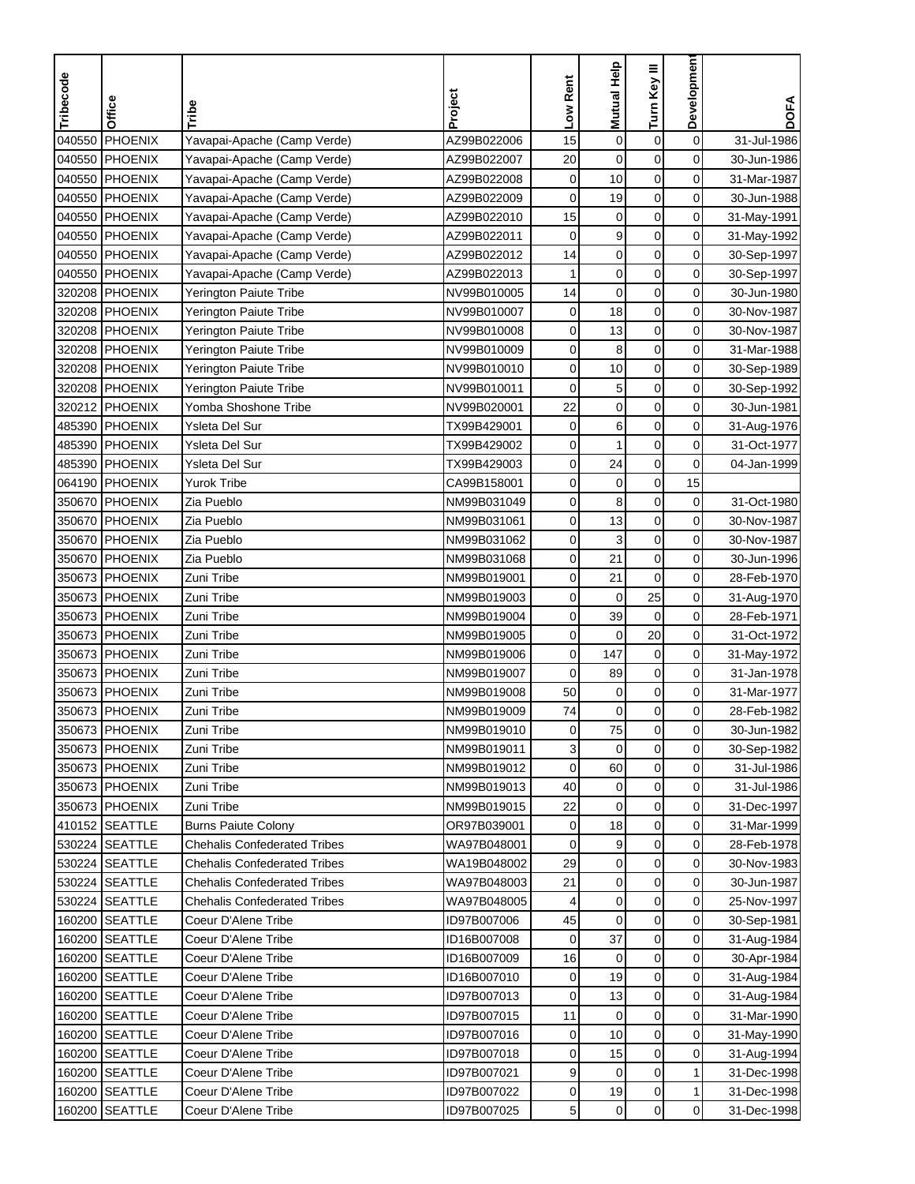| Tribecode | Office         | Tribe                               | Project     | Low Rent     | Mutual Help      | Turn Key III     | Developmen     | <b>DOFA</b> |
|-----------|----------------|-------------------------------------|-------------|--------------|------------------|------------------|----------------|-------------|
|           |                |                                     |             |              |                  |                  |                |             |
| 040550    | PHOENIX        | Yavapai-Apache (Camp Verde)         | AZ99B022006 | 15           | $\mathbf 0$      | $\boldsymbol{0}$ | $\mathbf 0$    | 31-Jul-1986 |
| 040550    | PHOENIX        | Yavapai-Apache (Camp Verde)         | AZ99B022007 | 20           | $\mathbf 0$      | $\mathbf 0$      | 0              | 30-Jun-1986 |
| 040550    | PHOENIX        | Yavapai-Apache (Camp Verde)         | AZ99B022008 | 0            | 10               | 0                | 0              | 31-Mar-1987 |
|           | 040550 PHOENIX | Yavapai-Apache (Camp Verde)         | AZ99B022009 | 0            | 19               | $\mathbf 0$      | 0              | 30-Jun-1988 |
| 040550    | <b>PHOENIX</b> | Yavapai-Apache (Camp Verde)         | AZ99B022010 | 15           | $\mathbf 0$      | $\pmb{0}$        | 0              | 31-May-1991 |
| 040550    | PHOENIX        | Yavapai-Apache (Camp Verde)         | AZ99B022011 | $\mathbf 0$  | 9                | $\mathbf 0$      | 0              | 31-May-1992 |
| 040550    | <b>PHOENIX</b> | Yavapai-Apache (Camp Verde)         | AZ99B022012 | 14           | $\boldsymbol{0}$ | $\mathbf 0$      | 0              | 30-Sep-1997 |
|           | 040550 PHOENIX | Yavapai-Apache (Camp Verde)         | AZ99B022013 | 1            | $\mathbf 0$      | $\mathbf 0$      | 0              | 30-Sep-1997 |
|           | 320208 PHOENIX | Yerington Paiute Tribe              | NV99B010005 | 14           | $\mathbf 0$      | $\mathbf 0$      | 0              | 30-Jun-1980 |
|           | 320208 PHOENIX | Yerington Paiute Tribe              | NV99B010007 | $\mathbf 0$  | 18               | $\pmb{0}$        | 0              | 30-Nov-1987 |
|           | 320208 PHOENIX | Yerington Paiute Tribe              | NV99B010008 | 0            | 13               | $\mathbf 0$      | 0              | 30-Nov-1987 |
|           | 320208 PHOENIX | Yerington Paiute Tribe              | NV99B010009 | 0            | 8                | $\mathbf 0$      | 0              | 31-Mar-1988 |
|           | 320208 PHOENIX | Yerington Paiute Tribe              | NV99B010010 | 0            | 10               | $\pmb{0}$        | 0              | 30-Sep-1989 |
|           | 320208 PHOENIX | Yerington Paiute Tribe              | NV99B010011 | 0            | 5                | $\pmb{0}$        | 0              | 30-Sep-1992 |
|           | 320212 PHOENIX | Yomba Shoshone Tribe                | NV99B020001 | 22           | $\mathbf 0$      | $\mathbf 0$      | 0              | 30-Jun-1981 |
|           | 485390 PHOENIX | Ysleta Del Sur                      | TX99B429001 | $\mathbf 0$  | 6                | $\mathbf 0$      | 0              | 31-Aug-1976 |
| 485390    | <b>PHOENIX</b> | Ysleta Del Sur                      | TX99B429002 | 0            | 1                | $\mathbf 0$      | 0              | 31-Oct-1977 |
|           | 485390 PHOENIX | Ysleta Del Sur                      | TX99B429003 | 0            | 24               | $\pmb{0}$        | $\mathbf 0$    | 04-Jan-1999 |
|           | 064190 PHOENIX | <b>Yurok Tribe</b>                  | CA99B158001 | 0            | $\mathbf 0$      | $\mathbf 0$      | 15             |             |
| 350670    | PHOENIX        | Zia Pueblo                          | NM99B031049 | 0            | 8                | $\mathbf 0$      | 0              | 31-Oct-1980 |
| 350670    | PHOENIX        | Zia Pueblo                          | NM99B031061 | 0            | 13               | $\mathbf 0$      | 0              | 30-Nov-1987 |
| 350670    | <b>PHOENIX</b> | Zia Pueblo                          | NM99B031062 | 0            | 3                | $\pmb{0}$        | 0              | 30-Nov-1987 |
| 350670    | PHOENIX        | Zia Pueblo                          | NM99B031068 | 0            | 21               | $\mathbf 0$      | 0              | 30-Jun-1996 |
| 350673    | PHOENIX        | Zuni Tribe                          | NM99B019001 | 0            | 21               | $\mathbf 0$      | 0              | 28-Feb-1970 |
|           | 350673 PHOENIX | Zuni Tribe                          | NM99B019003 | 0            | $\mathbf 0$      | 25               | 0              | 31-Aug-1970 |
|           | 350673 PHOENIX | Zuni Tribe                          | NM99B019004 | 0            | 39               | $\mathbf 0$      | $\mathbf 0$    | 28-Feb-1971 |
| 350673    | <b>PHOENIX</b> | Zuni Tribe                          | NM99B019005 | 0            | 0                | 20               | 0              | 31-Oct-1972 |
|           | 350673 PHOENIX | Zuni Tribe                          | NM99B019006 | 0            | 147              | $\mathbf 0$      | 0              | 31-May-1972 |
|           | 350673 PHOENIX | Zuni Tribe                          | NM99B019007 | 0            | 89               | $\mathbf 0$      | 0              | 31-Jan-1978 |
| 350673    | <b>PHOENIX</b> | Zuni Tribe                          | NM99B019008 | 50           | $\mathbf 0$      | $\pmb{0}$        | 0              | 31-Mar-1977 |
| 350673    | PHOENIX        | Zuni Tribe                          | NM99B019009 | 74           | $\mathbf 0$      | $\mathbf 0$      | 0              | 28-Feb-1982 |
|           | 350673 PHOENIX | Zuni Tribe                          | NM99B019010 | $\mathbf{0}$ | 75               | 0                | 0              | 30-Jun-1982 |
|           | 350673 PHOENIX | Zuni Tribe                          | NM99B019011 | 3            | $\mathbf 0$      | $\pmb{0}$        | 0              | 30-Sep-1982 |
|           | 350673 PHOENIX | Zuni Tribe                          | NM99B019012 | 0            | 60               | 0                | 0              | 31-Jul-1986 |
|           | 350673 PHOENIX | Zuni Tribe                          | NM99B019013 | 40           | $\pmb{0}$        | $\pmb{0}$        | 0              | 31-Jul-1986 |
|           | 350673 PHOENIX | Zuni Tribe                          | NM99B019015 | 22           | 0                | 0                | $\overline{0}$ | 31-Dec-1997 |
|           | 410152 SEATTLE | <b>Burns Paiute Colony</b>          | OR97B039001 | 0            | 18               | 0                | 0              | 31-Mar-1999 |
|           | 530224 SEATTLE | Chehalis Confederated Tribes        | WA97B048001 | 0            | 9                | 0                | $\overline{0}$ | 28-Feb-1978 |
|           | 530224 SEATTLE | <b>Chehalis Confederated Tribes</b> | WA19B048002 | 29           | 0                | $\pmb{0}$        | $\overline{0}$ | 30-Nov-1983 |
|           | 530224 SEATTLE | <b>Chehalis Confederated Tribes</b> | WA97B048003 | 21           | 0                | 0                | 0              | 30-Jun-1987 |
|           | 530224 SEATTLE | <b>Chehalis Confederated Tribes</b> | WA97B048005 | 4            | $\pmb{0}$        | $\pmb{0}$        | 0              | 25-Nov-1997 |
|           | 160200 SEATTLE | Coeur D'Alene Tribe                 | ID97B007006 | 45           | $\mathbf 0$      | $\pmb{0}$        | 0              | 30-Sep-1981 |
|           | 160200 SEATTLE | Coeur D'Alene Tribe                 | ID16B007008 | 0            | 37               | $\pmb{0}$        | $\overline{0}$ | 31-Aug-1984 |
|           | 160200 SEATTLE | Coeur D'Alene Tribe                 | ID16B007009 | 16           | 0                | $\mathbf 0$      | $\overline{0}$ | 30-Apr-1984 |
|           | 160200 SEATTLE | Coeur D'Alene Tribe                 | ID16B007010 | 0            | 19               | $\mathbf 0$      | 0              | 31-Aug-1984 |
|           | 160200 SEATTLE | Coeur D'Alene Tribe                 | ID97B007013 | 0            | 13               | 0                | 0              | 31-Aug-1984 |
|           | 160200 SEATTLE | Coeur D'Alene Tribe                 | ID97B007015 | 11           | 0                | $\pmb{0}$        | 0              | 31-Mar-1990 |
| 160200    | <b>SEATTLE</b> | Coeur D'Alene Tribe                 | ID97B007016 | 0            | 10               | 0                | $\overline{0}$ | 31-May-1990 |
|           | 160200 SEATTLE | Coeur D'Alene Tribe                 | ID97B007018 | 0            | 15               | 0                | 0              | 31-Aug-1994 |
|           | 160200 SEATTLE | Coeur D'Alene Tribe                 | ID97B007021 | 9            | $\mathbf 0$      | 0                | 1              | 31-Dec-1998 |
|           | 160200 SEATTLE | Coeur D'Alene Tribe                 | ID97B007022 | 0            | 19               | $\pmb{0}$        | $\mathbf{1}$   | 31-Dec-1998 |
| 160200    | <b>SEATTLE</b> | Coeur D'Alene Tribe                 | ID97B007025 | 5            | $\mathbf 0$      | $\mathbf 0$      | $\overline{0}$ | 31-Dec-1998 |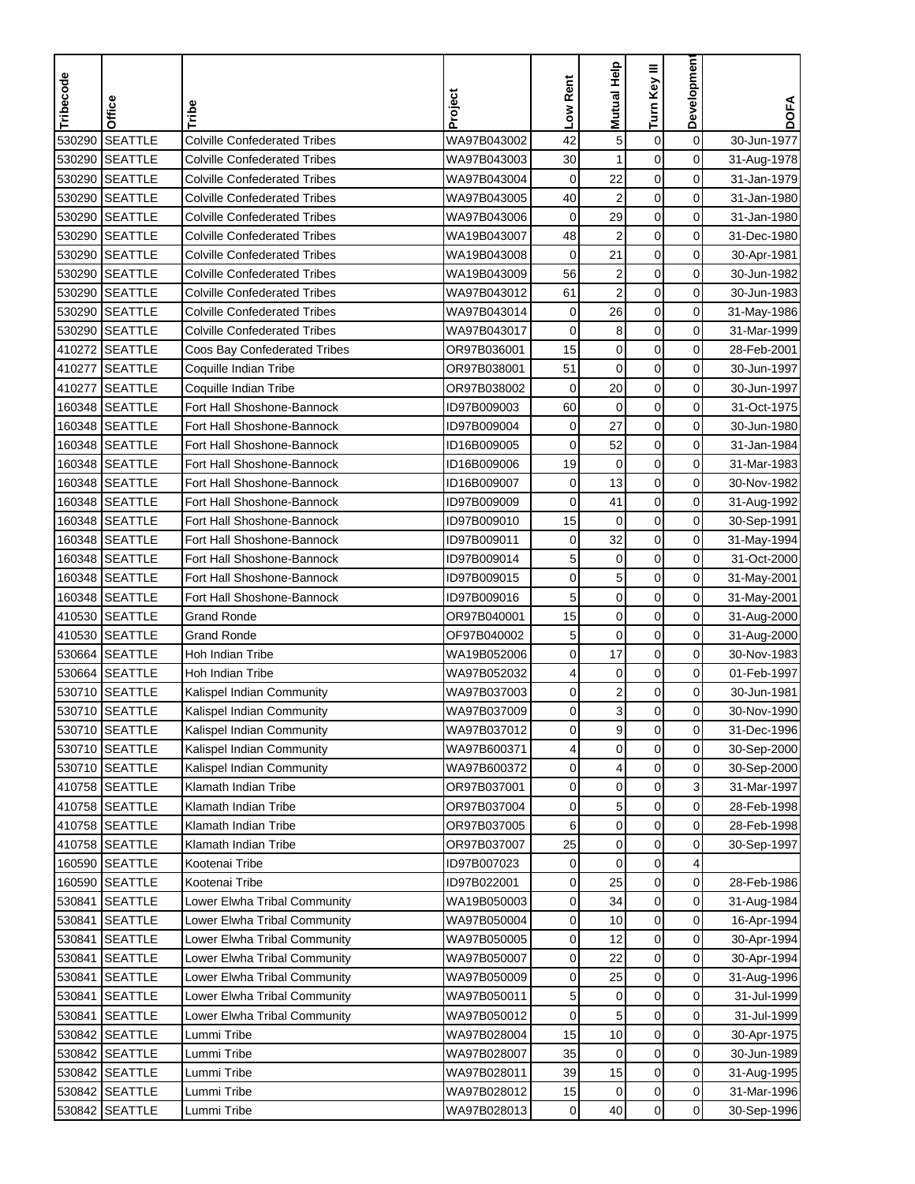| Tribecode | Office         | Tribe                               | Project     | Low Rent     | Mutual Help             | Turn Key III     | Developmen     | <b>DOFA</b> |
|-----------|----------------|-------------------------------------|-------------|--------------|-------------------------|------------------|----------------|-------------|
|           |                |                                     |             |              |                         |                  |                |             |
| 530290    | <b>SEATTLE</b> | <b>Colville Confederated Tribes</b> | WA97B043002 | 42           | 5                       | $\boldsymbol{0}$ | $\mathbf 0$    | 30-Jun-1977 |
| 530290    | <b>SEATTLE</b> | <b>Colville Confederated Tribes</b> | WA97B043003 | 30           | 1                       | $\mathbf 0$      | 0              | 31-Aug-1978 |
| 530290    | <b>SEATTLE</b> | <b>Colville Confederated Tribes</b> | WA97B043004 | $\mathbf 0$  | 22                      | $\mathbf 0$      | 0              | 31-Jan-1979 |
| 530290    | <b>SEATTLE</b> | Colville Confederated Tribes        | WA97B043005 | 40           | $\overline{\mathbf{c}}$ | $\mathbf 0$      | 0              | 31-Jan-1980 |
| 530290    | <b>SEATTLE</b> | <b>Colville Confederated Tribes</b> | WA97B043006 | $\mathbf 0$  | 29                      | $\pmb{0}$        | 0              | 31-Jan-1980 |
| 530290    | <b>SEATTLE</b> | <b>Colville Confederated Tribes</b> | WA19B043007 | 48           | $\overline{2}$          | $\mathbf 0$      | 0              | 31-Dec-1980 |
| 530290    | <b>SEATTLE</b> | <b>Colville Confederated Tribes</b> | WA19B043008 | $\mathbf 0$  | 21                      | $\mathbf 0$      | 0              | 30-Apr-1981 |
| 530290    | <b>SEATTLE</b> | Colville Confederated Tribes        | WA19B043009 | 56           | $\overline{\mathbf{c}}$ | $\mathbf 0$      | 0              | 30-Jun-1982 |
| 530290    | <b>SEATTLE</b> | <b>Colville Confederated Tribes</b> | WA97B043012 | 61           | $\overline{\mathbf{c}}$ | $\mathbf 0$      | 0              | 30-Jun-1983 |
| 530290    | <b>SEATTLE</b> | <b>Colville Confederated Tribes</b> | WA97B043014 | $\mathbf 0$  | 26                      | $\pmb{0}$        | 0              | 31-May-1986 |
| 530290    | <b>SEATTLE</b> | <b>Colville Confederated Tribes</b> | WA97B043017 | 0            | 8                       | $\mathbf 0$      | 0              | 31-Mar-1999 |
|           | 410272 SEATTLE | Coos Bay Confederated Tribes        | OR97B036001 | 15           | $\pmb{0}$               | $\mathbf 0$      | 0              | 28-Feb-2001 |
| 410277    | <b>SEATTLE</b> | Coquille Indian Tribe               | OR97B038001 | 51           | $\mathbf 0$             | $\pmb{0}$        | 0              | 30-Jun-1997 |
| 410277    | <b>SEATTLE</b> | Coquille Indian Tribe               | OR97B038002 | $\mathbf 0$  | 20                      | $\pmb{0}$        | 0              | 30-Jun-1997 |
| 160348    | <b>SEATTLE</b> | Fort Hall Shoshone-Bannock          | ID97B009003 | 60           | $\mathbf 0$             | $\mathbf 0$      | 0              | 31-Oct-1975 |
|           | 160348 SEATTLE | Fort Hall Shoshone-Bannock          | ID97B009004 | $\mathbf 0$  | 27                      | $\mathbf 0$      | 0              | 30-Jun-1980 |
|           | 160348 SEATTLE | Fort Hall Shoshone-Bannock          | ID16B009005 | 0            | 52                      | 0                | 0              | 31-Jan-1984 |
|           | 160348 SEATTLE | Fort Hall Shoshone-Bannock          | ID16B009006 | 19           | $\pmb{0}$               | $\mathbf 0$      | 0              | 31-Mar-1983 |
|           | 160348 SEATTLE | Fort Hall Shoshone-Bannock          | ID16B009007 | 0            | 13                      | $\mathbf 0$      | 0              | 30-Nov-1982 |
|           | 160348 SEATTLE | Fort Hall Shoshone-Bannock          | ID97B009009 | 0            | 41                      | $\mathbf 0$      | 0              | 31-Aug-1992 |
|           | 160348 SEATTLE | Fort Hall Shoshone-Bannock          | ID97B009010 | 15           | $\mathbf 0$             | $\mathbf 0$      | 0              | 30-Sep-1991 |
| 160348    | <b>SEATTLE</b> | Fort Hall Shoshone-Bannock          | ID97B009011 | 0            | 32                      | $\pmb{0}$        | 0              | 31-May-1994 |
| 160348    | <b>SEATTLE</b> | Fort Hall Shoshone-Bannock          | ID97B009014 | 5            | $\pmb{0}$               | $\mathbf 0$      | 0              | 31-Oct-2000 |
|           | 160348 SEATTLE | Fort Hall Shoshone-Bannock          | ID97B009015 | 0            | 5                       | 0                | 0              | 31-May-2001 |
|           | 160348 SEATTLE | Fort Hall Shoshone-Bannock          | ID97B009016 | 5            | 0                       | 0                | 0              | 31-May-2001 |
| 410530    | <b>SEATTLE</b> | <b>Grand Ronde</b>                  | OR97B040001 | 15           | 0                       | 0                | 0              | 31-Aug-2000 |
| 410530    | <b>SEATTLE</b> | <b>Grand Ronde</b>                  | OF97B040002 | 5            | $\mathbf 0$             | $\mathbf 0$      | 0              | 31-Aug-2000 |
| 530664    | <b>SEATTLE</b> | Hoh Indian Tribe                    | WA19B052006 | 0            | 17                      | $\mathbf 0$      | 0              | 30-Nov-1983 |
|           | 530664 SEATTLE | Hoh Indian Tribe                    | WA97B052032 | 4            | $\mathbf 0$             | $\mathbf 0$      | 0              | 01-Feb-1997 |
| 530710    | <b>SEATTLE</b> | Kalispel Indian Community           | WA97B037003 | 0            | $\overline{\mathbf{c}}$ | $\pmb{0}$        | 0              | 30-Jun-1981 |
| 530710    | <b>SEATTLE</b> | Kalispel Indian Community           | WA97B037009 | 0            | 3                       | $\mathbf 0$      | 0              | 30-Nov-1990 |
|           | 530710 SEATTLE | Kalispel Indian Community           | WA97B037012 | $\mathbf{0}$ | 9                       | 0                | 0              | 31-Dec-1996 |
|           | 530710 SEATTLE | Kalispel Indian Community           | WA97B600371 | 4            | $\pmb{0}$               | $\mathbf 0$      | 0              | 30-Sep-2000 |
|           | 530710 SEATTLE | Kalispel Indian Community           | WA97B600372 | 0            | 4                       | 0                | 0              | 30-Sep-2000 |
|           | 410758 SEATTLE | Klamath Indian Tribe                | OR97B037001 | 0            | $\pmb{0}$               | $\pmb{0}$        | $\overline{3}$ | 31-Mar-1997 |
|           | 410758 SEATTLE | Klamath Indian Tribe                | OR97B037004 | 0            | 5                       | $\pmb{0}$        | $\overline{0}$ | 28-Feb-1998 |
|           | 410758 SEATTLE | Klamath Indian Tribe                | OR97B037005 | 6            | $\pmb{0}$               | $\pmb{0}$        | 0              | 28-Feb-1998 |
|           | 410758 SEATTLE | Klamath Indian Tribe                | OR97B037007 | 25           | $\pmb{0}$               | 0                | 0              | 30-Sep-1997 |
|           | 160590 SEATTLE | Kootenai Tribe                      | ID97B007023 | 0            | $\pmb{0}$               | $\pmb{0}$        | 4              |             |
|           | 160590 SEATTLE | Kootenai Tribe                      | ID97B022001 | 0            | 25                      | 0                | $\overline{0}$ | 28-Feb-1986 |
| 530841    | <b>SEATTLE</b> | Lower Elwha Tribal Community        | WA19B050003 | 0            | 34                      | $\pmb{0}$        | 0              | 31-Aug-1984 |
| 530841    | <b>SEATTLE</b> | Lower Elwha Tribal Community        | WA97B050004 | 0            | 10                      | $\pmb{0}$        | 0              | 16-Apr-1994 |
| 530841    | <b>SEATTLE</b> | Lower Elwha Tribal Community        | WA97B050005 | 0            | 12                      | $\pmb{0}$        | 0              | 30-Apr-1994 |
| 530841    | <b>SEATTLE</b> | Lower Elwha Tribal Community        | WA97B050007 | 0            | 22                      | 0                | $\overline{0}$ | 30-Apr-1994 |
| 530841    | <b>SEATTLE</b> | Lower Elwha Tribal Community        | WA97B050009 | 0            | 25                      | 0                | 0              | 31-Aug-1996 |
| 530841    | <b>SEATTLE</b> | Lower Elwha Tribal Community        | WA97B050011 | 5            | 0                       | 0                | 0              | 31-Jul-1999 |
| 530841    | <b>SEATTLE</b> | Lower Elwha Tribal Community        | WA97B050012 | 0            | 5                       | $\pmb{0}$        | 0              | 31-Jul-1999 |
|           | 530842 SEATTLE | Lummi Tribe                         | WA97B028004 | 15           | 10                      | 0                | 0              | 30-Apr-1975 |
|           | 530842 SEATTLE | Lummi Tribe                         | WA97B028007 | 35           | 0                       | $\pmb{0}$        | 0              | 30-Jun-1989 |
|           | 530842 SEATTLE | Lummi Tribe                         | WA97B028011 | 39           | 15                      | 0                | 0              | 31-Aug-1995 |
|           | 530842 SEATTLE | Lummi Tribe                         | WA97B028012 | 15           | $\pmb{0}$               | $\pmb{0}$        | 0              | 31-Mar-1996 |
| 530842    | <b>SEATTLE</b> | Lummi Tribe                         | WA97B028013 | 0            | 40                      | $\pmb{0}$        | $\overline{0}$ | 30-Sep-1996 |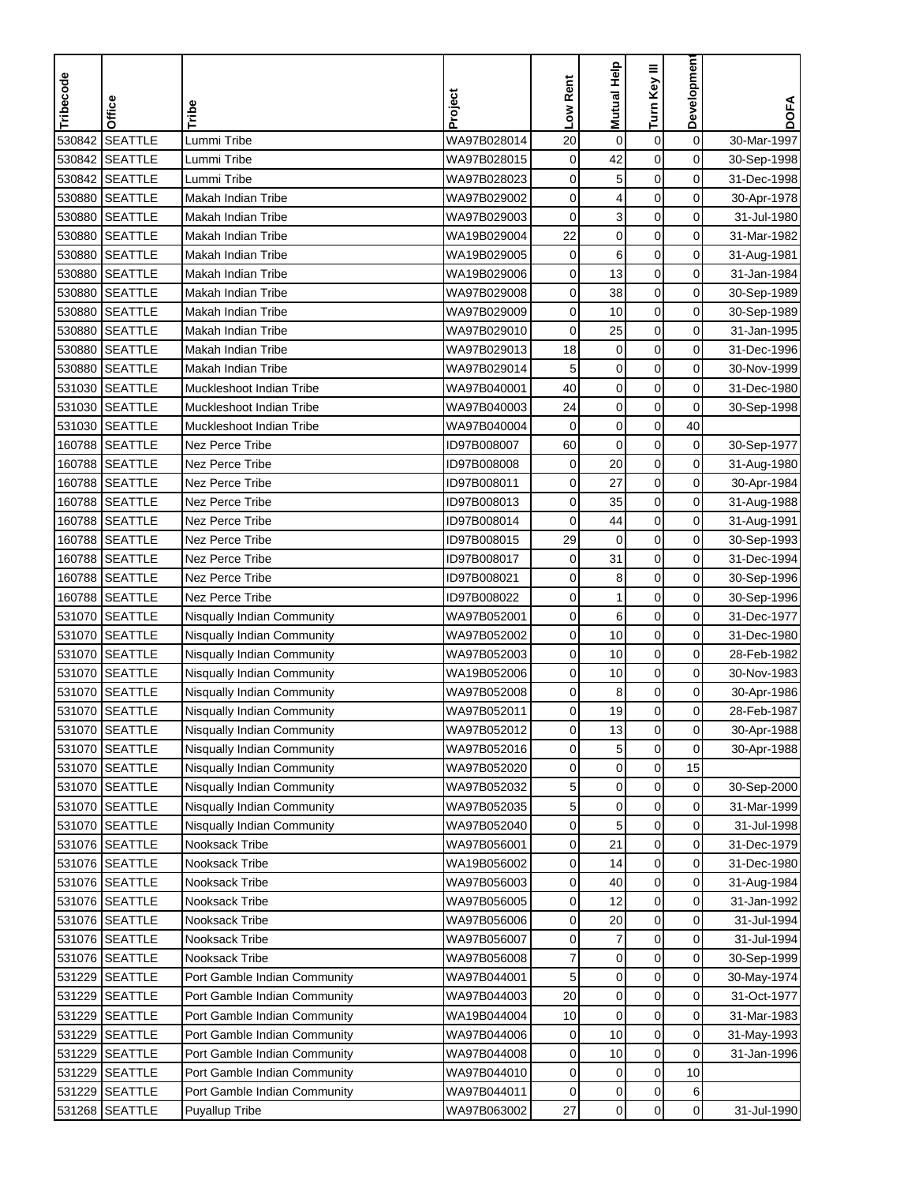| <b>SEATTLE</b><br>$\mathbf 0$<br>530842<br>WA97B028014<br>20<br>$\pmb{0}$<br>$\boldsymbol{0}$<br>Lummi Tribe<br>30-Mar-1997<br><b>SEATTLE</b><br>0<br>530842<br>Lummi Tribe<br>WA97B028015<br>$\mathbf 0$<br>42<br>$\mathbf 0$<br>30-Sep-1998<br>530842 SEATTLE<br>0<br>5<br>$\mathbf 0$<br>0<br>Lummi Tribe<br>WA97B028023<br>31-Dec-1998<br>530880<br><b>SEATTLE</b><br>Makah Indian Tribe<br>WA97B029002<br>0<br>4<br>$\mathbf 0$<br>0<br>30-Apr-1978<br>0<br>3<br>$\boldsymbol{0}$<br>530880<br><b>SEATTLE</b><br>0<br><b>Makah Indian Tribe</b><br>WA97B029003<br>31-Jul-1980<br>22<br><b>SEATTLE</b><br>$\boldsymbol{0}$<br>530880<br><b>Makah Indian Tribe</b><br>WA19B029004<br>$\mathbf 0$<br>0<br>31-Mar-1982<br>$\mathbf 0$<br>0<br><b>SEATTLE</b><br>$\pmb{0}$<br>6<br>530880<br>Makah Indian Tribe<br>WA19B029005<br>31-Aug-1981<br>0<br>530880<br><b>SEATTLE</b><br>0<br>13<br>$\mathbf 0$<br>Makah Indian Tribe<br>WA19B029006<br>31-Jan-1984<br>0<br>530880<br><b>SEATTLE</b><br>Makah Indian Tribe<br>WA97B029008<br>0<br>38<br>$\mathbf 0$<br>30-Sep-1989<br>0<br><b>SEATTLE</b><br>0<br>$\boldsymbol{0}$<br>530880<br>Makah Indian Tribe<br>WA97B029009<br>10<br>30-Sep-1989<br><b>SEATTLE</b><br>WA97B029010<br>0<br>530880<br>Makah Indian Tribe<br>0<br>25<br>0<br>31-Jan-1995<br>530880 SEATTLE<br>18<br>$\pmb{0}$<br>$\mathbf 0$<br>0<br><b>Makah Indian Tribe</b><br>WA97B029013<br>31-Dec-1996<br>$\boldsymbol{0}$<br>0<br>530880<br><b>SEATTLE</b><br>5<br>$\mathbf 0$<br>Makah Indian Tribe<br>WA97B029014<br>30-Nov-1999<br>40<br>$\boldsymbol{0}$<br>$\boldsymbol{0}$<br>0<br>531030<br><b>SEATTLE</b><br>Muckleshoot Indian Tribe<br>WA97B040001<br>31-Dec-1980<br>24<br>$\pmb{0}$<br>0<br>531030<br><b>SEATTLE</b><br>$\mathbf 0$<br>Muckleshoot Indian Tribe<br>WA97B040003<br>30-Sep-1998<br>531030<br><b>SEATTLE</b><br>$\mathbf 0$<br>$\mathbf 0$<br>40<br>Muckleshoot Indian Tribe<br>WA97B040004<br>0<br>160788 SEATTLE<br>0<br>Nez Perce Tribe<br>ID97B008007<br>60<br>0<br>0<br>30-Sep-1977<br>0<br>160788 SEATTLE<br>Nez Perce Tribe<br>$\boldsymbol{0}$<br>ID97B008008<br>$\mathbf 0$<br>20<br>31-Aug-1980<br>160788 SEATTLE<br>Nez Perce Tribe<br>ID97B008011<br>0<br>$\mathbf 0$<br>0<br>27<br>30-Apr-1984<br>$\mathbf 0$<br>160788 SEATTLE<br>Nez Perce Tribe<br>0<br>35<br>0<br>ID97B008013<br>31-Aug-1988<br>160788 SEATTLE<br>Nez Perce Tribe<br>0<br>44<br>$\pmb{0}$<br>0<br>ID97B008014<br>31-Aug-1991<br>29<br>$\boldsymbol{0}$<br><b>SEATTLE</b><br><b>Nez Perce Tribe</b><br>$\mathbf 0$<br>0<br>160788<br>ID97B008015<br>30-Sep-1993<br><b>SEATTLE</b><br>$\boldsymbol{0}$<br>160788<br><b>Nez Perce Tribe</b><br>$\mathbf 0$<br>31<br>0<br>ID97B008017<br>31-Dec-1994<br>160788 SEATTLE<br>Nez Perce Tribe<br>0<br>0<br>ID97B008021<br>0<br>8<br>30-Sep-1996<br>0<br>160788 SEATTLE<br>Nez Perce Tribe<br>ID97B008022<br>0<br>$\mathbf{1}$<br>0<br>30-Sep-1996<br><b>SEATTLE</b><br>0<br>0<br>0<br>531070<br>WA97B052001<br>6<br>Nisqually Indian Community<br>31-Dec-1977<br><b>SEATTLE</b><br>0<br>WA97B052002<br>0<br>10<br>0<br>531070<br>Nisqually Indian Community<br>31-Dec-1980<br><b>SEATTLE</b><br>WA97B052003<br>$\mathbf 0$<br>0<br>531070<br>Nisqually Indian Community<br>0<br>10<br>28-Feb-1982<br>531070<br><b>SEATTLE</b><br>10<br>0<br>0<br>Nisqually Indian Community<br>WA19B052006<br>0<br>30-Nov-1983<br>$\pmb{0}$<br>531070<br><b>SEATTLE</b><br>0<br>0<br>Nisqually Indian Community<br>WA97B052008<br>8<br>30-Apr-1986<br>19<br>$\mathbf 0$<br><b>SEATTLE</b><br>0<br>531070<br>WA97B052011<br>0<br>28-Feb-1987<br>Nisqually Indian Community<br>531070 SEATTLE<br>Nisqually Indian Community<br>WA97B052012<br>$\mathbf{0}$<br>13<br>$\mathbf 0$<br>0<br>30-Apr-1988<br>$\mathbf 0$<br>5<br>0<br>531070 SEATTLE<br>WA97B052016<br>0<br>Nisqually Indian Community<br>30-Apr-1988<br>0<br>531070 SEATTLE<br>Nisqually Indian Community<br>WA97B052020<br>$\pmb{0}$<br>0<br>15<br>$\boldsymbol{0}$<br>$\pmb{0}$<br>$\overline{0}$<br>531070 SEATTLE<br>Nisqually Indian Community<br>WA97B052032<br>5<br>30-Sep-2000<br>531070 SEATTLE<br>Nisqually Indian Community<br>WA97B052035<br>5<br>0<br>0<br>0<br>31-Mar-1999<br>5<br>$\boldsymbol{0}$<br>0<br>531070 SEATTLE<br>Nisqually Indian Community<br>WA97B052040<br>0<br>31-Jul-1998<br>$\pmb{0}$<br>21<br>$\overline{0}$<br>531076 SEATTLE<br>Nooksack Tribe<br>WA97B056001<br>0<br>31-Dec-1979<br>$\mathbf 0$<br>531076 SEATTLE<br>$\overline{0}$<br>Nooksack Tribe<br>WA19B056002<br>0<br>14<br>31-Dec-1980<br>0<br>$\overline{0}$<br>531076 SEATTLE<br>Nooksack Tribe<br>WA97B056003<br>0<br>40<br>31-Aug-1984<br>$\pmb{0}$<br>12<br>0<br>531076 SEATTLE<br>Nooksack Tribe<br>WA97B056005<br>0<br>31-Jan-1992<br>$\pmb{0}$<br>0<br>531076 SEATTLE<br>WA97B056006<br>0<br>20<br>Nooksack Tribe<br>31-Jul-1994<br>$\boldsymbol{7}$<br>$\pmb{0}$<br>531076 SEATTLE<br>WA97B056007<br>0<br>0<br>Nooksack Tribe<br>31-Jul-1994<br>531076 SEATTLE<br>WA97B056008<br>$\pmb{0}$<br>0<br>$\overline{0}$<br>Nooksack Tribe<br>7<br>30-Sep-1999<br>$\mathbf 0$<br>0<br>0<br>531229 SEATTLE<br>Port Gamble Indian Community<br>WA97B044001<br>5<br>30-May-1974<br>$\mathbf 0$<br>0<br>531229 SEATTLE<br>Port Gamble Indian Community<br>WA97B044003<br>20<br>0<br>31-Oct-1977<br>$\boldsymbol{0}$<br>WA19B044004<br>10<br>$\mathbf 0$<br>0<br>531229 SEATTLE<br>Port Gamble Indian Community<br>31-Mar-1983<br>10<br>0<br>0<br>531229 SEATTLE<br>Port Gamble Indian Community<br>WA97B044006<br>0<br>31-May-1993<br>$\pmb{0}$<br>531229 SEATTLE<br>Port Gamble Indian Community<br>WA97B044008<br>10<br>0<br>0<br>31-Jan-1996<br>0<br>531229 SEATTLE<br>WA97B044010<br>$\pmb{0}$<br>10<br>Port Gamble Indian Community<br>0<br>$\pmb{0}$<br>531229 SEATTLE<br>WA97B044011<br>0<br>0<br>6<br>Port Gamble Indian Community<br>$\pmb{0}$<br>$\mathbf 0$<br>$\overline{0}$<br>531268 SEATTLE<br>WA97B063002<br>27<br><b>Puyallup Tribe</b><br>31-Jul-1990 | Tribecode | Office | Tribe | Project | Low Rent | Mutual Help | Turn Key III | Developmen | <b>DOFA</b> |
|---------------------------------------------------------------------------------------------------------------------------------------------------------------------------------------------------------------------------------------------------------------------------------------------------------------------------------------------------------------------------------------------------------------------------------------------------------------------------------------------------------------------------------------------------------------------------------------------------------------------------------------------------------------------------------------------------------------------------------------------------------------------------------------------------------------------------------------------------------------------------------------------------------------------------------------------------------------------------------------------------------------------------------------------------------------------------------------------------------------------------------------------------------------------------------------------------------------------------------------------------------------------------------------------------------------------------------------------------------------------------------------------------------------------------------------------------------------------------------------------------------------------------------------------------------------------------------------------------------------------------------------------------------------------------------------------------------------------------------------------------------------------------------------------------------------------------------------------------------------------------------------------------------------------------------------------------------------------------------------------------------------------------------------------------------------------------------------------------------------------------------------------------------------------------------------------------------------------------------------------------------------------------------------------------------------------------------------------------------------------------------------------------------------------------------------------------------------------------------------------------------------------------------------------------------------------------------------------------------------------------------------------------------------------------------------------------------------------------------------------------------------------------------------------------------------------------------------------------------------------------------------------------------------------------------------------------------------------------------------------------------------------------------------------------------------------------------------------------------------------------------------------------------------------------------------------------------------------------------------------------------------------------------------------------------------------------------------------------------------------------------------------------------------------------------------------------------------------------------------------------------------------------------------------------------------------------------------------------------------------------------------------------------------------------------------------------------------------------------------------------------------------------------------------------------------------------------------------------------------------------------------------------------------------------------------------------------------------------------------------------------------------------------------------------------------------------------------------------------------------------------------------------------------------------------------------------------------------------------------------------------------------------------------------------------------------------------------------------------------------------------------------------------------------------------------------------------------------------------------------------------------------------------------------------------------------------------------------------------------------------------------------------------------------------------------------------------------------------------------------------------------------------------------------------------------------------------------------------------------------------------------------------------------------------------------------------------------------------------------------------------------------------------------------------------------------------------------------------------------------------------------------------------------------------------------------------------------------------------------------------------------------------------------------------------------------------------------------------------------------------------------------------------------------------------------------------------------------------------------------------------------------------------------------------------------------------------------------------------------------------------------------------------------------------------------------------------------------------------------------------------------------------------------------------------------------------------------------------------------------------------------------------------------------------------------------------------------------------------|-----------|--------|-------|---------|----------|-------------|--------------|------------|-------------|
|                                                                                                                                                                                                                                                                                                                                                                                                                                                                                                                                                                                                                                                                                                                                                                                                                                                                                                                                                                                                                                                                                                                                                                                                                                                                                                                                                                                                                                                                                                                                                                                                                                                                                                                                                                                                                                                                                                                                                                                                                                                                                                                                                                                                                                                                                                                                                                                                                                                                                                                                                                                                                                                                                                                                                                                                                                                                                                                                                                                                                                                                                                                                                                                                                                                                                                                                                                                                                                                                                                                                                                                                                                                                                                                                                                                                                                                                                                                                                                                                                                                                                                                                                                                                                                                                                                                                                                                                                                                                                                                                                                                                                                                                                                                                                                                                                                                                                                                                                                                                                                                                                                                                                                                                                                                                                                                                                                                                                                                                                                                                                                                                                                                                                                                                                                                                                                                                                                                                                                                 |           |        |       |         |          |             |              |            |             |
|                                                                                                                                                                                                                                                                                                                                                                                                                                                                                                                                                                                                                                                                                                                                                                                                                                                                                                                                                                                                                                                                                                                                                                                                                                                                                                                                                                                                                                                                                                                                                                                                                                                                                                                                                                                                                                                                                                                                                                                                                                                                                                                                                                                                                                                                                                                                                                                                                                                                                                                                                                                                                                                                                                                                                                                                                                                                                                                                                                                                                                                                                                                                                                                                                                                                                                                                                                                                                                                                                                                                                                                                                                                                                                                                                                                                                                                                                                                                                                                                                                                                                                                                                                                                                                                                                                                                                                                                                                                                                                                                                                                                                                                                                                                                                                                                                                                                                                                                                                                                                                                                                                                                                                                                                                                                                                                                                                                                                                                                                                                                                                                                                                                                                                                                                                                                                                                                                                                                                                                 |           |        |       |         |          |             |              |            |             |
|                                                                                                                                                                                                                                                                                                                                                                                                                                                                                                                                                                                                                                                                                                                                                                                                                                                                                                                                                                                                                                                                                                                                                                                                                                                                                                                                                                                                                                                                                                                                                                                                                                                                                                                                                                                                                                                                                                                                                                                                                                                                                                                                                                                                                                                                                                                                                                                                                                                                                                                                                                                                                                                                                                                                                                                                                                                                                                                                                                                                                                                                                                                                                                                                                                                                                                                                                                                                                                                                                                                                                                                                                                                                                                                                                                                                                                                                                                                                                                                                                                                                                                                                                                                                                                                                                                                                                                                                                                                                                                                                                                                                                                                                                                                                                                                                                                                                                                                                                                                                                                                                                                                                                                                                                                                                                                                                                                                                                                                                                                                                                                                                                                                                                                                                                                                                                                                                                                                                                                                 |           |        |       |         |          |             |              |            |             |
|                                                                                                                                                                                                                                                                                                                                                                                                                                                                                                                                                                                                                                                                                                                                                                                                                                                                                                                                                                                                                                                                                                                                                                                                                                                                                                                                                                                                                                                                                                                                                                                                                                                                                                                                                                                                                                                                                                                                                                                                                                                                                                                                                                                                                                                                                                                                                                                                                                                                                                                                                                                                                                                                                                                                                                                                                                                                                                                                                                                                                                                                                                                                                                                                                                                                                                                                                                                                                                                                                                                                                                                                                                                                                                                                                                                                                                                                                                                                                                                                                                                                                                                                                                                                                                                                                                                                                                                                                                                                                                                                                                                                                                                                                                                                                                                                                                                                                                                                                                                                                                                                                                                                                                                                                                                                                                                                                                                                                                                                                                                                                                                                                                                                                                                                                                                                                                                                                                                                                                                 |           |        |       |         |          |             |              |            |             |
|                                                                                                                                                                                                                                                                                                                                                                                                                                                                                                                                                                                                                                                                                                                                                                                                                                                                                                                                                                                                                                                                                                                                                                                                                                                                                                                                                                                                                                                                                                                                                                                                                                                                                                                                                                                                                                                                                                                                                                                                                                                                                                                                                                                                                                                                                                                                                                                                                                                                                                                                                                                                                                                                                                                                                                                                                                                                                                                                                                                                                                                                                                                                                                                                                                                                                                                                                                                                                                                                                                                                                                                                                                                                                                                                                                                                                                                                                                                                                                                                                                                                                                                                                                                                                                                                                                                                                                                                                                                                                                                                                                                                                                                                                                                                                                                                                                                                                                                                                                                                                                                                                                                                                                                                                                                                                                                                                                                                                                                                                                                                                                                                                                                                                                                                                                                                                                                                                                                                                                                 |           |        |       |         |          |             |              |            |             |
|                                                                                                                                                                                                                                                                                                                                                                                                                                                                                                                                                                                                                                                                                                                                                                                                                                                                                                                                                                                                                                                                                                                                                                                                                                                                                                                                                                                                                                                                                                                                                                                                                                                                                                                                                                                                                                                                                                                                                                                                                                                                                                                                                                                                                                                                                                                                                                                                                                                                                                                                                                                                                                                                                                                                                                                                                                                                                                                                                                                                                                                                                                                                                                                                                                                                                                                                                                                                                                                                                                                                                                                                                                                                                                                                                                                                                                                                                                                                                                                                                                                                                                                                                                                                                                                                                                                                                                                                                                                                                                                                                                                                                                                                                                                                                                                                                                                                                                                                                                                                                                                                                                                                                                                                                                                                                                                                                                                                                                                                                                                                                                                                                                                                                                                                                                                                                                                                                                                                                                                 |           |        |       |         |          |             |              |            |             |
|                                                                                                                                                                                                                                                                                                                                                                                                                                                                                                                                                                                                                                                                                                                                                                                                                                                                                                                                                                                                                                                                                                                                                                                                                                                                                                                                                                                                                                                                                                                                                                                                                                                                                                                                                                                                                                                                                                                                                                                                                                                                                                                                                                                                                                                                                                                                                                                                                                                                                                                                                                                                                                                                                                                                                                                                                                                                                                                                                                                                                                                                                                                                                                                                                                                                                                                                                                                                                                                                                                                                                                                                                                                                                                                                                                                                                                                                                                                                                                                                                                                                                                                                                                                                                                                                                                                                                                                                                                                                                                                                                                                                                                                                                                                                                                                                                                                                                                                                                                                                                                                                                                                                                                                                                                                                                                                                                                                                                                                                                                                                                                                                                                                                                                                                                                                                                                                                                                                                                                                 |           |        |       |         |          |             |              |            |             |
|                                                                                                                                                                                                                                                                                                                                                                                                                                                                                                                                                                                                                                                                                                                                                                                                                                                                                                                                                                                                                                                                                                                                                                                                                                                                                                                                                                                                                                                                                                                                                                                                                                                                                                                                                                                                                                                                                                                                                                                                                                                                                                                                                                                                                                                                                                                                                                                                                                                                                                                                                                                                                                                                                                                                                                                                                                                                                                                                                                                                                                                                                                                                                                                                                                                                                                                                                                                                                                                                                                                                                                                                                                                                                                                                                                                                                                                                                                                                                                                                                                                                                                                                                                                                                                                                                                                                                                                                                                                                                                                                                                                                                                                                                                                                                                                                                                                                                                                                                                                                                                                                                                                                                                                                                                                                                                                                                                                                                                                                                                                                                                                                                                                                                                                                                                                                                                                                                                                                                                                 |           |        |       |         |          |             |              |            |             |
|                                                                                                                                                                                                                                                                                                                                                                                                                                                                                                                                                                                                                                                                                                                                                                                                                                                                                                                                                                                                                                                                                                                                                                                                                                                                                                                                                                                                                                                                                                                                                                                                                                                                                                                                                                                                                                                                                                                                                                                                                                                                                                                                                                                                                                                                                                                                                                                                                                                                                                                                                                                                                                                                                                                                                                                                                                                                                                                                                                                                                                                                                                                                                                                                                                                                                                                                                                                                                                                                                                                                                                                                                                                                                                                                                                                                                                                                                                                                                                                                                                                                                                                                                                                                                                                                                                                                                                                                                                                                                                                                                                                                                                                                                                                                                                                                                                                                                                                                                                                                                                                                                                                                                                                                                                                                                                                                                                                                                                                                                                                                                                                                                                                                                                                                                                                                                                                                                                                                                                                 |           |        |       |         |          |             |              |            |             |
|                                                                                                                                                                                                                                                                                                                                                                                                                                                                                                                                                                                                                                                                                                                                                                                                                                                                                                                                                                                                                                                                                                                                                                                                                                                                                                                                                                                                                                                                                                                                                                                                                                                                                                                                                                                                                                                                                                                                                                                                                                                                                                                                                                                                                                                                                                                                                                                                                                                                                                                                                                                                                                                                                                                                                                                                                                                                                                                                                                                                                                                                                                                                                                                                                                                                                                                                                                                                                                                                                                                                                                                                                                                                                                                                                                                                                                                                                                                                                                                                                                                                                                                                                                                                                                                                                                                                                                                                                                                                                                                                                                                                                                                                                                                                                                                                                                                                                                                                                                                                                                                                                                                                                                                                                                                                                                                                                                                                                                                                                                                                                                                                                                                                                                                                                                                                                                                                                                                                                                                 |           |        |       |         |          |             |              |            |             |
|                                                                                                                                                                                                                                                                                                                                                                                                                                                                                                                                                                                                                                                                                                                                                                                                                                                                                                                                                                                                                                                                                                                                                                                                                                                                                                                                                                                                                                                                                                                                                                                                                                                                                                                                                                                                                                                                                                                                                                                                                                                                                                                                                                                                                                                                                                                                                                                                                                                                                                                                                                                                                                                                                                                                                                                                                                                                                                                                                                                                                                                                                                                                                                                                                                                                                                                                                                                                                                                                                                                                                                                                                                                                                                                                                                                                                                                                                                                                                                                                                                                                                                                                                                                                                                                                                                                                                                                                                                                                                                                                                                                                                                                                                                                                                                                                                                                                                                                                                                                                                                                                                                                                                                                                                                                                                                                                                                                                                                                                                                                                                                                                                                                                                                                                                                                                                                                                                                                                                                                 |           |        |       |         |          |             |              |            |             |
|                                                                                                                                                                                                                                                                                                                                                                                                                                                                                                                                                                                                                                                                                                                                                                                                                                                                                                                                                                                                                                                                                                                                                                                                                                                                                                                                                                                                                                                                                                                                                                                                                                                                                                                                                                                                                                                                                                                                                                                                                                                                                                                                                                                                                                                                                                                                                                                                                                                                                                                                                                                                                                                                                                                                                                                                                                                                                                                                                                                                                                                                                                                                                                                                                                                                                                                                                                                                                                                                                                                                                                                                                                                                                                                                                                                                                                                                                                                                                                                                                                                                                                                                                                                                                                                                                                                                                                                                                                                                                                                                                                                                                                                                                                                                                                                                                                                                                                                                                                                                                                                                                                                                                                                                                                                                                                                                                                                                                                                                                                                                                                                                                                                                                                                                                                                                                                                                                                                                                                                 |           |        |       |         |          |             |              |            |             |
|                                                                                                                                                                                                                                                                                                                                                                                                                                                                                                                                                                                                                                                                                                                                                                                                                                                                                                                                                                                                                                                                                                                                                                                                                                                                                                                                                                                                                                                                                                                                                                                                                                                                                                                                                                                                                                                                                                                                                                                                                                                                                                                                                                                                                                                                                                                                                                                                                                                                                                                                                                                                                                                                                                                                                                                                                                                                                                                                                                                                                                                                                                                                                                                                                                                                                                                                                                                                                                                                                                                                                                                                                                                                                                                                                                                                                                                                                                                                                                                                                                                                                                                                                                                                                                                                                                                                                                                                                                                                                                                                                                                                                                                                                                                                                                                                                                                                                                                                                                                                                                                                                                                                                                                                                                                                                                                                                                                                                                                                                                                                                                                                                                                                                                                                                                                                                                                                                                                                                                                 |           |        |       |         |          |             |              |            |             |
|                                                                                                                                                                                                                                                                                                                                                                                                                                                                                                                                                                                                                                                                                                                                                                                                                                                                                                                                                                                                                                                                                                                                                                                                                                                                                                                                                                                                                                                                                                                                                                                                                                                                                                                                                                                                                                                                                                                                                                                                                                                                                                                                                                                                                                                                                                                                                                                                                                                                                                                                                                                                                                                                                                                                                                                                                                                                                                                                                                                                                                                                                                                                                                                                                                                                                                                                                                                                                                                                                                                                                                                                                                                                                                                                                                                                                                                                                                                                                                                                                                                                                                                                                                                                                                                                                                                                                                                                                                                                                                                                                                                                                                                                                                                                                                                                                                                                                                                                                                                                                                                                                                                                                                                                                                                                                                                                                                                                                                                                                                                                                                                                                                                                                                                                                                                                                                                                                                                                                                                 |           |        |       |         |          |             |              |            |             |
|                                                                                                                                                                                                                                                                                                                                                                                                                                                                                                                                                                                                                                                                                                                                                                                                                                                                                                                                                                                                                                                                                                                                                                                                                                                                                                                                                                                                                                                                                                                                                                                                                                                                                                                                                                                                                                                                                                                                                                                                                                                                                                                                                                                                                                                                                                                                                                                                                                                                                                                                                                                                                                                                                                                                                                                                                                                                                                                                                                                                                                                                                                                                                                                                                                                                                                                                                                                                                                                                                                                                                                                                                                                                                                                                                                                                                                                                                                                                                                                                                                                                                                                                                                                                                                                                                                                                                                                                                                                                                                                                                                                                                                                                                                                                                                                                                                                                                                                                                                                                                                                                                                                                                                                                                                                                                                                                                                                                                                                                                                                                                                                                                                                                                                                                                                                                                                                                                                                                                                                 |           |        |       |         |          |             |              |            |             |
|                                                                                                                                                                                                                                                                                                                                                                                                                                                                                                                                                                                                                                                                                                                                                                                                                                                                                                                                                                                                                                                                                                                                                                                                                                                                                                                                                                                                                                                                                                                                                                                                                                                                                                                                                                                                                                                                                                                                                                                                                                                                                                                                                                                                                                                                                                                                                                                                                                                                                                                                                                                                                                                                                                                                                                                                                                                                                                                                                                                                                                                                                                                                                                                                                                                                                                                                                                                                                                                                                                                                                                                                                                                                                                                                                                                                                                                                                                                                                                                                                                                                                                                                                                                                                                                                                                                                                                                                                                                                                                                                                                                                                                                                                                                                                                                                                                                                                                                                                                                                                                                                                                                                                                                                                                                                                                                                                                                                                                                                                                                                                                                                                                                                                                                                                                                                                                                                                                                                                                                 |           |        |       |         |          |             |              |            |             |
|                                                                                                                                                                                                                                                                                                                                                                                                                                                                                                                                                                                                                                                                                                                                                                                                                                                                                                                                                                                                                                                                                                                                                                                                                                                                                                                                                                                                                                                                                                                                                                                                                                                                                                                                                                                                                                                                                                                                                                                                                                                                                                                                                                                                                                                                                                                                                                                                                                                                                                                                                                                                                                                                                                                                                                                                                                                                                                                                                                                                                                                                                                                                                                                                                                                                                                                                                                                                                                                                                                                                                                                                                                                                                                                                                                                                                                                                                                                                                                                                                                                                                                                                                                                                                                                                                                                                                                                                                                                                                                                                                                                                                                                                                                                                                                                                                                                                                                                                                                                                                                                                                                                                                                                                                                                                                                                                                                                                                                                                                                                                                                                                                                                                                                                                                                                                                                                                                                                                                                                 |           |        |       |         |          |             |              |            |             |
|                                                                                                                                                                                                                                                                                                                                                                                                                                                                                                                                                                                                                                                                                                                                                                                                                                                                                                                                                                                                                                                                                                                                                                                                                                                                                                                                                                                                                                                                                                                                                                                                                                                                                                                                                                                                                                                                                                                                                                                                                                                                                                                                                                                                                                                                                                                                                                                                                                                                                                                                                                                                                                                                                                                                                                                                                                                                                                                                                                                                                                                                                                                                                                                                                                                                                                                                                                                                                                                                                                                                                                                                                                                                                                                                                                                                                                                                                                                                                                                                                                                                                                                                                                                                                                                                                                                                                                                                                                                                                                                                                                                                                                                                                                                                                                                                                                                                                                                                                                                                                                                                                                                                                                                                                                                                                                                                                                                                                                                                                                                                                                                                                                                                                                                                                                                                                                                                                                                                                                                 |           |        |       |         |          |             |              |            |             |
|                                                                                                                                                                                                                                                                                                                                                                                                                                                                                                                                                                                                                                                                                                                                                                                                                                                                                                                                                                                                                                                                                                                                                                                                                                                                                                                                                                                                                                                                                                                                                                                                                                                                                                                                                                                                                                                                                                                                                                                                                                                                                                                                                                                                                                                                                                                                                                                                                                                                                                                                                                                                                                                                                                                                                                                                                                                                                                                                                                                                                                                                                                                                                                                                                                                                                                                                                                                                                                                                                                                                                                                                                                                                                                                                                                                                                                                                                                                                                                                                                                                                                                                                                                                                                                                                                                                                                                                                                                                                                                                                                                                                                                                                                                                                                                                                                                                                                                                                                                                                                                                                                                                                                                                                                                                                                                                                                                                                                                                                                                                                                                                                                                                                                                                                                                                                                                                                                                                                                                                 |           |        |       |         |          |             |              |            |             |
|                                                                                                                                                                                                                                                                                                                                                                                                                                                                                                                                                                                                                                                                                                                                                                                                                                                                                                                                                                                                                                                                                                                                                                                                                                                                                                                                                                                                                                                                                                                                                                                                                                                                                                                                                                                                                                                                                                                                                                                                                                                                                                                                                                                                                                                                                                                                                                                                                                                                                                                                                                                                                                                                                                                                                                                                                                                                                                                                                                                                                                                                                                                                                                                                                                                                                                                                                                                                                                                                                                                                                                                                                                                                                                                                                                                                                                                                                                                                                                                                                                                                                                                                                                                                                                                                                                                                                                                                                                                                                                                                                                                                                                                                                                                                                                                                                                                                                                                                                                                                                                                                                                                                                                                                                                                                                                                                                                                                                                                                                                                                                                                                                                                                                                                                                                                                                                                                                                                                                                                 |           |        |       |         |          |             |              |            |             |
|                                                                                                                                                                                                                                                                                                                                                                                                                                                                                                                                                                                                                                                                                                                                                                                                                                                                                                                                                                                                                                                                                                                                                                                                                                                                                                                                                                                                                                                                                                                                                                                                                                                                                                                                                                                                                                                                                                                                                                                                                                                                                                                                                                                                                                                                                                                                                                                                                                                                                                                                                                                                                                                                                                                                                                                                                                                                                                                                                                                                                                                                                                                                                                                                                                                                                                                                                                                                                                                                                                                                                                                                                                                                                                                                                                                                                                                                                                                                                                                                                                                                                                                                                                                                                                                                                                                                                                                                                                                                                                                                                                                                                                                                                                                                                                                                                                                                                                                                                                                                                                                                                                                                                                                                                                                                                                                                                                                                                                                                                                                                                                                                                                                                                                                                                                                                                                                                                                                                                                                 |           |        |       |         |          |             |              |            |             |
|                                                                                                                                                                                                                                                                                                                                                                                                                                                                                                                                                                                                                                                                                                                                                                                                                                                                                                                                                                                                                                                                                                                                                                                                                                                                                                                                                                                                                                                                                                                                                                                                                                                                                                                                                                                                                                                                                                                                                                                                                                                                                                                                                                                                                                                                                                                                                                                                                                                                                                                                                                                                                                                                                                                                                                                                                                                                                                                                                                                                                                                                                                                                                                                                                                                                                                                                                                                                                                                                                                                                                                                                                                                                                                                                                                                                                                                                                                                                                                                                                                                                                                                                                                                                                                                                                                                                                                                                                                                                                                                                                                                                                                                                                                                                                                                                                                                                                                                                                                                                                                                                                                                                                                                                                                                                                                                                                                                                                                                                                                                                                                                                                                                                                                                                                                                                                                                                                                                                                                                 |           |        |       |         |          |             |              |            |             |
|                                                                                                                                                                                                                                                                                                                                                                                                                                                                                                                                                                                                                                                                                                                                                                                                                                                                                                                                                                                                                                                                                                                                                                                                                                                                                                                                                                                                                                                                                                                                                                                                                                                                                                                                                                                                                                                                                                                                                                                                                                                                                                                                                                                                                                                                                                                                                                                                                                                                                                                                                                                                                                                                                                                                                                                                                                                                                                                                                                                                                                                                                                                                                                                                                                                                                                                                                                                                                                                                                                                                                                                                                                                                                                                                                                                                                                                                                                                                                                                                                                                                                                                                                                                                                                                                                                                                                                                                                                                                                                                                                                                                                                                                                                                                                                                                                                                                                                                                                                                                                                                                                                                                                                                                                                                                                                                                                                                                                                                                                                                                                                                                                                                                                                                                                                                                                                                                                                                                                                                 |           |        |       |         |          |             |              |            |             |
|                                                                                                                                                                                                                                                                                                                                                                                                                                                                                                                                                                                                                                                                                                                                                                                                                                                                                                                                                                                                                                                                                                                                                                                                                                                                                                                                                                                                                                                                                                                                                                                                                                                                                                                                                                                                                                                                                                                                                                                                                                                                                                                                                                                                                                                                                                                                                                                                                                                                                                                                                                                                                                                                                                                                                                                                                                                                                                                                                                                                                                                                                                                                                                                                                                                                                                                                                                                                                                                                                                                                                                                                                                                                                                                                                                                                                                                                                                                                                                                                                                                                                                                                                                                                                                                                                                                                                                                                                                                                                                                                                                                                                                                                                                                                                                                                                                                                                                                                                                                                                                                                                                                                                                                                                                                                                                                                                                                                                                                                                                                                                                                                                                                                                                                                                                                                                                                                                                                                                                                 |           |        |       |         |          |             |              |            |             |
|                                                                                                                                                                                                                                                                                                                                                                                                                                                                                                                                                                                                                                                                                                                                                                                                                                                                                                                                                                                                                                                                                                                                                                                                                                                                                                                                                                                                                                                                                                                                                                                                                                                                                                                                                                                                                                                                                                                                                                                                                                                                                                                                                                                                                                                                                                                                                                                                                                                                                                                                                                                                                                                                                                                                                                                                                                                                                                                                                                                                                                                                                                                                                                                                                                                                                                                                                                                                                                                                                                                                                                                                                                                                                                                                                                                                                                                                                                                                                                                                                                                                                                                                                                                                                                                                                                                                                                                                                                                                                                                                                                                                                                                                                                                                                                                                                                                                                                                                                                                                                                                                                                                                                                                                                                                                                                                                                                                                                                                                                                                                                                                                                                                                                                                                                                                                                                                                                                                                                                                 |           |        |       |         |          |             |              |            |             |
|                                                                                                                                                                                                                                                                                                                                                                                                                                                                                                                                                                                                                                                                                                                                                                                                                                                                                                                                                                                                                                                                                                                                                                                                                                                                                                                                                                                                                                                                                                                                                                                                                                                                                                                                                                                                                                                                                                                                                                                                                                                                                                                                                                                                                                                                                                                                                                                                                                                                                                                                                                                                                                                                                                                                                                                                                                                                                                                                                                                                                                                                                                                                                                                                                                                                                                                                                                                                                                                                                                                                                                                                                                                                                                                                                                                                                                                                                                                                                                                                                                                                                                                                                                                                                                                                                                                                                                                                                                                                                                                                                                                                                                                                                                                                                                                                                                                                                                                                                                                                                                                                                                                                                                                                                                                                                                                                                                                                                                                                                                                                                                                                                                                                                                                                                                                                                                                                                                                                                                                 |           |        |       |         |          |             |              |            |             |
|                                                                                                                                                                                                                                                                                                                                                                                                                                                                                                                                                                                                                                                                                                                                                                                                                                                                                                                                                                                                                                                                                                                                                                                                                                                                                                                                                                                                                                                                                                                                                                                                                                                                                                                                                                                                                                                                                                                                                                                                                                                                                                                                                                                                                                                                                                                                                                                                                                                                                                                                                                                                                                                                                                                                                                                                                                                                                                                                                                                                                                                                                                                                                                                                                                                                                                                                                                                                                                                                                                                                                                                                                                                                                                                                                                                                                                                                                                                                                                                                                                                                                                                                                                                                                                                                                                                                                                                                                                                                                                                                                                                                                                                                                                                                                                                                                                                                                                                                                                                                                                                                                                                                                                                                                                                                                                                                                                                                                                                                                                                                                                                                                                                                                                                                                                                                                                                                                                                                                                                 |           |        |       |         |          |             |              |            |             |
|                                                                                                                                                                                                                                                                                                                                                                                                                                                                                                                                                                                                                                                                                                                                                                                                                                                                                                                                                                                                                                                                                                                                                                                                                                                                                                                                                                                                                                                                                                                                                                                                                                                                                                                                                                                                                                                                                                                                                                                                                                                                                                                                                                                                                                                                                                                                                                                                                                                                                                                                                                                                                                                                                                                                                                                                                                                                                                                                                                                                                                                                                                                                                                                                                                                                                                                                                                                                                                                                                                                                                                                                                                                                                                                                                                                                                                                                                                                                                                                                                                                                                                                                                                                                                                                                                                                                                                                                                                                                                                                                                                                                                                                                                                                                                                                                                                                                                                                                                                                                                                                                                                                                                                                                                                                                                                                                                                                                                                                                                                                                                                                                                                                                                                                                                                                                                                                                                                                                                                                 |           |        |       |         |          |             |              |            |             |
|                                                                                                                                                                                                                                                                                                                                                                                                                                                                                                                                                                                                                                                                                                                                                                                                                                                                                                                                                                                                                                                                                                                                                                                                                                                                                                                                                                                                                                                                                                                                                                                                                                                                                                                                                                                                                                                                                                                                                                                                                                                                                                                                                                                                                                                                                                                                                                                                                                                                                                                                                                                                                                                                                                                                                                                                                                                                                                                                                                                                                                                                                                                                                                                                                                                                                                                                                                                                                                                                                                                                                                                                                                                                                                                                                                                                                                                                                                                                                                                                                                                                                                                                                                                                                                                                                                                                                                                                                                                                                                                                                                                                                                                                                                                                                                                                                                                                                                                                                                                                                                                                                                                                                                                                                                                                                                                                                                                                                                                                                                                                                                                                                                                                                                                                                                                                                                                                                                                                                                                 |           |        |       |         |          |             |              |            |             |
|                                                                                                                                                                                                                                                                                                                                                                                                                                                                                                                                                                                                                                                                                                                                                                                                                                                                                                                                                                                                                                                                                                                                                                                                                                                                                                                                                                                                                                                                                                                                                                                                                                                                                                                                                                                                                                                                                                                                                                                                                                                                                                                                                                                                                                                                                                                                                                                                                                                                                                                                                                                                                                                                                                                                                                                                                                                                                                                                                                                                                                                                                                                                                                                                                                                                                                                                                                                                                                                                                                                                                                                                                                                                                                                                                                                                                                                                                                                                                                                                                                                                                                                                                                                                                                                                                                                                                                                                                                                                                                                                                                                                                                                                                                                                                                                                                                                                                                                                                                                                                                                                                                                                                                                                                                                                                                                                                                                                                                                                                                                                                                                                                                                                                                                                                                                                                                                                                                                                                                                 |           |        |       |         |          |             |              |            |             |
|                                                                                                                                                                                                                                                                                                                                                                                                                                                                                                                                                                                                                                                                                                                                                                                                                                                                                                                                                                                                                                                                                                                                                                                                                                                                                                                                                                                                                                                                                                                                                                                                                                                                                                                                                                                                                                                                                                                                                                                                                                                                                                                                                                                                                                                                                                                                                                                                                                                                                                                                                                                                                                                                                                                                                                                                                                                                                                                                                                                                                                                                                                                                                                                                                                                                                                                                                                                                                                                                                                                                                                                                                                                                                                                                                                                                                                                                                                                                                                                                                                                                                                                                                                                                                                                                                                                                                                                                                                                                                                                                                                                                                                                                                                                                                                                                                                                                                                                                                                                                                                                                                                                                                                                                                                                                                                                                                                                                                                                                                                                                                                                                                                                                                                                                                                                                                                                                                                                                                                                 |           |        |       |         |          |             |              |            |             |
|                                                                                                                                                                                                                                                                                                                                                                                                                                                                                                                                                                                                                                                                                                                                                                                                                                                                                                                                                                                                                                                                                                                                                                                                                                                                                                                                                                                                                                                                                                                                                                                                                                                                                                                                                                                                                                                                                                                                                                                                                                                                                                                                                                                                                                                                                                                                                                                                                                                                                                                                                                                                                                                                                                                                                                                                                                                                                                                                                                                                                                                                                                                                                                                                                                                                                                                                                                                                                                                                                                                                                                                                                                                                                                                                                                                                                                                                                                                                                                                                                                                                                                                                                                                                                                                                                                                                                                                                                                                                                                                                                                                                                                                                                                                                                                                                                                                                                                                                                                                                                                                                                                                                                                                                                                                                                                                                                                                                                                                                                                                                                                                                                                                                                                                                                                                                                                                                                                                                                                                 |           |        |       |         |          |             |              |            |             |
|                                                                                                                                                                                                                                                                                                                                                                                                                                                                                                                                                                                                                                                                                                                                                                                                                                                                                                                                                                                                                                                                                                                                                                                                                                                                                                                                                                                                                                                                                                                                                                                                                                                                                                                                                                                                                                                                                                                                                                                                                                                                                                                                                                                                                                                                                                                                                                                                                                                                                                                                                                                                                                                                                                                                                                                                                                                                                                                                                                                                                                                                                                                                                                                                                                                                                                                                                                                                                                                                                                                                                                                                                                                                                                                                                                                                                                                                                                                                                                                                                                                                                                                                                                                                                                                                                                                                                                                                                                                                                                                                                                                                                                                                                                                                                                                                                                                                                                                                                                                                                                                                                                                                                                                                                                                                                                                                                                                                                                                                                                                                                                                                                                                                                                                                                                                                                                                                                                                                                                                 |           |        |       |         |          |             |              |            |             |
|                                                                                                                                                                                                                                                                                                                                                                                                                                                                                                                                                                                                                                                                                                                                                                                                                                                                                                                                                                                                                                                                                                                                                                                                                                                                                                                                                                                                                                                                                                                                                                                                                                                                                                                                                                                                                                                                                                                                                                                                                                                                                                                                                                                                                                                                                                                                                                                                                                                                                                                                                                                                                                                                                                                                                                                                                                                                                                                                                                                                                                                                                                                                                                                                                                                                                                                                                                                                                                                                                                                                                                                                                                                                                                                                                                                                                                                                                                                                                                                                                                                                                                                                                                                                                                                                                                                                                                                                                                                                                                                                                                                                                                                                                                                                                                                                                                                                                                                                                                                                                                                                                                                                                                                                                                                                                                                                                                                                                                                                                                                                                                                                                                                                                                                                                                                                                                                                                                                                                                                 |           |        |       |         |          |             |              |            |             |
|                                                                                                                                                                                                                                                                                                                                                                                                                                                                                                                                                                                                                                                                                                                                                                                                                                                                                                                                                                                                                                                                                                                                                                                                                                                                                                                                                                                                                                                                                                                                                                                                                                                                                                                                                                                                                                                                                                                                                                                                                                                                                                                                                                                                                                                                                                                                                                                                                                                                                                                                                                                                                                                                                                                                                                                                                                                                                                                                                                                                                                                                                                                                                                                                                                                                                                                                                                                                                                                                                                                                                                                                                                                                                                                                                                                                                                                                                                                                                                                                                                                                                                                                                                                                                                                                                                                                                                                                                                                                                                                                                                                                                                                                                                                                                                                                                                                                                                                                                                                                                                                                                                                                                                                                                                                                                                                                                                                                                                                                                                                                                                                                                                                                                                                                                                                                                                                                                                                                                                                 |           |        |       |         |          |             |              |            |             |
|                                                                                                                                                                                                                                                                                                                                                                                                                                                                                                                                                                                                                                                                                                                                                                                                                                                                                                                                                                                                                                                                                                                                                                                                                                                                                                                                                                                                                                                                                                                                                                                                                                                                                                                                                                                                                                                                                                                                                                                                                                                                                                                                                                                                                                                                                                                                                                                                                                                                                                                                                                                                                                                                                                                                                                                                                                                                                                                                                                                                                                                                                                                                                                                                                                                                                                                                                                                                                                                                                                                                                                                                                                                                                                                                                                                                                                                                                                                                                                                                                                                                                                                                                                                                                                                                                                                                                                                                                                                                                                                                                                                                                                                                                                                                                                                                                                                                                                                                                                                                                                                                                                                                                                                                                                                                                                                                                                                                                                                                                                                                                                                                                                                                                                                                                                                                                                                                                                                                                                                 |           |        |       |         |          |             |              |            |             |
|                                                                                                                                                                                                                                                                                                                                                                                                                                                                                                                                                                                                                                                                                                                                                                                                                                                                                                                                                                                                                                                                                                                                                                                                                                                                                                                                                                                                                                                                                                                                                                                                                                                                                                                                                                                                                                                                                                                                                                                                                                                                                                                                                                                                                                                                                                                                                                                                                                                                                                                                                                                                                                                                                                                                                                                                                                                                                                                                                                                                                                                                                                                                                                                                                                                                                                                                                                                                                                                                                                                                                                                                                                                                                                                                                                                                                                                                                                                                                                                                                                                                                                                                                                                                                                                                                                                                                                                                                                                                                                                                                                                                                                                                                                                                                                                                                                                                                                                                                                                                                                                                                                                                                                                                                                                                                                                                                                                                                                                                                                                                                                                                                                                                                                                                                                                                                                                                                                                                                                                 |           |        |       |         |          |             |              |            |             |
|                                                                                                                                                                                                                                                                                                                                                                                                                                                                                                                                                                                                                                                                                                                                                                                                                                                                                                                                                                                                                                                                                                                                                                                                                                                                                                                                                                                                                                                                                                                                                                                                                                                                                                                                                                                                                                                                                                                                                                                                                                                                                                                                                                                                                                                                                                                                                                                                                                                                                                                                                                                                                                                                                                                                                                                                                                                                                                                                                                                                                                                                                                                                                                                                                                                                                                                                                                                                                                                                                                                                                                                                                                                                                                                                                                                                                                                                                                                                                                                                                                                                                                                                                                                                                                                                                                                                                                                                                                                                                                                                                                                                                                                                                                                                                                                                                                                                                                                                                                                                                                                                                                                                                                                                                                                                                                                                                                                                                                                                                                                                                                                                                                                                                                                                                                                                                                                                                                                                                                                 |           |        |       |         |          |             |              |            |             |
|                                                                                                                                                                                                                                                                                                                                                                                                                                                                                                                                                                                                                                                                                                                                                                                                                                                                                                                                                                                                                                                                                                                                                                                                                                                                                                                                                                                                                                                                                                                                                                                                                                                                                                                                                                                                                                                                                                                                                                                                                                                                                                                                                                                                                                                                                                                                                                                                                                                                                                                                                                                                                                                                                                                                                                                                                                                                                                                                                                                                                                                                                                                                                                                                                                                                                                                                                                                                                                                                                                                                                                                                                                                                                                                                                                                                                                                                                                                                                                                                                                                                                                                                                                                                                                                                                                                                                                                                                                                                                                                                                                                                                                                                                                                                                                                                                                                                                                                                                                                                                                                                                                                                                                                                                                                                                                                                                                                                                                                                                                                                                                                                                                                                                                                                                                                                                                                                                                                                                                                 |           |        |       |         |          |             |              |            |             |
|                                                                                                                                                                                                                                                                                                                                                                                                                                                                                                                                                                                                                                                                                                                                                                                                                                                                                                                                                                                                                                                                                                                                                                                                                                                                                                                                                                                                                                                                                                                                                                                                                                                                                                                                                                                                                                                                                                                                                                                                                                                                                                                                                                                                                                                                                                                                                                                                                                                                                                                                                                                                                                                                                                                                                                                                                                                                                                                                                                                                                                                                                                                                                                                                                                                                                                                                                                                                                                                                                                                                                                                                                                                                                                                                                                                                                                                                                                                                                                                                                                                                                                                                                                                                                                                                                                                                                                                                                                                                                                                                                                                                                                                                                                                                                                                                                                                                                                                                                                                                                                                                                                                                                                                                                                                                                                                                                                                                                                                                                                                                                                                                                                                                                                                                                                                                                                                                                                                                                                                 |           |        |       |         |          |             |              |            |             |
|                                                                                                                                                                                                                                                                                                                                                                                                                                                                                                                                                                                                                                                                                                                                                                                                                                                                                                                                                                                                                                                                                                                                                                                                                                                                                                                                                                                                                                                                                                                                                                                                                                                                                                                                                                                                                                                                                                                                                                                                                                                                                                                                                                                                                                                                                                                                                                                                                                                                                                                                                                                                                                                                                                                                                                                                                                                                                                                                                                                                                                                                                                                                                                                                                                                                                                                                                                                                                                                                                                                                                                                                                                                                                                                                                                                                                                                                                                                                                                                                                                                                                                                                                                                                                                                                                                                                                                                                                                                                                                                                                                                                                                                                                                                                                                                                                                                                                                                                                                                                                                                                                                                                                                                                                                                                                                                                                                                                                                                                                                                                                                                                                                                                                                                                                                                                                                                                                                                                                                                 |           |        |       |         |          |             |              |            |             |
|                                                                                                                                                                                                                                                                                                                                                                                                                                                                                                                                                                                                                                                                                                                                                                                                                                                                                                                                                                                                                                                                                                                                                                                                                                                                                                                                                                                                                                                                                                                                                                                                                                                                                                                                                                                                                                                                                                                                                                                                                                                                                                                                                                                                                                                                                                                                                                                                                                                                                                                                                                                                                                                                                                                                                                                                                                                                                                                                                                                                                                                                                                                                                                                                                                                                                                                                                                                                                                                                                                                                                                                                                                                                                                                                                                                                                                                                                                                                                                                                                                                                                                                                                                                                                                                                                                                                                                                                                                                                                                                                                                                                                                                                                                                                                                                                                                                                                                                                                                                                                                                                                                                                                                                                                                                                                                                                                                                                                                                                                                                                                                                                                                                                                                                                                                                                                                                                                                                                                                                 |           |        |       |         |          |             |              |            |             |
|                                                                                                                                                                                                                                                                                                                                                                                                                                                                                                                                                                                                                                                                                                                                                                                                                                                                                                                                                                                                                                                                                                                                                                                                                                                                                                                                                                                                                                                                                                                                                                                                                                                                                                                                                                                                                                                                                                                                                                                                                                                                                                                                                                                                                                                                                                                                                                                                                                                                                                                                                                                                                                                                                                                                                                                                                                                                                                                                                                                                                                                                                                                                                                                                                                                                                                                                                                                                                                                                                                                                                                                                                                                                                                                                                                                                                                                                                                                                                                                                                                                                                                                                                                                                                                                                                                                                                                                                                                                                                                                                                                                                                                                                                                                                                                                                                                                                                                                                                                                                                                                                                                                                                                                                                                                                                                                                                                                                                                                                                                                                                                                                                                                                                                                                                                                                                                                                                                                                                                                 |           |        |       |         |          |             |              |            |             |
|                                                                                                                                                                                                                                                                                                                                                                                                                                                                                                                                                                                                                                                                                                                                                                                                                                                                                                                                                                                                                                                                                                                                                                                                                                                                                                                                                                                                                                                                                                                                                                                                                                                                                                                                                                                                                                                                                                                                                                                                                                                                                                                                                                                                                                                                                                                                                                                                                                                                                                                                                                                                                                                                                                                                                                                                                                                                                                                                                                                                                                                                                                                                                                                                                                                                                                                                                                                                                                                                                                                                                                                                                                                                                                                                                                                                                                                                                                                                                                                                                                                                                                                                                                                                                                                                                                                                                                                                                                                                                                                                                                                                                                                                                                                                                                                                                                                                                                                                                                                                                                                                                                                                                                                                                                                                                                                                                                                                                                                                                                                                                                                                                                                                                                                                                                                                                                                                                                                                                                                 |           |        |       |         |          |             |              |            |             |
|                                                                                                                                                                                                                                                                                                                                                                                                                                                                                                                                                                                                                                                                                                                                                                                                                                                                                                                                                                                                                                                                                                                                                                                                                                                                                                                                                                                                                                                                                                                                                                                                                                                                                                                                                                                                                                                                                                                                                                                                                                                                                                                                                                                                                                                                                                                                                                                                                                                                                                                                                                                                                                                                                                                                                                                                                                                                                                                                                                                                                                                                                                                                                                                                                                                                                                                                                                                                                                                                                                                                                                                                                                                                                                                                                                                                                                                                                                                                                                                                                                                                                                                                                                                                                                                                                                                                                                                                                                                                                                                                                                                                                                                                                                                                                                                                                                                                                                                                                                                                                                                                                                                                                                                                                                                                                                                                                                                                                                                                                                                                                                                                                                                                                                                                                                                                                                                                                                                                                                                 |           |        |       |         |          |             |              |            |             |
|                                                                                                                                                                                                                                                                                                                                                                                                                                                                                                                                                                                                                                                                                                                                                                                                                                                                                                                                                                                                                                                                                                                                                                                                                                                                                                                                                                                                                                                                                                                                                                                                                                                                                                                                                                                                                                                                                                                                                                                                                                                                                                                                                                                                                                                                                                                                                                                                                                                                                                                                                                                                                                                                                                                                                                                                                                                                                                                                                                                                                                                                                                                                                                                                                                                                                                                                                                                                                                                                                                                                                                                                                                                                                                                                                                                                                                                                                                                                                                                                                                                                                                                                                                                                                                                                                                                                                                                                                                                                                                                                                                                                                                                                                                                                                                                                                                                                                                                                                                                                                                                                                                                                                                                                                                                                                                                                                                                                                                                                                                                                                                                                                                                                                                                                                                                                                                                                                                                                                                                 |           |        |       |         |          |             |              |            |             |
|                                                                                                                                                                                                                                                                                                                                                                                                                                                                                                                                                                                                                                                                                                                                                                                                                                                                                                                                                                                                                                                                                                                                                                                                                                                                                                                                                                                                                                                                                                                                                                                                                                                                                                                                                                                                                                                                                                                                                                                                                                                                                                                                                                                                                                                                                                                                                                                                                                                                                                                                                                                                                                                                                                                                                                                                                                                                                                                                                                                                                                                                                                                                                                                                                                                                                                                                                                                                                                                                                                                                                                                                                                                                                                                                                                                                                                                                                                                                                                                                                                                                                                                                                                                                                                                                                                                                                                                                                                                                                                                                                                                                                                                                                                                                                                                                                                                                                                                                                                                                                                                                                                                                                                                                                                                                                                                                                                                                                                                                                                                                                                                                                                                                                                                                                                                                                                                                                                                                                                                 |           |        |       |         |          |             |              |            |             |
|                                                                                                                                                                                                                                                                                                                                                                                                                                                                                                                                                                                                                                                                                                                                                                                                                                                                                                                                                                                                                                                                                                                                                                                                                                                                                                                                                                                                                                                                                                                                                                                                                                                                                                                                                                                                                                                                                                                                                                                                                                                                                                                                                                                                                                                                                                                                                                                                                                                                                                                                                                                                                                                                                                                                                                                                                                                                                                                                                                                                                                                                                                                                                                                                                                                                                                                                                                                                                                                                                                                                                                                                                                                                                                                                                                                                                                                                                                                                                                                                                                                                                                                                                                                                                                                                                                                                                                                                                                                                                                                                                                                                                                                                                                                                                                                                                                                                                                                                                                                                                                                                                                                                                                                                                                                                                                                                                                                                                                                                                                                                                                                                                                                                                                                                                                                                                                                                                                                                                                                 |           |        |       |         |          |             |              |            |             |
|                                                                                                                                                                                                                                                                                                                                                                                                                                                                                                                                                                                                                                                                                                                                                                                                                                                                                                                                                                                                                                                                                                                                                                                                                                                                                                                                                                                                                                                                                                                                                                                                                                                                                                                                                                                                                                                                                                                                                                                                                                                                                                                                                                                                                                                                                                                                                                                                                                                                                                                                                                                                                                                                                                                                                                                                                                                                                                                                                                                                                                                                                                                                                                                                                                                                                                                                                                                                                                                                                                                                                                                                                                                                                                                                                                                                                                                                                                                                                                                                                                                                                                                                                                                                                                                                                                                                                                                                                                                                                                                                                                                                                                                                                                                                                                                                                                                                                                                                                                                                                                                                                                                                                                                                                                                                                                                                                                                                                                                                                                                                                                                                                                                                                                                                                                                                                                                                                                                                                                                 |           |        |       |         |          |             |              |            |             |
|                                                                                                                                                                                                                                                                                                                                                                                                                                                                                                                                                                                                                                                                                                                                                                                                                                                                                                                                                                                                                                                                                                                                                                                                                                                                                                                                                                                                                                                                                                                                                                                                                                                                                                                                                                                                                                                                                                                                                                                                                                                                                                                                                                                                                                                                                                                                                                                                                                                                                                                                                                                                                                                                                                                                                                                                                                                                                                                                                                                                                                                                                                                                                                                                                                                                                                                                                                                                                                                                                                                                                                                                                                                                                                                                                                                                                                                                                                                                                                                                                                                                                                                                                                                                                                                                                                                                                                                                                                                                                                                                                                                                                                                                                                                                                                                                                                                                                                                                                                                                                                                                                                                                                                                                                                                                                                                                                                                                                                                                                                                                                                                                                                                                                                                                                                                                                                                                                                                                                                                 |           |        |       |         |          |             |              |            |             |
|                                                                                                                                                                                                                                                                                                                                                                                                                                                                                                                                                                                                                                                                                                                                                                                                                                                                                                                                                                                                                                                                                                                                                                                                                                                                                                                                                                                                                                                                                                                                                                                                                                                                                                                                                                                                                                                                                                                                                                                                                                                                                                                                                                                                                                                                                                                                                                                                                                                                                                                                                                                                                                                                                                                                                                                                                                                                                                                                                                                                                                                                                                                                                                                                                                                                                                                                                                                                                                                                                                                                                                                                                                                                                                                                                                                                                                                                                                                                                                                                                                                                                                                                                                                                                                                                                                                                                                                                                                                                                                                                                                                                                                                                                                                                                                                                                                                                                                                                                                                                                                                                                                                                                                                                                                                                                                                                                                                                                                                                                                                                                                                                                                                                                                                                                                                                                                                                                                                                                                                 |           |        |       |         |          |             |              |            |             |
|                                                                                                                                                                                                                                                                                                                                                                                                                                                                                                                                                                                                                                                                                                                                                                                                                                                                                                                                                                                                                                                                                                                                                                                                                                                                                                                                                                                                                                                                                                                                                                                                                                                                                                                                                                                                                                                                                                                                                                                                                                                                                                                                                                                                                                                                                                                                                                                                                                                                                                                                                                                                                                                                                                                                                                                                                                                                                                                                                                                                                                                                                                                                                                                                                                                                                                                                                                                                                                                                                                                                                                                                                                                                                                                                                                                                                                                                                                                                                                                                                                                                                                                                                                                                                                                                                                                                                                                                                                                                                                                                                                                                                                                                                                                                                                                                                                                                                                                                                                                                                                                                                                                                                                                                                                                                                                                                                                                                                                                                                                                                                                                                                                                                                                                                                                                                                                                                                                                                                                                 |           |        |       |         |          |             |              |            |             |
|                                                                                                                                                                                                                                                                                                                                                                                                                                                                                                                                                                                                                                                                                                                                                                                                                                                                                                                                                                                                                                                                                                                                                                                                                                                                                                                                                                                                                                                                                                                                                                                                                                                                                                                                                                                                                                                                                                                                                                                                                                                                                                                                                                                                                                                                                                                                                                                                                                                                                                                                                                                                                                                                                                                                                                                                                                                                                                                                                                                                                                                                                                                                                                                                                                                                                                                                                                                                                                                                                                                                                                                                                                                                                                                                                                                                                                                                                                                                                                                                                                                                                                                                                                                                                                                                                                                                                                                                                                                                                                                                                                                                                                                                                                                                                                                                                                                                                                                                                                                                                                                                                                                                                                                                                                                                                                                                                                                                                                                                                                                                                                                                                                                                                                                                                                                                                                                                                                                                                                                 |           |        |       |         |          |             |              |            |             |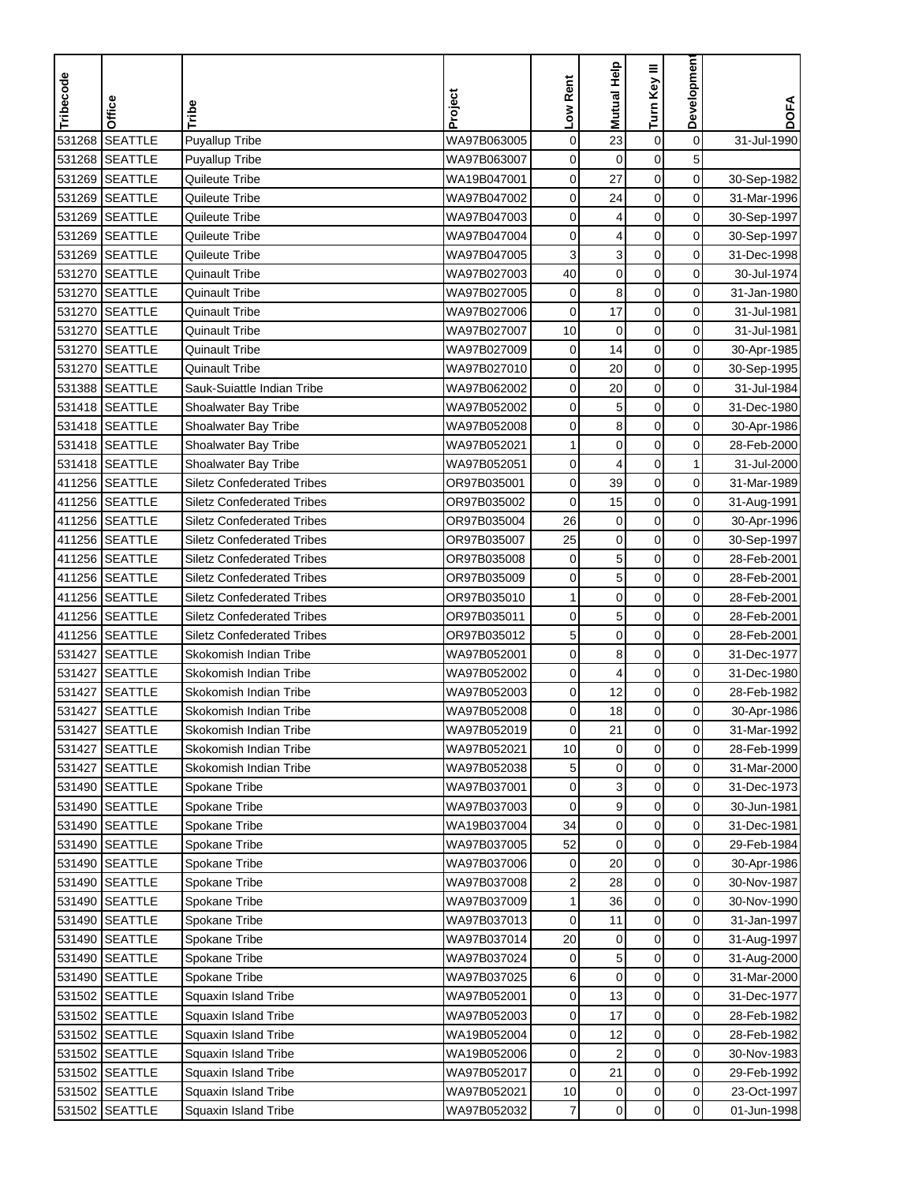| Tribecode | Office         | Tribe                             | Project     | Low Rent       | <b>Mutual Help</b> | Turn Key III     | Developmen     | <b>DOFA</b> |
|-----------|----------------|-----------------------------------|-------------|----------------|--------------------|------------------|----------------|-------------|
|           |                |                                   |             |                |                    |                  |                |             |
| 531268    | <b>SEATTLE</b> | Puyallup Tribe                    | WA97B063005 | $\mathbf 0$    | 23                 | $\pmb{0}$        | $\mathbf 0$    | 31-Jul-1990 |
| 531268    | <b>SEATTLE</b> | <b>Puyallup Tribe</b>             | WA97B063007 | 0              | $\mathbf 0$        | $\mathbf 0$      | 5              |             |
| 531269    | <b>SEATTLE</b> | Quileute Tribe                    | WA19B047001 | 0              | 27                 | 0                | 0              | 30-Sep-1982 |
| 531269    | <b>SEATTLE</b> | Quileute Tribe                    | WA97B047002 | 0              | 24                 | $\pmb{0}$        | 0              | 31-Mar-1996 |
| 531269    | <b>SEATTLE</b> | Quileute Tribe                    | WA97B047003 | 0              | 4                  | $\pmb{0}$        | 0              | 30-Sep-1997 |
| 531269    | <b>SEATTLE</b> | Quileute Tribe                    | WA97B047004 | $\mathbf 0$    | 4                  | $\pmb{0}$        | 0              | 30-Sep-1997 |
|           | 531269 SEATTLE | Quileute Tribe                    | WA97B047005 | 3              | 3                  | $\pmb{0}$        | 0              | 31-Dec-1998 |
| 531270    | <b>SEATTLE</b> | Quinault Tribe                    | WA97B027003 | 40             | $\pmb{0}$          | $\pmb{0}$        | 0              | 30-Jul-1974 |
|           | 531270 SEATTLE | <b>Quinault Tribe</b>             | WA97B027005 | 0              | 8                  | 0                | 0              | 31-Jan-1980 |
| 531270    | <b>SEATTLE</b> | <b>Quinault Tribe</b>             | WA97B027006 | $\pmb{0}$      | 17                 | $\pmb{0}$        | 0              | 31-Jul-1981 |
| 531270    | <b>SEATTLE</b> | <b>Quinault Tribe</b>             | WA97B027007 | 10             | 0                  | $\pmb{0}$        | 0              | 31-Jul-1981 |
|           | 531270 SEATTLE | <b>Quinault Tribe</b>             | WA97B027009 | 0              | 14                 | $\pmb{0}$        | 0              | 30-Apr-1985 |
| 531270    | <b>SEATTLE</b> | Quinault Tribe                    | WA97B027010 | 0              | 20                 | $\boldsymbol{0}$ | 0              | 30-Sep-1995 |
| 531388    | <b>SEATTLE</b> | Sauk-Suiattle Indian Tribe        | WA97B062002 | 0              | 20                 | $\pmb{0}$        | 0              | 31-Jul-1984 |
|           | 531418 SEATTLE | Shoalwater Bay Tribe              | WA97B052002 | 0              | 5                  | $\pmb{0}$        | 0              | 31-Dec-1980 |
|           | 531418 SEATTLE | Shoalwater Bay Tribe              | WA97B052008 | 0              | 8                  | $\pmb{0}$        | 0              | 30-Apr-1986 |
|           | 531418 SEATTLE | Shoalwater Bay Tribe              | WA97B052021 | 1              | $\mathbf 0$        | $\pmb{0}$        | 0              | 28-Feb-2000 |
|           | 531418 SEATTLE | Shoalwater Bay Tribe              | WA97B052051 | 0              | 4                  | $\pmb{0}$        | 1              | 31-Jul-2000 |
|           | 411256 SEATTLE | <b>Siletz Confederated Tribes</b> | OR97B035001 | 0              | 39                 | $\mathbf 0$      | 0              | 31-Mar-1989 |
|           | 411256 SEATTLE | <b>Siletz Confederated Tribes</b> | OR97B035002 | $\mathbf 0$    | 15                 | $\mathbf 0$      | 0              | 31-Aug-1991 |
|           | 411256 SEATTLE | <b>Siletz Confederated Tribes</b> | OR97B035004 | 26             | $\mathbf 0$        | 0                | 0              | 30-Apr-1996 |
|           | 411256 SEATTLE | <b>Siletz Confederated Tribes</b> | OR97B035007 | 25             | $\pmb{0}$          | $\pmb{0}$        | 0              | 30-Sep-1997 |
| 411256    | <b>SEATTLE</b> | <b>Siletz Confederated Tribes</b> | OR97B035008 | $\mathbf 0$    | 5                  | $\boldsymbol{0}$ | 0              | 28-Feb-2001 |
|           | 411256 SEATTLE | <b>Siletz Confederated Tribes</b> | OR97B035009 | 0              | 5                  | $\boldsymbol{0}$ | 0              | 28-Feb-2001 |
|           | 411256 SEATTLE | <b>Siletz Confederated Tribes</b> | OR97B035010 | 1              | $\mathbf 0$        | 0                | 0              | 28-Feb-2001 |
|           | 411256 SEATTLE | <b>Siletz Confederated Tribes</b> | OR97B035011 | 0              | 5                  | 0                | 0              | 28-Feb-2001 |
|           | 411256 SEATTLE | <b>Siletz Confederated Tribes</b> | OR97B035012 | 5              | $\boldsymbol{0}$   | $\boldsymbol{0}$ | 0              | 28-Feb-2001 |
| 531427    | <b>SEATTLE</b> | Skokomish Indian Tribe            | WA97B052001 | 0              | 8                  | $\mathbf 0$      | 0              | 31-Dec-1977 |
| 531427    | <b>SEATTLE</b> | Skokomish Indian Tribe            | WA97B052002 | 0              | 4                  | 0                | 0              | 31-Dec-1980 |
| 531427    | <b>SEATTLE</b> | Skokomish Indian Tribe            | WA97B052003 | 0              | 12                 | $\mathbf 0$      | 0              | 28-Feb-1982 |
| 531427    | <b>SEATTLE</b> | Skokomish Indian Tribe            | WA97B052008 | 0              | 18                 | $\mathbf 0$      | 0              | 30-Apr-1986 |
|           | 531427 SEATTLE | Skokomish Indian Tribe            | WA97B052019 | 0              | 21                 | $\mathbf 0$      | 0              | 31-Mar-1992 |
|           | 531427 SEATTLE | Skokomish Indian Tribe            | WA97B052021 | 10             | $\mathbf 0$        | $\mathbf 0$      | 0              | 28-Feb-1999 |
|           | 531427 SEATTLE | Skokomish Indian Tribe            | WA97B052038 | 5              | $\pmb{0}$          | 0                | 0              | 31-Mar-2000 |
|           | 531490 SEATTLE | Spokane Tribe                     | WA97B037001 | 0              | 3                  | $\pmb{0}$        | $\overline{0}$ | 31-Dec-1973 |
|           | 531490 SEATTLE | Spokane Tribe                     | WA97B037003 | 0              | 9                  | 0                | $\overline{0}$ | 30-Jun-1981 |
|           | 531490 SEATTLE | Spokane Tribe                     | WA19B037004 | 34             | 0                  | 0                | $\overline{0}$ | 31-Dec-1981 |
|           | 531490 SEATTLE | Spokane Tribe                     | WA97B037005 | 52             | $\mathbf 0$        | 0                | $\overline{0}$ | 29-Feb-1984 |
|           | 531490 SEATTLE | Spokane Tribe                     | WA97B037006 | 0              | 20                 | $\pmb{0}$        | $\overline{0}$ | 30-Apr-1986 |
|           | 531490 SEATTLE | Spokane Tribe                     | WA97B037008 | 2              | 28                 | $\pmb{0}$        | $\overline{0}$ | 30-Nov-1987 |
|           | 531490 SEATTLE | Spokane Tribe                     | WA97B037009 | 1              | 36                 | 0                | 0              | 30-Nov-1990 |
|           | 531490 SEATTLE | Spokane Tribe                     | WA97B037013 | 0              | 11                 | $\pmb{0}$        | 0              | 31-Jan-1997 |
|           | 531490 SEATTLE | Spokane Tribe                     | WA97B037014 | 20             | $\pmb{0}$          | $\pmb{0}$        | $\overline{0}$ | 31-Aug-1997 |
|           | 531490 SEATTLE | Spokane Tribe                     | WA97B037024 | 0              | 5                  | $\mathbf 0$      | $\overline{0}$ | 31-Aug-2000 |
|           | 531490 SEATTLE | Spokane Tribe                     | WA97B037025 | 6              | $\mathbf 0$        | $\mathbf 0$      | 0              | 31-Mar-2000 |
|           | 531502 SEATTLE | Squaxin Island Tribe              | WA97B052001 | 0              | 13                 | 0                | 0              | 31-Dec-1977 |
|           | 531502 SEATTLE | Squaxin Island Tribe              | WA97B052003 | 0              | 17                 | $\pmb{0}$        | 0              | 28-Feb-1982 |
|           | 531502 SEATTLE | Squaxin Island Tribe              | WA19B052004 | 0              | 12                 | 0                | 0              | 28-Feb-1982 |
|           | 531502 SEATTLE | Squaxin Island Tribe              | WA19B052006 | 0              | 2                  | 0                | 0              | 30-Nov-1983 |
|           | 531502 SEATTLE | Squaxin Island Tribe              | WA97B052017 | 0              | 21                 | 0                | 0              | 29-Feb-1992 |
|           | 531502 SEATTLE | <b>Squaxin Island Tribe</b>       | WA97B052021 | 10             | 0                  | $\pmb{0}$        | 0              | 23-Oct-1997 |
| 531502    | <b>SEATTLE</b> | Squaxin Island Tribe              | WA97B052032 | $\overline{7}$ | $\pmb{0}$          | $\mathbf 0$      | $\overline{0}$ | 01-Jun-1998 |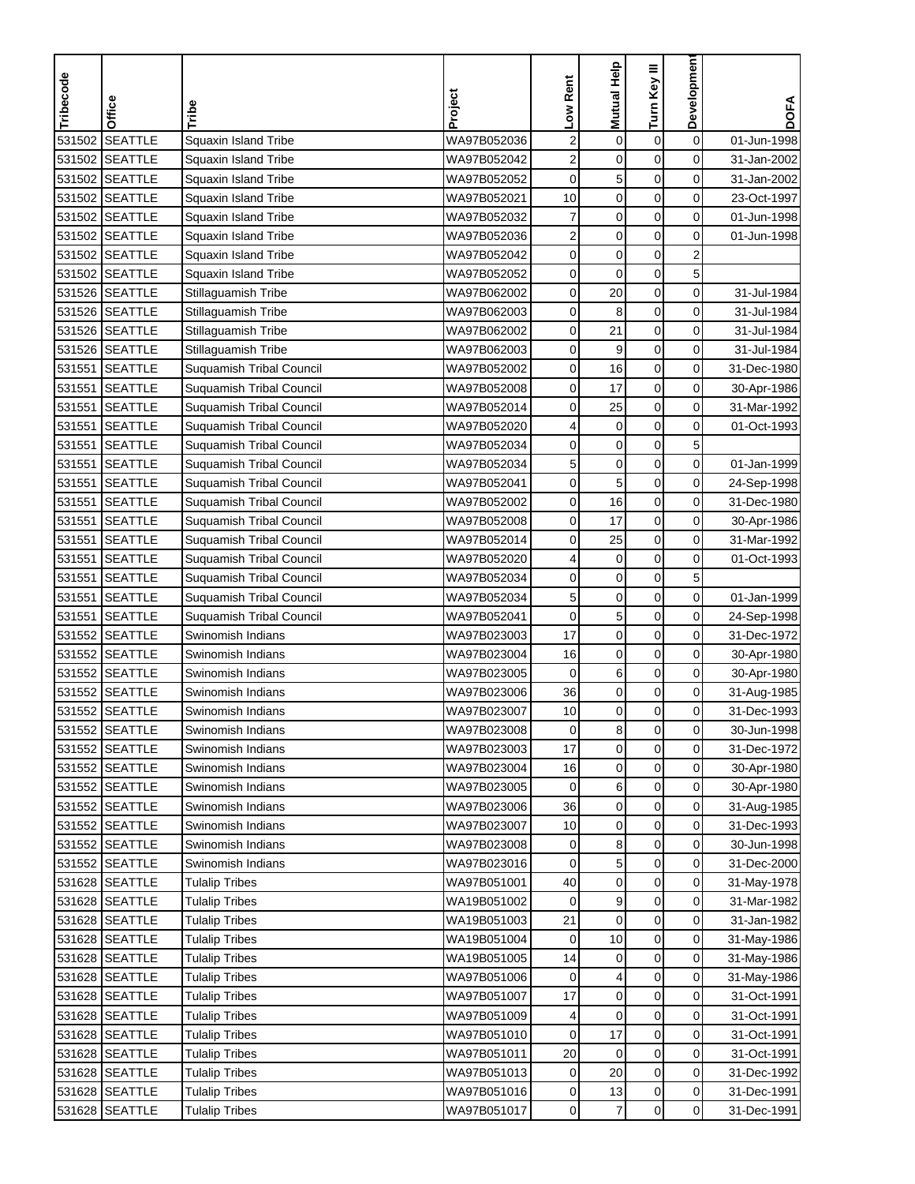| 531502<br><b>SEATTLE</b><br>$\mathbf 0$<br>Squaxin Island Tribe<br>WA97B052036<br>$\overline{\mathbf{c}}$<br>$\mathbf 0$<br>$\boldsymbol{0}$<br>01-Jun-1998<br><b>SEATTLE</b><br>0<br>WA97B052042<br>2<br>$\mathbf 0$<br>$\mathbf 0$<br>531502<br>Squaxin Island Tribe<br>31-Jan-2002<br>531502<br><b>SEATTLE</b><br>WA97B052052<br>5<br>$\mathbf 0$<br>0<br>Squaxin Island Tribe<br>0<br>31-Jan-2002<br><b>SEATTLE</b><br>WA97B052021<br>10<br>$\mathbf 0$<br>$\mathbf 0$<br>0<br>531502<br>Squaxin Island Tribe<br>23-Oct-1997<br>7<br>$\mathbf 0$<br>$\pmb{0}$<br>531502<br><b>SEATTLE</b><br>WA97B052032<br>0<br>Squaxin Island Tribe<br>01-Jun-1998<br>SEATTLE<br>2<br>$\mathbf 0$<br>$\mathbf 0$<br>0<br>531502<br>Squaxin Island Tribe<br>WA97B052036<br>01-Jun-1998<br>$\mathbf 0$<br>$\mathbf 0$<br>$\overline{2}$<br>531502 SEATTLE<br>WA97B052042<br>0<br>Squaxin Island Tribe<br>5<br>531502<br><b>SEATTLE</b><br>$\mathbf 0$<br>$\mathbf 0$<br>Squaxin Island Tribe<br>WA97B052052<br>0<br>$\mathbf 0$<br>531526 SEATTLE<br>WA97B062002<br>0<br>20<br>0<br>Stillaguamish Tribe<br>31-Jul-1984<br>531526 SEATTLE<br>$\mathbf 0$<br>0<br>Stillaguamish Tribe<br>WA97B062003<br>$\mathbf 0$<br>8<br>31-Jul-1984<br>531526 SEATTLE<br>WA97B062002<br>21<br>$\mathbf 0$<br>0<br>Stillaguamish Tribe<br>0<br>31-Jul-1984<br>531526 SEATTLE<br>9<br>$\mathbf 0$<br>0<br>Stillaguamish Tribe<br>WA97B062003<br>0<br>31-Jul-1984<br>16<br>$\mathbf 0$<br>531551<br><b>SEATTLE</b><br>0<br>$\mathbf 0$<br>Suquamish Tribal Council<br>WA97B052002<br>31-Dec-1980<br>$\pmb{0}$<br><b>SEATTLE</b><br>17<br>$\mathbf 0$<br>531551<br>Suquamish Tribal Council<br>WA97B052008<br>$\mathbf 0$<br>30-Apr-1986<br>$\mathbf 0$<br><b>SEATTLE</b><br>25<br>$\mathbf 0$<br>531551<br>Suquamish Tribal Council<br>WA97B052014<br>0<br>31-Mar-1992<br>$\mathbf 0$<br>0<br><b>SEATTLE</b><br>$\pmb{0}$<br>01-Oct-1993<br>531551<br>Suquamish Tribal Council<br>WA97B052020<br>4<br>5<br>$\mathbf 0$<br>$\mathbf 0$<br>531551<br><b>SEATTLE</b><br>Suquamish Tribal Council<br>WA97B052034<br>0<br>$\mathsf{O}\xspace$<br><b>SEATTLE</b><br>5<br>$\mathbf 0$<br>$\mathbf 0$<br>531551<br>Suquamish Tribal Council<br>WA97B052034<br>01-Jan-1999<br><b>SEATTLE</b><br>5<br>$\mathbf 0$<br>531551<br>Suquamish Tribal Council<br>WA97B052041<br>$\mathbf 0$<br>$\mathbf 0$<br>24-Sep-1998<br><b>SEATTLE</b><br>16<br>$\mathbf 0$<br>0<br>531551<br>Suquamish Tribal Council<br>WA97B052002<br>0<br>31-Dec-1980<br>17<br>$\mathbf 0$<br>0<br>531551<br><b>SEATTLE</b><br>WA97B052008<br>Suquamish Tribal Council<br>0<br>30-Apr-1986<br>25<br>$\pmb{0}$<br>$\mathbf 0$<br>531551<br><b>SEATTLE</b><br>0<br>Suquamish Tribal Council<br>WA97B052014<br>31-Mar-1992<br>$\mathbf 0$<br>531551<br><b>SEATTLE</b><br>$\mathbf 0$<br>0<br>Suquamish Tribal Council<br>WA97B052020<br>4<br>01-Oct-1993<br>5<br>$\mathbf 0$<br>$\mathbf 0$<br><b>SEATTLE</b><br>531551<br><b>Suquamish Tribal Council</b><br>WA97B052034<br>0<br>$\mathbf 0$<br>0<br>531551<br><b>SEATTLE</b><br>5<br>$\mathbf 0$<br>Suquamish Tribal Council<br>WA97B052034<br>01-Jan-1999<br>5<br><b>SEATTLE</b><br>$\mathbf 0$<br>0<br>531551<br>Suquamish Tribal Council<br>WA97B052041<br>$\mathbf 0$<br>24-Sep-1998<br><b>SEATTLE</b><br>$\mathbf 0$<br>$\mathbf 0$<br>531552<br>WA97B023003<br>17<br>$\mathbf 0$<br>Swinomish Indians<br>31-Dec-1972<br><b>SEATTLE</b><br>531552<br>WA97B023004<br>$\mathbf 0$<br>$\mathbf 0$<br>0<br>Swinomish Indians<br>16<br>30-Apr-1980<br>531552<br><b>SEATTLE</b><br>6<br>$\mathbf 0$<br>0<br>Swinomish Indians<br>WA97B023005<br>0<br>30-Apr-1980<br>36<br>$\mathbf 0$<br>$\pmb{0}$<br>$\mathbf 0$<br>531552<br><b>SEATTLE</b><br>Swinomish Indians<br>WA97B023006<br>31-Aug-1985<br>$\mathbf 0$<br>531552<br><b>SEATTLE</b><br>10<br>$\mathbf 0$<br>0<br>WA97B023007<br>31-Dec-1993<br>Swinomish Indians<br>531552 SEATTLE<br>Swinomish Indians<br>WA97B023008<br>0<br>8<br>0<br>0<br>30-Jun-1998<br>$\mathbf 0$<br>$\pmb{0}$<br>$\mathbf 0$<br>531552 SEATTLE<br>17<br>Swinomish Indians<br>WA97B023003<br>31-Dec-1972<br>$\pmb{0}$<br>0<br>0<br>531552 SEATTLE<br>Swinomish Indians<br>WA97B023004<br>16<br>30-Apr-1980<br>$\pmb{0}$<br>531552 SEATTLE<br>WA97B023005<br>6<br>0<br>Swinomish Indians<br>0<br>30-Apr-1980<br>531552 SEATTLE<br>Swinomish Indians<br>WA97B023006<br>36<br>0<br>0<br>$\overline{0}$<br>31-Aug-1985<br>$\pmb{0}$<br>0<br>$\overline{0}$<br>531552 SEATTLE<br>WA97B023007<br>10<br>Swinomish Indians<br>31-Dec-1993<br>8<br>0<br>531552 SEATTLE<br>Swinomish Indians<br>WA97B023008<br>0<br>30-Jun-1998<br>0<br>$\mathbf 5$<br>$\pmb{0}$<br>531552 SEATTLE<br>$\overline{0}$<br>Swinomish Indians<br>WA97B023016<br>0<br>31-Dec-2000<br>0<br>0<br>$\overline{0}$<br>531628 SEATTLE<br><b>Tulalip Tribes</b><br>WA97B051001<br>40<br>31-May-1978<br>9<br>$\boldsymbol{0}$<br>531628 SEATTLE<br>0<br><b>Tulalip Tribes</b><br>WA19B051002<br>31-Mar-1982<br>0<br>$\mathbf 0$<br>$\pmb{0}$<br>$\mathbf 0$<br>531628 SEATTLE<br>WA19B051003<br>21<br><b>Tulalip Tribes</b><br>31-Jan-1982<br>$\pmb{0}$<br>$\mathbf 0$<br>531628 SEATTLE<br>WA19B051004<br>10<br><b>Tulalip Tribes</b><br>0<br>31-May-1986<br>531628 SEATTLE<br>WA19B051005<br>$\mathbf 0$<br>$\overline{0}$<br><b>Tulalip Tribes</b><br>14<br>0<br>31-May-1986<br>$\mathbf 0$<br>531628 SEATTLE<br><b>Tulalip Tribes</b><br>WA97B051006<br>4<br>0<br>0<br>31-May-1986<br>$\mathbf 0$<br>0<br>0<br>531628 SEATTLE<br><b>Tulalip Tribes</b><br>WA97B051007<br>17<br>31-Oct-1991<br>$\pmb{0}$<br>$\mathbf 0$<br>531628 SEATTLE<br><b>Tulalip Tribes</b><br>WA97B051009<br>0<br>31-Oct-1991<br>4<br>17<br>0<br>0<br>531628 SEATTLE<br>WA97B051010<br><b>Tulalip Tribes</b><br>0<br>31-Oct-1991<br>$\pmb{0}$<br>20<br>0<br>531628 SEATTLE<br><b>Tulalip Tribes</b><br>WA97B051011<br>0<br>31-Oct-1991<br>20<br>0<br>0<br>531628 SEATTLE<br><b>Tulalip Tribes</b><br>WA97B051013<br>0<br>31-Dec-1992<br>$\pmb{0}$<br>$\mathbf 0$<br>531628 SEATTLE<br>WA97B051016<br>13<br>31-Dec-1991<br><b>Tulalip Tribes</b><br>0<br>531628 SEATTLE | Tribecode | Office | Tribe                 | Project     | Low Rent | Mutual Help    | Turn Key III | Developmen     | <b>DOFA</b> |
|---------------------------------------------------------------------------------------------------------------------------------------------------------------------------------------------------------------------------------------------------------------------------------------------------------------------------------------------------------------------------------------------------------------------------------------------------------------------------------------------------------------------------------------------------------------------------------------------------------------------------------------------------------------------------------------------------------------------------------------------------------------------------------------------------------------------------------------------------------------------------------------------------------------------------------------------------------------------------------------------------------------------------------------------------------------------------------------------------------------------------------------------------------------------------------------------------------------------------------------------------------------------------------------------------------------------------------------------------------------------------------------------------------------------------------------------------------------------------------------------------------------------------------------------------------------------------------------------------------------------------------------------------------------------------------------------------------------------------------------------------------------------------------------------------------------------------------------------------------------------------------------------------------------------------------------------------------------------------------------------------------------------------------------------------------------------------------------------------------------------------------------------------------------------------------------------------------------------------------------------------------------------------------------------------------------------------------------------------------------------------------------------------------------------------------------------------------------------------------------------------------------------------------------------------------------------------------------------------------------------------------------------------------------------------------------------------------------------------------------------------------------------------------------------------------------------------------------------------------------------------------------------------------------------------------------------------------------------------------------------------------------------------------------------------------------------------------------------------------------------------------------------------------------------------------------------------------------------------------------------------------------------------------------------------------------------------------------------------------------------------------------------------------------------------------------------------------------------------------------------------------------------------------------------------------------------------------------------------------------------------------------------------------------------------------------------------------------------------------------------------------------------------------------------------------------------------------------------------------------------------------------------------------------------------------------------------------------------------------------------------------------------------------------------------------------------------------------------------------------------------------------------------------------------------------------------------------------------------------------------------------------------------------------------------------------------------------------------------------------------------------------------------------------------------------------------------------------------------------------------------------------------------------------------------------------------------------------------------------------------------------------------------------------------------------------------------------------------------------------------------------------------------------------------------------------------------------------------------------------------------------------------------------------------------------------------------------------------------------------------------------------------------------------------------------------------------------------------------------------------------------------------------------------------------------------------------------------------------------------------------------------------------------------------------------------------------------------------------------------------------------------------------------------------------------------------------------------------------------------------------------------------------------------------------------------------------------------------------------------------------------------------------------------------------------------------------------------------------------------------------------------------------------------------------------------------------------------------------------------------------------------------------------------------------------------------------------------------------------------------------------------------------------------------------------------------------------------------------------------------|-----------|--------|-----------------------|-------------|----------|----------------|--------------|----------------|-------------|
|                                                                                                                                                                                                                                                                                                                                                                                                                                                                                                                                                                                                                                                                                                                                                                                                                                                                                                                                                                                                                                                                                                                                                                                                                                                                                                                                                                                                                                                                                                                                                                                                                                                                                                                                                                                                                                                                                                                                                                                                                                                                                                                                                                                                                                                                                                                                                                                                                                                                                                                                                                                                                                                                                                                                                                                                                                                                                                                                                                                                                                                                                                                                                                                                                                                                                                                                                                                                                                                                                                                                                                                                                                                                                                                                                                                                                                                                                                                                                                                                                                                                                                                                                                                                                                                                                                                                                                                                                                                                                                                                                                                                                                                                                                                                                                                                                                                                                                                                                                                                                                                                                                                                                                                                                                                                                                                                                                                                                                                                                                                                                                                                                                                                                                                                                                                                                                                                                                                                                                                                                                                                                                                     |           |        |                       |             |          |                |              |                |             |
|                                                                                                                                                                                                                                                                                                                                                                                                                                                                                                                                                                                                                                                                                                                                                                                                                                                                                                                                                                                                                                                                                                                                                                                                                                                                                                                                                                                                                                                                                                                                                                                                                                                                                                                                                                                                                                                                                                                                                                                                                                                                                                                                                                                                                                                                                                                                                                                                                                                                                                                                                                                                                                                                                                                                                                                                                                                                                                                                                                                                                                                                                                                                                                                                                                                                                                                                                                                                                                                                                                                                                                                                                                                                                                                                                                                                                                                                                                                                                                                                                                                                                                                                                                                                                                                                                                                                                                                                                                                                                                                                                                                                                                                                                                                                                                                                                                                                                                                                                                                                                                                                                                                                                                                                                                                                                                                                                                                                                                                                                                                                                                                                                                                                                                                                                                                                                                                                                                                                                                                                                                                                                                                     |           |        |                       |             |          |                |              |                |             |
|                                                                                                                                                                                                                                                                                                                                                                                                                                                                                                                                                                                                                                                                                                                                                                                                                                                                                                                                                                                                                                                                                                                                                                                                                                                                                                                                                                                                                                                                                                                                                                                                                                                                                                                                                                                                                                                                                                                                                                                                                                                                                                                                                                                                                                                                                                                                                                                                                                                                                                                                                                                                                                                                                                                                                                                                                                                                                                                                                                                                                                                                                                                                                                                                                                                                                                                                                                                                                                                                                                                                                                                                                                                                                                                                                                                                                                                                                                                                                                                                                                                                                                                                                                                                                                                                                                                                                                                                                                                                                                                                                                                                                                                                                                                                                                                                                                                                                                                                                                                                                                                                                                                                                                                                                                                                                                                                                                                                                                                                                                                                                                                                                                                                                                                                                                                                                                                                                                                                                                                                                                                                                                                     |           |        |                       |             |          |                |              |                |             |
|                                                                                                                                                                                                                                                                                                                                                                                                                                                                                                                                                                                                                                                                                                                                                                                                                                                                                                                                                                                                                                                                                                                                                                                                                                                                                                                                                                                                                                                                                                                                                                                                                                                                                                                                                                                                                                                                                                                                                                                                                                                                                                                                                                                                                                                                                                                                                                                                                                                                                                                                                                                                                                                                                                                                                                                                                                                                                                                                                                                                                                                                                                                                                                                                                                                                                                                                                                                                                                                                                                                                                                                                                                                                                                                                                                                                                                                                                                                                                                                                                                                                                                                                                                                                                                                                                                                                                                                                                                                                                                                                                                                                                                                                                                                                                                                                                                                                                                                                                                                                                                                                                                                                                                                                                                                                                                                                                                                                                                                                                                                                                                                                                                                                                                                                                                                                                                                                                                                                                                                                                                                                                                                     |           |        |                       |             |          |                |              |                |             |
|                                                                                                                                                                                                                                                                                                                                                                                                                                                                                                                                                                                                                                                                                                                                                                                                                                                                                                                                                                                                                                                                                                                                                                                                                                                                                                                                                                                                                                                                                                                                                                                                                                                                                                                                                                                                                                                                                                                                                                                                                                                                                                                                                                                                                                                                                                                                                                                                                                                                                                                                                                                                                                                                                                                                                                                                                                                                                                                                                                                                                                                                                                                                                                                                                                                                                                                                                                                                                                                                                                                                                                                                                                                                                                                                                                                                                                                                                                                                                                                                                                                                                                                                                                                                                                                                                                                                                                                                                                                                                                                                                                                                                                                                                                                                                                                                                                                                                                                                                                                                                                                                                                                                                                                                                                                                                                                                                                                                                                                                                                                                                                                                                                                                                                                                                                                                                                                                                                                                                                                                                                                                                                                     |           |        |                       |             |          |                |              |                |             |
|                                                                                                                                                                                                                                                                                                                                                                                                                                                                                                                                                                                                                                                                                                                                                                                                                                                                                                                                                                                                                                                                                                                                                                                                                                                                                                                                                                                                                                                                                                                                                                                                                                                                                                                                                                                                                                                                                                                                                                                                                                                                                                                                                                                                                                                                                                                                                                                                                                                                                                                                                                                                                                                                                                                                                                                                                                                                                                                                                                                                                                                                                                                                                                                                                                                                                                                                                                                                                                                                                                                                                                                                                                                                                                                                                                                                                                                                                                                                                                                                                                                                                                                                                                                                                                                                                                                                                                                                                                                                                                                                                                                                                                                                                                                                                                                                                                                                                                                                                                                                                                                                                                                                                                                                                                                                                                                                                                                                                                                                                                                                                                                                                                                                                                                                                                                                                                                                                                                                                                                                                                                                                                                     |           |        |                       |             |          |                |              |                |             |
|                                                                                                                                                                                                                                                                                                                                                                                                                                                                                                                                                                                                                                                                                                                                                                                                                                                                                                                                                                                                                                                                                                                                                                                                                                                                                                                                                                                                                                                                                                                                                                                                                                                                                                                                                                                                                                                                                                                                                                                                                                                                                                                                                                                                                                                                                                                                                                                                                                                                                                                                                                                                                                                                                                                                                                                                                                                                                                                                                                                                                                                                                                                                                                                                                                                                                                                                                                                                                                                                                                                                                                                                                                                                                                                                                                                                                                                                                                                                                                                                                                                                                                                                                                                                                                                                                                                                                                                                                                                                                                                                                                                                                                                                                                                                                                                                                                                                                                                                                                                                                                                                                                                                                                                                                                                                                                                                                                                                                                                                                                                                                                                                                                                                                                                                                                                                                                                                                                                                                                                                                                                                                                                     |           |        |                       |             |          |                |              |                |             |
|                                                                                                                                                                                                                                                                                                                                                                                                                                                                                                                                                                                                                                                                                                                                                                                                                                                                                                                                                                                                                                                                                                                                                                                                                                                                                                                                                                                                                                                                                                                                                                                                                                                                                                                                                                                                                                                                                                                                                                                                                                                                                                                                                                                                                                                                                                                                                                                                                                                                                                                                                                                                                                                                                                                                                                                                                                                                                                                                                                                                                                                                                                                                                                                                                                                                                                                                                                                                                                                                                                                                                                                                                                                                                                                                                                                                                                                                                                                                                                                                                                                                                                                                                                                                                                                                                                                                                                                                                                                                                                                                                                                                                                                                                                                                                                                                                                                                                                                                                                                                                                                                                                                                                                                                                                                                                                                                                                                                                                                                                                                                                                                                                                                                                                                                                                                                                                                                                                                                                                                                                                                                                                                     |           |        |                       |             |          |                |              |                |             |
|                                                                                                                                                                                                                                                                                                                                                                                                                                                                                                                                                                                                                                                                                                                                                                                                                                                                                                                                                                                                                                                                                                                                                                                                                                                                                                                                                                                                                                                                                                                                                                                                                                                                                                                                                                                                                                                                                                                                                                                                                                                                                                                                                                                                                                                                                                                                                                                                                                                                                                                                                                                                                                                                                                                                                                                                                                                                                                                                                                                                                                                                                                                                                                                                                                                                                                                                                                                                                                                                                                                                                                                                                                                                                                                                                                                                                                                                                                                                                                                                                                                                                                                                                                                                                                                                                                                                                                                                                                                                                                                                                                                                                                                                                                                                                                                                                                                                                                                                                                                                                                                                                                                                                                                                                                                                                                                                                                                                                                                                                                                                                                                                                                                                                                                                                                                                                                                                                                                                                                                                                                                                                                                     |           |        |                       |             |          |                |              |                |             |
|                                                                                                                                                                                                                                                                                                                                                                                                                                                                                                                                                                                                                                                                                                                                                                                                                                                                                                                                                                                                                                                                                                                                                                                                                                                                                                                                                                                                                                                                                                                                                                                                                                                                                                                                                                                                                                                                                                                                                                                                                                                                                                                                                                                                                                                                                                                                                                                                                                                                                                                                                                                                                                                                                                                                                                                                                                                                                                                                                                                                                                                                                                                                                                                                                                                                                                                                                                                                                                                                                                                                                                                                                                                                                                                                                                                                                                                                                                                                                                                                                                                                                                                                                                                                                                                                                                                                                                                                                                                                                                                                                                                                                                                                                                                                                                                                                                                                                                                                                                                                                                                                                                                                                                                                                                                                                                                                                                                                                                                                                                                                                                                                                                                                                                                                                                                                                                                                                                                                                                                                                                                                                                                     |           |        |                       |             |          |                |              |                |             |
|                                                                                                                                                                                                                                                                                                                                                                                                                                                                                                                                                                                                                                                                                                                                                                                                                                                                                                                                                                                                                                                                                                                                                                                                                                                                                                                                                                                                                                                                                                                                                                                                                                                                                                                                                                                                                                                                                                                                                                                                                                                                                                                                                                                                                                                                                                                                                                                                                                                                                                                                                                                                                                                                                                                                                                                                                                                                                                                                                                                                                                                                                                                                                                                                                                                                                                                                                                                                                                                                                                                                                                                                                                                                                                                                                                                                                                                                                                                                                                                                                                                                                                                                                                                                                                                                                                                                                                                                                                                                                                                                                                                                                                                                                                                                                                                                                                                                                                                                                                                                                                                                                                                                                                                                                                                                                                                                                                                                                                                                                                                                                                                                                                                                                                                                                                                                                                                                                                                                                                                                                                                                                                                     |           |        |                       |             |          |                |              |                |             |
|                                                                                                                                                                                                                                                                                                                                                                                                                                                                                                                                                                                                                                                                                                                                                                                                                                                                                                                                                                                                                                                                                                                                                                                                                                                                                                                                                                                                                                                                                                                                                                                                                                                                                                                                                                                                                                                                                                                                                                                                                                                                                                                                                                                                                                                                                                                                                                                                                                                                                                                                                                                                                                                                                                                                                                                                                                                                                                                                                                                                                                                                                                                                                                                                                                                                                                                                                                                                                                                                                                                                                                                                                                                                                                                                                                                                                                                                                                                                                                                                                                                                                                                                                                                                                                                                                                                                                                                                                                                                                                                                                                                                                                                                                                                                                                                                                                                                                                                                                                                                                                                                                                                                                                                                                                                                                                                                                                                                                                                                                                                                                                                                                                                                                                                                                                                                                                                                                                                                                                                                                                                                                                                     |           |        |                       |             |          |                |              |                |             |
|                                                                                                                                                                                                                                                                                                                                                                                                                                                                                                                                                                                                                                                                                                                                                                                                                                                                                                                                                                                                                                                                                                                                                                                                                                                                                                                                                                                                                                                                                                                                                                                                                                                                                                                                                                                                                                                                                                                                                                                                                                                                                                                                                                                                                                                                                                                                                                                                                                                                                                                                                                                                                                                                                                                                                                                                                                                                                                                                                                                                                                                                                                                                                                                                                                                                                                                                                                                                                                                                                                                                                                                                                                                                                                                                                                                                                                                                                                                                                                                                                                                                                                                                                                                                                                                                                                                                                                                                                                                                                                                                                                                                                                                                                                                                                                                                                                                                                                                                                                                                                                                                                                                                                                                                                                                                                                                                                                                                                                                                                                                                                                                                                                                                                                                                                                                                                                                                                                                                                                                                                                                                                                                     |           |        |                       |             |          |                |              |                |             |
|                                                                                                                                                                                                                                                                                                                                                                                                                                                                                                                                                                                                                                                                                                                                                                                                                                                                                                                                                                                                                                                                                                                                                                                                                                                                                                                                                                                                                                                                                                                                                                                                                                                                                                                                                                                                                                                                                                                                                                                                                                                                                                                                                                                                                                                                                                                                                                                                                                                                                                                                                                                                                                                                                                                                                                                                                                                                                                                                                                                                                                                                                                                                                                                                                                                                                                                                                                                                                                                                                                                                                                                                                                                                                                                                                                                                                                                                                                                                                                                                                                                                                                                                                                                                                                                                                                                                                                                                                                                                                                                                                                                                                                                                                                                                                                                                                                                                                                                                                                                                                                                                                                                                                                                                                                                                                                                                                                                                                                                                                                                                                                                                                                                                                                                                                                                                                                                                                                                                                                                                                                                                                                                     |           |        |                       |             |          |                |              |                |             |
|                                                                                                                                                                                                                                                                                                                                                                                                                                                                                                                                                                                                                                                                                                                                                                                                                                                                                                                                                                                                                                                                                                                                                                                                                                                                                                                                                                                                                                                                                                                                                                                                                                                                                                                                                                                                                                                                                                                                                                                                                                                                                                                                                                                                                                                                                                                                                                                                                                                                                                                                                                                                                                                                                                                                                                                                                                                                                                                                                                                                                                                                                                                                                                                                                                                                                                                                                                                                                                                                                                                                                                                                                                                                                                                                                                                                                                                                                                                                                                                                                                                                                                                                                                                                                                                                                                                                                                                                                                                                                                                                                                                                                                                                                                                                                                                                                                                                                                                                                                                                                                                                                                                                                                                                                                                                                                                                                                                                                                                                                                                                                                                                                                                                                                                                                                                                                                                                                                                                                                                                                                                                                                                     |           |        |                       |             |          |                |              |                |             |
|                                                                                                                                                                                                                                                                                                                                                                                                                                                                                                                                                                                                                                                                                                                                                                                                                                                                                                                                                                                                                                                                                                                                                                                                                                                                                                                                                                                                                                                                                                                                                                                                                                                                                                                                                                                                                                                                                                                                                                                                                                                                                                                                                                                                                                                                                                                                                                                                                                                                                                                                                                                                                                                                                                                                                                                                                                                                                                                                                                                                                                                                                                                                                                                                                                                                                                                                                                                                                                                                                                                                                                                                                                                                                                                                                                                                                                                                                                                                                                                                                                                                                                                                                                                                                                                                                                                                                                                                                                                                                                                                                                                                                                                                                                                                                                                                                                                                                                                                                                                                                                                                                                                                                                                                                                                                                                                                                                                                                                                                                                                                                                                                                                                                                                                                                                                                                                                                                                                                                                                                                                                                                                                     |           |        |                       |             |          |                |              |                |             |
|                                                                                                                                                                                                                                                                                                                                                                                                                                                                                                                                                                                                                                                                                                                                                                                                                                                                                                                                                                                                                                                                                                                                                                                                                                                                                                                                                                                                                                                                                                                                                                                                                                                                                                                                                                                                                                                                                                                                                                                                                                                                                                                                                                                                                                                                                                                                                                                                                                                                                                                                                                                                                                                                                                                                                                                                                                                                                                                                                                                                                                                                                                                                                                                                                                                                                                                                                                                                                                                                                                                                                                                                                                                                                                                                                                                                                                                                                                                                                                                                                                                                                                                                                                                                                                                                                                                                                                                                                                                                                                                                                                                                                                                                                                                                                                                                                                                                                                                                                                                                                                                                                                                                                                                                                                                                                                                                                                                                                                                                                                                                                                                                                                                                                                                                                                                                                                                                                                                                                                                                                                                                                                                     |           |        |                       |             |          |                |              |                |             |
|                                                                                                                                                                                                                                                                                                                                                                                                                                                                                                                                                                                                                                                                                                                                                                                                                                                                                                                                                                                                                                                                                                                                                                                                                                                                                                                                                                                                                                                                                                                                                                                                                                                                                                                                                                                                                                                                                                                                                                                                                                                                                                                                                                                                                                                                                                                                                                                                                                                                                                                                                                                                                                                                                                                                                                                                                                                                                                                                                                                                                                                                                                                                                                                                                                                                                                                                                                                                                                                                                                                                                                                                                                                                                                                                                                                                                                                                                                                                                                                                                                                                                                                                                                                                                                                                                                                                                                                                                                                                                                                                                                                                                                                                                                                                                                                                                                                                                                                                                                                                                                                                                                                                                                                                                                                                                                                                                                                                                                                                                                                                                                                                                                                                                                                                                                                                                                                                                                                                                                                                                                                                                                                     |           |        |                       |             |          |                |              |                |             |
|                                                                                                                                                                                                                                                                                                                                                                                                                                                                                                                                                                                                                                                                                                                                                                                                                                                                                                                                                                                                                                                                                                                                                                                                                                                                                                                                                                                                                                                                                                                                                                                                                                                                                                                                                                                                                                                                                                                                                                                                                                                                                                                                                                                                                                                                                                                                                                                                                                                                                                                                                                                                                                                                                                                                                                                                                                                                                                                                                                                                                                                                                                                                                                                                                                                                                                                                                                                                                                                                                                                                                                                                                                                                                                                                                                                                                                                                                                                                                                                                                                                                                                                                                                                                                                                                                                                                                                                                                                                                                                                                                                                                                                                                                                                                                                                                                                                                                                                                                                                                                                                                                                                                                                                                                                                                                                                                                                                                                                                                                                                                                                                                                                                                                                                                                                                                                                                                                                                                                                                                                                                                                                                     |           |        |                       |             |          |                |              |                |             |
|                                                                                                                                                                                                                                                                                                                                                                                                                                                                                                                                                                                                                                                                                                                                                                                                                                                                                                                                                                                                                                                                                                                                                                                                                                                                                                                                                                                                                                                                                                                                                                                                                                                                                                                                                                                                                                                                                                                                                                                                                                                                                                                                                                                                                                                                                                                                                                                                                                                                                                                                                                                                                                                                                                                                                                                                                                                                                                                                                                                                                                                                                                                                                                                                                                                                                                                                                                                                                                                                                                                                                                                                                                                                                                                                                                                                                                                                                                                                                                                                                                                                                                                                                                                                                                                                                                                                                                                                                                                                                                                                                                                                                                                                                                                                                                                                                                                                                                                                                                                                                                                                                                                                                                                                                                                                                                                                                                                                                                                                                                                                                                                                                                                                                                                                                                                                                                                                                                                                                                                                                                                                                                                     |           |        |                       |             |          |                |              |                |             |
|                                                                                                                                                                                                                                                                                                                                                                                                                                                                                                                                                                                                                                                                                                                                                                                                                                                                                                                                                                                                                                                                                                                                                                                                                                                                                                                                                                                                                                                                                                                                                                                                                                                                                                                                                                                                                                                                                                                                                                                                                                                                                                                                                                                                                                                                                                                                                                                                                                                                                                                                                                                                                                                                                                                                                                                                                                                                                                                                                                                                                                                                                                                                                                                                                                                                                                                                                                                                                                                                                                                                                                                                                                                                                                                                                                                                                                                                                                                                                                                                                                                                                                                                                                                                                                                                                                                                                                                                                                                                                                                                                                                                                                                                                                                                                                                                                                                                                                                                                                                                                                                                                                                                                                                                                                                                                                                                                                                                                                                                                                                                                                                                                                                                                                                                                                                                                                                                                                                                                                                                                                                                                                                     |           |        |                       |             |          |                |              |                |             |
|                                                                                                                                                                                                                                                                                                                                                                                                                                                                                                                                                                                                                                                                                                                                                                                                                                                                                                                                                                                                                                                                                                                                                                                                                                                                                                                                                                                                                                                                                                                                                                                                                                                                                                                                                                                                                                                                                                                                                                                                                                                                                                                                                                                                                                                                                                                                                                                                                                                                                                                                                                                                                                                                                                                                                                                                                                                                                                                                                                                                                                                                                                                                                                                                                                                                                                                                                                                                                                                                                                                                                                                                                                                                                                                                                                                                                                                                                                                                                                                                                                                                                                                                                                                                                                                                                                                                                                                                                                                                                                                                                                                                                                                                                                                                                                                                                                                                                                                                                                                                                                                                                                                                                                                                                                                                                                                                                                                                                                                                                                                                                                                                                                                                                                                                                                                                                                                                                                                                                                                                                                                                                                                     |           |        |                       |             |          |                |              |                |             |
|                                                                                                                                                                                                                                                                                                                                                                                                                                                                                                                                                                                                                                                                                                                                                                                                                                                                                                                                                                                                                                                                                                                                                                                                                                                                                                                                                                                                                                                                                                                                                                                                                                                                                                                                                                                                                                                                                                                                                                                                                                                                                                                                                                                                                                                                                                                                                                                                                                                                                                                                                                                                                                                                                                                                                                                                                                                                                                                                                                                                                                                                                                                                                                                                                                                                                                                                                                                                                                                                                                                                                                                                                                                                                                                                                                                                                                                                                                                                                                                                                                                                                                                                                                                                                                                                                                                                                                                                                                                                                                                                                                                                                                                                                                                                                                                                                                                                                                                                                                                                                                                                                                                                                                                                                                                                                                                                                                                                                                                                                                                                                                                                                                                                                                                                                                                                                                                                                                                                                                                                                                                                                                                     |           |        |                       |             |          |                |              |                |             |
|                                                                                                                                                                                                                                                                                                                                                                                                                                                                                                                                                                                                                                                                                                                                                                                                                                                                                                                                                                                                                                                                                                                                                                                                                                                                                                                                                                                                                                                                                                                                                                                                                                                                                                                                                                                                                                                                                                                                                                                                                                                                                                                                                                                                                                                                                                                                                                                                                                                                                                                                                                                                                                                                                                                                                                                                                                                                                                                                                                                                                                                                                                                                                                                                                                                                                                                                                                                                                                                                                                                                                                                                                                                                                                                                                                                                                                                                                                                                                                                                                                                                                                                                                                                                                                                                                                                                                                                                                                                                                                                                                                                                                                                                                                                                                                                                                                                                                                                                                                                                                                                                                                                                                                                                                                                                                                                                                                                                                                                                                                                                                                                                                                                                                                                                                                                                                                                                                                                                                                                                                                                                                                                     |           |        |                       |             |          |                |              |                |             |
|                                                                                                                                                                                                                                                                                                                                                                                                                                                                                                                                                                                                                                                                                                                                                                                                                                                                                                                                                                                                                                                                                                                                                                                                                                                                                                                                                                                                                                                                                                                                                                                                                                                                                                                                                                                                                                                                                                                                                                                                                                                                                                                                                                                                                                                                                                                                                                                                                                                                                                                                                                                                                                                                                                                                                                                                                                                                                                                                                                                                                                                                                                                                                                                                                                                                                                                                                                                                                                                                                                                                                                                                                                                                                                                                                                                                                                                                                                                                                                                                                                                                                                                                                                                                                                                                                                                                                                                                                                                                                                                                                                                                                                                                                                                                                                                                                                                                                                                                                                                                                                                                                                                                                                                                                                                                                                                                                                                                                                                                                                                                                                                                                                                                                                                                                                                                                                                                                                                                                                                                                                                                                                                     |           |        |                       |             |          |                |              |                |             |
|                                                                                                                                                                                                                                                                                                                                                                                                                                                                                                                                                                                                                                                                                                                                                                                                                                                                                                                                                                                                                                                                                                                                                                                                                                                                                                                                                                                                                                                                                                                                                                                                                                                                                                                                                                                                                                                                                                                                                                                                                                                                                                                                                                                                                                                                                                                                                                                                                                                                                                                                                                                                                                                                                                                                                                                                                                                                                                                                                                                                                                                                                                                                                                                                                                                                                                                                                                                                                                                                                                                                                                                                                                                                                                                                                                                                                                                                                                                                                                                                                                                                                                                                                                                                                                                                                                                                                                                                                                                                                                                                                                                                                                                                                                                                                                                                                                                                                                                                                                                                                                                                                                                                                                                                                                                                                                                                                                                                                                                                                                                                                                                                                                                                                                                                                                                                                                                                                                                                                                                                                                                                                                                     |           |        |                       |             |          |                |              |                |             |
|                                                                                                                                                                                                                                                                                                                                                                                                                                                                                                                                                                                                                                                                                                                                                                                                                                                                                                                                                                                                                                                                                                                                                                                                                                                                                                                                                                                                                                                                                                                                                                                                                                                                                                                                                                                                                                                                                                                                                                                                                                                                                                                                                                                                                                                                                                                                                                                                                                                                                                                                                                                                                                                                                                                                                                                                                                                                                                                                                                                                                                                                                                                                                                                                                                                                                                                                                                                                                                                                                                                                                                                                                                                                                                                                                                                                                                                                                                                                                                                                                                                                                                                                                                                                                                                                                                                                                                                                                                                                                                                                                                                                                                                                                                                                                                                                                                                                                                                                                                                                                                                                                                                                                                                                                                                                                                                                                                                                                                                                                                                                                                                                                                                                                                                                                                                                                                                                                                                                                                                                                                                                                                                     |           |        |                       |             |          |                |              |                |             |
|                                                                                                                                                                                                                                                                                                                                                                                                                                                                                                                                                                                                                                                                                                                                                                                                                                                                                                                                                                                                                                                                                                                                                                                                                                                                                                                                                                                                                                                                                                                                                                                                                                                                                                                                                                                                                                                                                                                                                                                                                                                                                                                                                                                                                                                                                                                                                                                                                                                                                                                                                                                                                                                                                                                                                                                                                                                                                                                                                                                                                                                                                                                                                                                                                                                                                                                                                                                                                                                                                                                                                                                                                                                                                                                                                                                                                                                                                                                                                                                                                                                                                                                                                                                                                                                                                                                                                                                                                                                                                                                                                                                                                                                                                                                                                                                                                                                                                                                                                                                                                                                                                                                                                                                                                                                                                                                                                                                                                                                                                                                                                                                                                                                                                                                                                                                                                                                                                                                                                                                                                                                                                                                     |           |        |                       |             |          |                |              |                |             |
|                                                                                                                                                                                                                                                                                                                                                                                                                                                                                                                                                                                                                                                                                                                                                                                                                                                                                                                                                                                                                                                                                                                                                                                                                                                                                                                                                                                                                                                                                                                                                                                                                                                                                                                                                                                                                                                                                                                                                                                                                                                                                                                                                                                                                                                                                                                                                                                                                                                                                                                                                                                                                                                                                                                                                                                                                                                                                                                                                                                                                                                                                                                                                                                                                                                                                                                                                                                                                                                                                                                                                                                                                                                                                                                                                                                                                                                                                                                                                                                                                                                                                                                                                                                                                                                                                                                                                                                                                                                                                                                                                                                                                                                                                                                                                                                                                                                                                                                                                                                                                                                                                                                                                                                                                                                                                                                                                                                                                                                                                                                                                                                                                                                                                                                                                                                                                                                                                                                                                                                                                                                                                                                     |           |        |                       |             |          |                |              |                |             |
|                                                                                                                                                                                                                                                                                                                                                                                                                                                                                                                                                                                                                                                                                                                                                                                                                                                                                                                                                                                                                                                                                                                                                                                                                                                                                                                                                                                                                                                                                                                                                                                                                                                                                                                                                                                                                                                                                                                                                                                                                                                                                                                                                                                                                                                                                                                                                                                                                                                                                                                                                                                                                                                                                                                                                                                                                                                                                                                                                                                                                                                                                                                                                                                                                                                                                                                                                                                                                                                                                                                                                                                                                                                                                                                                                                                                                                                                                                                                                                                                                                                                                                                                                                                                                                                                                                                                                                                                                                                                                                                                                                                                                                                                                                                                                                                                                                                                                                                                                                                                                                                                                                                                                                                                                                                                                                                                                                                                                                                                                                                                                                                                                                                                                                                                                                                                                                                                                                                                                                                                                                                                                                                     |           |        |                       |             |          |                |              |                |             |
|                                                                                                                                                                                                                                                                                                                                                                                                                                                                                                                                                                                                                                                                                                                                                                                                                                                                                                                                                                                                                                                                                                                                                                                                                                                                                                                                                                                                                                                                                                                                                                                                                                                                                                                                                                                                                                                                                                                                                                                                                                                                                                                                                                                                                                                                                                                                                                                                                                                                                                                                                                                                                                                                                                                                                                                                                                                                                                                                                                                                                                                                                                                                                                                                                                                                                                                                                                                                                                                                                                                                                                                                                                                                                                                                                                                                                                                                                                                                                                                                                                                                                                                                                                                                                                                                                                                                                                                                                                                                                                                                                                                                                                                                                                                                                                                                                                                                                                                                                                                                                                                                                                                                                                                                                                                                                                                                                                                                                                                                                                                                                                                                                                                                                                                                                                                                                                                                                                                                                                                                                                                                                                                     |           |        |                       |             |          |                |              |                |             |
|                                                                                                                                                                                                                                                                                                                                                                                                                                                                                                                                                                                                                                                                                                                                                                                                                                                                                                                                                                                                                                                                                                                                                                                                                                                                                                                                                                                                                                                                                                                                                                                                                                                                                                                                                                                                                                                                                                                                                                                                                                                                                                                                                                                                                                                                                                                                                                                                                                                                                                                                                                                                                                                                                                                                                                                                                                                                                                                                                                                                                                                                                                                                                                                                                                                                                                                                                                                                                                                                                                                                                                                                                                                                                                                                                                                                                                                                                                                                                                                                                                                                                                                                                                                                                                                                                                                                                                                                                                                                                                                                                                                                                                                                                                                                                                                                                                                                                                                                                                                                                                                                                                                                                                                                                                                                                                                                                                                                                                                                                                                                                                                                                                                                                                                                                                                                                                                                                                                                                                                                                                                                                                                     |           |        |                       |             |          |                |              |                |             |
|                                                                                                                                                                                                                                                                                                                                                                                                                                                                                                                                                                                                                                                                                                                                                                                                                                                                                                                                                                                                                                                                                                                                                                                                                                                                                                                                                                                                                                                                                                                                                                                                                                                                                                                                                                                                                                                                                                                                                                                                                                                                                                                                                                                                                                                                                                                                                                                                                                                                                                                                                                                                                                                                                                                                                                                                                                                                                                                                                                                                                                                                                                                                                                                                                                                                                                                                                                                                                                                                                                                                                                                                                                                                                                                                                                                                                                                                                                                                                                                                                                                                                                                                                                                                                                                                                                                                                                                                                                                                                                                                                                                                                                                                                                                                                                                                                                                                                                                                                                                                                                                                                                                                                                                                                                                                                                                                                                                                                                                                                                                                                                                                                                                                                                                                                                                                                                                                                                                                                                                                                                                                                                                     |           |        |                       |             |          |                |              |                |             |
|                                                                                                                                                                                                                                                                                                                                                                                                                                                                                                                                                                                                                                                                                                                                                                                                                                                                                                                                                                                                                                                                                                                                                                                                                                                                                                                                                                                                                                                                                                                                                                                                                                                                                                                                                                                                                                                                                                                                                                                                                                                                                                                                                                                                                                                                                                                                                                                                                                                                                                                                                                                                                                                                                                                                                                                                                                                                                                                                                                                                                                                                                                                                                                                                                                                                                                                                                                                                                                                                                                                                                                                                                                                                                                                                                                                                                                                                                                                                                                                                                                                                                                                                                                                                                                                                                                                                                                                                                                                                                                                                                                                                                                                                                                                                                                                                                                                                                                                                                                                                                                                                                                                                                                                                                                                                                                                                                                                                                                                                                                                                                                                                                                                                                                                                                                                                                                                                                                                                                                                                                                                                                                                     |           |        |                       |             |          |                |              |                |             |
|                                                                                                                                                                                                                                                                                                                                                                                                                                                                                                                                                                                                                                                                                                                                                                                                                                                                                                                                                                                                                                                                                                                                                                                                                                                                                                                                                                                                                                                                                                                                                                                                                                                                                                                                                                                                                                                                                                                                                                                                                                                                                                                                                                                                                                                                                                                                                                                                                                                                                                                                                                                                                                                                                                                                                                                                                                                                                                                                                                                                                                                                                                                                                                                                                                                                                                                                                                                                                                                                                                                                                                                                                                                                                                                                                                                                                                                                                                                                                                                                                                                                                                                                                                                                                                                                                                                                                                                                                                                                                                                                                                                                                                                                                                                                                                                                                                                                                                                                                                                                                                                                                                                                                                                                                                                                                                                                                                                                                                                                                                                                                                                                                                                                                                                                                                                                                                                                                                                                                                                                                                                                                                                     |           |        |                       |             |          |                |              |                |             |
|                                                                                                                                                                                                                                                                                                                                                                                                                                                                                                                                                                                                                                                                                                                                                                                                                                                                                                                                                                                                                                                                                                                                                                                                                                                                                                                                                                                                                                                                                                                                                                                                                                                                                                                                                                                                                                                                                                                                                                                                                                                                                                                                                                                                                                                                                                                                                                                                                                                                                                                                                                                                                                                                                                                                                                                                                                                                                                                                                                                                                                                                                                                                                                                                                                                                                                                                                                                                                                                                                                                                                                                                                                                                                                                                                                                                                                                                                                                                                                                                                                                                                                                                                                                                                                                                                                                                                                                                                                                                                                                                                                                                                                                                                                                                                                                                                                                                                                                                                                                                                                                                                                                                                                                                                                                                                                                                                                                                                                                                                                                                                                                                                                                                                                                                                                                                                                                                                                                                                                                                                                                                                                                     |           |        |                       |             |          |                |              |                |             |
|                                                                                                                                                                                                                                                                                                                                                                                                                                                                                                                                                                                                                                                                                                                                                                                                                                                                                                                                                                                                                                                                                                                                                                                                                                                                                                                                                                                                                                                                                                                                                                                                                                                                                                                                                                                                                                                                                                                                                                                                                                                                                                                                                                                                                                                                                                                                                                                                                                                                                                                                                                                                                                                                                                                                                                                                                                                                                                                                                                                                                                                                                                                                                                                                                                                                                                                                                                                                                                                                                                                                                                                                                                                                                                                                                                                                                                                                                                                                                                                                                                                                                                                                                                                                                                                                                                                                                                                                                                                                                                                                                                                                                                                                                                                                                                                                                                                                                                                                                                                                                                                                                                                                                                                                                                                                                                                                                                                                                                                                                                                                                                                                                                                                                                                                                                                                                                                                                                                                                                                                                                                                                                                     |           |        |                       |             |          |                |              |                |             |
|                                                                                                                                                                                                                                                                                                                                                                                                                                                                                                                                                                                                                                                                                                                                                                                                                                                                                                                                                                                                                                                                                                                                                                                                                                                                                                                                                                                                                                                                                                                                                                                                                                                                                                                                                                                                                                                                                                                                                                                                                                                                                                                                                                                                                                                                                                                                                                                                                                                                                                                                                                                                                                                                                                                                                                                                                                                                                                                                                                                                                                                                                                                                                                                                                                                                                                                                                                                                                                                                                                                                                                                                                                                                                                                                                                                                                                                                                                                                                                                                                                                                                                                                                                                                                                                                                                                                                                                                                                                                                                                                                                                                                                                                                                                                                                                                                                                                                                                                                                                                                                                                                                                                                                                                                                                                                                                                                                                                                                                                                                                                                                                                                                                                                                                                                                                                                                                                                                                                                                                                                                                                                                                     |           |        |                       |             |          |                |              |                |             |
|                                                                                                                                                                                                                                                                                                                                                                                                                                                                                                                                                                                                                                                                                                                                                                                                                                                                                                                                                                                                                                                                                                                                                                                                                                                                                                                                                                                                                                                                                                                                                                                                                                                                                                                                                                                                                                                                                                                                                                                                                                                                                                                                                                                                                                                                                                                                                                                                                                                                                                                                                                                                                                                                                                                                                                                                                                                                                                                                                                                                                                                                                                                                                                                                                                                                                                                                                                                                                                                                                                                                                                                                                                                                                                                                                                                                                                                                                                                                                                                                                                                                                                                                                                                                                                                                                                                                                                                                                                                                                                                                                                                                                                                                                                                                                                                                                                                                                                                                                                                                                                                                                                                                                                                                                                                                                                                                                                                                                                                                                                                                                                                                                                                                                                                                                                                                                                                                                                                                                                                                                                                                                                                     |           |        |                       |             |          |                |              |                |             |
|                                                                                                                                                                                                                                                                                                                                                                                                                                                                                                                                                                                                                                                                                                                                                                                                                                                                                                                                                                                                                                                                                                                                                                                                                                                                                                                                                                                                                                                                                                                                                                                                                                                                                                                                                                                                                                                                                                                                                                                                                                                                                                                                                                                                                                                                                                                                                                                                                                                                                                                                                                                                                                                                                                                                                                                                                                                                                                                                                                                                                                                                                                                                                                                                                                                                                                                                                                                                                                                                                                                                                                                                                                                                                                                                                                                                                                                                                                                                                                                                                                                                                                                                                                                                                                                                                                                                                                                                                                                                                                                                                                                                                                                                                                                                                                                                                                                                                                                                                                                                                                                                                                                                                                                                                                                                                                                                                                                                                                                                                                                                                                                                                                                                                                                                                                                                                                                                                                                                                                                                                                                                                                                     |           |        |                       |             |          |                |              |                |             |
|                                                                                                                                                                                                                                                                                                                                                                                                                                                                                                                                                                                                                                                                                                                                                                                                                                                                                                                                                                                                                                                                                                                                                                                                                                                                                                                                                                                                                                                                                                                                                                                                                                                                                                                                                                                                                                                                                                                                                                                                                                                                                                                                                                                                                                                                                                                                                                                                                                                                                                                                                                                                                                                                                                                                                                                                                                                                                                                                                                                                                                                                                                                                                                                                                                                                                                                                                                                                                                                                                                                                                                                                                                                                                                                                                                                                                                                                                                                                                                                                                                                                                                                                                                                                                                                                                                                                                                                                                                                                                                                                                                                                                                                                                                                                                                                                                                                                                                                                                                                                                                                                                                                                                                                                                                                                                                                                                                                                                                                                                                                                                                                                                                                                                                                                                                                                                                                                                                                                                                                                                                                                                                                     |           |        |                       |             |          |                |              |                |             |
|                                                                                                                                                                                                                                                                                                                                                                                                                                                                                                                                                                                                                                                                                                                                                                                                                                                                                                                                                                                                                                                                                                                                                                                                                                                                                                                                                                                                                                                                                                                                                                                                                                                                                                                                                                                                                                                                                                                                                                                                                                                                                                                                                                                                                                                                                                                                                                                                                                                                                                                                                                                                                                                                                                                                                                                                                                                                                                                                                                                                                                                                                                                                                                                                                                                                                                                                                                                                                                                                                                                                                                                                                                                                                                                                                                                                                                                                                                                                                                                                                                                                                                                                                                                                                                                                                                                                                                                                                                                                                                                                                                                                                                                                                                                                                                                                                                                                                                                                                                                                                                                                                                                                                                                                                                                                                                                                                                                                                                                                                                                                                                                                                                                                                                                                                                                                                                                                                                                                                                                                                                                                                                                     |           |        |                       |             |          |                |              |                |             |
|                                                                                                                                                                                                                                                                                                                                                                                                                                                                                                                                                                                                                                                                                                                                                                                                                                                                                                                                                                                                                                                                                                                                                                                                                                                                                                                                                                                                                                                                                                                                                                                                                                                                                                                                                                                                                                                                                                                                                                                                                                                                                                                                                                                                                                                                                                                                                                                                                                                                                                                                                                                                                                                                                                                                                                                                                                                                                                                                                                                                                                                                                                                                                                                                                                                                                                                                                                                                                                                                                                                                                                                                                                                                                                                                                                                                                                                                                                                                                                                                                                                                                                                                                                                                                                                                                                                                                                                                                                                                                                                                                                                                                                                                                                                                                                                                                                                                                                                                                                                                                                                                                                                                                                                                                                                                                                                                                                                                                                                                                                                                                                                                                                                                                                                                                                                                                                                                                                                                                                                                                                                                                                                     |           |        |                       |             |          |                |              |                |             |
|                                                                                                                                                                                                                                                                                                                                                                                                                                                                                                                                                                                                                                                                                                                                                                                                                                                                                                                                                                                                                                                                                                                                                                                                                                                                                                                                                                                                                                                                                                                                                                                                                                                                                                                                                                                                                                                                                                                                                                                                                                                                                                                                                                                                                                                                                                                                                                                                                                                                                                                                                                                                                                                                                                                                                                                                                                                                                                                                                                                                                                                                                                                                                                                                                                                                                                                                                                                                                                                                                                                                                                                                                                                                                                                                                                                                                                                                                                                                                                                                                                                                                                                                                                                                                                                                                                                                                                                                                                                                                                                                                                                                                                                                                                                                                                                                                                                                                                                                                                                                                                                                                                                                                                                                                                                                                                                                                                                                                                                                                                                                                                                                                                                                                                                                                                                                                                                                                                                                                                                                                                                                                                                     |           |        |                       |             |          |                |              |                |             |
|                                                                                                                                                                                                                                                                                                                                                                                                                                                                                                                                                                                                                                                                                                                                                                                                                                                                                                                                                                                                                                                                                                                                                                                                                                                                                                                                                                                                                                                                                                                                                                                                                                                                                                                                                                                                                                                                                                                                                                                                                                                                                                                                                                                                                                                                                                                                                                                                                                                                                                                                                                                                                                                                                                                                                                                                                                                                                                                                                                                                                                                                                                                                                                                                                                                                                                                                                                                                                                                                                                                                                                                                                                                                                                                                                                                                                                                                                                                                                                                                                                                                                                                                                                                                                                                                                                                                                                                                                                                                                                                                                                                                                                                                                                                                                                                                                                                                                                                                                                                                                                                                                                                                                                                                                                                                                                                                                                                                                                                                                                                                                                                                                                                                                                                                                                                                                                                                                                                                                                                                                                                                                                                     |           |        |                       |             |          |                |              |                |             |
|                                                                                                                                                                                                                                                                                                                                                                                                                                                                                                                                                                                                                                                                                                                                                                                                                                                                                                                                                                                                                                                                                                                                                                                                                                                                                                                                                                                                                                                                                                                                                                                                                                                                                                                                                                                                                                                                                                                                                                                                                                                                                                                                                                                                                                                                                                                                                                                                                                                                                                                                                                                                                                                                                                                                                                                                                                                                                                                                                                                                                                                                                                                                                                                                                                                                                                                                                                                                                                                                                                                                                                                                                                                                                                                                                                                                                                                                                                                                                                                                                                                                                                                                                                                                                                                                                                                                                                                                                                                                                                                                                                                                                                                                                                                                                                                                                                                                                                                                                                                                                                                                                                                                                                                                                                                                                                                                                                                                                                                                                                                                                                                                                                                                                                                                                                                                                                                                                                                                                                                                                                                                                                                     |           |        |                       |             |          |                |              |                |             |
|                                                                                                                                                                                                                                                                                                                                                                                                                                                                                                                                                                                                                                                                                                                                                                                                                                                                                                                                                                                                                                                                                                                                                                                                                                                                                                                                                                                                                                                                                                                                                                                                                                                                                                                                                                                                                                                                                                                                                                                                                                                                                                                                                                                                                                                                                                                                                                                                                                                                                                                                                                                                                                                                                                                                                                                                                                                                                                                                                                                                                                                                                                                                                                                                                                                                                                                                                                                                                                                                                                                                                                                                                                                                                                                                                                                                                                                                                                                                                                                                                                                                                                                                                                                                                                                                                                                                                                                                                                                                                                                                                                                                                                                                                                                                                                                                                                                                                                                                                                                                                                                                                                                                                                                                                                                                                                                                                                                                                                                                                                                                                                                                                                                                                                                                                                                                                                                                                                                                                                                                                                                                                                                     |           |        |                       |             |          |                |              |                |             |
|                                                                                                                                                                                                                                                                                                                                                                                                                                                                                                                                                                                                                                                                                                                                                                                                                                                                                                                                                                                                                                                                                                                                                                                                                                                                                                                                                                                                                                                                                                                                                                                                                                                                                                                                                                                                                                                                                                                                                                                                                                                                                                                                                                                                                                                                                                                                                                                                                                                                                                                                                                                                                                                                                                                                                                                                                                                                                                                                                                                                                                                                                                                                                                                                                                                                                                                                                                                                                                                                                                                                                                                                                                                                                                                                                                                                                                                                                                                                                                                                                                                                                                                                                                                                                                                                                                                                                                                                                                                                                                                                                                                                                                                                                                                                                                                                                                                                                                                                                                                                                                                                                                                                                                                                                                                                                                                                                                                                                                                                                                                                                                                                                                                                                                                                                                                                                                                                                                                                                                                                                                                                                                                     |           |        |                       |             |          |                |              |                |             |
|                                                                                                                                                                                                                                                                                                                                                                                                                                                                                                                                                                                                                                                                                                                                                                                                                                                                                                                                                                                                                                                                                                                                                                                                                                                                                                                                                                                                                                                                                                                                                                                                                                                                                                                                                                                                                                                                                                                                                                                                                                                                                                                                                                                                                                                                                                                                                                                                                                                                                                                                                                                                                                                                                                                                                                                                                                                                                                                                                                                                                                                                                                                                                                                                                                                                                                                                                                                                                                                                                                                                                                                                                                                                                                                                                                                                                                                                                                                                                                                                                                                                                                                                                                                                                                                                                                                                                                                                                                                                                                                                                                                                                                                                                                                                                                                                                                                                                                                                                                                                                                                                                                                                                                                                                                                                                                                                                                                                                                                                                                                                                                                                                                                                                                                                                                                                                                                                                                                                                                                                                                                                                                                     |           |        |                       |             |          |                |              |                |             |
|                                                                                                                                                                                                                                                                                                                                                                                                                                                                                                                                                                                                                                                                                                                                                                                                                                                                                                                                                                                                                                                                                                                                                                                                                                                                                                                                                                                                                                                                                                                                                                                                                                                                                                                                                                                                                                                                                                                                                                                                                                                                                                                                                                                                                                                                                                                                                                                                                                                                                                                                                                                                                                                                                                                                                                                                                                                                                                                                                                                                                                                                                                                                                                                                                                                                                                                                                                                                                                                                                                                                                                                                                                                                                                                                                                                                                                                                                                                                                                                                                                                                                                                                                                                                                                                                                                                                                                                                                                                                                                                                                                                                                                                                                                                                                                                                                                                                                                                                                                                                                                                                                                                                                                                                                                                                                                                                                                                                                                                                                                                                                                                                                                                                                                                                                                                                                                                                                                                                                                                                                                                                                                                     |           |        |                       |             |          |                |              |                |             |
|                                                                                                                                                                                                                                                                                                                                                                                                                                                                                                                                                                                                                                                                                                                                                                                                                                                                                                                                                                                                                                                                                                                                                                                                                                                                                                                                                                                                                                                                                                                                                                                                                                                                                                                                                                                                                                                                                                                                                                                                                                                                                                                                                                                                                                                                                                                                                                                                                                                                                                                                                                                                                                                                                                                                                                                                                                                                                                                                                                                                                                                                                                                                                                                                                                                                                                                                                                                                                                                                                                                                                                                                                                                                                                                                                                                                                                                                                                                                                                                                                                                                                                                                                                                                                                                                                                                                                                                                                                                                                                                                                                                                                                                                                                                                                                                                                                                                                                                                                                                                                                                                                                                                                                                                                                                                                                                                                                                                                                                                                                                                                                                                                                                                                                                                                                                                                                                                                                                                                                                                                                                                                                                     |           |        |                       |             |          |                |              |                |             |
|                                                                                                                                                                                                                                                                                                                                                                                                                                                                                                                                                                                                                                                                                                                                                                                                                                                                                                                                                                                                                                                                                                                                                                                                                                                                                                                                                                                                                                                                                                                                                                                                                                                                                                                                                                                                                                                                                                                                                                                                                                                                                                                                                                                                                                                                                                                                                                                                                                                                                                                                                                                                                                                                                                                                                                                                                                                                                                                                                                                                                                                                                                                                                                                                                                                                                                                                                                                                                                                                                                                                                                                                                                                                                                                                                                                                                                                                                                                                                                                                                                                                                                                                                                                                                                                                                                                                                                                                                                                                                                                                                                                                                                                                                                                                                                                                                                                                                                                                                                                                                                                                                                                                                                                                                                                                                                                                                                                                                                                                                                                                                                                                                                                                                                                                                                                                                                                                                                                                                                                                                                                                                                                     |           |        |                       |             |          |                |              |                |             |
|                                                                                                                                                                                                                                                                                                                                                                                                                                                                                                                                                                                                                                                                                                                                                                                                                                                                                                                                                                                                                                                                                                                                                                                                                                                                                                                                                                                                                                                                                                                                                                                                                                                                                                                                                                                                                                                                                                                                                                                                                                                                                                                                                                                                                                                                                                                                                                                                                                                                                                                                                                                                                                                                                                                                                                                                                                                                                                                                                                                                                                                                                                                                                                                                                                                                                                                                                                                                                                                                                                                                                                                                                                                                                                                                                                                                                                                                                                                                                                                                                                                                                                                                                                                                                                                                                                                                                                                                                                                                                                                                                                                                                                                                                                                                                                                                                                                                                                                                                                                                                                                                                                                                                                                                                                                                                                                                                                                                                                                                                                                                                                                                                                                                                                                                                                                                                                                                                                                                                                                                                                                                                                                     |           |        | <b>Tulalip Tribes</b> | WA97B051017 | 0        | $\overline{7}$ | $\pmb{0}$    | $\overline{0}$ | 31-Dec-1991 |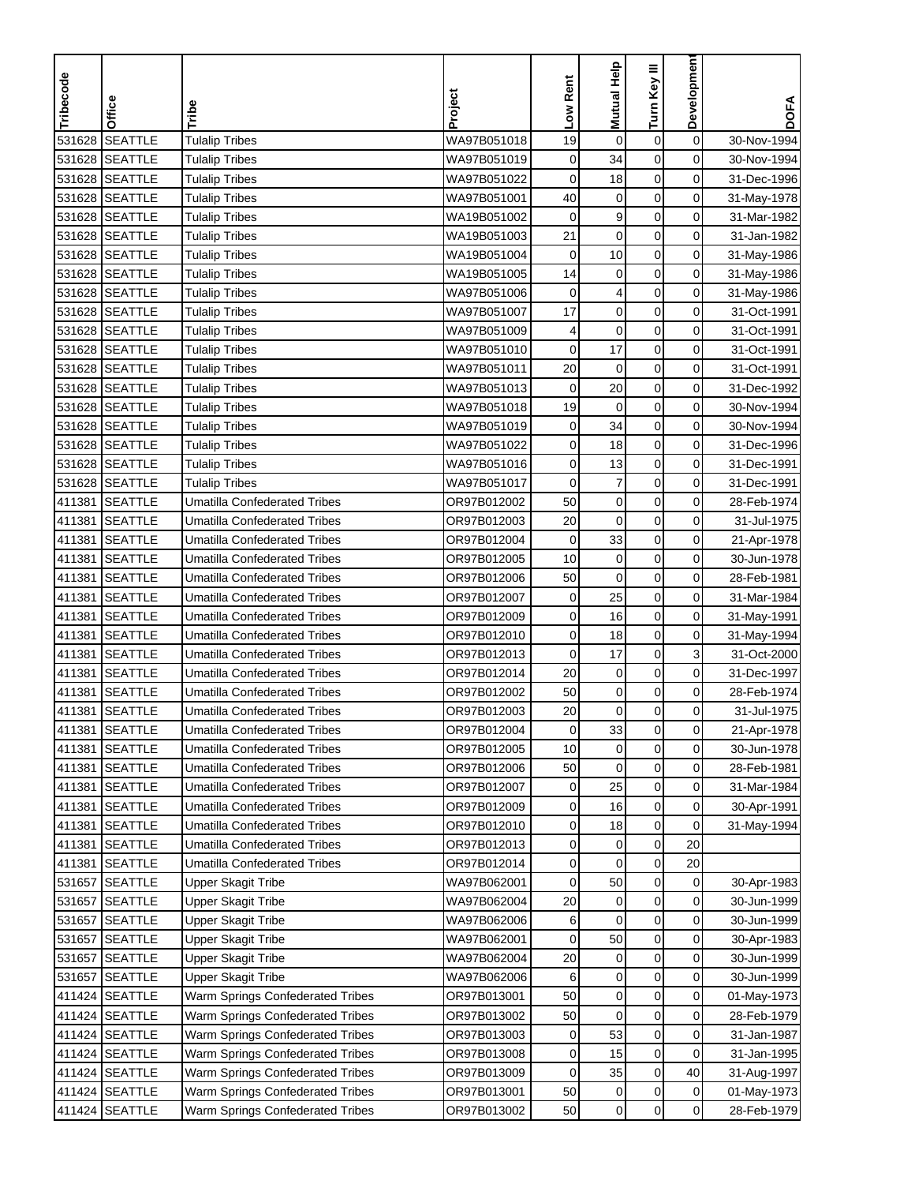| Developmen<br><b>Mutual Help</b><br>Turn Key III<br>Tribecode<br>Low Rent<br>Project<br>Office<br>Tribe<br><b>SEATTLE</b><br><b>Tulalip Tribes</b><br>$\mathbf 0$<br>531628<br>WA97B051018<br>19<br>$\mathbf 0$<br>$\boldsymbol{0}$<br><b>SEATTLE</b><br>0<br>531628<br>WA97B051019<br>$\mathbf 0$<br>34<br>0<br><b>Tulalip Tribes</b> | <b>DOFA</b><br>30-Nov-1994<br>30-Nov-1994<br>31-Dec-1996 |
|----------------------------------------------------------------------------------------------------------------------------------------------------------------------------------------------------------------------------------------------------------------------------------------------------------------------------------------|----------------------------------------------------------|
|                                                                                                                                                                                                                                                                                                                                        |                                                          |
|                                                                                                                                                                                                                                                                                                                                        |                                                          |
|                                                                                                                                                                                                                                                                                                                                        |                                                          |
| 531628 SEATTLE<br>0<br>0<br>0<br><b>Tulalip Tribes</b><br>WA97B051022<br>18                                                                                                                                                                                                                                                            |                                                          |
| $\pmb{0}$<br>531628 SEATTLE<br>WA97B051001<br>40<br>$\mathbf 0$<br>0<br><b>Tulalip Tribes</b>                                                                                                                                                                                                                                          | 31-May-1978                                              |
| 9<br>$\pmb{0}$<br>531628<br><b>SEATTLE</b><br>$\mathbf 0$<br>0<br><b>Tulalip Tribes</b><br>WA19B051002                                                                                                                                                                                                                                 | 31-Mar-1982                                              |
| 21<br><b>SEATTLE</b><br>$\mathbf 0$<br>$\mathbf 0$<br>531628<br><b>Tulalip Tribes</b><br>WA19B051003<br>0                                                                                                                                                                                                                              | 31-Jan-1982                                              |
| $\mathbf 0$<br>0<br>531628<br><b>SEATTLE</b><br>$\pmb{0}$<br>10<br><b>Tulalip Tribes</b><br>WA19B051004                                                                                                                                                                                                                                | 31-May-1986                                              |
| 0<br>531628 SEATTLE<br>14<br>$\mathbf 0$<br>$\mathbf 0$<br><b>Tulalip Tribes</b><br>WA19B051005                                                                                                                                                                                                                                        | 31-May-1986                                              |
| 0<br>531628 SEATTLE<br>WA97B051006<br>0<br>4<br>$\mathbf 0$<br><b>Tulalip Tribes</b>                                                                                                                                                                                                                                                   | 31-May-1986                                              |
| 0<br>531628 SEATTLE<br>WA97B051007<br>17<br>$\pmb{0}$<br><b>Tulalip Tribes</b><br>$\pmb{0}$                                                                                                                                                                                                                                            | 31-Oct-1991                                              |
| 531628 SEATTLE<br>WA97B051009<br>$\mathbf 0$<br>0<br><b>Tulalip Tribes</b><br>0<br>4                                                                                                                                                                                                                                                   | 31-Oct-1991                                              |
| 531628 SEATTLE<br>$\mathbf 0$<br>17<br>$\mathbf 0$<br>0<br><b>Tulalip Tribes</b><br>WA97B051010                                                                                                                                                                                                                                        | 31-Oct-1991                                              |
| 20<br>$\pmb{0}$<br>0<br>531628 SEATTLE<br>WA97B051011<br>$\mathbf 0$<br><b>Tulalip Tribes</b>                                                                                                                                                                                                                                          | 31-Oct-1991                                              |
| 20<br>$\pmb{0}$<br>$\overline{0}$<br>531628<br><b>SEATTLE</b><br>$\pmb{0}$<br><b>Tulalip Tribes</b><br>WA97B051013                                                                                                                                                                                                                     | 31-Dec-1992                                              |
| $\mathbf 0$<br>0<br>531628 SEATTLE<br>19<br>$\mathbf 0$<br><b>Tulalip Tribes</b><br>WA97B051018                                                                                                                                                                                                                                        | 30-Nov-1994                                              |
| 531628 SEATTLE<br>34<br>$\mathbf 0$<br>0<br><b>Tulalip Tribes</b><br>WA97B051019<br>0                                                                                                                                                                                                                                                  | 30-Nov-1994                                              |
| 0<br>531628 SEATTLE<br>WA97B051022<br>0<br>$\mathbf 0$<br><b>Tulalip Tribes</b><br>18                                                                                                                                                                                                                                                  | 31-Dec-1996                                              |
| 531628 SEATTLE<br>0<br>$\mathbf 0$<br>0<br><b>Tulalip Tribes</b><br>WA97B051016<br>13                                                                                                                                                                                                                                                  | 31-Dec-1991                                              |
| 531628 SEATTLE<br>WA97B051017<br>$\mathbf 0$<br>$\mathbf 0$<br>0<br><b>Tulalip Tribes</b><br>7                                                                                                                                                                                                                                         | 31-Dec-1991                                              |
| 50<br>$\mathbf 0$<br>411381<br><b>SEATTLE</b><br><b>Umatilla Confederated Tribes</b><br>OR97B012002<br>$\mathbf 0$<br>0                                                                                                                                                                                                                | 28-Feb-1974                                              |
| 411381<br><b>SEATTLE</b><br>20<br>$\mathbf 0$<br>$\mathbf 0$<br>0<br><b>Umatilla Confederated Tribes</b><br>OR97B012003                                                                                                                                                                                                                | 31-Jul-1975                                              |
| $\mathbf 0$<br>33<br>$\pmb{0}$<br>411381<br><b>SEATTLE</b><br>0<br>Umatilla Confederated Tribes<br>OR97B012004                                                                                                                                                                                                                         | 21-Apr-1978                                              |
| <b>SEATTLE</b><br>$\mathbf 0$<br>411381<br><b>Umatilla Confederated Tribes</b><br>OR97B012005<br>10<br>$\pmb{0}$<br>0                                                                                                                                                                                                                  | 30-Jun-1978                                              |
| 50<br>$\mathbf 0$<br><b>SEATTLE</b><br>$\mathbf 0$<br>0<br>411381<br>Umatilla Confederated Tribes<br>OR97B012006                                                                                                                                                                                                                       | 28-Feb-1981                                              |
| 25<br>0<br>411381<br><b>SEATTLE</b><br><b>Umatilla Confederated Tribes</b><br>0<br>0<br>OR97B012007                                                                                                                                                                                                                                    | 31-Mar-1984                                              |
| 0<br><b>SEATTLE</b><br>$\pmb{0}$<br>411381<br><b>Umatilla Confederated Tribes</b><br>OR97B012009<br>0<br>16                                                                                                                                                                                                                            | 31-May-1991                                              |
| <b>SEATTLE</b><br>$\mathbf 0$<br>0<br>411381<br>OR97B012010<br>0<br>18<br>Umatilla Confederated Tribes                                                                                                                                                                                                                                 | 31-May-1994                                              |
| <b>SEATTLE</b><br>3<br>411381<br>$\mathbf 0$<br>17<br>$\mathbf 0$<br><b>Umatilla Confederated Tribes</b><br>OR97B012013                                                                                                                                                                                                                | 31-Oct-2000                                              |
| 0<br>411381<br><b>SEATTLE</b><br>20<br>$\mathbf 0$<br>$\pmb{0}$<br><b>Umatilla Confederated Tribes</b><br>OR97B012014                                                                                                                                                                                                                  | 31-Dec-1997                                              |
| 50<br>$\pmb{0}$<br>0<br>411381<br><b>SEATTLE</b><br>$\mathbf 0$<br>Umatilla Confederated Tribes<br>OR97B012002                                                                                                                                                                                                                         | 28-Feb-1974                                              |
| $20\,$<br>$\mathbf 0$<br>411381<br><b>SEATTLE</b><br>$\pmb{0}$<br>0<br><b>Umatilla Confederated Tribes</b><br>OR97B012003                                                                                                                                                                                                              | 31-Jul-1975                                              |
| 411381 SEATTLE<br>Umatilla Confederated Tribes<br>OR97B012004<br>0<br>33<br>0<br>0                                                                                                                                                                                                                                                     | 21-Apr-1978                                              |
| $\mathbf 0$<br>$\mathbf 0$<br><b>SEATTLE</b><br>OR97B012005<br>10<br>$\mathbf 0$<br>411381<br><b>Umatilla Confederated Tribes</b>                                                                                                                                                                                                      | 30-Jun-1978                                              |
| 0<br><b>SEATTLE</b><br>$\mathbf 0$<br>0<br>411381<br><b>Umatilla Confederated Tribes</b><br>OR97B012006<br>50                                                                                                                                                                                                                          | 28-Feb-1981                                              |
| $\mathbf 0$<br>0<br>411381<br><b>SEATTLE</b><br>OR97B012007<br>0<br>25<br><b>Umatilla Confederated Tribes</b>                                                                                                                                                                                                                          | 31-Mar-1984                                              |
| <b>SEATTLE</b><br>0<br>411381<br><b>Umatilla Confederated Tribes</b><br>OR97B012009<br>0<br>16<br>$\overline{0}$                                                                                                                                                                                                                       | 30-Apr-1991                                              |
| $\pmb{0}$<br>0<br>18<br>0<br>411381<br>SEATTLE<br><b>Umatilla Confederated Tribes</b><br>OR97B012010                                                                                                                                                                                                                                   | 31-May-1994                                              |
| $\pmb{0}$<br><b>SEATTLE</b><br>20<br>411381<br><b>Umatilla Confederated Tribes</b><br>OR97B012013<br>0<br>0                                                                                                                                                                                                                            |                                                          |
| $\mathbf 0$<br>$\pmb{0}$<br><b>SEATTLE</b><br>20<br>411381<br><b>Umatilla Confederated Tribes</b><br>OR97B012014<br>0                                                                                                                                                                                                                  |                                                          |
| $\pmb{0}$<br><b>SEATTLE</b><br>50<br>0<br>531657<br>Upper Skagit Tribe<br>WA97B062001<br>0                                                                                                                                                                                                                                             | 30-Apr-1983                                              |
| $\boldsymbol{0}$<br>20<br>$\pmb{0}$<br>0<br>531657<br><b>SEATTLE</b><br>Upper Skagit Tribe<br>WA97B062004                                                                                                                                                                                                                              | 30-Jun-1999                                              |
| $\pmb{0}$<br>0<br>531657<br><b>SEATTLE</b><br>WA97B062006<br>6<br>$\mathbf 0$<br>Upper Skagit Tribe                                                                                                                                                                                                                                    | 30-Jun-1999                                              |
| $\pmb{0}$<br>0<br>531657 SEATTLE<br><b>Upper Skagit Tribe</b><br>WA97B062001<br>$\mathbf 0$<br>50                                                                                                                                                                                                                                      | 30-Apr-1983                                              |
| 531657 SEATTLE<br>Upper Skagit Tribe<br>WA97B062004<br>$\mathbf 0$<br>0<br>20<br>0                                                                                                                                                                                                                                                     | 30-Jun-1999                                              |
| $\mathbf 0$<br>0<br>0<br>531657<br><b>SEATTLE</b><br><b>Upper Skagit Tribe</b><br>WA97B062006<br>6                                                                                                                                                                                                                                     | 30-Jun-1999                                              |
| $\pmb{0}$<br>0<br>0<br>411424 SEATTLE<br>Warm Springs Confederated Tribes<br>OR97B013001<br>50                                                                                                                                                                                                                                         | 01-May-1973                                              |
| 50<br>$\pmb{0}$<br>$\mathbf 0$<br>0<br>411424 SEATTLE<br>Warm Springs Confederated Tribes<br>OR97B013002                                                                                                                                                                                                                               | 28-Feb-1979                                              |
| $\pmb{0}$<br>53<br>0<br>411424 SEATTLE<br>Warm Springs Confederated Tribes<br>OR97B013003<br>0                                                                                                                                                                                                                                         | 31-Jan-1987                                              |
| $\pmb{0}$<br>411424 SEATTLE<br>Warm Springs Confederated Tribes<br>OR97B013008<br>0<br>15<br>0                                                                                                                                                                                                                                         | 31-Jan-1995                                              |
| $\pmb{0}$<br>411424 SEATTLE<br>OR97B013009<br>35<br>40<br>Warm Springs Confederated Tribes<br>0                                                                                                                                                                                                                                        | 31-Aug-1997                                              |
| $\pmb{0}$<br>0<br>411424 SEATTLE<br>Warm Springs Confederated Tribes<br>OR97B013001<br>50<br>$\pmb{0}$                                                                                                                                                                                                                                 | 01-May-1973                                              |
| $\mathbf 0$<br>$\pmb{0}$<br>$\overline{0}$<br>411424 SEATTLE<br>OR97B013002<br>50<br>Warm Springs Confederated Tribes                                                                                                                                                                                                                  | 28-Feb-1979                                              |